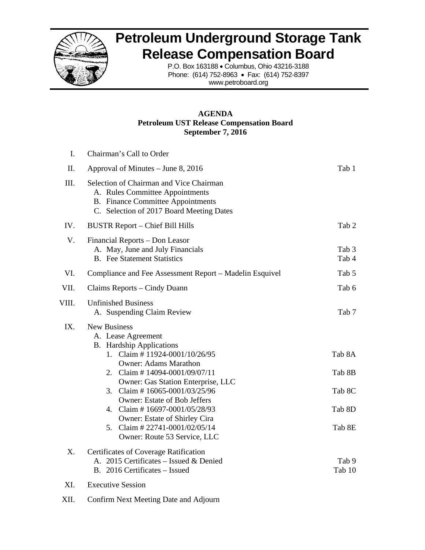

## **Petroleum Underground Storage Tank Release Compensation Board**

P.O. Box 163188 • Columbus, Ohio 43216-3188 Phone: (614) 752-8963 • Fax: (614) 752-8397 www.petroboard.org

#### **AGENDA Petroleum UST Release Compensation Board September 7, 2016**

| I.    | Chairman's Call to Order                                                                                                                                                                                                                                                                                                                                                                                                            |                                                |
|-------|-------------------------------------------------------------------------------------------------------------------------------------------------------------------------------------------------------------------------------------------------------------------------------------------------------------------------------------------------------------------------------------------------------------------------------------|------------------------------------------------|
| II.   | Approval of Minutes – June 8, 2016                                                                                                                                                                                                                                                                                                                                                                                                  | Tab 1                                          |
| III.  | Selection of Chairman and Vice Chairman<br>A. Rules Committee Appointments<br><b>B.</b> Finance Committee Appointments<br>C. Selection of 2017 Board Meeting Dates                                                                                                                                                                                                                                                                  |                                                |
| IV.   | <b>BUSTR Report – Chief Bill Hills</b>                                                                                                                                                                                                                                                                                                                                                                                              | Tab 2                                          |
| V.    | Financial Reports - Don Leasor<br>A. May, June and July Financials<br><b>B.</b> Fee Statement Statistics                                                                                                                                                                                                                                                                                                                            | Tab 3<br>Tab 4                                 |
| VI.   | Compliance and Fee Assessment Report – Madelin Esquivel                                                                                                                                                                                                                                                                                                                                                                             | Tab 5                                          |
| VII.  | Claims Reports – Cindy Duann                                                                                                                                                                                                                                                                                                                                                                                                        | Tab 6                                          |
| VIII. | <b>Unfinished Business</b><br>A. Suspending Claim Review                                                                                                                                                                                                                                                                                                                                                                            | Tab 7                                          |
| IX.   | <b>New Business</b><br>A. Lease Agreement<br><b>B.</b> Hardship Applications<br>1. Claim # 11924-0001/10/26/95<br><b>Owner: Adams Marathon</b><br>2. Claim #14094-0001/09/07/11<br>Owner: Gas Station Enterprise, LLC<br>3. Claim #16065-0001/03/25/96<br><b>Owner: Estate of Bob Jeffers</b><br>4. Claim #16697-0001/05/28/93<br>Owner: Estate of Shirley Cira<br>Claim #22741-0001/02/05/14<br>5.<br>Owner: Route 53 Service, LLC | Tab 8A<br>Tab 8B<br>Tab 8C<br>Tab 8D<br>Tab 8E |
| X.    | Certificates of Coverage Ratification<br>A. 2015 Certificates - Issued & Denied<br>B. 2016 Certificates - Issued                                                                                                                                                                                                                                                                                                                    | Tab 9<br>Tab 10                                |
| XI.   | <b>Executive Session</b>                                                                                                                                                                                                                                                                                                                                                                                                            |                                                |

XII. Confirm Next Meeting Date and Adjourn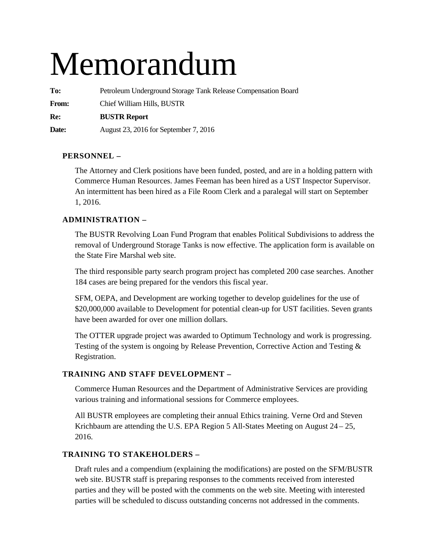# Memorandum

**To:** Petroleum Underground Storage Tank Release Compensation Board **From:** Chief William Hills, BUSTR **Re: BUSTR Report Date:** August 23, 2016 for September 7, 2016

## **PERSONNEL –**

The Attorney and Clerk positions have been funded, posted, and are in a holding pattern with Commerce Human Resources. James Feeman has been hired as a UST Inspector Supervisor. An intermittent has been hired as a File Room Clerk and a paralegal will start on September 1, 2016.

## **ADMINISTRATION –**

The BUSTR Revolving Loan Fund Program that enables Political Subdivisions to address the removal of Underground Storage Tanks is now effective. The application form is available on the State Fire Marshal web site.

The third responsible party search program project has completed 200 case searches. Another 184 cases are being prepared for the vendors this fiscal year.

SFM, OEPA, and Development are working together to develop guidelines for the use of \$20,000,000 available to Development for potential clean-up for UST facilities. Seven grants have been awarded for over one million dollars.

The OTTER upgrade project was awarded to Optimum Technology and work is progressing. Testing of the system is ongoing by Release Prevention, Corrective Action and Testing & Registration.

## **TRAINING AND STAFF DEVELOPMENT –**

Commerce Human Resources and the Department of Administrative Services are providing various training and informational sessions for Commerce employees.

All BUSTR employees are completing their annual Ethics training. Verne Ord and Steven Krichbaum are attending the U.S. EPA Region 5 All-States Meeting on August 24 – 25, 2016.

## **TRAINING TO STAKEHOLDERS –**

Draft rules and a compendium (explaining the modifications) are posted on the SFM/BUSTR web site. BUSTR staff is preparing responses to the comments received from interested parties and they will be posted with the comments on the web site. Meeting with interested parties will be scheduled to discuss outstanding concerns not addressed in the comments.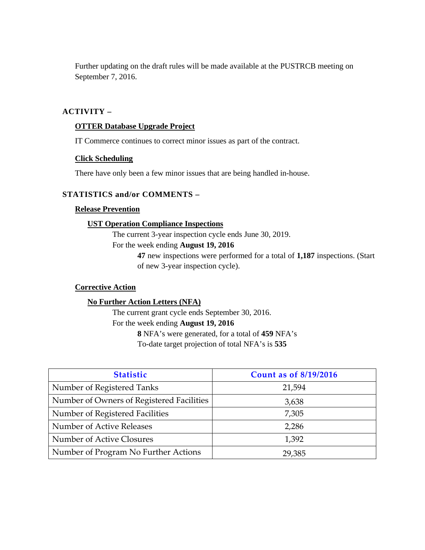Further updating on the draft rules will be made available at the PUSTRCB meeting on September 7, 2016.

#### **ACTIVITY –**

#### **OTTER Database Upgrade Project**

IT Commerce continues to correct minor issues as part of the contract.

#### **Click Scheduling**

There have only been a few minor issues that are being handled in-house.

#### **STATISTICS and/or COMMENTS –**

#### **Release Prevention**

#### **UST Operation Compliance Inspections**

The current 3-year inspection cycle ends June 30, 2019.

For the week ending **August 19, 2016** 

**47** new inspections were performed for a total of **1,187** inspections. (Start of new 3-year inspection cycle).

#### **Corrective Action**

#### **No Further Action Letters (NFA)**

The current grant cycle ends September 30, 2016. For the week ending **August 19, 2016 8** NFA's were generated, for a total of **459** NFA's

To-date target projection of total NFA's is **535** 

| <b>Statistic</b>                          | <b>Count as of 8/19/2016</b> |
|-------------------------------------------|------------------------------|
| Number of Registered Tanks                | 21,594                       |
| Number of Owners of Registered Facilities | 3,638                        |
| Number of Registered Facilities           | 7,305                        |
| Number of Active Releases                 | 2,286                        |
| Number of Active Closures                 | 1,392                        |
| Number of Program No Further Actions      | 29,385                       |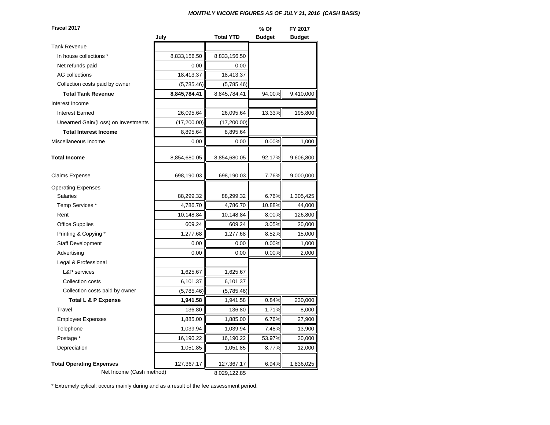#### *MONTHLY INCOME FIGURES AS OF JULY 31, 2016 (CASH BASIS)*

| Fiscal 2017                         |              |                  | % Of          | FY 2017       |
|-------------------------------------|--------------|------------------|---------------|---------------|
|                                     | July         | <b>Total YTD</b> | <b>Budget</b> | <b>Budget</b> |
| <b>Tank Revenue</b>                 |              |                  |               |               |
| In house collections *              | 8,833,156.50 | 8,833,156.50     |               |               |
| Net refunds paid                    | 0.00         | 0.00             |               |               |
| <b>AG</b> collections               | 18,413.37    | 18,413.37        |               |               |
| Collection costs paid by owner      | (5,785.46)   | (5,785.46)       |               |               |
| <b>Total Tank Revenue</b>           | 8,845,784.41 | 8,845,784.41     | 94.00%        | 9,410,000     |
| Interest Income                     |              |                  |               |               |
| <b>Interest Earned</b>              | 26,095.64    | 26,095.64        | 13.33%        | 195,800       |
| Unearned Gain/(Loss) on Investments | (17,200.00)  | (17,200.00)      |               |               |
| <b>Total Interest Income</b>        | 8,895.64     | 8,895.64         |               |               |
| Miscellaneous Income                | 0.00         | 0.00             | 0.00%         | 1,000         |
| <b>Total Income</b>                 | 8,854,680.05 | 8,854,680.05     | 92.17%        | 9,606,800     |
| <b>Claims Expense</b>               | 698,190.03   | 698,190.03       | 7.76%         | 9,000,000     |
| <b>Operating Expenses</b>           |              |                  |               |               |
| <b>Salaries</b>                     | 88,299.32    | 88,299.32        | 6.76%         | 1,305,425     |
| Temp Services*                      | 4,786.70     | 4,786.70         | 10.88%        | 44,000        |
| Rent                                | 10,148.84    | 10,148.84        | 8.00%         | 126,800       |
| <b>Office Supplies</b>              | 609.24       | 609.24           | 3.05%         | 20,000        |
| Printing & Copying *                | 1,277.68     | 1,277.68         | 8.52%         | 15,000        |
| <b>Staff Development</b>            | 0.00         | 0.00             | 0.00%         | 1,000         |
| Advertising                         | 0.00         | 0.00             | 0.00%         | 2,000         |
| Legal & Professional                |              |                  |               |               |
| <b>L&amp;P</b> services             | 1,625.67     | 1,625.67         |               |               |
| Collection costs                    | 6,101.37     | 6,101.37         |               |               |
| Collection costs paid by owner      | (5,785.46)   | (5,785.46)       |               |               |
| Total L & P Expense                 | 1,941.58     | 1,941.58         | 0.84%         | 230,000       |
| Travel                              | 136.80       | 136.80           | 1.71%         | 8,000         |
| <b>Employee Expenses</b>            | 1,885.00     | 1,885.00         | 6.76%         | 27,900        |
| Telephone                           | 1,039.94     | 1,039.94         | 7.48%         | 13,900        |
| Postage *                           | 16,190.22    | 16,190.22        | 53.97%        | 30,000        |
| Depreciation                        | 1,051.85     | 1,051.85         | 8.77%         | 12,000        |
| <b>Total Operating Expenses</b>     | 127,367.17   | 127,367.17       | 6.94%         | 1,836,025     |
| Net Income (Cash method)            | 8,029,122.85 |                  |               |               |

\* Extremely cylical; occurs mainly during and as a result of the fee assessment period.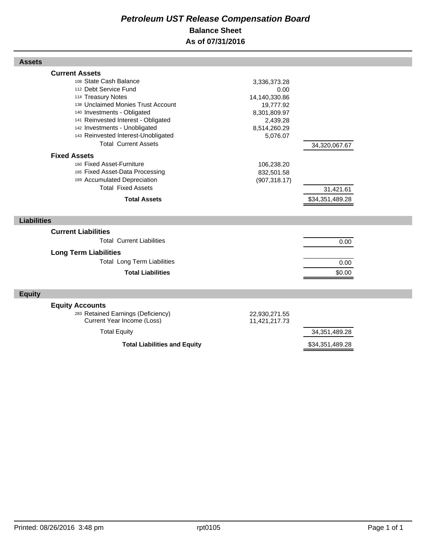## *Petroleum UST Release Compensation Board*  **Balance Sheet As of 07/31/2016**

| <b>Assets</b>                                                                                                                                                                                                                                                                                                                                                                                                                                                                                |                                                                                                                                                         |                                               |  |
|----------------------------------------------------------------------------------------------------------------------------------------------------------------------------------------------------------------------------------------------------------------------------------------------------------------------------------------------------------------------------------------------------------------------------------------------------------------------------------------------|---------------------------------------------------------------------------------------------------------------------------------------------------------|-----------------------------------------------|--|
| <b>Current Assets</b><br>108 State Cash Balance<br>112 Debt Service Fund<br>114 Treasury Notes<br>138 Unclaimed Monies Trust Account<br>140 Investments - Obligated<br>141 Reinvested Interest - Obligated<br>142 Investments - Unobligated<br>143 Reinvested Interest-Unobligated<br><b>Total Current Assets</b><br><b>Fixed Assets</b><br>160 Fixed Asset-Furniture<br>165 Fixed Asset-Data Processing<br>169 Accumulated Depreciation<br><b>Total Fixed Assets</b><br><b>Total Assets</b> | 3,336,373.28<br>0.00<br>14,140,330.86<br>19,777.92<br>8,301,809.97<br>2,439.28<br>8,514,260.29<br>5,076.07<br>106,238.20<br>832,501.58<br>(907, 318.17) | 34,320,067.67<br>31,421.61<br>\$34,351,489.28 |  |
| <b>Liabilities</b>                                                                                                                                                                                                                                                                                                                                                                                                                                                                           |                                                                                                                                                         |                                               |  |
| <b>Current Liabilities</b>                                                                                                                                                                                                                                                                                                                                                                                                                                                                   |                                                                                                                                                         |                                               |  |
| <b>Total Current Liabilities</b>                                                                                                                                                                                                                                                                                                                                                                                                                                                             |                                                                                                                                                         | 0.00                                          |  |
| <b>Long Term Liabilities</b>                                                                                                                                                                                                                                                                                                                                                                                                                                                                 |                                                                                                                                                         |                                               |  |
| <b>Total Long Term Liabilities</b>                                                                                                                                                                                                                                                                                                                                                                                                                                                           |                                                                                                                                                         | 0.00                                          |  |
| <b>Total Liabilities</b>                                                                                                                                                                                                                                                                                                                                                                                                                                                                     |                                                                                                                                                         | \$0.00                                        |  |
| <b>Equity</b>                                                                                                                                                                                                                                                                                                                                                                                                                                                                                |                                                                                                                                                         |                                               |  |
| <b>Equity Accounts</b><br>283 Retained Earnings (Deficiency)<br>Current Year Income (Loss)                                                                                                                                                                                                                                                                                                                                                                                                   | 22,930,271.55<br>11,421,217.73                                                                                                                          |                                               |  |
| <b>Total Equity</b>                                                                                                                                                                                                                                                                                                                                                                                                                                                                          |                                                                                                                                                         | 34,351,489.28                                 |  |
| <b>Total Liabilities and Equity</b>                                                                                                                                                                                                                                                                                                                                                                                                                                                          |                                                                                                                                                         | \$34,351,489.28                               |  |

Г

Г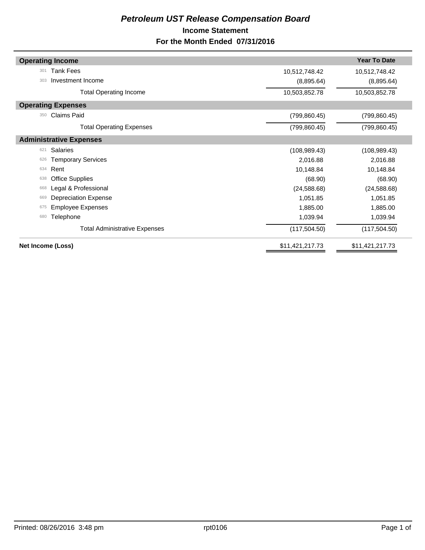## *Petroleum UST Release Compensation Board*  **Income Statement For the Month Ended 07/31/2016**

| <b>Operating Income</b>              |                 | <b>Year To Date</b> |
|--------------------------------------|-----------------|---------------------|
| <b>Tank Fees</b><br>301              | 10,512,748.42   | 10,512,748.42       |
| Investment Income<br>303             | (8,895.64)      | (8,895.64)          |
| <b>Total Operating Income</b>        | 10,503,852.78   | 10,503,852.78       |
| <b>Operating Expenses</b>            |                 |                     |
| <b>Claims Paid</b><br>350            | (799, 860.45)   | (799, 860.45)       |
| <b>Total Operating Expenses</b>      | (799, 860.45)   | (799, 860.45)       |
| <b>Administrative Expenses</b>       |                 |                     |
| <b>Salaries</b><br>621               | (108, 989.43)   | (108, 989.43)       |
| <b>Temporary Services</b><br>626     | 2,016.88        | 2,016.88            |
| Rent<br>634                          | 10,148.84       | 10,148.84           |
| <b>Office Supplies</b><br>638        | (68.90)         | (68.90)             |
| Legal & Professional<br>668          | (24, 588.68)    | (24, 588.68)        |
| <b>Depreciation Expense</b><br>669   | 1,051.85        | 1,051.85            |
| <b>Employee Expenses</b><br>675      | 1,885.00        | 1,885.00            |
| Telephone<br>680                     | 1,039.94        | 1,039.94            |
| <b>Total Administrative Expenses</b> | (117, 504.50)   | (117, 504.50)       |
| Net Income (Loss)                    | \$11,421,217.73 | \$11,421,217.73     |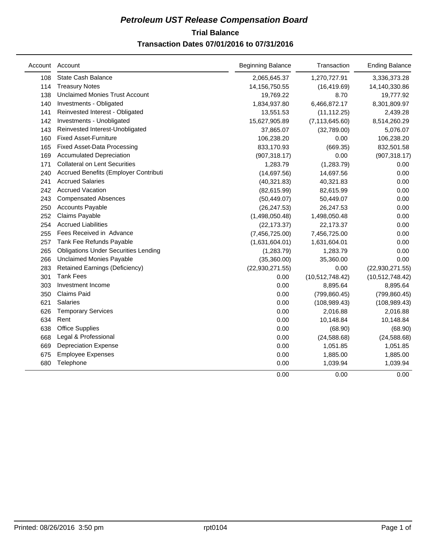## **Trial Balance** *Petroleum UST Release Compensation Board*  **Transaction Dates 07/01/2016 to 07/31/2016**

|     | Account Account                             | <b>Beginning Balance</b> | Transaction       | <b>Ending Balance</b> |
|-----|---------------------------------------------|--------------------------|-------------------|-----------------------|
| 108 | <b>State Cash Balance</b>                   | 2,065,645.37             | 1,270,727.91      | 3,336,373.28          |
| 114 | <b>Treasury Notes</b>                       | 14,156,750.55            | (16, 419.69)      | 14,140,330.86         |
| 138 | <b>Unclaimed Monies Trust Account</b>       | 19,769.22                | 8.70              | 19,777.92             |
| 140 | Investments - Obligated                     | 1,834,937.80             | 6,466,872.17      | 8,301,809.97          |
| 141 | Reinvested Interest - Obligated             | 13,551.53                | (11, 112.25)      | 2,439.28              |
| 142 | Investments - Unobligated                   | 15,627,905.89            | (7, 113, 645.60)  | 8,514,260.29          |
| 143 | Reinvested Interest-Unobligated             | 37,865.07                | (32,789.00)       | 5,076.07              |
| 160 | <b>Fixed Asset-Furniture</b>                | 106,238.20               | 0.00              | 106,238.20            |
| 165 | <b>Fixed Asset-Data Processing</b>          | 833,170.93               | (669.35)          | 832,501.58            |
| 169 | <b>Accumulated Depreciation</b>             | (907, 318.17)            | 0.00              | (907, 318.17)         |
| 171 | <b>Collateral on Lent Securities</b>        | 1,283.79                 | (1,283.79)        | 0.00                  |
| 240 | Accrued Benefits (Employer Contributi       | (14,697.56)              | 14,697.56         | 0.00                  |
| 241 | <b>Accrued Salaries</b>                     | (40, 321.83)             | 40,321.83         | 0.00                  |
| 242 | <b>Accrued Vacation</b>                     | (82, 615.99)             | 82,615.99         | 0.00                  |
| 243 | <b>Compensated Absences</b>                 | (50, 449.07)             | 50,449.07         | 0.00                  |
| 250 | <b>Accounts Payable</b>                     | (26, 247.53)             | 26,247.53         | 0.00                  |
| 252 | Claims Payable                              | (1,498,050.48)           | 1,498,050.48      | 0.00                  |
| 254 | <b>Accrued Liabilities</b>                  | (22, 173.37)             | 22,173.37         | 0.00                  |
| 255 | Fees Received in Advance                    | (7,456,725.00)           | 7,456,725.00      | 0.00                  |
| 257 | Tank Fee Refunds Payable                    | (1,631,604.01)           | 1,631,604.01      | 0.00                  |
| 265 | <b>Obligations Under Securities Lending</b> | (1,283.79)               | 1,283.79          | 0.00                  |
| 266 | <b>Unclaimed Monies Payable</b>             | (35,360.00)              | 35,360.00         | 0.00                  |
| 283 | <b>Retained Earnings (Deficiency)</b>       | (22,930,271.55)          | 0.00              | (22,930,271.55)       |
| 301 | <b>Tank Fees</b>                            | 0.00                     | (10, 512, 748.42) | (10,512,748.42)       |
| 303 | Investment Income                           | 0.00                     | 8,895.64          | 8,895.64              |
| 350 | <b>Claims Paid</b>                          | 0.00                     | (799, 860.45)     | (799, 860.45)         |
| 621 | Salaries                                    | 0.00                     | (108, 989.43)     | (108, 989.43)         |
| 626 | <b>Temporary Services</b>                   | 0.00                     | 2,016.88          | 2,016.88              |
| 634 | Rent                                        | 0.00                     | 10,148.84         | 10,148.84             |
| 638 | <b>Office Supplies</b>                      | 0.00                     | (68.90)           | (68.90)               |
| 668 | Legal & Professional                        | 0.00                     | (24, 588.68)      | (24, 588.68)          |
| 669 | <b>Depreciation Expense</b>                 | 0.00                     | 1,051.85          | 1,051.85              |
| 675 | <b>Employee Expenses</b>                    | 0.00                     | 1,885.00          | 1,885.00              |
| 680 | Telephone                                   | 0.00                     | 1,039.94          | 1,039.94              |
|     |                                             | 0.00                     | 0.00              | 0.00                  |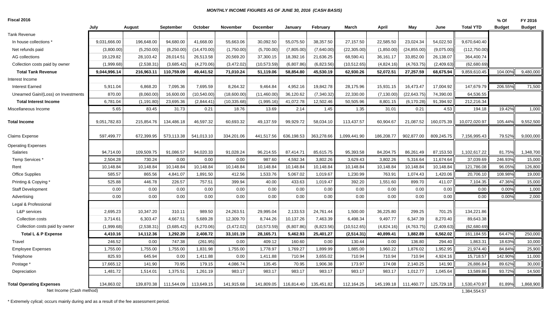#### *MONTHLY INCOME FIGURES AS OF JUNE 30, 2016 (CASH BASIS)*

**Fiscal 2016**

| Fiscal 2016                         |              |             |            |              |                 |                 |            |            |              |             |              |            |                  | % Of          | FY 2016       |
|-------------------------------------|--------------|-------------|------------|--------------|-----------------|-----------------|------------|------------|--------------|-------------|--------------|------------|------------------|---------------|---------------|
|                                     | July         | August      | September  | October      | <b>November</b> | <b>December</b> | January    | February   | March        | April       | May          | June       | <b>Total YTD</b> | <b>Budget</b> | <b>Budget</b> |
| Tank Revenue                        |              |             |            |              |                 |                 |            |            |              |             |              |            |                  |               |               |
| In house collections *              | 9,031,666.00 | 196,648.00  | 94,680.00  | 41,668.00    | 55,663.06       | 30,092.50       | 55,075.50  | 38,357.50  | 27,157.50    | 22,585.50   | 23,024.34    | 54,022.50  | 9,670,640.40     |               |               |
| Net refunds paid                    | (3,800.00)   | (5,250.00)  | (8,250.00) | (14, 470.00) | (1,750.00)      | (5,700.00)      | (7,805.00) | (7,640.00) | (22, 305.00) | (1,850.00)  | (24, 855.00) | (9,075.00) | (112,750.00)     |               |               |
| AG collections                      | 19,129.82    | 28,103.42   | 28,014.51  | 26,513.58    | 20,569.20       | 37,300.15       | 18,392.16  | 21,636.25  | 68,590.41    | 36,161.17   | 33,852.00    | 26,138.07  | 364,400.74       |               |               |
| Collection costs paid by owner      | (1,999.68)   | (2,538.31)  | (3,685.42) | (4,270.06)   | (3,472.02)      | (10, 573.59)    | (6,807.86) | (6,823.56) | (10, 512.65) | (4,824.16)  | (4,763.75)   | (2,409.63) | (62,680.69)      |               |               |
| <b>Total Tank Revenue</b>           | 9,044,996.14 | 216,963.11  | 110,759.09 | 49,441.52    | 71,010.24       | 51,119.06       | 58,854.80  | 45,530.19  | 62,930.26    | 52,072.51   | 27,257.59    | 68,675.94  | 9,859,610.45     | 104.00%       | 9,480,000     |
| Interest Income                     |              |             |            |              |                 |                 |            |            |              |             |              |            |                  |               |               |
| <b>Interest Earned</b>              | 5,911.04     | 6,868.20    | 7,095.36   | 7,695.59     | 8,264.32        | 9,464.84        | 4,952.16   | 19,842.78  | 28,175.96    | 15,931.15   | 16,473.47    | 17,004.92  | 147,679.79       | 206.55%       | 71,500        |
| Unearned Gain/(Loss) on Investments | 870.00       | (8,060.00)  | 16,600.00  | (10,540.00)  | (18,600.00)     | (11, 460.00)    | 36,120.62  | (7,340.32) | 22,330.00    | (7, 130.00) | (22, 643.75) | 74,390.00  | 64,536.55        |               |               |
| <b>Total Interest Income</b>        | 6,781.04     | (1, 191.80) | 23,695.36  | (2,844.41)   | (10, 335.68)    | (1,995.16)      | 41,072.78  | 12,502.46  | 50,505.96    | 8,801.15    | (6, 170.28)  | 91,394.92  | 212,216.34       |               |               |
| Miscellaneous Income                | 5.65         | 83.45       | 31.73      | 0.21         | 18.76           | 13.69           | 2.14       | 1.45       | 1.35         | 31.01       | 0.21         | 4.53       | 194.18           | 19.42%        | 1,000         |
| <b>Total Income</b>                 | 9,051,782.83 | 215,854.76  | 134,486.18 | 46,597.32    | 60,693.32       | 49,137.59       | 99,929.72  | 58,034.10  | 113,437.57   | 60,904.67   | 21,087.52    | 160,075.39 | 10,072,020.97    | 105.44%       | 9,552,500     |
| Claims Expense                      | 597,499.77   | 672,399.95  | 573,113.38 | 541,013.10   | 334,201.06      | 441,517.56      | 636,198.53 | 363,278.66 | 1,099,441.90 | 186,208.77  | 902,877.00   | 809,245.75 | 7,156,995.43     | 79.52%        | 9,000,000     |
| <b>Operating Expenses</b>           |              |             |            |              |                 |                 |            |            |              |             |              |            |                  |               |               |
| Salaries                            | 94,714.00    | 109,509.75  | 91,086.57  | 94,020.33    | 91,028.24       | 96,214.55       | 87,414.7   | 85,615.75  | 95,393.58    | 84,204.75   | 86,261.49    | 87,153.50  | 1,102,617.22     | 81.75%        | 1,348,700     |
| Temp Services                       | 2,504.28     | 730.24      | 0.00       | 0.00         | 0.00            | 987.60          | 4,592.34   | 3,802.26   | 3,629.43     | 3,802.26    | 5,316.64     | 11,674.64  | 37,039.69        | 246.93%       | 15,000        |
| Rent                                | 10,148.84    | 10,148.84   | 10,148.84  | 10,148.84    | 10,148.84       | 10,148.84       | 10,148.84  | 10,148.84  | 10,148.84    | 10,148.84   | 10,148.84    | 10,148.84  | 121,786.08       | 96.05%        | 126,800       |
| <b>Office Supplies</b>              | 585.57       | 865.56      | 4,841.07   | 1,891.50     | 412.56          | 1,533.76        | 5,067.02   | 1,019.67   | 1,230.99     | 763.91      | 1,074.43     | 1,420.06   | 20,706.10        | 108.98%       | 19,000        |
| Printing & Copying                  | 525.88       | 446.78      | 226.57     | 757.51       | 399.94          | 40.00           | 433.63     | 1,019.47   | 392.20       | 1,551.60    | 899.70       | 411.07     | 7,104.35         | 47.36%        | 15,000        |
| Staff Development                   | 0.00         | 0.00        | 0.00       | 0.00         | 0.00            | 0.00            | 0.00       | 0.00       | 0.00         | 0.00        | 0.00         | 0.00       | 0.00             | 0.00%         | 1,000         |
| Advertising                         | 0.00         | 0.00        | 0.00       | 0.00         | 0.00            | 0.00            | 0.00       | 0.00       | 0.00         | 0.00        | 0.00         | 0.00       | 0.00             | 0.00%         | 2,000         |
| Legal & Professional                |              |             |            |              |                 |                 |            |            |              |             |              |            |                  |               |               |
| L&P services                        | 2,695.23     | 10,347.20   | 310.11     | 989.50       | 24,263.51       | 29,995.04       | 2,133.53   | 24,761.44  | 1,500.00     | 36,225.80   | 299.25       | 701.25     | 134,221.86       |               |               |
| Collection costs                    | 3,714.61     | 6,303.47    | 4,667.51   | 5,689.28     | 12,309.70       | 8,744.26        | 10,137.26  | 7,463.39   | 6,498.34     | 9,497.77    | 6,347.39     | 8,270.40   | 89,643.38        |               |               |
| Collection costs paid by owner      | (1,999.68)   | (2,538.31)  | (3,685.42) | (4,270.06)   | (3,472.02)      | (10, 573.59)    | (6,807.86) | (6,823.56) | (10, 512.65) | (4,824.16)  | (4,763.75)   | (2,409.63) | (62,680.69)      |               |               |
| Total L & P Expense                 | 4,410.16     | 14,112.36   | 1,292.20   | 2,408.72     | 33,101.19       | 28,165.71       | 5,462.93   | 25,401.27  | (2, 514.31)  | 40,899.41   | 1.882.89     | 6,562.02   | 161,184.55       | 64.47%        | 250,000       |
| Travel                              | 246.52       | 0.00        | 747.38     | (261.95)     | 0.00            | 409.12          | 160.60     | 0.00       | 130.44       | 0.00        | 136.80       | 294.40     | 1,863.31         | 18.63%        | 10,000        |
| <b>Employee Expenses</b>            | 1,755.00     | 1,755.00    | 1,755.00   | 1,831.98     | 1,755.00        | 1,778.97        | 1,769.27   | 1,899.99   | 1,885.00     | 1,960.22    | 1,876.02     | 1,952.95   | 21,974.40        | 84.84%        | 25,900        |
| Telephone                           | 825.93       | 645.94      | 0.00       | 1,411.88     | 0.00            | 1,411.88        | 710.94     | 3,655.02   | 710.94       | 710.94      | 710.94       | 4,924.16   | 15,718.57        | 142.90%       | 11,000        |
| Postage *                           | 17,665.12    | 141.90      | 70.95      | 179.15       | 4,086.74        | 135.45          | 70.95      | 1,906.38   | 173.97       | 174.08      | 2,140.25     | 141.90     | 26,886.84        | 89.62%        | 30,000        |
| Depreciation                        | 1,481.72     | 1,514.01    | 1,375.51   | 1,261.19     | 983.17          | 983.17          | 983.17     | 983.17     | 983.17       | 983.17      | 1,012.77     | 1,045.64   | 13,589.86        | 93.72%        | 14,500        |
| <b>Total Operating Expenses</b>     | 134,863.02   | 139,870.38  | 111,544.09 | 113,649.15   | 141,915.68      | 141,809.05      | 116,814.40 | 135,451.82 | 112,164.25   | 145,199.18  | 111,460.77   | 125,729.18 | 1,530,470.97     | 81.89%        | 1,868,900     |
| Net Income (Cash method)            |              |             |            |              |                 |                 |            |            |              |             |              |            | 1,384,554.57     |               |               |

\* Extremely cylical; occurs mainly during and as a result of the fee assessment period.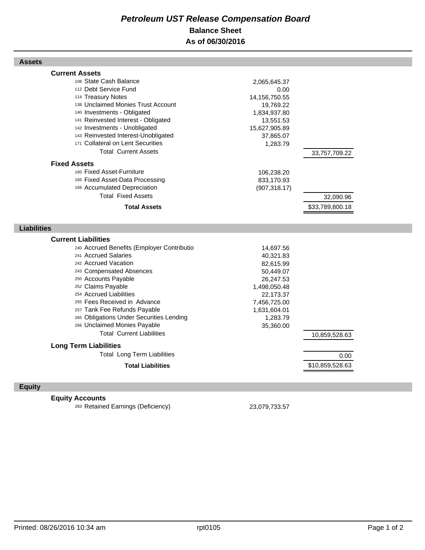## *Petroleum UST Release Compensation Board*  **Balance Sheet As of 06/30/2016**

| <b>Assets</b>                                                                                                                                                                                                                                                                                                                                                                                                                                 |                                                                                                                                                     |                              |  |
|-----------------------------------------------------------------------------------------------------------------------------------------------------------------------------------------------------------------------------------------------------------------------------------------------------------------------------------------------------------------------------------------------------------------------------------------------|-----------------------------------------------------------------------------------------------------------------------------------------------------|------------------------------|--|
| <b>Current Assets</b><br>108 State Cash Balance<br>112 Debt Service Fund<br>114 Treasury Notes<br>138 Unclaimed Monies Trust Account<br>140 Investments - Obligated<br>141 Reinvested Interest - Obligated<br>142 Investments - Unobligated<br>143 Reinvested Interest-Unobligated<br>171 Collateral on Lent Securities<br><b>Total Current Assets</b><br><b>Fixed Assets</b>                                                                 | 2,065,645.37<br>0.00<br>14,156,750.55<br>19,769.22<br>1,834,937.80<br>13,551.53<br>15,627,905.89<br>37,865.07<br>1,283.79                           | 33,757,709.22                |  |
| 160 Fixed Asset-Furniture<br>165 Fixed Asset-Data Processing<br>169 Accumulated Depreciation<br><b>Total Fixed Assets</b><br><b>Total Assets</b>                                                                                                                                                                                                                                                                                              | 106,238.20<br>833,170.93<br>(907, 318.17)                                                                                                           | 32,090.96<br>\$33,789,800.18 |  |
| <b>Liabilities</b>                                                                                                                                                                                                                                                                                                                                                                                                                            |                                                                                                                                                     |                              |  |
|                                                                                                                                                                                                                                                                                                                                                                                                                                               |                                                                                                                                                     |                              |  |
| <b>Current Liabilities</b><br>240 Accrued Benefits (Employer Contributio<br>241 Accrued Salaries<br>242 Accrued Vacation<br>243 Compensated Absences<br>250 Accounts Payable<br>252 Claims Payable<br>254 Accrued Liabilities<br>255 Fees Received in Advance<br>257 Tank Fee Refunds Payable<br>265 Obligations Under Securities Lending<br>266 Unclaimed Monies Payable<br><b>Total Current Liabilities</b><br><b>Long Term Liabilities</b> | 14,697.56<br>40,321.83<br>82,615.99<br>50,449.07<br>26,247.53<br>1,498,050.48<br>22,173.37<br>7,456,725.00<br>1,631,604.01<br>1,283.79<br>35,360.00 | 10,859,528.63                |  |
| <b>Total Long Term Liabilities</b>                                                                                                                                                                                                                                                                                                                                                                                                            |                                                                                                                                                     | 0.00                         |  |

## **Equity**

## **Equity Accounts**

<sup>283</sup> Retained Earnings (Deficiency) 23,079,733.57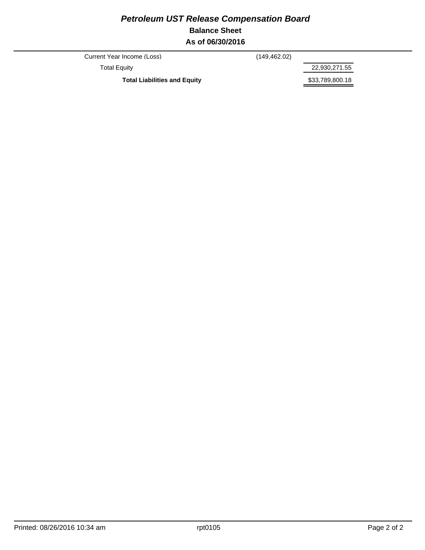## *Petroleum UST Release Compensation Board*  **Balance Sheet As of 06/30/2016**

Current Year Income (Loss) (149,462.02)

Total Equity 22,930,271.55

Total Liabilities and Equity **1988 1998 \$33,789,800.18**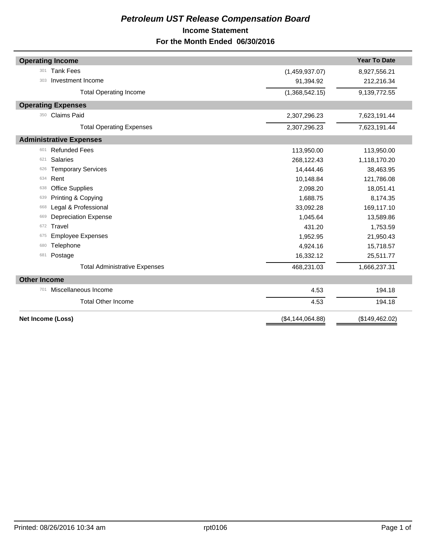## *Petroleum UST Release Compensation Board*  **Income Statement For the Month Ended 06/30/2016**

| <b>Operating Income</b>              |                  | <b>Year To Date</b> |
|--------------------------------------|------------------|---------------------|
| <b>Tank Fees</b><br>301              | (1,459,937.07)   | 8,927,556.21        |
| Investment Income<br>303             | 91,394.92        | 212,216.34          |
| <b>Total Operating Income</b>        | (1,368,542.15)   | 9,139,772.55        |
| <b>Operating Expenses</b>            |                  |                     |
| <b>Claims Paid</b><br>350            | 2,307,296.23     | 7,623,191.44        |
| <b>Total Operating Expenses</b>      | 2,307,296.23     | 7,623,191.44        |
| <b>Administrative Expenses</b>       |                  |                     |
| <b>Refunded Fees</b><br>601          | 113,950.00       | 113,950.00          |
| <b>Salaries</b><br>621               | 268,122.43       | 1,118,170.20        |
| <b>Temporary Services</b><br>626     | 14,444.46        | 38,463.95           |
| Rent<br>634                          | 10,148.84        | 121,786.08          |
| <b>Office Supplies</b><br>638        | 2,098.20         | 18,051.41           |
| Printing & Copying<br>639            | 1,688.75         | 8,174.35            |
| Legal & Professional<br>668          | 33,092.28        | 169,117.10          |
| <b>Depreciation Expense</b><br>669   | 1,045.64         | 13,589.86           |
| Travel<br>672                        | 431.20           | 1,753.59            |
| <b>Employee Expenses</b><br>675      | 1,952.95         | 21,950.43           |
| Telephone<br>680                     | 4,924.16         | 15,718.57           |
| Postage<br>681                       | 16,332.12        | 25,511.77           |
| <b>Total Administrative Expenses</b> | 468,231.03       | 1,666,237.31        |
| <b>Other Income</b>                  |                  |                     |
| Miscellaneous Income<br>701          | 4.53             | 194.18              |
| <b>Total Other Income</b>            | 4.53             | 194.18              |
| Net Income (Loss)                    | (\$4,144,064.88) | (\$149,462.02)      |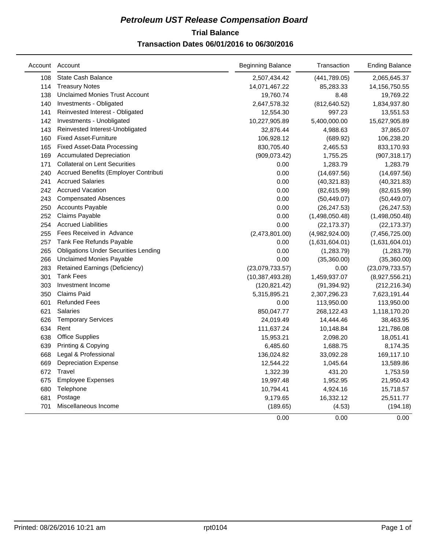## **Trial Balance** *Petroleum UST Release Compensation Board*

## **Transaction Dates 06/01/2016 to 06/30/2016**

|     | Account Account                             | <b>Beginning Balance</b> | Transaction    | <b>Ending Balance</b> |
|-----|---------------------------------------------|--------------------------|----------------|-----------------------|
| 108 | State Cash Balance                          | 2,507,434.42             | (441,789.05)   | 2,065,645.37          |
| 114 | <b>Treasury Notes</b>                       | 14,071,467.22            | 85,283.33      | 14,156,750.55         |
| 138 | <b>Unclaimed Monies Trust Account</b>       | 19,760.74                | 8.48           | 19,769.22             |
| 140 | Investments - Obligated                     | 2,647,578.32             | (812, 640.52)  | 1,834,937.80          |
| 141 | Reinvested Interest - Obligated             | 12,554.30                | 997.23         | 13,551.53             |
| 142 | Investments - Unobligated                   | 10,227,905.89            | 5,400,000.00   | 15,627,905.89         |
| 143 | Reinvested Interest-Unobligated             | 32,876.44                | 4,988.63       | 37,865.07             |
| 160 | <b>Fixed Asset-Furniture</b>                | 106,928.12               | (689.92)       | 106,238.20            |
| 165 | <b>Fixed Asset-Data Processing</b>          | 830,705.40               | 2,465.53       | 833,170.93            |
| 169 | <b>Accumulated Depreciation</b>             | (909, 073.42)            | 1,755.25       | (907, 318.17)         |
| 171 | <b>Collateral on Lent Securities</b>        | 0.00                     | 1,283.79       | 1,283.79              |
| 240 | Accrued Benefits (Employer Contributi       | 0.00                     | (14, 697.56)   | (14,697.56)           |
| 241 | <b>Accrued Salaries</b>                     | 0.00                     | (40, 321.83)   | (40, 321.83)          |
| 242 | <b>Accrued Vacation</b>                     | 0.00                     | (82, 615.99)   | (82,615.99)           |
| 243 | <b>Compensated Absences</b>                 | 0.00                     | (50, 449.07)   | (50, 449.07)          |
| 250 | <b>Accounts Payable</b>                     | 0.00                     | (26, 247.53)   | (26, 247.53)          |
| 252 | Claims Payable                              | 0.00                     | (1,498,050.48) | (1,498,050.48)        |
| 254 | <b>Accrued Liabilities</b>                  | 0.00                     | (22, 173.37)   | (22, 173.37)          |
| 255 | Fees Received in Advance                    | (2,473,801.00)           | (4,982,924.00) | (7,456,725.00)        |
| 257 | Tank Fee Refunds Payable                    | 0.00                     | (1,631,604.01) | (1,631,604.01)        |
| 265 | <b>Obligations Under Securities Lending</b> | 0.00                     | (1,283.79)     | (1,283.79)            |
| 266 | <b>Unclaimed Monies Payable</b>             | 0.00                     | (35,360.00)    | (35,360.00)           |
| 283 | Retained Earnings (Deficiency)              | (23,079,733.57)          | 0.00           | (23,079,733.57)       |
| 301 | <b>Tank Fees</b>                            | (10, 387, 493.28)        | 1,459,937.07   | (8,927,556.21)        |
| 303 | Investment Income                           | (120, 821.42)            | (91, 394.92)   | (212, 216.34)         |
| 350 | <b>Claims Paid</b>                          | 5,315,895.21             | 2,307,296.23   | 7,623,191.44          |
| 601 | <b>Refunded Fees</b>                        | 0.00                     | 113,950.00     | 113,950.00            |
| 621 | <b>Salaries</b>                             | 850,047.77               | 268,122.43     | 1,118,170.20          |
| 626 | <b>Temporary Services</b>                   | 24,019.49                | 14,444.46      | 38,463.95             |
| 634 | Rent                                        | 111,637.24               | 10,148.84      | 121,786.08            |
| 638 | <b>Office Supplies</b>                      | 15,953.21                | 2,098.20       | 18,051.41             |
| 639 | Printing & Copying                          | 6,485.60                 | 1,688.75       | 8,174.35              |
| 668 | Legal & Professional                        | 136,024.82               | 33,092.28      | 169,117.10            |
| 669 | <b>Depreciation Expense</b>                 | 12,544.22                | 1,045.64       | 13,589.86             |
| 672 | Travel                                      | 1,322.39                 | 431.20         | 1,753.59              |
| 675 | <b>Employee Expenses</b>                    | 19,997.48                | 1,952.95       | 21,950.43             |
| 680 | Telephone                                   | 10,794.41                | 4,924.16       | 15,718.57             |
| 681 | Postage                                     | 9,179.65                 | 16,332.12      | 25,511.77             |
| 701 | Miscellaneous Income                        | (189.65)                 | (4.53)         | (194.18)              |
|     |                                             | 0.00                     | 0.00           | 0.00                  |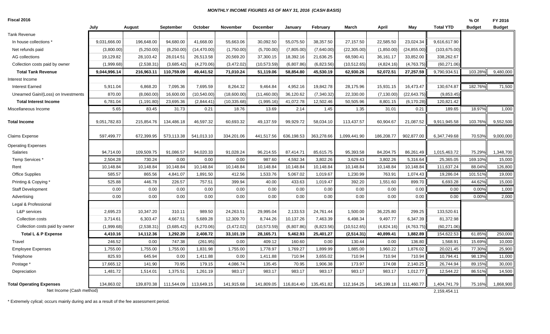#### *MONTHLY INCOME FIGURES AS OF MAY 31, 2016 (CASH BASIS)*

| Fiscal 2016 |  |
|-------------|--|
|-------------|--|

| Fiscal 2016                                                 |              |             |            |              |              |                 |            |             |              |             |              |                              | % Of          | FY 2016       |
|-------------------------------------------------------------|--------------|-------------|------------|--------------|--------------|-----------------|------------|-------------|--------------|-------------|--------------|------------------------------|---------------|---------------|
|                                                             | July         | August      | September  | October      | November     | <b>December</b> | January    | February    | March        | April       | May          | <b>Total YTD</b>             | <b>Budget</b> | <b>Budget</b> |
| <b>Tank Revenue</b>                                         |              |             |            |              |              |                 |            |             |              |             |              |                              |               |               |
| In house collections '                                      | 9,031,666.00 | 196,648.00  | 94,680.00  | 41,668.00    | 55,663.06    | 30,092.50       | 55,075.50  | 38,357.50   | 27,157.50    | 22,585.50   | 23,024.34    | 9,616,617.90                 |               |               |
| Net refunds paid                                            | (3,800.00)   | (5,250.00)  | (8,250.00) | (14, 470.00) | (1,750.00)   | (5,700.00)      | (7,805.00) | (7,640.00)  | (22, 305.00) | (1,850.00)  | (24, 855.00) | (103, 675.00)                |               |               |
| AG collections                                              | 19,129.82    | 28,103.42   | 28,014.51  | 26,513.58    | 20,569.20    | 37,300.15       | 18,392.16  | 21,636.25   | 68,590.41    | 36,161.17   | 33,852.00    | 338,262.67                   |               |               |
| Collection costs paid by owner                              | (1,999.68)   | (2,538.31)  | (3,685.42) | (4,270.06)   | (3,472.02)   | (10, 573.59)    | (6,807.86) | (6,823.56)  | (10, 512.65) | (4,824.16)  | (4,763.75)   | (60, 271.06)                 |               |               |
| <b>Total Tank Revenue</b>                                   | 9,044,996.14 | 216,963.11  | 110.759.09 | 49,441.52    | 71.010.24    | 51,119.06       | 58.854.80  | 45.530.19   | 62,930.26    | 52.072.51   | 27.257.59    | 9,790,934.51                 | 103.28%       | 9,480,000     |
| Interest Income                                             |              |             |            |              |              |                 |            |             |              |             |              |                              |               |               |
| Interest Earned                                             | 5,911.04     | 6,868.20    | 7,095.36   | 7,695.59     | 8,264.32     | 9,464.84        | 4,952.16   | 19,842.78   | 28,175.96    | 15,931.15   | 16,473.47    | 130,674.87                   | 182.76%       | 71,500        |
| Unearned Gain/(Loss) on Investments                         | 870.00       | (8,060.00)  | 16,600.00  | (10, 540.00) | (18,600.00)  | (11,460.00)     | 36,120.62  | (7, 340.32) | 22,330.00    | (7, 130.00) | (22, 643.75) | (9,853.45)                   |               |               |
| <b>Total Interest Income</b>                                | 6,781.04     | (1, 191.80) | 23,695.36  | (2,844.41)   | (10, 335.68) | (1,995.16)      | 41,072.78  | 12,502.46   | 50,505.96    | 8,801.15    | (6, 170.28)  | 120,821.42                   |               |               |
| Miscellaneous Income                                        | 5.65         | 83.45       | 31.73      | 0.21         | 18.76        | 13.69           | 2.14       | 1.45        | 1.35         | 31.01       | 0.21         | 189.65                       | 18.97%        | 1,000         |
| <b>Total Income</b>                                         | 9,051,782.83 | 215,854.76  | 134,486.18 | 46,597.32    | 60.693.32    | 49,137.59       | 99,929.72  | 58,034.10   | 113,437.57   | 60,904.67   | 21,087.52    | 9,911,945.58                 | 103.76%       | 9,552,500     |
| <b>Claims Expense</b>                                       | 597,499.77   | 672,399.95  | 573,113.38 | 541,013.10   | 334,201.06   | 441,517.56      | 636,198.53 | 363,278.66  | 1,099,441.90 | 186,208.77  | 902,877.00   | 6,347,749.68                 | 70.53%        | 9,000,000     |
| <b>Operating Expenses</b>                                   |              |             |            |              |              |                 |            |             |              |             |              |                              |               |               |
| Salaries                                                    | 94,714.00    | 109,509.75  | 91,086.57  | 94,020.33    | 91,028.24    | 96,214.55       | 87,414.71  | 85,615.75   | 95,393.58    | 84,204.75   | 86,261.49    | 1,015,463.72                 | 75.29%        | 1,348,700     |
| Temp Services *                                             | 2,504.28     | 730.24      | 0.00       | 0.00         | 0.00         | 987.60          | 4,592.34   | 3,802.26    | 3,629.43     | 3,802.26    | 5,316.64     | 25,365.05                    | 169.10%       | 15,000        |
| Rent                                                        | 10,148.84    | 10,148.84   | 10,148.84  | 10,148.84    | 10,148.84    | 10,148.84       | 10,148.84  | 10,148.84   | 10,148.84    | 10,148.84   | 10,148.84    | 111,637.24                   | 88.04%        | 126,800       |
| Office Supplies                                             | 585.57       | 865.56      | 4,841.07   | 1,891.50     | 412.56       | 1,533.76        | 5,067.02   | 1,019.67    | 1,230.99     | 763.91      | 1,074.43     | 19,286.04                    | 101.51%       | 19,000        |
| Printing & Copying                                          | 525.88       | 446.78      | 226.57     | 757.51       | 399.94       | 40.00           | 433.63     | 1,019.47    | 392.20       | 1,551.60    | 899.70       | 6,693.28                     | 44.62%        | 15,000        |
| Staff Development                                           | 0.00         | 0.00        | 0.00       | 0.00         | 0.00         | 0.00            | 0.00       | 0.00        | 0.00         | 0.00        | 0.00         | 0.00                         | 0.00%         | 1,000         |
| Advertising                                                 | 0.00         | 0.00        | 0.00       | 0.00         | 0.00         | 0.00            | 0.00       | 0.00        | 0.00         | 0.00        | 0.00         | 0.00                         | 0.00%         | 2,000         |
| Legal & Professional                                        |              |             |            |              |              |                 |            |             |              |             |              |                              |               |               |
| <b>L&amp;P</b> services                                     | 2,695.23     | 10,347.20   | 310.11     | 989.50       | 24,263.51    | 29,995.04       | 2,133.53   | 24,761.44   | 1,500.00     | 36,225.80   | 299.25       | 133,520.61                   |               |               |
| Collection costs                                            | 3,714.61     | 6,303.47    | 4,667.51   | 5,689.28     | 12,309.70    | 8,744.26        | 10,137.26  | 7,463.39    | 6,498.34     | 9,497.77    | 6,347.39     | 81,372.98                    |               |               |
| Collection costs paid by owner                              | (1,999.68)   | (2,538.31)  | (3,685.42) | (4,270.06)   | (3,472.02)   | (10, 573.59)    | (6,807.86) | (6,823.56)  | (10, 512.65) | (4,824.16)  | (4,763.75)   | (60, 271.06)                 |               |               |
| <b>Total L &amp; P Expense</b>                              | 4,410.16     | 14,112.36   | 1,292.20   | 2,408.72     | 33,101.19    | 28,165.71       | 5,462.93   | 25,401.27   | (2,514.31)   | 40,899.41   | 1,882.89     | 154,622.53                   | 61.85%        | 250,000       |
| Travel                                                      | 246.52       | 0.00        | 747.38     | (261.95)     | 0.00         | 409.12          | 160.60     | 0.00        | 130.44       | 0.00        | 136.80       | 1,568.91                     | 15.69%        | 10,000        |
| <b>Employee Expenses</b>                                    | 1,755.00     | 1,755.00    | 1,755.00   | 1,831.98     | 1,755.00     | 1,778.97        | 1,769.27   | 1,899.99    | 1,885.00     | 1,960.22    | 1,876.02     | 20,021.45                    | 77.30%        | 25,900        |
| Telephone                                                   | 825.93       | 645.94      | 0.00       | 1,411.88     | 0.00         | 1,411.88        | 710.94     | 3,655.02    | 710.94       | 710.94      | 710.94       | 10,794.41                    | 98.13%        | 11,000        |
| Postage *                                                   | 17,665.12    | 141.90      | 70.95      | 179.15       | 4,086.74     | 135.45          | 70.95      | 1,906.38    | 173.97       | 174.08      | 2,140.25     | 26,744.94                    | 89.15%        | 30,000        |
| Depreciation                                                | 1,481.72     | 1,514.01    | 1,375.51   | 1,261.19     | 983.17       | 983.17          | 983.17     | 983.17      | 983.17       | 983.17      | 1,012.77     | 12,544.22                    | 86.51%        | 14,500        |
| <b>Total Operating Expenses</b><br>Net Income (Cash method) | 134,863.02   | 139,870.38  | 111,544.09 | 113,649.15   | 141,915.68   | 141,809.05      | 116,814.40 | 135,451.82  | 112,164.25   | 145,199.18  | 111,460.77   | 1,404,741.79<br>2,159,454.11 | 75.16%        | 1,868,900     |
|                                                             |              |             |            |              |              |                 |            |             |              |             |              |                              |               |               |

\* Extremely cylical; occurs mainly during and as a result of the fee assessment period.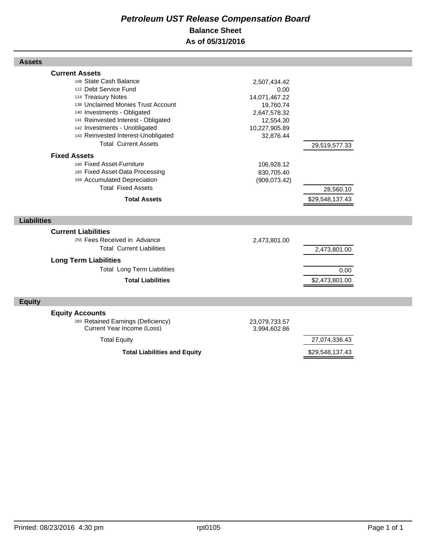## *Petroleum UST Release Compensation Board*  **Balance Sheet As of 05/31/2016**

| <b>Assets</b>                                                                                                                                                                                                                                                                                                     |                                                                                                               |                              |
|-------------------------------------------------------------------------------------------------------------------------------------------------------------------------------------------------------------------------------------------------------------------------------------------------------------------|---------------------------------------------------------------------------------------------------------------|------------------------------|
| <b>Current Assets</b><br>108 State Cash Balance<br>112 Debt Service Fund<br>114 Treasury Notes<br>138 Unclaimed Monies Trust Account<br>140 Investments - Obligated<br>141 Reinvested Interest - Obligated<br>142 Investments - Unobligated<br>143 Reinvested Interest-Unobligated<br><b>Total Current Assets</b> | 2,507,434.42<br>0.00<br>14,071,467.22<br>19,760.74<br>2,647,578.32<br>12,554.30<br>10,227,905.89<br>32,876.44 | 29,519,577.33                |
| <b>Fixed Assets</b><br>160 Fixed Asset-Furniture<br>165 Fixed Asset-Data Processing<br>169 Accumulated Depreciation<br><b>Total Fixed Assets</b><br><b>Total Assets</b>                                                                                                                                           | 106,928.12<br>830,705.40<br>(909, 073.42)                                                                     | 28,560.10<br>\$29,548,137.43 |
| <b>Liabilities</b>                                                                                                                                                                                                                                                                                                |                                                                                                               |                              |
| <b>Current Liabilities</b><br>255 Fees Received in Advance<br><b>Total Current Liabilities</b>                                                                                                                                                                                                                    | 2,473,801.00                                                                                                  | 2,473,801.00                 |
| <b>Long Term Liabilities</b><br><b>Total Long Term Liabilities</b><br><b>Total Liabilities</b>                                                                                                                                                                                                                    |                                                                                                               | 0.00<br>\$2,473,801.00       |
| <b>Equity</b>                                                                                                                                                                                                                                                                                                     |                                                                                                               |                              |
| <b>Equity Accounts</b><br>283 Retained Earnings (Deficiency)<br>Current Year Income (Loss)                                                                                                                                                                                                                        | 23,079,733.57<br>3,994,602.86                                                                                 |                              |
| <b>Total Equity</b>                                                                                                                                                                                                                                                                                               |                                                                                                               | 27,074,336.43                |
| <b>Total Liabilities and Equity</b>                                                                                                                                                                                                                                                                               |                                                                                                               | \$29,548,137.43              |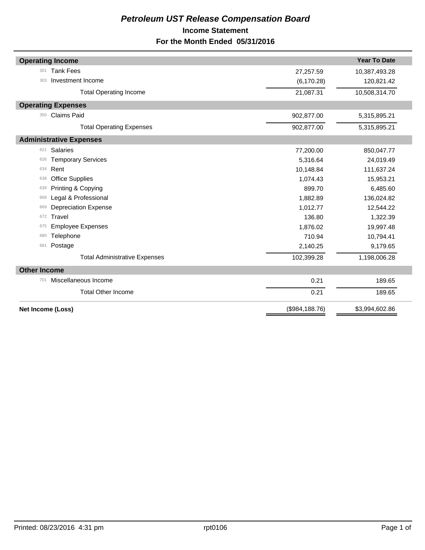## *Petroleum UST Release Compensation Board*  **Income Statement For the Month Ended 05/31/2016**

|                     | <b>Operating Income</b>              |                | <b>Year To Date</b> |
|---------------------|--------------------------------------|----------------|---------------------|
| 301                 | <b>Tank Fees</b>                     | 27,257.59      | 10,387,493.28       |
| 303                 | Investment Income                    | (6, 170.28)    | 120,821.42          |
|                     | <b>Total Operating Income</b>        | 21,087.31      | 10,508,314.70       |
|                     | <b>Operating Expenses</b>            |                |                     |
| 350                 | <b>Claims Paid</b>                   | 902,877.00     | 5,315,895.21        |
|                     | <b>Total Operating Expenses</b>      | 902,877.00     | 5,315,895.21        |
|                     | <b>Administrative Expenses</b>       |                |                     |
| 621                 | <b>Salaries</b>                      | 77,200.00      | 850,047.77          |
| 626                 | <b>Temporary Services</b>            | 5,316.64       | 24,019.49           |
| 634                 | Rent                                 | 10,148.84      | 111,637.24          |
| 638                 | <b>Office Supplies</b>               | 1,074.43       | 15,953.21           |
| 639                 | Printing & Copying                   | 899.70         | 6,485.60            |
| 668                 | Legal & Professional                 | 1,882.89       | 136,024.82          |
| 669                 | <b>Depreciation Expense</b>          | 1,012.77       | 12,544.22           |
| 672                 | Travel                               | 136.80         | 1,322.39            |
| 675                 | <b>Employee Expenses</b>             | 1,876.02       | 19,997.48           |
| 680                 | Telephone                            | 710.94         | 10,794.41           |
| 681                 | Postage                              | 2,140.25       | 9,179.65            |
|                     | <b>Total Administrative Expenses</b> | 102,399.28     | 1,198,006.28        |
| <b>Other Income</b> |                                      |                |                     |
| 701                 | Miscellaneous Income                 | 0.21           | 189.65              |
|                     | <b>Total Other Income</b>            | 0.21           | 189.65              |
|                     | Net Income (Loss)                    | (\$984,188.76) | \$3,994,602.86      |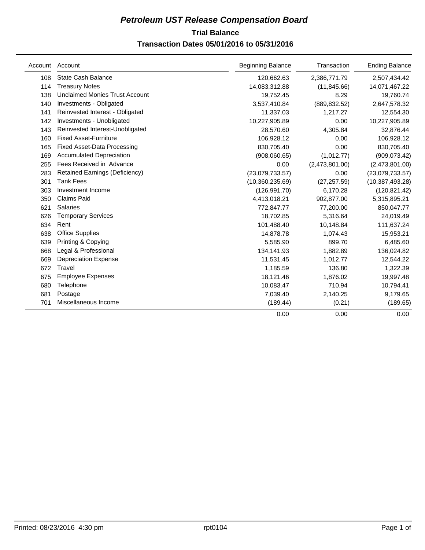## **Trial Balance** *Petroleum UST Release Compensation Board*

## **Transaction Dates 05/01/2016 to 05/31/2016**

|     | Account Account                       | <b>Beginning Balance</b> | Transaction    | <b>Ending Balance</b> |
|-----|---------------------------------------|--------------------------|----------------|-----------------------|
| 108 | <b>State Cash Balance</b>             | 120,662.63               | 2,386,771.79   | 2,507,434.42          |
| 114 | <b>Treasury Notes</b>                 | 14,083,312.88            | (11, 845.66)   | 14,071,467.22         |
| 138 | <b>Unclaimed Monies Trust Account</b> | 19,752.45                | 8.29           | 19,760.74             |
| 140 | Investments - Obligated               | 3,537,410.84             | (889, 832.52)  | 2,647,578.32          |
| 141 | Reinvested Interest - Obligated       | 11,337.03                | 1,217.27       | 12,554.30             |
| 142 | Investments - Unobligated             | 10,227,905.89            | 0.00           | 10,227,905.89         |
| 143 | Reinvested Interest-Unobligated       | 28,570.60                | 4,305.84       | 32,876.44             |
| 160 | <b>Fixed Asset-Furniture</b>          | 106,928.12               | 0.00           | 106,928.12            |
| 165 | <b>Fixed Asset-Data Processing</b>    | 830,705.40               | 0.00           | 830,705.40            |
| 169 | <b>Accumulated Depreciation</b>       | (908,060.65)             | (1,012.77)     | (909, 073.42)         |
| 255 | Fees Received in Advance              | 0.00                     | (2,473,801.00) | (2,473,801.00)        |
| 283 | <b>Retained Earnings (Deficiency)</b> | (23,079,733.57)          | 0.00           | (23,079,733.57)       |
| 301 | <b>Tank Fees</b>                      | (10,360,235.69)          | (27, 257.59)   | (10, 387, 493.28)     |
| 303 | Investment Income                     | (126, 991.70)            | 6,170.28       | (120, 821.42)         |
| 350 | <b>Claims Paid</b>                    | 4,413,018.21             | 902,877.00     | 5,315,895.21          |
| 621 | <b>Salaries</b>                       | 772,847.77               | 77,200.00      | 850,047.77            |
| 626 | <b>Temporary Services</b>             | 18,702.85                | 5,316.64       | 24,019.49             |
| 634 | Rent                                  | 101,488.40               | 10,148.84      | 111,637.24            |
| 638 | <b>Office Supplies</b>                | 14,878.78                | 1,074.43       | 15,953.21             |
| 639 | Printing & Copying                    | 5,585.90                 | 899.70         | 6,485.60              |
| 668 | Legal & Professional                  | 134,141.93               | 1,882.89       | 136,024.82            |
| 669 | <b>Depreciation Expense</b>           | 11,531.45                | 1,012.77       | 12,544.22             |
| 672 | Travel                                | 1,185.59                 | 136.80         | 1,322.39              |
| 675 | <b>Employee Expenses</b>              | 18,121.46                | 1,876.02       | 19,997.48             |
| 680 | Telephone                             | 10,083.47                | 710.94         | 10,794.41             |
| 681 | Postage                               | 7,039.40                 | 2,140.25       | 9,179.65              |
| 701 | Miscellaneous Income                  | (189.44)                 | (0.21)         | (189.65)              |
|     |                                       | 0.00                     | 0.00           | 0.00                  |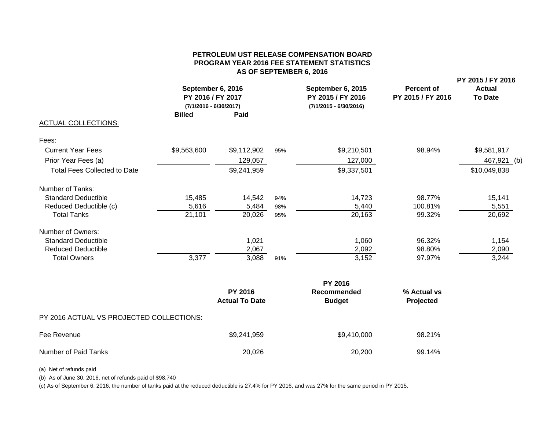#### **PETROLEUM UST RELEASE COMPENSATION BOARDPROGRAM YEAR 2016 FEE STATEMENT STATISTICS AS OF SEPTEMBER 6, 2016**

**PY 2015 / FY 2016**

|                                     | September 6, 2016<br>PY 2016 / FY 2017<br>(7/1/2016 - 6/30/2017)<br><b>Billed</b> | <b>Paid</b> |     | September 6, 2015<br>PY 2015 / FY 2016<br>$(7/1/2015 - 6/30/2016)$ | Percent of<br>PY 2015 / FY 2016 | <b>Actual</b><br><b>To Date</b> |  |
|-------------------------------------|-----------------------------------------------------------------------------------|-------------|-----|--------------------------------------------------------------------|---------------------------------|---------------------------------|--|
| <b>ACTUAL COLLECTIONS:</b>          |                                                                                   |             |     |                                                                    |                                 |                                 |  |
| Fees:                               |                                                                                   |             |     |                                                                    |                                 |                                 |  |
| <b>Current Year Fees</b>            | \$9,563,600                                                                       | \$9,112,902 | 95% | \$9,210,501                                                        | 98.94%                          | \$9,581,917                     |  |
| Prior Year Fees (a)                 |                                                                                   | 129,057     |     | 127,000                                                            |                                 | 467,921 (b)                     |  |
| <b>Total Fees Collected to Date</b> |                                                                                   | \$9,241,959 |     | \$9,337,501                                                        |                                 | \$10,049,838                    |  |
| Number of Tanks:                    |                                                                                   |             |     |                                                                    |                                 |                                 |  |
| <b>Standard Deductible</b>          | 15,485                                                                            | 14,542      | 94% | 14,723                                                             | 98.77%                          | 15,141                          |  |
| Reduced Deductible (c)              | 5,616                                                                             | 5,484       | 98% | 5,440                                                              | 100.81%                         | 5,551                           |  |
| <b>Total Tanks</b>                  | 21,101                                                                            | 20,026      | 95% | 20,163                                                             | 99.32%                          | 20,692                          |  |
| Number of Owners:                   |                                                                                   |             |     |                                                                    |                                 |                                 |  |
| <b>Standard Deductible</b>          |                                                                                   | 1,021       |     | 1,060                                                              | 96.32%                          | 1,154                           |  |
| <b>Reduced Deductible</b>           |                                                                                   | 2,067       |     | 2,092                                                              | 98.80%                          | 2,090                           |  |
| <b>Total Owners</b>                 | 3,377                                                                             | 3,088       | 91% | 3,152                                                              | 97.97%                          | 3,244                           |  |
|                                     |                                                                                   |             |     |                                                                    |                                 |                                 |  |

|                                          |                                         | <b>PY 2016</b>               |                          |
|------------------------------------------|-----------------------------------------|------------------------------|--------------------------|
|                                          | <b>PY 2016</b><br><b>Actual To Date</b> | Recommended<br><b>Budget</b> | % Actual vs<br>Projected |
| PY 2016 ACTUAL VS PROJECTED COLLECTIONS: |                                         |                              |                          |
| Fee Revenue                              | \$9,241,959                             | \$9,410,000                  | 98.21%                   |
| Number of Paid Tanks                     | 20,026                                  | 20,200                       | 99.14%                   |

(a) Net of refunds paid

(b) As of June 30, 2016, net of refunds paid of \$98,740

(c) As of September 6, 2016, the number of tanks paid at the reduced deductible is 27.4% for PY 2016, and was 27% for the same period in PY 2015.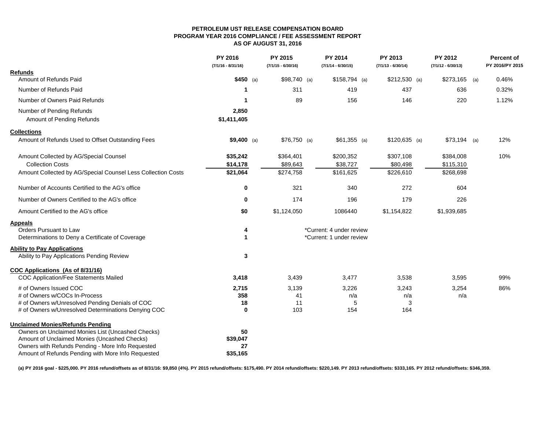#### **PETROLEUM UST RELEASE COMPENSATION BOARD PROGRAM YEAR 2016 COMPLIANCE / FEE ASSESSMENT REPORT AS OF AUGUST 31, 2016**

|                                                              | PY 2016<br>$(7/1/16 - 8/31/16)$ | PY 2015<br>$(7/1/15 - 6/30/16)$ | PY 2014<br>$(7/1/14 - 6/30/15)$ | PY 2013<br>$(7/1/13 - 6/30/14)$ | PY 2012<br>$(7/1/12 - 6/30/13)$ | <b>Percent of</b><br>PY 2016/PY 2015 |
|--------------------------------------------------------------|---------------------------------|---------------------------------|---------------------------------|---------------------------------|---------------------------------|--------------------------------------|
| <b>Refunds</b>                                               |                                 |                                 |                                 |                                 |                                 |                                      |
| Amount of Refunds Paid                                       | $$450$ (a)                      | $$98,740$ (a)                   | $$158,794$ (a)                  | $$212,530$ (a)                  | $$273,165$ (a)                  | 0.46%                                |
| Number of Refunds Paid                                       | 1                               | 311                             | 419                             | 437                             | 636                             | 0.32%                                |
| Number of Owners Paid Refunds                                | -1                              | 89                              | 156                             | 146                             | 220                             | 1.12%                                |
| Number of Pending Refunds                                    | 2,850                           |                                 |                                 |                                 |                                 |                                      |
| Amount of Pending Refunds                                    | \$1,411,405                     |                                 |                                 |                                 |                                 |                                      |
| <b>Collections</b>                                           |                                 |                                 |                                 |                                 |                                 |                                      |
| Amount of Refunds Used to Offset Outstanding Fees            | $$9,400$ (a)                    | $$76,750$ (a)                   | $$61,355$ (a)                   | $$120,635$ (a)                  | $$73,194$ (a)                   | 12%                                  |
| Amount Collected by AG/Special Counsel                       | \$35,242                        | \$364,401                       | \$200,352                       | \$307,108                       | \$384,008                       | 10%                                  |
| <b>Collection Costs</b>                                      | \$14,178                        | \$89,643                        | \$38,727                        | \$80,498                        | \$115,310                       |                                      |
| Amount Collected by AG/Special Counsel Less Collection Costs | \$21,064                        | \$274,758                       | \$161,625                       | \$226,610                       | \$268,698                       |                                      |
| Number of Accounts Certified to the AG's office              | 0                               | 321                             | 340                             | 272                             | 604                             |                                      |
| Number of Owners Certified to the AG's office                | 0                               | 174                             | 196                             | 179                             | 226                             |                                      |
| Amount Certified to the AG's office                          | \$0                             | \$1,124,050                     | 1086440                         | \$1,154,822                     | \$1,939,685                     |                                      |
| <b>Appeals</b>                                               |                                 |                                 |                                 |                                 |                                 |                                      |
| Orders Pursuant to Law                                       | 4                               |                                 | *Current: 4 under review        |                                 |                                 |                                      |
| Determinations to Deny a Certificate of Coverage             | 1                               |                                 | *Current: 1 under review        |                                 |                                 |                                      |
| <b>Ability to Pay Applications</b>                           |                                 |                                 |                                 |                                 |                                 |                                      |
| Ability to Pay Applications Pending Review                   | 3                               |                                 |                                 |                                 |                                 |                                      |
| COC Applications (As of 8/31/16)                             |                                 |                                 |                                 |                                 |                                 |                                      |
| COC Application/Fee Statements Mailed                        | 3,418                           | 3,439                           | 3,477                           | 3,538                           | 3,595                           | 99%                                  |
| # of Owners Issued COC                                       | 2,715                           | 3,139                           | 3,226                           | 3,243                           | 3,254                           | 86%                                  |
| # of Owners w/COCs In-Process                                | 358                             | 41                              | n/a                             | n/a                             | n/a                             |                                      |
| # of Owners w/Unresolved Pending Denials of COC              | 18                              | 11                              | 5                               | 3                               |                                 |                                      |
| # of Owners w/Unresolved Determinations Denying COC          | $\bf{0}$                        | 103                             | 154                             | 164                             |                                 |                                      |
| <b>Unclaimed Monies/Refunds Pending</b>                      |                                 |                                 |                                 |                                 |                                 |                                      |
| Owners on Unclaimed Monies List (Uncashed Checks)            | 50                              |                                 |                                 |                                 |                                 |                                      |
| Amount of Unclaimed Monies (Uncashed Checks)                 | \$39,047                        |                                 |                                 |                                 |                                 |                                      |
| Owners with Refunds Pending - More Info Requested            | 27                              |                                 |                                 |                                 |                                 |                                      |
| Amount of Refunds Pending with More Info Requested           | \$35,165                        |                                 |                                 |                                 |                                 |                                      |

**(a) PY 2016 goal - \$225,000. PY 2016 refund/offsets as of 8/31/16: \$9,850 (4%). PY 2015 refund/offsets: \$175,490. PY 2014 refund/offsets: \$220,149. PY 2013 refund/offsets: \$333,165. PY 2012 refund/offsets: \$346,359.**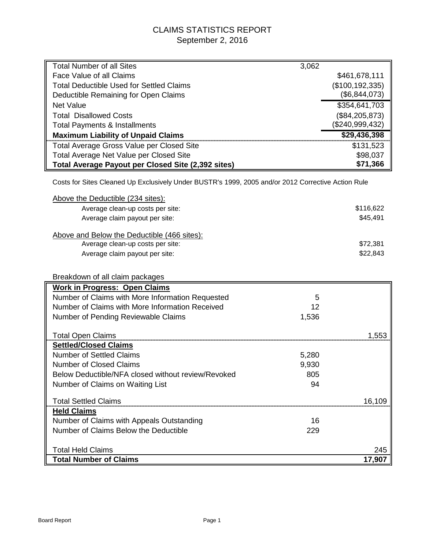## CLAIMS STATISTICS REPORT September 2, 2016

| <b>Total Number of all Sites</b>                                                                   | 3,062 |                   |
|----------------------------------------------------------------------------------------------------|-------|-------------------|
| Face Value of all Claims                                                                           |       | \$461,678,111     |
| <b>Total Deductible Used for Settled Claims</b>                                                    |       | (\$100, 192, 335) |
| Deductible Remaining for Open Claims                                                               |       | (\$6,844,073)     |
| <b>Net Value</b>                                                                                   |       | \$354,641,703     |
| <b>Total Disallowed Costs</b>                                                                      |       | (\$84, 205, 873)  |
| <b>Total Payments &amp; Installments</b>                                                           |       | (\$240,999,432)   |
| <b>Maximum Liability of Unpaid Claims</b>                                                          |       | \$29,436,398      |
| Total Average Gross Value per Closed Site                                                          |       | \$131,523         |
| Total Average Net Value per Closed Site                                                            |       | \$98,037          |
| Total Average Payout per Closed Site (2,392 sites)                                                 |       | \$71,366          |
|                                                                                                    |       |                   |
| Costs for Sites Cleaned Up Exclusively Under BUSTR's 1999, 2005 and/or 2012 Corrective Action Rule |       |                   |
| Above the Deductible (234 sites):                                                                  |       |                   |
| Average clean-up costs per site:                                                                   |       | \$116,622         |
| Average claim payout per site:                                                                     |       | \$45,491          |
|                                                                                                    |       |                   |
| Above and Below the Deductible (466 sites):                                                        |       |                   |
| Average clean-up costs per site:                                                                   |       | \$72,381          |
| Average claim payout per site:                                                                     |       | \$22,843          |
|                                                                                                    |       |                   |
| Breakdown of all claim packages                                                                    |       |                   |
| <b>Work in Progress: Open Claims</b>                                                               |       |                   |
| Number of Claims with More Information Requested                                                   | 5     |                   |
| Number of Claims with More Information Received                                                    | 12    |                   |
| Number of Pending Reviewable Claims                                                                | 1,536 |                   |
|                                                                                                    |       |                   |
| <b>Total Open Claims</b>                                                                           |       | 1,553             |
| <b>Settled/Closed Claims</b>                                                                       |       |                   |
| <b>Number of Settled Claims</b>                                                                    | 5,280 |                   |
| <b>Number of Closed Claims</b>                                                                     | 9,930 |                   |
| Below Deductible/NFA closed without review/Revoked                                                 | 805   |                   |
| Number of Claims on Waiting List                                                                   | 94    |                   |
| <b>Total Settled Claims</b>                                                                        |       | 16,109            |
| <b>Held Claims</b>                                                                                 |       |                   |
| Number of Claims with Appeals Outstanding                                                          | 16    |                   |
| Number of Claims Below the Deductible                                                              | 229   |                   |
|                                                                                                    |       |                   |
| <b>Total Held Claims</b>                                                                           |       | 245               |
| <b>Total Number of Claims</b>                                                                      |       | 17,907            |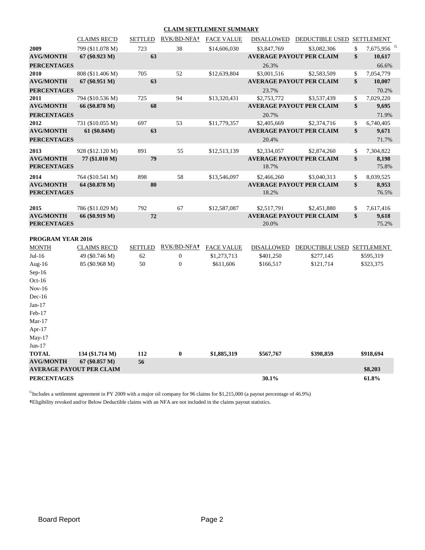#### **CLAIM SETTLEMENT SUMMARY**

|                    | <b>CLAIMS REC'D</b>             |                | SETTLED RVK/BD-NFA+ | <b>FACE VALUE</b> |             | DISALLOWED DEDUCTIBLE USED SETTLEMENT |                              |
|--------------------|---------------------------------|----------------|---------------------|-------------------|-------------|---------------------------------------|------------------------------|
| 2009               | 799 (\$11.078 M)                | 723            | 38                  | \$14,606,030      | \$3,847,769 | \$3,082,306                           | \$<br>7,675,956 <sup>G</sup> |
| <b>AVG/MONTH</b>   | 67 (\$0.923 M)                  | 63             |                     |                   |             | <b>AVERAGE PAYOUT PER CLAIM</b>       | \$<br>10,617                 |
| <b>PERCENTAGES</b> |                                 |                |                     |                   | 26.3%       |                                       | 66.6%                        |
| 2010               | 808 (\$11.406 M)                | 705            | 52                  | \$12,639,804      | \$3,001,516 | \$2,583,509                           | \$<br>7,054,779              |
| <b>AVG/MONTH</b>   | $67 (\$0.951 M)$                | 63             |                     |                   |             | <b>AVERAGE PAYOUT PER CLAIM</b>       | \$<br>10,007                 |
| <b>PERCENTAGES</b> |                                 |                |                     |                   | 23.7%       |                                       | 70.2%                        |
| 2011               | 794 (\$10.536 M)                | 725            | 94                  | \$13,320,431      | \$2,753,772 | \$3,537,439                           | \$<br>7,029,220              |
| <b>AVG/MONTH</b>   | 66 (\$0.878 M)                  | 68             |                     |                   |             | <b>AVERAGE PAYOUT PER CLAIM</b>       | \$<br>9,695                  |
| <b>PERCENTAGES</b> |                                 |                |                     |                   | 20.7%       |                                       | 71.9%                        |
| 2012               | 731 (\$10.055 M)                | 697            | 53                  | \$11,779,357      | \$2,405,669 | \$2,374,716                           | \$<br>6,740,405              |
| <b>AVG/MONTH</b>   | 61 (\$0.84M)                    | 63             |                     |                   |             | <b>AVERAGE PAYOUT PER CLAIM</b>       | \$<br>9,671                  |
| <b>PERCENTAGES</b> |                                 |                |                     |                   | 20.4%       |                                       | 71.7%                        |
| 2013               | 928 (\$12.120 M)                | 891            | 55                  | \$12,513,139      | \$2,334,057 | \$2,874,260                           | \$<br>7,304,822              |
| <b>AVG/MONTH</b>   | 77 (\$1.010 M)                  | 79             |                     |                   |             | <b>AVERAGE PAYOUT PER CLAIM</b>       | \$<br>8,198                  |
| <b>PERCENTAGES</b> |                                 |                |                     |                   | 18.7%       |                                       | 75.8%                        |
| 2014               | 764 (\$10.541 M)                | 898            | 58                  | \$13,546,097      | \$2,466,260 | \$3,040,313                           | \$<br>8,039,525              |
| <b>AVG/MONTH</b>   | 64 (\$0.878 M)                  | 80             |                     |                   |             | <b>AVERAGE PAYOUT PER CLAIM</b>       | \$<br>8,953                  |
| <b>PERCENTAGES</b> |                                 |                |                     |                   | 18.2%       |                                       | 76.5%                        |
| 2015               | 786 (\$11.029 M)                | 792            | 67                  | \$12,587,087      | \$2,517,791 | \$2,451,880                           | \$<br>7,617,416              |
| <b>AVG/MONTH</b>   | 66 (\$0.919 M)                  | 72             |                     |                   |             | <b>AVERAGE PAYOUT PER CLAIM</b>       | \$<br>9,618                  |
| <b>PERCENTAGES</b> |                                 |                |                     |                   | 20.0%       |                                       | 75.2%                        |
| PROGRAM YEAR 2016  |                                 |                |                     |                   |             |                                       |                              |
| <b>MONTH</b>       | <b>CLAIMS REC'D</b>             | <b>SETTLED</b> | RVK/BD-NFA+         | FACE VALUE        | DISALLOWED  | DEDUCTIBLE USED SETTLEMENT            |                              |
| $Jul-16$           | 49 (\$0.746 M)                  | 62             | $\boldsymbol{0}$    | \$1,273,713       | \$401,250   | \$277,145                             | \$595,319                    |
| Aug-16             | 85 (\$0.968 M)                  | 50             | $\overline{0}$      | \$611,606         | \$166,517   | \$121,714                             | \$323,375                    |
| $Sep-16$           |                                 |                |                     |                   |             |                                       |                              |
| $Oct-16$           |                                 |                |                     |                   |             |                                       |                              |
| $Nov-16$           |                                 |                |                     |                   |             |                                       |                              |
| $Dec-16$           |                                 |                |                     |                   |             |                                       |                              |
| $Jan-17$           |                                 |                |                     |                   |             |                                       |                              |
| Feb-17             |                                 |                |                     |                   |             |                                       |                              |
| $Mar-17$           |                                 |                |                     |                   |             |                                       |                              |
| Apr-17             |                                 |                |                     |                   |             |                                       |                              |
| May-17             |                                 |                |                     |                   |             |                                       |                              |
| $Jun-17$           |                                 |                |                     |                   |             |                                       |                              |
| <b>TOTAL</b>       | 134 (\$1.714 M)                 | 112            | $\bf{0}$            | \$1,885,319       | \$567,767   | \$398,859                             | \$918,694                    |
| <b>AVG/MONTH</b>   | $67 (\$0.857 M)$                | 56             |                     |                   |             |                                       |                              |
|                    | <b>AVERAGE PAYOUT PER CLAIM</b> |                |                     |                   |             |                                       | \$8,203                      |
| <b>PERCENTAGES</b> |                                 |                |                     |                   | 30.1%       |                                       | 61.8%                        |

 $<sup>G</sup>$ Includes a settlement agreement in PY 2009 with a major oil company for 96 claims for \$1,215,000 (a payout percentage of 46.9%)</sup> **†**Eligibility revoked and/or Below Deductible claims with an NFA are not included in the claims payout statistics.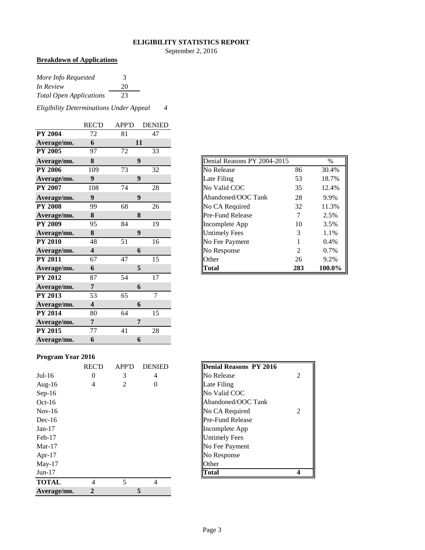#### **ELIGIBILITY STATISTICS REPORT**

September 2, 2016

#### **Breakdown of Applications**

| More Info Requested            | 3  |
|--------------------------------|----|
| In Review                      | 20 |
| <b>Total Open Applications</b> | 23 |

*Eligibility Determinations Under Appeal 4*

|                | <b>REC'D</b>            | <b>APP'D</b> | <b>DENIED</b>  |
|----------------|-------------------------|--------------|----------------|
| <b>PY 2004</b> | 72                      | 81           | 47             |
| Average/mo.    | 6                       |              | 11             |
| <b>PY 2005</b> | 97                      | 72           | 33             |
| Average/mo.    | 8                       |              | 9              |
| <b>PY 2006</b> | 109                     | 73           | 32             |
| Average/mo.    | 9                       |              | 9              |
| <b>PY 2007</b> | 108                     | 74           | 28             |
| Average/mo.    | $\boldsymbol{9}$        |              | 9              |
| <b>PY 2008</b> | 99                      | 68           | 26             |
| Average/mo.    | 8                       |              | 8              |
| <b>PY 2009</b> | 95                      | 84           | 19             |
| Average/mo.    | 8                       |              | 9              |
| <b>PY 2010</b> | 48                      | 51           | 16             |
| Average/mo.    | $\overline{\mathbf{4}}$ |              | 6              |
| <b>PY 2011</b> | 67                      | 47           | 15             |
| Average/mo.    | 6                       |              | 5              |
| <b>PY 2012</b> | 87                      | 54           | 17             |
| Average/mo.    | 7                       |              | 6              |
| <b>PY 2013</b> | 53                      | 65           | $\overline{7}$ |
| Average/mo.    | $\overline{\mathbf{4}}$ |              | 6              |
| <b>PY 2014</b> | 80                      | 64           | 15             |
| Average/mo.    | 7                       |              | 7              |
| <b>PY 2015</b> | 77                      | 41           | 28             |
| Average/mo.    | 6                       |              | 6              |

| Average/mo.    | 8   | 9  |    |
|----------------|-----|----|----|
| <b>PY 2006</b> | 109 | 73 | 32 |
| Average/mo.    | 9   | 9  |    |
| <b>PY 2007</b> | 108 | 74 | 28 |
| Average/mo.    | 9   | 9  |    |
| <b>PY 2008</b> | 99  | 68 | 26 |
| Average/mo.    | 8   | 8  |    |
| <b>PY 2009</b> | 95  | 84 | 19 |
| Average/mo.    | 8   | 9  |    |
| <b>PY 2010</b> | 48  | 51 | 16 |
| Average/mo.    | 4   | 6  |    |
| <b>PY 2011</b> | 67  | 47 | 15 |
| Average/mo.    | 6   | 5  |    |

#### **Program Year 2016**

|              | <b>REC'D</b>   | <b>APP'D</b> | <b>DENIED</b> | <b>Denial Reasons PY 2016</b> |
|--------------|----------------|--------------|---------------|-------------------------------|
| $Jul-16$     | $\overline{0}$ | 3            | 4             | No Release                    |
| Aug- $16$    | 4              | 2            | 0             | Late Filing                   |
| $Sep-16$     |                |              |               | No Valid COC                  |
| $Oct-16$     |                |              |               | Abandoned/OOC Tank            |
| $Nov-16$     |                |              |               | No CA Required                |
| $Dec-16$     |                |              |               | <b>Pre-Fund Release</b>       |
| $Jan-17$     |                |              |               | Incomplete App                |
| $Feb-17$     |                |              |               | <b>Untimely Fees</b>          |
| $Mar-17$     |                |              |               | No Fee Payment                |
| Apr- $17$    |                |              |               | No Response                   |
| $May-17$     |                |              |               | Other                         |
| $Jun-17$     |                |              |               | Total                         |
| <b>TOTAL</b> | 4              | 5            | 4             |                               |
| Average/mo.  | $\mathbf{2}$   |              | 5             |                               |

| <b>Denial Reasons PY 2016</b> |                |
|-------------------------------|----------------|
| No Release                    | $\mathfrak{D}$ |
| Late Filing                   |                |
| No Valid COC                  |                |
| Abandoned/OOC Tank            |                |
| No CA Required                | 2              |
| <b>Pre-Fund Release</b>       |                |
| Incomplete App                |                |
| <b>Untimely Fees</b>          |                |
| No Fee Payment                |                |
| No Response                   |                |
| Other                         |                |
| otal                          |                |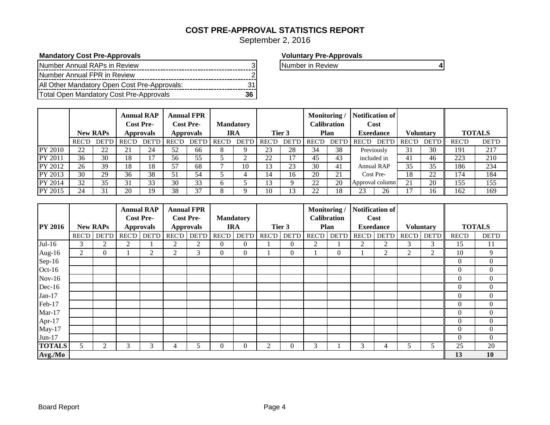## **COST PRE-APPROVAL STATISTICS REPORT**

September 2, 2016

#### **Mandatory Cost Pre-Approvals Voluntary Pre-Approvals**

| INumber Annual RAPs in Review                  |  |
|------------------------------------------------|--|
| Number Annual FPR in Review                    |  |
| All Other Mandatory Open Cost Pre-Approvals:   |  |
| <b>Total Open Mandatory Cost Pre-Approvals</b> |  |

**Number in Review 3 4 Annual Review 3 Number in Review 3 A** 

|                |              | <b>New RAPs</b>     |       | <b>Annual RAP</b><br><b>Cost Pre-</b><br><b>Approvals</b> |       | <b>Annual FPR</b><br><b>Cost Pre-</b><br><b>Approvals</b> |       | <b>Mandatory</b><br>IRA |               | Tier 3       | Monitoring/  | Calibration<br>Plan |              | Notification of<br>Cost<br><b>Execdance</b> |       | <b>Voluntary</b> |       | <b>TOTALS</b> |
|----------------|--------------|---------------------|-------|-----------------------------------------------------------|-------|-----------------------------------------------------------|-------|-------------------------|---------------|--------------|--------------|---------------------|--------------|---------------------------------------------|-------|------------------|-------|---------------|
|                | <b>REC'D</b> | <b>DET'D</b>        | REC'D | <b>DET'D</b>                                              | REC'D | <b>DET'D</b>                                              | REC'D | DET'D                   | <b>REC'D</b>  | <b>DET'D</b> | <b>REC'D</b> | <b>DET'D</b>        | <b>REC'D</b> | DET'D                                       | REC'D | <b>DET'D</b>     | REC'D | <b>DET'D</b>  |
| PY 2010        | 22           | $\mathcal{D}$<br>∠∠ | 21    | 24                                                        | 52    | 66                                                        |       |                         | 23            | 28           | 34           | 38                  |              | Previously                                  | 31    | 30               | 191   | 217           |
| <b>PY 2011</b> | 36           | 30                  | 18    |                                                           | 56    | 55                                                        |       |                         | 22            |              | 45           | 43                  |              | included in                                 | 41    | 46               | 223   | 210           |
| PY 2012        | 26           | 39                  | 18    | 18                                                        | 57    | 68                                                        |       | 10                      | 13            | 23           | 30           | 41                  |              | Annual RAP                                  | 35    | 35               | 186   | 234           |
| PY 2013        | 30           | 29                  | 36    | 38                                                        | 51    | 54                                                        |       |                         | $\mathbf{14}$ | 16           | 20           | 21                  |              | Cost Pre-                                   | 18    | 22               | 174   | 184           |
| PY 2014        | 32           | 35                  | 31    | 33                                                        | 30    | 33                                                        |       |                         | ι3            | Q            | 22           | 20                  |              | Approval column                             | 21    | 20               | 155   | 155           |
| PY 2015        | 24           | 31                  | 20    | 19                                                        | 38    | 37                                                        |       |                         | 10            |              | 22           | 18                  | 23           | 26                                          |       | 16               | 162   | 169           |

|                |       |                 | <b>Annual RAP</b> |                  |                  | <b>Annual FPR</b> |                |                  |             |              | Monitoring / |                    |              | Notification of  |                |           |              |                  |
|----------------|-------|-----------------|-------------------|------------------|------------------|-------------------|----------------|------------------|-------------|--------------|--------------|--------------------|--------------|------------------|----------------|-----------|--------------|------------------|
|                |       |                 |                   | <b>Cost Pre-</b> | <b>Cost Pre-</b> |                   |                | <b>Mandatory</b> |             |              |              | <b>Calibration</b> |              | Cost             |                |           |              |                  |
| <b>PY 2016</b> |       | <b>New RAPs</b> |                   | <b>Approvals</b> |                  | <b>Approvals</b>  |                | <b>IRA</b>       |             | Tier 3       |              | Plan               |              | <b>Exeedance</b> |                | Voluntary |              | <b>TOTALS</b>    |
|                | REC'D | <b>DET'D</b>    | REC'D             | <b>DET'D</b>     | <b>REC'D</b>     | <b>DET'D</b>      | <b>REC'D</b>   |                  | DET'D REC'D | <b>DET'D</b> | RECD         | <b>DET'D</b>       | <b>REC'D</b> | <b>DET'D</b>     | RECD           | DET'D     | <b>REC'D</b> | <b>DET'D</b>     |
| $Jul-16$       | 3     | 2               | $\overline{c}$    |                  | 2                | 2                 | $\overline{0}$ | 0                |             | $\theta$     | 2            |                    | 2            | 2                | 3              | 3         | 15           | 11               |
| Aug-16         | 2     | 0               |                   | 2                | 2                | 3                 | $\mathbf{0}$   | 0                |             | $\theta$     |              | $\Omega$           |              | 2                | $\overline{2}$ | 2         | 10           | 9                |
| Sep-16         |       |                 |                   |                  |                  |                   |                |                  |             |              |              |                    |              |                  |                |           | $\theta$     | $\boldsymbol{0}$ |
| Oct-16         |       |                 |                   |                  |                  |                   |                |                  |             |              |              |                    |              |                  |                |           | $\Omega$     | $\boldsymbol{0}$ |
| $Nov-16$       |       |                 |                   |                  |                  |                   |                |                  |             |              |              |                    |              |                  |                |           | $\Omega$     | $\overline{0}$   |
| Dec-16         |       |                 |                   |                  |                  |                   |                |                  |             |              |              |                    |              |                  |                |           | $\Omega$     | $\boldsymbol{0}$ |
| $Jan-17$       |       |                 |                   |                  |                  |                   |                |                  |             |              |              |                    |              |                  |                |           | $\Omega$     | $\overline{0}$   |
| Feb-17         |       |                 |                   |                  |                  |                   |                |                  |             |              |              |                    |              |                  |                |           | $\theta$     | $\overline{0}$   |
| $Mar-17$       |       |                 |                   |                  |                  |                   |                |                  |             |              |              |                    |              |                  |                |           | $\theta$     | $\overline{0}$   |
| Apr-17         |       |                 |                   |                  |                  |                   |                |                  |             |              |              |                    |              |                  |                |           | $\theta$     | $\boldsymbol{0}$ |
| $May-17$       |       |                 |                   |                  |                  |                   |                |                  |             |              |              |                    |              |                  |                |           | $\theta$     | $\overline{0}$   |
| Jun-17         |       |                 |                   |                  |                  |                   |                |                  |             |              |              |                    |              |                  |                |           | $\Omega$     | $\overline{0}$   |
| <b>TOTALS</b>  | 5     | 2               | 3                 | 3                | 4                |                   | $\Omega$       | $\Omega$         | 2           | $\theta$     | 3            |                    | 3            | 4                | 5.             | 5         | 25           | 20               |
| Avg./Mo        |       |                 |                   |                  |                  |                   |                |                  |             |              |              |                    |              |                  |                |           | 13           | 10               |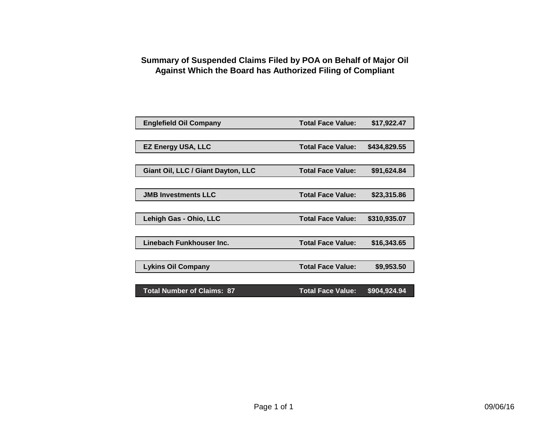## **Summary of Suspended Claims Filed by POA on Behalf of Major Oil Against Which the Board has Authorized Filing of Compliant**

| <b>Englefield Oil Company</b>      | <b>Total Face Value:</b> | \$17,922.47  |  |
|------------------------------------|--------------------------|--------------|--|
|                                    |                          |              |  |
| <b>EZ Energy USA, LLC</b>          | <b>Total Face Value:</b> | \$434,829.55 |  |
|                                    |                          |              |  |
| Giant Oil, LLC / Giant Dayton, LLC | <b>Total Face Value:</b> | \$91,624.84  |  |
|                                    |                          |              |  |
| <b>JMB Investments LLC</b>         | <b>Total Face Value:</b> | \$23,315.86  |  |
|                                    |                          |              |  |
| Lehigh Gas - Ohio, LLC             | <b>Total Face Value:</b> | \$310,935.07 |  |
|                                    |                          |              |  |
| Linebach Funkhouser Inc.           | <b>Total Face Value:</b> | \$16,343.65  |  |
|                                    |                          |              |  |
| <b>Lykins Oil Company</b>          | <b>Total Face Value:</b> | \$9,953.50   |  |
|                                    |                          |              |  |
| <b>Total Number of Claims: 87</b>  | <b>Total Face Value:</b> | \$904,924.94 |  |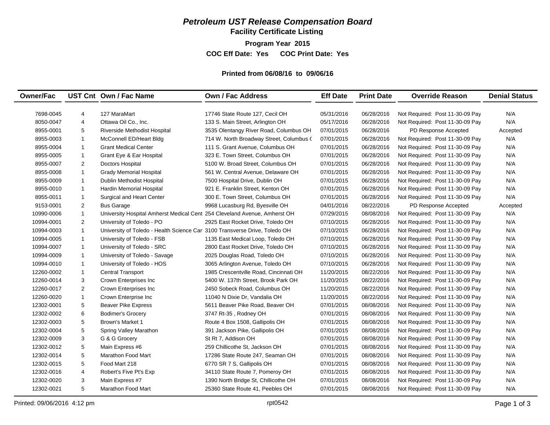## *Petroleum UST Release Compensation Board*

**Facility Certificate Listing**

**Program Year 2015 COC Eff Date: Yes COC Print Date: Yes** 

#### **Printed from 06/08/16 to 09/06/16**

| <b>Owner/Fac</b> |                | UST Cnt Own / Fac Name                                                     | Own / Fac Address                        | <b>Eff Date</b> | <b>Print Date</b> | <b>Override Reason</b>          | <b>Denial Status</b> |
|------------------|----------------|----------------------------------------------------------------------------|------------------------------------------|-----------------|-------------------|---------------------------------|----------------------|
|                  |                |                                                                            |                                          |                 |                   |                                 |                      |
| 7698-0045        | 4              | 127 MaraMart                                                               | 17746 State Route 127, Cecil OH          | 05/31/2016      | 06/28/2016        | Not Required: Post 11-30-09 Pay | N/A                  |
| 8050-0047        | 4              | Ottawa Oil Co., Inc.                                                       | 133 S. Main Street, Arlington OH         | 05/17/2016      | 06/28/2016        | Not Required: Post 11-30-09 Pay | N/A                  |
| 8955-0001        | 5              | Riverside Methodist Hospital                                               | 3535 Olentangy River Road, Columbus OH   | 07/01/2015      | 06/28/2016        | PD Response Accepted            | Accepted             |
| 8955-0003        | $\mathbf{1}$   | McConnell ED/Heart Bldg                                                    | 714 W. North Broadway Street, Columbus ( | 07/01/2015      | 06/28/2016        | Not Required: Post 11-30-09 Pay | N/A                  |
| 8955-0004        | $\mathbf{1}$   | <b>Grant Medical Center</b>                                                | 111 S. Grant Avenue, Columbus OH         | 07/01/2015      | 06/28/2016        | Not Required: Post 11-30-09 Pay | N/A                  |
| 8955-0005        | $\mathbf{1}$   | Grant Eye & Ear Hospital                                                   | 323 E. Town Street, Columbus OH          | 07/01/2015      | 06/28/2016        | Not Required: Post 11-30-09 Pay | N/A                  |
| 8955-0007        | 2              | Doctors Hospital                                                           | 5100 W. Broad Street, Columbus OH        | 07/01/2015      | 06/28/2016        | Not Required: Post 11-30-09 Pay | N/A                  |
| 8955-0008        | $\mathbf{1}$   | <b>Grady Memorial Hospital</b>                                             | 561 W. Central Avenue, Delaware OH       | 07/01/2015      | 06/28/2016        | Not Required: Post 11-30-09 Pay | N/A                  |
| 8955-0009        | $\mathbf{1}$   | Dublin Methodist Hospital                                                  | 7500 Hospital Drive, Dublin OH           | 07/01/2015      | 06/28/2016        | Not Required: Post 11-30-09 Pay | N/A                  |
| 8955-0010        | $\mathbf{1}$   | Hardin Memorial Hospital                                                   | 921 E. Franklin Street, Kenton OH        | 07/01/2015      | 06/28/2016        | Not Required: Post 11-30-09 Pay | N/A                  |
| 8955-0011        | $\mathbf{1}$   | Surgical and Heart Center                                                  | 300 E. Town Street, Columbus OH          | 07/01/2015      | 06/28/2016        | Not Required: Post 11-30-09 Pay | N/A                  |
| 9153-0001        | 2              | <b>Bus Garage</b>                                                          | 9968 Lucasburg Rd, Byesville OH          | 04/01/2016      | 08/22/2016        | PD Response Accepted            | Accepted             |
| 10990-0006       | $\mathbf{1}$   | University Hospital Amherst Medical Cent 254 Cleveland Avenue, Amherst OH  |                                          | 07/29/2015      | 08/08/2016        | Not Required: Post 11-30-09 Pay | N/A                  |
| 10994-0001       | $\overline{2}$ | University of Toledo - PO                                                  | 2925 East Rocket Drive, Toledo OH        | 07/10/2015      | 06/28/2016        | Not Required: Post 11-30-09 Pay | N/A                  |
| 10994-0003       | $\mathbf{1}$   | University of Toledo - Health Science Car 3100 Transverse Drive, Toledo OH |                                          | 07/10/2015      | 06/28/2016        | Not Required: Post 11-30-09 Pay | N/A                  |
| 10994-0005       | $\mathbf{1}$   | University of Toledo - FSB                                                 | 1135 East Medical Loop, Toledo OH        | 07/10/2015      | 06/28/2016        | Not Required: Post 11-30-09 Pay | N/A                  |
| 10994-0007       | $\mathbf{1}$   | University of Toledo - SRC                                                 | 2800 East Rocket Drive, Toledo OH        | 07/10/2015      | 06/28/2016        | Not Required: Post 11-30-09 Pay | N/A                  |
| 10994-0009       | $\mathbf{1}$   | University of Toledo - Savage                                              | 2025 Douglas Road, Toledo OH             | 07/10/2015      | 06/28/2016        | Not Required: Post 11-30-09 Pay | N/A                  |
| 10994-0010       | $\mathbf{1}$   | University of Toledo - HOS                                                 | 3065 Arlington Avenue, Toledo OH         | 07/10/2015      | 06/28/2016        | Not Required: Post 11-30-09 Pay | N/A                  |
| 12260-0002       | $\mathbf{1}$   | <b>Central Transport</b>                                                   | 1985 Crescentville Road, Cincinnati OH   | 11/20/2015      | 08/22/2016        | Not Required: Post 11-30-09 Pay | N/A                  |
| 12260-0014       | 3              | Crown Enterprises Inc                                                      | 5400 W. 137th Street, Brook Park OH      | 11/20/2015      | 08/22/2016        | Not Required: Post 11-30-09 Pay | N/A                  |
| 12260-0017       | 2              | Crown Enterprises Inc                                                      | 2450 Sobeck Road, Columbus OH            | 11/20/2015      | 08/22/2016        | Not Required: Post 11-30-09 Pay | N/A                  |
| 12260-0020       | $\mathbf{1}$   | Crown Enterprise Inc                                                       | 11040 N Dixie Dr, Vandalia OH            | 11/20/2015      | 08/22/2016        | Not Required: Post 11-30-09 Pay | N/A                  |
| 12302-0001       | 5              | <b>Beaver Pike Express</b>                                                 | 5611 Beaver Pike Road, Beaver OH         | 07/01/2015      | 08/08/2016        | Not Required: Post 11-30-09 Pay | N/A                  |
| 12302-0002       | 6              | <b>Bodimer's Grocery</b>                                                   | 3747 Rt-35, Rodney OH                    | 07/01/2015      | 08/08/2016        | Not Required: Post 11-30-09 Pay | N/A                  |
| 12302-0003       | 5              | Brown's Market 1                                                           | Route 4 Box 1508, Gallipolis OH          | 07/01/2015      | 08/08/2016        | Not Required: Post 11-30-09 Pay | N/A                  |
| 12302-0004       | 5              | Spring Valley Marathon                                                     | 391 Jackson Pike, Gallipolis OH          | 07/01/2015      | 08/08/2016        | Not Required: Post 11-30-09 Pay | N/A                  |
| 12302-0009       | 3              | G & G Grocery                                                              | St Rt 7, Addison OH                      | 07/01/2015      | 08/08/2016        | Not Required: Post 11-30-09 Pay | N/A                  |
| 12302-0012       | 5              | Main Express #6                                                            | 259 Chillicothe St, Jackson OH           | 07/01/2015      | 08/08/2016        | Not Required: Post 11-30-09 Pay | N/A                  |
| 12302-0014       | $\sqrt{5}$     | <b>Marathon Food Mart</b>                                                  | 17286 State Route 247, Seaman OH         | 07/01/2015      | 08/08/2016        | Not Required: Post 11-30-09 Pay | N/A                  |
| 12302-0015       | 5              | Food Mart 218                                                              | 6770 SR 7 S, Gallipolis OH               | 07/01/2015      | 08/08/2016        | Not Required: Post 11-30-09 Pay | N/A                  |
| 12302-0016       | $\overline{4}$ | Robert's Five Pt's Exp                                                     | 34110 State Route 7, Pomeroy OH          | 07/01/2015      | 08/08/2016        | Not Required: Post 11-30-09 Pay | N/A                  |
| 12302-0020       | 3              | Main Express #7                                                            | 1390 North Bridge St, Chillicothe OH     | 07/01/2015      | 08/08/2016        | Not Required: Post 11-30-09 Pay | N/A                  |
| 12302-0021       | $\sqrt{5}$     | <b>Marathon Food Mart</b>                                                  | 25360 State Route 41, Peebles OH         | 07/01/2015      | 08/08/2016        | Not Required: Post 11-30-09 Pay | N/A                  |
|                  |                |                                                                            |                                          |                 |                   |                                 |                      |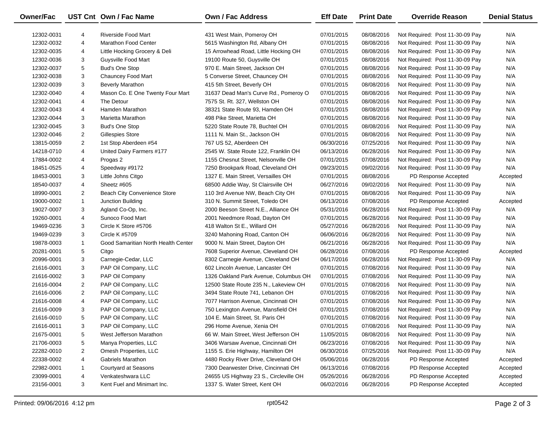| Owner/Fac  |                | UST Cnt Own / Fac Name              | Own / Fac Address                      | <b>Eff Date</b> | <b>Print Date</b> | <b>Override Reason</b>          | <b>Denial Status</b> |
|------------|----------------|-------------------------------------|----------------------------------------|-----------------|-------------------|---------------------------------|----------------------|
| 12302-0031 | 4              | <b>Riverside Food Mart</b>          | 431 West Main, Pomeroy OH              | 07/01/2015      | 08/08/2016        | Not Required: Post 11-30-09 Pay | N/A                  |
| 12302-0032 | 4              | <b>Marathon Food Center</b>         | 5615 Washington Rd, Albany OH          | 07/01/2015      | 08/08/2016        | Not Required: Post 11-30-09 Pay | N/A                  |
| 12302-0035 | 4              | Little Hocking Grocery & Deli       | 15 Arrowhead Road, Little Hocking OH   | 07/01/2015      | 08/08/2016        | Not Required: Post 11-30-09 Pay | N/A                  |
| 12302-0036 | 3              | Guysville Food Mart                 | 19100 Route 50, Guysville OH           | 07/01/2015      | 08/08/2016        | Not Required: Post 11-30-09 Pay | N/A                  |
| 12302-0037 | 5              | <b>Bud's One Stop</b>               | 970 E. Main Street, Jackson OH         | 07/01/2015      | 08/08/2016        | Not Required: Post 11-30-09 Pay | N/A                  |
| 12302-0038 | 3              | Chauncey Food Mart                  | 5 Converse Street, Chauncey OH         | 07/01/2015      | 08/08/2016        | Not Required: Post 11-30-09 Pay | N/A                  |
| 12302-0039 | 3              | <b>Beverly Marathon</b>             | 415 5th Street, Beverly OH             | 07/01/2015      | 08/08/2016        | Not Required: Post 11-30-09 Pay | N/A                  |
| 12302-0040 | 4              | Mason Co. E One Twenty Four Mart    | 31637 Dead Man's Curve Rd., Pomeroy O  | 07/01/2015      | 08/08/2016        | Not Required: Post 11-30-09 Pay | N/A                  |
| 12302-0041 | 4              | The Detour                          | 7575 St. Rt. 327, Wellston OH          | 07/01/2015      | 08/08/2016        | Not Required: Post 11-30-09 Pay | N/A                  |
| 12302-0043 | 4              | Hamden Marathon                     | 38321 State Route 93, Hamden OH        | 07/01/2015      | 08/08/2016        | Not Required: Post 11-30-09 Pay | N/A                  |
| 12302-0044 | 3              | Marietta Marathon                   | 498 Pike Street, Marietta OH           | 07/01/2015      | 08/08/2016        | Not Required: Post 11-30-09 Pay | N/A                  |
| 12302-0045 | 3              | <b>Bud's One Stop</b>               | 5220 State Route 78, Buchtel OH        | 07/01/2015      | 08/08/2016        | Not Required: Post 11-30-09 Pay | N/A                  |
| 12302-0046 | $\overline{2}$ | <b>Gillespies Store</b>             | 1111 N. Main St., Jackson OH           | 07/01/2015      | 08/08/2016        | Not Required: Post 11-30-09 Pay | N/A                  |
| 13815-0059 | $\overline{2}$ | 1st Stop Aberdeen #54               | 767 US 52, Aberdeen OH                 | 06/30/2016      | 07/25/2016        | Not Required: Post 11-30-09 Pay | N/A                  |
| 14218-0710 | 4              | United Dairy Farmers #177           | 2545 W. State Route 122, Franklin OH   | 06/13/2016      | 06/28/2016        | Not Required: Post 11-30-09 Pay | N/A                  |
| 17884-0002 | 4              | Progas 2                            | 1155 Chesnut Street, Nelsonville OH    | 07/01/2015      | 07/08/2016        | Not Required: Post 11-30-09 Pay | N/A                  |
| 18451-0525 | 4              | Speedway #9172                      | 7250 Brookpark Road, Cleveland OH      | 09/23/2015      | 09/02/2016        | Not Required: Post 11-30-09 Pay | N/A                  |
| 18453-0001 | 3              | Little Johns Citgo                  | 1327 E. Main Street, Versailles OH     | 07/01/2015      | 08/08/2016        | PD Response Accepted            | Accepted             |
| 18540-0037 | 4              | Sheetz #605                         | 68500 Addie Way, St Clairsville OH     | 06/27/2016      | 09/02/2016        | Not Required: Post 11-30-09 Pay | N/A                  |
| 18990-0001 | $\overline{2}$ | Beach City Convenience Store        | 110 3rd Avenue NW, Beach City OH       | 07/01/2015      | 08/08/2016        | Not Required: Post 11-30-09 Pay | N/A                  |
| 19000-0002 | $\mathbf{1}$   | Junction Building                   | 310 N. Summit Street, Toledo OH        | 06/13/2016      | 07/08/2016        | PD Response Accepted            | Accepted             |
| 19027-0007 | 3              | Agland Co-Op, Inc.                  | 2000 Beeson Street N.E., Alliance OH   | 05/31/2016      | 06/28/2016        | Not Required: Post 11-30-09 Pay | N/A                  |
| 19260-0001 | 4              | Sunoco Food Mart                    | 2001 Needmore Road, Dayton OH          | 07/01/2015      | 06/28/2016        | Not Required: Post 11-30-09 Pay | N/A                  |
| 19469-0236 | 3              | Circle K Store #5706                | 418 Walton St E., Willard OH           | 05/27/2016      | 06/28/2016        | Not Required: Post 11-30-09 Pay | N/A                  |
| 19469-0239 | 3              | Circle K #5709                      | 3240 Mahoning Road, Canton OH          | 06/06/2016      | 06/28/2016        | Not Required: Post 11-30-09 Pay | N/A                  |
| 19878-0003 | $\mathbf{1}$   | Good Samaritian North Health Center | 9000 N. Main Street, Dayton OH         | 06/21/2016      | 06/28/2016        | Not Required: Post 11-30-09 Pay | N/A                  |
| 20281-0001 | 5              | Citgo                               | 7608 Superior Avenue, Cleveland OH     | 06/28/2016      | 07/08/2016        | PD Response Accepted            | Accepted             |
| 20996-0001 | 3              | Carnegie-Cedar, LLC                 | 8302 Carnegie Avenue, Cleveland OH     | 06/17/2016      | 06/28/2016        | Not Required: Post 11-30-09 Pay | N/A                  |
| 21616-0001 | 3              | PAP Oil Company, LLC                | 602 Lincoln Avenue, Lancaster OH       | 07/01/2015      | 07/08/2016        | Not Required: Post 11-30-09 Pay | N/A                  |
| 21616-0002 | 3              | PAP Oil Company                     | 1326 Oakland Park Avenue, Columbus OH  | 07/01/2015      | 07/08/2016        | Not Required: Post 11-30-09 Pay | N/A                  |
| 21616-0004 | $\overline{a}$ | PAP Oil Company, LLC                | 12500 State Route 235 N., Lakeview OH  | 07/01/2015      | 07/08/2016        | Not Required: Post 11-30-09 Pay | N/A                  |
| 21616-0006 | $\overline{2}$ | PAP Oil Company, LLC                | 3494 State Route 741, Lebanon OH       | 07/01/2015      | 07/08/2016        | Not Required: Post 11-30-09 Pay | N/A                  |
| 21616-0008 | 4              | PAP Oil Company, LLC                | 7077 Harrison Avenue, Cincinnati OH    | 07/01/2015      | 07/08/2016        | Not Required: Post 11-30-09 Pay | N/A                  |
| 21616-0009 | 3              | PAP Oil Company, LLC                | 750 Lexington Avenue, Mansfield OH     | 07/01/2015      | 07/08/2016        | Not Required: Post 11-30-09 Pay | N/A                  |
| 21616-0010 | 5              | PAP Oil Company, LLC                | 104 E. Main Street, St. Paris OH       | 07/01/2015      | 07/08/2016        | Not Required: Post 11-30-09 Pay | N/A                  |
| 21616-0011 | 3              | PAP Oil Company, LLC                | 296 Home Avenue, Xenia OH              | 07/01/2015      | 07/08/2016        | Not Required: Post 11-30-09 Pay | N/A                  |
| 21675-0001 | 5              | West Jefferson Marathon             | 66 W. Main Street, West Jefferson OH   | 11/05/2015      | 08/08/2016        | Not Required: Post 11-30-09 Pay | N/A                  |
| 21706-0003 | 5              | Manya Properties, LLC               | 3406 Warsaw Avenue, Cincinnati OH      | 06/23/2016      | 07/08/2016        | Not Required: Post 11-30-09 Pay | N/A                  |
| 22282-0010 | 2              | Omesh Properties, LLC               | 1155 S. Erie Highway, Hamilton OH      | 06/30/2016      | 07/25/2016        | Not Required: Post 11-30-09 Pay | N/A                  |
| 22338-0002 | 4              | <b>Gabriels Marathon</b>            | 4480 Rocky River Drive, Cleveland OH   | 05/06/2016      | 06/28/2016        | PD Response Accepted            | Accepted             |
| 22982-0001 | -1             | Courtyard at Seasons                | 7300 Dearwester Drive, Cincinnati OH   | 06/13/2016      | 07/08/2016        | PD Response Accepted            | Accepted             |
| 23099-0001 | 4              | Venkateshwara LLC                   | 24655 US Highway 23 S., Circleville OH | 05/26/2016      | 06/28/2016        | PD Response Accepted            | Accepted             |
| 23156-0001 | 3              | Kent Fuel and Minimart Inc.         | 1337 S. Water Street, Kent OH          | 06/02/2016      | 06/28/2016        | PD Response Accepted            | Accepted             |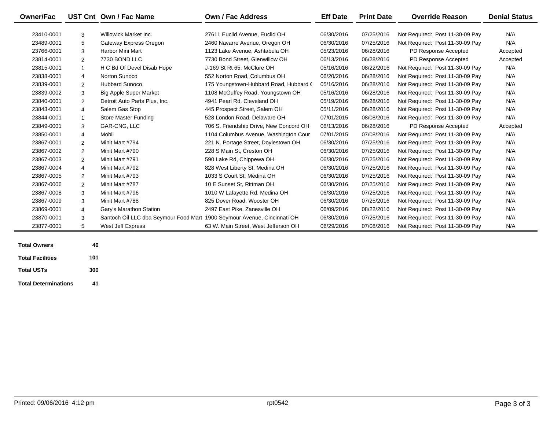| <b>Owner/Fac</b> |                | UST Cnt Own / Fac Name                                                   | Own / Fac Address                       | <b>Eff Date</b> | <b>Print Date</b> | <b>Override Reason</b>          | <b>Denial Status</b> |
|------------------|----------------|--------------------------------------------------------------------------|-----------------------------------------|-----------------|-------------------|---------------------------------|----------------------|
| 23410-0001       | 3              | Willowick Market Inc.                                                    | 27611 Euclid Avenue, Euclid OH          | 06/30/2016      | 07/25/2016        | Not Required: Post 11-30-09 Pay | N/A                  |
| 23489-0001       | 5              | Gateway Express Oregon                                                   | 2460 Navarre Avenue, Oregon OH          | 06/30/2016      | 07/25/2016        | Not Required: Post 11-30-09 Pay | N/A                  |
| 23766-0001       | 3              | Harbor Mini Mart                                                         | 1123 Lake Avenue, Ashtabula OH          | 05/23/2016      | 06/28/2016        | PD Response Accepted            | Accepted             |
| 23814-0001       | $\overline{2}$ | 7730 BOND LLC                                                            | 7730 Bond Street, Glenwillow OH         | 06/13/2016      | 06/28/2016        | PD Response Accepted            | Accepted             |
| 23815-0001       | $\mathbf{1}$   | H C Bd Of Devel Disab Hope                                               | J-169 St Rt 65, McClure OH              | 05/16/2016      | 08/22/2016        | Not Required: Post 11-30-09 Pay | N/A                  |
| 23838-0001       | 4              | Norton Sunoco                                                            | 552 Norton Road, Columbus OH            | 06/20/2016      | 06/28/2016        | Not Required: Post 11-30-09 Pay | N/A                  |
| 23839-0001       | $\overline{2}$ | <b>Hubbard Sunoco</b>                                                    | 175 Youngstown-Hubbard Road, Hubbard (  | 05/16/2016      | 06/28/2016        | Not Required: Post 11-30-09 Pay | N/A                  |
| 23839-0002       | 3              | <b>Big Apple Super Market</b>                                            | 1108 McGuffey Road, Youngstown OH       | 05/16/2016      | 06/28/2016        | Not Required: Post 11-30-09 Pay | N/A                  |
| 23840-0001       | $\overline{2}$ | Detroit Auto Parts Plus, Inc.                                            | 4941 Pearl Rd, Cleveland OH             | 05/19/2016      | 06/28/2016        | Not Required: Post 11-30-09 Pay | N/A                  |
| 23843-0001       | 4              | Salem Gas Stop                                                           | 445 Prospect Street, Salem OH           | 05/11/2016      | 06/28/2016        | Not Required: Post 11-30-09 Pay | N/A                  |
| 23844-0001       | $\mathbf{1}$   | Store Master Funding                                                     | 528 London Road, Delaware OH            | 07/01/2015      | 08/08/2016        | Not Required: Post 11-30-09 Pay | N/A                  |
| 23849-0001       | 3              | GAR-CNG, LLC                                                             | 706 S. Friendship Drive, New Concord OH | 06/13/2016      | 06/28/2016        | PD Response Accepted            | Accepted             |
| 23850-0001       | $\overline{4}$ | Mobil                                                                    | 1104 Columbus Avenue, Washington Cour   | 07/01/2015      | 07/08/2016        | Not Required: Post 11-30-09 Pay | N/A                  |
| 23867-0001       | $\overline{2}$ | Minit Mart #794                                                          | 221 N. Portage Street, Doylestown OH    | 06/30/2016      | 07/25/2016        | Not Required: Post 11-30-09 Pay | N/A                  |
| 23867-0002       | $\overline{2}$ | Minit Mart #790                                                          | 228 S Main St, Creston OH               | 06/30/2016      | 07/25/2016        | Not Required: Post 11-30-09 Pay | N/A                  |
| 23867-0003       | $\overline{2}$ | Minit Mart #791                                                          | 590 Lake Rd, Chippewa OH                | 06/30/2016      | 07/25/2016        | Not Required: Post 11-30-09 Pay | N/A                  |
| 23867-0004       | 4              | Minit Mart #792                                                          | 828 West Liberty St, Medina OH          | 06/30/2016      | 07/25/2016        | Not Required: Post 11-30-09 Pay | N/A                  |
| 23867-0005       | $\overline{2}$ | Minit Mart #793                                                          | 1033 S Court St. Medina OH              | 06/30/2016      | 07/25/2016        | Not Required: Post 11-30-09 Pay | N/A                  |
| 23867-0006       | $\overline{2}$ | Minit Mart #787                                                          | 10 E Sunset St. Rittman OH              | 06/30/2016      | 07/25/2016        | Not Required: Post 11-30-09 Pay | N/A                  |
| 23867-0008       | 3              | Minit Mart #796                                                          | 1010 W Lafayette Rd, Medina OH          | 06/30/2016      | 07/25/2016        | Not Required: Post 11-30-09 Pay | N/A                  |
| 23867-0009       | 3              | Minit Mart #788                                                          | 825 Dover Road, Wooster OH              | 06/30/2016      | 07/25/2016        | Not Required: Post 11-30-09 Pay | N/A                  |
| 23869-0001       | 4              | Gary's Marathon Station                                                  | 2497 East Pike, Zanesville OH           | 06/09/2016      | 08/22/2016        | Not Required: Post 11-30-09 Pay | N/A                  |
| 23870-0001       | 3              | Santoch Oil LLC dba Seymour Food Mart 1900 Seymour Avenue, Cincinnati OH |                                         | 06/30/2016      | 07/25/2016        | Not Required: Post 11-30-09 Pay | N/A                  |
| 23877-0001       | 5              | West Jeff Express                                                        | 63 W. Main Street, West Jefferson OH    | 06/29/2016      | 07/08/2016        | Not Required: Post 11-30-09 Pay | N/A                  |

| <b>Total Owners</b>         | 46  |
|-----------------------------|-----|
| <b>Total Facilities</b>     | 101 |
| <b>Total USTs</b>           | 300 |
| <b>Total Determinations</b> | 41  |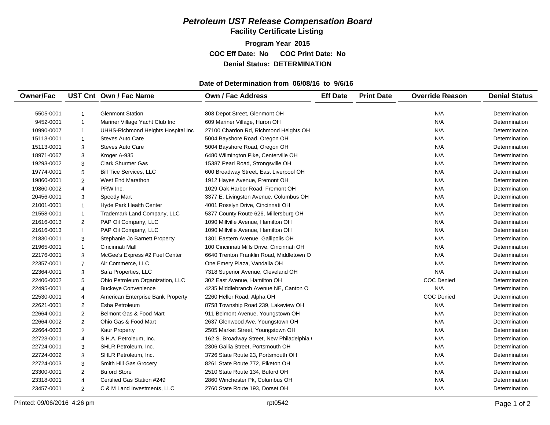#### *Petroleum UST Release Compensation Board*  **Facility Certificate Listing**

**Program Year 2015 COC Eff Date: No COC Print Date: No Denial Status: DETERMINATION**

#### **Date of Determination from 06/08/16 to 9/6/16**

| <b>Glenmont Station</b><br>808 Depot Street, Glenmont OH<br>N/A<br>5505-0001<br>Determination<br>$\mathbf{1}$<br>Mariner Village Yacht Club Inc<br>609 Mariner Village, Huron OH<br>N/A<br>9452-0001<br>$\overline{1}$<br>Determination<br>N/A<br>10990-0007<br>UHHS-Richmond Heights Hospital Inc<br>27100 Chardon Rd, Richmond Heights OH<br>$\mathbf{1}$<br>Determination<br>N/A<br>15113-0001<br><b>Steves Auto Care</b><br>5004 Bayshore Road, Oregon OH<br>$\mathbf{1}$<br>Determination<br><b>Steves Auto Care</b><br>N/A<br>15113-0001<br>3<br>5004 Bayshore Road, Oregon OH<br>Determination<br>N/A<br>Kroger A-935<br>6480 Wilmington Pike, Centerville OH<br>18971-0067<br>3<br>Determination<br>N/A<br>3<br><b>Clark Shurmer Gas</b><br>15387 Pearl Road, Strongsville OH<br>19293-0002<br>Determination<br>N/A<br>19774-0001<br>5<br><b>Bill Tice Services, LLC</b><br>600 Broadway Street, East Liverpool OH<br>Determination<br>N/A<br>19860-0001<br>$\overline{2}$<br><b>West End Marathon</b><br>1912 Hayes Avenue, Fremont OH<br>Determination<br>N/A<br>19860-0002<br>4<br>PRW Inc.<br>1029 Oak Harbor Road, Fremont OH<br>Determination<br>N/A<br>20456-0001<br>3<br>Speedy Mart<br>3377 E. Livingston Avenue, Columbus OH<br>Determination<br>4001 Rosslyn Drive, Cincinnati OH<br>N/A<br>21001-0001<br>$\mathbf{1}$<br>Hyde Park Health Center<br>Determination<br>21558-0001<br>Trademark Land Company, LLC<br>N/A<br>$\mathbf{1}$<br>5377 County Route 626, Millersburg OH<br>Determination<br>$\mathbf{2}$<br>PAP Oil Company, LLC<br>N/A<br>21616-0013<br>1090 Millville Avenue, Hamilton OH<br>Determination<br>21616-0013<br>PAP Oil Company, LLC<br>1090 Millville Avenue, Hamilton OH<br>N/A<br>$\mathbf{1}$<br>Determination<br>N/A<br>21830-0001<br>3<br>Stephanie Jo Barnett Property<br>1301 Eastern Avenue, Gallipolis OH<br>Determination<br>N/A<br>21965-0001<br>$\mathbf{1}$<br>Cincinnati Mall<br>100 Cincinnati Mills Drive, Cincinnati OH<br>Determination<br>N/A<br>3<br>McGee's Express #2 Fuel Center<br>6640 Trenton Franklin Road, Middletown O<br>22176-0001<br>Determination<br>N/A<br>22357-0001<br>$\overline{7}$<br>Air Commerce, LLC<br>One Emery Plaza, Vandalia OH<br>Determination<br>N/A<br>22364-0001<br>3<br>Safa Properties, LLC<br>7318 Superior Avenue, Cleveland OH<br>Determination<br><b>COC Denied</b><br>22406-0002<br>5<br>Ohio Petroleum Organization, LLC<br>302 East Avenue, Hamilton OH<br>Determination | <b>Owner/Fac</b> |   | UST Cnt Own / Fac Name     | <b>Own / Fac Address</b>              | <b>Eff Date</b> | <b>Print Date</b> | <b>Override Reason</b> | <b>Denial Status</b> |
|---------------------------------------------------------------------------------------------------------------------------------------------------------------------------------------------------------------------------------------------------------------------------------------------------------------------------------------------------------------------------------------------------------------------------------------------------------------------------------------------------------------------------------------------------------------------------------------------------------------------------------------------------------------------------------------------------------------------------------------------------------------------------------------------------------------------------------------------------------------------------------------------------------------------------------------------------------------------------------------------------------------------------------------------------------------------------------------------------------------------------------------------------------------------------------------------------------------------------------------------------------------------------------------------------------------------------------------------------------------------------------------------------------------------------------------------------------------------------------------------------------------------------------------------------------------------------------------------------------------------------------------------------------------------------------------------------------------------------------------------------------------------------------------------------------------------------------------------------------------------------------------------------------------------------------------------------------------------------------------------------------------------------------------------------------------------------------------------------------------------------------------------------------------------------------------------------------------------------------------------------------------------------------------------------------------------------------------------------------------------------------------------------------------------------------------------------------------------------------|------------------|---|----------------------------|---------------------------------------|-----------------|-------------------|------------------------|----------------------|
|                                                                                                                                                                                                                                                                                                                                                                                                                                                                                                                                                                                                                                                                                                                                                                                                                                                                                                                                                                                                                                                                                                                                                                                                                                                                                                                                                                                                                                                                                                                                                                                                                                                                                                                                                                                                                                                                                                                                                                                                                                                                                                                                                                                                                                                                                                                                                                                                                                                                                 |                  |   |                            |                                       |                 |                   |                        |                      |
|                                                                                                                                                                                                                                                                                                                                                                                                                                                                                                                                                                                                                                                                                                                                                                                                                                                                                                                                                                                                                                                                                                                                                                                                                                                                                                                                                                                                                                                                                                                                                                                                                                                                                                                                                                                                                                                                                                                                                                                                                                                                                                                                                                                                                                                                                                                                                                                                                                                                                 |                  |   |                            |                                       |                 |                   |                        |                      |
|                                                                                                                                                                                                                                                                                                                                                                                                                                                                                                                                                                                                                                                                                                                                                                                                                                                                                                                                                                                                                                                                                                                                                                                                                                                                                                                                                                                                                                                                                                                                                                                                                                                                                                                                                                                                                                                                                                                                                                                                                                                                                                                                                                                                                                                                                                                                                                                                                                                                                 |                  |   |                            |                                       |                 |                   |                        |                      |
|                                                                                                                                                                                                                                                                                                                                                                                                                                                                                                                                                                                                                                                                                                                                                                                                                                                                                                                                                                                                                                                                                                                                                                                                                                                                                                                                                                                                                                                                                                                                                                                                                                                                                                                                                                                                                                                                                                                                                                                                                                                                                                                                                                                                                                                                                                                                                                                                                                                                                 |                  |   |                            |                                       |                 |                   |                        |                      |
|                                                                                                                                                                                                                                                                                                                                                                                                                                                                                                                                                                                                                                                                                                                                                                                                                                                                                                                                                                                                                                                                                                                                                                                                                                                                                                                                                                                                                                                                                                                                                                                                                                                                                                                                                                                                                                                                                                                                                                                                                                                                                                                                                                                                                                                                                                                                                                                                                                                                                 |                  |   |                            |                                       |                 |                   |                        |                      |
|                                                                                                                                                                                                                                                                                                                                                                                                                                                                                                                                                                                                                                                                                                                                                                                                                                                                                                                                                                                                                                                                                                                                                                                                                                                                                                                                                                                                                                                                                                                                                                                                                                                                                                                                                                                                                                                                                                                                                                                                                                                                                                                                                                                                                                                                                                                                                                                                                                                                                 |                  |   |                            |                                       |                 |                   |                        |                      |
|                                                                                                                                                                                                                                                                                                                                                                                                                                                                                                                                                                                                                                                                                                                                                                                                                                                                                                                                                                                                                                                                                                                                                                                                                                                                                                                                                                                                                                                                                                                                                                                                                                                                                                                                                                                                                                                                                                                                                                                                                                                                                                                                                                                                                                                                                                                                                                                                                                                                                 |                  |   |                            |                                       |                 |                   |                        |                      |
|                                                                                                                                                                                                                                                                                                                                                                                                                                                                                                                                                                                                                                                                                                                                                                                                                                                                                                                                                                                                                                                                                                                                                                                                                                                                                                                                                                                                                                                                                                                                                                                                                                                                                                                                                                                                                                                                                                                                                                                                                                                                                                                                                                                                                                                                                                                                                                                                                                                                                 |                  |   |                            |                                       |                 |                   |                        |                      |
|                                                                                                                                                                                                                                                                                                                                                                                                                                                                                                                                                                                                                                                                                                                                                                                                                                                                                                                                                                                                                                                                                                                                                                                                                                                                                                                                                                                                                                                                                                                                                                                                                                                                                                                                                                                                                                                                                                                                                                                                                                                                                                                                                                                                                                                                                                                                                                                                                                                                                 |                  |   |                            |                                       |                 |                   |                        |                      |
|                                                                                                                                                                                                                                                                                                                                                                                                                                                                                                                                                                                                                                                                                                                                                                                                                                                                                                                                                                                                                                                                                                                                                                                                                                                                                                                                                                                                                                                                                                                                                                                                                                                                                                                                                                                                                                                                                                                                                                                                                                                                                                                                                                                                                                                                                                                                                                                                                                                                                 |                  |   |                            |                                       |                 |                   |                        |                      |
|                                                                                                                                                                                                                                                                                                                                                                                                                                                                                                                                                                                                                                                                                                                                                                                                                                                                                                                                                                                                                                                                                                                                                                                                                                                                                                                                                                                                                                                                                                                                                                                                                                                                                                                                                                                                                                                                                                                                                                                                                                                                                                                                                                                                                                                                                                                                                                                                                                                                                 |                  |   |                            |                                       |                 |                   |                        |                      |
|                                                                                                                                                                                                                                                                                                                                                                                                                                                                                                                                                                                                                                                                                                                                                                                                                                                                                                                                                                                                                                                                                                                                                                                                                                                                                                                                                                                                                                                                                                                                                                                                                                                                                                                                                                                                                                                                                                                                                                                                                                                                                                                                                                                                                                                                                                                                                                                                                                                                                 |                  |   |                            |                                       |                 |                   |                        |                      |
|                                                                                                                                                                                                                                                                                                                                                                                                                                                                                                                                                                                                                                                                                                                                                                                                                                                                                                                                                                                                                                                                                                                                                                                                                                                                                                                                                                                                                                                                                                                                                                                                                                                                                                                                                                                                                                                                                                                                                                                                                                                                                                                                                                                                                                                                                                                                                                                                                                                                                 |                  |   |                            |                                       |                 |                   |                        |                      |
|                                                                                                                                                                                                                                                                                                                                                                                                                                                                                                                                                                                                                                                                                                                                                                                                                                                                                                                                                                                                                                                                                                                                                                                                                                                                                                                                                                                                                                                                                                                                                                                                                                                                                                                                                                                                                                                                                                                                                                                                                                                                                                                                                                                                                                                                                                                                                                                                                                                                                 |                  |   |                            |                                       |                 |                   |                        |                      |
|                                                                                                                                                                                                                                                                                                                                                                                                                                                                                                                                                                                                                                                                                                                                                                                                                                                                                                                                                                                                                                                                                                                                                                                                                                                                                                                                                                                                                                                                                                                                                                                                                                                                                                                                                                                                                                                                                                                                                                                                                                                                                                                                                                                                                                                                                                                                                                                                                                                                                 |                  |   |                            |                                       |                 |                   |                        |                      |
|                                                                                                                                                                                                                                                                                                                                                                                                                                                                                                                                                                                                                                                                                                                                                                                                                                                                                                                                                                                                                                                                                                                                                                                                                                                                                                                                                                                                                                                                                                                                                                                                                                                                                                                                                                                                                                                                                                                                                                                                                                                                                                                                                                                                                                                                                                                                                                                                                                                                                 |                  |   |                            |                                       |                 |                   |                        |                      |
|                                                                                                                                                                                                                                                                                                                                                                                                                                                                                                                                                                                                                                                                                                                                                                                                                                                                                                                                                                                                                                                                                                                                                                                                                                                                                                                                                                                                                                                                                                                                                                                                                                                                                                                                                                                                                                                                                                                                                                                                                                                                                                                                                                                                                                                                                                                                                                                                                                                                                 |                  |   |                            |                                       |                 |                   |                        |                      |
|                                                                                                                                                                                                                                                                                                                                                                                                                                                                                                                                                                                                                                                                                                                                                                                                                                                                                                                                                                                                                                                                                                                                                                                                                                                                                                                                                                                                                                                                                                                                                                                                                                                                                                                                                                                                                                                                                                                                                                                                                                                                                                                                                                                                                                                                                                                                                                                                                                                                                 |                  |   |                            |                                       |                 |                   |                        |                      |
|                                                                                                                                                                                                                                                                                                                                                                                                                                                                                                                                                                                                                                                                                                                                                                                                                                                                                                                                                                                                                                                                                                                                                                                                                                                                                                                                                                                                                                                                                                                                                                                                                                                                                                                                                                                                                                                                                                                                                                                                                                                                                                                                                                                                                                                                                                                                                                                                                                                                                 |                  |   |                            |                                       |                 |                   |                        |                      |
|                                                                                                                                                                                                                                                                                                                                                                                                                                                                                                                                                                                                                                                                                                                                                                                                                                                                                                                                                                                                                                                                                                                                                                                                                                                                                                                                                                                                                                                                                                                                                                                                                                                                                                                                                                                                                                                                                                                                                                                                                                                                                                                                                                                                                                                                                                                                                                                                                                                                                 |                  |   |                            |                                       |                 |                   |                        |                      |
|                                                                                                                                                                                                                                                                                                                                                                                                                                                                                                                                                                                                                                                                                                                                                                                                                                                                                                                                                                                                                                                                                                                                                                                                                                                                                                                                                                                                                                                                                                                                                                                                                                                                                                                                                                                                                                                                                                                                                                                                                                                                                                                                                                                                                                                                                                                                                                                                                                                                                 |                  |   |                            |                                       |                 |                   |                        |                      |
|                                                                                                                                                                                                                                                                                                                                                                                                                                                                                                                                                                                                                                                                                                                                                                                                                                                                                                                                                                                                                                                                                                                                                                                                                                                                                                                                                                                                                                                                                                                                                                                                                                                                                                                                                                                                                                                                                                                                                                                                                                                                                                                                                                                                                                                                                                                                                                                                                                                                                 |                  |   |                            |                                       |                 |                   |                        |                      |
|                                                                                                                                                                                                                                                                                                                                                                                                                                                                                                                                                                                                                                                                                                                                                                                                                                                                                                                                                                                                                                                                                                                                                                                                                                                                                                                                                                                                                                                                                                                                                                                                                                                                                                                                                                                                                                                                                                                                                                                                                                                                                                                                                                                                                                                                                                                                                                                                                                                                                 | 22495-0001       | 4 | <b>Buckeye Convenience</b> | 4235 Middlebranch Avenue NE, Canton O |                 |                   | N/A                    | Determination        |
| <b>COC Denied</b><br>22530-0001<br>American Enterprise Bank Property<br>2260 Heller Road, Alpha OH<br>4<br>Determination                                                                                                                                                                                                                                                                                                                                                                                                                                                                                                                                                                                                                                                                                                                                                                                                                                                                                                                                                                                                                                                                                                                                                                                                                                                                                                                                                                                                                                                                                                                                                                                                                                                                                                                                                                                                                                                                                                                                                                                                                                                                                                                                                                                                                                                                                                                                                        |                  |   |                            |                                       |                 |                   |                        |                      |
| Esha Petroleum<br>N/A<br>22621-0001<br>$\overline{2}$<br>8758 Township Road 239, Lakeview OH<br>Determination                                                                                                                                                                                                                                                                                                                                                                                                                                                                                                                                                                                                                                                                                                                                                                                                                                                                                                                                                                                                                                                                                                                                                                                                                                                                                                                                                                                                                                                                                                                                                                                                                                                                                                                                                                                                                                                                                                                                                                                                                                                                                                                                                                                                                                                                                                                                                                   |                  |   |                            |                                       |                 |                   |                        |                      |
| N/A<br>$\mathbf{2}$<br>Belmont Gas & Food Mart<br>22664-0001<br>911 Belmont Avenue, Youngstown OH<br>Determination                                                                                                                                                                                                                                                                                                                                                                                                                                                                                                                                                                                                                                                                                                                                                                                                                                                                                                                                                                                                                                                                                                                                                                                                                                                                                                                                                                                                                                                                                                                                                                                                                                                                                                                                                                                                                                                                                                                                                                                                                                                                                                                                                                                                                                                                                                                                                              |                  |   |                            |                                       |                 |                   |                        |                      |
| N/A<br>22664-0002<br>$\overline{2}$<br>Ohio Gas & Food Mart<br>2637 Glenwood Ave, Youngstown OH<br>Determination                                                                                                                                                                                                                                                                                                                                                                                                                                                                                                                                                                                                                                                                                                                                                                                                                                                                                                                                                                                                                                                                                                                                                                                                                                                                                                                                                                                                                                                                                                                                                                                                                                                                                                                                                                                                                                                                                                                                                                                                                                                                                                                                                                                                                                                                                                                                                                |                  |   |                            |                                       |                 |                   |                        |                      |
| N/A<br>$\overline{2}$<br>Kaur Property<br>2505 Market Street, Youngstown OH<br>22664-0003<br>Determination                                                                                                                                                                                                                                                                                                                                                                                                                                                                                                                                                                                                                                                                                                                                                                                                                                                                                                                                                                                                                                                                                                                                                                                                                                                                                                                                                                                                                                                                                                                                                                                                                                                                                                                                                                                                                                                                                                                                                                                                                                                                                                                                                                                                                                                                                                                                                                      |                  |   |                            |                                       |                 |                   |                        |                      |
| 22723-0001<br>S.H.A. Petroleum, Inc.<br>162 S. Broadway Street, New Philadelphia<br>N/A<br>4<br>Determination                                                                                                                                                                                                                                                                                                                                                                                                                                                                                                                                                                                                                                                                                                                                                                                                                                                                                                                                                                                                                                                                                                                                                                                                                                                                                                                                                                                                                                                                                                                                                                                                                                                                                                                                                                                                                                                                                                                                                                                                                                                                                                                                                                                                                                                                                                                                                                   |                  |   |                            |                                       |                 |                   |                        |                      |
| 22724-0001<br>3<br>SHLR Petroleum, Inc.<br>2306 Gallia Street, Portsmouth OH<br>N/A<br>Determination                                                                                                                                                                                                                                                                                                                                                                                                                                                                                                                                                                                                                                                                                                                                                                                                                                                                                                                                                                                                                                                                                                                                                                                                                                                                                                                                                                                                                                                                                                                                                                                                                                                                                                                                                                                                                                                                                                                                                                                                                                                                                                                                                                                                                                                                                                                                                                            |                  |   |                            |                                       |                 |                   |                        |                      |
| N/A<br>22724-0002<br>3<br>SHLR Petroleum, Inc.<br>3726 State Route 23, Portsmouth OH<br>Determination                                                                                                                                                                                                                                                                                                                                                                                                                                                                                                                                                                                                                                                                                                                                                                                                                                                                                                                                                                                                                                                                                                                                                                                                                                                                                                                                                                                                                                                                                                                                                                                                                                                                                                                                                                                                                                                                                                                                                                                                                                                                                                                                                                                                                                                                                                                                                                           |                  |   |                            |                                       |                 |                   |                        |                      |
| Smith Hill Gas Grocery<br>N/A<br>22724-0003<br>3<br>8261 State Route 772, Piketon OH<br>Determination                                                                                                                                                                                                                                                                                                                                                                                                                                                                                                                                                                                                                                                                                                                                                                                                                                                                                                                                                                                                                                                                                                                                                                                                                                                                                                                                                                                                                                                                                                                                                                                                                                                                                                                                                                                                                                                                                                                                                                                                                                                                                                                                                                                                                                                                                                                                                                           |                  |   |                            |                                       |                 |                   |                        |                      |
| <b>Buford Store</b><br>N/A<br>23300-0001<br>$\overline{2}$<br>2510 State Route 134, Buford OH<br>Determination                                                                                                                                                                                                                                                                                                                                                                                                                                                                                                                                                                                                                                                                                                                                                                                                                                                                                                                                                                                                                                                                                                                                                                                                                                                                                                                                                                                                                                                                                                                                                                                                                                                                                                                                                                                                                                                                                                                                                                                                                                                                                                                                                                                                                                                                                                                                                                  |                  |   |                            |                                       |                 |                   |                        |                      |
| Certified Gas Station #249<br>N/A<br>23318-0001<br>4<br>2860 Winchester Pk, Columbus OH<br>Determination                                                                                                                                                                                                                                                                                                                                                                                                                                                                                                                                                                                                                                                                                                                                                                                                                                                                                                                                                                                                                                                                                                                                                                                                                                                                                                                                                                                                                                                                                                                                                                                                                                                                                                                                                                                                                                                                                                                                                                                                                                                                                                                                                                                                                                                                                                                                                                        |                  |   |                            |                                       |                 |                   |                        |                      |
| 23457-0001<br>2<br>2760 State Route 193, Dorset OH<br>N/A<br>C & M Land Investments, LLC<br>Determination                                                                                                                                                                                                                                                                                                                                                                                                                                                                                                                                                                                                                                                                                                                                                                                                                                                                                                                                                                                                                                                                                                                                                                                                                                                                                                                                                                                                                                                                                                                                                                                                                                                                                                                                                                                                                                                                                                                                                                                                                                                                                                                                                                                                                                                                                                                                                                       |                  |   |                            |                                       |                 |                   |                        |                      |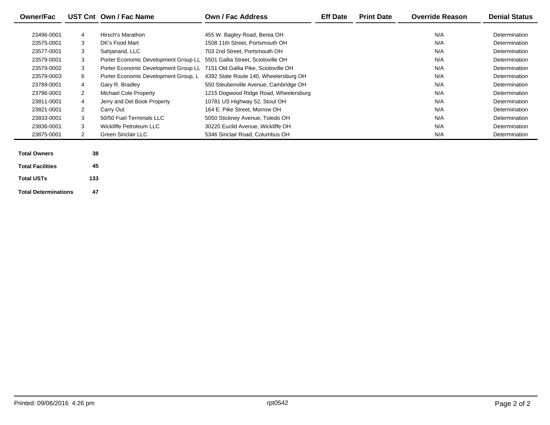| <b>Owner/Fac</b> |                | UST Cnt Own / Fac Name               | <b>Own / Fac Address</b>              | <b>Eff Date</b> | <b>Print Date</b> | <b>Override Reason</b> | <b>Denial Status</b> |
|------------------|----------------|--------------------------------------|---------------------------------------|-----------------|-------------------|------------------------|----------------------|
|                  |                |                                      |                                       |                 |                   |                        |                      |
| 23496-0001       | 4              | Hirsch's Marathon                    | 455 W. Bagley Road, Berea OH          |                 |                   | N/A                    | Determination        |
| 23575-0001       | 3              | DK's Food Mart                       | 1508 11th Street, Portsmouth OH       |                 |                   | N/A                    | Determination        |
| 23577-0001       | 3              | Sahjanand, LLC                       | 703 2nd Street, Portsmouth OH         |                 |                   | N/A                    | Determination        |
| 23579-0001       | 3              | Porter Economic Development Group LL | 5501 Gallia Street. Sciotoville OH    |                 |                   | N/A                    | Determination        |
| 23579-0002       | 3              | Porter Economic Development Group LL | 7151 Old Gallia Pike, Sciotoville OH  |                 |                   | N/A                    | Determination        |
| 23579-0003       | 6              | Porter Economic Development Group, L | 4392 State Route 140, Wheelersburg OH |                 |                   | N/A                    | Determination        |
| 23789-0001       | 4              | Gary R. Bradley                      | 550 Steubenville Avenue, Cambridge OH |                 |                   | N/A                    | Determination        |
| 23796-0001       | $\overline{2}$ | Michael Cole Property                | 1215 Dogwood Ridge Road, Wheelersburg |                 |                   | N/A                    | Determination        |
| 23811-0001       | 4              | Jerry and Del Book Property          | 10781 US Highway 52, Stout OH         |                 |                   | N/A                    | Determination        |
| 23821-0001       | 2              | Carry Out                            | 164 E. Pike Street, Morrow OH         |                 |                   | N/A                    | Determination        |
| 23833-0001       | 3              | 50/50 Fuel Terminals LLC             | 5050 Stickney Avenue, Toledo OH       |                 |                   | N/A                    | Determination        |
| 23836-0001       | 3              | Wickliffe Petroleum LLC              | 30220 Euclid Avenue, Wickliffe OH     |                 |                   | N/A                    | Determination        |
| 23875-0001       | 2              | <b>Green Sinclair LLC</b>            | 5346 Sinclair Road, Columbus OH       |                 |                   | N/A                    | Determination        |

| <b>Total Owners</b>         | 38  |
|-----------------------------|-----|
| <b>Total Facilities</b>     | 45  |
| <b>Total USTs</b>           | 133 |
| <b>Total Determinations</b> | 47  |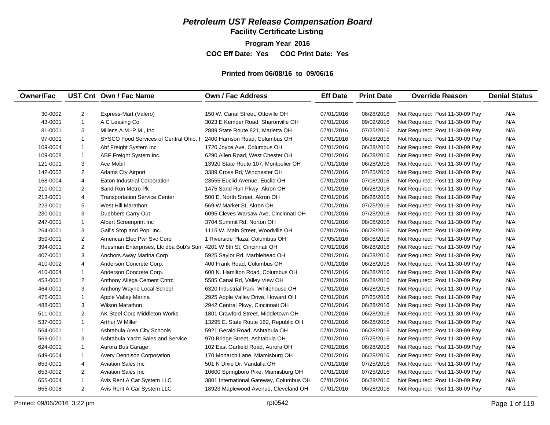## *Petroleum UST Release Compensation Board*

**Facility Certificate Listing**

**Program Year 2016 COC Eff Date: Yes COC Print Date: Yes** 

#### **Printed from 06/08/16 to 09/06/16**

| <b>Owner/Fac</b> |                | UST Cnt Own / Fac Name                                              | <b>Own / Fac Address</b>                | <b>Eff Date</b> | <b>Print Date</b> | <b>Override Reason</b>          | <b>Denial Status</b> |
|------------------|----------------|---------------------------------------------------------------------|-----------------------------------------|-----------------|-------------------|---------------------------------|----------------------|
|                  |                |                                                                     |                                         |                 |                   |                                 |                      |
| 30-0002          | $\overline{c}$ | Express-Mart (Valero)                                               | 150 W. Canal Street, Ottoville OH       | 07/01/2016      | 06/28/2016        | Not Required: Post 11-30-09 Pay | N/A                  |
| 43-0001          | $\mathbf{1}$   | A C Leasing Co                                                      | 3023 E Kemper Road, Sharonville OH      | 07/01/2016      | 09/02/2016        | Not Required: Post 11-30-09 Pay | N/A                  |
| 81-0001          | 5              | Miller's A.M.-P.M., Inc.                                            | 2889 State Route 821, Marietta OH       | 07/01/2016      | 07/25/2016        | Not Required: Post 11-30-09 Pay | N/A                  |
| 97-0001          | $\mathbf{1}$   | SYSCO Food Services of Central Ohio. I                              | 2400 Harrison Road, Columbus OH         | 07/01/2016      | 06/28/2016        | Not Required: Post 11-30-09 Pay | N/A                  |
| 109-0004         | $\mathbf{1}$   | Abf Freight System Inc                                              | 1720 Joyce Ave, Columbus OH             | 07/01/2016      | 06/28/2016        | Not Required: Post 11-30-09 Pay | N/A                  |
| 109-0008         | $\mathbf{1}$   | ABF Freight System Inc.                                             | 6290 Allen Road, West Chester OH        | 07/01/2016      | 06/28/2016        | Not Required: Post 11-30-09 Pay | N/A                  |
| 121-0001         | 3              | Ace Mobil                                                           | 13920 State Route 107, Montpelier OH    | 07/01/2016      | 06/28/2016        | Not Required: Post 11-30-09 Pay | N/A                  |
| 142-0002         | $\overline{2}$ | <b>Adams Cty Airport</b>                                            | 3389 Cross Rd, Winchester OH            | 07/01/2016      | 07/25/2016        | Not Required: Post 11-30-09 Pay | N/A                  |
| 168-0004         | $\overline{4}$ | Eaton Industrial Corporation                                        | 23555 Euclid Avenue, Euclid OH          | 07/01/2016      | 07/08/2016        | Not Required: Post 11-30-09 Pay | N/A                  |
| 210-0001         | 2              | Sand Run Metro Pk                                                   | 1475 Sand Run Pkwy, Akron OH            | 07/01/2016      | 06/28/2016        | Not Required: Post 11-30-09 Pay | N/A                  |
| 213-0001         | 4              | <b>Transportation Service Center</b>                                | 500 E. North Street, Akron OH           | 07/01/2016      | 06/28/2016        | Not Required: Post 11-30-09 Pay | N/A                  |
| 223-0001         | 5              | West Hill Marathon                                                  | 569 W Market St, Akron OH               | 07/01/2016      | 07/25/2016        | Not Required: Post 11-30-09 Pay | N/A                  |
| 230-0001         | 3              | Duebbers Carry Out                                                  | 6095 Cleves Warsaw Ave, Cincinnati OH   | 07/01/2016      | 07/25/2016        | Not Required: Post 11-30-09 Pay | N/A                  |
| 247-0001         | $\mathbf{1}$   | Albert Screenprint Inc                                              | 3704 Summit Rd. Norton OH               | 07/01/2016      | 08/08/2016        | Not Required: Post 11-30-09 Pay | N/A                  |
| 264-0001         | 3              | Gail's Stop and Pop, Inc.                                           | 1115 W. Main Street, Woodville OH       | 07/01/2016      | 06/28/2016        | Not Required: Post 11-30-09 Pay | N/A                  |
| 359-0001         | $\overline{2}$ | American Elec Pwr Svc Corp                                          | 1 Riverside Plaza, Columbus OH          | 07/05/2016      | 08/08/2016        | Not Required: Post 11-30-09 Pay | N/A                  |
| 394-0001         | 2              | Huesman Enterprises, Llc dba Bob's Sun 4201 W 8th St, Cincinnati OH |                                         | 07/01/2016      | 06/28/2016        | Not Required: Post 11-30-09 Pay | N/A                  |
| 407-0001         | 3              | Anchors Away Marina Corp                                            | 5925 Saylor Rd, Marblehead OH           | 07/01/2016      | 06/28/2016        | Not Required: Post 11-30-09 Pay | N/A                  |
| 410-0002         | 4              | Anderson Concrete Corp.                                             | 400 Frank Road, Columbus OH             | 07/01/2016      | 06/28/2016        | Not Required: Post 11-30-09 Pay | N/A                  |
| 410-0004         | $\mathbf{1}$   | Anderson Concrete Corp.                                             | 600 N. Hamilton Road, Columbus OH       | 07/01/2016      | 06/28/2016        | Not Required: Post 11-30-09 Pay | N/A                  |
| 453-0001         | $\overline{2}$ | Anthony Allega Cement Cntrc                                         | 5585 Canal Rd, Valley View OH           | 07/01/2016      | 06/28/2016        | Not Required: Post 11-30-09 Pay | N/A                  |
| 464-0001         | 3              | Anthony Wayne Local School                                          | 6320 Industrial Park, Whitehouse OH     | 07/01/2016      | 06/28/2016        | Not Required: Post 11-30-09 Pay | N/A                  |
| 475-0001         | $\mathbf{1}$   | Apple Valley Marina                                                 | 2925 Apple Valley Drive, Howard OH      | 07/01/2016      | 07/25/2016        | Not Required: Post 11-30-09 Pay | N/A                  |
| 488-0001         | 3              | <b>Wilson Marathon</b>                                              | 2942 Central Pkwy, Cincinnati OH        | 07/01/2016      | 06/28/2016        | Not Required: Post 11-30-09 Pay | N/A                  |
| 511-0001         | $\overline{2}$ | AK Steel Corp Middleton Works                                       | 1801 Crawford Street, Middletown OH     | 07/01/2016      | 06/28/2016        | Not Required: Post 11-30-09 Pay | N/A                  |
| 537-0001         | $\mathbf{1}$   | Arthur W Miller                                                     | 13295 E. State Route 162, Republic OH   | 07/01/2016      | 06/28/2016        | Not Required: Post 11-30-09 Pay | N/A                  |
| 564-0001         | $\mathbf{1}$   | Ashtabula Area City Schools                                         | 5921 Gerald Road, Ashtabula OH          | 07/01/2016      | 06/28/2016        | Not Required: Post 11-30-09 Pay | N/A                  |
| 569-0001         | 3              | Ashtabula Yacht Sales and Service                                   | 970 Bridge Street, Ashtabula OH         | 07/01/2016      | 07/25/2016        | Not Required: Post 11-30-09 Pay | N/A                  |
| 624-0001         | $\mathbf{1}$   | Aurora Bus Garage                                                   | 102 East Garfield Road, Aurora OH       | 07/01/2016      | 06/28/2016        | Not Required: Post 11-30-09 Pay | N/A                  |
| 649-0004         | $\mathbf{1}$   | Avery Dennison Corporation                                          | 170 Monarch Lane, Miamisburg OH         | 07/01/2016      | 06/28/2016        | Not Required: Post 11-30-09 Pay | N/A                  |
| 653-0001         | $\overline{4}$ | <b>Aviation Sales Inc.</b>                                          | 501 N Dixie Dr, Vandalia OH             | 07/01/2016      | 07/25/2016        | Not Required: Post 11-30-09 Pay | N/A                  |
| 653-0002         | 2              | <b>Aviation Sales Inc.</b>                                          | 10600 Springboro Pike, Miamisburg OH    | 07/01/2016      | 07/25/2016        | Not Required: Post 11-30-09 Pay | N/A                  |
| 655-0004         | $\mathbf{1}$   | Avis Rent A Car System LLC                                          | 3801 International Gateway, Columbus OH | 07/01/2016      | 06/28/2016        | Not Required: Post 11-30-09 Pay | N/A                  |
| 655-0008         | $\overline{2}$ | Avis Rent A Car System LLC                                          | 18923 Maplewood Avenue, Cleveland OH    | 07/01/2016      | 06/28/2016        | Not Required: Post 11-30-09 Pay | N/A                  |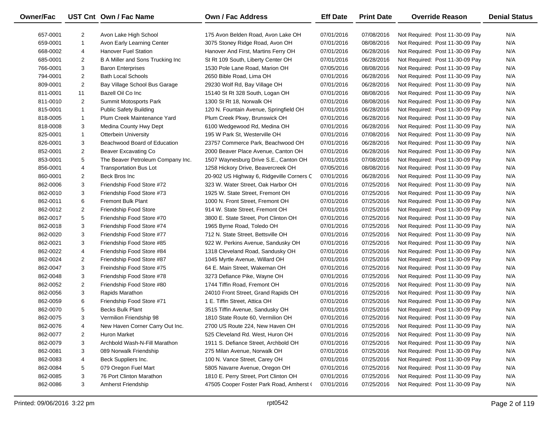| <b>Owner/Fac</b> |                | UST Cnt Own / Fac Name            | <b>Own / Fac Address</b>                  | <b>Eff Date</b> | <b>Print Date</b> | <b>Override Reason</b>          | <b>Denial Status</b> |
|------------------|----------------|-----------------------------------|-------------------------------------------|-----------------|-------------------|---------------------------------|----------------------|
| 657-0001         | $\overline{2}$ | Avon Lake High School             | 175 Avon Belden Road, Avon Lake OH        | 07/01/2016      | 07/08/2016        | Not Required: Post 11-30-09 Pay | N/A                  |
| 659-0001         | $\mathbf{1}$   | Avon Early Learning Center        | 3075 Stoney Ridge Road, Avon OH           | 07/01/2016      | 08/08/2016        | Not Required: Post 11-30-09 Pay | N/A                  |
| 668-0002         | 4              | <b>Hanover Fuel Station</b>       | Hanover And First, Martins Ferry OH       | 07/01/2016      | 06/28/2016        | Not Required: Post 11-30-09 Pay | N/A                  |
| 685-0001         | $\overline{c}$ | B A Miller and Sons Trucking Inc  | St Rt 109 South, Liberty Center OH        | 07/01/2016      | 06/28/2016        | Not Required: Post 11-30-09 Pay | N/A                  |
| 766-0001         | 3              | <b>Baron Enterprises</b>          | 1530 Pole Lane Road, Marion OH            | 07/05/2016      | 08/08/2016        | Not Required: Post 11-30-09 Pay | N/A                  |
| 794-0001         | $\overline{2}$ | <b>Bath Local Schools</b>         | 2650 Bible Road, Lima OH                  | 07/01/2016      | 06/28/2016        | Not Required: Post 11-30-09 Pay | N/A                  |
| 809-0001         | $\overline{c}$ | Bay Village School Bus Garage     | 29230 Wolf Rd, Bay Village OH             | 07/01/2016      | 06/28/2016        | Not Required: Post 11-30-09 Pay | N/A                  |
| 811-0001         | 11             | Bazell Oil Co Inc                 | 15140 St Rt 328 South, Logan OH           | 07/01/2016      | 08/08/2016        | Not Required: Post 11-30-09 Pay | N/A                  |
| 811-0010         | $\overline{2}$ | Summit Motosports Park            | 1300 St Rt 18, Norwalk OH                 | 07/01/2016      | 08/08/2016        | Not Required: Post 11-30-09 Pay | N/A                  |
| 815-0001         | $\mathbf{1}$   | <b>Public Safety Building</b>     | 120 N. Fountain Avenue, Springfield OH    | 07/01/2016      | 06/28/2016        | Not Required: Post 11-30-09 Pay | N/A                  |
| 818-0005         | $\mathbf{1}$   | Plum Creek Maintenance Yard       | Plum Creek Pkwy, Brunswick OH             | 07/01/2016      | 06/28/2016        | Not Required: Post 11-30-09 Pay | N/A                  |
| 818-0008         | 3              | Medina County Hwy Dept            | 6100 Wedgewood Rd, Medina OH              | 07/01/2016      | 06/28/2016        | Not Required: Post 11-30-09 Pay | N/A                  |
| 825-0001         | $\mathbf{1}$   | <b>Otterbein University</b>       | 195 W Park St, Westerville OH             | 07/01/2016      | 07/08/2016        | Not Required: Post 11-30-09 Pay | N/A                  |
| 826-0001         | 3              | Beachwood Board of Education      | 23757 Commerce Park, Beachwood OH         | 07/01/2016      | 06/28/2016        | Not Required: Post 11-30-09 Pay | N/A                  |
| 852-0001         | $\overline{c}$ | Beaver Excavating Co              | 2000 Beaver Place Avenue, Canton OH       | 07/01/2016      | 06/28/2016        | Not Required: Post 11-30-09 Pay | N/A                  |
| 853-0001         | 5              | The Beaver Petroleum Company Inc. | 1507 Waynesburg Drive S.E., Canton OH     | 07/01/2016      | 07/08/2016        | Not Required: Post 11-30-09 Pay | N/A                  |
| 856-0001         | 4              | <b>Transportation Bus Lot</b>     | 1258 Hickory Drive, Beavercreek OH        | 07/05/2016      | 08/08/2016        | Not Required: Post 11-30-09 Pay | N/A                  |
| 860-0001         | $\overline{2}$ | Beck Bros Inc                     | 20-902 US Highway 6, Ridgeville Corners C | 07/01/2016      | 06/28/2016        | Not Required: Post 11-30-09 Pay | N/A                  |
| 862-0006         | 3              | Friendship Food Store #72         | 323 W. Water Street, Oak Harbor OH        | 07/01/2016      | 07/25/2016        | Not Required: Post 11-30-09 Pay | N/A                  |
| 862-0010         | 3              | Friendship Food Store #73         | 1925 W. State Street, Fremont OH          | 07/01/2016      | 07/25/2016        | Not Required: Post 11-30-09 Pay | N/A                  |
| 862-0011         | 6              | <b>Fremont Bulk Plant</b>         | 1000 N. Front Street, Fremont OH          | 07/01/2016      | 07/25/2016        | Not Required: Post 11-30-09 Pay | N/A                  |
| 862-0012         | $\overline{2}$ | Friendship Food Store             | 914 W. State Street, Fremont OH           | 07/01/2016      | 07/25/2016        | Not Required: Post 11-30-09 Pay | N/A                  |
| 862-0017         | 5              | Friendship Food Store #70         | 3800 E. State Street, Port Clinton OH     | 07/01/2016      | 07/25/2016        | Not Required: Post 11-30-09 Pay | N/A                  |
| 862-0018         | 3              | Friendship Food Store #74         | 1965 Byrne Road, Toledo OH                | 07/01/2016      | 07/25/2016        | Not Required: Post 11-30-09 Pay | N/A                  |
| 862-0020         | 3              | Friendship Food Store #77         | 712 N. State Street, Bettsville OH        | 07/01/2016      | 07/25/2016        | Not Required: Post 11-30-09 Pay | N/A                  |
| 862-0021         | 3              | Friendship Food Store #85         | 922 W. Perkins Avenue, Sandusky OH        | 07/01/2016      | 07/25/2016        | Not Required: Post 11-30-09 Pay | N/A                  |
| 862-0022         | 4              | Friendship Food Store #84         | 1318 Cleveland Road, Sandusky OH          | 07/01/2016      | 07/25/2016        | Not Required: Post 11-30-09 Pay | N/A                  |
| 862-0024         | $\overline{c}$ | Friendship Food Store #87         | 1045 Myrtle Avenue, Willard OH            | 07/01/2016      | 07/25/2016        | Not Required: Post 11-30-09 Pay | N/A                  |
| 862-0047         | 3              | Freindship Food Store #75         | 64 E. Main Street, Wakeman OH             | 07/01/2016      | 07/25/2016        | Not Required: Post 11-30-09 Pay | N/A                  |
| 862-0048         | 3              | Friendship Food Store #78         | 3273 Defiance Pike, Wayne OH              | 07/01/2016      | 07/25/2016        | Not Required: Post 11-30-09 Pay | N/A                  |
| 862-0052         | $\overline{c}$ | Friendship Food Store #80         | 1744 Tiffin Road, Fremont OH              | 07/01/2016      | 07/25/2016        | Not Required: Post 11-30-09 Pay | N/A                  |
| 862-0056         | 3              | Rapids Marathon                   | 24010 Front Street, Grand Rapids OH       | 07/01/2016      | 07/25/2016        | Not Required: Post 11-30-09 Pay | N/A                  |
| 862-0059         | 6              | Friendship Food Store #71         | 1 E. Tiffin Street, Attica OH             | 07/01/2016      | 07/25/2016        | Not Required: Post 11-30-09 Pay | N/A                  |
| 862-0070         | 5              | <b>Becks Bulk Plant</b>           | 3515 Tiffin Avenue, Sandusky OH           | 07/01/2016      | 07/25/2016        | Not Required: Post 11-30-09 Pay | N/A                  |
| 862-0075         | 3              | Vermilion Friendship 98           | 1810 State Route 60, Vermilion OH         | 07/01/2016      | 07/25/2016        | Not Required: Post 11-30-09 Pay | N/A                  |
| 862-0076         | 4              | New Haven Corner Carry Out Inc.   | 2700 US Route 224, New Haven OH           | 07/01/2016      | 07/25/2016        | Not Required: Post 11-30-09 Pay | N/A                  |
| 862-0077         | 2              | Huron Market                      | 525 Cleveland Rd. West, Huron OH          | 07/01/2016      | 07/25/2016        | Not Required: Post 11-30-09 Pay | N/A                  |
| 862-0079         | 3              | Archbold Wash-N-Fill Marathon     | 1911 S. Defiance Street, Archbold OH      | 07/01/2016      | 07/25/2016        | Not Required: Post 11-30-09 Pay | N/A                  |
| 862-0081         | 3              | 089 Norwalk Friendship            | 275 Milan Avenue, Norwalk OH              | 07/01/2016      | 07/25/2016        | Not Required: Post 11-30-09 Pay | N/A                  |
| 862-0083         | 4              | Beck Suppliers Inc.               | 100 N. Vance Street, Carey OH             | 07/01/2016      | 07/25/2016        | Not Required: Post 11-30-09 Pay | N/A                  |
| 862-0084         | 5              | 079 Oregon Fuel Mart              | 5805 Navarre Avenue, Oregon OH            | 07/01/2016      | 07/25/2016        | Not Required: Post 11-30-09 Pay | N/A                  |
| 862-0085         | 3              | 76 Port Clinton Marathon          | 1810 E. Perry Street, Port Clinton OH     | 07/01/2016      | 07/25/2016        | Not Required: Post 11-30-09 Pay | N/A                  |
| 862-0086         | 3              | <b>Amherst Friendship</b>         | 47505 Cooper Foster Park Road, Amherst (  | 07/01/2016      | 07/25/2016        | Not Required: Post 11-30-09 Pay | N/A                  |

 $\overline{\phantom{0}}$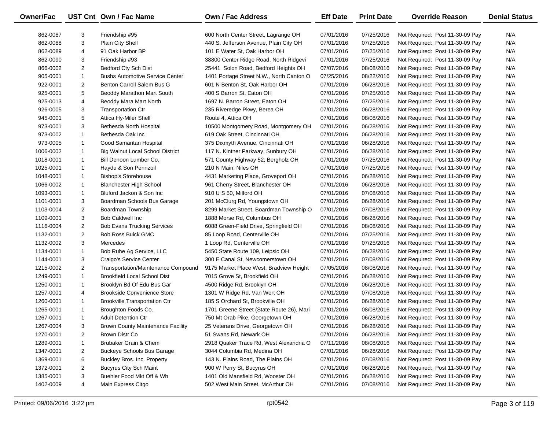| Owner/Fac |                | UST Cnt Own / Fac Name                 | <b>Own / Fac Address</b>                  | <b>Eff Date</b> | <b>Print Date</b> | <b>Override Reason</b>          | <b>Denial Status</b> |
|-----------|----------------|----------------------------------------|-------------------------------------------|-----------------|-------------------|---------------------------------|----------------------|
| 862-0087  | 3              | Friendship #95                         | 600 North Center Street, Lagrange OH      | 07/01/2016      | 07/25/2016        | Not Required: Post 11-30-09 Pay | N/A                  |
| 862-0088  | 3              | Plain City Shell                       | 440 S. Jefferson Avenue, Plain City OH    | 07/01/2016      | 07/25/2016        | Not Required: Post 11-30-09 Pay | N/A                  |
| 862-0089  | 4              | 91 Oak Harbor BP                       | 101 E Water St, Oak Harbor OH             | 07/01/2016      | 07/25/2016        | Not Required: Post 11-30-09 Pay | N/A                  |
| 862-0090  | 3              | Friendship #93                         | 38800 Center Ridge Road, North Ridgevi    | 07/01/2016      | 07/25/2016        | Not Required: Post 11-30-09 Pay | N/A                  |
| 866-0002  | $\overline{2}$ | Bedford Cty Sch Dist                   | 25441 Solon Road, Bedford Heights OH      | 07/07/2016      | 08/08/2016        | Not Required: Post 11-30-09 Pay | N/A                  |
| 905-0001  | $\mathbf{1}$   | <b>Bushs Automotive Service Center</b> | 1401 Portage Street N.W., North Canton O  | 07/25/2016      | 08/22/2016        | Not Required: Post 11-30-09 Pay | N/A                  |
| 922-0001  | $\overline{2}$ | Benton Carroll Salem Bus G             | 601 N Benton St, Oak Harbor OH            | 07/01/2016      | 06/28/2016        | Not Required: Post 11-30-09 Pay | N/A                  |
| 925-0001  | 5              | Beoddy Marathon Mart South             | 400 S Barron St, Eaton OH                 | 07/01/2016      | 07/25/2016        | Not Required: Post 11-30-09 Pay | N/A                  |
| 925-0013  | 4              | Beoddy Mara Mart North                 | 1697 N. Barron Street, Eaton OH           | 07/01/2016      | 07/25/2016        | Not Required: Post 11-30-09 Pay | N/A                  |
| 926-0005  | 3              | <b>Transportation Ctr</b>              | 235 Riveredge Pkwy, Berea OH              | 07/01/2016      | 06/28/2016        | Not Required: Post 11-30-09 Pay | N/A                  |
| 945-0001  | 5              | Attica Hy-Miler Shell                  | Route 4, Attica OH                        | 07/01/2016      | 08/08/2016        | Not Required: Post 11-30-09 Pay | N/A                  |
| 973-0001  | 3              | Bethesda North Hospital                | 10500 Montgomery Road, Montgomery OH      | 07/01/2016      | 06/28/2016        | Not Required: Post 11-30-09 Pay | N/A                  |
| 973-0002  | $\mathbf{1}$   | Bethesda Oak Inc                       | 619 Oak Street, Cincinnati OH             | 07/01/2016      | 06/28/2016        | Not Required: Post 11-30-09 Pay | N/A                  |
| 973-0005  | $\mathbf{1}$   | Good Samaritan Hospital                | 375 Dixmyth Avenue, Cincinnati OH         | 07/01/2016      | 06/28/2016        | Not Required: Post 11-30-09 Pay | N/A                  |
| 1006-0002 | $\mathbf{1}$   | Big Walnut Local School District       | 117 N. Kintner Parkway, Sunbury OH        | 07/01/2016      | 06/28/2016        | Not Required: Post 11-30-09 Pay | N/A                  |
| 1018-0001 | $\mathbf{1}$   | Bill Denoon Lumber Co.                 | 571 County Highway 52, Bergholz OH        | 07/01/2016      | 07/25/2016        | Not Required: Post 11-30-09 Pay | N/A                  |
| 1025-0001 | $\mathbf{1}$   | Haydu & Son Pennzoil                   | 210 N Main, Niles OH                      | 07/01/2016      | 07/25/2016        | Not Required: Post 11-30-09 Pay | N/A                  |
| 1048-0001 | $\mathbf{1}$   | <b>Bishop's Storehouse</b>             | 4431 Marketing Place, Groveport OH        | 07/01/2016      | 06/28/2016        | Not Required: Post 11-30-09 Pay | N/A                  |
| 1066-0002 | $\mathbf{1}$   | <b>Blanchester High School</b>         | 961 Cherry Street, Blanchester OH         | 07/01/2016      | 06/28/2016        | Not Required: Post 11-30-09 Pay | N/A                  |
| 1093-0001 | $\mathbf{1}$   | Bluford Jackon & Son Inc               | 910 U S 50, Milford OH                    | 07/01/2016      | 07/08/2016        | Not Required: Post 11-30-09 Pay | N/A                  |
| 1101-0001 | 3              | Boardman Schools Bus Garage            | 201 McClurg Rd, Youngstown OH             | 07/01/2016      | 06/28/2016        | Not Required: Post 11-30-09 Pay | N/A                  |
| 1103-0004 | $\overline{2}$ | Boardman Township                      | 8299 Market Street, Boardman Township O   | 07/01/2016      | 07/08/2016        | Not Required: Post 11-30-09 Pay | N/A                  |
| 1109-0001 | 3              | <b>Bob Caldwell Inc.</b>               | 1888 Morse Rd, Columbus OH                | 07/01/2016      | 06/28/2016        | Not Required: Post 11-30-09 Pay | N/A                  |
| 1116-0004 | $\overline{a}$ | <b>Bob Evans Trucking Services</b>     | 6088 Green-Field Drive, Springfield OH    | 07/01/2016      | 08/08/2016        | Not Required: Post 11-30-09 Pay | N/A                  |
| 1132-0001 | $\overline{2}$ | Bob Ross Buick GMC                     | 85 Loop Road, Centerville OH              | 07/01/2016      | 07/25/2016        | Not Required: Post 11-30-09 Pay | N/A                  |
| 1132-0002 | 3              | Mercedes                               | 1 Loop Rd, Centerville OH                 | 07/01/2016      | 07/25/2016        | Not Required: Post 11-30-09 Pay | N/A                  |
| 1134-0001 | $\mathbf{1}$   | Bob Ruhe Ag Service, LLC               | 5450 State Route 109, Leipsic OH          | 07/01/2016      | 06/28/2016        | Not Required: Post 11-30-09 Pay | N/A                  |
| 1144-0001 | 3              | Craigo's Service Center                | 300 E Canal St, Newcomerstown OH          | 07/01/2016      | 07/08/2016        | Not Required: Post 11-30-09 Pay | N/A                  |
| 1215-0002 | $\overline{2}$ | Transportation/Maintenance Compound    | 9175 Market Place West, Bradview Height   | 07/05/2016      | 08/08/2016        | Not Required: Post 11-30-09 Pay | N/A                  |
| 1249-0001 | $\mathbf{1}$   | <b>Brookfield Local School Dist</b>    | 7015 Grove St, Brookfield OH              | 07/01/2016      | 06/28/2016        | Not Required: Post 11-30-09 Pay | N/A                  |
| 1250-0001 | $\mathbf{1}$   | Brooklyn Bd Of Edu Bus Gar             | 4500 Ridge Rd, Brooklyn OH                | 07/01/2016      | 06/28/2016        | Not Required: Post 11-30-09 Pay | N/A                  |
| 1257-0001 | 4              | <b>Brookside Convenience Store</b>     | 1301 W Ridge Rd, Van Wert OH              | 07/01/2016      | 07/08/2016        | Not Required: Post 11-30-09 Pay | N/A                  |
| 1260-0001 | $\mathbf{1}$   | <b>Brookville Transportation Ctr</b>   | 185 S Orchard St, Brookville OH           | 07/01/2016      | 06/28/2016        | Not Required: Post 11-30-09 Pay | N/A                  |
| 1265-0001 | $\mathbf{1}$   | Broughton Foods Co.                    | 1701 Greene Street (State Route 26), Mari | 07/01/2016      | 08/08/2016        | Not Required: Post 11-30-09 Pay | N/A                  |
| 1267-0001 | $\mathbf{1}$   | <b>Adult Detention Ctr</b>             | 750 Mt Orab Pike, Georgetown OH           | 07/01/2016      | 06/28/2016        | Not Required: Post 11-30-09 Pay | N/A                  |
| 1267-0004 | 3              | Brown County Maintenance Facility      | 25 Veterans Drive, Georgetown OH          | 07/01/2016      | 06/28/2016        | Not Required: Post 11-30-09 Pay | N/A                  |
| 1270-0001 | $\overline{2}$ | Brown Distr Co                         | 51 Swans Rd, Newark OH                    | 07/01/2016      | 06/28/2016        | Not Required: Post 11-30-09 Pay | N/A                  |
| 1289-0001 | $\mathbf{1}$   | Brubaker Grain & Chem                  | 2918 Quaker Trace Rd, West Alexandria O   | 07/11/2016      | 08/08/2016        | Not Required: Post 11-30-09 Pay | N/A                  |
| 1347-0001 | 2              | <b>Buckeye Schools Bus Garage</b>      | 3044 Columbia Rd, Medina OH               | 07/01/2016      | 06/28/2016        | Not Required: Post 11-30-09 Pay | N/A                  |
| 1369-0001 | 6              | Buckley Bros. Inc. Property            | 143 N. Plains Road, The Plains OH         | 07/01/2016      | 07/08/2016        | Not Required: Post 11-30-09 Pay | N/A                  |
| 1372-0001 | $\overline{2}$ | <b>Bucyrus City Sch Maint</b>          | 900 W Perry St, Bucyrus OH                | 07/01/2016      | 06/28/2016        | Not Required: Post 11-30-09 Pay | N/A                  |
| 1385-0001 | 3              | Buehler Food Mkt Off & Wh              | 1401 Old Mansfield Rd, Wooster OH         | 07/01/2016      | 06/28/2016        | Not Required: Post 11-30-09 Pay | N/A                  |
| 1402-0009 | 4              | Main Express Citgo                     | 502 West Main Street, McArthur OH         | 07/01/2016      | 07/08/2016        | Not Required: Post 11-30-09 Pay | N/A                  |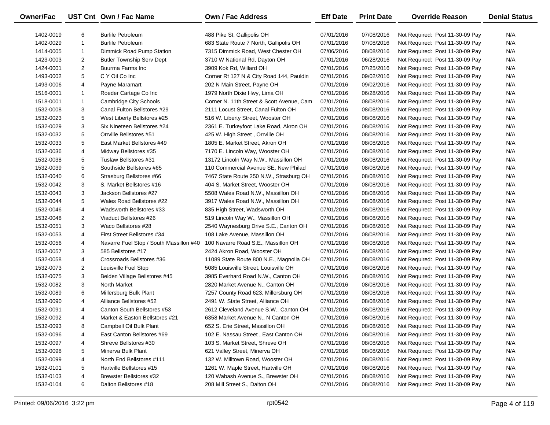| <b>Owner/Fac</b> |                | UST Cnt Own / Fac Name                  | <b>Own / Fac Address</b>                  | <b>Eff Date</b> | <b>Print Date</b> | <b>Override Reason</b>          | <b>Denial Status</b> |
|------------------|----------------|-----------------------------------------|-------------------------------------------|-----------------|-------------------|---------------------------------|----------------------|
| 1402-0019        | 6              | <b>Burlile Petroleum</b>                | 488 Pike St, Gallipolis OH                | 07/01/2016      | 07/08/2016        | Not Required: Post 11-30-09 Pay | N/A                  |
| 1402-0029        | $\mathbf{1}$   | <b>Burlile Petroleum</b>                | 683 State Route 7 North, Gallipolis OH    | 07/01/2016      | 07/08/2016        | Not Required: Post 11-30-09 Pay | N/A                  |
| 1414-0005        | $\mathbf{1}$   | Dimmick Road Pump Station               | 7315 Dimmick Road, West Chester OH        | 07/06/2016      | 08/08/2016        | Not Required: Post 11-30-09 Pay | N/A                  |
| 1423-0003        | $\overline{a}$ | <b>Butler Township Serv Dept</b>        | 3710 W National Rd, Dayton OH             | 07/01/2016      | 06/28/2016        | Not Required: Post 11-30-09 Pay | N/A                  |
| 1424-0001        | $\overline{2}$ | Buurma Farms Inc                        | 3909 Kok Rd, Willard OH                   | 07/01/2016      | 07/25/2016        | Not Required: Post 11-30-09 Pay | N/A                  |
| 1493-0002        | 5              | C Y Oil Co Inc                          | Corner Rt 127 N & City Road 144, Pauldin  | 07/01/2016      | 09/02/2016        | Not Required: Post 11-30-09 Pay | N/A                  |
| 1493-0006        | 4              | Payne Maramart                          | 202 N Main Street, Payne OH               | 07/01/2016      | 09/02/2016        | Not Required: Post 11-30-09 Pay | N/A                  |
| 1516-0001        | $\mathbf{1}$   | Roeder Cartage Co Inc                   | 1979 North Dixie Hwy, Lima OH             | 07/01/2016      | 06/28/2016        | Not Required: Post 11-30-09 Pay | N/A                  |
| 1518-0001        | 1              | Cambridge City Schools                  | Corner N. 11th Street & Scott Avenue, Cam | 07/01/2016      | 08/08/2016        | Not Required: Post 11-30-09 Pay | N/A                  |
| 1532-0008        | 3              | Canal Fulton Bellstores #29             | 2111 Locust Street, Canal Fulton OH       | 07/01/2016      | 08/08/2016        | Not Required: Post 11-30-09 Pay | N/A                  |
| 1532-0023        | 5              | West Liberty Bellstores #25             | 516 W. Liberty Street, Wooster OH         | 07/01/2016      | 08/08/2016        | Not Required: Post 11-30-09 Pay | N/A                  |
| 1532-0029        | 3              | Six Nineteen Bellstores #24             | 2361 E. Turkeyfoot Lake Road, Akron OH    | 07/01/2016      | 08/08/2016        | Not Required: Post 11-30-09 Pay | N/A                  |
| 1532-0032        | 5              | Orrville Bellstores #51                 | 425 W. High Street, Orrville OH           | 07/01/2016      | 08/08/2016        | Not Required: Post 11-30-09 Pay | N/A                  |
| 1532-0033        | 5              | East Market Bellstores #49              | 1805 E. Market Street, Akron OH           | 07/01/2016      | 08/08/2016        | Not Required: Post 11-30-09 Pay | N/A                  |
| 1532-0036        | 4              | Midway Bellstores #35                   | 7170 E. Lincoln Way, Wooster OH           | 07/01/2016      | 08/08/2016        | Not Required: Post 11-30-09 Pay | N/A                  |
| 1532-0038        | 5              | Tuslaw Bellstores #31                   | 13172 Lincoln Way N.W., Massillon OH      | 07/01/2016      | 08/08/2016        | Not Required: Post 11-30-09 Pay | N/A                  |
| 1532-0039        | 5              | Southside Bellstores #65                | 110 Commercial Avenue SE, New Philad      | 07/01/2016      | 08/08/2016        | Not Required: Post 11-30-09 Pay | N/A                  |
| 1532-0040        | 6              | Strasburg Bellstores #66                | 7467 State Route 250 N.W., Strasburg OH   | 07/01/2016      | 08/08/2016        | Not Required: Post 11-30-09 Pay | N/A                  |
| 1532-0042        | 3              | S. Market Bellstores #16                | 404 S. Market Street, Wooster OH          | 07/01/2016      | 08/08/2016        | Not Required: Post 11-30-09 Pay | N/A                  |
| 1532-0043        | 3              | Jackson Bellstores #27                  | 5508 Wales Road N.W., Massillon OH        | 07/01/2016      | 08/08/2016        | Not Required: Post 11-30-09 Pay | N/A                  |
| 1532-0044        | 5              | Wales Road Bellstores #22               | 3917 Wales Road N.W., Massillon OH        | 07/01/2016      | 08/08/2016        | Not Required: Post 11-30-09 Pay | N/A                  |
| 1532-0046        | 4              | Wadsworth Bellstores #33                | 835 High Street, Wadsworth OH             | 07/01/2016      | 08/08/2016        | Not Required: Post 11-30-09 Pay | N/A                  |
| 1532-0048        | $\overline{2}$ | Viaduct Bellstores #26                  | 519 Lincoln Way W., Massillon OH          | 07/01/2016      | 08/08/2016        | Not Required: Post 11-30-09 Pay | N/A                  |
| 1532-0051        | 3              | Waco Bellstores #28                     | 2540 Waynesburg Drive S.E., Canton OH     | 07/01/2016      | 08/08/2016        | Not Required: Post 11-30-09 Pay | N/A                  |
| 1532-0053        | 4              | First Street Bellstores #34             | 108 Lake Avenue, Massillon OH             | 07/01/2016      | 08/08/2016        | Not Required: Post 11-30-09 Pay | N/A                  |
| 1532-0056        | 4              | Navarre Fuel Stop / South Massillon #40 | 100 Navarre Road S.E., Massillon OH       | 07/01/2016      | 08/08/2016        | Not Required: Post 11-30-09 Pay | N/A                  |
| 1532-0057        | 3              | 585 Bellstores #17                      | 2424 Akron Road, Wooster OH               | 07/01/2016      | 08/08/2016        | Not Required: Post 11-30-09 Pay | N/A                  |
| 1532-0058        | 4              | Crossroads Bellstores #36               | 11089 State Route 800 N.E., Magnolia OH   | 07/01/2016      | 08/08/2016        | Not Required: Post 11-30-09 Pay | N/A                  |
| 1532-0073        | 2              | Louisville Fuel Stop                    | 5085 Louisville Street, Louisville OH     | 07/01/2016      | 08/08/2016        | Not Required: Post 11-30-09 Pay | N/A                  |
| 1532-0075        | 3              | Belden Village Bellstores #45           | 3985 Everhard Road N.W., Canton OH        | 07/01/2016      | 08/08/2016        | Not Required: Post 11-30-09 Pay | N/A                  |
| 1532-0082        | 3              | North Market                            | 2820 Market Avenue N., Canton OH          | 07/01/2016      | 08/08/2016        | Not Required: Post 11-30-09 Pay | N/A                  |
| 1532-0089        | 6              | Millersburg Bulk Plant                  | 7257 County Road 623, Millersburg OH      | 07/01/2016      | 08/08/2016        | Not Required: Post 11-30-09 Pay | N/A                  |
| 1532-0090        | 4              | Alliance Bellstores #52                 | 2491 W. State Street, Alliance OH         | 07/01/2016      | 08/08/2016        | Not Required: Post 11-30-09 Pay | N/A                  |
| 1532-0091        | 4              | Canton South Bellstores #53             | 2612 Cleveland Avenue S.W., Canton OH     | 07/01/2016      | 08/08/2016        | Not Required: Post 11-30-09 Pay | N/A                  |
| 1532-0092        | 4              | Market & Easton Bellstores #21          | 6358 Market Avenue N., N Canton OH        | 07/01/2016      | 08/08/2016        | Not Required: Post 11-30-09 Pay | N/A                  |
| 1532-0093        | 8              | Campbell Oil Bulk Plant                 | 652 S. Erie Street, Massillon OH          | 07/01/2016      | 08/08/2016        | Not Required: Post 11-30-09 Pay | N/A                  |
| 1532-0096        | 4              | East Canton Bellstores #69              | 102 E. Nassau Street, East Canton OH      | 07/01/2016      | 08/08/2016        | Not Required: Post 11-30-09 Pay | N/A                  |
| 1532-0097        | 4              | Shreve Bellstores #30                   | 103 S. Market Street, Shreve OH           | 07/01/2016      | 08/08/2016        | Not Required: Post 11-30-09 Pay | N/A                  |
| 1532-0098        | 5              | Minerva Bulk Plant                      | 621 Valley Street, Minerva OH             | 07/01/2016      | 08/08/2016        | Not Required: Post 11-30-09 Pay | N/A                  |
| 1532-0099        | 4              | North End Bellstores #111               | 132 W. Milltown Road, Wooster OH          | 07/01/2016      | 08/08/2016        | Not Required: Post 11-30-09 Pay | N/A                  |
| 1532-0101        | 5              | Hartville Bellstores #15                | 1261 W. Maple Street, Hartville OH        | 07/01/2016      | 08/08/2016        | Not Required: Post 11-30-09 Pay | N/A                  |
| 1532-0103        | 4              | Brewster Bellstores #32                 | 120 Wabash Avenue S., Brewster OH         | 07/01/2016      | 08/08/2016        | Not Required: Post 11-30-09 Pay | N/A                  |
| 1532-0104        | 6              | Dalton Bellstores #18                   | 208 Mill Street S., Dalton OH             | 07/01/2016      | 08/08/2016        | Not Required: Post 11-30-09 Pay | N/A                  |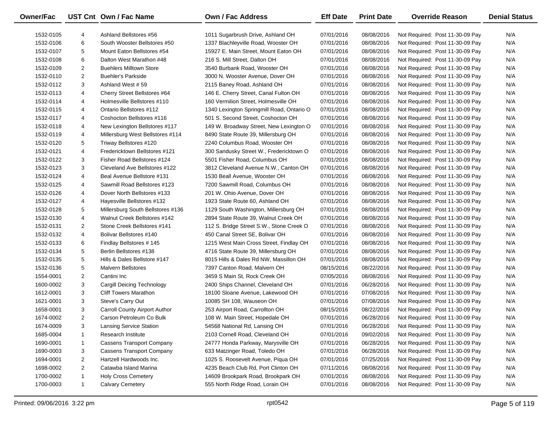| <b>Owner/Fac</b> |                | UST Cnt Own / Fac Name            | <b>Own / Fac Address</b>                  | <b>Eff Date</b> | <b>Print Date</b> | <b>Override Reason</b>          | <b>Denial Status</b> |
|------------------|----------------|-----------------------------------|-------------------------------------------|-----------------|-------------------|---------------------------------|----------------------|
| 1532-0105        | 4              | Ashland Bellstores #56            | 1011 Sugarbrush Drive, Ashland OH         | 07/01/2016      | 08/08/2016        | Not Required: Post 11-30-09 Pay | N/A                  |
| 1532-0106        | 6              | South Wooster Bellstores #50      | 1337 Blachleyville Road, Wooster OH       | 07/01/2016      | 08/08/2016        | Not Required: Post 11-30-09 Pay | N/A                  |
| 1532-0107        | 5              | Mount Eaton Bellstores #54        | 15927 E. Main Street, Mount Eaton OH      | 07/01/2016      | 08/08/2016        | Not Required: Post 11-30-09 Pay | N/A                  |
| 1532-0108        | 6              | Dalton West Marathon #48          | 216 S. Mill Street, Dalton OH             | 07/01/2016      | 08/08/2016        | Not Required: Post 11-30-09 Pay | N/A                  |
| 1532-0109        | $\overline{2}$ | <b>Buehlers Milltown Store</b>    | 3540 Burbank Road, Wooster OH             | 07/01/2016      | 08/08/2016        | Not Required: Post 11-30-09 Pay | N/A                  |
| 1532-0110        | $\overline{2}$ | <b>Buehler's Parkside</b>         | 3000 N. Wooster Avenue, Dover OH          | 07/01/2016      | 08/08/2016        | Not Required: Post 11-30-09 Pay | N/A                  |
| 1532-0112        | 3              | Ashland West #59                  | 2115 Baney Road, Ashland OH               | 07/01/2016      | 08/08/2016        | Not Required: Post 11-30-09 Pay | N/A                  |
| 1532-0113        | 4              | Cherry Street Bellstores #64      | 146 E. Cherry Street, Canal Fulton OH     | 07/01/2016      | 08/08/2016        | Not Required: Post 11-30-09 Pay | N/A                  |
| 1532-0114        | 4              | Holmesville Bellstores #110       | 160 Vermilion Street, Holmesville OH      | 07/01/2016      | 08/08/2016        | Not Required: Post 11-30-09 Pay | N/A                  |
| 1532-0115        | 4              | Ontario Bellstores #112           | 1340 Lexington Springmill Road, Ontario O | 07/01/2016      | 08/08/2016        | Not Required: Post 11-30-09 Pay | N/A                  |
| 1532-0117        | 4              | Coshocton Bellstores #116         | 501 S. Second Street, Coshocton OH        | 07/01/2016      | 08/08/2016        | Not Required: Post 11-30-09 Pay | N/A                  |
| 1532-0118        | 4              | New Lexington Bellstores #117     | 149 W. Broadway Street, New Lexington O   | 07/01/2016      | 08/08/2016        | Not Required: Post 11-30-09 Pay | N/A                  |
| 1532-0119        | 4              | Millersburg West Bellstores #114  | 8490 State Route 39, Millersburg OH       | 07/01/2016      | 08/08/2016        | Not Required: Post 11-30-09 Pay | N/A                  |
| 1532-0120        | 5              | Triway Bellstores #120            | 2240 Columbus Road, Wooster OH            | 07/01/2016      | 08/08/2016        | Not Required: Post 11-30-09 Pay | N/A                  |
| 1532-0121        | 4              | Fredericktown Bellstores #121     | 300 Sandusky Street W., Fredericktown O   | 07/01/2016      | 08/08/2016        | Not Required: Post 11-30-09 Pay | N/A                  |
| 1532-0122        | 3              | Fisher Road Bellstores #124       | 5501 Fisher Road, Columbus OH             | 07/01/2016      | 08/08/2016        | Not Required: Post 11-30-09 Pay | N/A                  |
| 1532-0123        | 3              | Cleveland Ave Bellstores #122     | 3812 Cleveland Avenue N.W., Canton OH     | 07/01/2016      | 08/08/2016        | Not Required: Post 11-30-09 Pay | N/A                  |
| 1532-0124        | 4              | Beal Avenue Bellstore #131        | 1530 Beall Avenue, Wooster OH             | 07/01/2016      | 08/08/2016        | Not Required: Post 11-30-09 Pay | N/A                  |
| 1532-0125        | 4              | Sawmill Road Bellstores #123      | 7200 Sawmill Road, Columbus OH            | 07/01/2016      | 08/08/2016        | Not Required: Post 11-30-09 Pay | N/A                  |
| 1532-0126        | 4              | Dover North Bellstores #133       | 201 W. Ohio Avenue, Dover OH              | 07/01/2016      | 08/08/2016        | Not Required: Post 11-30-09 Pay | N/A                  |
| 1532-0127        | 4              | Hayesville Bellstores #132        | 1923 State Route 60, Ashland OH           | 07/01/2016      | 08/08/2016        | Not Required: Post 11-30-09 Pay | N/A                  |
| 1532-0128        | 5              | Millersburg South Bellstores #136 | 1129 South Washington, Millersburg OH     | 07/01/2016      | 08/08/2016        | Not Required: Post 11-30-09 Pay | N/A                  |
| 1532-0130        | 4              | Walnut Creek Bellstores #142      | 2894 State Route 39, Walnut Creek OH      | 07/01/2016      | 08/08/2016        | Not Required: Post 11-30-09 Pay | N/A                  |
| 1532-0131        | $\overline{2}$ | Stone Creek Bellstores #141       | 112 S. Bridge Street S.W., Stone Creek O  | 07/01/2016      | 08/08/2016        | Not Required: Post 11-30-09 Pay | N/A                  |
| 1532-0132        | 4              | Bolivar Bellstores #140           | 450 Canal Street SE, Bolivar OH           | 07/01/2016      | 08/08/2016        | Not Required: Post 11-30-09 Pay | N/A                  |
| 1532-0133        | 6              | Findlay Bellstores #145           | 1215 West Main Cross Street, Findlay OH   | 07/01/2016      | 08/08/2016        | Not Required: Post 11-30-09 Pay | N/A                  |
| 1532-0134        | 5              | Berlin Bellstores #138            | 4716 State Route 39, Millersburg OH       | 07/01/2016      | 08/08/2016        | Not Required: Post 11-30-09 Pay | N/A                  |
| 1532-0135        | 5              | Hills & Dales Bellstore #147      | 8015 Hills & Dales Rd NW, Massillon OH    | 07/01/2016      | 08/08/2016        | Not Required: Post 11-30-09 Pay | N/A                  |
| 1532-0136        | 5              | <b>Malvern Bellstores</b>         | 7397 Canton Road, Malvern OH              | 08/15/2016      | 08/22/2016        | Not Required: Post 11-30-09 Pay | N/A                  |
| 1554-0001        | $\overline{c}$ | Cantini Inc                       | 3459 S Main St, Rock Creek OH             | 07/05/2016      | 08/08/2016        | Not Required: Post 11-30-09 Pay | N/A                  |
| 1600-0002        | 3              | Cargill Deicing Technology        | 2400 Ships Channel, Cleveland OH          | 07/01/2016      | 06/28/2016        | Not Required: Post 11-30-09 Pay | N/A                  |
| 1612-0001        | 3              | <b>Cliff Towers Marathon</b>      | 18100 Sloane Avenue, Lakewood OH          | 07/01/2016      | 07/08/2016        | Not Required: Post 11-30-09 Pay | N/A                  |
| 1621-0001        | 3              | Steve's Carry Out                 | 10085 SH 108, Wauseon OH                  | 07/01/2016      | 07/08/2016        | Not Required: Post 11-30-09 Pay | N/A                  |
| 1658-0001        | 3              | Carroll County Airport Author     | 253 Airport Road, Carrollton OH           | 08/15/2016      | 08/22/2016        | Not Required: Post 11-30-09 Pay | N/A                  |
| 1674-0002        | $\overline{2}$ | Carson Petroleum Co Bulk          | 108 W. Main Street, Hopedale OH           | 07/01/2016      | 06/28/2016        | Not Required: Post 11-30-09 Pay | N/A                  |
| 1674-0009        | 3              | <b>Lansing Service Station</b>    | 54568 National Rd, Lansing OH             | 07/01/2016      | 06/28/2016        | Not Required: Post 11-30-09 Pay | N/A                  |
| 1685-0004        | 1              | Research Institute                | 2103 Cornell Road, Cleveland OH           | 07/01/2016      | 09/02/2016        | Not Required: Post 11-30-09 Pay | N/A                  |
| 1690-0001        | 1              | <b>Cassens Transport Company</b>  | 24777 Honda Parkway, Marysville OH        | 07/01/2016      | 06/28/2016        | Not Required: Post 11-30-09 Pay | N/A                  |
| 1690-0003        | 3              | <b>Cassens Transport Company</b>  | 633 Matzinger Road, Toledo OH             | 07/01/2016      | 06/28/2016        | Not Required: Post 11-30-09 Pay | N/A                  |
| 1694-0001        | $\overline{c}$ | Hartzell Hardwoods Inc.           | 1025 S. Roosevelt Avenue, Piqua OH        | 07/01/2016      | 07/25/2016        | Not Required: Post 11-30-09 Pay | N/A                  |
| 1698-0002        | $\overline{2}$ | Catawba Island Marina             | 4235 Beach Club Rd, Port Clinton OH       | 07/11/2016      | 08/08/2016        | Not Required: Post 11-30-09 Pay | N/A                  |
| 1700-0002        | $\mathbf{1}$   | <b>Holy Cross Cemetery</b>        | 14609 Brookpark Road, Brookpark OH        | 07/01/2016      | 08/08/2016        | Not Required: Post 11-30-09 Pay | N/A                  |
| 1700-0003        | $\mathbf{1}$   | <b>Calvary Cemetery</b>           | 555 North Ridge Road, Lorain OH           | 07/01/2016      | 08/08/2016        | Not Required: Post 11-30-09 Pay | N/A                  |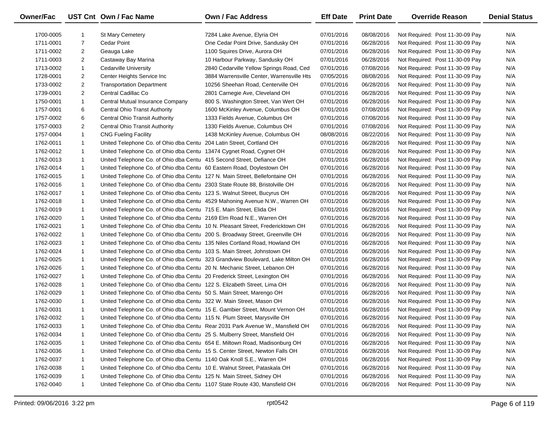| Owner/Fac |                | UST Cnt Own / Fac Name                                                       | <b>Own / Fac Address</b>                                                       | <b>Eff Date</b> | <b>Print Date</b> | <b>Override Reason</b>          | <b>Denial Status</b> |
|-----------|----------------|------------------------------------------------------------------------------|--------------------------------------------------------------------------------|-----------------|-------------------|---------------------------------|----------------------|
| 1700-0005 |                | <b>St Mary Cemetery</b>                                                      | 7284 Lake Avenue, Elyria OH                                                    | 07/01/2016      | 08/08/2016        | Not Required: Post 11-30-09 Pay | N/A                  |
| 1711-0001 | $\overline{7}$ | Cedar Point                                                                  | One Cedar Point Drive, Sandusky OH                                             | 07/01/2016      | 06/28/2016        | Not Required: Post 11-30-09 Pay | N/A                  |
| 1711-0002 | $\overline{2}$ | Geauga Lake                                                                  | 1100 Squires Drive, Aurora OH                                                  | 07/01/2016      | 06/28/2016        | Not Required: Post 11-30-09 Pay | N/A                  |
| 1711-0003 | $\overline{2}$ | Castaway Bay Marina                                                          | 10 Harbour Parkway, Sandusky OH                                                | 07/01/2016      | 06/28/2016        | Not Required: Post 11-30-09 Pay | N/A                  |
| 1713-0002 | $\mathbf{1}$   | <b>Cedarville University</b>                                                 | 2840 Cedarville Yellow Springs Road, Ced                                       | 07/01/2016      | 07/08/2016        | Not Required: Post 11-30-09 Pay | N/A                  |
| 1728-0001 | $\overline{2}$ | Center Heights Service Inc                                                   | 3884 Warrensville Center, Warrensville Hts                                     | 07/05/2016      | 08/08/2016        | Not Required: Post 11-30-09 Pay | N/A                  |
| 1733-0002 | $\overline{2}$ | <b>Transportation Department</b>                                             | 10256 Sheehan Road, Centerville OH                                             | 07/01/2016      | 06/28/2016        | Not Required: Post 11-30-09 Pay | N/A                  |
| 1739-0001 | $\overline{2}$ | Central Cadillac Co                                                          | 2801 Carnegie Ave, Cleveland OH                                                | 07/01/2016      | 06/28/2016        | Not Required: Post 11-30-09 Pay | N/A                  |
| 1750-0001 | $\mathbf{1}$   | Central Mutual Insurance Company                                             | 800 S. Washington Street, Van Wert OH                                          | 07/01/2016      | 06/28/2016        | Not Required: Post 11-30-09 Pay | N/A                  |
| 1757-0001 | 6              | <b>Central Ohio Transt Authority</b>                                         | 1600 McKinley Avenue, Columbus OH                                              | 07/01/2016      | 07/08/2016        | Not Required: Post 11-30-09 Pay | N/A                  |
| 1757-0002 | 6              | <b>Central Ohio Transit Authority</b>                                        | 1333 Fields Avenue, Columbus OH                                                | 07/01/2016      | 07/08/2016        | Not Required: Post 11-30-09 Pay | N/A                  |
| 1757-0003 | $\overline{2}$ | Central Ohio Transit Authority                                               | 1330 Fields Avenue, Columbus OH                                                | 07/01/2016      | 07/08/2016        | Not Required: Post 11-30-09 Pay | N/A                  |
| 1757-0004 | $\mathbf{1}$   | <b>CNG Fueling Facility</b>                                                  | 1438 McKinley Avenue, Columbus OH                                              | 08/08/2016      | 08/22/2016        | Not Required: Post 11-30-09 Pay | N/A                  |
| 1762-0011 | $\mathbf{1}$   | United Telephone Co. of Ohio dba Centu 204 Latin Street, Cortland OH         |                                                                                | 07/01/2016      | 06/28/2016        | Not Required: Post 11-30-09 Pay | N/A                  |
| 1762-0012 | $\mathbf{1}$   | United Telephone Co. of Ohio dba Centu 13474 Cygnet Road, Cygnet OH          |                                                                                | 07/01/2016      | 06/28/2016        | Not Required: Post 11-30-09 Pay | N/A                  |
| 1762-0013 | $\mathbf{1}$   | United Telephone Co. of Ohio dba Centu 415 Second Street, Defiance OH        |                                                                                | 07/01/2016      | 06/28/2016        | Not Required: Post 11-30-09 Pay | N/A                  |
| 1762-0014 | $\mathbf{1}$   | United Telephone Co. of Ohio dba Centu 60 Eastern Road, Doylestown OH        |                                                                                | 07/01/2016      | 06/28/2016        | Not Required: Post 11-30-09 Pay | N/A                  |
| 1762-0015 | $\mathbf{1}$   | United Telephone Co. of Ohio dba Centu 127 N. Main Street, Bellefontaine OH  |                                                                                | 07/01/2016      | 06/28/2016        | Not Required: Post 11-30-09 Pay | N/A                  |
| 1762-0016 | $\mathbf{1}$   | United Telephone Co. of Ohio dba Centu 2303 State Route 88, Bristolville OH  |                                                                                | 07/01/2016      | 06/28/2016        | Not Required: Post 11-30-09 Pay | N/A                  |
| 1762-0017 | $\mathbf{1}$   | United Telephone Co. of Ohio dba Centu 123 S. Walnut Street, Bucyrus OH      |                                                                                | 07/01/2016      | 06/28/2016        | Not Required: Post 11-30-09 Pay | N/A                  |
| 1762-0018 | $\mathbf{1}$   |                                                                              | United Telephone Co. of Ohio dba Centu 4529 Mahoning Avenue N.W., Warren OH    | 07/01/2016      | 06/28/2016        | Not Required: Post 11-30-09 Pay | N/A                  |
| 1762-0019 | $\mathbf{1}$   | United Telephone Co. of Ohio dba Centu 715 E. Main Street, Elida OH          |                                                                                | 07/01/2016      | 06/28/2016        | Not Required: Post 11-30-09 Pay | N/A                  |
| 1762-0020 | $\mathbf{1}$   | United Telephone Co. of Ohio dba Centu 2169 Elm Road N.E., Warren OH         |                                                                                | 07/01/2016      | 06/28/2016        | Not Required: Post 11-30-09 Pay | N/A                  |
| 1762-0021 | $\mathbf{1}$   |                                                                              | United Telephone Co. of Ohio dba Centu 10 N. Pleasant Street, Fredericktown OH | 07/01/2016      | 06/28/2016        | Not Required: Post 11-30-09 Pay | N/A                  |
| 1762-0022 | $\mathbf{1}$   | United Telephone Co. of Ohio dba Centu 200 S. Broadway Street, Greenville OH |                                                                                | 07/01/2016      | 06/28/2016        | Not Required: Post 11-30-09 Pay | N/A                  |
| 1762-0023 | $\mathbf{1}$   | United Telephone Co. of Ohio dba Centu 135 Niles Cortland Road, Howland OH   |                                                                                | 07/01/2016      | 06/28/2016        | Not Required: Post 11-30-09 Pay | N/A                  |
| 1762-0024 | $\mathbf{1}$   | United Telephone Co. of Ohio dba Centu 103 S. Main Street, Johnstown OH      |                                                                                | 07/01/2016      | 06/28/2016        | Not Required: Post 11-30-09 Pay | N/A                  |
| 1762-0025 | $\mathbf{1}$   |                                                                              | United Telephone Co. of Ohio dba Centu 323 Grandview Boulevard, Lake Milton OH | 07/01/2016      | 06/28/2016        | Not Required: Post 11-30-09 Pay | N/A                  |
| 1762-0026 | $\mathbf{1}$   | United Telephone Co. of Ohio dba Centu 20 N. Mechanic Street, Lebanon OH     |                                                                                | 07/01/2016      | 06/28/2016        | Not Required: Post 11-30-09 Pay | N/A                  |
| 1762-0027 | $\mathbf{1}$   | United Telephone Co. of Ohio dba Centu 20 Frederick Street, Lexington OH     |                                                                                | 07/01/2016      | 06/28/2016        | Not Required: Post 11-30-09 Pay | N/A                  |
| 1762-0028 | $\mathbf{1}$   | United Telephone Co. of Ohio dba Centu 122 S. Elizabeth Street, Lima OH      |                                                                                | 07/01/2016      | 06/28/2016        | Not Required: Post 11-30-09 Pay | N/A                  |
| 1762-0029 | $\mathbf{1}$   | United Telephone Co. of Ohio dba Centu 50 S. Main Street, Marengo OH         |                                                                                | 07/01/2016      | 06/28/2016        | Not Required: Post 11-30-09 Pay | N/A                  |
| 1762-0030 | $\mathbf{1}$   | United Telephone Co. of Ohio dba Centu 322 W. Main Street, Mason OH          |                                                                                | 07/01/2016      | 06/28/2016        | Not Required: Post 11-30-09 Pay | N/A                  |
| 1762-0031 | $\mathbf{1}$   |                                                                              | United Telephone Co. of Ohio dba Centu 15 E. Gambier Street, Mount Vernon OH   | 07/01/2016      | 06/28/2016        | Not Required: Post 11-30-09 Pay | N/A                  |
| 1762-0032 | $\mathbf{1}$   | United Telephone Co. of Ohio dba Centu 115 N. Plum Street, Marysville OH     |                                                                                | 07/01/2016      | 06/28/2016        | Not Required: Post 11-30-09 Pay | N/A                  |
| 1762-0033 | -1             |                                                                              | United Telephone Co. of Ohio dba Centu Rear 2031 Park Avenue W., Mansfield OH  | 07/01/2016      | 06/28/2016        | Not Required: Post 11-30-09 Pay | N/A                  |
| 1762-0034 |                | United Telephone Co. of Ohio dba Centu 25 S. Mulberry Street, Mansfield OH   |                                                                                | 07/01/2016      | 06/28/2016        | Not Required: Post 11-30-09 Pay | N/A                  |
| 1762-0035 |                | United Telephone Co. of Ohio dba Centu 654 E. Miltown Road, Madisonburg OH   |                                                                                | 07/01/2016      | 06/28/2016        | Not Required: Post 11-30-09 Pay | N/A                  |
| 1762-0036 |                | United Telephone Co. of Ohio dba Centu 15 S. Center Street, Newton Falls OH  |                                                                                | 07/01/2016      | 06/28/2016        | Not Required: Post 11-30-09 Pay | N/A                  |
| 1762-0037 |                | United Telephone Co. of Ohio dba Centu 1140 Oak Knoll S.E., Warren OH        |                                                                                | 07/01/2016      | 06/28/2016        | Not Required: Post 11-30-09 Pay | N/A                  |
| 1762-0038 |                | United Telephone Co. of Ohio dba Centu 10 E. Walnut Street, Pataskala OH     |                                                                                | 07/01/2016      | 06/28/2016        | Not Required: Post 11-30-09 Pay | N/A                  |
| 1762-0039 | 1              | United Telephone Co. of Ohio dba Centu 125 N. Main Street, Sidney OH         |                                                                                | 07/01/2016      | 06/28/2016        | Not Required: Post 11-30-09 Pay | N/A                  |
| 1762-0040 | $\mathbf{1}$   | United Telephone Co. of Ohio dba Centu 1107 State Route 430, Mansfield OH    |                                                                                | 07/01/2016      | 06/28/2016        | Not Required: Post 11-30-09 Pay | N/A                  |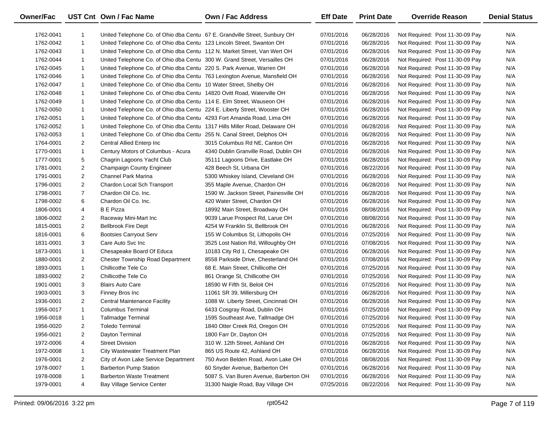| <b>Owner/Fac</b> |                | UST Cnt Own / Fac Name                                                     | Own / Fac Address                      | <b>Eff Date</b> | <b>Print Date</b> | <b>Override Reason</b>          | <b>Denial Status</b> |
|------------------|----------------|----------------------------------------------------------------------------|----------------------------------------|-----------------|-------------------|---------------------------------|----------------------|
| 1762-0041        | $\mathbf{1}$   | United Telephone Co. of Ohio dba Centu 67 E. Grandville Street, Sunbury OH |                                        | 07/01/2016      | 06/28/2016        | Not Required: Post 11-30-09 Pay | N/A                  |
| 1762-0042        | $\mathbf{1}$   | United Telephone Co. of Ohio dba Centu 123 Lincoln Street, Swanton OH      |                                        | 07/01/2016      | 06/28/2016        | Not Required: Post 11-30-09 Pay | N/A                  |
| 1762-0043        | $\mathbf{1}$   | United Telephone Co. of Ohio dba Centu 112 N. Market Street, Van Wert OH   |                                        | 07/01/2016      | 06/28/2016        | Not Required: Post 11-30-09 Pay | N/A                  |
| 1762-0044        | $\mathbf{1}$   | United Telephone Co. of Ohio dba Centu 300 W. Grand Street, Versailles OH  |                                        | 07/01/2016      | 06/28/2016        | Not Required: Post 11-30-09 Pay | N/A                  |
| 1762-0045        | $\mathbf{1}$   | United Telephone Co. of Ohio dba Centu 220 S. Park Avenue, Warren OH       |                                        | 07/01/2016      | 06/28/2016        | Not Required: Post 11-30-09 Pay | N/A                  |
| 1762-0046        | $\mathbf{1}$   | United Telephone Co. of Ohio dba Centu 763 Lexington Avenue, Mansfield OH  |                                        | 07/01/2016      | 06/28/2016        | Not Required: Post 11-30-09 Pay | N/A                  |
| 1762-0047        | $\mathbf{1}$   | United Telephone Co. of Ohio dba Centu 10 Water Street, Shelby OH          |                                        | 07/01/2016      | 06/28/2016        | Not Required: Post 11-30-09 Pay | N/A                  |
| 1762-0048        | $\mathbf{1}$   | United Telephone Co. of Ohio dba Centu 14820 Ovitt Road, Waterville OH     |                                        | 07/01/2016      | 06/28/2016        | Not Required: Post 11-30-09 Pay | N/A                  |
| 1762-0049        | $\mathbf{1}$   | United Telephone Co. of Ohio dba Centu 114 E. Elm Street, Wauseon OH       |                                        | 07/01/2016      | 06/28/2016        | Not Required: Post 11-30-09 Pay | N/A                  |
| 1762-0050        | $\mathbf{1}$   | United Telephone Co. of Ohio dba Centu 224 E. Liberty Street, Wooster OH   |                                        | 07/01/2016      | 06/28/2016        | Not Required: Post 11-30-09 Pay | N/A                  |
| 1762-0051        | $\mathbf{1}$   | United Telephone Co. of Ohio dba Centu 4293 Fort Amanda Road, Lima OH      |                                        | 07/01/2016      | 06/28/2016        | Not Required: Post 11-30-09 Pay | N/A                  |
| 1762-0052        | $\mathbf{1}$   | United Telephone Co. of Ohio dba Centu 1317 Hills Miller Road, Delaware OH |                                        | 07/01/2016      | 06/28/2016        | Not Required: Post 11-30-09 Pay | N/A                  |
| 1762-0053        | $\mathbf{1}$   | United Telephone Co. of Ohio dba Centu 255 N. Canal Street, Delphos OH     |                                        | 07/01/2016      | 06/28/2016        | Not Required: Post 11-30-09 Pay | N/A                  |
| 1764-0001        | $\overline{2}$ | Central Allied Enterp Inc                                                  | 3015 Columbus Rd NE, Canton OH         | 07/01/2016      | 06/28/2016        | Not Required: Post 11-30-09 Pay | N/A                  |
| 1770-0001        | $\mathbf{1}$   | Century Motors of Columbus - Acura                                         | 4340 Dublin Granville Road, Dublin OH  | 07/01/2016      | 06/28/2016        | Not Required: Post 11-30-09 Pay | N/A                  |
| 1777-0001        | 5              | Chagrin Lagoons Yacht Club                                                 | 35111 Lagoons Drive, Eastlake OH       | 07/01/2016      | 06/28/2016        | Not Required: Post 11-30-09 Pay | N/A                  |
| 1781-0001        | $\overline{2}$ | Champaign County Engineer                                                  | 428 Beech St, Urbana OH                | 07/01/2016      | 08/22/2016        | Not Required: Post 11-30-09 Pay | N/A                  |
| 1791-0001        | $\overline{2}$ | <b>Channel Park Marina</b>                                                 | 5300 Whiskey Island, Cleveland OH      | 07/01/2016      | 06/28/2016        | Not Required: Post 11-30-09 Pay | N/A                  |
| 1796-0001        | $\overline{2}$ | Chardon Local Sch Transport                                                | 355 Maple Avenue, Chardon OH           | 07/01/2016      | 06/28/2016        | Not Required: Post 11-30-09 Pay | N/A                  |
| 1798-0001        | $\overline{7}$ | Chardon Oil Co. Inc.                                                       | 1590 W. Jackson Street, Painesville OH | 07/01/2016      | 06/28/2016        | Not Required: Post 11-30-09 Pay | N/A                  |
| 1798-0002        | 6              | Chardon Oil Co. Inc.                                                       | 420 Water Street, Chardon OH           | 07/01/2016      | 06/28/2016        | Not Required: Post 11-30-09 Pay | N/A                  |
| 1806-0001        | $\overline{4}$ | <b>B</b> E Pizza                                                           | 18992 Main Street, Broadway OH         | 07/01/2016      | 08/08/2016        | Not Required: Post 11-30-09 Pay | N/A                  |
| 1806-0002        | $\overline{2}$ | Raceway Mini-Mart Inc                                                      | 9039 Larue Prospect Rd, Larue OH       | 07/01/2016      | 08/08/2016        | Not Required: Post 11-30-09 Pay | N/A                  |
| 1815-0001        | $\overline{2}$ | <b>Bellbrook Fire Dept</b>                                                 | 4254 W Franklin St, Bellbrook OH       | 07/01/2016      | 06/28/2016        | Not Required: Post 11-30-09 Pay | N/A                  |
| 1816-0001        | 6              | <b>Bootsies Carryout Serv</b>                                              | 155 W Columbus St, Lithopolis OH       | 07/01/2016      | 07/25/2016        | Not Required: Post 11-30-09 Pay | N/A                  |
| 1831-0001        | 3              | Care Auto Svc Inc                                                          | 3525 Lost Nation Rd, Willoughby OH     | 07/01/2016      | 07/08/2016        | Not Required: Post 11-30-09 Pay | N/A                  |
| 1873-0001        | $\mathbf{1}$   | Chesapeake Board Of Educa                                                  | 10183 City Rd 1, Chesapeake OH         | 07/01/2016      | 06/28/2016        | Not Required: Post 11-30-09 Pay | N/A                  |
| 1880-0001        | $\overline{2}$ | <b>Chester Township Road Department</b>                                    | 8558 Parkside Drive, Chesterland OH    | 07/01/2016      | 07/08/2016        | Not Required: Post 11-30-09 Pay | N/A                  |
| 1893-0001        | $\mathbf{1}$   | Chillicothe Tele Co                                                        | 68 E. Main Street, Chillicothe OH      | 07/01/2016      | 07/25/2016        | Not Required: Post 11-30-09 Pay | N/A                  |
| 1893-0002        | $\overline{2}$ | Chillicothe Tele Co                                                        | 861 Orange St, Chillicothe OH          | 07/01/2016      | 07/25/2016        | Not Required: Post 11-30-09 Pay | N/A                  |
| 1901-0001        | 3              | <b>Blairs Auto Care</b>                                                    | 18590 W Fifth St, Beloit OH            | 07/01/2016      | 07/25/2016        | Not Required: Post 11-30-09 Pay | N/A                  |
| 1903-0001        | 3              | Finney Bros Inc                                                            | 11061 SR 39, Millersburg OH            | 07/01/2016      | 06/28/2016        | Not Required: Post 11-30-09 Pay | N/A                  |
| 1936-0001        | $\overline{2}$ | <b>Central Maintenance Facility</b>                                        | 1088 W. Liberty Street, Cincinnati OH  | 07/01/2016      | 06/28/2016        | Not Required: Post 11-30-09 Pay | N/A                  |
| 1956-0017        | $\mathbf{1}$   | <b>Columbus Terminal</b>                                                   | 6433 Cosgray Road, Dublin OH           | 07/01/2016      | 07/25/2016        | Not Required: Post 11-30-09 Pay | N/A                  |
| 1956-0018        | $\mathbf{1}$   | Tallmadge Terminal                                                         | 1595 Southeast Ave, Tallmadge OH       | 07/01/2016      | 07/25/2016        | Not Required: Post 11-30-09 Pay | N/A                  |
| 1956-0020        | $\overline{c}$ | <b>Toledo Terminal</b>                                                     | 1840 Otter Creek Rd, Oregon OH         | 07/01/2016      | 07/25/2016        | Not Required: Post 11-30-09 Pay | N/A                  |
| 1956-0021        | $\overline{2}$ | Dayton Terminal                                                            | 1800 Farr Dr, Dayton OH                | 07/01/2016      | 07/25/2016        | Not Required: Post 11-30-09 Pay | N/A                  |
| 1972-0006        | 4              | <b>Street Division</b>                                                     | 310 W. 12th Street, Ashland OH         | 07/01/2016      | 06/28/2016        | Not Required: Post 11-30-09 Pay | N/A                  |
| 1972-0008        | $\mathbf{1}$   | City Wastewater Treatment Plan                                             | 865 US Route 42, Ashland OH            | 07/01/2016      | 06/28/2016        | Not Required: Post 11-30-09 Pay | N/A                  |
| 1976-0001        | $\overline{2}$ | City of Avon Lake Service Department                                       | 750 Avon Belden Road, Avon Lake OH     | 07/01/2016      | 08/08/2016        | Not Required: Post 11-30-09 Pay | N/A                  |
| 1978-0007        | $\mathbf{1}$   | <b>Barberton Pump Station</b>                                              | 60 Snyder Avenue, Barberton OH         | 07/01/2016      | 06/28/2016        | Not Required: Post 11-30-09 Pay | N/A                  |
| 1978-0008        | $\mathbf{1}$   | <b>Barberton Waste Treatment</b>                                           | 5087 S. Van Buren Avenue, Barberton OH | 07/01/2016      | 06/28/2016        | Not Required: Post 11-30-09 Pay | N/A                  |
| 1979-0001        | 4              | Bay Village Service Center                                                 | 31300 Naigle Road, Bay Village OH      | 07/25/2016      | 08/22/2016        | Not Required: Post 11-30-09 Pay | N/A                  |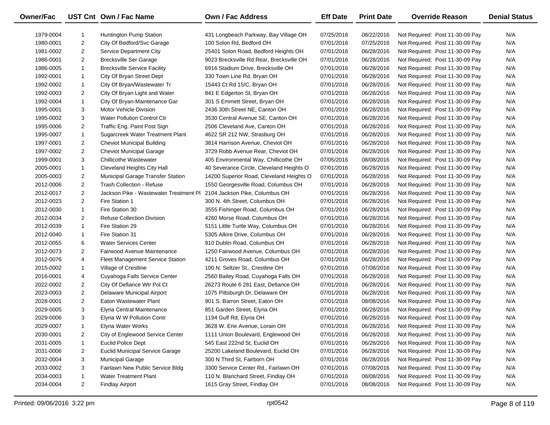| Owner/Fac |                | UST Cnt Own / Fac Name                 | Own / Fac Address                        | <b>Eff Date</b> | <b>Print Date</b> | <b>Override Reason</b>          | <b>Denial Status</b> |
|-----------|----------------|----------------------------------------|------------------------------------------|-----------------|-------------------|---------------------------------|----------------------|
| 1979-0004 |                | <b>Huntington Pump Station</b>         | 431 Longbeach Parkway, Bay Village OH    | 07/25/2016      | 08/22/2016        | Not Required: Post 11-30-09 Pay | N/A                  |
| 1980-0001 | $\overline{2}$ | City Of Bedford/Svc Garage             | 100 Solon Rd, Bedford OH                 | 07/01/2016      | 07/25/2016        | Not Required: Post 11-30-09 Pay | N/A                  |
| 1981-0002 | $\overline{2}$ | <b>Service Department City</b>         | 25401 Solon Road, Bedford Heights OH     | 07/01/2016      | 06/28/2016        | Not Required: Post 11-30-09 Pay | N/A                  |
| 1986-0001 | $\overline{2}$ | <b>Brecksville Ser Garage</b>          | 9023 Brecksville Rd Rear, Brecksville OH | 07/01/2016      | 06/28/2016        | Not Required: Post 11-30-09 Pay | N/A                  |
| 1986-0005 | $\mathbf{1}$   | <b>Brecksville Service Facility</b>    | 6916 Stadium Drive, Brecksville OH       | 07/01/2016      | 06/28/2016        | Not Required: Post 11-30-09 Pay | N/A                  |
| 1992-0001 | $\mathbf{1}$   | City Of Bryan Street Dept              | 330 Town Line Rd, Bryan OH               | 07/01/2016      | 06/28/2016        | Not Required: Post 11-30-09 Pay | N/A                  |
| 1992-0002 | $\mathbf{1}$   | City Of Bryan/Wastewater Tr            | 15443 Ct Rd 15/C, Bryan OH               | 07/01/2016      | 06/28/2016        | Not Required: Post 11-30-09 Pay | N/A                  |
| 1992-0003 | $\overline{2}$ | City Of Bryan Light and Water          | 841 E Edgerton St, Bryan OH              | 07/01/2016      | 06/28/2016        | Not Required: Post 11-30-09 Pay | N/A                  |
| 1992-0004 | $\mathbf{1}$   | City Of Bryan-Maintenance Gar          | 301 S Emmett Street, Bryan OH            | 07/01/2016      | 06/28/2016        | Not Required: Post 11-30-09 Pay | N/A                  |
| 1995-0001 | 3              | Motor Vehicle Division                 | 2436 30th Street NE, Canton OH           | 07/01/2016      | 06/28/2016        | Not Required: Post 11-30-09 Pay | N/A                  |
| 1995-0002 | 3              | Water Pollution Control Ctr            | 3530 Central Avenue SE, Canton OH        | 07/01/2016      | 06/28/2016        | Not Required: Post 11-30-09 Pay | N/A                  |
| 1995-0006 | $\overline{2}$ | Traffic Eng. Paint Post Sign           | 2506 Cleveland Ave, Canton OH            | 07/01/2016      | 06/28/2016        | Not Required: Post 11-30-09 Pay | N/A                  |
| 1995-0007 | $\mathbf{1}$   | Sugarcreek Water Treatment Plant       | 4622 SR 212 NW, Strasburg OH             | 07/01/2016      | 06/28/2016        | Not Required: Post 11-30-09 Pay | N/A                  |
| 1997-0001 | $\overline{2}$ | <b>Cheviot Municipal Building</b>      | 3814 Harrison Avenue, Cheviot OH         | 07/01/2016      | 06/28/2016        | Not Required: Post 11-30-09 Pay | N/A                  |
| 1997-0002 | $\overline{2}$ | <b>Cheviot Municipal Garage</b>        | 3729 Robb Avenue Rear, Cheviot OH        | 07/01/2016      | 06/28/2016        | Not Required: Post 11-30-09 Pay | N/A                  |
| 1999-0001 | 3              | Chillicothe Wastewater                 | 405 Environmental Way, Chillicothe OH    | 07/05/2016      | 08/08/2016        | Not Required: Post 11-30-09 Pay | N/A                  |
| 2005-0001 | $\mathbf{1}$   | Cleveland Heights City Hall            | 40 Severance Circle, Cleveland Heights O | 07/01/2016      | 06/28/2016        | Not Required: Post 11-30-09 Pay | N/A                  |
| 2005-0003 | $\overline{2}$ | Municipal Garage Transfer Station      | 14200 Superior Road, Cleveland Heights O | 07/01/2016      | 06/28/2016        | Not Required: Post 11-30-09 Pay | N/A                  |
| 2012-0006 | $\overline{2}$ | <b>Trash Collection - Refuse</b>       | 1550 Georgesville Road, Columbus OH      | 07/01/2016      | 06/28/2016        | Not Required: Post 11-30-09 Pay | N/A                  |
| 2012-0017 | $\overline{2}$ | Jackson Pike - Wastewater Treatment PI | 2104 Jackson Pike, Columbus OH           | 07/01/2016      | 06/28/2016        | Not Required: Post 11-30-09 Pay | N/A                  |
| 2012-0023 | $\overline{2}$ | Fire Station 1                         | 300 N. 4th Street, Columbus OH           | 07/01/2016      | 06/28/2016        | Not Required: Post 11-30-09 Pay | N/A                  |
| 2012-0030 | $\mathbf{1}$   | Fire Station 30                        | 3555 Fishinger Road, Columbus OH         | 07/01/2016      | 06/28/2016        | Not Required: Post 11-30-09 Pay | N/A                  |
| 2012-0034 | $\overline{2}$ | <b>Refuse Collection Division</b>      | 4260 Morse Road, Columbus OH             | 07/01/2016      | 06/28/2016        | Not Required: Post 11-30-09 Pay | N/A                  |
| 2012-0039 | $\mathbf{1}$   | Fire Station 29                        | 5151 Little Turtle Way, Columbus OH      | 07/01/2016      | 06/28/2016        | Not Required: Post 11-30-09 Pay | N/A                  |
| 2012-0040 | $\mathbf{1}$   | Fire Station 31                        | 5305 Alkire Drive, Columbus OH           | 07/01/2016      | 06/28/2016        | Not Required: Post 11-30-09 Pay | N/A                  |
| 2012-0055 | 6              | <b>Water Services Center</b>           | 910 Dublin Road, Columbus OH             | 07/01/2016      | 06/28/2016        | Not Required: Post 11-30-09 Pay | N/A                  |
| 2012-0073 | $\overline{2}$ | Fairwood Avenue Maintenance            | 1250 Fairwood Avenue, Columbus OH        | 07/01/2016      | 06/28/2016        | Not Required: Post 11-30-09 Pay | N/A                  |
| 2012-0076 | 4              | Fleet Management Service Station       | 4211 Groves Road, Columbus OH            | 07/01/2016      | 06/28/2016        | Not Required: Post 11-30-09 Pay | N/A                  |
| 2015-0002 | $\mathbf{1}$   | Village of Crestline                   | 100 N. Seltzer St., Crestline OH         | 07/01/2016      | 07/08/2016        | Not Required: Post 11-30-09 Pay | N/A                  |
| 2016-0001 | 4              | Cuyahoga Falls Service Center          | 2560 Bailey Road, Cuyahoga Falls OH      | 07/01/2016      | 06/28/2016        | Not Required: Post 11-30-09 Pay | N/A                  |
| 2022-0002 | $\overline{2}$ | City Of Defiance Wtr Pol Ct            | 26273 Route 6 281 East, Defiance OH      | 07/01/2016      | 06/28/2016        | Not Required: Post 11-30-09 Pay | N/A                  |
| 2023-0003 | $\overline{2}$ | Delaware Municipal Airport             | 1075 Pittsburgh Dr, Delaware OH          | 07/01/2016      | 06/28/2016        | Not Required: Post 11-30-09 Pay | N/A                  |
| 2028-0001 | $\overline{2}$ | Eaton Wastewater Plant                 | 901 S. Barron Street, Eaton OH           | 07/01/2016      | 08/08/2016        | Not Required: Post 11-30-09 Pay | N/A                  |
| 2029-0005 | 3              | <b>Elyria Central Maintenance</b>      | 851 Garden Street, Elyria OH             | 07/01/2016      | 06/28/2016        | Not Required: Post 11-30-09 Pay | N/A                  |
| 2029-0006 | 3              | Elyria W W Pollution Contr             | 1194 Gulf Rd, Elyria OH                  | 07/01/2016      | 06/28/2016        | Not Required: Post 11-30-09 Pay | N/A                  |
| 2029-0007 |                | Elyria Water Works                     | 3628 W. Erie Avenue, Lorain OH           | 07/01/2016      | 06/28/2016        | Not Required: Post 11-30-09 Pay | N/A                  |
| 2030-0001 | $\overline{2}$ | City of Englewood Service Center       | 1111 Union Boulevard, Englewood OH       | 07/01/2016      | 06/28/2016        | Not Required: Post 11-30-09 Pay | N/A                  |
| 2031-0005 | $\mathbf{1}$   | <b>Euclid Police Dept</b>              | 545 East 222nd St, Euclid OH             | 07/01/2016      | 06/28/2016        | Not Required: Post 11-30-09 Pay | N/A                  |
| 2031-0006 | $\overline{2}$ | <b>Euclid Municipal Service Garage</b> | 25200 Lakeland Boulevard, Euclid OH      | 07/01/2016      | 06/28/2016        | Not Required: Post 11-30-09 Pay | N/A                  |
| 2032-0004 | 3              | <b>Municipal Garage</b>                | 300 N Third St, Fairborn OH              | 07/01/2016      | 06/28/2016        | Not Required: Post 11-30-09 Pay | N/A                  |
| 2033-0002 | 3              | Fairlawn New Public Service Bldg       | 3300 Service Center Rd., Fairlawn OH     | 07/01/2016      | 07/08/2016        | Not Required: Post 11-30-09 Pay | N/A                  |
| 2034-0003 | 1              | <b>Water Treatment Plant</b>           | 110 N. Blanchard Street, Findlay OH      | 07/01/2016      | 08/08/2016        | Not Required: Post 11-30-09 Pay | N/A                  |
| 2034-0004 | $\overline{2}$ | <b>Findlay Airport</b>                 | 1615 Gray Street, Findlay OH             | 07/01/2016      | 08/08/2016        | Not Required: Post 11-30-09 Pay | N/A                  |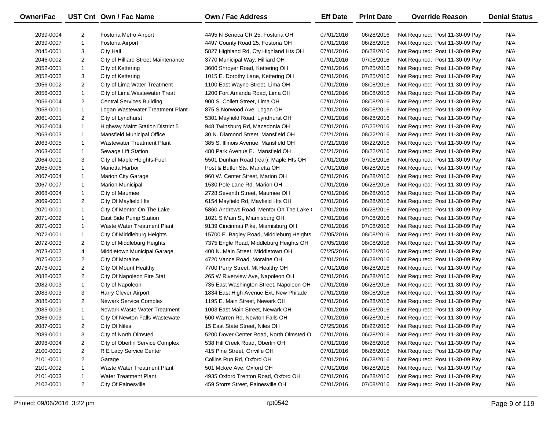| Owner/Fac |                | UST Cnt Own / Fac Name                  | Own / Fac Address                        | <b>Eff Date</b> | <b>Print Date</b> | <b>Override Reason</b>          | <b>Denial Status</b> |
|-----------|----------------|-----------------------------------------|------------------------------------------|-----------------|-------------------|---------------------------------|----------------------|
| 2039-0004 | $\overline{2}$ | Fostoria Metro Airport                  | 4495 N Seneca CR 25, Fostoria OH         | 07/01/2016      | 06/28/2016        | Not Required: Post 11-30-09 Pay | N/A                  |
| 2039-0007 | $\mathbf{1}$   | Fostoria Airport                        | 4497 County Road 25, Fostoria OH         | 07/01/2016      | 06/28/2016        | Not Required: Post 11-30-09 Pay | N/A                  |
| 2045-0001 | 3              | City Hall                               | 5827 Highland Rd, Cty Highland Hts OH    | 07/01/2016      | 06/28/2016        | Not Required: Post 11-30-09 Pay | N/A                  |
| 2046-0002 | $\overline{2}$ | City of Hilliard Street Maintenance     | 3770 Municipal Way, Hilliard OH          | 07/01/2016      | 07/08/2016        | Not Required: Post 11-30-09 Pay | N/A                  |
| 2052-0001 | $\mathbf{1}$   | City of Kettering                       | 3600 Shroyer Road, Kettering OH          | 07/01/2016      | 07/25/2016        | Not Required: Post 11-30-09 Pay | N/A                  |
| 2052-0002 | 3              | City of Kettering                       | 1015 E. Dorothy Lane, Kettering OH       | 07/01/2016      | 07/25/2016        | Not Required: Post 11-30-09 Pay | N/A                  |
| 2056-0002 | $\overline{2}$ | City of Lima Water Treatment            | 1100 East Wayne Street, Lima OH          | 07/01/2016      | 08/08/2016        | Not Required: Post 11-30-09 Pay | N/A                  |
| 2056-0003 | $\mathbf{1}$   | City of Lima Wastewater Treat           | 1200 Fort Amanda Road, Lima OH           | 07/01/2016      | 08/08/2016        | Not Required: Post 11-30-09 Pay | N/A                  |
| 2056-0004 | $\overline{2}$ | <b>Central Services Building</b>        | 900 S. Collett Street, Lima OH           | 07/01/2016      | 08/08/2016        | Not Required: Post 11-30-09 Pay | N/A                  |
| 2058-0001 | $\mathbf{1}$   | Logan Wastewater Treatment Plant        | 875 S Norwood Ave, Logan OH              | 07/01/2016      | 08/08/2016        | Not Required: Post 11-30-09 Pay | N/A                  |
| 2061-0001 | $\overline{2}$ | City of Lyndhurst                       | 5301 Mayfield Road, Lyndhurst OH         | 07/01/2016      | 06/28/2016        | Not Required: Post 11-30-09 Pay | N/A                  |
| 2062-0004 | $\mathbf{1}$   | <b>Highway Maint Station District 5</b> | 948 Twinsburg Rd, Macedonia OH           | 07/01/2016      | 07/25/2016        | Not Required: Post 11-30-09 Pay | N/A                  |
| 2063-0003 | $\mathbf{1}$   | Mansfield Municipal Office              | 30 N. Diamond Street, Mansfield OH       | 07/21/2016      | 08/22/2016        | Not Required: Post 11-30-09 Pay | N/A                  |
| 2063-0005 | $\mathbf{1}$   | <b>Wastewater Treatment Plant</b>       | 385 S. Illinois Avenue, Mansfield OH     | 07/21/2016      | 08/22/2016        | Not Required: Post 11-30-09 Pay | N/A                  |
| 2063-0006 | $\mathbf{1}$   | Sewage Lift Station                     | 480 Park Avenue E., Mansfield OH         | 07/21/2016      | 08/22/2016        | Not Required: Post 11-30-09 Pay | N/A                  |
| 2064-0001 | 3              | City of Maple Heights-Fuel              | 5501 Dunhan Road (rear), Maple Hts OH    | 07/01/2016      | 07/08/2016        | Not Required: Post 11-30-09 Pay | N/A                  |
| 2065-0006 | $\mathbf{1}$   | Marietta Harbor                         | Post & Butler Sts, Marietta OH           | 07/01/2016      | 06/28/2016        | Not Required: Post 11-30-09 Pay | N/A                  |
| 2067-0004 | $\mathbf{1}$   | <b>Marion City Garage</b>               | 960 W. Center Street, Marion OH          | 07/01/2016      | 06/28/2016        | Not Required: Post 11-30-09 Pay | N/A                  |
| 2067-0007 | $\mathbf{1}$   | <b>Marion Municipal</b>                 | 1530 Pole Lane Rd, Marion OH             | 07/01/2016      | 06/28/2016        | Not Required: Post 11-30-09 Pay | N/A                  |
| 2068-0004 | 1              | City of Maumee                          | 2728 Seventh Street, Maumee OH           | 07/01/2016      | 06/28/2016        | Not Required: Post 11-30-09 Pay | N/A                  |
| 2069-0001 | $\overline{2}$ | City Of Mayfield Hts                    | 6154 Mayfield Rd, Mayfield Hts OH        | 07/01/2016      | 06/28/2016        | Not Required: Post 11-30-09 Pay | N/A                  |
| 2070-0001 | $\mathbf{1}$   | City Of Mentor On The Lake              | 5860 Andrews Road, Mentor On The Lake    | 07/01/2016      | 06/28/2016        | Not Required: Post 11-30-09 Pay | N/A                  |
| 2071-0002 | $\mathbf{1}$   | East Side Pump Station                  | 1021 S Main St, Miamisburg OH            | 07/01/2016      | 07/08/2016        | Not Required: Post 11-30-09 Pay | N/A                  |
| 2071-0003 | $\mathbf{1}$   | Waste Water Treatment Plant             | 9139 Cincinnati Pike, Miamisburg OH      | 07/01/2016      | 07/08/2016        | Not Required: Post 11-30-09 Pay | N/A                  |
| 2072-0001 | $\mathbf{1}$   | City Of Middleburg Heights              | 15700 E. Bagley Road, Middleburg Heights | 07/05/2016      | 08/08/2016        | Not Required: Post 11-30-09 Pay | N/A                  |
| 2072-0003 | $\overline{2}$ | City of Middleburg Heights              | 7375 Engle Road, Middleburg Heights OH   | 07/05/2016      | 08/08/2016        | Not Required: Post 11-30-09 Pay | N/A                  |
| 2073-0002 | 4              | Middletown Municipal Garage             | 400 N. Main Street, Middletown OH        | 07/25/2016      | 08/22/2016        | Not Required: Post 11-30-09 Pay | N/A                  |
| 2075-0002 | $\overline{2}$ | City Of Moraine                         | 4720 Vance Road, Moraine OH              | 07/01/2016      | 06/28/2016        | Not Required: Post 11-30-09 Pay | N/A                  |
| 2076-0001 | $\overline{2}$ | City Of Mount Healthy                   | 7700 Perry Street, Mt Healthy OH         | 07/01/2016      | 06/28/2016        | Not Required: Post 11-30-09 Pay | N/A                  |
| 2082-0002 | $\overline{2}$ | City Of Napoleon Fire Stat              | 265 W Riverview Ave, Napoleon OH         | 07/01/2016      | 06/28/2016        | Not Required: Post 11-30-09 Pay | N/A                  |
| 2082-0003 | $\mathbf{1}$   | City of Napoleon                        | 735 East Washington Street, Napoleon OH  | 07/01/2016      | 06/28/2016        | Not Required: Post 11-30-09 Pay | N/A                  |
| 2083-0003 | 3              | Harry Clever Airport                    | 1834 East High Avenue Ext, New Philade   | 07/01/2016      | 08/08/2016        | Not Required: Post 11-30-09 Pay | N/A                  |
| 2085-0001 | $\overline{2}$ | Newark Service Complex                  | 1195 E. Main Street, Newark OH           | 07/01/2016      | 06/28/2016        | Not Required: Post 11-30-09 Pay | N/A                  |
| 2085-0003 | $\mathbf{1}$   | Newark Waste Water Treatment            | 1003 East Main Street, Newark OH         | 07/01/2016      | 06/28/2016        | Not Required: Post 11-30-09 Pay | N/A                  |
| 2086-0003 | $\mathbf{1}$   | City Of Newton Falls Wastewate          | 500 Warren Rd, Newton Falls OH           | 07/01/2016      | 06/28/2016        | Not Required: Post 11-30-09 Pay | N/A                  |
| 2087-0001 | 2              | City Of Niles                           | 15 East State Street, Niles OH           | 07/25/2016      | 08/22/2016        | Not Required: Post 11-30-09 Pay | N/A                  |
| 2089-0001 | 3              | City of North Olmsted                   | 5200 Dover Center Road, North Olmsted O  | 07/01/2016      | 06/28/2016        | Not Required: Post 11-30-09 Pay | N/A                  |
| 2098-0004 | $\overline{2}$ | City of Oberlin Service Complex         | 538 Hill Creek Road, Oberlin OH          | 07/01/2016      | 06/28/2016        | Not Required: Post 11-30-09 Pay | N/A                  |
| 2100-0001 | 2              | R E Lacy Service Center                 | 415 Pine Street, Orrville OH             | 07/01/2016      | 06/28/2016        | Not Required: Post 11-30-09 Pay | N/A                  |
| 2101-0001 | 2              | Garage                                  | Collins Run Rd, Oxford OH                | 07/01/2016      | 06/28/2016        | Not Required: Post 11-30-09 Pay | N/A                  |
| 2101-0002 | $\mathbf{1}$   | Waste Water Treatment Plant             | 501 Mckee Ave, Oxford OH                 | 07/01/2016      | 06/28/2016        | Not Required: Post 11-30-09 Pay | N/A                  |
| 2101-0003 | 1              | <b>Water Treatment Plant</b>            | 4935 Oxford Trenton Road, Oxford OH      | 07/01/2016      | 06/28/2016        | Not Required: Post 11-30-09 Pay | N/A                  |
| 2102-0001 | $\overline{2}$ | <b>City Of Painesville</b>              | 459 Storrs Street, Painesville OH        | 07/01/2016      | 07/08/2016        | Not Required: Post 11-30-09 Pay | N/A                  |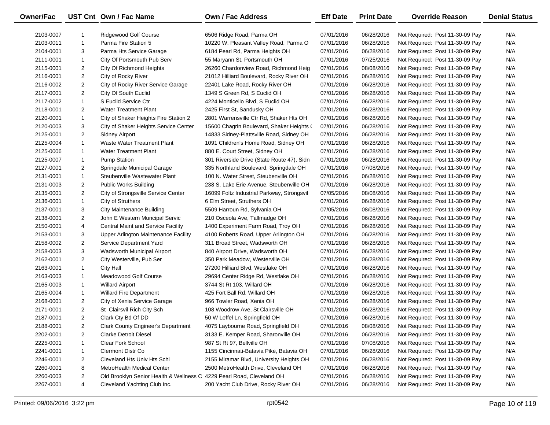| <b>Owner/Fac</b> |                | UST Cnt Own / Fac Name                                                | <b>Own / Fac Address</b>                   | <b>Eff Date</b> | <b>Print Date</b> | <b>Override Reason</b>          | <b>Denial Status</b> |
|------------------|----------------|-----------------------------------------------------------------------|--------------------------------------------|-----------------|-------------------|---------------------------------|----------------------|
| 2103-0007        | 1              | Ridgewood Golf Course                                                 | 6506 Ridge Road, Parma OH                  | 07/01/2016      | 06/28/2016        | Not Required: Post 11-30-09 Pay | N/A                  |
| 2103-0011        | $\mathbf{1}$   | Parma Fire Station 5                                                  | 10220 W. Pleasant Valley Road, Parma O     | 07/01/2016      | 06/28/2016        | Not Required: Post 11-30-09 Pay | N/A                  |
| 2104-0001        | 3              | Parma Hts Service Garage                                              | 6184 Pearl Rd, Parma Heights OH            | 07/01/2016      | 06/28/2016        | Not Required: Post 11-30-09 Pay | N/A                  |
| 2111-0001        | $\mathbf{1}$   | City Of Portsmouth Pub Serv                                           | 55 Maryann St, Portsmouth OH               | 07/01/2016      | 07/25/2016        | Not Required: Post 11-30-09 Pay | N/A                  |
| 2115-0001        | $\overline{2}$ | City Of Richmond Heights                                              | 26260 Chardonview Road, Richmond Heig      | 07/01/2016      | 08/08/2016        | Not Required: Post 11-30-09 Pay | N/A                  |
| 2116-0001        | $\overline{2}$ | City of Rocky River                                                   | 21012 Hilliard Boulevard, Rocky River OH   | 07/01/2016      | 06/28/2016        | Not Required: Post 11-30-09 Pay | N/A                  |
| 2116-0002        | $\overline{2}$ | City of Rocky River Service Garage                                    | 22401 Lake Road, Rocky River OH            | 07/01/2016      | 06/28/2016        | Not Required: Post 11-30-09 Pay | N/A                  |
| 2117-0001        | $\overline{2}$ | City Of South Euclid                                                  | 1349 S Green Rd, S Euclid OH               | 07/01/2016      | 06/28/2016        | Not Required: Post 11-30-09 Pay | N/A                  |
| 2117-0002        | $\mathbf{1}$   | S Euclid Service Ctr                                                  | 4224 Monticello Blvd, S Euclid OH          | 07/01/2016      | 06/28/2016        | Not Required: Post 11-30-09 Pay | N/A                  |
| 2118-0001        | $\overline{2}$ | <b>Water Treatment Plant</b>                                          | 2425 First St, Sandusky OH                 | 07/01/2016      | 06/28/2016        | Not Required: Post 11-30-09 Pay | N/A                  |
| 2120-0001        | $\mathbf{1}$   | City of Shaker Heights Fire Station 2                                 | 2801 Warrensville Ctr Rd, Shaker Hts OH    | 07/01/2016      | 06/28/2016        | Not Required: Post 11-30-09 Pay | N/A                  |
| 2120-0003        | 3              | City of Shaker Heights Service Center                                 | 15600 Chagrin Boulevard, Shaker Heights (  | 07/01/2016      | 06/28/2016        | Not Required: Post 11-30-09 Pay | N/A                  |
| 2125-0001        | $\overline{2}$ | Sidney Airport                                                        | 14833 Sidney-Plattsville Road, Sidney OH   | 07/01/2016      | 06/28/2016        | Not Required: Post 11-30-09 Pay | N/A                  |
| 2125-0004        | $\mathbf{1}$   | Waste Water Treatment Plant                                           | 1091 Children's Home Road, Sidney OH       | 07/01/2016      | 06/28/2016        | Not Required: Post 11-30-09 Pay | N/A                  |
| 2125-0006        | $\mathbf{1}$   | <b>Water Treatment Plant</b>                                          | 880 E. Court Street, Sidney OH             | 07/01/2016      | 06/28/2016        | Not Required: Post 11-30-09 Pay | N/A                  |
| 2125-0007        | $\mathbf{1}$   | <b>Pump Station</b>                                                   | 301 Riverside Drive (State Route 47), Sidn | 07/01/2016      | 06/28/2016        | Not Required: Post 11-30-09 Pay | N/A                  |
| 2127-0001        | $\overline{2}$ | Springdale Municipal Garage                                           | 335 Northland Boulevard, Springdale OH     | 07/01/2016      | 07/08/2016        | Not Required: Post 11-30-09 Pay | N/A                  |
| 2131-0001        | $\mathbf{1}$   | Steubenville Wastewater Plant                                         | 100 N. Water Street, Steubenville OH       | 07/01/2016      | 06/28/2016        | Not Required: Post 11-30-09 Pay | N/A                  |
| 2131-0003        | $\overline{2}$ | Public Works Building                                                 | 238 S. Lake Erie Avenue, Steubenville OH   | 07/01/2016      | 06/28/2016        | Not Required: Post 11-30-09 Pay | N/A                  |
| 2135-0001        | $\overline{2}$ | City of Strongsville Service Center                                   | 16099 Foltz Industrial Parkway, Strongsvil | 07/05/2016      | 08/08/2016        | Not Required: Post 11-30-09 Pay | N/A                  |
| 2136-0001        | $\mathbf{1}$   | City of Struthers                                                     | 6 Elm Street, Struthers OH                 | 07/01/2016      | 06/28/2016        | Not Required: Post 11-30-09 Pay | N/A                  |
| 2137-0001        | 3              | <b>City Maintenance Building</b>                                      | 5509 Harroun Rd, Sylvania OH               | 07/05/2016      | 08/08/2016        | Not Required: Post 11-30-09 Pay | N/A                  |
| 2138-0001        | $\overline{2}$ | John E Western Muncipal Servic                                        | 210 Osceola Ave, Tallmadge OH              | 07/01/2016      | 06/28/2016        | Not Required: Post 11-30-09 Pay | N/A                  |
| 2150-0001        | 4              | <b>Central Maint and Service Facility</b>                             | 1400 Experiment Farm Road, Troy OH         | 07/01/2016      | 06/28/2016        | Not Required: Post 11-30-09 Pay | N/A                  |
| 2153-0001        | 3              | Upper Arlington Maintenance Facility                                  | 4100 Roberts Road, Upper Arlington OH      | 07/01/2016      | 06/28/2016        | Not Required: Post 11-30-09 Pay | N/A                  |
| 2158-0002        | $\overline{2}$ | Service Department Yard                                               | 311 Broad Street, Wadsworth OH             | 07/01/2016      | 06/28/2016        | Not Required: Post 11-30-09 Pay | N/A                  |
| 2158-0003        | 3              | Wadsworth Municipal Airport                                           | 840 Airport Drive, Wadsworth OH            | 07/01/2016      | 06/28/2016        | Not Required: Post 11-30-09 Pay | N/A                  |
| 2162-0001        | $\overline{2}$ | City Westerville, Pub Ser                                             | 350 Park Meadow, Westerville OH            | 07/01/2016      | 06/28/2016        | Not Required: Post 11-30-09 Pay | N/A                  |
| 2163-0001        | $\mathbf{1}$   | <b>City Hall</b>                                                      | 27200 Hilliard Blvd, Westlake OH           | 07/01/2016      | 06/28/2016        | Not Required: Post 11-30-09 Pay | N/A                  |
| 2163-0003        | $\mathbf{1}$   | Meadowood Golf Course                                                 | 29694 Center Ridge Rd, Westlake OH         | 07/01/2016      | 06/28/2016        | Not Required: Post 11-30-09 Pay | N/A                  |
| 2165-0003        | $\mathbf{1}$   | <b>Willard Airport</b>                                                | 3744 St Rt 103, Willard OH                 | 07/01/2016      | 06/28/2016        | Not Required: Post 11-30-09 Pay | N/A                  |
| 2165-0004        | $\mathbf{1}$   | Willard Fire Department                                               | 425 Fort Ball Rd, Willard OH               | 07/01/2016      | 06/28/2016        | Not Required: Post 11-30-09 Pay | N/A                  |
| 2168-0001        | $\overline{2}$ | City of Xenia Service Garage                                          | 966 Towler Road, Xenia OH                  | 07/01/2016      | 06/28/2016        | Not Required: Post 11-30-09 Pay | N/A                  |
| 2171-0001        | $\overline{2}$ | St Clairsvil Rich City Sch                                            | 108 Woodrow Ave, St Clairsville OH         | 07/01/2016      | 06/28/2016        | Not Required: Post 11-30-09 Pay | N/A                  |
| 2187-0001        | $\overline{2}$ | Clark Cty Bd Of DD                                                    | 50 W Leffel Ln, Springfield OH             | 07/01/2016      | 06/28/2016        | Not Required: Post 11-30-09 Pay | N/A                  |
| 2188-0001        | $\overline{2}$ | <b>Clark County Engineer's Department</b>                             | 4075 Laybourne Road, Springfield OH        | 07/01/2016      | 08/08/2016        | Not Required: Post 11-30-09 Pay | N/A                  |
| 2202-0001        | $\overline{2}$ | <b>Clarke Detroit Diesel</b>                                          | 3133 E. Kemper Road, Sharonville OH        | 07/01/2016      | 06/28/2016        | Not Required: Post 11-30-09 Pay | N/A                  |
| 2225-0001        | 1              | Clear Fork School                                                     | 987 St Rt 97, Bellville OH                 | 07/01/2016      | 07/08/2016        | Not Required: Post 11-30-09 Pay | N/A                  |
| 2241-0001        | 1              | Clermont Distr Co                                                     | 1155 Cincinnati-Batavia Pike, Batavia OH   | 07/01/2016      | 06/28/2016        | Not Required: Post 11-30-09 Pay | N/A                  |
| 2246-0001        | $\overline{2}$ | Cleveland Hts Univ Hts Schl                                           | 2155 Miramar Blvd, University Heights OH   | 07/01/2016      | 06/28/2016        | Not Required: Post 11-30-09 Pay | N/A                  |
| 2260-0001        | 8              | MetroHealth Medical Center                                            | 2500 MetroHealth Drive, Cleveland OH       | 07/01/2016      | 06/28/2016        | Not Required: Post 11-30-09 Pay | N/A                  |
| 2260-0003        | $\overline{2}$ | Old Brooklyn Senior Health & Wellness C 4229 Pearl Road, Cleveland OH |                                            | 07/01/2016      | 06/28/2016        | Not Required: Post 11-30-09 Pay | N/A                  |
| 2267-0001        | 4              | Cleveland Yachting Club Inc.                                          | 200 Yacht Club Drive, Rocky River OH       | 07/01/2016      | 06/28/2016        | Not Required: Post 11-30-09 Pay | N/A                  |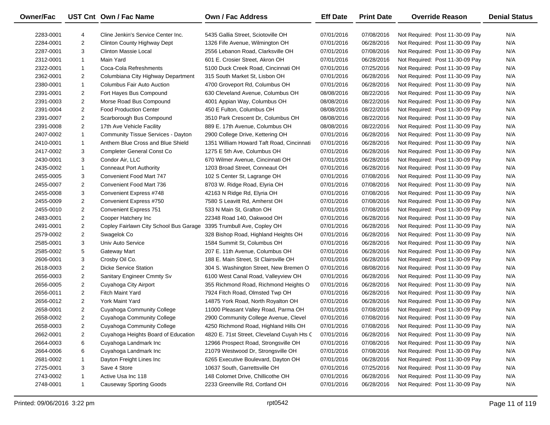| Owner/Fac |                | UST Cnt Own / Fac Name                 | <b>Own / Fac Address</b>                   | <b>Eff Date</b> | <b>Print Date</b> | <b>Override Reason</b>          | <b>Denial Status</b> |
|-----------|----------------|----------------------------------------|--------------------------------------------|-----------------|-------------------|---------------------------------|----------------------|
| 2283-0001 | 4              | Cline Jenkin's Service Center Inc.     | 5435 Gallia Street, Sciotoville OH         | 07/01/2016      | 07/08/2016        | Not Required: Post 11-30-09 Pay | N/A                  |
| 2284-0001 | $\overline{2}$ | Clinton County Highway Dept            | 1326 Fife Avenue, Wilmington OH            | 07/01/2016      | 06/28/2016        | Not Required: Post 11-30-09 Pay | N/A                  |
| 2287-0001 | 3              | <b>Clinton Massie Local</b>            | 2556 Lebanon Road, Clarksville OH          | 07/01/2016      | 07/08/2016        | Not Required: Post 11-30-09 Pay | N/A                  |
| 2312-0001 | $\mathbf{1}$   | Main Yard                              | 601 E. Crosier Street, Akron OH            | 07/01/2016      | 06/28/2016        | Not Required: Post 11-30-09 Pay | N/A                  |
| 2322-0001 | $\mathbf{1}$   | Coca-Cola Refreshments                 | 5100 Duck Creek Road, Cincinnati OH        | 07/01/2016      | 07/25/2016        | Not Required: Post 11-30-09 Pay | N/A                  |
| 2362-0001 | $\overline{2}$ | Columbiana City Highway Department     | 315 South Market St, Lisbon OH             | 07/01/2016      | 06/28/2016        | Not Required: Post 11-30-09 Pay | N/A                  |
| 2380-0001 | $\mathbf{1}$   | Columbus Fair Auto Auction             | 4700 Groveport Rd, Columbus OH             | 07/01/2016      | 06/28/2016        | Not Required: Post 11-30-09 Pay | N/A                  |
| 2391-0001 | $\overline{2}$ | Fort Hayes Bus Compound                | 630 Cleveland Avenue, Columbus OH          | 08/08/2016      | 08/22/2016        | Not Required: Post 11-30-09 Pay | N/A                  |
| 2391-0003 | $\overline{2}$ | Morse Road Bus Compound                | 4001 Appian Way, Columbus OH               | 08/08/2016      | 08/22/2016        | Not Required: Post 11-30-09 Pay | N/A                  |
| 2391-0004 | $\overline{2}$ | <b>Food Production Center</b>          | 450 E Fulton, Columbus OH                  | 08/08/2016      | 08/22/2016        | Not Required: Post 11-30-09 Pay | N/A                  |
| 2391-0007 | $\overline{2}$ | Scarborough Bus Compound               | 3510 Park Crescent Dr, Columbus OH         | 08/08/2016      | 08/22/2016        | Not Required: Post 11-30-09 Pay | N/A                  |
| 2391-0008 | $\overline{2}$ | 17th Ave Vehicle Facility              | 889 E. 17th Avenue, Columbus OH            | 08/08/2016      | 08/22/2016        | Not Required: Post 11-30-09 Pay | N/A                  |
| 2407-0002 | $\mathbf{1}$   | Community Tissue Services - Dayton     | 2900 College Drive, Kettering OH           | 07/01/2016      | 06/28/2016        | Not Required: Post 11-30-09 Pay | N/A                  |
| 2410-0001 | $\mathbf{1}$   | Anthem Blue Cross and Blue Shield      | 1351 William Howard Taft Road, Cincinnati  | 07/01/2016      | 06/28/2016        | Not Required: Post 11-30-09 Pay | N/A                  |
| 2417-0002 | 3              | <b>Completer General Const Co</b>      | 1275 E 5th Ave, Columbus OH                | 07/01/2016      | 06/28/2016        | Not Required: Post 11-30-09 Pay | N/A                  |
| 2430-0001 | 3              | Condor Air, LLC                        | 670 Wilmer Avenue, Cincinnati OH           | 07/01/2016      | 06/28/2016        | Not Required: Post 11-30-09 Pay | N/A                  |
| 2435-0002 | $\mathbf{1}$   | <b>Conneaut Port Authority</b>         | 1203 Broad Street, Conneaut OH             | 07/01/2016      | 06/28/2016        | Not Required: Post 11-30-09 Pay | N/A                  |
| 2455-0005 | 3              | Convenient Food Mart 747               | 102 S Center St, Lagrange OH               | 07/01/2016      | 07/08/2016        | Not Required: Post 11-30-09 Pay | N/A                  |
| 2455-0007 | $\overline{2}$ | Convenient Food Mart 736               | 8703 W. Ridge Road, Elyria OH              | 07/01/2016      | 07/08/2016        | Not Required: Post 11-30-09 Pay | N/A                  |
| 2455-0008 | 3              | Convenient Express #748                | 42163 N Ridge Rd, Elyria OH                | 07/01/2016      | 07/08/2016        | Not Required: Post 11-30-09 Pay | N/A                  |
| 2455-0009 | $\overline{2}$ | Convenient Express #750                | 7580 S Leavitt Rd, Amherst OH              | 07/01/2016      | 07/08/2016        | Not Required: Post 11-30-09 Pay | N/A                  |
| 2455-0010 | $\overline{2}$ | Convenient Express 751                 | 533 N Main St, Grafton OH                  | 07/01/2016      | 07/08/2016        | Not Required: Post 11-30-09 Pay | N/A                  |
| 2483-0001 | $\overline{2}$ | Cooper Hatchery Inc                    | 22348 Road 140, Oakwood OH                 | 07/01/2016      | 06/28/2016        | Not Required: Post 11-30-09 Pay | N/A                  |
| 2491-0001 | $\overline{2}$ | Copley Fairlawn City School Bus Garage | 3395 Trumbull Ave, Copley OH               | 07/01/2016      | 06/28/2016        | Not Required: Post 11-30-09 Pay | N/A                  |
| 2579-0002 | $\overline{2}$ | Swagelok Co                            | 328 Bishop Road, Highland Heights OH       | 07/01/2016      | 06/28/2016        | Not Required: Post 11-30-09 Pay | N/A                  |
| 2585-0001 | 3              | Univ Auto Service                      | 1584 Summit St, Columbus OH                | 07/01/2016      | 06/28/2016        | Not Required: Post 11-30-09 Pay | N/A                  |
| 2585-0002 | 5              | <b>Gateway Mart</b>                    | 207 E. 11th Avenue, Columbus OH            | 07/01/2016      | 06/28/2016        | Not Required: Post 11-30-09 Pay | N/A                  |
| 2606-0001 | 3              | Crosby Oil Co.                         | 188 E. Main Street, St Clairsville OH      | 07/01/2016      | 06/28/2016        | Not Required: Post 11-30-09 Pay | N/A                  |
| 2618-0003 | $\overline{2}$ | <b>Dicke Service Station</b>           | 304 S. Washington Street, New Bremen O     | 07/01/2016      | 08/08/2016        | Not Required: Post 11-30-09 Pay | N/A                  |
| 2656-0003 | $\overline{2}$ | Sanitary Engineer Cmmty Sv             | 6100 West Canal Road, Valleyview OH        | 07/01/2016      | 06/28/2016        | Not Required: Post 11-30-09 Pay | N/A                  |
| 2656-0005 | $\overline{2}$ | Cuyahoga City Airport                  | 355 Richmond Road, Richmond Heights O      | 07/01/2016      | 06/28/2016        | Not Required: Post 11-30-09 Pay | N/A                  |
| 2656-0011 | $\overline{2}$ | <b>Fitch Maint Yard</b>                | 7924 Fitch Road, Olmsted Twp OH            | 07/01/2016      | 06/28/2016        | Not Required: Post 11-30-09 Pay | N/A                  |
| 2656-0012 | $\overline{2}$ | York Maint Yard                        | 14875 York Road, North Royalton OH         | 07/01/2016      | 06/28/2016        | Not Required: Post 11-30-09 Pay | N/A                  |
| 2658-0001 | $\overline{2}$ | Cuyahoga Community College             | 11000 Pleasant Valley Road, Parma OH       | 07/01/2016      | 07/08/2016        | Not Required: Post 11-30-09 Pay | N/A                  |
| 2658-0002 | $\overline{2}$ | Cuyahoga Community College             | 2900 Community College Avenue, Clevel      | 07/01/2016      | 07/08/2016        | Not Required: Post 11-30-09 Pay | N/A                  |
| 2658-0003 | $\overline{c}$ | <b>Cuyahoga Community College</b>      | 4250 Richmond Road, Highland Hills OH      | 07/01/2016      | 07/08/2016        | Not Required: Post 11-30-09 Pay | N/A                  |
| 2662-0001 | $\overline{2}$ | Cuyahoga Heights Board of Education    | 4820 E. 71st Street, Cleveland Cuyah Hts C | 07/01/2016      | 06/28/2016        | Not Required: Post 11-30-09 Pay | N/A                  |
| 2664-0003 | 6              | Cuyahoga Landmark Inc                  | 12966 Prospect Road, Strongsville OH       | 07/01/2016      | 07/08/2016        | Not Required: Post 11-30-09 Pay | N/A                  |
| 2664-0006 | 6              | Cuyahoga Landmark Inc                  | 21079 Westwood Dr, Strongsville OH         | 07/01/2016      | 07/08/2016        | Not Required: Post 11-30-09 Pay | N/A                  |
| 2681-0002 |                | Dayton Freight Lines Inc               | 6265 Executive Boulevard, Dayton OH        | 07/01/2016      | 06/28/2016        | Not Required: Post 11-30-09 Pay | N/A                  |
| 2725-0001 | 3              | Save 4 Store                           | 10637 South, Garrettsville OH              | 07/01/2016      | 07/25/2016        | Not Required: Post 11-30-09 Pay | N/A                  |
| 2743-0002 | 1              | Active Usa Inc 118                     | 148 Colomet Drive, Chillicothe OH          | 07/01/2016      | 06/28/2016        | Not Required: Post 11-30-09 Pay | N/A                  |
| 2748-0001 | 1              | <b>Causeway Sporting Goods</b>         | 2233 Greenville Rd, Cortland OH            | 07/01/2016      | 06/28/2016        | Not Required: Post 11-30-09 Pay | N/A                  |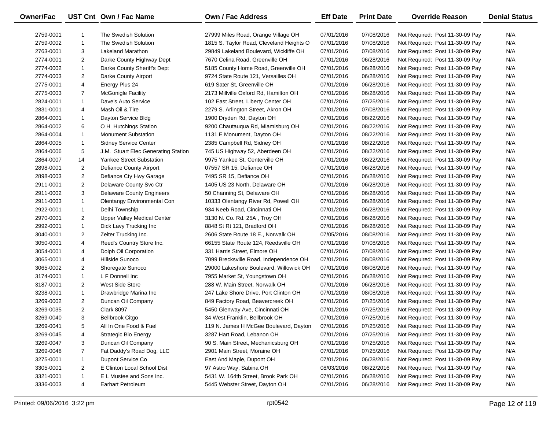| Owner/Fac |                | UST Cnt Own / Fac Name              | <b>Own / Fac Address</b>                 | <b>Eff Date</b> | <b>Print Date</b> | <b>Override Reason</b>          | <b>Denial Status</b> |
|-----------|----------------|-------------------------------------|------------------------------------------|-----------------|-------------------|---------------------------------|----------------------|
| 2759-0001 | 1              | The Swedish Solution                | 27999 Miles Road, Orange Village OH      | 07/01/2016      | 07/08/2016        | Not Required: Post 11-30-09 Pay | N/A                  |
| 2759-0002 | $\mathbf{1}$   | The Swedish Solution                | 1815 S. Taylor Road, Cleveland Heights O | 07/01/2016      | 07/08/2016        | Not Required: Post 11-30-09 Pay | N/A                  |
| 2763-0001 | 3              | <b>Lakeland Marathon</b>            | 29849 Lakeland Boulevard, Wickliffe OH   | 07/01/2016      | 07/08/2016        | Not Required: Post 11-30-09 Pay | N/A                  |
| 2774-0001 | $\overline{2}$ | Darke County Highway Dept           | 7670 Celina Road, Greenville OH          | 07/01/2016      | 06/28/2016        | Not Required: Post 11-30-09 Pay | N/A                  |
| 2774-0002 | $\mathbf{1}$   | Darke County Sheriff's Dept         | 5185 County Home Road, Greenville OH     | 07/01/2016      | 06/28/2016        | Not Required: Post 11-30-09 Pay | N/A                  |
| 2774-0003 | $\overline{2}$ | Darke County Airport                | 9724 State Route 121, Versailles OH      | 07/01/2016      | 06/28/2016        | Not Required: Post 11-30-09 Pay | N/A                  |
| 2775-0001 | 4              | Energy Plus 24                      | 619 Sater St, Greenville OH              | 07/01/2016      | 06/28/2016        | Not Required: Post 11-30-09 Pay | N/A                  |
| 2775-0003 | $\overline{7}$ | <b>McGonigle Facility</b>           | 2173 Millville Oxford Rd, Hamilton OH    | 07/01/2016      | 06/28/2016        | Not Required: Post 11-30-09 Pay | N/A                  |
| 2824-0001 | $\mathbf{1}$   | Dave's Auto Service                 | 102 East Street, Liberty Center OH       | 07/01/2016      | 07/25/2016        | Not Required: Post 11-30-09 Pay | N/A                  |
| 2831-0001 | 4              | Mash Oil & Tire                     | 2279 S. Arlington Street, Akron OH       | 07/01/2016      | 07/08/2016        | Not Required: Post 11-30-09 Pay | N/A                  |
| 2864-0001 | $\mathbf{1}$   | Dayton Service Bldg                 | 1900 Dryden Rd, Dayton OH                | 07/01/2016      | 08/22/2016        | Not Required: Post 11-30-09 Pay | N/A                  |
| 2864-0002 | 6              | O H Hutchings Station               | 9200 Chautauqua Rd, Miamisburg OH        | 07/01/2016      | 08/22/2016        | Not Required: Post 11-30-09 Pay | N/A                  |
| 2864-0004 | $\mathbf{1}$   | <b>Monument Substation</b>          | 1131 E Monument, Dayton OH               | 07/01/2016      | 08/22/2016        | Not Required: Post 11-30-09 Pay | N/A                  |
| 2864-0005 | 1              | <b>Sidney Service Center</b>        | 2385 Campbell Rd, Sidney OH              | 07/01/2016      | 08/22/2016        | Not Required: Post 11-30-09 Pay | N/A                  |
| 2864-0006 | 5              | J.M. Stuart Elec Generating Station | 745 US Highway 52, Aberdeen OH           | 07/01/2016      | 08/22/2016        | Not Required: Post 11-30-09 Pay | N/A                  |
| 2864-0007 | 14             | Yankee Street Substation            | 9975 Yankee St, Centerville OH           | 07/01/2016      | 08/22/2016        | Not Required: Post 11-30-09 Pay | N/A                  |
| 2898-0001 | $\overline{2}$ | Defiance County Airport             | 07557 SR 15, Defiance OH                 | 07/01/2016      | 06/28/2016        | Not Required: Post 11-30-09 Pay | N/A                  |
| 2898-0003 | $\overline{2}$ | Defiance Cty Hwy Garage             | 7495 SR 15, Defiance OH                  | 07/01/2016      | 06/28/2016        | Not Required: Post 11-30-09 Pay | N/A                  |
| 2911-0001 | $\overline{c}$ | Delaware County Svc Ctr             | 1405 US 23 North, Delaware OH            | 07/01/2016      | 06/28/2016        | Not Required: Post 11-30-09 Pay | N/A                  |
| 2911-0002 | 3              | <b>Delaware County Engineers</b>    | 50 Channing St, Delaware OH              | 07/01/2016      | 06/28/2016        | Not Required: Post 11-30-09 Pay | N/A                  |
| 2911-0003 | $\mathbf{1}$   | Olentangy Environmental Con         | 10333 Olentangy River Rd, Powell OH      | 07/01/2016      | 06/28/2016        | Not Required: Post 11-30-09 Pay | N/A                  |
| 2922-0001 | $\mathbf{1}$   | Delhi Township                      | 934 Neeb Road, Cincinnati OH             | 07/01/2016      | 06/28/2016        | Not Required: Post 11-30-09 Pay | N/A                  |
| 2970-0001 | $\overline{2}$ | <b>Upper Valley Medical Center</b>  | 3130 N. Co. Rd. 25A, Troy OH             | 07/01/2016      | 06/28/2016        | Not Required: Post 11-30-09 Pay | N/A                  |
| 2992-0001 | $\mathbf{1}$   | Dick Lavy Trucking Inc              | 8848 St Rt 121, Bradford OH              | 07/01/2016      | 06/28/2016        | Not Required: Post 11-30-09 Pay | N/A                  |
| 3040-0001 | $\overline{2}$ | Zeiter Trucking Inc.                | 2606 State Route 18 E., Norwalk OH       | 07/05/2016      | 08/08/2016        | Not Required: Post 11-30-09 Pay | N/A                  |
| 3050-0001 | 4              | Reed's Country Store Inc.           | 66155 State Route 124, Reedsville OH     | 07/01/2016      | 07/08/2016        | Not Required: Post 11-30-09 Pay | N/A                  |
| 3054-0001 | 4              | Dolph Oil Corporation               | 331 Harris Street, Elmore OH             | 07/01/2016      | 07/08/2016        | Not Required: Post 11-30-09 Pay | N/A                  |
| 3065-0001 | 4              | Hillside Sunoco                     | 7099 Brecksville Road, Independence OH   | 07/01/2016      | 08/08/2016        | Not Required: Post 11-30-09 Pay | N/A                  |
| 3065-0002 | $\overline{2}$ | Shoregate Sunoco                    | 29000 Lakeshore Boulevard, Willowick OH  | 07/01/2016      | 08/08/2016        | Not Required: Post 11-30-09 Pay | N/A                  |
| 3174-0001 | $\mathbf{1}$   | L F Donnell Inc                     | 7955 Market St, Youngstown OH            | 07/01/2016      | 06/28/2016        | Not Required: Post 11-30-09 Pay | N/A                  |
| 3187-0001 | $\overline{2}$ | West Side Store                     | 288 W. Main Street, Norwalk OH           | 07/01/2016      | 06/28/2016        | Not Required: Post 11-30-09 Pay | N/A                  |
| 3238-0001 | $\mathbf{1}$   | Drawbridge Marina Inc               | 247 Lake Shore Drive, Port Clinton OH    | 07/01/2016      | 08/08/2016        | Not Required: Post 11-30-09 Pay | N/A                  |
| 3269-0002 | $\overline{2}$ | Duncan Oil Company                  | 849 Factory Road, Beavercreek OH         | 07/01/2016      | 07/25/2016        | Not Required: Post 11-30-09 Pay | N/A                  |
| 3269-0035 | $\overline{2}$ | <b>Clark 8097</b>                   | 5450 Glenway Ave, Cincinnati OH          | 07/01/2016      | 07/25/2016        | Not Required: Post 11-30-09 Pay | N/A                  |
| 3269-0040 | 3              | <b>Bellbrook Citgo</b>              | 34 West Franklin, Bellbrook OH           | 07/01/2016      | 07/25/2016        | Not Required: Post 11-30-09 Pay | N/A                  |
| 3269-0041 | 5              | All In One Food & Fuel              | 119 N. James H McGee Boulevard, Dayton   | 07/01/2016      | 07/25/2016        | Not Required: Post 11-30-09 Pay | N/A                  |
| 3269-0045 | 4              | <b>Strategic Bio Energy</b>         | 3287 Hart Road, Lebanon OH               | 07/01/2016      | 07/25/2016        | Not Required: Post 11-30-09 Pay | N/A                  |
| 3269-0047 | 3              | Duncan Oil Company                  | 90 S. Main Street, Mechanicsburg OH      | 07/01/2016      | 07/25/2016        | Not Required: Post 11-30-09 Pay | N/A                  |
| 3269-0048 | 7              | Fat Daddy's Road Dog, LLC           | 2901 Main Street, Moraine OH             | 07/01/2016      | 07/25/2016        | Not Required: Post 11-30-09 Pay | N/A                  |
| 3275-0001 | $\mathbf{1}$   | Dupont Service Co                   | East And Maple, Dupont OH                | 07/01/2016      | 06/28/2016        | Not Required: Post 11-30-09 Pay | N/A                  |
| 3305-0001 | $\overline{2}$ | E Clinton Local School Dist         | 97 Astro Way, Sabina OH                  | 08/03/2016      | 08/22/2016        | Not Required: Post 11-30-09 Pay | N/A                  |
| 3321-0001 | 1              | E L Mustee and Sons Inc.            | 5431 W. 164th Street, Brook Park OH      | 07/01/2016      | 06/28/2016        | Not Required: Post 11-30-09 Pay | N/A                  |
| 3336-0003 | 4              | <b>Earhart Petroleum</b>            | 5445 Webster Street, Dayton OH           | 07/01/2016      | 06/28/2016        | Not Required: Post 11-30-09 Pay | N/A                  |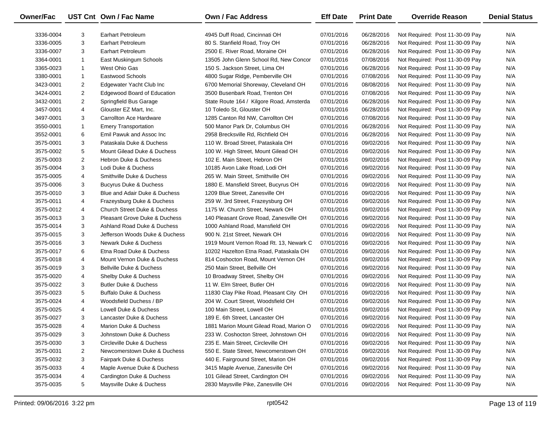| Owner/Fac |                | UST Cnt Own / Fac Name                  | Own / Fac Address                        | <b>Eff Date</b> | <b>Print Date</b> | <b>Override Reason</b>          | <b>Denial Status</b> |
|-----------|----------------|-----------------------------------------|------------------------------------------|-----------------|-------------------|---------------------------------|----------------------|
| 3336-0004 | 3              | <b>Earhart Petroleum</b>                | 4945 Duff Road, Cincinnati OH            | 07/01/2016      | 06/28/2016        | Not Required: Post 11-30-09 Pay | N/A                  |
| 3336-0005 | 3              | <b>Earhart Petroleum</b>                | 80 S. Stanfield Road, Troy OH            | 07/01/2016      | 06/28/2016        | Not Required: Post 11-30-09 Pay | N/A                  |
| 3336-0007 | 3              | <b>Earhart Petroleum</b>                | 2500 E. River Road, Moraine OH           | 07/01/2016      | 06/28/2016        | Not Required: Post 11-30-09 Pay | N/A                  |
| 3364-0001 | $\mathbf{1}$   | East Muskingum Schools                  | 13505 John Glenn School Rd, New Concor   | 07/01/2016      | 07/08/2016        | Not Required: Post 11-30-09 Pay | N/A                  |
| 3365-0023 | $\mathbf{1}$   | West Ohio Gas                           | 150 S. Jackson Street, Lima OH           | 07/01/2016      | 06/28/2016        | Not Required: Post 11-30-09 Pay | N/A                  |
| 3380-0001 | $\mathbf{1}$   | Eastwood Schools                        | 4800 Sugar Ridge, Pemberville OH         | 07/01/2016      | 07/08/2016        | Not Required: Post 11-30-09 Pay | N/A                  |
| 3423-0001 | $\overline{2}$ | Edgewater Yacht Club Inc                | 6700 Memorial Shoreway, Cleveland OH     | 07/01/2016      | 08/08/2016        | Not Required: Post 11-30-09 Pay | N/A                  |
| 3424-0001 | $\overline{2}$ | Edgewood Board of Education             | 3500 Busenbark Road, Trenton OH          | 07/01/2016      | 07/08/2016        | Not Required: Post 11-30-09 Pay | N/A                  |
| 3432-0001 | $\overline{2}$ | Springfield Bus Garage                  | State Route 164 / Kilgore Road, Amsterda | 07/01/2016      | 06/28/2016        | Not Required: Post 11-30-09 Pay | N/A                  |
| 3457-0001 | 4              | Glouster EZ Mart, Inc.                  | 10 Toledo St, Glouster OH                | 07/01/2016      | 06/28/2016        | Not Required: Post 11-30-09 Pay | N/A                  |
| 3497-0001 | 3              | Carrollton Ace Hardware                 | 1285 Canton Rd NW, Carrollton OH         | 07/01/2016      | 07/08/2016        | Not Required: Post 11-30-09 Pay | N/A                  |
| 3550-0001 | $\mathbf{1}$   | <b>Emery Transportation</b>             | 500 Manor Park Dr, Columbus OH           | 07/01/2016      | 06/28/2016        | Not Required: Post 11-30-09 Pay | N/A                  |
| 3552-0001 | 6              | Emil Pawuk and Assoc Inc                | 2958 Brecksville Rd, Richfield OH        | 07/01/2016      | 06/28/2016        | Not Required: Post 11-30-09 Pay | N/A                  |
| 3575-0001 | 3              | Pataskala Duke & Duchess                | 110 W. Broad Street, Pataskala OH        | 07/01/2016      | 09/02/2016        | Not Required: Post 11-30-09 Pay | N/A                  |
| 3575-0002 | 5              | Mount Gilead Duke & Duchess             | 100 W. High Street, Mount Gilead OH      | 07/01/2016      | 09/02/2016        | Not Required: Post 11-30-09 Pay | N/A                  |
| 3575-0003 | $\overline{2}$ | Hebron Duke & Duchess                   | 102 E. Main Street, Hebron OH            | 07/01/2016      | 09/02/2016        | Not Required: Post 11-30-09 Pay | N/A                  |
| 3575-0004 | 3              | Lodi Duke & Duchess                     | 10185 Avon Lake Road, Lodi OH            | 07/01/2016      | 09/02/2016        | Not Required: Post 11-30-09 Pay | N/A                  |
| 3575-0005 | 4              | Smithville Duke & Duchess               | 265 W. Main Street, Smithville OH        | 07/01/2016      | 09/02/2016        | Not Required: Post 11-30-09 Pay | N/A                  |
| 3575-0006 | 3              | <b>Bucyrus Duke &amp; Duchess</b>       | 1880 E. Mansfield Street, Bucyrus OH     | 07/01/2016      | 09/02/2016        | Not Required: Post 11-30-09 Pay | N/A                  |
| 3575-0010 | 3              | Blue and Adair Duke & Duchess           | 1209 Blue Street, Zanesville OH          | 07/01/2016      | 09/02/2016        | Not Required: Post 11-30-09 Pay | N/A                  |
| 3575-0011 | 4              | Frazeysburg Duke & Duchess              | 259 W. 3rd Street, Frazeysburg OH        | 07/01/2016      | 09/02/2016        | Not Required: Post 11-30-09 Pay | N/A                  |
| 3575-0012 | 4              | <b>Church Street Duke &amp; Duchess</b> | 1175 W. Church Street, Newark OH         | 07/01/2016      | 09/02/2016        | Not Required: Post 11-30-09 Pay | N/A                  |
| 3575-0013 | 3              | Pleasant Grove Duke & Duchess           | 140 Pleasant Grove Road, Zanesville OH   | 07/01/2016      | 09/02/2016        | Not Required: Post 11-30-09 Pay | N/A                  |
| 3575-0014 | 3              | Ashland Road Duke & Duchess             | 1000 Ashland Road, Mansfield OH          | 07/01/2016      | 09/02/2016        | Not Required: Post 11-30-09 Pay | N/A                  |
| 3575-0015 | 3              | Jefferson Woods Duke & Duchess          | 900 N. 21st Street, Newark OH            | 07/01/2016      | 09/02/2016        | Not Required: Post 11-30-09 Pay | N/A                  |
| 3575-0016 | 3              | Newark Duke & Duchess                   | 1919 Mount Vernon Road Rt. 13, Newark C  | 07/01/2016      | 09/02/2016        | Not Required: Post 11-30-09 Pay | N/A                  |
| 3575-0017 | 6              | Etna Road Duke & Duchess                | 10202 Hazelton Etna Road, Pataskala OH   | 07/01/2016      | 09/02/2016        | Not Required: Post 11-30-09 Pay | N/A                  |
| 3575-0018 | 4              | Mount Vernon Duke & Duchess             | 814 Coshocton Road, Mount Vernon OH      | 07/01/2016      | 09/02/2016        | Not Required: Post 11-30-09 Pay | N/A                  |
| 3575-0019 | 3              | <b>Bellville Duke &amp; Duchess</b>     | 250 Main Street, Bellville OH            | 07/01/2016      | 09/02/2016        | Not Required: Post 11-30-09 Pay | N/A                  |
| 3575-0020 | 4              | Shelby Duke & Duchess                   | 10 Broadway Street, Shelby OH            | 07/01/2016      | 09/02/2016        | Not Required: Post 11-30-09 Pay | N/A                  |
| 3575-0022 | 3              | Butler Duke & Duchess                   | 11 W. Elm Street, Butler OH              | 07/01/2016      | 09/02/2016        | Not Required: Post 11-30-09 Pay | N/A                  |
| 3575-0023 | 5              | <b>Buffalo Duke &amp; Duchess</b>       | 11830 Clay Pike Road, Pleasant City OH   | 07/01/2016      | 09/02/2016        | Not Required: Post 11-30-09 Pay | N/A                  |
| 3575-0024 | $\overline{4}$ | Woodsfield Duchess / BP                 | 204 W. Court Street, Woodsfield OH       | 07/01/2016      | 09/02/2016        | Not Required: Post 11-30-09 Pay | N/A                  |
| 3575-0025 | 4              | Lowell Duke & Duchess                   | 100 Main Street, Lowell OH               | 07/01/2016      | 09/02/2016        | Not Required: Post 11-30-09 Pay | N/A                  |
| 3575-0027 | 3              | Lancaster Duke & Duchess                | 189 E. 6th Street, Lancaster OH          | 07/01/2016      | 09/02/2016        | Not Required: Post 11-30-09 Pay | N/A                  |
| 3575-0028 | 4              | Marion Duke & Duchess                   | 1881 Marion Mount Gilead Road, Marion O  | 07/01/2016      | 09/02/2016        | Not Required: Post 11-30-09 Pay | N/A                  |
| 3575-0029 | 3              | Johnstown Duke & Duchess                | 233 W. Coshocton Street, Johnstown OH    | 07/01/2016      | 09/02/2016        | Not Required: Post 11-30-09 Pay | N/A                  |
| 3575-0030 | 3              | Circleville Duke & Duchess              | 235 E. Main Street, Circleville OH       | 07/01/2016      | 09/02/2016        | Not Required: Post 11-30-09 Pay | N/A                  |
| 3575-0031 | $\overline{2}$ | Newcomerstown Duke & Duchess            | 550 E. State Street, Newcomerstown OH    | 07/01/2016      | 09/02/2016        | Not Required: Post 11-30-09 Pay | N/A                  |
| 3575-0032 | 3              | Fairpark Duke & Duchess                 | 440 E. Fairground Street, Marion OH      | 07/01/2016      | 09/02/2016        | Not Required: Post 11-30-09 Pay | N/A                  |
| 3575-0033 | 4              | Maple Avenue Duke & Duchess             | 3415 Maple Avenue, Zanesville OH         | 07/01/2016      | 09/02/2016        | Not Required: Post 11-30-09 Pay | N/A                  |
| 3575-0034 | 4              | Cardington Duke & Duchess               | 101 Gilead Street, Cardington OH         | 07/01/2016      | 09/02/2016        | Not Required: Post 11-30-09 Pay | N/A                  |
| 3575-0035 | 5              | Maysville Duke & Duchess                | 2830 Maysville Pike, Zanesville OH       | 07/01/2016      | 09/02/2016        | Not Required: Post 11-30-09 Pay | N/A                  |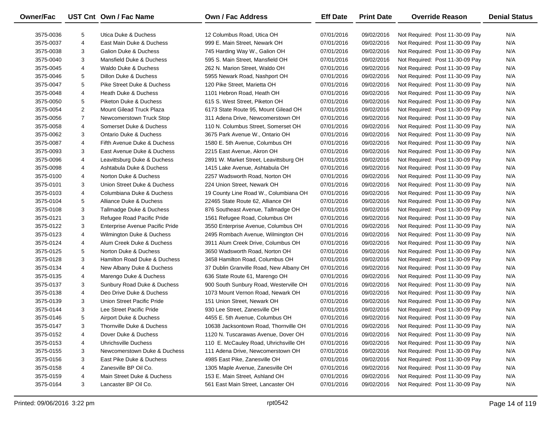| Owner/Fac |                | UST Cnt Own / Fac Name          | <b>Own / Fac Address</b>                | <b>Eff Date</b> | <b>Print Date</b> | <b>Override Reason</b>          | <b>Denial Status</b> |
|-----------|----------------|---------------------------------|-----------------------------------------|-----------------|-------------------|---------------------------------|----------------------|
| 3575-0036 | 5              | Utica Duke & Duchess            | 12 Columbus Road, Utica OH              | 07/01/2016      | 09/02/2016        | Not Required: Post 11-30-09 Pay | N/A                  |
| 3575-0037 | 4              | East Main Duke & Duchess        | 999 E. Main Street, Newark OH           | 07/01/2016      | 09/02/2016        | Not Required: Post 11-30-09 Pay | N/A                  |
| 3575-0038 | 3              | Galion Duke & Duchess           | 745 Harding Way W., Galion OH           | 07/01/2016      | 09/02/2016        | Not Required: Post 11-30-09 Pay | N/A                  |
| 3575-0040 | 3              | Mansfield Duke & Duchess        | 595 S. Main Street, Mansfield OH        | 07/01/2016      | 09/02/2016        | Not Required: Post 11-30-09 Pay | N/A                  |
| 3575-0045 | 4              | Waldo Duke & Duchess            | 262 N. Marion Street, Waldo OH          | 07/01/2016      | 09/02/2016        | Not Required: Post 11-30-09 Pay | N/A                  |
| 3575-0046 | 5              | Dillon Duke & Duchess           | 5955 Newark Road, Nashport OH           | 07/01/2016      | 09/02/2016        | Not Required: Post 11-30-09 Pay | N/A                  |
| 3575-0047 | 5              | Pike Street Duke & Duchess      | 120 Pike Street, Marietta OH            | 07/01/2016      | 09/02/2016        | Not Required: Post 11-30-09 Pay | N/A                  |
| 3575-0048 | 4              | Heath Duke & Duchess            | 1101 Hebron Road, Heath OH              | 07/01/2016      | 09/02/2016        | Not Required: Post 11-30-09 Pay | N/A                  |
| 3575-0050 | 5              | Piketon Duke & Duchess          | 615 S. West Street, Piketon OH          | 07/01/2016      | 09/02/2016        | Not Required: Post 11-30-09 Pay | N/A                  |
| 3575-0054 | $\overline{2}$ | Mount Gilead Truck Plaza        | 6173 State Route 95, Mount Gilead OH    | 07/01/2016      | 09/02/2016        | Not Required: Post 11-30-09 Pay | N/A                  |
| 3575-0056 | $\overline{7}$ | Newcomerstown Truck Stop        | 311 Adena Drive, Newcomerstown OH       | 07/01/2016      | 09/02/2016        | Not Required: Post 11-30-09 Pay | N/A                  |
| 3575-0058 | 4              | Somerset Duke & Duchess         | 110 N. Columbus Street, Somerset OH     | 07/01/2016      | 09/02/2016        | Not Required: Post 11-30-09 Pay | N/A                  |
| 3575-0062 | 3              | Ontario Duke & Duchess          | 3675 Park Avenue W., Ontario OH         | 07/01/2016      | 09/02/2016        | Not Required: Post 11-30-09 Pay | N/A                  |
| 3575-0087 | 4              | Fifth Avenue Duke & Duchess     | 1580 E. 5th Avenue, Columbus OH         | 07/01/2016      | 09/02/2016        | Not Required: Post 11-30-09 Pay | N/A                  |
| 3575-0093 | 3              | East Avenue Duke & Duchess      | 2215 East Avenue, Akron OH              | 07/01/2016      | 09/02/2016        | Not Required: Post 11-30-09 Pay | N/A                  |
| 3575-0096 | 4              | Leavittsburg Duke & Duchess     | 2891 W. Market Street, Leavittsburg OH  | 07/01/2016      | 09/02/2016        | Not Required: Post 11-30-09 Pay | N/A                  |
| 3575-0098 | 4              | Ashtabula Duke & Duchess        | 1415 Lake Avenue, Ashtabula OH          | 07/01/2016      | 09/02/2016        | Not Required: Post 11-30-09 Pay | N/A                  |
| 3575-0100 | 4              | Norton Duke & Duchess           | 2257 Wadsworth Road, Norton OH          | 07/01/2016      | 09/02/2016        | Not Required: Post 11-30-09 Pay | N/A                  |
| 3575-0101 | 3              | Union Street Duke & Duchess     | 224 Union Street, Newark OH             | 07/01/2016      | 09/02/2016        | Not Required: Post 11-30-09 Pay | N/A                  |
| 3575-0103 | 4              | Columbiana Duke & Duchess       | 19 County Line Road W., Columbiana OH   | 07/01/2016      | 09/02/2016        | Not Required: Post 11-30-09 Pay | N/A                  |
| 3575-0104 | 5              | Alliance Duke & Duchess         | 22465 State Route 62, Alliance OH       | 07/01/2016      | 09/02/2016        | Not Required: Post 11-30-09 Pay | N/A                  |
| 3575-0108 | 3              | Tallmadge Duke & Duchess        | 876 Southeast Avenue, Tallmadge OH      | 07/01/2016      | 09/02/2016        | Not Required: Post 11-30-09 Pay | N/A                  |
| 3575-0121 | 3              | Refugee Road Pacific Pride      | 1561 Refugee Road, Columbus OH          | 07/01/2016      | 09/02/2016        | Not Required: Post 11-30-09 Pay | N/A                  |
| 3575-0122 | 3              | Enterprise Avenue Pacific Pride | 3550 Enterprise Avenue, Columbus OH     | 07/01/2016      | 09/02/2016        | Not Required: Post 11-30-09 Pay | N/A                  |
| 3575-0123 | 4              | Wilmington Duke & Duchess       | 2495 Rombach Avenue, Wilmington OH      | 07/01/2016      | 09/02/2016        | Not Required: Post 11-30-09 Pay | N/A                  |
| 3575-0124 | 4              | Alum Creek Duke & Duchess       | 3911 Alum Creek Drive, Columbus OH      | 07/01/2016      | 09/02/2016        | Not Required: Post 11-30-09 Pay | N/A                  |
| 3575-0125 | 5              | Norton Duke & Duchess           | 3650 Wadsworth Road, Norton OH          | 07/01/2016      | 09/02/2016        | Not Required: Post 11-30-09 Pay | N/A                  |
| 3575-0128 | 3              | Hamilton Road Duke & Duchess    | 3458 Hamilton Road, Columbus OH         | 07/01/2016      | 09/02/2016        | Not Required: Post 11-30-09 Pay | N/A                  |
| 3575-0134 | 4              | New Albany Duke & Duchess       | 37 Dublin Granville Road, New Albany OH | 07/01/2016      | 09/02/2016        | Not Required: Post 11-30-09 Pay | N/A                  |
| 3575-0135 | 4              | Marengo Duke & Duchess          | 636 State Route 61, Marengo OH          | 07/01/2016      | 09/02/2016        | Not Required: Post 11-30-09 Pay | N/A                  |
| 3575-0137 | 3              | Sunbury Road Duke & Duchess     | 900 South Sunbury Road, Westerville OH  | 07/01/2016      | 09/02/2016        | Not Required: Post 11-30-09 Pay | N/A                  |
| 3575-0138 | 4              | Deo Drive Duke & Duchess        | 1073 Mount Vernon Road, Newark OH       | 07/01/2016      | 09/02/2016        | Not Required: Post 11-30-09 Pay | N/A                  |
| 3575-0139 | 3              | Union Street Pacific Pride      | 151 Union Street, Newark OH             | 07/01/2016      | 09/02/2016        | Not Required: Post 11-30-09 Pay | N/A                  |
| 3575-0144 | 3              | Lee Street Pacific Pride        | 930 Lee Street, Zanesville OH           | 07/01/2016      | 09/02/2016        | Not Required: Post 11-30-09 Pay | N/A                  |
| 3575-0146 | 5              | Airport Duke & Duchess          | 4455 E. 5th Avenue, Columbus OH         | 07/01/2016      | 09/02/2016        | Not Required: Post 11-30-09 Pay | N/A                  |
| 3575-0147 | 3              | Thornville Duke & Duchess       | 10638 Jacksontown Road, Thornville OH   | 07/01/2016      | 09/02/2016        | Not Required: Post 11-30-09 Pay | N/A                  |
| 3575-0152 | 4              | Dover Duke & Duchess            | 1120 N. Tuscarawas Avenue, Dover OH     | 07/01/2016      | 09/02/2016        | Not Required: Post 11-30-09 Pay | N/A                  |
| 3575-0153 | 4              | <b>Uhrichsville Duchess</b>     | 110 E. McCauley Road, Uhrichsville OH   | 07/01/2016      | 09/02/2016        | Not Required: Post 11-30-09 Pay | N/A                  |
| 3575-0155 | 3              | Newcomerstown Duke & Duchess    | 111 Adena Drive, Newcomerstown OH       | 07/01/2016      | 09/02/2016        | Not Required: Post 11-30-09 Pay | N/A                  |
| 3575-0156 | 3              | East Pike Duke & Duchess        | 4985 East Pike, Zanesville OH           | 07/01/2016      | 09/02/2016        | Not Required: Post 11-30-09 Pay | N/A                  |
| 3575-0158 | 4              | Zanesville BP Oil Co.           | 1305 Maple Avenue, Zanesville OH        | 07/01/2016      | 09/02/2016        | Not Required: Post 11-30-09 Pay | N/A                  |
| 3575-0159 | 4              | Main Street Duke & Duchess      | 153 E. Main Street, Ashland OH          | 07/01/2016      | 09/02/2016        | Not Required: Post 11-30-09 Pay | N/A                  |
| 3575-0164 | 3              | Lancaster BP Oil Co.            | 561 East Main Street, Lancaster OH      | 07/01/2016      | 09/02/2016        | Not Required: Post 11-30-09 Pay | N/A                  |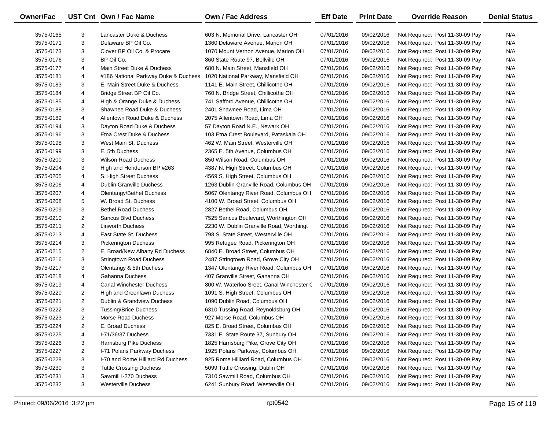| <b>Owner/Fac</b> |                | UST Cnt Own / Fac Name               | Own / Fac Address                         | <b>Eff Date</b> | <b>Print Date</b> | <b>Override Reason</b>          | <b>Denial Status</b> |
|------------------|----------------|--------------------------------------|-------------------------------------------|-----------------|-------------------|---------------------------------|----------------------|
| 3575-0165        | 3              | Lancaster Duke & Duchess             | 603 N. Memorial Drive, Lancaster OH       | 07/01/2016      | 09/02/2016        | Not Required: Post 11-30-09 Pay | N/A                  |
| 3575-0171        | 3              | Delaware BP Oil Co.                  | 1360 Delaware Avenue, Marion OH           | 07/01/2016      | 09/02/2016        | Not Required: Post 11-30-09 Pay | N/A                  |
| 3575-0173        | 3              | Clover BP Oil Co. & Procare          | 1070 Mount Vernon Avenue, Marion OH       | 07/01/2016      | 09/02/2016        | Not Required: Post 11-30-09 Pay | N/A                  |
| 3575-0176        | 3              | BP Oil Co.                           | 860 State Route 97, Bellville OH          | 07/01/2016      | 09/02/2016        | Not Required: Post 11-30-09 Pay | N/A                  |
| 3575-0177        | 4              | Main Street Duke & Duchess           | 680 N. Main Street, Mansfield OH          | 07/01/2016      | 09/02/2016        | Not Required: Post 11-30-09 Pay | N/A                  |
| 3575-0181        | 4              | #186 National Parkway Duke & Duchess | 1020 National Parkway, Mansfield OH       | 07/01/2016      | 09/02/2016        | Not Required: Post 11-30-09 Pay | N/A                  |
| 3575-0183        | 3              | E. Main Street Duke & Duchess        | 1141 E. Main Street, Chillicothe OH       | 07/01/2016      | 09/02/2016        | Not Required: Post 11-30-09 Pay | N/A                  |
| 3575-0184        | 4              | Bridge Street BP Oil Co.             | 760 N. Bridge Street, Chillicothe OH      | 07/01/2016      | 09/02/2016        | Not Required: Post 11-30-09 Pay | N/A                  |
| 3575-0185        | 4              | High & Orange Duke & Duchess         | 741 Safford Avenue, Chillicothe OH        | 07/01/2016      | 09/02/2016        | Not Required: Post 11-30-09 Pay | N/A                  |
| 3575-0188        | 3              | Shawnee Road Duke & Duchess          | 2401 Shawnee Road, Lima OH                | 07/01/2016      | 09/02/2016        | Not Required: Post 11-30-09 Pay | N/A                  |
| 3575-0189        | 4              | Allentown Road Duke & Duchess        | 2075 Allentown Road, Lima OH              | 07/01/2016      | 09/02/2016        | Not Required: Post 11-30-09 Pay | N/A                  |
| 3575-0194        | 3              | Dayton Road Duke & Duchess           | 57 Dayton Road N.E., Newark OH            | 07/01/2016      | 09/02/2016        | Not Required: Post 11-30-09 Pay | N/A                  |
| 3575-0196        | 3              | Etna Crest Duke & Duchess            | 103 Etna Crest Boulevard, Pataskala OH    | 07/01/2016      | 09/02/2016        | Not Required: Post 11-30-09 Pay | N/A                  |
| 3575-0198        | 3              | West Main St. Duchess                | 462 W. Main Street, Westerville OH        | 07/01/2016      | 09/02/2016        | Not Required: Post 11-30-09 Pay | N/A                  |
| 3575-0199        | 3              | E. 5th Duchess                       | 2365 E. 5th Avenue, Columbus OH           | 07/01/2016      | 09/02/2016        | Not Required: Post 11-30-09 Pay | N/A                  |
| 3575-0200        | 3              | <b>Wilson Road Duchess</b>           | 850 Wilson Road, Columbus OH              | 07/01/2016      | 09/02/2016        | Not Required: Post 11-30-09 Pay | N/A                  |
| 3575-0204        | 3              | High and Henderson BP #263           | 4387 N. High Street, Columbus OH          | 07/01/2016      | 09/02/2016        | Not Required: Post 11-30-09 Pay | N/A                  |
| 3575-0205        | 4              | S. High Street Duchess               | 4569 S. High Street, Columbus OH          | 07/01/2016      | 09/02/2016        | Not Required: Post 11-30-09 Pay | N/A                  |
| 3575-0206        | 4              | Dublin Granville Duchess             | 1263 Dublin-Granville Road, Columbus OH   | 07/01/2016      | 09/02/2016        | Not Required: Post 11-30-09 Pay | N/A                  |
| 3575-0207        | 4              | <b>Olentangy/Bethel Duchess</b>      | 5067 Olentangy River Road, Columbus OH    | 07/01/2016      | 09/02/2016        | Not Required: Post 11-30-09 Pay | N/A                  |
| 3575-0208        | 5              | W. Broad St. Duchess                 | 4100 W. Broad Street, Columbus OH         | 07/01/2016      | 09/02/2016        | Not Required: Post 11-30-09 Pay | N/A                  |
| 3575-0209        | 3              | <b>Bethel Road Duchess</b>           | 2827 Bethel Road, Columbus OH             | 07/01/2016      | 09/02/2016        | Not Required: Post 11-30-09 Pay | N/A                  |
| 3575-0210        | $\overline{2}$ | Sancus Blvd Duchess                  | 7525 Sancus Boulevard, Worthington OH     | 07/01/2016      | 09/02/2016        | Not Required: Post 11-30-09 Pay | N/A                  |
| 3575-0211        | $\overline{2}$ | <b>Linworth Duchess</b>              | 2230 W. Dublin Granville Road, Worthingt  | 07/01/2016      | 09/02/2016        | Not Required: Post 11-30-09 Pay | N/A                  |
| 3575-0213        | 4              | East State St. Duchess               | 798 S. State Street, Westerville OH       | 07/01/2016      | 09/02/2016        | Not Required: Post 11-30-09 Pay | N/A                  |
| 3575-0214        | 3              | <b>Pickerington Duchess</b>          | 995 Refugee Road, Pickerington OH         | 07/01/2016      | 09/02/2016        | Not Required: Post 11-30-09 Pay | N/A                  |
| 3575-0215        | $\overline{2}$ | E. Broad/New Albany Rd Duchess       | 6840 E. Broad Street, Columbus OH         | 07/01/2016      | 09/02/2016        | Not Required: Post 11-30-09 Pay | N/A                  |
| 3575-0216        | 3              | <b>Stringtown Road Duchess</b>       | 2487 Stringtown Road, Grove City OH       | 07/01/2016      | 09/02/2016        | Not Required: Post 11-30-09 Pay | N/A                  |
| 3575-0217        | 3              | Olentangy & 5th Duchess              | 1347 Olentangy River Road, Columbus OH    | 07/01/2016      | 09/02/2016        | Not Required: Post 11-30-09 Pay | N/A                  |
| 3575-0218        | 4              | Gahanna Duchess                      | 407 Granville Street, Gahanna OH          | 07/01/2016      | 09/02/2016        | Not Required: Post 11-30-09 Pay | N/A                  |
| 3575-0219        | 4              | <b>Canal Winchester Duchess</b>      | 800 W. Waterloo Sreet, Canal Winchester ( | 07/01/2016      | 09/02/2016        | Not Required: Post 11-30-09 Pay | N/A                  |
| 3575-0220        | $\overline{2}$ | High and Greenlawn Duchess           | 1091 S. High Street, Columbus OH          | 07/01/2016      | 09/02/2016        | Not Required: Post 11-30-09 Pay | N/A                  |
| 3575-0221        | $\overline{2}$ | Dublin & Grandview Duchess           | 1090 Dublin Road, Columbus OH             | 07/01/2016      | 09/02/2016        | Not Required: Post 11-30-09 Pay | N/A                  |
| 3575-0222        | 3              | <b>Tussing/Brice Duchess</b>         | 6310 Tussing Road, Reynoldsburg OH        | 07/01/2016      | 09/02/2016        | Not Required: Post 11-30-09 Pay | N/A                  |
| 3575-0223        | $\overline{2}$ | Morse Road Duchess                   | 927 Morse Road, Columbus OH               | 07/01/2016      | 09/02/2016        | Not Required: Post 11-30-09 Pay | N/A                  |
| 3575-0224        | $\overline{c}$ | E. Broad Duchess                     | 825 E. Broad Street, Columbus OH          | 07/01/2016      | 09/02/2016        | Not Required: Post 11-30-09 Pay | N/A                  |
| 3575-0225        | 4              | I-71/36/37 Duchess                   | 7331 E. State Route 37, Sunbury OH        | 07/01/2016      | 09/02/2016        | Not Required: Post 11-30-09 Pay | N/A                  |
| 3575-0226        | 3              | Harrisburg Pike Duchess              | 1825 Harrisburg Pike, Grove City OH       | 07/01/2016      | 09/02/2016        | Not Required: Post 11-30-09 Pay | N/A                  |
| 3575-0227        | 2              | I-71 Polaris Parkway Duchess         | 1925 Polaris Parkway, Columbus OH         | 07/01/2016      | 09/02/2016        | Not Required: Post 11-30-09 Pay | N/A                  |
| 3575-0228        | 3              | I-70 and Rome Hilliard Rd Duchess    | 925 Rome Hilliard Road, Columbus OH       | 07/01/2016      | 09/02/2016        | Not Required: Post 11-30-09 Pay | N/A                  |
| 3575-0230        | 3              | <b>Tuttle Crossing Duchess</b>       | 5099 Tuttle Crossing, Dublin OH           | 07/01/2016      | 09/02/2016        | Not Required: Post 11-30-09 Pay | N/A                  |
| 3575-0231        | 3              | Sawmill I-270 Duchess                | 7310 Sawmill Road, Columbus OH            | 07/01/2016      | 09/02/2016        | Not Required: Post 11-30-09 Pay | N/A                  |
| 3575-0232        | 3              | <b>Westerville Duchess</b>           | 6241 Sunbury Road, Westerville OH         | 07/01/2016      | 09/02/2016        | Not Required: Post 11-30-09 Pay | N/A                  |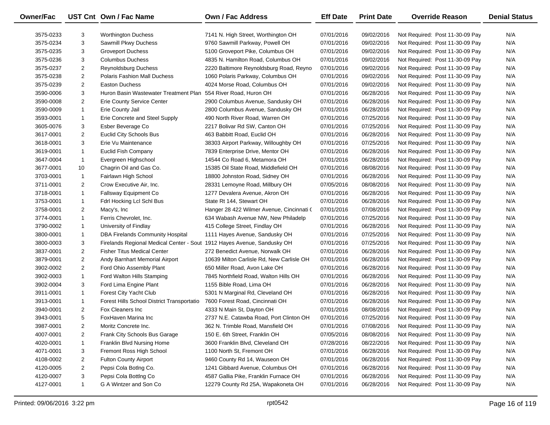| Owner/Fac |                | UST Cnt Own / Fac Name                                                  | Own / Fac Address                         | <b>Eff Date</b> | <b>Print Date</b> | <b>Override Reason</b>          | <b>Denial Status</b> |
|-----------|----------------|-------------------------------------------------------------------------|-------------------------------------------|-----------------|-------------------|---------------------------------|----------------------|
| 3575-0233 | 3              | <b>Worthington Duchess</b>                                              | 7141 N. High Street, Worthington OH       | 07/01/2016      | 09/02/2016        | Not Required: Post 11-30-09 Pay | N/A                  |
| 3575-0234 | 3              | Sawmill Pkwy Duchess                                                    | 9760 Sawmill Parkway, Powell OH           | 07/01/2016      | 09/02/2016        | Not Required: Post 11-30-09 Pay | N/A                  |
| 3575-0235 | 3              | <b>Groveport Duchess</b>                                                | 5100 Groveport Pike, Columbus OH          | 07/01/2016      | 09/02/2016        | Not Required: Post 11-30-09 Pay | N/A                  |
| 3575-0236 | 3              | <b>Columbus Duchess</b>                                                 | 4835 N. Hamilton Road, Columbus OH        | 07/01/2016      | 09/02/2016        | Not Required: Post 11-30-09 Pay | N/A                  |
| 3575-0237 | $\overline{2}$ | Reynoldsburg Duchess                                                    | 2220 Baltimore Reynoldsburg Road, Reyno   | 07/01/2016      | 09/02/2016        | Not Required: Post 11-30-09 Pay | N/A                  |
| 3575-0238 | $\overline{2}$ | Polaris Fashion Mall Duchess                                            | 1060 Polaris Parkway, Columbus OH         | 07/01/2016      | 09/02/2016        | Not Required: Post 11-30-09 Pay | N/A                  |
| 3575-0239 | $\overline{2}$ | <b>Easton Duchess</b>                                                   | 4024 Morse Road, Columbus OH              | 07/01/2016      | 09/02/2016        | Not Required: Post 11-30-09 Pay | N/A                  |
| 3590-0006 | 3              | Huron Basin Wastewater Treatment Plan                                   | 554 River Road, Huron OH                  | 07/01/2016      | 06/28/2016        | Not Required: Post 11-30-09 Pay | N/A                  |
| 3590-0008 | $\overline{2}$ | Erie County Service Center                                              | 2900 Columbus Avenue, Sandusky OH         | 07/01/2016      | 06/28/2016        | Not Required: Post 11-30-09 Pay | N/A                  |
| 3590-0009 | $\mathbf{1}$   | Erie County Jail                                                        | 2800 Columbus Avenue, Sandusky OH         | 07/01/2016      | 06/28/2016        | Not Required: Post 11-30-09 Pay | N/A                  |
| 3593-0001 | $\mathbf{1}$   | Erie Concrete and Steel Supply                                          | 490 North River Road, Warren OH           | 07/01/2016      | 07/25/2016        | Not Required: Post 11-30-09 Pay | N/A                  |
| 3605-0076 | 3              | Esber Beverage Co                                                       | 2217 Bolivar Rd SW, Canton OH             | 07/01/2016      | 07/25/2016        | Not Required: Post 11-30-09 Pay | N/A                  |
| 3617-0001 | $\overline{2}$ | <b>Euclid City Schools Bus</b>                                          | 463 Babbitt Road, Euclid OH               | 07/01/2016      | 06/28/2016        | Not Required: Post 11-30-09 Pay | N/A                  |
| 3618-0001 | 3              | Erie Vu Maintenance                                                     | 38303 Airport Parkway, Willoughby OH      | 07/01/2016      | 07/25/2016        | Not Required: Post 11-30-09 Pay | N/A                  |
| 3619-0001 | $\mathbf{1}$   | <b>Euclid Fish Company</b>                                              | 7839 Enterprise Drive, Mentor OH          | 07/01/2016      | 06/28/2016        | Not Required: Post 11-30-09 Pay | N/A                  |
| 3647-0004 | $\mathbf{1}$   | Evergreen Highschool                                                    | 14544 Co Road 6, Metamora OH              | 07/01/2016      | 06/28/2016        | Not Required: Post 11-30-09 Pay | N/A                  |
| 3677-0001 | 10             | Chagrin Oil and Gas Co.                                                 | 15385 Oil State Road, Middlefield OH      | 07/01/2016      | 08/08/2016        | Not Required: Post 11-30-09 Pay | N/A                  |
| 3703-0001 | $\mathbf{1}$   | Fairlawn High School                                                    | 18800 Johnston Road, Sidney OH            | 07/01/2016      | 06/28/2016        | Not Required: Post 11-30-09 Pay | N/A                  |
| 3711-0001 | $\overline{2}$ | Crow Executive Air, Inc.                                                | 28331 Lemoyne Road, Millbury OH           | 07/05/2016      | 08/08/2016        | Not Required: Post 11-30-09 Pay | N/A                  |
| 3718-0001 | $\mathbf{1}$   | Fallsway Equipment Co                                                   | 1277 Devalera Avenue, Akron OH            | 07/01/2016      | 06/28/2016        | Not Required: Post 11-30-09 Pay | N/A                  |
| 3753-0001 | $\mathbf{1}$   | Fdrl Hocking Lcl Schl Bus                                               | State Rt 144, Stewart OH                  | 07/01/2016      | 06/28/2016        | Not Required: Post 11-30-09 Pay | N/A                  |
| 3758-0001 | $\overline{2}$ | Macy's, Inc                                                             | Hanger 28 422 Wilmer Avenue, Cincinnati ( | 07/01/2016      | 07/08/2016        | Not Required: Post 11-30-09 Pay | N/A                  |
| 3774-0001 | $\mathbf{1}$   | Ferris Chevrolet, Inc.                                                  | 634 Wabash Avenue NW, New Philadelp       | 07/01/2016      | 07/25/2016        | Not Required: Post 11-30-09 Pay | N/A                  |
| 3790-0002 | $\mathbf{1}$   | University of Findlay                                                   | 415 College Street, Findlay OH            | 07/01/2016      | 06/28/2016        | Not Required: Post 11-30-09 Pay | N/A                  |
| 3800-0001 | $\mathbf{1}$   | DBA Firelands Community Hospital                                        | 1111 Hayes Avenue, Sandusky OH            | 07/01/2016      | 07/25/2016        | Not Required: Post 11-30-09 Pay | N/A                  |
| 3800-0003 | 3              | Firelands Regional Medical Center - Sout 1912 Hayes Avenue, Sandusky OH |                                           | 07/01/2016      | 07/25/2016        | Not Required: Post 11-30-09 Pay | N/A                  |
| 3837-0001 | $\overline{2}$ | <b>Fisher Titus Medical Center</b>                                      | 272 Benedict Avenue, Norwalk OH           | 07/01/2016      | 06/28/2016        | Not Required: Post 11-30-09 Pay | N/A                  |
| 3879-0001 | $\overline{2}$ | Andy Barnhart Memorial Airport                                          | 10639 Milton Carlisle Rd, New Carlisle OH | 07/01/2016      | 06/28/2016        | Not Required: Post 11-30-09 Pay | N/A                  |
| 3902-0002 | $\overline{2}$ | Ford Ohio Assembly Plant                                                | 650 Miller Road, Avon Lake OH             | 07/01/2016      | 06/28/2016        | Not Required: Post 11-30-09 Pay | N/A                  |
| 3902-0003 | $\mathbf{1}$   | Ford Walton Hills Stamping                                              | 7845 Northfield Road, Walton Hills OH     | 07/01/2016      | 06/28/2016        | Not Required: Post 11-30-09 Pay | N/A                  |
| 3902-0004 | 3              | Ford Lima Engine Plant                                                  | 1155 Bible Road, Lima OH                  | 07/01/2016      | 06/28/2016        | Not Required: Post 11-30-09 Pay | N/A                  |
| 3911-0001 | $\mathbf{1}$   | Forest City Yacht Club                                                  | 5301 N Marginal Rd, Cleveland OH          | 07/01/2016      | 06/28/2016        | Not Required: Post 11-30-09 Pay | N/A                  |
| 3913-0001 | $\mathbf{1}$   | Forest Hills School District Transportatio                              | 7600 Forest Road, Cincinnati OH           | 07/01/2016      | 06/28/2016        | Not Required: Post 11-30-09 Pay | N/A                  |
| 3940-0001 | $\overline{2}$ | Fox Cleaners Inc                                                        | 4333 N Main St, Dayton OH                 | 07/01/2016      | 08/08/2016        | Not Required: Post 11-30-09 Pay | N/A                  |
| 3943-0001 | 5              | FoxHaven Marina Inc                                                     | 2737 N.E. Catawba Road, Port Clinton OH   | 07/01/2016      | 07/25/2016        | Not Required: Post 11-30-09 Pay | N/A                  |
| 3987-0001 | $\overline{2}$ | Moritz Concrete Inc.                                                    | 362 N. Trimble Road, Mansfield OH         | 07/01/2016      | 07/08/2016        | Not Required: Post 11-30-09 Pay | N/A                  |
| 4007-0001 | 2              | Frank City Schools Bus Garage                                           | 150 E. 6th Street, Franklin OH            | 07/05/2016      | 08/08/2016        | Not Required: Post 11-30-09 Pay | N/A                  |
| 4020-0001 | $\mathbf{1}$   | Franklin Blvd Nursing Home                                              | 3600 Franklin Blvd, Cleveland OH          | 07/28/2016      | 08/22/2016        | Not Required: Post 11-30-09 Pay | N/A                  |
| 4071-0001 | 3              | Fremont Ross High School                                                | 1100 North St, Fremont OH                 | 07/01/2016      | 06/28/2016        | Not Required: Post 11-30-09 Pay | N/A                  |
| 4108-0002 | 2              | <b>Fulton County Airport</b>                                            | 9460 County Rd 14, Wauseon OH             | 07/01/2016      | 06/28/2016        | Not Required: Post 11-30-09 Pay | N/A                  |
| 4120-0005 | $\overline{2}$ | Pepsi Cola BotIng Co.                                                   | 1241 Gibbard Avenue, Columbus OH          | 07/01/2016      | 06/28/2016        | Not Required: Post 11-30-09 Pay | N/A                  |
| 4120-0007 | 3              | Pepsi Cola Botting Co                                                   | 4587 Gallia Pike, Franklin Furnace OH     | 07/01/2016      | 06/28/2016        | Not Required: Post 11-30-09 Pay | N/A                  |
| 4127-0001 | $\mathbf{1}$   | G A Wintzer and Son Co                                                  | 12279 County Rd 25A, Wapakoneta OH        | 07/01/2016      | 06/28/2016        | Not Required: Post 11-30-09 Pay | N/A                  |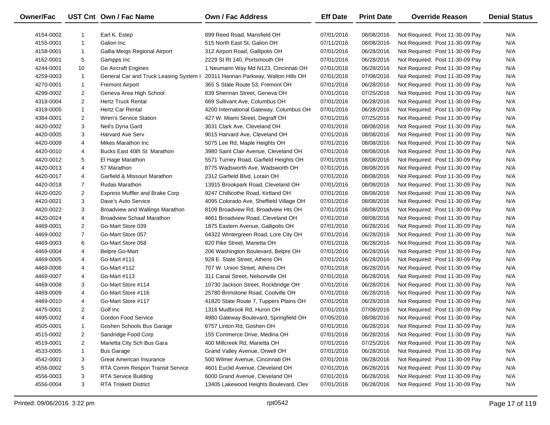| Owner/Fac |                | UST Cnt Own / Fac Name                 | Own / Fac Address                       | <b>Eff Date</b> | <b>Print Date</b> | <b>Override Reason</b>          | <b>Denial Status</b> |
|-----------|----------------|----------------------------------------|-----------------------------------------|-----------------|-------------------|---------------------------------|----------------------|
| 4154-0002 | 1              | Earl K. Estep                          | 899 Reed Road, Mansfield OH             | 07/01/2016      | 08/08/2016        | Not Required: Post 11-30-09 Pay | N/A                  |
| 4155-0001 | $\mathbf{1}$   | Galion Inc                             | 515 North East St, Galion OH            | 07/11/2016      | 08/08/2016        | Not Required: Post 11-30-09 Pay | N/A                  |
| 4158-0001 | $\mathbf{1}$   | Gallia Meigs Regional Airport          | 312 Airport Road, Gallipolis OH         | 07/01/2016      | 06/28/2016        | Not Required: Post 11-30-09 Pay | N/A                  |
| 4162-0001 | 5              | Gampps Inc                             | 2229 St Rt 140, Portsmouth OH           | 07/01/2016      | 06/28/2016        | Not Required: Post 11-30-09 Pay | N/A                  |
| 4244-0001 | 10             | <b>Ge Aircraft Engines</b>             | 1 Neumann Way Md N123, Cincinnati OH    | 07/01/2016      | 06/28/2016        | Not Required: Post 11-30-09 Pay | N/A                  |
| 4259-0003 | $\mathbf{1}$   | General Car and Truck Leasing System I | 20311 Hannan Parkway, Walton Hills OH   | 07/01/2016      | 07/08/2016        | Not Required: Post 11-30-09 Pay | N/A                  |
| 4270-0001 | $\mathbf{1}$   | <b>Fremont Airport</b>                 | 365 S State Route 53, Fremont OH        | 07/01/2016      | 06/28/2016        | Not Required: Post 11-30-09 Pay | N/A                  |
| 4299-0002 | $\overline{2}$ | Geneva Area High School                | 839 Sherman Street, Geneva OH           | 07/01/2016      | 07/25/2016        | Not Required: Post 11-30-09 Pay | N/A                  |
| 4318-0004 | $\overline{2}$ | <b>Hertz Truck Rental</b>              | 669 Sullivant Ave, Columbus OH          | 07/01/2016      | 06/28/2016        | Not Required: Post 11-30-09 Pay | N/A                  |
| 4318-0005 | $\mathbf{1}$   | <b>Hertz Car Rental</b>                | 4200 International Gateway, Columbus OH | 07/01/2016      | 06/28/2016        | Not Required: Post 11-30-09 Pay | N/A                  |
| 4384-0001 | $\overline{2}$ | <b>Wren's Service Station</b>          | 427 W. Miami Street, Degraff OH         | 07/01/2016      | 07/25/2016        | Not Required: Post 11-30-09 Pay | N/A                  |
| 4420-0002 | 3              | Neil's Dyna Gard                       | 3031 Clark Ave, Cleveland OH            | 07/01/2016      | 08/08/2016        | Not Required: Post 11-30-09 Pay | N/A                  |
| 4420-0005 | 3              | <b>Harvard Ave Serv</b>                | 9015 Harvard Ave, Cleveland OH          | 07/01/2016      | 08/08/2016        | Not Required: Post 11-30-09 Pay | N/A                  |
| 4420-0009 | 4              | Mikes Marathon Inc                     | 5075 Lee Rd, Maple Heights OH           | 07/01/2016      | 08/08/2016        | Not Required: Post 11-30-09 Pay | N/A                  |
| 4420-0010 | 4              | Bucks East 40th St Marathon            | 3980 Saint Clair Avenue, Cleveland OH   | 07/01/2016      | 08/08/2016        | Not Required: Post 11-30-09 Pay | N/A                  |
| 4420-0012 | 5              | El Hage Marathon                       | 5571 Turney Road, Garfield Heights OH   | 07/01/2016      | 08/08/2016        | Not Required: Post 11-30-09 Pay | N/A                  |
| 4420-0013 | 4              | 57 Marathon                            | 8775 Wadsworth Ave, Wadsworth OH        | 07/01/2016      | 08/08/2016        | Not Required: Post 11-30-09 Pay | N/A                  |
| 4420-0017 | 4              | Garfield & Missouri Marathon           | 2312 Garfield Blvd, Lorain OH           | 07/01/2016      | 08/08/2016        | Not Required: Post 11-30-09 Pay | N/A                  |
| 4420-0018 | $\overline{7}$ | <b>Rudas Marathon</b>                  | 13915 Brookpark Road, Cleveland OH      | 07/01/2016      | 08/08/2016        | Not Required: Post 11-30-09 Pay | N/A                  |
| 4420-0020 | $\overline{2}$ | <b>Express Muffler and Brake Corp</b>  | 9247 Chillicothe Road, Kirtland OH      | 07/01/2016      | 08/08/2016        | Not Required: Post 11-30-09 Pay | N/A                  |
| 4420-0021 | 3              | Dave's Auto Service                    | 4095 Colorado Ave, Sheffield Village OH | 07/01/2016      | 08/08/2016        | Not Required: Post 11-30-09 Pay | N/A                  |
| 4420-0022 | 3              | Broadview and Wallings Marathon        | 8109 Broadview Rd, Broadview Hts OH     | 07/01/2016      | 08/08/2016        | Not Required: Post 11-30-09 Pay | N/A                  |
| 4420-0024 | 4              | <b>Broadview Schaaf Marathon</b>       | 4661 Broadview Road, Cleveland OH       | 07/01/2016      | 08/08/2016        | Not Required: Post 11-30-09 Pay | N/A                  |
| 4469-0001 | $\overline{2}$ | Go-Mart Store 039                      | 1875 Eastern Avenue, Gallipolis OH      | 07/01/2016      | 06/28/2016        | Not Required: Post 11-30-09 Pay | N/A                  |
| 4469-0002 | $\overline{7}$ | Go-Mart Store 057                      | 64322 Wintergreen Road, Lore City OH    | 07/01/2016      | 06/28/2016        | Not Required: Post 11-30-09 Pay | N/A                  |
| 4469-0003 | 6              | Go-Mart Store 058                      | 820 Pike Street, Marietta OH            | 07/01/2016      | 06/28/2016        | Not Required: Post 11-30-09 Pay | N/A                  |
| 4469-0004 | 4              | <b>Belpre Go-Mart</b>                  | 206 Washington Boulevard, Belpre OH     | 07/01/2016      | 06/28/2016        | Not Required: Post 11-30-09 Pay | N/A                  |
| 4469-0005 | 4              | Go-Mart #111                           | 928 E. State Street, Athens OH          | 07/01/2016      | 06/28/2016        | Not Required: Post 11-30-09 Pay | N/A                  |
| 4469-0006 | 4              | Go-Mart #112                           | 707 W. Union Street, Athens OH          | 07/01/2016      | 06/28/2016        | Not Required: Post 11-30-09 Pay | N/A                  |
| 4469-0007 | 4              | Go-Mart #113                           | 311 Canal Street, Nelsonville OH        | 07/01/2016      | 06/28/2016        | Not Required: Post 11-30-09 Pay | N/A                  |
| 4469-0008 | 3              | Go-Mart Store #114                     | 10730 Jackson Street, Rockbridge OH     | 07/01/2016      | 06/28/2016        | Not Required: Post 11-30-09 Pay | N/A                  |
| 4469-0009 | 4              | Go-Mart Store #116                     | 25780 Brimstone Road, Coolville OH      | 07/01/2016      | 06/28/2016        | Not Required: Post 11-30-09 Pay | N/A                  |
| 4469-0010 | 4              | Go-Mart Store #117                     | 41820 State Route 7, Tuppers Plains OH  | 07/01/2016      | 06/28/2016        | Not Required: Post 11-30-09 Pay | N/A                  |
| 4475-0001 | $\overline{2}$ | Golf Inc                               | 1316 Mudbrook Rd, Huron OH              | 07/01/2016      | 07/08/2016        | Not Required: Post 11-30-09 Pay | N/A                  |
| 4495-0002 | $\overline{4}$ | Gordon Food Service                    | 4980 Gateway Boulevard, Springfield OH  | 07/05/2016      | 08/08/2016        | Not Required: Post 11-30-09 Pay | N/A                  |
| 4505-0001 | 1              | Goshen Schools Bus Garage              | 6757 Linton Rd, Goshen OH               | 07/01/2016      | 06/28/2016        | Not Required: Post 11-30-09 Pay | N/A                  |
| 4515-0002 | 2              | Sandridge Food Corp                    | 155 Commerce Drive, Medina OH           | 07/01/2016      | 06/28/2016        | Not Required: Post 11-30-09 Pay | N/A                  |
| 4519-0001 | $\overline{2}$ | Marietta City Sch Bus Gara             | 400 Millcreek Rd, Marietta OH           | 07/01/2016      | 07/25/2016        | Not Required: Post 11-30-09 Pay | N/A                  |
| 4533-0005 | 1              | <b>Bus Garage</b>                      | Grand Valley Avenue, Orwell OH          | 07/01/2016      | 06/28/2016        | Not Required: Post 11-30-09 Pay | N/A                  |
| 4542-0001 | 3              | Great American Insurance               | 500 Wilmer Avenue, Cincinnati OH        | 07/01/2016      | 06/28/2016        | Not Required: Post 11-30-09 Pay | N/A                  |
| 4556-0002 | 5              | RTA Comm Respon Transit Service        | 4601 Euclid Avenue, Cleveland OH        | 07/01/2016      | 06/28/2016        | Not Required: Post 11-30-09 Pay | N/A                  |
| 4556-0003 | 3              | <b>RTA Service Building</b>            | 6000 Grand Avenue, Cleveland OH         | 07/01/2016      | 06/28/2016        | Not Required: Post 11-30-09 Pay | N/A                  |
| 4556-0004 | 3              | <b>RTA Triskett District</b>           | 13405 Lakewood Heights Boulevard, Clev  | 07/01/2016      | 06/28/2016        | Not Required: Post 11-30-09 Pay | N/A                  |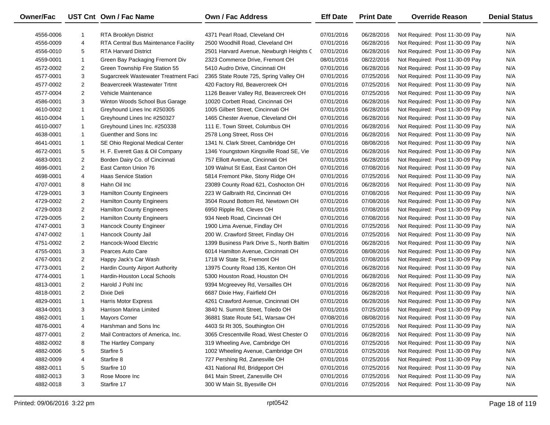| Owner/Fac |                | UST Cnt Own / Fac Name               | Own / Fac Address                         | <b>Eff Date</b> | <b>Print Date</b> | <b>Override Reason</b>          | <b>Denial Status</b> |
|-----------|----------------|--------------------------------------|-------------------------------------------|-----------------|-------------------|---------------------------------|----------------------|
| 4556-0006 | 1              | <b>RTA Brooklyn District</b>         | 4371 Pearl Road, Cleveland OH             | 07/01/2016      | 06/28/2016        | Not Required: Post 11-30-09 Pay | N/A                  |
| 4556-0009 | 4              | RTA Central Bus Maintenance Facility | 2500 Woodhill Road, Cleveland OH          | 07/01/2016      | 06/28/2016        | Not Required: Post 11-30-09 Pay | N/A                  |
| 4556-0010 | 5              | <b>RTA Harvard District</b>          | 2501 Harvard Avenue, Newburgh Heights (   | 07/01/2016      | 06/28/2016        | Not Required: Post 11-30-09 Pay | N/A                  |
| 4559-0001 | $\mathbf{1}$   | Green Bay Packaging Fremont Div      | 2323 Commerce Drive, Fremont OH           | 08/01/2016      | 08/22/2016        | Not Required: Post 11-30-09 Pay | N/A                  |
| 4572-0002 | $\overline{2}$ | Green Township Fire Station 55       | 5410 Audro Drive, Cincinnati OH           | 07/01/2016      | 06/28/2016        | Not Required: Post 11-30-09 Pay | N/A                  |
| 4577-0001 | 3              | Sugarcreek Wastewater Treatment Faci | 2365 State Route 725, Spring Valley OH    | 07/01/2016      | 07/25/2016        | Not Required: Post 11-30-09 Pay | N/A                  |
| 4577-0002 | $\overline{2}$ | Beavercreek Wastewater Trtmt         | 420 Factory Rd, Beavercreek OH            | 07/01/2016      | 07/25/2016        | Not Required: Post 11-30-09 Pay | N/A                  |
| 4577-0004 | $\overline{2}$ | Vehicle Maintenance                  | 1126 Beaver Valley Rd, Beavercreek OH     | 07/01/2016      | 07/25/2016        | Not Required: Post 11-30-09 Pay | N/A                  |
| 4586-0001 | 3              | Winton Woods School Bus Garage       | 10020 Corbett Road, Cincinnati OH         | 07/01/2016      | 06/28/2016        | Not Required: Post 11-30-09 Pay | N/A                  |
| 4610-0002 | $\mathbf{1}$   | Greyhound Lines Inc #250305          | 1005 Gilbert Street, Cincinnati OH        | 07/01/2016      | 06/28/2016        | Not Required: Post 11-30-09 Pay | N/A                  |
| 4610-0004 | $\mathbf{1}$   | Greyhound Lines Inc #250327          | 1465 Chester Avenue, Cleveland OH         | 07/01/2016      | 06/28/2016        | Not Required: Post 11-30-09 Pay | N/A                  |
| 4610-0007 | $\mathbf{1}$   | Greyhound Lines Inc. #250338         | 111 E. Town Street, Columbus OH           | 07/01/2016      | 06/28/2016        | Not Required: Post 11-30-09 Pay | N/A                  |
| 4638-0001 | $\mathbf{1}$   | Guenther and Sons Inc.               | 2578 Long Street, Ross OH                 | 07/01/2016      | 06/28/2016        | Not Required: Post 11-30-09 Pay | N/A                  |
| 4641-0001 | $\mathbf{1}$   | SE Ohio Regional Medical Center      | 1341 N. Clark Street, Cambridge OH        | 07/01/2016      | 08/08/2016        | Not Required: Post 11-30-09 Pay | N/A                  |
| 4672-0001 | 5              | H. F. Everett Gas & Oil Company      | 1346 Youngstown Kingsville Road SE, Vie   | 07/01/2016      | 06/28/2016        | Not Required: Post 11-30-09 Pay | N/A                  |
| 4683-0001 | $\overline{2}$ | Borden Dairy Co. of Cincinnati       | 757 Elliott Avenue, Cincinnati OH         | 07/01/2016      | 06/28/2016        | Not Required: Post 11-30-09 Pay | N/A                  |
| 4696-0001 | $\overline{2}$ | East Canton Union 76                 | 109 Walnut St East, East Canton OH        | 07/01/2016      | 07/08/2016        | Not Required: Post 11-30-09 Pay | N/A                  |
| 4698-0001 | 4              | <b>Haas Service Station</b>          | 5814 Fremont Pike, Stony Ridge OH         | 07/01/2016      | 07/25/2016        | Not Required: Post 11-30-09 Pay | N/A                  |
| 4707-0001 | 8              | Hahn Oil Inc                         | 23089 County Road 621, Coshocton OH       | 07/01/2016      | 06/28/2016        | Not Required: Post 11-30-09 Pay | N/A                  |
| 4729-0001 | 3              | <b>Hamilton County Engineers</b>     | 223 W Galbraith Rd, Cincinnati OH         | 07/01/2016      | 07/08/2016        | Not Required: Post 11-30-09 Pay | N/A                  |
| 4729-0002 | $\overline{2}$ | <b>Hamilton County Engineers</b>     | 3504 Round Bottom Rd, Newtown OH          | 07/01/2016      | 07/08/2016        | Not Required: Post 11-30-09 Pay | N/A                  |
| 4729-0003 | $\overline{2}$ | <b>Hamilton County Engineers</b>     | 6950 Ripple Rd, Cleves OH                 | 07/01/2016      | 07/08/2016        | Not Required: Post 11-30-09 Pay | N/A                  |
| 4729-0005 | $\overline{2}$ | <b>Hamilton County Engineers</b>     | 934 Neeb Road, Cincinnati OH              | 07/01/2016      | 07/08/2016        | Not Required: Post 11-30-09 Pay | N/A                  |
| 4747-0001 | 3              | Hancock County Engineer              | 1900 Lima Avenue, Findlay OH              | 07/01/2016      | 07/25/2016        | Not Required: Post 11-30-09 Pay | N/A                  |
| 4747-0002 | $\mathbf{1}$   | Hancock County Jail                  | 200 W. Crawford Street, Findlay OH        | 07/01/2016      | 07/25/2016        | Not Required: Post 11-30-09 Pay | N/A                  |
| 4751-0002 | $\overline{2}$ | Hancock-Wood Electric                | 1399 Business Park Drive S., North Baltim | 07/01/2016      | 06/28/2016        | Not Required: Post 11-30-09 Pay | N/A                  |
| 4755-0001 | 3              | Pearces Auto Care                    | 6014 Hamilton Avenue, Cincinnati OH       | 07/05/2016      | 08/08/2016        | Not Required: Post 11-30-09 Pay | N/A                  |
| 4767-0001 | $\overline{2}$ | Happy Jack's Car Wash                | 1718 W State St, Fremont OH               | 07/01/2016      | 07/08/2016        | Not Required: Post 11-30-09 Pay | N/A                  |
| 4773-0001 | $\overline{2}$ | Hardin County Airport Authority      | 13975 County Road 135, Kenton OH          | 07/01/2016      | 06/28/2016        | Not Required: Post 11-30-09 Pay | N/A                  |
| 4774-0001 | $\mathbf{1}$   | Hardin-Houston Local Schools         | 5300 Houston Road, Houston OH             | 07/01/2016      | 06/28/2016        | Not Required: Post 11-30-09 Pay | N/A                  |
| 4813-0001 | $\overline{2}$ | Harold J Pohl Inc                    | 9394 Mcgreevey Rd, Versailles OH          | 07/01/2016      | 06/28/2016        | Not Required: Post 11-30-09 Pay | N/A                  |
| 4818-0001 | $\overline{2}$ | Dixie Deli                           | 6687 Dixie Hwy, Fairfield OH              | 07/01/2016      | 06/28/2016        | Not Required: Post 11-30-09 Pay | N/A                  |
| 4829-0001 | $\mathbf{1}$   | Harris Motor Express                 | 4261 Crawford Avenue, Cincinnati OH       | 07/01/2016      | 06/28/2016        | Not Required: Post 11-30-09 Pay | N/A                  |
| 4834-0001 | 3              | Harrison Marina Limited              | 3840 N. Summit Street, Toledo OH          | 07/01/2016      | 07/25/2016        | Not Required: Post 11-30-09 Pay | N/A                  |
| 4862-0001 | $\mathbf{1}$   | <b>Mayors Corner</b>                 | 36881 State Route 541, Warsaw OH          | 07/08/2016      | 08/08/2016        | Not Required: Post 11-30-09 Pay | N/A                  |
| 4876-0001 | 4              | Harshman and Sons Inc                | 4403 St Rt 305, Southington OH            | 07/01/2016      | 07/25/2016        | Not Required: Post 11-30-09 Pay | N/A                  |
| 4877-0001 | 2              | Mail Contractors of America, Inc.    | 3065 Crescentville Road, West Chester O   | 07/01/2016      | 06/28/2016        | Not Required: Post 11-30-09 Pay | N/A                  |
| 4882-0002 | 8              | The Hartley Company                  | 319 Wheeling Ave, Cambridge OH            | 07/01/2016      | 07/25/2016        | Not Required: Post 11-30-09 Pay | N/A                  |
| 4882-0006 | 5              | Starfire 5                           | 1002 Wheeling Avenue, Cambridge OH        | 07/01/2016      | 07/25/2016        | Not Required: Post 11-30-09 Pay | N/A                  |
| 4882-0009 | 4              | Starfire 8                           | 727 Pershing Rd, Zanesville OH            | 07/01/2016      | 07/25/2016        | Not Required: Post 11-30-09 Pay | N/A                  |
| 4882-0011 | 5              | Starfire 10                          | 431 National Rd, Bridgeport OH            | 07/01/2016      | 07/25/2016        | Not Required: Post 11-30-09 Pay | N/A                  |
| 4882-0013 | 3              | Rose Moore Inc                       | 841 Main Street, Zanesville OH            | 07/01/2016      | 07/25/2016        | Not Required: Post 11-30-09 Pay | N/A                  |
| 4882-0018 | 3              | Starfire 17                          | 300 W Main St, Byesville OH               | 07/01/2016      | 07/25/2016        | Not Required: Post 11-30-09 Pay | N/A                  |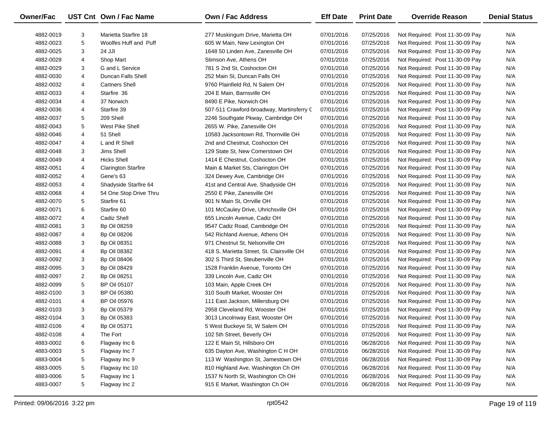| Owner/Fac |                | UST Cnt Own / Fac Name     | Own / Fac Address                          | <b>Eff Date</b> | <b>Print Date</b> | <b>Override Reason</b>          | <b>Denial Status</b> |
|-----------|----------------|----------------------------|--------------------------------------------|-----------------|-------------------|---------------------------------|----------------------|
| 4882-0019 | 3              | Marietta Starfire 18       | 277 Muskingum Drive, Marietta OH           | 07/01/2016      | 07/25/2016        | Not Required: Post 11-30-09 Pay | N/A                  |
| 4882-0023 | 5              | Woolfes Huff and Puff      | 605 W Main, New Lexington OH               | 07/01/2016      | 07/25/2016        | Not Required: Post 11-30-09 Pay | N/A                  |
| 4882-0025 | 3              | 24 JJI                     | 1648 50 Linden Ave, Zanesville OH          | 07/01/2016      | 07/25/2016        | Not Required: Post 11-30-09 Pay | N/A                  |
| 4882-0028 | 4              | Shop Mart                  | Stimson Ave, Athens OH                     | 07/01/2016      | 07/25/2016        | Not Required: Post 11-30-09 Pay | N/A                  |
| 4882-0029 | 3              | G and L Service            | 781 S 2nd St, Coshocton OH                 | 07/01/2016      | 07/25/2016        | Not Required: Post 11-30-09 Pay | N/A                  |
| 4882-0030 | 4              | Duncan Falls Shell         | 252 Main St, Duncan Falls OH               | 07/01/2016      | 07/25/2016        | Not Required: Post 11-30-09 Pay | N/A                  |
| 4882-0032 | 4              | <b>Cartners Shell</b>      | 9760 Plainfield Rd, N Salem OH             | 07/01/2016      | 07/25/2016        | Not Required: Post 11-30-09 Pay | N/A                  |
| 4882-0033 | 4              | Starfire 36                | 204 E Main, Barnsville OH                  | 07/01/2016      | 07/25/2016        | Not Required: Post 11-30-09 Pay | N/A                  |
| 4882-0034 | 4              | 37 Norwich                 | 8490 E Pike, Norwich OH                    | 07/01/2016      | 07/25/2016        | Not Required: Post 11-30-09 Pay | N/A                  |
| 4882-0036 | 4              | Starfire 39                | 507-511 Crawford-broadway, Martinsferry C  | 07/01/2016      | 07/25/2016        | Not Required: Post 11-30-09 Pay | N/A                  |
| 4882-0037 | 5              | 209 Shell                  | 2246 Southgate Pkway, Cambridge OH         | 07/01/2016      | 07/25/2016        | Not Required: Post 11-30-09 Pay | N/A                  |
| 4882-0043 | 5              | West Pike Shell            | 2655 W. Pike, Zanesville OH                | 07/01/2016      | 07/25/2016        | Not Required: Post 11-30-09 Pay | N/A                  |
| 4882-0046 | 4              | 51 Shell                   | 10583 Jacksontown Rd, Thornville OH        | 07/01/2016      | 07/25/2016        | Not Required: Post 11-30-09 Pay | N/A                  |
| 4882-0047 | 4              | L and R Shell              | 2nd and Chestnut, Coshocton OH             | 07/01/2016      | 07/25/2016        | Not Required: Post 11-30-09 Pay | N/A                  |
| 4882-0048 | 3              | <b>Jims Shell</b>          | 129 State St, New Comerstown OH            | 07/01/2016      | 07/25/2016        | Not Required: Post 11-30-09 Pay | N/A                  |
| 4882-0049 | 4              | <b>Hicks Shell</b>         | 1414 E Chestnut, Coshocton OH              | 07/01/2016      | 07/25/2016        | Not Required: Post 11-30-09 Pay | N/A                  |
| 4882-0051 | 4              | <b>Clarington Starfire</b> | Main & Market Sts, Clarington OH           | 07/01/2016      | 07/25/2016        | Not Required: Post 11-30-09 Pay | N/A                  |
| 4882-0052 | 4              | Gene's 63                  | 324 Dewey Ave, Cambridge OH                | 07/01/2016      | 07/25/2016        | Not Required: Post 11-30-09 Pay | N/A                  |
| 4882-0053 | 4              | Shadyside Starfire 64      | 41st and Central Ave, Shadyside OH         | 07/01/2016      | 07/25/2016        | Not Required: Post 11-30-09 Pay | N/A                  |
| 4882-0068 | 4              | 54 One Stop Drive Thru     | 2550 E Pike, Zanesville OH                 | 07/01/2016      | 07/25/2016        | Not Required: Post 11-30-09 Pay | N/A                  |
| 4882-0070 | 5              | Starfire 61                | 901 N Main St, Orrville OH                 | 07/01/2016      | 07/25/2016        | Not Required: Post 11-30-09 Pay | N/A                  |
| 4882-0071 | 6              | Starfire 60                | 101 McCauley Drive, Uhrichsville OH        | 07/01/2016      | 07/25/2016        | Not Required: Post 11-30-09 Pay | N/A                  |
| 4882-0072 | 4              | Cadiz Shell                | 655 Lincoln Avenue, Cadiz OH               | 07/01/2016      | 07/25/2016        | Not Required: Post 11-30-09 Pay | N/A                  |
| 4882-0081 | 3              | <b>Bp Oil 08259</b>        | 9547 Cadiz Road, Cambridge OH              | 07/01/2016      | 07/25/2016        | Not Required: Post 11-30-09 Pay | N/A                  |
| 4882-0087 | 4              | <b>Bp Oil 08206</b>        | 542 Richland Avenue, Athens OH             | 07/01/2016      | 07/25/2016        | Not Required: Post 11-30-09 Pay | N/A                  |
| 4882-0088 | 3              | <b>Bp Oil 08351</b>        | 971 Chestnut St, Nelsonville OH            | 07/01/2016      | 07/25/2016        | Not Required: Post 11-30-09 Pay | N/A                  |
| 4882-0091 | 4              | <b>Bp Oil 08382</b>        | 418 S. Marietta Street, St. Clairsville OH | 07/01/2016      | 07/25/2016        | Not Required: Post 11-30-09 Pay | N/A                  |
| 4882-0092 | 3              | <b>Bp Oil 08406</b>        | 302 S Third St, Steubenville OH            | 07/01/2016      | 07/25/2016        | Not Required: Post 11-30-09 Pay | N/A                  |
| 4882-0095 | 3              | <b>Bp Oil 08429</b>        | 1528 Franklin Avenue, Toronto OH           | 07/01/2016      | 07/25/2016        | Not Required: Post 11-30-09 Pay | N/A                  |
| 4882-0097 | $\overline{2}$ | <b>Bp Oil 08251</b>        | 339 Lincoln Ave, Cadiz OH                  | 07/01/2016      | 07/25/2016        | Not Required: Post 11-30-09 Pay | N/A                  |
| 4882-0099 | 5              | <b>BP Oil 05107</b>        | 103 Main, Apple Creek OH                   | 07/01/2016      | 07/25/2016        | Not Required: Post 11-30-09 Pay | N/A                  |
| 4882-0100 | 3              | <b>BP Oil 05380</b>        | 310 South Market, Wooster OH               | 07/01/2016      | 07/25/2016        | Not Required: Post 11-30-09 Pay | N/A                  |
| 4882-0101 | 4              | <b>BP Oil 05976</b>        | 111 East Jackson, Millersburg OH           | 07/01/2016      | 07/25/2016        | Not Required: Post 11-30-09 Pay | N/A                  |
| 4882-0103 | 3              | <b>Bp Oil 05379</b>        | 2958 Cleveland Rd, Wooster OH              | 07/01/2016      | 07/25/2016        | Not Required: Post 11-30-09 Pay | N/A                  |
| 4882-0104 | 3              | <b>Bp Oil 05383</b>        | 3013 Lincolnway East, Wooster OH           | 07/01/2016      | 07/25/2016        | Not Required: Post 11-30-09 Pay | N/A                  |
| 4882-0106 | 4              | <b>Bp Oil 05371</b>        | 5 West Buckeye St, W Salem OH              | 07/01/2016      | 07/25/2016        | Not Required: Post 11-30-09 Pay | N/A                  |
| 4882-0108 | 4              | The Fort                   | 102 5th Street, Beverly OH                 | 07/01/2016      | 07/25/2016        | Not Required: Post 11-30-09 Pay | N/A                  |
| 4883-0002 | 6              | Flagway Inc 6              | 122 E Main St, Hillsboro OH                | 07/01/2016      | 06/28/2016        | Not Required: Post 11-30-09 Pay | N/A                  |
| 4883-0003 | 5              | Flagway Inc 7              | 635 Dayton Ave, Washington C H OH          | 07/01/2016      | 06/28/2016        | Not Required: Post 11-30-09 Pay | N/A                  |
| 4883-0004 | 5              | Flagway Inc 9              | 113 W Washington St, Jamestown OH          | 07/01/2016      | 06/28/2016        | Not Required: Post 11-30-09 Pay | N/A                  |
| 4883-0005 | 5              | Flagway Inc 10             | 810 Highland Ave, Washington Ch OH         | 07/01/2016      | 06/28/2016        | Not Required: Post 11-30-09 Pay | N/A                  |
| 4883-0006 | 5              | Flagway Inc 1              | 1537 N North St, Washington Ch OH          | 07/01/2016      | 06/28/2016        | Not Required: Post 11-30-09 Pay | N/A                  |
| 4883-0007 | 5              | Flagway Inc 2              | 915 E Market, Washington Ch OH             | 07/01/2016      | 06/28/2016        | Not Required: Post 11-30-09 Pay | N/A                  |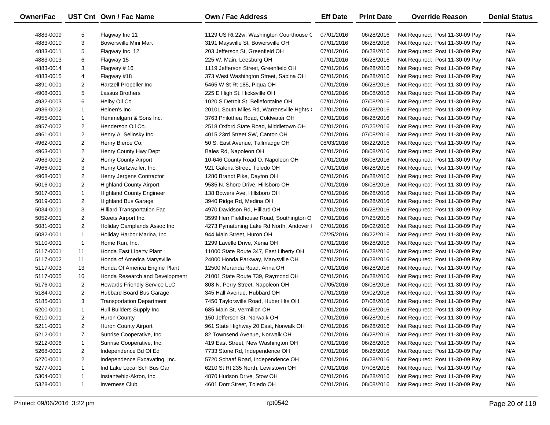| Owner/Fac |                | UST Cnt Own / Fac Name           | Own / Fac Address                        | <b>Eff Date</b> | <b>Print Date</b> | <b>Override Reason</b>          | <b>Denial Status</b> |
|-----------|----------------|----------------------------------|------------------------------------------|-----------------|-------------------|---------------------------------|----------------------|
| 4883-0009 | 5              | Flagway Inc 11                   | 1129 US Rt 22w, Washington Courthouse C  | 07/01/2016      | 06/28/2016        | Not Required: Post 11-30-09 Pay | N/A                  |
| 4883-0010 | 3              | <b>Bowersville Mini Mart</b>     | 3191 Maysville St, Bowersville OH        | 07/01/2016      | 06/28/2016        | Not Required: Post 11-30-09 Pay | N/A                  |
| 4883-0011 | 5              | Flagway Inc 12                   | 203 Jefferson St, Greenfield OH          | 07/01/2016      | 06/28/2016        | Not Required: Post 11-30-09 Pay | N/A                  |
| 4883-0013 | 6              | Flagway 15                       | 225 W. Main, Leesburg OH                 | 07/01/2016      | 06/28/2016        | Not Required: Post 11-30-09 Pay | N/A                  |
| 4883-0014 | 3              | Flagway # 16                     | 1119 Jefferson Street, Greenfield OH     | 07/01/2016      | 06/28/2016        | Not Required: Post 11-30-09 Pay | N/A                  |
| 4883-0015 | 4              | Flagway #18                      | 373 West Washington Street, Sabina OH    | 07/01/2016      | 06/28/2016        | Not Required: Post 11-30-09 Pay | N/A                  |
| 4891-0001 | $\overline{2}$ | Hartzell Propeller Inc           | 5465 W St Rt 185, Piqua OH               | 07/01/2016      | 06/28/2016        | Not Required: Post 11-30-09 Pay | N/A                  |
| 4908-0001 | 5              | Lassus Brothers                  | 225 E High St, Hicksville OH             | 07/01/2016      | 08/08/2016        | Not Required: Post 11-30-09 Pay | N/A                  |
| 4932-0003 | 6              | Heiby Oil Co                     | 1020 S Detroit St, Bellefontaine OH      | 07/01/2016      | 07/08/2016        | Not Required: Post 11-30-09 Pay | N/A                  |
| 4936-0002 | $\mathbf{1}$   | Heinen's Inc                     | 20101 South Miles Rd, Warrensville Hghts | 07/01/2016      | 06/28/2016        | Not Required: Post 11-30-09 Pay | N/A                  |
| 4955-0001 | $\mathbf{1}$   | Hemmelgarn & Sons Inc.           | 3763 Philothea Road, Coldwater OH        | 07/01/2016      | 06/28/2016        | Not Required: Post 11-30-09 Pay | N/A                  |
| 4957-0002 | $\overline{2}$ | Henderson Oil Co.                | 2518 Oxford State Road, Middletown OH    | 07/01/2016      | 07/25/2016        | Not Required: Post 11-30-09 Pay | N/A                  |
| 4961-0001 | $\overline{2}$ | Henry A Selinsky Inc             | 4015 23rd Street SW, Canton OH           | 07/01/2016      | 07/08/2016        | Not Required: Post 11-30-09 Pay | N/A                  |
| 4962-0001 | $\overline{2}$ | Henry Bierce Co.                 | 50 S. East Avenue, Tallmadge OH          | 08/03/2016      | 08/22/2016        | Not Required: Post 11-30-09 Pay | N/A                  |
| 4963-0001 | $\overline{a}$ | Henry County Hwy Dept            | Bales Rd, Napoleon OH                    | 07/01/2016      | 08/08/2016        | Not Required: Post 11-30-09 Pay | N/A                  |
| 4963-0003 | $\overline{2}$ | Henry County Airport             | 10-646 County Road O, Napoleon OH        | 07/01/2016      | 08/08/2016        | Not Required: Post 11-30-09 Pay | N/A                  |
| 4966-0001 | 3              | Henry Gurtzweiler, Inc.          | 921 Galena Street, Toledo OH             | 07/01/2016      | 06/28/2016        | Not Required: Post 11-30-09 Pay | N/A                  |
| 4968-0001 | $\overline{2}$ | Henry Jergens Contractor         | 1280 Brandt Pike, Dayton OH              | 07/01/2016      | 06/28/2016        | Not Required: Post 11-30-09 Pay | N/A                  |
| 5016-0001 | $\overline{2}$ | <b>Highland County Airport</b>   | 9585 N. Shore Drive, Hillsboro OH        | 07/01/2016      | 08/08/2016        | Not Required: Post 11-30-09 Pay | N/A                  |
| 5017-0001 | $\mathbf{1}$   | <b>Highland County Engineer</b>  | 138 Bowers Ave, Hillsboro OH             | 07/01/2016      | 06/28/2016        | Not Required: Post 11-30-09 Pay | N/A                  |
| 5019-0001 | $\overline{a}$ | <b>Highland Bus Garage</b>       | 3940 Ridge Rd, Medina OH                 | 07/01/2016      | 06/28/2016        | Not Required: Post 11-30-09 Pay | N/A                  |
| 5034-0001 | 3              | Hilliard Transportation Fac      | 4970 Davidson Rd, Hilliard OH            | 07/01/2016      | 06/28/2016        | Not Required: Post 11-30-09 Pay | N/A                  |
| 5052-0001 | $\overline{2}$ | Skeets Airport Inc.              | 3599 Herr Fieldhouse Road, Southington O | 07/01/2016      | 07/25/2016        | Not Required: Post 11-30-09 Pay | N/A                  |
| 5081-0001 | $\overline{2}$ | Holiday Camplands Assoc Inc      | 4273 Pymatuning Lake Rd North, Andover ( | 07/01/2016      | 09/02/2016        | Not Required: Post 11-30-09 Pay | N/A                  |
| 5082-0001 | $\mathbf{1}$   | Holiday Harbor Marina, Inc.      | 944 Main Street, Huron OH                | 07/25/2016      | 08/22/2016        | Not Required: Post 11-30-09 Pay | N/A                  |
| 5110-0001 | $\mathbf{1}$   | Home Run, Inc.                   | 1299 Lavelle Drive, Xenia OH             | 07/01/2016      | 06/28/2016        | Not Required: Post 11-30-09 Pay | N/A                  |
| 5117-0001 | 11             | Honda East Liberty Plant         | 11000 State Route 347, East Liberty OH   | 07/01/2016      | 06/28/2016        | Not Required: Post 11-30-09 Pay | N/A                  |
| 5117-0002 | 11             | Honda of America Marysville      | 24000 Honda Parkway, Marysville OH       | 07/01/2016      | 06/28/2016        | Not Required: Post 11-30-09 Pay | N/A                  |
| 5117-0003 | 13             | Honda Of America Engine Plant    | 12500 Meranda Road, Anna OH              | 07/01/2016      | 06/28/2016        | Not Required: Post 11-30-09 Pay | N/A                  |
| 5117-0005 | 16             | Honda Research and Development   | 21001 State Route 739, Raymond OH        | 07/01/2016      | 06/28/2016        | Not Required: Post 11-30-09 Pay | N/A                  |
| 5176-0001 | $\overline{2}$ | Howards Friendly Service LLC     | 808 N. Perry Street, Napoleon OH         | 07/05/2016      | 08/08/2016        | Not Required: Post 11-30-09 Pay | N/A                  |
| 5184-0001 | $\overline{2}$ | Hubbard Board Bus Garage         | 345 Hall Avenue, Hubbard OH              | 07/01/2016      | 09/02/2016        | Not Required: Post 11-30-09 Pay | N/A                  |
| 5185-0001 | 3              | <b>Transportation Department</b> | 7450 Taylorsville Road, Huber Hts OH     | 07/01/2016      | 07/08/2016        | Not Required: Post 11-30-09 Pay | N/A                  |
| 5200-0001 | $\mathbf{1}$   | Hull Builders Supply Inc         | 685 Main St, Vermilion OH                | 07/01/2016      | 06/28/2016        | Not Required: Post 11-30-09 Pay | N/A                  |
| 5210-0001 | $\overline{2}$ | Huron County                     | 150 Jefferson St, Norwalk OH             | 07/01/2016      | 06/28/2016        | Not Required: Post 11-30-09 Pay | N/A                  |
| 5211-0001 | $\overline{2}$ | Huron County Airport             | 961 State Highway 20 East, Norwalk OH    | 07/01/2016      | 06/28/2016        | Not Required: Post 11-30-09 Pay | N/A                  |
| 5212-0001 | $\overline{7}$ | Sunrise Cooperative, Inc.        | 82 Townsend Avenue, Norwalk OH           | 07/01/2016      | 06/28/2016        | Not Required: Post 11-30-09 Pay | N/A                  |
| 5212-0006 | 1              | Sunrise Cooperative, Inc.        | 419 East Street, New Washington OH       | 07/01/2016      | 06/28/2016        | Not Required: Post 11-30-09 Pay | N/A                  |
| 5268-0001 | 2              | Independence Bd Of Ed            | 7733 Stone Rd, Independence OH           | 07/01/2016      | 06/28/2016        | Not Required: Post 11-30-09 Pay | N/A                  |
| 5270-0001 | $\overline{2}$ | Independence Excavating, Inc.    | 5720 Schaaf Road, Independence OH        | 07/01/2016      | 06/28/2016        | Not Required: Post 11-30-09 Pay | N/A                  |
| 5277-0001 | $\mathbf{1}$   | Ind Lake Local Sch Bus Gar       | 6210 St Rt 235 North, Lewistown OH       | 07/01/2016      | 07/08/2016        | Not Required: Post 11-30-09 Pay | N/A                  |
| 5304-0001 | 1              | Instantwhip-Akron, Inc.          | 4870 Hudson Drive, Stow OH               | 07/01/2016      | 06/28/2016        | Not Required: Post 11-30-09 Pay | N/A                  |
| 5328-0001 | $\mathbf{1}$   | <b>Inverness Club</b>            | 4601 Dorr Street, Toledo OH              | 07/01/2016      | 08/08/2016        | Not Required: Post 11-30-09 Pay | N/A                  |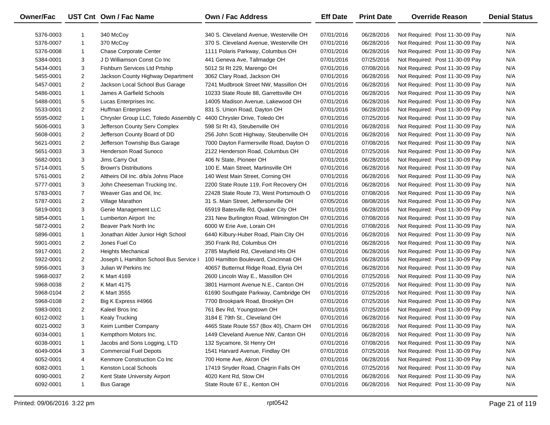| <b>Owner/Fac</b> |                | UST Cnt Own / Fac Name                 | Own / Fac Address                       | <b>Eff Date</b> | <b>Print Date</b> | <b>Override Reason</b>          | <b>Denial Status</b> |
|------------------|----------------|----------------------------------------|-----------------------------------------|-----------------|-------------------|---------------------------------|----------------------|
| 5376-0003        |                | 340 McCoy                              | 340 S. Cleveland Avenue, Westerville OH | 07/01/2016      | 06/28/2016        | Not Required: Post 11-30-09 Pay | N/A                  |
| 5376-0007        | $\mathbf{1}$   | 370 McCoy                              | 370 S. Cleveland Avenue, Westerville OH | 07/01/2016      | 06/28/2016        | Not Required: Post 11-30-09 Pay | N/A                  |
| 5376-0008        | $\mathbf{1}$   | <b>Chase Corporate Center</b>          | 1111 Polaris Parkway, Columbus OH       | 07/01/2016      | 06/28/2016        | Not Required: Post 11-30-09 Pay | N/A                  |
| 5384-0001        | 3              | J D Williamson Const Co Inc            | 441 Geneva Ave, Tallmadge OH            | 07/01/2016      | 07/25/2016        | Not Required: Post 11-30-09 Pay | N/A                  |
| 5434-0001        | 3              | Fishburn Services Ltd Prtship          | 5012 St Rt 229, Marengo OH              | 07/01/2016      | 07/08/2016        | Not Required: Post 11-30-09 Pay | N/A                  |
| 5455-0001        | $\overline{2}$ | Jackson County Highway Department      | 3062 Clary Road, Jackson OH             | 07/01/2016      | 06/28/2016        | Not Required: Post 11-30-09 Pay | N/A                  |
| 5457-0001        | $\overline{2}$ | Jackson Local School Bus Garage        | 7241 Mudbrook Street NW, Massillon OH   | 07/01/2016      | 06/28/2016        | Not Required: Post 11-30-09 Pay | N/A                  |
| 5486-0001        | $\mathbf{1}$   | James A Garfield Schools               | 10233 State Route 88, Garrettsville OH  | 07/01/2016      | 06/28/2016        | Not Required: Post 11-30-09 Pay | N/A                  |
| 5488-0001        | 5              | Lucas Enterprises Inc.                 | 14005 Madison Avenue, Lakewood OH       | 07/01/2016      | 06/28/2016        | Not Required: Post 11-30-09 Pay | N/A                  |
| 5533-0001        | $\overline{2}$ | <b>Huffman Enterprises</b>             | 831 S. Union Road, Dayton OH            | 07/01/2016      | 06/28/2016        | Not Required: Post 11-30-09 Pay | N/A                  |
| 5595-0002        | $\mathbf{1}$   | Chrysler Group LLC, Toledo Assembly C  | 4400 Chrysler Drive, Toledo OH          | 07/01/2016      | 07/25/2016        | Not Required: Post 11-30-09 Pay | N/A                  |
| 5606-0001        | 3              | Jefferson County Serv Complex          | 598 St Rt 43, Steubenville OH           | 07/01/2016      | 06/28/2016        | Not Required: Post 11-30-09 Pay | N/A                  |
| 5608-0001        | $\overline{2}$ | Jefferson County Board of DD           | 256 John Scott Highway, Steubenville OH | 07/01/2016      | 06/28/2016        | Not Required: Post 11-30-09 Pay | N/A                  |
| 5621-0001        | $\overline{2}$ | Jefferson Township Bus Garage          | 7000 Dayton Farmersville Road, Dayton O | 07/01/2016      | 07/08/2016        | Not Required: Post 11-30-09 Pay | N/A                  |
| 5651-0003        | 3              | <b>Henderson Road Sunoco</b>           | 2122 Henderson Road, Columbus OH        | 07/01/2016      | 07/25/2016        | Not Required: Post 11-30-09 Pay | N/A                  |
| 5682-0001        | 3              | Jims Carry Out                         | 406 N State, Pioneer OH                 | 07/01/2016      | 06/28/2016        | Not Required: Post 11-30-09 Pay | N/A                  |
| 5714-0001        | 5              | <b>Brown's Distributions</b>           | 100 E. Main Street, Martinsville OH     | 07/01/2016      | 06/28/2016        | Not Required: Post 11-30-09 Pay | N/A                  |
| 5761-0001        | $\overline{2}$ | Altheirs Oil Inc. d/b/a Johns Place    | 140 West Main Street, Corning OH        | 07/01/2016      | 06/28/2016        | Not Required: Post 11-30-09 Pay | N/A                  |
| 5777-0001        | 3              | John Cheeseman Trucking Inc.           | 2200 State Route 119, Fort Recovery OH  | 07/01/2016      | 06/28/2016        | Not Required: Post 11-30-09 Pay | N/A                  |
| 5783-0001        | $\overline{7}$ | Weaver Gas and Oil, Inc.               | 22428 State Route 73, West Portsmouth O | 07/01/2016      | 07/08/2016        | Not Required: Post 11-30-09 Pay | N/A                  |
| 5787-0001        | $\overline{2}$ | Village Marathon                       | 31 S. Main Street, Jeffersonville OH    | 07/05/2016      | 08/08/2016        | Not Required: Post 11-30-09 Pay | N/A                  |
| 5819-0001        | 3              | Genie Management LLC                   | 65919 Batesville Rd, Quaker City OH     | 07/01/2016      | 06/28/2016        | Not Required: Post 11-30-09 Pay | N/A                  |
| 5854-0001        | $\mathbf{1}$   | Lumberton Airport Inc                  | 231 New Burlington Road, Wilmington OH  | 07/01/2016      | 07/08/2016        | Not Required: Post 11-30-09 Pay | N/A                  |
| 5872-0001        | $\overline{2}$ | Beaver Park North Inc                  | 6000 W Erie Ave, Lorain OH              | 07/01/2016      | 07/08/2016        | Not Required: Post 11-30-09 Pay | N/A                  |
| 5896-0001        | $\mathbf{1}$   | Jonathan Alder Junior High School      | 6440 Kilbury-Huber Road, Plain City OH  | 07/01/2016      | 06/28/2016        | Not Required: Post 11-30-09 Pay | N/A                  |
| 5901-0001        | $\overline{2}$ | Jones Fuel Co                          | 350 Frank Rd, Columbus OH               | 07/01/2016      | 06/28/2016        | Not Required: Post 11-30-09 Pay | N/A                  |
| 5917-0001        | $\overline{2}$ | Heights Mechanical                     | 2785 Mayfield Rd, Cleveland Hts OH      | 07/01/2016      | 06/28/2016        | Not Required: Post 11-30-09 Pay | N/A                  |
| 5922-0001        | $\overline{2}$ | Joseph L Hamilton School Bus Service I | 100 Hamilton Boulevard, Cincinnati OH   | 07/01/2016      | 06/28/2016        | Not Required: Post 11-30-09 Pay | N/A                  |
| 5956-0001        | 3              | Julian W Perkins Inc                   | 40657 Butternut Ridge Road, Elyria OH   | 07/01/2016      | 06/28/2016        | Not Required: Post 11-30-09 Pay | N/A                  |
| 5968-0037        | $\overline{2}$ | K Mart 4169                            | 2600 Lincoln Way E., Massillon OH       | 07/01/2016      | 07/25/2016        | Not Required: Post 11-30-09 Pay | N/A                  |
| 5968-0038        | $\overline{2}$ | K Mart 4175                            | 3801 Harmont Avenue N.E., Canton OH     | 07/01/2016      | 07/25/2016        | Not Required: Post 11-30-09 Pay | N/A                  |
| 5968-0104        | $\overline{2}$ | K Mart 3555                            | 61690 Southgate Parkway, Cambridge OH   | 07/01/2016      | 07/25/2016        | Not Required: Post 11-30-09 Pay | N/A                  |
| 5968-0108        | $\overline{2}$ | Big K Express #4966                    | 7700 Brookpark Road, Brooklyn OH        | 07/01/2016      | 07/25/2016        | Not Required: Post 11-30-09 Pay | N/A                  |
| 5983-0001        | $\overline{2}$ | Kaleel Bros Inc                        | 761 Bev Rd, Youngstown OH               | 07/01/2016      | 07/25/2016        | Not Required: Post 11-30-09 Pay | N/A                  |
| 6012-0002        | $\mathbf{1}$   | <b>Kealy Trucking</b>                  | 3184 E 79th St., Cleveland OH           | 07/01/2016      | 06/28/2016        | Not Required: Post 11-30-09 Pay | N/A                  |
| 6021-0002        | 3              | Keim Lumber Company                    | 4465 State Route 557 (Box 40), Charm OH | 07/01/2016      | 06/28/2016        | Not Required: Post 11-30-09 Pay | N/A                  |
| 6034-0001        | 1              | Kempthorn Motors Inc.                  | 1449 Cleveland Avenue NW, Canton OH     | 07/01/2016      | 06/28/2016        | Not Required: Post 11-30-09 Pay | N/A                  |
| 6038-0001        | 1              | Jacobs and Sons Logging, LTD           | 132 Sycamore, St Henry OH               | 07/01/2016      | 07/08/2016        | Not Required: Post 11-30-09 Pay | N/A                  |
| 6049-0004        | 3              | <b>Commercial Fuel Depots</b>          | 1541 Harvard Avenue, Findlay OH         | 07/01/2016      | 07/25/2016        | Not Required: Post 11-30-09 Pay | N/A                  |
| 6052-0001        | 4              | Kenmore Construction Co Inc            | 700 Home Ave, Akron OH                  | 07/01/2016      | 06/28/2016        | Not Required: Post 11-30-09 Pay | N/A                  |
| 6082-0001        | 1              | Kenston Local Schools                  | 17419 Snyder Road, Chagrin Falls OH     | 07/01/2016      | 07/25/2016        | Not Required: Post 11-30-09 Pay | N/A                  |
| 6090-0001        | 2              | Kent State University Airport          | 4020 Kent Rd, Stow OH                   | 07/01/2016      | 06/28/2016        | Not Required: Post 11-30-09 Pay | N/A                  |
| 6092-0001        | $\mathbf{1}$   | <b>Bus Garage</b>                      | State Route 67 E., Kenton OH            | 07/01/2016      | 06/28/2016        | Not Required: Post 11-30-09 Pay | N/A                  |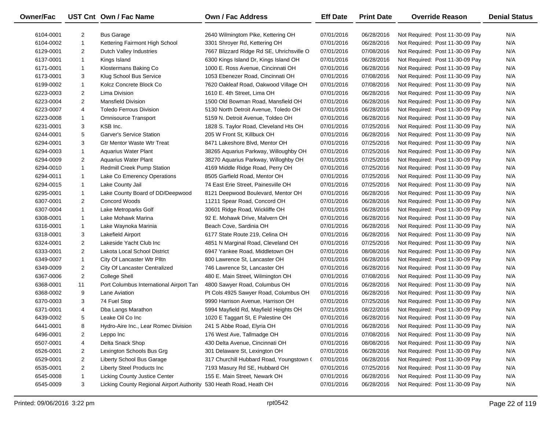| <b>Owner/Fac</b> |                | UST Cnt Own / Fac Name                                             | Own / Fac Address                         | <b>Eff Date</b> | <b>Print Date</b> | <b>Override Reason</b>          | <b>Denial Status</b> |
|------------------|----------------|--------------------------------------------------------------------|-------------------------------------------|-----------------|-------------------|---------------------------------|----------------------|
| 6104-0001        | $\overline{2}$ | <b>Bus Garage</b>                                                  | 2640 Wilmingtom Pike, Kettering OH        | 07/01/2016      | 06/28/2016        | Not Required: Post 11-30-09 Pay | N/A                  |
| 6104-0002        | $\mathbf{1}$   | Kettering Fairmont High School                                     | 3301 Shroyer Rd, Kettering OH             | 07/01/2016      | 06/28/2016        | Not Required: Post 11-30-09 Pay | N/A                  |
| 6129-0001        | $\overline{2}$ | Dutch Valley Industries                                            | 7667 Blizzard Ridge Rd SE, Uhrichsville O | 07/01/2016      | 07/08/2016        | Not Required: Post 11-30-09 Pay | N/A                  |
| 6137-0001        | $\mathbf{1}$   | Kings Island                                                       | 6300 Kings Island Dr, Kings Island OH     | 07/01/2016      | 06/28/2016        | Not Required: Post 11-30-09 Pay | N/A                  |
| 6171-0001        | $\mathbf{1}$   | Klostermans Baking Co                                              | 1000 E. Ross Avenue, Cincinnati OH        | 07/01/2016      | 06/28/2016        | Not Required: Post 11-30-09 Pay | N/A                  |
| 6173-0001        | 3              | Klug School Bus Service                                            | 1053 Ebenezer Road, Cincinnati OH         | 07/01/2016      | 07/08/2016        | Not Required: Post 11-30-09 Pay | N/A                  |
| 6199-0002        | $\mathbf{1}$   | Kolcz Concrete Block Co                                            | 7620 Oakleaf Road, Oakwood Village OH     | 07/01/2016      | 07/08/2016        | Not Required: Post 11-30-09 Pay | N/A                  |
| 6223-0003        | $\overline{2}$ | Lima Division                                                      | 1610 E. 4th Street, Lima OH               | 07/01/2016      | 06/28/2016        | Not Required: Post 11-30-09 Pay | N/A                  |
| 6223-0004        | $\overline{2}$ | <b>Mansfield Division</b>                                          | 1500 Old Bowman Road, Mansfield OH        | 07/01/2016      | 06/28/2016        | Not Required: Post 11-30-09 Pay | N/A                  |
| 6223-0007        | 4              | <b>Toledo Ferrous Division</b>                                     | 5130 North Detroit Avenue, Toledo OH      | 07/01/2016      | 06/28/2016        | Not Required: Post 11-30-09 Pay | N/A                  |
| 6223-0008        | $\mathbf{1}$   | <b>Omnisource Transport</b>                                        | 5159 N. Detroit Avenue, Toldeo OH         | 07/01/2016      | 06/28/2016        | Not Required: Post 11-30-09 Pay | N/A                  |
| 6231-0001        | 3              | KSB Inc.                                                           | 1828 S. Taylor Road, Cleveland Hts OH     | 07/01/2016      | 07/25/2016        | Not Required: Post 11-30-09 Pay | N/A                  |
| 6244-0001        | 5              | <b>Garver's Service Station</b>                                    | 205 W Front St, Killbuck OH               | 07/01/2016      | 06/28/2016        | Not Required: Post 11-30-09 Pay | N/A                  |
| 6294-0001        | 3              | <b>Gtr Mentor Waste Wtr Treat</b>                                  | 8471 Lakeshore Blvd, Mentor OH            | 07/01/2016      | 07/25/2016        | Not Required: Post 11-30-09 Pay | N/A                  |
| 6294-0003        | $\mathbf{1}$   | <b>Aquarius Water Plant</b>                                        | 38265 Aquarius Parkway, Willoughby OH     | 07/01/2016      | 07/25/2016        | Not Required: Post 11-30-09 Pay | N/A                  |
| 6294-0009        | $\overline{2}$ | <b>Aquarius Water Plant</b>                                        | 38270 Aquarius Parkway, Willoghby OH      | 07/01/2016      | 07/25/2016        | Not Required: Post 11-30-09 Pay | N/A                  |
| 6294-0010        | $\mathbf{1}$   | Redmill Creek Pump Station                                         | 4169 Middle Ridge Road, Perry OH          | 07/01/2016      | 07/25/2016        | Not Required: Post 11-30-09 Pay | N/A                  |
| 6294-0011        | $\mathbf{1}$   | Lake Co Emerency Operations                                        | 8505 Garfield Road, Mentor OH             | 07/01/2016      | 07/25/2016        | Not Required: Post 11-30-09 Pay | N/A                  |
| 6294-0015        | $\mathbf{1}$   | Lake County Jail                                                   | 74 East Erie Street, Painesville OH       | 07/01/2016      | 07/25/2016        | Not Required: Post 11-30-09 Pay | N/A                  |
| 6295-0001        | $\mathbf{1}$   | Lake County Board of DD/Deepwood                                   | 8121 Deepwood Boulevard, Mentor OH        | 07/01/2016      | 06/28/2016        | Not Required: Post 11-30-09 Pay | N/A                  |
| 6307-0001        | $\overline{2}$ | Concord Woods                                                      | 11211 Spear Road, Concord OH              | 07/01/2016      | 06/28/2016        | Not Required: Post 11-30-09 Pay | N/A                  |
| 6307-0004        | $\mathbf{1}$   | Lake Metroparks Golf                                               | 30601 Ridge Road, Wickliffe OH            | 07/01/2016      | 06/28/2016        | Not Required: Post 11-30-09 Pay | N/A                  |
| 6308-0001        | $\mathbf{1}$   | Lake Mohawk Marina                                                 | 92 E. Mohawk Drive, Malvern OH            | 07/01/2016      | 06/28/2016        | Not Required: Post 11-30-09 Pay | N/A                  |
| 6316-0001        | $\mathbf{1}$   | Lake Waynoka Marinia                                               | Beach Cove, Sardinia OH                   | 07/01/2016      | 06/28/2016        | Not Required: Post 11-30-09 Pay | N/A                  |
| 6318-0001        | 3              | Lakefield Airport                                                  | 6177 State Route 219, Celina OH           | 07/01/2016      | 06/28/2016        | Not Required: Post 11-30-09 Pay | N/A                  |
| 6324-0001        | $\overline{2}$ | Lakeside Yacht Club Inc                                            | 4851 N Marginal Road, Cleveland OH        | 07/01/2016      | 07/25/2016        | Not Required: Post 11-30-09 Pay | N/A                  |
| 6333-0001        | $\overline{2}$ | Lakota Local School District                                       | 6947 Yankee Road, Middletown OH           | 07/01/2016      | 08/08/2016        | Not Required: Post 11-30-09 Pay | N/A                  |
| 6349-0007        | $\mathbf{1}$   | City Of Lancaster Wtr Plltn                                        | 800 Lawrence St, Lancaster OH             | 07/01/2016      | 06/28/2016        | Not Required: Post 11-30-09 Pay | N/A                  |
| 6349-0009        | $\overline{2}$ | City Of Lancaster Centralized                                      | 746 Lawrence St, Lancaster OH             | 07/01/2016      | 06/28/2016        | Not Required: Post 11-30-09 Pay | N/A                  |
| 6367-0006        | $\overline{2}$ | <b>College Shell</b>                                               | 480 E. Main Street, Wilmington OH         | 07/01/2016      | 07/08/2016        | Not Required: Post 11-30-09 Pay | N/A                  |
| 6368-0001        | 11             | Port Columbus International Airport Tan                            | 4800 Sawyer Road, Columbus OH             | 07/01/2016      | 06/28/2016        | Not Required: Post 11-30-09 Pay | N/A                  |
| 6368-0002        | 9              | Lane Aviation                                                      | Pt Cols 4925 Sawyer Road, Columbus OH     | 07/01/2016      | 06/28/2016        | Not Required: Post 11-30-09 Pay | N/A                  |
| 6370-0003        | 3              | 74 Fuel Stop                                                       | 9990 Harrison Avenue, Harrison OH         | 07/01/2016      | 07/25/2016        | Not Required: Post 11-30-09 Pay | N/A                  |
| 6371-0001        | 4              | Dba Langs Marathon                                                 | 5994 Mayfield Rd, Mayfield Heights OH     | 07/21/2016      | 08/22/2016        | Not Required: Post 11-30-09 Pay | N/A                  |
| 6439-0002        | 5              | Leake Oil Co Inc                                                   | 1020 E Taggart St, E Palestine OH         | 07/01/2016      | 06/28/2016        | Not Required: Post 11-30-09 Pay | N/A                  |
| 6441-0001        | 8              | Hydro-Aire Inc., Lear Romec Division                               | 241 S Abbe Road, Elyria OH                | 07/01/2016      | 06/28/2016        | Not Required: Post 11-30-09 Pay | N/A                  |
| 6496-0001        | $\overline{2}$ | Leppo Inc                                                          | 176 West Ave, Tallmadge OH                | 07/01/2016      | 07/08/2016        | Not Required: Post 11-30-09 Pay | N/A                  |
| 6507-0001        | 4              | Delta Snack Shop                                                   | 430 Delta Avenue, Cincinnati OH           | 07/01/2016      | 08/08/2016        | Not Required: Post 11-30-09 Pay | N/A                  |
| 6526-0001        | 2              | Lexington Schools Bus Grg                                          | 301 Delaware St, Lexington OH             | 07/01/2016      | 06/28/2016        | Not Required: Post 11-30-09 Pay | N/A                  |
| 6529-0001        | $\overline{2}$ | Liberty School Bus Garage                                          | 317 Churchill Hubbard Road, Youngstown (  | 07/01/2016      | 06/28/2016        | Not Required: Post 11-30-09 Pay | N/A                  |
| 6535-0001        | $\overline{2}$ | <b>Liberty Steel Products Inc</b>                                  | 7193 Masury Rd SE, Hubbard OH             | 07/01/2016      | 07/25/2016        | Not Required: Post 11-30-09 Pay | N/A                  |
| 6545-0008        | -1             | <b>Licking County Justice Center</b>                               | 155 E. Main Street, Newark OH             | 07/01/2016      | 06/28/2016        | Not Required: Post 11-30-09 Pay | N/A                  |
| 6545-0009        | 3              | Licking County Regional Airport Authority 530 Heath Road, Heath OH |                                           | 07/01/2016      | 06/28/2016        | Not Required: Post 11-30-09 Pay | N/A                  |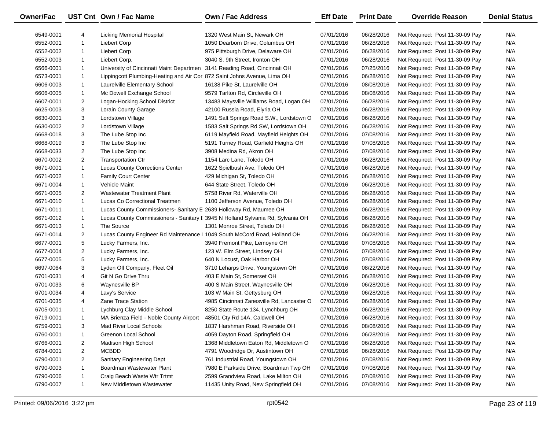| <b>Owner/Fac</b> |                | UST Cnt Own / Fac Name                                                    | Own / Fac Address                                                               | <b>Eff Date</b> | <b>Print Date</b> | <b>Override Reason</b>          | <b>Denial Status</b> |
|------------------|----------------|---------------------------------------------------------------------------|---------------------------------------------------------------------------------|-----------------|-------------------|---------------------------------|----------------------|
| 6549-0001        | 4              | Licking Memorial Hospital                                                 | 1320 West Main St, Newark OH                                                    | 07/01/2016      | 06/28/2016        | Not Required: Post 11-30-09 Pay | N/A                  |
| 6552-0001        | $\mathbf{1}$   | <b>Liebert Corp</b>                                                       | 1050 Dearborn Drive, Columbus OH                                                | 07/01/2016      | 06/28/2016        | Not Required: Post 11-30-09 Pay | N/A                  |
| 6552-0002        | 1              | Liebert Corp                                                              | 975 Pittsburgh Drive, Delaware OH                                               | 07/01/2016      | 06/28/2016        | Not Required: Post 11-30-09 Pay | N/A                  |
| 6552-0003        | 1              | Liebert Corp.                                                             | 3040 S. 9th Street, Ironton OH                                                  | 07/01/2016      | 06/28/2016        | Not Required: Post 11-30-09 Pay | N/A                  |
| 6566-0001        | $\mathbf{1}$   | University of Cincinnati Maint Departmen 3141 Reading Road, Cincinnati OH |                                                                                 | 07/01/2016      | 07/25/2016        | Not Required: Post 11-30-09 Pay | N/A                  |
| 6573-0001        | $\mathbf{1}$   | Lippingcott Plumbing-Heating and Air Cor 872 Saint Johns Avenue, Lima OH  |                                                                                 | 07/01/2016      | 06/28/2016        | Not Required: Post 11-30-09 Pay | N/A                  |
| 6606-0003        | $\mathbf{1}$   | Laurelville Elementary School                                             | 16138 Pike St, Laurelville OH                                                   | 07/01/2016      | 08/08/2016        | Not Required: Post 11-30-09 Pay | N/A                  |
| 6606-0005        | $\mathbf{1}$   | Mc Dowell Exchange School                                                 | 9579 Tarlton Rd, Circleville OH                                                 | 07/01/2016      | 08/08/2016        | Not Required: Post 11-30-09 Pay | N/A                  |
| 6607-0001        | $\overline{2}$ | Logan-Hocking School District                                             | 13483 Maysville Williams Road, Logan OH                                         | 07/01/2016      | 06/28/2016        | Not Required: Post 11-30-09 Pay | N/A                  |
| 6625-0003        | 3              | <b>Lorain County Garage</b>                                               | 42100 Russia Road, Elyria OH                                                    | 07/01/2016      | 06/28/2016        | Not Required: Post 11-30-09 Pay | N/A                  |
| 6630-0001        | 3              | Lordstown Village                                                         | 1491 Salt Springs Road S.W., Lordstown O                                        | 07/01/2016      | 06/28/2016        | Not Required: Post 11-30-09 Pay | N/A                  |
| 6630-0002        | $\overline{2}$ | Lordstown Village                                                         | 1583 Salt Springs Rd SW, Lordstown OH                                           | 07/01/2016      | 06/28/2016        | Not Required: Post 11-30-09 Pay | N/A                  |
| 6668-0018        | 3              | The Lube Stop Inc                                                         | 6119 Mayfield Road, Mayfield Heights OH                                         | 07/01/2016      | 07/08/2016        | Not Required: Post 11-30-09 Pay | N/A                  |
| 6668-0019        | 3              | The Lube Stop Inc                                                         | 5191 Turney Road, Garfield Heights OH                                           | 07/01/2016      | 07/08/2016        | Not Required: Post 11-30-09 Pay | N/A                  |
| 6668-0033        | $\overline{2}$ | The Lube Stop Inc                                                         | 3908 Medina Rd, Akron OH                                                        | 07/01/2016      | 07/08/2016        | Not Required: Post 11-30-09 Pay | N/A                  |
| 6670-0002        | $\overline{2}$ | <b>Transportation Ctr</b>                                                 | 1154 Larc Lane, Toledo OH                                                       | 07/01/2016      | 06/28/2016        | Not Required: Post 11-30-09 Pay | N/A                  |
| 6671-0001        | $\mathbf{1}$   | Lucas County Corrections Center                                           | 1622 Spielbush Ave, Toledo OH                                                   | 07/01/2016      | 06/28/2016        | Not Required: Post 11-30-09 Pay | N/A                  |
| 6671-0002        | $\mathbf{1}$   | <b>Family Court Center</b>                                                | 429 Michigan St, Toledo OH                                                      | 07/01/2016      | 06/28/2016        | Not Required: Post 11-30-09 Pay | N/A                  |
| 6671-0004        | $\mathbf{1}$   | Vehicle Maint                                                             | 644 State Street, Toledo OH                                                     | 07/01/2016      | 06/28/2016        | Not Required: Post 11-30-09 Pay | N/A                  |
| 6671-0005        | $\overline{2}$ | <b>Wastewater Treatment Plant</b>                                         | 5758 River Rd, Waterville OH                                                    | 07/01/2016      | 06/28/2016        | Not Required: Post 11-30-09 Pay | N/A                  |
| 6671-0010        | $\mathbf{1}$   | Lucas Co Correctional Treatmen                                            | 1100 Jefferson Avenue, Toledo OH                                                | 07/01/2016      | 06/28/2016        | Not Required: Post 11-30-09 Pay | N/A                  |
| 6671-0011        | $\mathbf{1}$   | Lucas County Commissioners- Sanitary E 2639 Holloway Rd, Maumee OH        |                                                                                 | 07/01/2016      | 06/28/2016        | Not Required: Post 11-30-09 Pay | N/A                  |
| 6671-0012        | $\mathbf{1}$   |                                                                           | Lucas County Commissioners - Sanitary I 3945 N Holland Sylvania Rd, Sylvania OH | 07/01/2016      | 06/28/2016        | Not Required: Post 11-30-09 Pay | N/A                  |
| 6671-0013        | $\mathbf{1}$   | The Source                                                                | 1301 Monroe Street, Toledo OH                                                   | 07/01/2016      | 06/28/2016        | Not Required: Post 11-30-09 Pay | N/A                  |
| 6671-0014        | $\overline{2}$ | Lucas County Engineer Rd Maintenance   1049 South McCord Road, Holland OH |                                                                                 | 07/01/2016      | 06/28/2016        | Not Required: Post 11-30-09 Pay | N/A                  |
| 6677-0001        | 5              | Lucky Farmers, Inc.                                                       | 3940 Fremont Pike, Lemoyne OH                                                   | 07/01/2016      | 07/08/2016        | Not Required: Post 11-30-09 Pay | N/A                  |
| 6677-0004        | $\overline{2}$ | Lucky Farmers, Inc.                                                       | 123 W. Elm Street, Lindsey OH                                                   | 07/01/2016      | 07/08/2016        | Not Required: Post 11-30-09 Pay | N/A                  |
| 6677-0005        | 5              | Lucky Farmers, Inc.                                                       | 640 N Locust, Oak Harbor OH                                                     | 07/01/2016      | 07/08/2016        | Not Required: Post 11-30-09 Pay | N/A                  |
| 6697-0064        | 3              | Lyden Oll Company, Fleet Oil                                              | 3710 Leharps Drive, Youngstown OH                                               | 07/01/2016      | 08/22/2016        | Not Required: Post 11-30-09 Pay | N/A                  |
| 6701-0031        | 4              | Git N Go Drive Thru                                                       | 403 E Main St, Somerset OH                                                      | 07/01/2016      | 06/28/2016        | Not Required: Post 11-30-09 Pay | N/A                  |
| 6701-0033        | 6              | Waynesville BP                                                            | 400 S Main Street, Waynesville OH                                               | 07/01/2016      | 06/28/2016        | Not Required: Post 11-30-09 Pay | N/A                  |
| 6701-0034        | 4              | Lavy's Service                                                            | 103 W Main St, Gettysburg OH                                                    | 07/01/2016      | 06/28/2016        | Not Required: Post 11-30-09 Pay | N/A                  |
| 6701-0035        | 4              | <b>Zane Trace Station</b>                                                 | 4985 Cincinnati Zanesville Rd, Lancaster O                                      | 07/01/2016      | 06/28/2016        | Not Required: Post 11-30-09 Pay | N/A                  |
| 6705-0001        | $\mathbf{1}$   | Lychburg Clay Middle School                                               | 8250 State Route 134, Lynchburg OH                                              | 07/01/2016      | 06/28/2016        | Not Required: Post 11-30-09 Pay | N/A                  |
| 6719-0001        | $\mathbf{1}$   | MA Brienza Field - Noble County Airport                                   | 48501 Cty Rd 14A, Caldwell OH                                                   | 07/01/2016      | 06/28/2016        | Not Required: Post 11-30-09 Pay | N/A                  |
| 6759-0001        | 3              | Mad River Local Schools                                                   | 1837 Harshman Road, Riverside OH                                                | 07/01/2016      | 08/08/2016        | Not Required: Post 11-30-09 Pay | N/A                  |
| 6760-0001        | 1              | Greenon Local School                                                      | 4059 Dayton Road, Springfield OH                                                | 07/01/2016      | 06/28/2016        | Not Required: Post 11-30-09 Pay | N/A                  |
| 6766-0001        | 2              | Madison High School                                                       | 1368 Middletown Eaton Rd, Middletown O                                          | 07/01/2016      | 06/28/2016        | Not Required: Post 11-30-09 Pay | N/A                  |
| 6784-0001        | $\overline{a}$ | <b>MCBDD</b>                                                              | 4791 Woodridge Dr, Austintown OH                                                | 07/01/2016      | 06/28/2016        | Not Required: Post 11-30-09 Pay | N/A                  |
| 6790-0001        | $\overline{2}$ | Sanitary Engineering Dept                                                 | 761 Industrial Road, Youngstown OH                                              | 07/01/2016      | 07/08/2016        | Not Required: Post 11-30-09 Pay | N/A                  |
| 6790-0003        | -1             | Boardman Wastewater Plant                                                 | 7980 E Parkside Drive, Boardman Twp OH                                          | 07/01/2016      | 07/08/2016        | Not Required: Post 11-30-09 Pay | N/A                  |
| 6790-0006        | -1             | Craig Beach Waste Wtr Trtmt                                               | 2599 Grandview Road, Lake Milton OH                                             | 07/01/2016      | 07/08/2016        | Not Required: Post 11-30-09 Pay | N/A                  |
| 6790-0007        | 1              | New Middletown Wastewater                                                 | 11435 Unity Road, New Springfield OH                                            | 07/01/2016      | 07/08/2016        | Not Required: Post 11-30-09 Pay | N/A                  |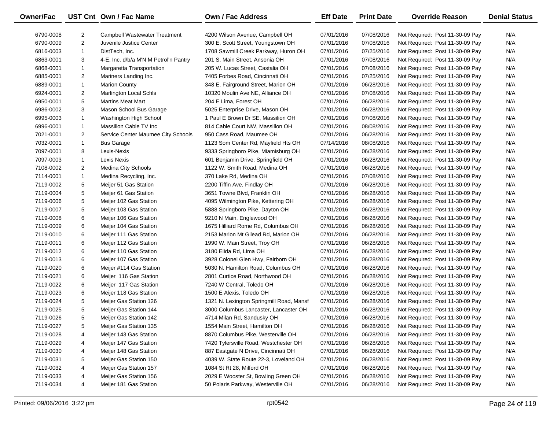| Owner/Fac |                | UST Cnt Own / Fac Name                | Own / Fac Address                        | <b>Eff Date</b> | <b>Print Date</b> | <b>Override Reason</b>          | <b>Denial Status</b> |
|-----------|----------------|---------------------------------------|------------------------------------------|-----------------|-------------------|---------------------------------|----------------------|
| 6790-0008 | 2              | Campbell Wastewater Treatment         | 4200 Wilson Avenue, Campbell OH          | 07/01/2016      | 07/08/2016        | Not Required: Post 11-30-09 Pay | N/A                  |
| 6790-0009 | $\overline{2}$ | Juvenile Justice Center               | 300 E. Scott Street, Youngstown OH       | 07/01/2016      | 07/08/2016        | Not Required: Post 11-30-09 Pay | N/A                  |
| 6816-0003 | $\mathbf{1}$   | DistTech, Inc.                        | 1708 Sawmill Creek Parkway, Huron OH     | 07/01/2016      | 07/25/2016        | Not Required: Post 11-30-09 Pay | N/A                  |
| 6863-0001 | 3              | 4-E, Inc. d/b/a M'N M Petrol'n Pantry | 201 S. Main Street, Ansonia OH           | 07/01/2016      | 07/08/2016        | Not Required: Post 11-30-09 Pay | N/A                  |
| 6868-0001 | $\mathbf{1}$   | Margaretta Transportation             | 205 W. Lucas Street, Castalia OH         | 07/01/2016      | 07/08/2016        | Not Required: Post 11-30-09 Pay | N/A                  |
| 6885-0001 | $\overline{2}$ | Mariners Landing Inc.                 | 7405 Forbes Road, Cincinnati OH          | 07/01/2016      | 07/25/2016        | Not Required: Post 11-30-09 Pay | N/A                  |
| 6889-0001 | $\mathbf{1}$   | <b>Marion County</b>                  | 348 E. Fairground Street, Marion OH      | 07/01/2016      | 06/28/2016        | Not Required: Post 11-30-09 Pay | N/A                  |
| 6924-0001 | $\overline{2}$ | <b>Marlington Local Schls</b>         | 10320 Moulin Ave NE, Alliance OH         | 07/01/2016      | 07/08/2016        | Not Required: Post 11-30-09 Pay | N/A                  |
| 6950-0001 | 5              | <b>Martins Meat Mart</b>              | 204 E Lima, Forest OH                    | 07/01/2016      | 06/28/2016        | Not Required: Post 11-30-09 Pay | N/A                  |
| 6986-0002 | 3              | Mason School Bus Garage               | 5025 Enterprise Drive, Mason OH          | 07/01/2016      | 06/28/2016        | Not Required: Post 11-30-09 Pay | N/A                  |
| 6995-0003 | $\mathbf{1}$   | Washington High School                | 1 Paul E Brown Dr SE, Massilion OH       | 07/01/2016      | 07/08/2016        | Not Required: Post 11-30-09 Pay | N/A                  |
| 6996-0001 | $\mathbf{1}$   | Massillon Cable TV Inc                | 814 Cable Court NW, Massillon OH         | 07/01/2016      | 08/08/2016        | Not Required: Post 11-30-09 Pay | N/A                  |
| 7021-0001 | $\overline{2}$ | Service Center Maumee City Schools    | 950 Cass Road, Maumee OH                 | 07/01/2016      | 06/28/2016        | Not Required: Post 11-30-09 Pay | N/A                  |
| 7032-0001 | $\mathbf{1}$   | <b>Bus Garage</b>                     | 1123 Som Center Rd, Mayfield Hts OH      | 07/14/2016      | 08/08/2016        | Not Required: Post 11-30-09 Pay | N/A                  |
| 7097-0001 | 8              | Lexis-Nexis                           | 9333 Springboro Pike, Miamisburg OH      | 07/01/2016      | 06/28/2016        | Not Required: Post 11-30-09 Pay | N/A                  |
| 7097-0003 | $\mathbf{1}$   | Lexis Nexis                           | 601 Benjamin Drive, Springfield OH       | 07/01/2016      | 06/28/2016        | Not Required: Post 11-30-09 Pay | N/A                  |
| 7108-0002 | $\overline{2}$ | <b>Medina City Schools</b>            | 1122 W. Smith Road, Medina OH            | 07/01/2016      | 06/28/2016        | Not Required: Post 11-30-09 Pay | N/A                  |
| 7114-0001 | $\mathbf{1}$   | Medina Recycling, Inc.                | 370 Lake Rd, Medina OH                   | 07/01/2016      | 07/08/2016        | Not Required: Post 11-30-09 Pay | N/A                  |
| 7119-0002 | 5              | Meijer 51 Gas Station                 | 2200 Tiffin Ave, Findlay OH              | 07/01/2016      | 06/28/2016        | Not Required: Post 11-30-09 Pay | N/A                  |
| 7119-0004 | 5              | Meijer 61 Gas Station                 | 3651 Towne Blvd, Franklin OH             | 07/01/2016      | 06/28/2016        | Not Required: Post 11-30-09 Pay | N/A                  |
| 7119-0006 | 5              | Meijer 102 Gas Station                | 4095 Wilmington Pike, Kettering OH       | 07/01/2016      | 06/28/2016        | Not Required: Post 11-30-09 Pay | N/A                  |
| 7119-0007 | 5              | Meijer 103 Gas Station                | 5888 Springboro Pike, Dayton OH          | 07/01/2016      | 06/28/2016        | Not Required: Post 11-30-09 Pay | N/A                  |
| 7119-0008 | 6              | Meijer 106 Gas Station                | 9210 N Main, Englewood OH                | 07/01/2016      | 06/28/2016        | Not Required: Post 11-30-09 Pay | N/A                  |
| 7119-0009 | 6              | Meijer 104 Gas Station                | 1675 Hilliard Rome Rd, Columbus OH       | 07/01/2016      | 06/28/2016        | Not Required: Post 11-30-09 Pay | N/A                  |
| 7119-0010 | 6              | Meijer 111 Gas Station                | 2153 Marion Mt Gilead Rd, Marion OH      | 07/01/2016      | 06/28/2016        | Not Required: Post 11-30-09 Pay | N/A                  |
| 7119-0011 | 6              | Meijer 112 Gas Station                | 1990 W. Main Street, Troy OH             | 07/01/2016      | 06/28/2016        | Not Required: Post 11-30-09 Pay | N/A                  |
| 7119-0012 | 6              | Meijer 110 Gas Station                | 3180 Elida Rd, Lima OH                   | 07/01/2016      | 06/28/2016        | Not Required: Post 11-30-09 Pay | N/A                  |
| 7119-0013 | 6              | Meijer 107 Gas Station                | 3928 Colonel Glen Hwy, Fairborn OH       | 07/01/2016      | 06/28/2016        | Not Required: Post 11-30-09 Pay | N/A                  |
| 7119-0020 | 6              | Meijer #114 Gas Station               | 5030 N. Hamilton Road, Columbus OH       | 07/01/2016      | 06/28/2016        | Not Required: Post 11-30-09 Pay | N/A                  |
| 7119-0021 | 6              | Meijer 116 Gas Station                | 2801 Curtice Road, Northwood OH          | 07/01/2016      | 06/28/2016        | Not Required: Post 11-30-09 Pay | N/A                  |
| 7119-0022 | 6              | Meijer 117 Gas Station                | 7240 W Central, Toledo OH                | 07/01/2016      | 06/28/2016        | Not Required: Post 11-30-09 Pay | N/A                  |
| 7119-0023 | 6              | Meijer 118 Gas Station                | 1500 E Alexis, Toledo OH                 | 07/01/2016      | 06/28/2016        | Not Required: Post 11-30-09 Pay | N/A                  |
| 7119-0024 | 5              | Meijer Gas Station 126                | 1321 N. Lexington Springmill Road, Mansf | 07/01/2016      | 06/28/2016        | Not Required: Post 11-30-09 Pay | N/A                  |
| 7119-0025 | 5              | Meijer Gas Station 144                | 3000 Columbus Lancaster, Lancaster OH    | 07/01/2016      | 06/28/2016        | Not Required: Post 11-30-09 Pay | N/A                  |
| 7119-0026 | 5              | Meijer Gas Station 142                | 4714 Milan Rd, Sandusky OH               | 07/01/2016      | 06/28/2016        | Not Required: Post 11-30-09 Pay | N/A                  |
| 7119-0027 | 5              | Meijer Gas Station 135                | 1554 Main Street, Hamilton OH            | 07/01/2016      | 06/28/2016        | Not Required: Post 11-30-09 Pay | N/A                  |
| 7119-0028 | 4              | Meijer 143 Gas Station                | 8870 Columbus Pike, Westerville OH       | 07/01/2016      | 06/28/2016        | Not Required: Post 11-30-09 Pay | N/A                  |
| 7119-0029 | 4              | Meijer 147 Gas Station                | 7420 Tylersville Road, Westchester OH    | 07/01/2016      | 06/28/2016        | Not Required: Post 11-30-09 Pay | N/A                  |
| 7119-0030 | 4              | Meijer 148 Gas Station                | 887 Eastgate N Drive, Cincinnati OH      | 07/01/2016      | 06/28/2016        | Not Required: Post 11-30-09 Pay | N/A                  |
| 7119-0031 | 5              | Meijer Gas Station 150                | 4039 W. State Route 22-3, Loveland OH    | 07/01/2016      | 06/28/2016        | Not Required: Post 11-30-09 Pay | N/A                  |
| 7119-0032 | 4              | Meijer Gas Station 157                | 1084 St Rt 28, Milford OH                | 07/01/2016      | 06/28/2016        | Not Required: Post 11-30-09 Pay | N/A                  |
| 7119-0033 | 4              | Meijer Gas Station 156                | 2029 E Wooster St, Bowling Green OH      | 07/01/2016      | 06/28/2016        | Not Required: Post 11-30-09 Pay | N/A                  |
| 7119-0034 | 4              | Meijer 181 Gas Station                | 50 Polaris Parkway, Westerville OH       | 07/01/2016      | 06/28/2016        | Not Required: Post 11-30-09 Pay | N/A                  |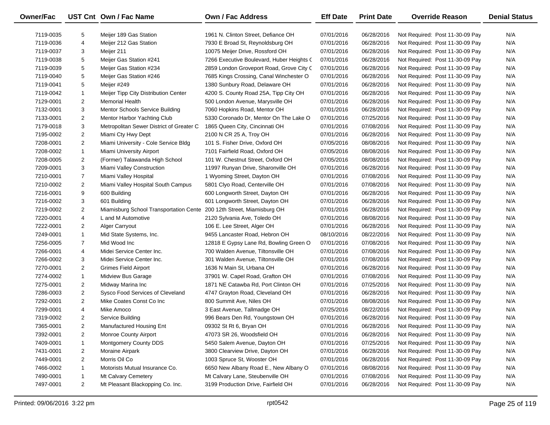| <b>Owner/Fac</b> |                | UST Cnt Own / Fac Name                   | Own / Fac Address                         | <b>Eff Date</b> | <b>Print Date</b> | <b>Override Reason</b>          | <b>Denial Status</b> |
|------------------|----------------|------------------------------------------|-------------------------------------------|-----------------|-------------------|---------------------------------|----------------------|
| 7119-0035        | 5              | Meijer 189 Gas Station                   | 1961 N. Clinton Street, Defiance OH       | 07/01/2016      | 06/28/2016        | Not Required: Post 11-30-09 Pay | N/A                  |
| 7119-0036        | 4              | Meijer 212 Gas Station                   | 7930 E Broad St, Reynoldsburg OH          | 07/01/2016      | 06/28/2016        | Not Required: Post 11-30-09 Pay | N/A                  |
| 7119-0037        | 3              | Meijer 211                               | 10075 Meijer Drive, Rossford OH           | 07/01/2016      | 06/28/2016        | Not Required: Post 11-30-09 Pay | N/A                  |
| 7119-0038        | 5              | Meijer Gas Station #241                  | 7266 Executive Boulevard, Huber Heights ( | 07/01/2016      | 06/28/2016        | Not Required: Post 11-30-09 Pay | N/A                  |
| 7119-0039        | 5              | Meijer Gas Station #234                  | 2859 London Groveport Road, Grove City (  | 07/01/2016      | 06/28/2016        | Not Required: Post 11-30-09 Pay | N/A                  |
| 7119-0040        | 5              | Meijer Gas Station #246                  | 7685 Kings Crossing, Canal Winchester O   | 07/01/2016      | 06/28/2016        | Not Required: Post 11-30-09 Pay | N/A                  |
| 7119-0041        | 5              | Meijer #249                              | 1380 Sunbury Road, Delaware OH            | 07/01/2016      | 06/28/2016        | Not Required: Post 11-30-09 Pay | N/A                  |
| 7119-0042        | $\mathbf{1}$   | Meijer Tipp City Distribution Center     | 4200 S. County Road 25A, Tipp City OH     | 07/01/2016      | 06/28/2016        | Not Required: Post 11-30-09 Pay | N/A                  |
| 7129-0001        | $\overline{2}$ | <b>Memorial Health</b>                   | 500 London Avenue, Marysville OH          | 07/01/2016      | 06/28/2016        | Not Required: Post 11-30-09 Pay | N/A                  |
| 7132-0001        | 3              | <b>Mentor Schools Service Building</b>   | 7060 Hopkins Road, Mentor OH              | 07/01/2016      | 06/28/2016        | Not Required: Post 11-30-09 Pay | N/A                  |
| 7133-0001        | $\overline{2}$ | Mentor Harbor Yachting Club              | 5330 Coronado Dr, Mentor On The Lake O    | 07/01/2016      | 07/25/2016        | Not Required: Post 11-30-09 Pay | N/A                  |
| 7179-0018        | 3              | Metropolitan Sewer District of Greater C | 1865 Queen City, Cincinnati OH            | 07/01/2016      | 07/08/2016        | Not Required: Post 11-30-09 Pay | N/A                  |
| 7195-0002        | $\overline{2}$ | Miami Cty Hwy Dept                       | 2100 N CR 25 A, Troy OH                   | 07/01/2016      | 06/28/2016        | Not Required: Post 11-30-09 Pay | N/A                  |
| 7208-0001        | $\overline{2}$ | Miami University - Cole Service Bldg     | 101 S. Fisher Drive, Oxford OH            | 07/05/2016      | 08/08/2016        | Not Required: Post 11-30-09 Pay | N/A                  |
| 7208-0002        | $\mathbf{1}$   | Miami University Airport                 | 7101 Fairfield Road, Oxford OH            | 07/05/2016      | 08/08/2016        | Not Required: Post 11-30-09 Pay | N/A                  |
| 7208-0005        | $\overline{2}$ | (Former) Talawanda High School           | 101 W. Chestnut Street, Oxford OH         | 07/05/2016      | 08/08/2016        | Not Required: Post 11-30-09 Pay | N/A                  |
| 7209-0001        | 3              | Miami Valley Construction                | 11997 Runyan Drive, Sharonville OH        | 07/01/2016      | 06/28/2016        | Not Required: Post 11-30-09 Pay | N/A                  |
| 7210-0001        | $\overline{7}$ | Miami Valley Hospital                    | 1 Wyoming Street, Dayton OH               | 07/01/2016      | 07/08/2016        | Not Required: Post 11-30-09 Pay | N/A                  |
| 7210-0002        | $\overline{2}$ | Miami Valley Hospital South Campus       | 5801 Clyo Road, Centerville OH            | 07/01/2016      | 07/08/2016        | Not Required: Post 11-30-09 Pay | N/A                  |
| 7216-0001        | 9              | 600 Building                             | 600 Longworth Street, Dayton OH           | 07/01/2016      | 06/28/2016        | Not Required: Post 11-30-09 Pay | N/A                  |
| 7216-0002        | 3              | 601 Building                             | 601 Longworth Street, Dayton OH           | 07/01/2016      | 06/28/2016        | Not Required: Post 11-30-09 Pay | N/A                  |
| 7219-0002        | $\overline{2}$ | Miamisburg School Transportation Cente   | 200 12th Street, Miamisburg OH            | 07/01/2016      | 06/28/2016        | Not Required: Post 11-30-09 Pay | N/A                  |
| 7220-0001        | 4              | L and M Automotive                       | 2120 Sylvania Ave, Toledo OH              | 07/01/2016      | 08/08/2016        | Not Required: Post 11-30-09 Pay | N/A                  |
| 7222-0001        | $\overline{2}$ | Alger Carryout                           | 106 E. Lee Street, Alger OH               | 07/01/2016      | 06/28/2016        | Not Required: Post 11-30-09 Pay | N/A                  |
| 7249-0001        | $\mathbf{1}$   | Mid State Systems, Inc.                  | 9455 Lancaster Road, Hebron OH            | 08/10/2016      | 08/22/2016        | Not Required: Post 11-30-09 Pay | N/A                  |
| 7256-0005        | $\overline{7}$ | Mid Wood Inc                             | 12818 E Gypsy Lane Rd, Bowling Green O    | 07/01/2016      | 07/08/2016        | Not Required: Post 11-30-09 Pay | N/A                  |
| 7266-0001        | 4              | Midei Service Center Inc.                | 700 Walden Avenue, Tiltonsville OH        | 07/01/2016      | 07/08/2016        | Not Required: Post 11-30-09 Pay | N/A                  |
| 7266-0002        | 3              | Midei Service Center Inc.                | 301 Walden Avenue, Tiltonsville OH        | 07/01/2016      | 07/08/2016        | Not Required: Post 11-30-09 Pay | N/A                  |
| 7270-0001        | $\overline{2}$ | <b>Grimes Field Airport</b>              | 1636 N Main St, Urbana OH                 | 07/01/2016      | 06/28/2016        | Not Required: Post 11-30-09 Pay | N/A                  |
| 7274-0002        | $\mathbf{1}$   | Midview Bus Garage                       | 37901 W. Capel Road, Grafton OH           | 07/01/2016      | 07/08/2016        | Not Required: Post 11-30-09 Pay | N/A                  |
| 7275-0001        | $\overline{2}$ | Midway Marina Inc                        | 1871 NE Catawba Rd, Port Clinton OH       | 07/01/2016      | 07/25/2016        | Not Required: Post 11-30-09 Pay | N/A                  |
| 7286-0003        | $\overline{2}$ | Sysco Food Services of Cleveland         | 4747 Grayton Road, Cleveland OH           | 07/01/2016      | 06/28/2016        | Not Required: Post 11-30-09 Pay | N/A                  |
| 7292-0001        | $\overline{2}$ | Mike Coates Const Co Inc                 | 800 Summit Ave, Niles OH                  | 07/01/2016      | 08/08/2016        | Not Required: Post 11-30-09 Pay | N/A                  |
| 7299-0001        | 4              | Mike Amoco                               | 3 East Avenue, Tallmadge OH               | 07/25/2016      | 08/22/2016        | Not Required: Post 11-30-09 Pay | N/A                  |
| 7319-0002        | $\overline{2}$ | Service Building                         | 996 Bears Den Rd, Youngstown OH           | 07/01/2016      | 06/28/2016        | Not Required: Post 11-30-09 Pay | N/A                  |
| 7365-0001        | $\overline{c}$ | Manufactured Housing Ent                 | 09302 St Rt 6, Bryan OH                   | 07/01/2016      | 06/28/2016        | Not Required: Post 11-30-09 Pay | N/A                  |
| 7392-0001        | $\overline{2}$ | <b>Monroe County Airport</b>             | 47073 SR 26, Woodsfield OH                | 07/01/2016      | 06/28/2016        | Not Required: Post 11-30-09 Pay | N/A                  |
| 7409-0001        | $\mathbf{1}$   | Montgomery County DDS                    | 5450 Salem Avenue, Dayton OH              | 07/01/2016      | 07/25/2016        | Not Required: Post 11-30-09 Pay | N/A                  |
| 7431-0001        | 2              | <b>Moraine Airpark</b>                   | 3800 Clearview Drive, Dayton OH           | 07/01/2016      | 06/28/2016        | Not Required: Post 11-30-09 Pay | N/A                  |
| 7449-0001        | $\overline{2}$ | Morris Oil Co                            | 1003 Spruce St, Wooster OH                | 07/01/2016      | 06/28/2016        | Not Required: Post 11-30-09 Pay | N/A                  |
| 7466-0002        | 1              | Motorists Mutual Insurance Co.           | 6650 New Albany Road E., New Albany O     | 07/01/2016      | 08/08/2016        | Not Required: Post 11-30-09 Pay | N/A                  |
| 7490-0001        | 1              | Mt Calvary Cemetery                      | Mt Calvary Lane, Steubenville OH          | 07/01/2016      | 07/08/2016        | Not Required: Post 11-30-09 Pay | N/A                  |
| 7497-0001        | $\overline{2}$ | Mt Pleasant Blackopping Co. Inc.         | 3199 Production Drive, Fairfield OH       | 07/01/2016      | 06/28/2016        | Not Required: Post 11-30-09 Pay | N/A                  |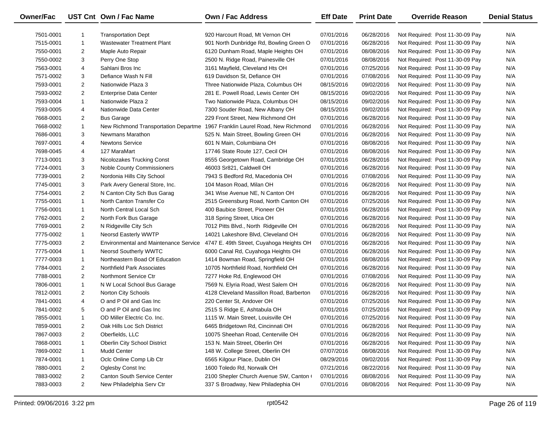| Owner/Fac |                | UST Cnt Own / Fac Name                       | Own / Fac Address                        | <b>Eff Date</b> | <b>Print Date</b> | <b>Override Reason</b>          | <b>Denial Status</b> |
|-----------|----------------|----------------------------------------------|------------------------------------------|-----------------|-------------------|---------------------------------|----------------------|
| 7501-0001 |                | <b>Transportation Dept</b>                   | 920 Harcourt Road, Mt Vernon OH          | 07/01/2016      | 06/28/2016        | Not Required: Post 11-30-09 Pay | N/A                  |
| 7515-0001 | $\mathbf{1}$   | <b>Wastewater Treatment Plant</b>            | 901 North Dunbridge Rd, Bowling Green O  | 07/01/2016      | 06/28/2016        | Not Required: Post 11-30-09 Pay | N/A                  |
| 7550-0001 | $\overline{2}$ | Maple Auto Repair                            | 6120 Dunham Road, Maple Heights OH       | 07/01/2016      | 08/08/2016        | Not Required: Post 11-30-09 Pay | N/A                  |
| 7550-0002 | 3              | Perry One Stop                               | 2500 N. Ridge Road, Painesville OH       | 07/01/2016      | 08/08/2016        | Not Required: Post 11-30-09 Pay | N/A                  |
| 7563-0001 | 4              | Sahlani Bros Inc                             | 3161 Mayfield, Cleveland Hts OH          | 07/01/2016      | 07/25/2016        | Not Required: Post 11-30-09 Pay | N/A                  |
| 7571-0002 | 3              | Defiance Wash N Fill                         | 619 Davidson St, Defiance OH             | 07/01/2016      | 07/08/2016        | Not Required: Post 11-30-09 Pay | N/A                  |
| 7593-0001 | $\overline{2}$ | Nationwide Plaza 3                           | Three Nationwide Plaza, Columbus OH      | 08/15/2016      | 09/02/2016        | Not Required: Post 11-30-09 Pay | N/A                  |
| 7593-0002 | $\overline{2}$ | <b>Enterprise Data Center</b>                | 281 E. Powell Road, Lewis Center OH      | 08/15/2016      | 09/02/2016        | Not Required: Post 11-30-09 Pay | N/A                  |
| 7593-0004 | $\mathbf{1}$   | Nationwide Plaza 2                           | Two Nationwide Plaza, Columbus OH        | 08/15/2016      | 09/02/2016        | Not Required: Post 11-30-09 Pay | N/A                  |
| 7593-0005 | 4              | Nationwide Data Center                       | 7300 Souder Road, New Albany OH          | 08/15/2016      | 09/02/2016        | Not Required: Post 11-30-09 Pay | N/A                  |
| 7668-0001 | $\overline{2}$ | <b>Bus Garage</b>                            | 229 Front Street, New Richmond OH        | 07/01/2016      | 06/28/2016        | Not Required: Post 11-30-09 Pay | N/A                  |
| 7668-0002 | $\mathbf{1}$   | New Richmond Transportation Departme         | 1967 Franklin Laurel Road, New Richmond  | 07/01/2016      | 06/28/2016        | Not Required: Post 11-30-09 Pay | N/A                  |
| 7686-0001 | 3              | Newmans Marathon                             | 525 N. Main Street, Bowling Green OH     | 07/01/2016      | 06/28/2016        | Not Required: Post 11-30-09 Pay | N/A                  |
| 7697-0001 | 4              | <b>Newtons Service</b>                       | 601 N Main, Columbiana OH                | 07/01/2016      | 08/08/2016        | Not Required: Post 11-30-09 Pay | N/A                  |
| 7698-0045 | 4              | 127 MaraMart                                 | 17746 State Route 127, Cecil OH          | 07/01/2016      | 08/08/2016        | Not Required: Post 11-30-09 Pay | N/A                  |
| 7713-0001 | 3              | Nicolozakes Trucking Const                   | 8555 Georgetown Road, Cambridge OH       | 07/01/2016      | 06/28/2016        | Not Required: Post 11-30-09 Pay | N/A                  |
| 7724-0001 | 3              | Noble County Commissioners                   | 46003 Sr821, Caldwell OH                 | 07/01/2016      | 06/28/2016        | Not Required: Post 11-30-09 Pay | N/A                  |
| 7739-0001 | $\overline{2}$ | Nordonia Hills City School                   | 7943 S Bedford Rd, Macedonia OH          | 07/01/2016      | 07/08/2016        | Not Required: Post 11-30-09 Pay | N/A                  |
| 7745-0001 | 3              | Park Avery General Store, Inc.               | 104 Mason Road, Milan OH                 | 07/01/2016      | 06/28/2016        | Not Required: Post 11-30-09 Pay | N/A                  |
| 7754-0001 | $\overline{2}$ | N Canton City Sch Bus Garag                  | 341 Wise Avenue NE, N Canton OH          | 07/01/2016      | 06/28/2016        | Not Required: Post 11-30-09 Pay | N/A                  |
| 7755-0001 | $\mathbf{1}$   | North Canton Transfer Co                     | 2515 Greensburg Road, North Canton OH    | 07/01/2016      | 07/25/2016        | Not Required: Post 11-30-09 Pay | N/A                  |
| 7756-0001 | $\mathbf{1}$   | North Central Local Sch                      | 400 Baubice Street, Pioneer OH           | 07/01/2016      | 06/28/2016        | Not Required: Post 11-30-09 Pay | N/A                  |
| 7762-0001 | $\overline{2}$ | North Fork Bus Garage                        | 318 Spring Street, Utica OH              | 07/01/2016      | 06/28/2016        | Not Required: Post 11-30-09 Pay | N/A                  |
| 7769-0001 | $\overline{2}$ | N Ridgeville City Sch                        | 7012 Pitts Blvd., North Ridgeville OH    | 07/01/2016      | 06/28/2016        | Not Required: Post 11-30-09 Pay | N/A                  |
| 7775-0002 | $\mathbf{1}$   | Neorsd Easterly WWTP                         | 14021 Lakeshore Blvd, Cleveland OH       | 07/01/2016      | 06/28/2016        | Not Required: Post 11-30-09 Pay | N/A                  |
| 7775-0003 | $\overline{2}$ | <b>Environmental and Maintenance Service</b> | 4747 E. 49th Street, Cuyahoga Heights OH | 07/01/2016      | 06/28/2016        | Not Required: Post 11-30-09 Pay | N/A                  |
| 7775-0004 | $\mathbf{1}$   | Neorsd Southerly WWTC                        | 6000 Canal Rd, Cuyahoga Heights OH       | 07/01/2016      | 06/28/2016        | Not Required: Post 11-30-09 Pay | N/A                  |
| 7777-0003 | $\mathbf{1}$   | Northeastern Boad Of Education               | 1414 Bowman Road, Springfield OH         | 07/01/2016      | 08/08/2016        | Not Required: Post 11-30-09 Pay | N/A                  |
| 7784-0001 | $\overline{2}$ | Northfield Park Associates                   | 10705 Northfield Road, Northfield OH     | 07/01/2016      | 06/28/2016        | Not Required: Post 11-30-09 Pay | N/A                  |
| 7788-0001 | $\overline{2}$ | Northmont Service Ctr                        | 7277 Hoke Rd, Englewood OH               | 07/01/2016      | 07/08/2016        | Not Required: Post 11-30-09 Pay | N/A                  |
| 7806-0001 | $\mathbf{1}$   | N W Local School Bus Garage                  | 7569 N. Elyria Road, West Salem OH       | 07/01/2016      | 06/28/2016        | Not Required: Post 11-30-09 Pay | N/A                  |
| 7812-0001 | $\overline{2}$ | Norton City Schools                          | 4128 Cleveland Massillon Road, Barberton | 07/01/2016      | 06/28/2016        | Not Required: Post 11-30-09 Pay | N/A                  |
| 7841-0001 | 4              | O and P Oil and Gas Inc                      | 220 Center St, Andover OH                | 07/01/2016      | 07/25/2016        | Not Required: Post 11-30-09 Pay | N/A                  |
| 7841-0002 | 5              | O and P Oil and Gas Inc                      | 2515 S Ridge E, Ashtabula OH             | 07/01/2016      | 07/25/2016        | Not Required: Post 11-30-09 Pay | N/A                  |
| 7855-0001 | $\mathbf{1}$   | OD Miller Electric Co. Inc.                  | 1115 W. Main Street, Louisville OH       | 07/01/2016      | 07/25/2016        | Not Required: Post 11-30-09 Pay | N/A                  |
| 7859-0001 | $\overline{2}$ | Oak Hills Loc Sch District                   | 6465 Bridgetown Rd, Cincinnati OH        | 07/01/2016      | 06/28/2016        | Not Required: Post 11-30-09 Pay | N/A                  |
| 7867-0003 | $\overline{2}$ | Oberfields, LLC                              | 10075 Sheehan Road, Centerville OH       | 07/01/2016      | 06/28/2016        | Not Required: Post 11-30-09 Pay | N/A                  |
| 7868-0001 | 1              | Oberlin City School District                 | 153 N. Main Street, Oberlin OH           | 07/01/2016      | 06/28/2016        | Not Required: Post 11-30-09 Pay | N/A                  |
| 7869-0002 | 1              | <b>Mudd Center</b>                           | 148 W. College Street, Oberlin OH        | 07/07/2016      | 08/08/2016        | Not Required: Post 11-30-09 Pay | N/A                  |
| 7874-0001 | 1              | Oclc Online Comp Lib Ctr                     | 6565 Kilgour Place, Dublin OH            | 08/29/2016      | 09/02/2016        | Not Required: Post 11-30-09 Pay | N/A                  |
| 7880-0001 | 2              | Oglesby Const Inc                            | 1600 Toledo Rd, Norwalk OH               | 07/21/2016      | 08/22/2016        | Not Required: Post 11-30-09 Pay | N/A                  |
| 7883-0002 | 2              | <b>Canton South Service Center</b>           | 2100 Shepler Church Avenue SW, Canton    | 07/01/2016      | 08/08/2016        | Not Required: Post 11-30-09 Pay | N/A                  |
| 7883-0003 | $\overline{2}$ | New Philadelphia Serv Ctr                    | 337 S Broadway, New Philadephia OH       | 07/01/2016      | 08/08/2016        | Not Required: Post 11-30-09 Pay | N/A                  |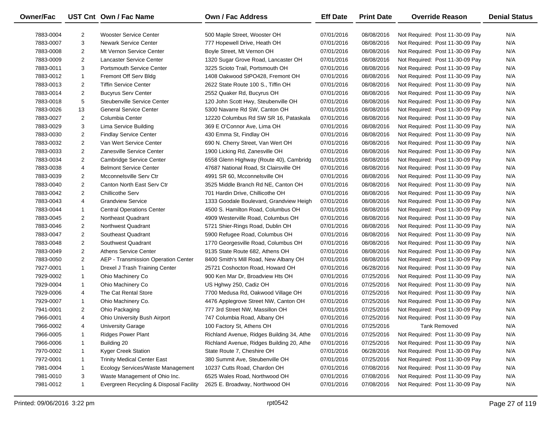| Owner/Fac |                | UST Cnt Own / Fac Name                  | <b>Own / Fac Address</b>                  | <b>Eff Date</b> | <b>Print Date</b> | <b>Override Reason</b>          | <b>Denial Status</b> |
|-----------|----------------|-----------------------------------------|-------------------------------------------|-----------------|-------------------|---------------------------------|----------------------|
| 7883-0004 | 2              | <b>Wooster Service Center</b>           | 500 Maple Street, Wooster OH              | 07/01/2016      | 08/08/2016        | Not Required: Post 11-30-09 Pay | N/A                  |
| 7883-0007 | 3              | <b>Newark Service Center</b>            | 777 Hopewell Drive, Heath OH              | 07/01/2016      | 08/08/2016        | Not Required: Post 11-30-09 Pay | N/A                  |
| 7883-0008 | $\overline{2}$ | Mt Vernon Service Center                | Boyle Street, Mt Vernon OH                | 07/01/2016      | 08/08/2016        | Not Required: Post 11-30-09 Pay | N/A                  |
| 7883-0009 | $\overline{2}$ | Lancaster Service Center                | 1320 Sugar Grove Road, Lancaster OH       | 07/01/2016      | 08/08/2016        | Not Required: Post 11-30-09 Pay | N/A                  |
| 7883-0011 | 3              | <b>Portsmouth Service Center</b>        | 3225 Scioto Trail, Portsmouth OH          | 07/01/2016      | 08/08/2016        | Not Required: Post 11-30-09 Pay | N/A                  |
| 7883-0012 | $\mathbf{1}$   | Fremont Off Serv Bldg                   | 1408 Oakwood StPO428, Fremont OH          | 07/01/2016      | 08/08/2016        | Not Required: Post 11-30-09 Pay | N/A                  |
| 7883-0013 | $\overline{2}$ | <b>Tiffin Service Center</b>            | 2622 State Route 100 S., Tiffin OH        | 07/01/2016      | 08/08/2016        | Not Required: Post 11-30-09 Pay | N/A                  |
| 7883-0014 | $\overline{2}$ | <b>Bucyrus Serv Center</b>              | 2552 Quaker Rd, Bucyrus OH                | 07/01/2016      | 08/08/2016        | Not Required: Post 11-30-09 Pay | N/A                  |
| 7883-0018 | 5              | Steubenville Service Center             | 120 John Scott Hwy, Steubenville OH       | 07/01/2016      | 08/08/2016        | Not Required: Post 11-30-09 Pay | N/A                  |
| 7883-0026 | 13             | <b>General Service Center</b>           | 5300 Navarre Rd SW, Canton OH             | 07/01/2016      | 08/08/2016        | Not Required: Post 11-30-09 Pay | N/A                  |
| 7883-0027 | $\overline{2}$ | Columbia Center                         | 12220 Columbus Rd SW SR 16, Pataskala     | 07/01/2016      | 08/08/2016        | Not Required: Post 11-30-09 Pay | N/A                  |
| 7883-0029 | 3              | Lima Service Building                   | 369 E O'Connor Ave, Lima OH               | 07/01/2016      | 08/08/2016        | Not Required: Post 11-30-09 Pay | N/A                  |
| 7883-0030 | $\overline{2}$ | <b>Findlay Service Center</b>           | 430 Emma St, Findlay OH                   | 07/01/2016      | 08/08/2016        | Not Required: Post 11-30-09 Pay | N/A                  |
| 7883-0032 | $\overline{2}$ | Van Wert Service Center                 | 690 N. Cherry Street, Van Wert OH         | 07/01/2016      | 08/08/2016        | Not Required: Post 11-30-09 Pay | N/A                  |
| 7883-0033 | $\overline{2}$ | Zanesville Service Center               | 1900 Licking Rd, Zanesville OH            | 07/01/2016      | 08/08/2016        | Not Required: Post 11-30-09 Pay | N/A                  |
| 7883-0034 | $\overline{2}$ | Cambridge Service Center                | 6558 Glenn Highway (Route 40), Cambridg   | 07/01/2016      | 08/08/2016        | Not Required: Post 11-30-09 Pay | N/A                  |
| 7883-0038 | 4              | <b>Belmont Service Center</b>           | 47687 National Road, St Clairsville OH    | 07/01/2016      | 08/08/2016        | Not Required: Post 11-30-09 Pay | N/A                  |
| 7883-0039 | $\overline{2}$ | Mcconnelsville Serv Ctr                 | 4991 SR 60, Mcconnelsville OH             | 07/01/2016      | 08/08/2016        | Not Required: Post 11-30-09 Pay | N/A                  |
| 7883-0040 | $\overline{2}$ | Canton North East Serv Ctr              | 3525 Middle Branch Rd NE, Canton OH       | 07/01/2016      | 08/08/2016        | Not Required: Post 11-30-09 Pay | N/A                  |
| 7883-0042 | $\overline{2}$ | <b>Chillicothe Serv</b>                 | 701 Hardin Drive, Chillicothe OH          | 07/01/2016      | 08/08/2016        | Not Required: Post 11-30-09 Pay | N/A                  |
| 7883-0043 | 4              | <b>Grandview Service</b>                | 1333 Goodale Boulevard, Grandview Heigh   | 07/01/2016      | 08/08/2016        | Not Required: Post 11-30-09 Pay | N/A                  |
| 7883-0044 | $\mathbf{1}$   | <b>Central Operations Center</b>        | 4500 S. Hamilton Road, Columbus OH        | 07/01/2016      | 08/08/2016        | Not Required: Post 11-30-09 Pay | N/A                  |
| 7883-0045 | $\overline{2}$ | Northeast Quadrant                      | 4909 Westerville Road, Columbus OH        | 07/01/2016      | 08/08/2016        | Not Required: Post 11-30-09 Pay | N/A                  |
| 7883-0046 | $\overline{c}$ | Northwest Quadrant                      | 5721 Shier-Rings Road, Dublin OH          | 07/01/2016      | 08/08/2016        | Not Required: Post 11-30-09 Pay | N/A                  |
| 7883-0047 | $\overline{2}$ | Southeast Quadrant                      | 5900 Refugee Road, Columbus OH            | 07/01/2016      | 08/08/2016        | Not Required: Post 11-30-09 Pay | N/A                  |
| 7883-0048 | $\overline{c}$ | Southwest Quadrant                      | 1770 Georgesville Road, Columbus OH       | 07/01/2016      | 08/08/2016        | Not Required: Post 11-30-09 Pay | N/A                  |
| 7883-0049 | $\overline{c}$ | <b>Athens Service Center</b>            | 9135 State Route 682, Athens OH           | 07/01/2016      | 08/08/2016        | Not Required: Post 11-30-09 Pay | N/A                  |
| 7883-0050 | $\overline{c}$ | AEP - Transmission Operation Center     | 8400 Smith's Mill Road, New Albany OH     | 07/01/2016      | 08/08/2016        | Not Required: Post 11-30-09 Pay | N/A                  |
| 7927-0001 | $\mathbf{1}$   | Drexel J Trash Training Center          | 25721 Coshocton Road, Howard OH           | 07/01/2016      | 06/28/2016        | Not Required: Post 11-30-09 Pay | N/A                  |
| 7929-0002 | $\mathbf{1}$   | Ohio Machinery Co                       | 900 Ken Mar Dr, Broadview Hts OH          | 07/01/2016      | 07/25/2016        | Not Required: Post 11-30-09 Pay | N/A                  |
| 7929-0004 | $\mathbf{1}$   | Ohio Machinery Co                       | US Hghwy 250, Cadiz OH                    | 07/01/2016      | 07/25/2016        | Not Required: Post 11-30-09 Pay | N/A                  |
| 7929-0006 | 4              | The Cat Rental Store                    | 7700 Medusa Rd, Oakwood Village OH        | 07/01/2016      | 07/25/2016        | Not Required: Post 11-30-09 Pay | N/A                  |
| 7929-0007 | $\mathbf{1}$   | Ohio Machinery Co.                      | 4476 Applegrove Street NW, Canton OH      | 07/01/2016      | 07/25/2016        | Not Required: Post 11-30-09 Pay | N/A                  |
| 7941-0001 | $\overline{2}$ | Ohio Packaging                          | 777 3rd Street NW, Massillon OH           | 07/01/2016      | 07/25/2016        | Not Required: Post 11-30-09 Pay | N/A                  |
| 7966-0001 | 4              | <b>Ohio University Bush Airport</b>     | 747 Columbia Road, Albany OH              | 07/01/2016      | 07/25/2016        | Not Required: Post 11-30-09 Pay | N/A                  |
| 7966-0002 | 4              | <b>University Garage</b>                | 100 Factory St, Athens OH                 | 07/01/2016      | 07/25/2016        | <b>Tank Removed</b>             | N/A                  |
| 7966-0005 | 1              | <b>Ridges Power Plant</b>               | Richland Avenue, Ridges Building 34, Athe | 07/01/2016      | 07/25/2016        | Not Required: Post 11-30-09 Pay | N/A                  |
| 7966-0006 | 1              | Building 20                             | Richland Avenue, Ridges Building 20, Athe | 07/01/2016      | 07/25/2016        | Not Required: Post 11-30-09 Pay | N/A                  |
| 7970-0002 | 1              | Kyger Creek Station                     | State Route 7, Cheshire OH                | 07/01/2016      | 06/28/2016        | Not Required: Post 11-30-09 Pay | N/A                  |
| 7972-0001 | $\mathbf{1}$   | <b>Trinity Medical Center East</b>      | 380 Summit Ave, Steubenville OH           | 07/01/2016      | 07/25/2016        | Not Required: Post 11-30-09 Pay | N/A                  |
| 7981-0004 | 1              | Ecology Services/Waste Management       | 10237 Cutts Road, Chardon OH              | 07/01/2016      | 07/08/2016        | Not Required: Post 11-30-09 Pay | N/A                  |
| 7981-0010 | 3              | Waste Management of Ohio Inc.           | 6525 Wales Road, Northwood OH             | 07/01/2016      | 07/08/2016        | Not Required: Post 11-30-09 Pay | N/A                  |
| 7981-0012 | $\mathbf{1}$   | Evergreen Recycling & Disposal Facility | 2625 E. Broadway, Northwood OH            | 07/01/2016      | 07/08/2016        | Not Required: Post 11-30-09 Pay | N/A                  |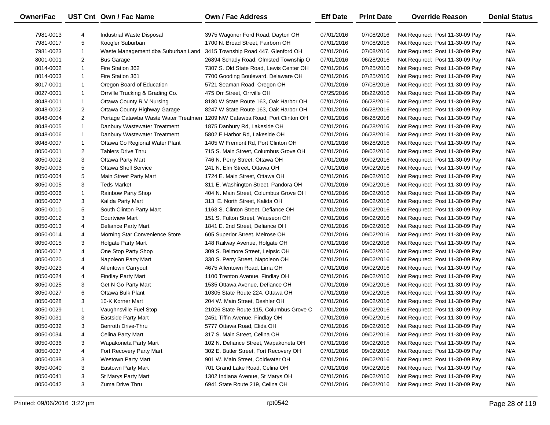| Owner/Fac |                | UST Cnt Own / Fac Name             | Own / Fac Address                                                          | <b>Eff Date</b> | <b>Print Date</b> | <b>Override Reason</b>          | <b>Denial Status</b> |
|-----------|----------------|------------------------------------|----------------------------------------------------------------------------|-----------------|-------------------|---------------------------------|----------------------|
| 7981-0013 | 4              | Industrial Waste Disposal          | 3975 Wagoner Ford Road, Dayton OH                                          | 07/01/2016      | 07/08/2016        | Not Required: Post 11-30-09 Pay | N/A                  |
| 7981-0017 | 5              | Koogler Suburban                   | 1700 N. Broad Street, Fairborn OH                                          | 07/01/2016      | 07/08/2016        | Not Required: Post 11-30-09 Pay | N/A                  |
| 7981-0023 | $\mathbf{1}$   | Waste Management dba Suburban Land | 3415 Township Road 447, Glenford OH                                        | 07/01/2016      | 07/08/2016        | Not Required: Post 11-30-09 Pay | N/A                  |
| 8001-0001 | $\overline{2}$ | <b>Bus Garage</b>                  | 26894 Schady Road, Olmsted Township O                                      | 07/01/2016      | 06/28/2016        | Not Required: Post 11-30-09 Pay | N/A                  |
| 8014-0002 | $\mathbf{1}$   | Fire Station 362                   | 7307 S. Old State Road, Lewis Center OH                                    | 07/01/2016      | 07/25/2016        | Not Required: Post 11-30-09 Pay | N/A                  |
| 8014-0003 | $\mathbf{1}$   | Fire Station 361                   | 7700 Gooding Boulevard, Delaware OH                                        | 07/01/2016      | 07/25/2016        | Not Required: Post 11-30-09 Pay | N/A                  |
| 8017-0001 | $\mathbf{1}$   | Oregon Board of Education          | 5721 Seaman Road, Oregon OH                                                | 07/01/2016      | 07/08/2016        | Not Required: Post 11-30-09 Pay | N/A                  |
| 8027-0001 | $\mathbf{1}$   | Orrville Trucking & Grading Co.    | 475 Orr Street, Orrville OH                                                | 07/25/2016      | 08/22/2016        | Not Required: Post 11-30-09 Pay | N/A                  |
| 8048-0001 | $\mathbf{1}$   | Ottawa County R V Nursing          | 8180 W State Route 163, Oak Harbor OH                                      | 07/01/2016      | 06/28/2016        | Not Required: Post 11-30-09 Pay | N/A                  |
| 8048-0002 | $\overline{2}$ | Ottawa County Highway Garage       | 8247 W State Route 163, Oak Harbor OH                                      | 07/01/2016      | 06/28/2016        | Not Required: Post 11-30-09 Pay | N/A                  |
| 8048-0004 | $\overline{2}$ |                                    | Portage Catawba Waste Water Treatmen 1209 NW Catawba Road, Port Clinton OH | 07/01/2016      | 06/28/2016        | Not Required: Post 11-30-09 Pay | N/A                  |
| 8048-0005 | $\mathbf{1}$   | Danbury Wastewater Treatment       | 1875 Danbury Rd, Lakeside OH                                               | 07/01/2016      | 06/28/2016        | Not Required: Post 11-30-09 Pay | N/A                  |
| 8048-0006 | $\mathbf{1}$   | Danbury Wastewater Treatment       | 5802 E Harbor Rd, Lakeside OH                                              | 07/01/2016      | 06/28/2016        | Not Required: Post 11-30-09 Pay | N/A                  |
| 8048-0007 | $\mathbf{1}$   | Ottawa Co Regional Water Plant     | 1405 W Fremont Rd, Port Clinton OH                                         | 07/01/2016      | 06/28/2016        | Not Required: Post 11-30-09 Pay | N/A                  |
| 8050-0001 | $\overline{2}$ | <b>Tablers Drive Thru</b>          | 715 S. Main Street, Columbus Grove OH                                      | 07/01/2016      | 09/02/2016        | Not Required: Post 11-30-09 Pay | N/A                  |
| 8050-0002 | 3              | <b>Ottawa Party Mart</b>           | 746 N. Perry Street, Ottawa OH                                             | 07/01/2016      | 09/02/2016        | Not Required: Post 11-30-09 Pay | N/A                  |
| 8050-0003 | 5              | <b>Ottawa Shell Service</b>        | 241 N. Elm Street, Ottawa OH                                               | 07/01/2016      | 09/02/2016        | Not Required: Post 11-30-09 Pay | N/A                  |
| 8050-0004 | 5              | Main Street Party Mart             | 1724 E. Main Street, Ottawa OH                                             | 07/01/2016      | 09/02/2016        | Not Required: Post 11-30-09 Pay | N/A                  |
| 8050-0005 | 3              | <b>Teds Market</b>                 | 311 E. Washington Street, Pandora OH                                       | 07/01/2016      | 09/02/2016        | Not Required: Post 11-30-09 Pay | N/A                  |
| 8050-0006 | $\mathbf{1}$   | Rainbow Party Shop                 | 404 N. Main Street, Columbus Grove OH                                      | 07/01/2016      | 09/02/2016        | Not Required: Post 11-30-09 Pay | N/A                  |
| 8050-0007 | 3              | Kalida Party Mart                  | 313 E. North Street, Kalida OH                                             | 07/01/2016      | 09/02/2016        | Not Required: Post 11-30-09 Pay | N/A                  |
| 8050-0010 | 5              | South Clinton Party Mart           | 1163 S. Clinton Street, Defiance OH                                        | 07/01/2016      | 09/02/2016        | Not Required: Post 11-30-09 Pay | N/A                  |
| 8050-0012 | 3              | <b>Courtview Mart</b>              | 151 S. Fulton Street, Wauseon OH                                           | 07/01/2016      | 09/02/2016        | Not Required: Post 11-30-09 Pay | N/A                  |
| 8050-0013 | 4              | Defiance Party Mart                | 1841 E. 2nd Street, Defiance OH                                            | 07/01/2016      | 09/02/2016        | Not Required: Post 11-30-09 Pay | N/A                  |
| 8050-0014 | 4              | Morning Star Convenience Store     | 605 Superior Street, Melrose OH                                            | 07/01/2016      | 09/02/2016        | Not Required: Post 11-30-09 Pay | N/A                  |
| 8050-0015 | 3              | <b>Holgate Party Mart</b>          | 148 Railway Avenue, Holgate OH                                             | 07/01/2016      | 09/02/2016        | Not Required: Post 11-30-09 Pay | N/A                  |
| 8050-0017 | 4              | One Stop Party Shop                | 309 S. Belmore Street, Leipsic OH                                          | 07/01/2016      | 09/02/2016        | Not Required: Post 11-30-09 Pay | N/A                  |
| 8050-0020 | 4              | Napoleon Party Mart                | 330 S. Perry Street, Napoleon OH                                           | 07/01/2016      | 09/02/2016        | Not Required: Post 11-30-09 Pay | N/A                  |
| 8050-0023 | 4              | Allentown Carryout                 | 4675 Allentown Road, Lima OH                                               | 07/01/2016      | 09/02/2016        | Not Required: Post 11-30-09 Pay | N/A                  |
| 8050-0024 | 4              | <b>Findlay Party Mart</b>          | 1100 Trenton Avenue, Findlay OH                                            | 07/01/2016      | 09/02/2016        | Not Required: Post 11-30-09 Pay | N/A                  |
| 8050-0025 | 3              | Get N Go Party Mart                | 1535 Ottawa Avenue, Defiance OH                                            | 07/01/2016      | 09/02/2016        | Not Required: Post 11-30-09 Pay | N/A                  |
| 8050-0027 | 6              | Ottawa Bulk Plant                  | 10305 State Route 224, Ottawa OH                                           | 07/01/2016      | 09/02/2016        | Not Required: Post 11-30-09 Pay | N/A                  |
| 8050-0028 | 3              | 10-K Korner Mart                   | 204 W. Main Street, Deshler OH                                             | 07/01/2016      | 09/02/2016        | Not Required: Post 11-30-09 Pay | N/A                  |
| 8050-0029 | $\mathbf{1}$   | Vaughnsville Fuel Stop             | 21026 State Route 115, Columbus Grove C                                    | 07/01/2016      | 09/02/2016        | Not Required: Post 11-30-09 Pay | N/A                  |
| 8050-0031 | 3              | <b>Eastside Party Mart</b>         | 2451 Tiffin Avenue, Findlay OH                                             | 07/01/2016      | 09/02/2016        | Not Required: Post 11-30-09 Pay | N/A                  |
| 8050-0032 | 3              | Benroth Drive-Thru                 | 5777 Ottawa Road, Elida OH                                                 | 07/01/2016      | 09/02/2016        | Not Required: Post 11-30-09 Pay | N/A                  |
| 8050-0034 | 4              | Celina Party Mart                  | 317 S. Main Street, Celina OH                                              | 07/01/2016      | 09/02/2016        | Not Required: Post 11-30-09 Pay | N/A                  |
| 8050-0036 | 3              | Wapakoneta Party Mart              | 102 N. Defiance Street, Wapakoneta OH                                      | 07/01/2016      | 09/02/2016        | Not Required: Post 11-30-09 Pay | N/A                  |
| 8050-0037 | 4              | Fort Recovery Party Mart           | 302 E. Butler Street, Fort Recovery OH                                     | 07/01/2016      | 09/02/2016        | Not Required: Post 11-30-09 Pay | N/A                  |
| 8050-0038 | 3              | Westown Party Mart                 | 901 W. Main Street, Coldwater OH                                           | 07/01/2016      | 09/02/2016        | Not Required: Post 11-30-09 Pay | N/A                  |
| 8050-0040 | 3              | Eastown Party Mart                 | 701 Grand Lake Road, Celina OH                                             | 07/01/2016      | 09/02/2016        | Not Required: Post 11-30-09 Pay | N/A                  |
| 8050-0041 | 3              | St Marys Party Mart                | 1302 Indiana Avenue, St Marys OH                                           | 07/01/2016      | 09/02/2016        | Not Required: Post 11-30-09 Pay | N/A                  |
| 8050-0042 | 3              | Zuma Drive Thru                    | 6941 State Route 219, Celina OH                                            | 07/01/2016      | 09/02/2016        | Not Required: Post 11-30-09 Pay | N/A                  |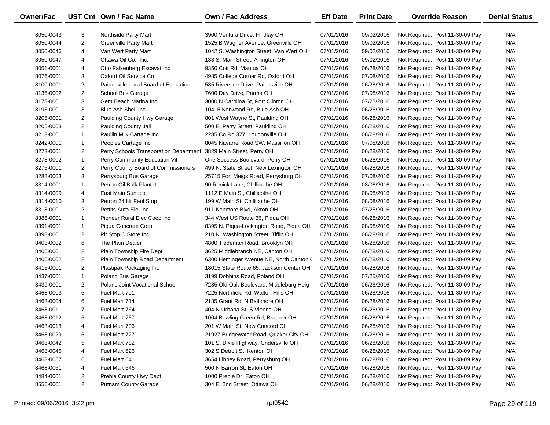| Owner/Fac |                | UST Cnt Own / Fac Name                 | Own / Fac Address                       | <b>Eff Date</b> | <b>Print Date</b> | <b>Override Reason</b>          | <b>Denial Status</b> |
|-----------|----------------|----------------------------------------|-----------------------------------------|-----------------|-------------------|---------------------------------|----------------------|
| 8050-0043 | 3              | Northside Party Mart                   | 3900 Ventura Drive, Findlay OH          | 07/01/2016      | 09/02/2016        | Not Required: Post 11-30-09 Pay | N/A                  |
| 8050-0044 | $\overline{2}$ | <b>Greenville Party Mart</b>           | 1525 B Wagner Avenue, Greenville OH     | 07/01/2016      | 09/02/2016        | Not Required: Post 11-30-09 Pay | N/A                  |
| 8050-0046 | 4              | Van Wert Party Mart                    | 1042 S. Washington Street, Van Wert OH  | 07/01/2016      | 09/02/2016        | Not Required: Post 11-30-09 Pay | N/A                  |
| 8050-0047 | 4              | Ottawa Oil Co., Inc.                   | 133 S. Main Street, Arlington OH        | 07/01/2016      | 09/02/2016        | Not Required: Post 11-30-09 Pay | N/A                  |
| 8051-0001 | 4              | Otto Falkenberg Excavat Inc            | 9350 Coit Rd, Mantua OH                 | 07/01/2016      | 06/28/2016        | Not Required: Post 11-30-09 Pay | N/A                  |
| 8076-0001 | 3              | Oxford Oil Service Co                  | 4985 College Corner Rd, Oxford OH       | 07/01/2016      | 07/08/2016        | Not Required: Post 11-30-09 Pay | N/A                  |
| 8100-0001 | $\overline{2}$ | Painesville Local Board of Education   | 585 Riverside Drive, Painesville OH     | 07/01/2016      | 06/28/2016        | Not Required: Post 11-30-09 Pay | N/A                  |
| 8136-0002 | $\overline{2}$ | School Bus Garage                      | 7600 Day Drive, Parma OH                | 07/01/2016      | 07/08/2016        | Not Required: Post 11-30-09 Pay | N/A                  |
| 8178-0001 | 3              | Gem Beach Marina Inc                   | 3000 N Carolina St, Port Clinton OH     | 07/01/2016      | 07/25/2016        | Not Required: Post 11-30-09 Pay | N/A                  |
| 8193-0001 | 3              | <b>Blue Ash Shell Inc</b>              | 10415 Kenwood Rd, Blue Ash OH           | 07/01/2016      | 06/28/2016        | Not Required: Post 11-30-09 Pay | N/A                  |
| 8205-0001 | $\overline{a}$ | Paulding County Hwy Garage             | 801 West Wayne St, Paulding OH          | 07/01/2016      | 06/28/2016        | Not Required: Post 11-30-09 Pay | N/A                  |
| 8205-0003 | $\overline{2}$ | Paulding County Jail                   | 500 E. Perry Street, Paulding OH        | 07/01/2016      | 06/28/2016        | Not Required: Post 11-30-09 Pay | N/A                  |
| 8213-0001 | $\mathbf{1}$   | Paullin Milk Cartage Inc               | 2285 Co Rd 377, Loudonville OH          | 07/01/2016      | 06/28/2016        | Not Required: Post 11-30-09 Pay | N/A                  |
| 8242-0001 | $\mathbf{1}$   | Peoples Cartage Inc                    | 8045 Navarre Road SW, Massillon OH      | 07/01/2016      | 07/08/2016        | Not Required: Post 11-30-09 Pay | N/A                  |
| 8273-0001 | $\overline{2}$ | Perry Schools Transporation Department | 3829 Main Street, Perry OH              | 07/01/2016      | 06/28/2016        | Not Required: Post 11-30-09 Pay | N/A                  |
| 8273-0002 | $\mathbf{1}$   | Perry Community Education Vil          | One Success Boulevard, Perry OH         | 07/01/2016      | 06/28/2016        | Not Required: Post 11-30-09 Pay | N/A                  |
| 8276-0001 | $\overline{2}$ | Perry County Board of Commissioners    | 499 N. State Street, New Lexington OH   | 07/01/2016      | 06/28/2016        | Not Required: Post 11-30-09 Pay | N/A                  |
| 8288-0003 | 3              | Perrysburg Bus Garage                  | 25715 Fort Meigs Road, Perrysburg OH    | 07/01/2016      | 07/08/2016        | Not Required: Post 11-30-09 Pay | N/A                  |
| 8314-0001 | $\mathbf{1}$   | Petron Oil Bulk Plant II               | 90 Renick Lane, Chillicothe OH          | 07/01/2016      | 08/08/2016        | Not Required: Post 11-30-09 Pay | N/A                  |
| 8314-0009 | 4              | East Main Sunoco                       | 1112 E Main St, Chillicothe OH          | 07/01/2016      | 08/08/2016        | Not Required: Post 11-30-09 Pay | N/A                  |
| 8314-0010 | 3              | Petron 24 Hr Feul Stop                 | 199 W Main St, Chillicothe OH           | 07/01/2016      | 08/08/2016        | Not Required: Post 11-30-09 Pay | N/A                  |
| 8318-0001 | $\overline{2}$ | Pettits Auto Elel Inc                  | 911 Kenmore Blvd, Akron OH              | 07/01/2016      | 07/25/2016        | Not Required: Post 11-30-09 Pay | N/A                  |
| 8386-0001 | $\mathbf{1}$   | Pioneer Rural Elec Coop Inc            | 344 West US Route 36, Piqua OH          | 07/01/2016      | 06/28/2016        | Not Required: Post 11-30-09 Pay | N/A                  |
| 8391-0001 | $\mathbf{1}$   | Piqua Concrete Corp.                   | 8395 N. Piqua-Lockington Road, Piqua OH | 07/01/2016      | 08/08/2016        | Not Required: Post 11-30-09 Pay | N/A                  |
| 8398-0001 | $\overline{2}$ | Pit Stop C Store Inc.                  | 210 N. Washington Street, Tiffin OH     | 07/01/2016      | 06/28/2016        | Not Required: Post 11-30-09 Pay | N/A                  |
| 8403-0002 | 6              | The Plain Dealer                       | 4800 Tiedeman Road, Brooklyn OH         | 07/01/2016      | 06/28/2016        | Not Required: Post 11-30-09 Pay | N/A                  |
| 8406-0001 | $\overline{2}$ | Plain Township Fire Dept               | 3625 Middlebranch NE, Canton OH         | 07/01/2016      | 06/28/2016        | Not Required: Post 11-30-09 Pay | N/A                  |
| 8406-0002 | $\overline{2}$ | Plain Township Road Department         | 6300 Heminger Avenue NE, North Canton ( | 07/01/2016      | 06/28/2016        | Not Required: Post 11-30-09 Pay | N/A                  |
| 8416-0001 | $\overline{2}$ | Plastipak Packaging Inc                | 18015 State Route 65, Jackson Center OH | 07/01/2016      | 06/28/2016        | Not Required: Post 11-30-09 Pay | N/A                  |
| 8437-0001 | $\mathbf{1}$   | Poland Bus Garage                      | 3199 Dobbins Road, Poland OH            | 07/01/2016      | 07/25/2016        | Not Required: Post 11-30-09 Pay | N/A                  |
| 8439-0001 | $\overline{2}$ | Polaris Joint Vocational School        | 7285 Old Oak Boulevard, Middleburg Heig | 07/01/2016      | 06/28/2016        | Not Required: Post 11-30-09 Pay | N/A                  |
| 8468-0003 | 5              | Fuel Mart 701                          | 7225 Northfield Rd, Walton Hills OH     | 07/01/2016      | 06/28/2016        | Not Required: Post 11-30-09 Pay | N/A                  |
| 8468-0004 | 6              | Fuel Mart 714                          | 2185 Grant Rd, N Baltimore OH           | 07/01/2016      | 06/28/2016        | Not Required: Post 11-30-09 Pay | N/A                  |
| 8468-0011 | $\overline{7}$ | Fuel Mart 764                          | 404 N Urbana St, S Vienna OH            | 07/01/2016      | 06/28/2016        | Not Required: Post 11-30-09 Pay | N/A                  |
| 8468-0012 | 6              | Fuel Mart 767                          | 1004 Bowling Green Rd, Bradner OH       | 07/01/2016      | 06/28/2016        | Not Required: Post 11-30-09 Pay | N/A                  |
| 8468-0018 | 4              | Fuel Mart 706                          | 201 W Main St, New Concord OH           | 07/01/2016      | 06/28/2016        | Not Required: Post 11-30-09 Pay | N/A                  |
| 8468-0029 | 5              | Fuel Mart 727                          | 21927 Bridgewater Road, Quaker City OH  | 07/01/2016      | 06/28/2016        | Not Required: Post 11-30-09 Pay | N/A                  |
| 8468-0042 | 5              | Fuel Mart 782                          | 101 S. Dixie Highway, Cridersville OH   | 07/01/2016      | 06/28/2016        | Not Required: Post 11-30-09 Pay | N/A                  |
| 8468-0046 | 4              | Fuel Mart 626                          | 302 S Detroit St, Kenton OH             | 07/01/2016      | 06/28/2016        | Not Required: Post 11-30-09 Pay | N/A                  |
| 8468-0057 | 6              | Fuel Mart 641                          | 3654 Libbey Road, Perrysburg OH         | 07/01/2016      | 06/28/2016        | Not Required: Post 11-30-09 Pay | N/A                  |
| 8468-0061 | 4              | Fuel Mart 646                          | 500 N Barron St, Eaton OH               | 07/01/2016      | 06/28/2016        | Not Required: Post 11-30-09 Pay | N/A                  |
| 8484-0001 | 2              | Preble County Hwy Dept                 | 1000 Preble Dr, Eaton OH                | 07/01/2016      | 06/28/2016        | Not Required: Post 11-30-09 Pay | N/A                  |
| 8556-0001 | $\overline{2}$ | Putnam County Garage                   | 304 E. 2nd Street, Ottawa OH            | 07/01/2016      | 06/28/2016        | Not Required: Post 11-30-09 Pay | N/A                  |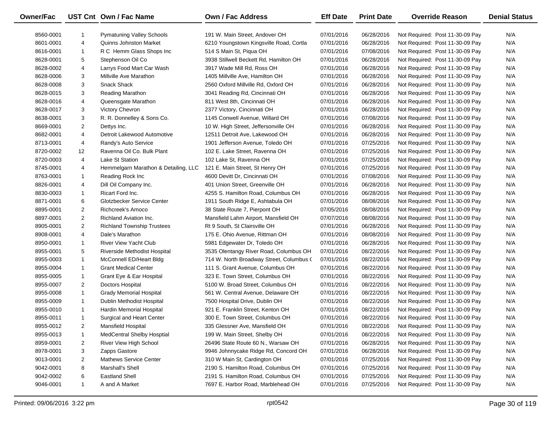| Owner/Fac |                | UST Cnt Own / Fac Name               | Own / Fac Address                        | <b>Eff Date</b> | <b>Print Date</b> | <b>Override Reason</b>          | <b>Denial Status</b> |
|-----------|----------------|--------------------------------------|------------------------------------------|-----------------|-------------------|---------------------------------|----------------------|
| 8560-0001 |                | <b>Pymatuning Valley Schools</b>     | 191 W. Main Street, Andover OH           | 07/01/2016      | 06/28/2016        | Not Required: Post 11-30-09 Pay | N/A                  |
| 8601-0001 | 4              | <b>Quinns Johnston Market</b>        | 6210 Youngstown Kingsville Road, Cortla  | 07/01/2016      | 06/28/2016        | Not Required: Post 11-30-09 Pay | N/A                  |
| 8616-0001 | $\mathbf{1}$   | R C Hemm Glass Shops Inc             | 514 S Main St, Piqua OH                  | 07/01/2016      | 07/08/2016        | Not Required: Post 11-30-09 Pay | N/A                  |
| 8628-0001 | 5              | Stephenson Oil Co                    | 3938 Stillwell Beckett Rd, Hamilton OH   | 07/01/2016      | 06/28/2016        | Not Required: Post 11-30-09 Pay | N/A                  |
| 8628-0002 | 4              | Larrys Food Mart Car Wash            | 3917 Wade Mill Rd, Ross OH               | 07/01/2016      | 06/28/2016        | Not Required: Post 11-30-09 Pay | N/A                  |
| 8628-0006 | 3              | Millville Ave Marathon               | 1405 Millville Ave, Hamilton OH          | 07/01/2016      | 06/28/2016        | Not Required: Post 11-30-09 Pay | N/A                  |
| 8628-0008 | 3              | <b>Snack Shack</b>                   | 2560 Oxford Millville Rd, Oxford OH      | 07/01/2016      | 06/28/2016        | Not Required: Post 11-30-09 Pay | N/A                  |
| 8628-0015 | 3              | <b>Reading Marathon</b>              | 3041 Reading Rd, Cincinnati OH           | 07/01/2016      | 06/28/2016        | Not Required: Post 11-30-09 Pay | N/A                  |
| 8628-0016 | 4              | Queensgate Marathon                  | 811 West 8th, Cincinnati OH              | 07/01/2016      | 06/28/2016        | Not Required: Post 11-30-09 Pay | N/A                  |
| 8628-0017 | 3              | Victory Chevron                      | 2377 Victory, Cincinnati OH              | 07/01/2016      | 06/28/2016        | Not Required: Post 11-30-09 Pay | N/A                  |
| 8638-0001 | 3              | R. R. Donnelley & Sons Co.           | 1145 Conwell Avenue, Willard OH          | 07/01/2016      | 07/08/2016        | Not Required: Post 11-30-09 Pay | N/A                  |
| 8669-0001 | $\overline{2}$ | Dettys Inc.                          | 10 W. High Street, Jeffersonville OH     | 07/01/2016      | 06/28/2016        | Not Required: Post 11-30-09 Pay | N/A                  |
| 8682-0001 | 4              | Detroit Lakewood Automotive          | 12511 Detroit Ave, Lakewood OH           | 07/01/2016      | 06/28/2016        | Not Required: Post 11-30-09 Pay | N/A                  |
| 8713-0001 | 4              | Randy's Auto Service                 | 1901 Jefferson Avenue, Toledo OH         | 07/01/2016      | 07/25/2016        | Not Required: Post 11-30-09 Pay | N/A                  |
| 8720-0002 | 12             | Ravenna Oil Co. Bulk Plant           | 102 E. Lake Street, Ravenna OH           | 07/01/2016      | 07/25/2016        | Not Required: Post 11-30-09 Pay | N/A                  |
| 8720-0003 | 4              | Lake St Station                      | 102 Lake St, Ravenna OH                  | 07/01/2016      | 07/25/2016        | Not Required: Post 11-30-09 Pay | N/A                  |
| 8745-0001 | 4              | Hemmelgarn Marathon & Detailing, LLC | 121 E. Main Street, St Henry OH          | 07/01/2016      | 07/25/2016        | Not Required: Post 11-30-09 Pay | N/A                  |
| 8763-0001 | $\mathbf{1}$   | Reading Rock Inc                     | 4600 Devitt Dr, Cincinnati OH            | 07/01/2016      | 07/08/2016        | Not Required: Post 11-30-09 Pay | N/A                  |
| 8826-0001 | 4              | Dill Oil Company Inc.                | 401 Union Street, Greenville OH          | 07/01/2016      | 06/28/2016        | Not Required: Post 11-30-09 Pay | N/A                  |
| 8830-0003 | $\mathbf{1}$   | Ricart Ford Inc.                     | 4255 S. Hamilton Road, Columbus OH       | 07/01/2016      | 06/28/2016        | Not Required: Post 11-30-09 Pay | N/A                  |
| 8871-0001 | 6              | Glotzbecker Service Center           | 1911 South Ridge E, Ashtabula OH         | 07/01/2016      | 08/08/2016        | Not Required: Post 11-30-09 Pay | N/A                  |
| 8895-0001 | $\overline{2}$ | Richcreek's Amoco                    | 38 State Route 7, Pierpont OH            | 07/05/2016      | 08/08/2016        | Not Required: Post 11-30-09 Pay | N/A                  |
| 8897-0001 | $\overline{2}$ | <b>Richland Aviation Inc.</b>        | Mansfield Lahm Airport, Mansfield OH     | 07/07/2016      | 08/08/2016        | Not Required: Post 11-30-09 Pay | N/A                  |
| 8905-0001 | $\overline{2}$ | <b>Richland Township Trustees</b>    | Rt 9 South, St Clairsville OH            | 07/01/2016      | 06/28/2016        | Not Required: Post 11-30-09 Pay | N/A                  |
| 8908-0001 | 4              | Dale's Marathon                      | 175 E. Ohio Avenue, Rittman OH           | 07/01/2016      | 08/08/2016        | Not Required: Post 11-30-09 Pay | N/A                  |
| 8950-0001 | $\mathbf{1}$   | <b>River View Yacht Club</b>         | 5981 Edgewater Dr, Toledo OH             | 07/01/2016      | 06/28/2016        | Not Required: Post 11-30-09 Pay | N/A                  |
| 8955-0001 | 5              | Riverside Methodist Hospital         | 3535 Olentangy River Road, Columbus OH   | 07/01/2016      | 08/22/2016        | Not Required: Post 11-30-09 Pay | N/A                  |
| 8955-0003 | $\mathbf{1}$   | McConnell ED/Heart Bldg              | 714 W. North Broadway Street, Columbus ( | 07/01/2016      | 08/22/2016        | Not Required: Post 11-30-09 Pay | N/A                  |
| 8955-0004 | $\mathbf{1}$   | <b>Grant Medical Center</b>          | 111 S. Grant Avenue, Columbus OH         | 07/01/2016      | 08/22/2016        | Not Required: Post 11-30-09 Pay | N/A                  |
| 8955-0005 | $\mathbf{1}$   | Grant Eye & Ear Hospital             | 323 E. Town Street, Columbus OH          | 07/01/2016      | 08/22/2016        | Not Required: Post 11-30-09 Pay | N/A                  |
| 8955-0007 | $\overline{2}$ | Doctors Hospital                     | 5100 W. Broad Street, Columbus OH        | 07/01/2016      | 08/22/2016        | Not Required: Post 11-30-09 Pay | N/A                  |
| 8955-0008 | $\mathbf{1}$   | <b>Grady Memorial Hospital</b>       | 561 W. Central Avenue, Delaware OH       | 07/01/2016      | 08/22/2016        | Not Required: Post 11-30-09 Pay | N/A                  |
| 8955-0009 | $\mathbf{1}$   | Dublin Methodist Hospital            | 7500 Hospital Drive, Dublin OH           | 07/01/2016      | 08/22/2016        | Not Required: Post 11-30-09 Pay | N/A                  |
| 8955-0010 | $\mathbf{1}$   | Hardin Memorial Hospital             | 921 E. Franklin Street, Kenton OH        | 07/01/2016      | 08/22/2016        | Not Required: Post 11-30-09 Pay | N/A                  |
| 8955-0011 | $\mathbf{1}$   | Surgical and Heart Center            | 300 E. Town Street, Columbus OH          | 07/01/2016      | 08/22/2016        | Not Required: Post 11-30-09 Pay | N/A                  |
| 8955-0012 | $\overline{2}$ | Mansfield Hospital                   | 335 Glessner Ave, Mansfield OH           | 07/01/2016      | 08/22/2016        | Not Required: Post 11-30-09 Pay | N/A                  |
| 8955-0013 | 1              | <b>MedCentral Shelby Hosptial</b>    | 199 W. Main Street, Shelby OH            | 07/01/2016      | 08/22/2016        | Not Required: Post 11-30-09 Pay | N/A                  |
| 8959-0001 | 2              | River View High School               | 26496 State Route 60 N., Warsaw OH       | 07/01/2016      | 06/28/2016        | Not Required: Post 11-30-09 Pay | N/A                  |
| 8978-0001 | 3              | Zapps Gastore                        | 9946 Johnnycake Ridge Rd, Concord OH     | 07/01/2016      | 06/28/2016        | Not Required: Post 11-30-09 Pay | N/A                  |
| 9013-0001 | $\overline{2}$ | <b>Mathews Service Center</b>        | 310 W Main St, Cardington OH             | 07/01/2016      | 07/25/2016        | Not Required: Post 11-30-09 Pay | N/A                  |
| 9042-0001 | 8              | Marshall's Shell                     | 2190 S. Hamilton Road, Columbus OH       | 07/01/2016      | 07/25/2016        | Not Required: Post 11-30-09 Pay | N/A                  |
| 9042-0002 | 6              | <b>Eastland Shell</b>                | 2191 S. Hamilton Road, Columbus OH       | 07/01/2016      | 07/25/2016        | Not Required: Post 11-30-09 Pay | N/A                  |
| 9046-0001 | $\mathbf{1}$   | A and A Market                       | 7697 E. Harbor Road, Marblehead OH       | 07/01/2016      | 07/25/2016        | Not Required: Post 11-30-09 Pay | N/A                  |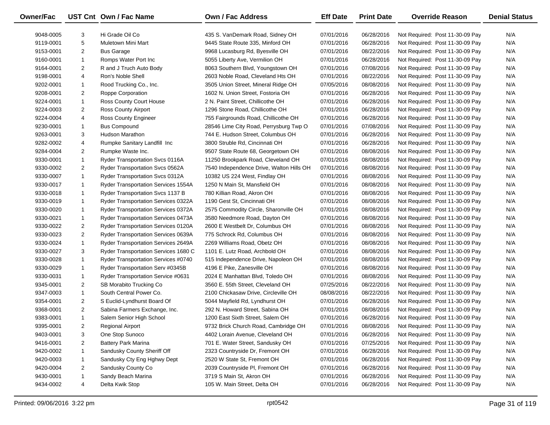| Owner/Fac |                | UST Cnt Own / Fac Name                     | Own / Fac Address                        | <b>Eff Date</b> | <b>Print Date</b> | <b>Override Reason</b>          | <b>Denial Status</b> |
|-----------|----------------|--------------------------------------------|------------------------------------------|-----------------|-------------------|---------------------------------|----------------------|
| 9048-0005 | 3              | Hi Grade Oil Co                            | 435 S. VanDemark Road, Sidney OH         | 07/01/2016      | 06/28/2016        | Not Required: Post 11-30-09 Pay | N/A                  |
| 9119-0001 | 5              | Muletown Mini Mart                         | 9445 State Route 335, Minford OH         | 07/01/2016      | 06/28/2016        | Not Required: Post 11-30-09 Pay | N/A                  |
| 9153-0001 | $\overline{2}$ | <b>Bus Garage</b>                          | 9968 Lucasburg Rd, Byesville OH          | 07/01/2016      | 08/22/2016        | Not Required: Post 11-30-09 Pay | N/A                  |
| 9160-0001 | $\mathbf{1}$   | Romps Water Port Inc                       | 5055 Liberty Ave, Vermilion OH           | 07/01/2016      | 06/28/2016        | Not Required: Post 11-30-09 Pay | N/A                  |
| 9164-0001 | $\overline{2}$ | R and J Truch Auto Body                    | 8063 Southern Blvd, Youngstown OH        | 07/01/2016      | 07/08/2016        | Not Required: Post 11-30-09 Pay | N/A                  |
| 9198-0001 | 4              | Ron's Noble Shell                          | 2603 Noble Road, Cleveland Hts OH        | 07/01/2016      | 08/22/2016        | Not Required: Post 11-30-09 Pay | N/A                  |
| 9202-0001 | $\mathbf{1}$   | Rood Trucking Co., Inc.                    | 3505 Union Street, Mineral Ridge OH      | 07/05/2016      | 08/08/2016        | Not Required: Post 11-30-09 Pay | N/A                  |
| 9208-0001 | $\overline{2}$ | Roppe Corporation                          | 1602 N. Union Street, Fostoria OH        | 07/01/2016      | 06/28/2016        | Not Required: Post 11-30-09 Pay | N/A                  |
| 9224-0001 | $\mathbf{1}$   | Ross County Court House                    | 2 N. Paint Street, Chillicothe OH        | 07/01/2016      | 06/28/2016        | Not Required: Post 11-30-09 Pay | N/A                  |
| 9224-0003 | $\overline{2}$ | Ross County Airport                        | 1296 Stone Road, Chillicothe OH          | 07/01/2016      | 06/28/2016        | Not Required: Post 11-30-09 Pay | N/A                  |
| 9224-0004 | 4              | Ross County Engineer                       | 755 Fairgrounds Road, Chillicothe OH     | 07/01/2016      | 06/28/2016        | Not Required: Post 11-30-09 Pay | N/A                  |
| 9230-0001 | $\mathbf{1}$   | <b>Bus Compound</b>                        | 28546 Lime City Road, Perrysburg Twp O   | 07/01/2016      | 07/08/2016        | Not Required: Post 11-30-09 Pay | N/A                  |
| 9263-0001 | 3              | Hudson Marathon                            | 744 E. Hudson Street, Columbus OH        | 07/01/2016      | 06/28/2016        | Not Required: Post 11-30-09 Pay | N/A                  |
| 9282-0002 | 4              | Rumpke Sanitary Landfill Inc               | 3800 Struble Rd, Cincinnati OH           | 07/01/2016      | 06/28/2016        | Not Required: Post 11-30-09 Pay | N/A                  |
| 9284-0004 | $\overline{2}$ | Rumpke Waste Inc.                          | 9507 State Route 68, Georgetown OH       | 07/01/2016      | 08/08/2016        | Not Required: Post 11-30-09 Pay | N/A                  |
| 9330-0001 | $\mathbf{1}$   | Ryder Transportation Svcs 0116A            | 11250 Brookpark Road, Cleveland OH       | 07/01/2016      | 08/08/2016        | Not Required: Post 11-30-09 Pay | N/A                  |
| 9330-0002 | $\overline{2}$ | Ryder Transportation Svcs 0562A            | 7540 Independence Drive, Walton Hills OH | 07/01/2016      | 08/08/2016        | Not Required: Post 11-30-09 Pay | N/A                  |
| 9330-0007 | $\mathbf{1}$   | Ryder Transportation Svcs 0312A            | 10382 US 224 West, Findlay OH            | 07/01/2016      | 08/08/2016        | Not Required: Post 11-30-09 Pay | N/A                  |
| 9330-0017 | $\mathbf{1}$   | <b>Ryder Transportation Services 1554A</b> | 1250 N Main St, Mansfield OH             | 07/01/2016      | 08/08/2016        | Not Required: Post 11-30-09 Pay | N/A                  |
| 9330-0018 | $\mathbf{1}$   | Ryder Transportation Svcs 1137 B           | 780 Killian Road, Akron OH               | 07/01/2016      | 08/08/2016        | Not Required: Post 11-30-09 Pay | N/A                  |
| 9330-0019 | $\mathbf{1}$   | Ryder Transportation Services 0322A        | 1190 Gest St, Cincinnati OH              | 07/01/2016      | 08/08/2016        | Not Required: Post 11-30-09 Pay | N/A                  |
| 9330-0020 | $\mathbf{1}$   | Ryder Transportation Services 0372A        | 2575 Commodity Circle, Sharonville OH    | 07/01/2016      | 08/08/2016        | Not Required: Post 11-30-09 Pay | N/A                  |
| 9330-0021 | $\mathbf{1}$   | Ryder Transportation Services 0473A        | 3580 Needmore Road, Dayton OH            | 07/01/2016      | 08/08/2016        | Not Required: Post 11-30-09 Pay | N/A                  |
| 9330-0022 | $\overline{2}$ | Ryder Transportation Services 0120A        | 2600 E Westbelt Dr, Columbus OH          | 07/01/2016      | 08/08/2016        | Not Required: Post 11-30-09 Pay | N/A                  |
| 9330-0023 | $\overline{2}$ | Ryder Transportation Services 0639A        | 775 Schrock Rd, Columbus OH              | 07/01/2016      | 08/08/2016        | Not Required: Post 11-30-09 Pay | N/A                  |
| 9330-0024 | $\mathbf{1}$   | Ryder Transportation Services 2649A        | 2269 Williams Road, Obetz OH             | 07/01/2016      | 08/08/2016        | Not Required: Post 11-30-09 Pay | N/A                  |
| 9330-0027 | 3              | Ryder Transportation Services 1680 C       | 1101 E. Lutz Road, Archbold OH           | 07/01/2016      | 08/08/2016        | Not Required: Post 11-30-09 Pay | N/A                  |
| 9330-0028 | $\mathbf{1}$   | Ryder Transportation Services #0740        | 515 Independence Drive, Napoleon OH      | 07/01/2016      | 08/08/2016        | Not Required: Post 11-30-09 Pay | N/A                  |
| 9330-0029 | $\mathbf{1}$   | Ryder Transportation Serv #0345B           | 4196 E Pike, Zanesville OH               | 07/01/2016      | 08/08/2016        | Not Required: Post 11-30-09 Pay | N/A                  |
| 9330-0031 | $\mathbf{1}$   | <b>Ryder Transportation Service #0631</b>  | 2024 E Manhattan Blvd, Toledo OH         | 07/01/2016      | 08/08/2016        | Not Required: Post 11-30-09 Pay | N/A                  |
| 9345-0001 | $\overline{2}$ | SB Morabito Trucking Co                    | 3560 E. 55th Street, Cleveland OH        | 07/25/2016      | 08/22/2016        | Not Required: Post 11-30-09 Pay | N/A                  |
| 9347-0003 | $\mathbf{1}$   | South Central Power Co.                    | 2100 Chickasaw Drive, Circleville OH     | 08/08/2016      | 08/22/2016        | Not Required: Post 11-30-09 Pay | N/A                  |
| 9354-0001 | $\overline{2}$ | S Euclid-Lyndhurst Board Of                | 5044 Mayfield Rd, Lyndhurst OH           | 07/01/2016      | 06/28/2016        | Not Required: Post 11-30-09 Pay | N/A                  |
| 9368-0001 | $\overline{2}$ | Sabina Farmers Exchange, Inc.              | 292 N. Howard Street, Sabina OH          | 07/01/2016      | 08/08/2016        | Not Required: Post 11-30-09 Pay | N/A                  |
| 9383-0001 | $\mathbf{1}$   | Salem Senior High School                   | 1200 East Sixth Street, Salem OH         | 07/01/2016      | 06/28/2016        | Not Required: Post 11-30-09 Pay | N/A                  |
| 9395-0001 | 2              | <b>Regional Airport</b>                    | 9732 Brick Church Road, Cambridge OH     | 07/01/2016      | 08/08/2016        | Not Required: Post 11-30-09 Pay | N/A                  |
| 9403-0001 | 3              | One Stop Sunoco                            | 4402 Lorain Avenue, Cleveland OH         | 07/01/2016      | 06/28/2016        | Not Required: Post 11-30-09 Pay | N/A                  |
| 9416-0001 | $\overline{2}$ | <b>Battery Park Marina</b>                 | 701 E. Water Street, Sandusky OH         | 07/01/2016      | 07/25/2016        | Not Required: Post 11-30-09 Pay | N/A                  |
| 9420-0002 | $\mathbf{1}$   | Sandusky County Sheriff Off                | 2323 Countryside Dr, Fremont OH          | 07/01/2016      | 06/28/2016        | Not Required: Post 11-30-09 Pay | N/A                  |
| 9420-0003 | $\mathbf{1}$   | Sandusky Cty Eng Hghwy Dept                | 2520 W State St, Fremont OH              | 07/01/2016      | 06/28/2016        | Not Required: Post 11-30-09 Pay | N/A                  |
| 9420-0004 | 2              | Sandusky County Co                         | 2039 Countryside PI, Fremont OH          | 07/01/2016      | 06/28/2016        | Not Required: Post 11-30-09 Pay | N/A                  |
| 9430-0001 | $\mathbf{1}$   | Sandy Beach Marina                         | 3719 S Main St, Akron OH                 | 07/01/2016      | 06/28/2016        | Not Required: Post 11-30-09 Pay | N/A                  |
| 9434-0002 | 4              | Delta Kwik Stop                            | 105 W. Main Street, Delta OH             | 07/01/2016      | 06/28/2016        | Not Required: Post 11-30-09 Pay | N/A                  |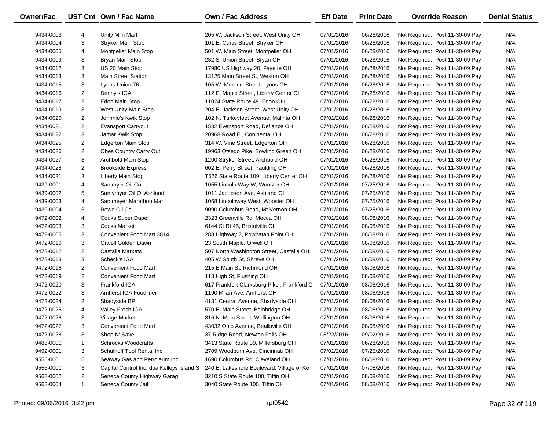| Owner/Fac |                | UST Cnt Own / Fac Name                    | <b>Own / Fac Address</b>                   | <b>Eff Date</b> | <b>Print Date</b> | <b>Override Reason</b>          | <b>Denial Status</b> |
|-----------|----------------|-------------------------------------------|--------------------------------------------|-----------------|-------------------|---------------------------------|----------------------|
| 9434-0003 | 4              | Unity Mini Mart                           | 205 W. Jackson Street, West Unity OH       | 07/01/2016      | 06/28/2016        | Not Required: Post 11-30-09 Pay | N/A                  |
| 9434-0004 | 3              | <b>Stryker Main Stop</b>                  | 101 E. Curtis Street, Stryker OH           | 07/01/2016      | 06/28/2016        | Not Required: Post 11-30-09 Pay | N/A                  |
| 9434-0005 | 4              | Montpelier Main Stop                      | 501 W. Main Street, Montpelier OH          | 07/01/2016      | 06/28/2016        | Not Required: Post 11-30-09 Pay | N/A                  |
| 9434-0009 | 3              | Bryan Main Stop                           | 232 S. Union Street, Bryan OH              | 07/01/2016      | 06/28/2016        | Not Required: Post 11-30-09 Pay | N/A                  |
| 9434-0012 | 3              | US 20 Main Stop                           | 17980 US Highway 20, Fayette OH            | 07/01/2016      | 06/28/2016        | Not Required: Post 11-30-09 Pay | N/A                  |
| 9434-0013 | 3              | <b>Main Street Station</b>                | 13125 Main Street S., Weston OH            | 07/01/2016      | 06/28/2016        | Not Required: Post 11-30-09 Pay | N/A                  |
| 9434-0015 | 3              | Lyons Union 76                            | 105 W. Morenci Street, Lyons OH            | 07/01/2016      | 06/28/2016        | Not Required: Post 11-30-09 Pay | N/A                  |
| 9434-0016 | $\overline{2}$ | Denny's IGA                               | 112 E. Maple Street, Liberty Center OH     | 07/01/2016      | 06/28/2016        | Not Required: Post 11-30-09 Pay | N/A                  |
| 9434-0017 | $\overline{2}$ | Edon Main Stop                            | 11024 State Route 49, Edon OH              | 07/01/2016      | 06/28/2016        | Not Required: Post 11-30-09 Pay | N/A                  |
| 9434-0019 | 3              | West Unity Main Stop                      | 204 E. Jackson Street, West Unity OH       | 07/01/2016      | 06/28/2016        | Not Required: Post 11-30-09 Pay | N/A                  |
| 9434-0020 | 2              | Johnnie's Kwik Stop                       | 102 N. Turkeyfoot Avenue, Malinta OH       | 07/01/2016      | 06/28/2016        | Not Required: Post 11-30-09 Pay | N/A                  |
| 9434-0021 | $\overline{2}$ | <b>Evansport Carryout</b>                 | 1582 Evensport Road, Defiance OH           | 07/01/2016      | 06/28/2016        | Not Required: Post 11-30-09 Pay | N/A                  |
| 9434-0022 | 3              | Jamar Kwik Stop                           | 20968 Road E., Coninental OH               | 07/01/2016      | 06/28/2016        | Not Required: Post 11-30-09 Pay | N/A                  |
| 9434-0025 | $\overline{2}$ | <b>Edgerton Main Stop</b>                 | 314 W. Vine Street, Edgerton OH            | 07/01/2016      | 06/28/2016        | Not Required: Post 11-30-09 Pay | N/A                  |
| 9434-0026 | $\overline{2}$ | Obes Country Carry Out                    | 19963 Otsego Pike, Bowling Green OH        | 07/01/2016      | 06/28/2016        | Not Required: Post 11-30-09 Pay | N/A                  |
| 9434-0027 | 3              | Archbold Main Stop                        | 1200 Stryker Street, Archbold OH           | 07/01/2016      | 06/28/2016        | Not Required: Post 11-30-09 Pay | N/A                  |
| 9434-0028 | $\overline{2}$ | <b>Brookside Express</b>                  | 602 E. Perry Street, Paulding OH           | 07/01/2016      | 06/28/2016        | Not Required: Post 11-30-09 Pay | N/A                  |
| 9434-0031 | 3              | Liberty Main Stop                         | T526 State Route 109, Liberty Center OH    | 07/01/2016      | 06/28/2016        | Not Required: Post 11-30-09 Pay | N/A                  |
| 9439-0001 | 4              | Santmyer Oil Co                           | 1055 Lincoln Way W, Wooster OH             | 07/01/2016      | 07/25/2016        | Not Required: Post 11-30-09 Pay | N/A                  |
| 9439-0002 | 5              | Santymyer Oil Of Ashland                  | 1011 Jacobson Ave, Ashland OH              | 07/01/2016      | 07/25/2016        | Not Required: Post 11-30-09 Pay | N/A                  |
| 9439-0003 | 4              | Santmeyer Marathon Mart                   | 1058 Lincolnway West, Wooster OH           | 07/01/2016      | 07/25/2016        | Not Required: Post 11-30-09 Pay | N/A                  |
| 9439-0004 | 6              | Rowe Oil Co.                              | 9090 Columbus Road, Mt Vernon OH           | 07/01/2016      | 07/25/2016        | Not Required: Post 11-30-09 Pay | N/A                  |
| 9472-0002 | 4              | Cooks Super Duper                         | 2323 Greenville Rd, Mecca OH               | 07/01/2016      | 08/08/2016        | Not Required: Post 11-30-09 Pay | N/A                  |
| 9472-0003 | 3              | <b>Cooks Market</b>                       | 6144 St Rt 45, Bristolville OH             | 07/01/2016      | 08/08/2016        | Not Required: Post 11-30-09 Pay | N/A                  |
| 9472-0005 | 3              | Convenient Food Mart 3814                 | 288 Highway 7, Powhatan Point OH           | 07/01/2016      | 08/08/2016        | Not Required: Post 11-30-09 Pay | N/A                  |
| 9472-0010 | 3              | Orwell Golden Dawn                        | 23 South Maple, Orwell OH                  | 07/01/2016      | 08/08/2016        | Not Required: Post 11-30-09 Pay | N/A                  |
| 9472-0012 | $\overline{2}$ | Castalia Markets                          | 507 North Washington Street, Castalia OH   | 07/01/2016      | 08/08/2016        | Not Required: Post 11-30-09 Pay | N/A                  |
| 9472-0013 | 3              | Scheck's IGA                              | 405 W South St, Shreve OH                  | 07/01/2016      | 08/08/2016        | Not Required: Post 11-30-09 Pay | N/A                  |
| 9472-0016 | $\overline{2}$ | <b>Convenient Food Mart</b>               | 215 E Main St, Richmond OH                 | 07/01/2016      | 08/08/2016        | Not Required: Post 11-30-09 Pay | N/A                  |
| 9472-0019 | $\overline{2}$ | <b>Convenient Food Mart</b>               | 113 High St, Flushing OH                   | 07/01/2016      | 08/08/2016        | Not Required: Post 11-30-09 Pay | N/A                  |
| 9472-0020 | 3              | <b>Frankford IGA</b>                      | 617 Frankfort Clarksburg Pike, Frankford C | 07/01/2016      | 08/08/2016        | Not Required: Post 11-30-09 Pay | N/A                  |
| 9472-0022 | 3              | Amherst IGA Foodliner                     | 1190 Milan Ave, Amherst OH                 | 07/01/2016      | 08/08/2016        | Not Required: Post 11-30-09 Pay | N/A                  |
| 9472-0024 | $\overline{2}$ | Shadyside BP                              | 4131 Central Avenue, Shadyside OH          | 07/01/2016      | 08/08/2016        | Not Required: Post 11-30-09 Pay | N/A                  |
| 9472-0025 | 4              | Valley Fresh IGA                          | 570 E. Main Street, Bainbridge OH          | 07/01/2016      | 08/08/2016        | Not Required: Post 11-30-09 Pay | N/A                  |
| 9472-0026 | 3              | Village Market                            | 816 N. Main Street, Wellington OH          | 07/01/2016      | 08/08/2016        | Not Required: Post 11-30-09 Pay | N/A                  |
| 9472-0027 | 3              | <b>Convenient Food Mart</b>               | 43032 Ohio Avenue, Beallsville OH          | 07/01/2016      | 08/08/2016        | Not Required: Post 11-30-09 Pay | N/A                  |
| 9472-0028 | 3              | Shop N' Save                              | 37 Ridge Road, Newton Falls OH             | 08/22/2016      | 09/02/2016        | Not Required: Post 11-30-09 Pay | N/A                  |
| 9488-0001 | 1              | <b>Schrocks Woodcrafts</b>                | 3413 State Route 39, Millersburg OH        | 07/01/2016      | 06/28/2016        | Not Required: Post 11-30-09 Pay | N/A                  |
| 9492-0001 | 3              | Schulhoff Tool Rental Inc                 | 2709 Woodburn Ave, Cincinnati OH           | 07/01/2016      | 07/25/2016        | Not Required: Post 11-30-09 Pay | N/A                  |
| 9555-0001 | 5              | Seaway Gas and Petroleum Inc              | 1690 Columbus Rd, Cleveland OH             | 07/01/2016      | 08/08/2016        | Not Required: Post 11-30-09 Pay | N/A                  |
| 9556-0001 | 3              | Capital Control Inc. dba Kelleys Island S | 240 E. Lakeshore Boulevard, Village of Ke  | 07/01/2016      | 07/08/2016        | Not Required: Post 11-30-09 Pay | N/A                  |
| 9568-0002 | 2              | Seneca County Highway Garag               | 3210 S State Route 100, Tiffin OH          | 07/01/2016      | 08/08/2016        | Not Required: Post 11-30-09 Pay | N/A                  |
| 9568-0004 | $\mathbf{1}$   | Seneca County Jail                        | 3040 State Route 100, Tiffin OH            | 07/01/2016      | 08/08/2016        | Not Required: Post 11-30-09 Pay | N/A                  |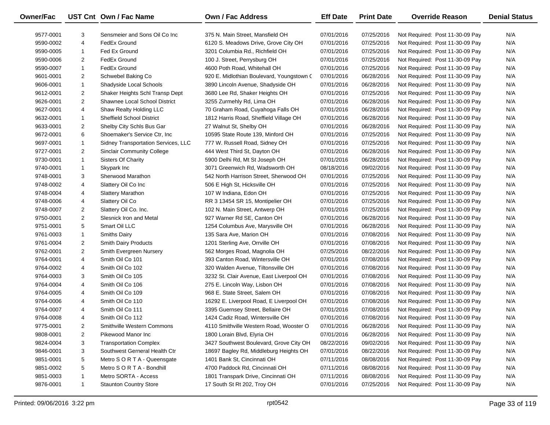| Owner/Fac |                | UST Cnt Own / Fac Name              | Own / Fac Address                         | <b>Eff Date</b> | <b>Print Date</b> | <b>Override Reason</b>          | <b>Denial Status</b> |
|-----------|----------------|-------------------------------------|-------------------------------------------|-----------------|-------------------|---------------------------------|----------------------|
| 9577-0001 | 3              | Sensmeier and Sons Oil Co Inc       | 375 N. Main Street, Mansfield OH          | 07/01/2016      | 07/25/2016        | Not Required: Post 11-30-09 Pay | N/A                  |
| 9590-0002 | 4              | FedEx Ground                        | 6120 S. Meadows Drive, Grove City OH      | 07/01/2016      | 07/25/2016        | Not Required: Post 11-30-09 Pay | N/A                  |
| 9590-0005 | $\mathbf{1}$   | Fed Ex Ground                       | 3201 Columbia Rd., Richfield OH           | 07/01/2016      | 07/25/2016        | Not Required: Post 11-30-09 Pay | N/A                  |
| 9590-0006 | $\overline{2}$ | FedEx Ground                        | 100 J. Street, Perrysburg OH              | 07/01/2016      | 07/25/2016        | Not Required: Post 11-30-09 Pay | N/A                  |
| 9590-0007 | $\mathbf{1}$   | FedEx Ground                        | 4600 Poth Road, Whitehall OH              | 07/01/2016      | 07/25/2016        | Not Required: Post 11-30-09 Pay | N/A                  |
| 9601-0001 | $\overline{2}$ | Schwebel Baking Co                  | 920 E. Midlothian Boulevard, Youngstown ( | 07/01/2016      | 06/28/2016        | Not Required: Post 11-30-09 Pay | N/A                  |
| 9606-0001 | $\mathbf{1}$   | Shadyside Local Schools             | 3890 Lincoln Avenue, Shadyside OH         | 07/01/2016      | 06/28/2016        | Not Required: Post 11-30-09 Pay | N/A                  |
| 9612-0001 | $\overline{2}$ | Shaker Heights Schl Transp Dept     | 3680 Lee Rd, Shaker Heights OH            | 07/01/2016      | 07/25/2016        | Not Required: Post 11-30-09 Pay | N/A                  |
| 9626-0001 | $\overline{2}$ | Shawnee Local School District       | 3255 Zurmehly Rd, Lima OH                 | 07/01/2016      | 06/28/2016        | Not Required: Post 11-30-09 Pay | N/A                  |
| 9627-0001 | 4              | Shaw Realty Holding LLC             | 70 Graham Road, Cuyahoga Falls OH         | 07/01/2016      | 06/28/2016        | Not Required: Post 11-30-09 Pay | N/A                  |
| 9632-0001 | $\mathbf{1}$   | Sheffield School District           | 1812 Harris Road, Sheffield Village OH    | 07/01/2016      | 06/28/2016        | Not Required: Post 11-30-09 Pay | N/A                  |
| 9633-0001 | $\overline{2}$ | Shelby City Schls Bus Gar           | 27 Walnut St, Shelby OH                   | 07/01/2016      | 06/28/2016        | Not Required: Post 11-30-09 Pay | N/A                  |
| 9672-0001 | 6              | Shoemaker's Service Ctr, Inc.       | 10595 State Route 139, Minford OH         | 07/01/2016      | 07/25/2016        | Not Required: Post 11-30-09 Pay | N/A                  |
| 9697-0001 | $\mathbf{1}$   | Sidney Transportation Services, LLC | 777 W. Russell Road, Sidney OH            | 07/01/2016      | 07/25/2016        | Not Required: Post 11-30-09 Pay | N/A                  |
| 9727-0001 | $\overline{2}$ | <b>Sinclair Community College</b>   | 444 West Third St, Dayton OH              | 07/01/2016      | 06/28/2016        | Not Required: Post 11-30-09 Pay | N/A                  |
| 9730-0001 | $\mathbf{1}$   | Sisters Of Charity                  | 5900 Delhi Rd, Mt St Joseph OH            | 07/01/2016      | 06/28/2016        | Not Required: Post 11-30-09 Pay | N/A                  |
| 9740-0001 | $\mathbf{1}$   | Skypark Inc                         | 3071 Greenwich Rd, Wadsworth OH           | 08/18/2016      | 09/02/2016        | Not Required: Post 11-30-09 Pay | N/A                  |
| 9748-0001 | 3              | Sherwood Marathon                   | 542 North Harrison Street, Sherwood OH    | 07/01/2016      | 07/25/2016        | Not Required: Post 11-30-09 Pay | N/A                  |
| 9748-0002 | 4              | Slattery Oil Co Inc                 | 506 E High St, Hicksville OH              | 07/01/2016      | 07/25/2016        | Not Required: Post 11-30-09 Pay | N/A                  |
| 9748-0004 | 4              | <b>Slattery Marathon</b>            | 107 W Indiana, Edon OH                    | 07/01/2016      | 07/25/2016        | Not Required: Post 11-30-09 Pay | N/A                  |
| 9748-0006 | 4              | Slattery Oil Co                     | RR 3 13454 SR 15, Montipelier OH          | 07/01/2016      | 07/25/2016        | Not Required: Post 11-30-09 Pay | N/A                  |
| 9748-0007 | $\overline{2}$ | Slattery Oil Co. Inc.               | 102 N. Main Street, Antwerp OH            | 07/01/2016      | 07/25/2016        | Not Required: Post 11-30-09 Pay | N/A                  |
| 9750-0001 | $\overline{2}$ | Slesnick Iron and Metal             | 927 Warner Rd SE, Canton OH               | 07/01/2016      | 06/28/2016        | Not Required: Post 11-30-09 Pay | N/A                  |
| 9751-0001 | 5              | Smart Oil LLC                       | 1254 Columbus Ave, Marysville OH          | 07/01/2016      | 06/28/2016        | Not Required: Post 11-30-09 Pay | N/A                  |
| 9761-0003 | $\mathbf{1}$   | <b>Smiths Dairy</b>                 | 135 Sara Ave, Marion OH                   | 07/01/2016      | 07/08/2016        | Not Required: Post 11-30-09 Pay | N/A                  |
| 9761-0004 | $\overline{2}$ | Smith Dairy Products                | 1201 Sterling Ave, Orrville OH            | 07/01/2016      | 07/08/2016        | Not Required: Post 11-30-09 Pay | N/A                  |
| 9762-0001 | $\overline{2}$ | Smith Evergreen Nursery             | 562 Morges Road, Magnolia OH              | 07/25/2016      | 08/22/2016        | Not Required: Post 11-30-09 Pay | N/A                  |
| 9764-0001 | 4              | Smith Oil Co 101                    | 393 Canton Road, Wintersville OH          | 07/01/2016      | 07/08/2016        | Not Required: Post 11-30-09 Pay | N/A                  |
| 9764-0002 | 4              | Smith Oil Co 102                    | 320 Walden Avenue, Tiltonsville OH        | 07/01/2016      | 07/08/2016        | Not Required: Post 11-30-09 Pay | N/A                  |
| 9764-0003 | 3              | Smith Oil Co 105                    | 3232 St. Clair Avenue, East Liverpool OH  | 07/01/2016      | 07/08/2016        | Not Required: Post 11-30-09 Pay | N/A                  |
| 9764-0004 | 4              | Smith Oil Co 106                    | 275 E. Lincoln Way, Lisbon OH             | 07/01/2016      | 07/08/2016        | Not Required: Post 11-30-09 Pay | N/A                  |
| 9764-0005 | 4              | Smith Oil Co 109                    | 968 E. State Street, Salem OH             | 07/01/2016      | 07/08/2016        | Not Required: Post 11-30-09 Pay | N/A                  |
| 9764-0006 | 4              | Smith Oil Co 110                    | 16292 E. Liverpool Road, E Liverpool OH   | 07/01/2016      | 07/08/2016        | Not Required: Post 11-30-09 Pay | N/A                  |
| 9764-0007 | 4              | Smith Oil Co 111                    | 3395 Guernsey Street, Bellaire OH         | 07/01/2016      | 07/08/2016        | Not Required: Post 11-30-09 Pay | N/A                  |
| 9764-0008 | 4              | Smith Oil Co 112                    | 1424 Cadiz Road, Wintersville OH          | 07/01/2016      | 07/08/2016        | Not Required: Post 11-30-09 Pay | N/A                  |
| 9775-0001 | $\overline{2}$ | Smithville Western Commons          | 4110 Smithville Western Road, Wooster O   | 07/01/2016      | 06/28/2016        | Not Required: Post 11-30-09 Pay | N/A                  |
| 9808-0001 | $\overline{2}$ | Pikewood Manor Inc                  | 1800 Lorain Blvd, Elyria OH               | 07/01/2016      | 06/28/2016        | Not Required: Post 11-30-09 Pay | N/A                  |
| 9824-0004 | 3              | <b>Transportation Complex</b>       | 3427 Southwest Boulevard, Grove City OH   | 08/22/2016      | 09/02/2016        | Not Required: Post 11-30-09 Pay | N/A                  |
| 9846-0001 | 3              | Southwest Gerneral Health Ctr       | 18697 Bagley Rd, Middleburg Heights OH    | 07/01/2016      | 08/22/2016        | Not Required: Post 11-30-09 Pay | N/A                  |
| 9851-0001 | 5              | Metro S O R T A - Queensgate        | 1401 Bank St, Cincinnati OH               | 07/11/2016      | 08/08/2016        | Not Required: Post 11-30-09 Pay | N/A                  |
| 9851-0002 | 5              | Metro S O R T A - Bondhill          | 4700 Paddock Rd, Cincinnati OH            | 07/11/2016      | 08/08/2016        | Not Required: Post 11-30-09 Pay | N/A                  |
| 9851-0003 | $\mathbf{1}$   | Metro SORTA - Access                | 1801 Transpark Drive, Cincinnati OH       | 07/11/2016      | 08/08/2016        | Not Required: Post 11-30-09 Pay | N/A                  |
| 9876-0001 | $\mathbf{1}$   | <b>Staunton Country Store</b>       | 17 South St Rt 202, Troy OH               | 07/01/2016      | 07/25/2016        | Not Required: Post 11-30-09 Pay | N/A                  |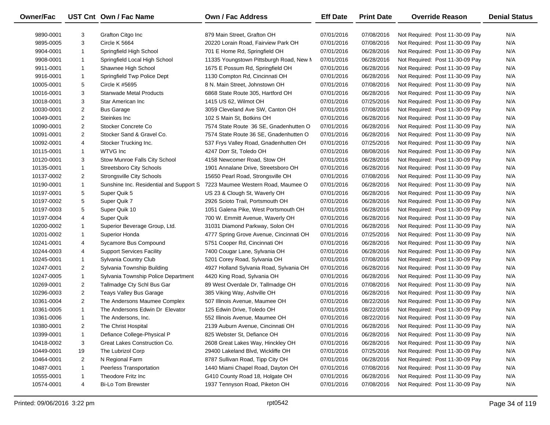| Owner/Fac  |                | UST Cnt Own / Fac Name                  | Own / Fac Address                       | <b>Eff Date</b> | <b>Print Date</b> | <b>Override Reason</b>          | <b>Denial Status</b> |
|------------|----------------|-----------------------------------------|-----------------------------------------|-----------------|-------------------|---------------------------------|----------------------|
| 9890-0001  | 3              | Grafton Citgo Inc                       | 879 Main Street, Grafton OH             | 07/01/2016      | 07/08/2016        | Not Required: Post 11-30-09 Pay | N/A                  |
| 9895-0005  | 3              | Circle K 5664                           | 20220 Lorain Road, Fairview Park OH     | 07/01/2016      | 07/08/2016        | Not Required: Post 11-30-09 Pay | N/A                  |
| 9904-0001  | $\mathbf{1}$   | Springfield High School                 | 701 E Home Rd, Springfield OH           | 07/01/2016      | 06/28/2016        | Not Required: Post 11-30-09 Pay | N/A                  |
| 9908-0001  | -1             | Springfield Local High School           | 11335 Youngstown Pittsburgh Road, New M | 07/01/2016      | 06/28/2016        | Not Required: Post 11-30-09 Pay | N/A                  |
| 9911-0001  | -1             | Shawnee High School                     | 1675 E Possum Rd, Springfield OH        | 07/01/2016      | 06/28/2016        | Not Required: Post 11-30-09 Pay | N/A                  |
| 9916-0001  | $\mathbf{1}$   | Springfield Twp Police Dept             | 1130 Compton Rd, Cincinnati OH          | 07/01/2016      | 06/28/2016        | Not Required: Post 11-30-09 Pay | N/A                  |
| 10005-0001 | 5              | Circle K #5695                          | 8 N. Main Street, Johnstown OH          | 07/01/2016      | 07/08/2016        | Not Required: Post 11-30-09 Pay | N/A                  |
| 10016-0001 | 3              | <b>Stanwade Metal Products</b>          | 6868 State Route 305, Hartford OH       | 07/01/2016      | 06/28/2016        | Not Required: Post 11-30-09 Pay | N/A                  |
| 10018-0001 | 3              | Star American Inc                       | 1415 US 62, Wilmot OH                   | 07/01/2016      | 07/25/2016        | Not Required: Post 11-30-09 Pay | N/A                  |
| 10030-0001 | $\overline{2}$ | <b>Bus Garage</b>                       | 3059 Cleveland Ave SW, Canton OH        | 07/01/2016      | 07/08/2016        | Not Required: Post 11-30-09 Pay | N/A                  |
| 10049-0001 | $\overline{2}$ | Steinkes Inc                            | 102 S Main St, Botkins OH               | 07/01/2016      | 06/28/2016        | Not Required: Post 11-30-09 Pay | N/A                  |
| 10090-0001 | $\overline{2}$ | Stocker Concrete Co                     | 7574 State Route 36 SE, Gnadenhutten O  | 07/01/2016      | 06/28/2016        | Not Required: Post 11-30-09 Pay | N/A                  |
| 10091-0001 | $\overline{2}$ | Stocker Sand & Gravel Co.               | 7574 State Route 36 SE, Gnadenhutten O  | 07/01/2016      | 06/28/2016        | Not Required: Post 11-30-09 Pay | N/A                  |
| 10092-0001 | 4              | Stocker Trucking Inc.                   | 537 Frys Valley Road, Gnadenhutten OH   | 07/01/2016      | 07/25/2016        | Not Required: Post 11-30-09 Pay | N/A                  |
| 10115-0001 | $\mathbf{1}$   | <b>WTVG Inc</b>                         | 4247 Dorr St, Toledo OH                 | 07/01/2016      | 08/08/2016        | Not Required: Post 11-30-09 Pay | N/A                  |
| 10120-0001 | 3              | Stow Munroe Falls City School           | 4158 Newcomer Road, Stow OH             | 07/01/2016      | 06/28/2016        | Not Required: Post 11-30-09 Pay | N/A                  |
| 10135-0001 | $\mathbf{1}$   | <b>Streetsboro City Schools</b>         | 1901 Annalane Drive, Streetsboro OH     | 07/01/2016      | 06/28/2016        | Not Required: Post 11-30-09 Pay | N/A                  |
| 10137-0002 | 2              | <b>Strongsville City Schools</b>        | 15650 Pearl Road, Strongsville OH       | 07/01/2016      | 07/08/2016        | Not Required: Post 11-30-09 Pay | N/A                  |
| 10190-0001 | $\mathbf{1}$   | Sunshine Inc. Residential and Support S | 7223 Maumee Western Road, Maumee O      | 07/01/2016      | 06/28/2016        | Not Required: Post 11-30-09 Pay | N/A                  |
| 10197-0001 | 5              | Super Quik 5                            | US 23 & Clough St, Waverly OH           | 07/01/2016      | 06/28/2016        | Not Required: Post 11-30-09 Pay | N/A                  |
| 10197-0002 | 5              | Super Quik 7                            | 2926 Scioto Trail, Portsmouth OH        | 07/01/2016      | 06/28/2016        | Not Required: Post 11-30-09 Pay | N/A                  |
| 10197-0003 | 5              | Super Quik 10                           | 1051 Galena Pike, West Portsmouth OH    | 07/01/2016      | 06/28/2016        | Not Required: Post 11-30-09 Pay | N/A                  |
| 10197-0004 | 4              | Super Quik                              | 700 W. Emmitt Avenue, Waverly OH        | 07/01/2016      | 06/28/2016        | Not Required: Post 11-30-09 Pay | N/A                  |
| 10200-0002 | -1             | Superior Beverage Group, Ltd.           | 31031 Diamond Parkway, Solon OH         | 07/01/2016      | 06/28/2016        | Not Required: Post 11-30-09 Pay | N/A                  |
| 10201-0002 | $\mathbf{1}$   | Superior Honda                          | 4777 Spring Grove Avenue, Cincinnati OH | 07/01/2016      | 07/25/2016        | Not Required: Post 11-30-09 Pay | N/A                  |
| 10241-0001 | 4              | Sycamore Bus Compound                   | 5751 Cooper Rd, Cincinnati OH           | 07/01/2016      | 06/28/2016        | Not Required: Post 11-30-09 Pay | N/A                  |
| 10244-0003 | 4              | <b>Support Services Facility</b>        | 7400 Cougar Lane, Sylvania OH           | 07/01/2016      | 06/28/2016        | Not Required: Post 11-30-09 Pay | N/A                  |
| 10245-0001 | $\mathbf{1}$   | Sylvania Country Club                   | 5201 Corey Road, Sylvania OH            | 07/01/2016      | 07/08/2016        | Not Required: Post 11-30-09 Pay | N/A                  |
| 10247-0001 | $\overline{2}$ | Sylvania Township Building              | 4927 Holland Sylvania Road, Sylvania OH | 07/01/2016      | 06/28/2016        | Not Required: Post 11-30-09 Pay | N/A                  |
| 10247-0005 | $\mathbf{1}$   | Sylvania Township Police Department     | 4420 King Road, Sylvania OH             | 07/01/2016      | 06/28/2016        | Not Required: Post 11-30-09 Pay | N/A                  |
| 10269-0001 | $\overline{2}$ | Tallmadge Cty Schl Bus Gar              | 89 West Overdale Dr, Tallmadge OH       | 07/01/2016      | 07/08/2016        | Not Required: Post 11-30-09 Pay | N/A                  |
| 10296-0003 | $\overline{2}$ | Teays Valley Bus Garage                 | 385 Viking Way, Ashville OH             | 07/01/2016      | 06/28/2016        | Not Required: Post 11-30-09 Pay | N/A                  |
| 10361-0004 | $\overline{2}$ | The Andersons Maumee Complex            | 507 Illinois Avenue, Maumee OH          | 07/01/2016      | 08/22/2016        | Not Required: Post 11-30-09 Pay | N/A                  |
| 10361-0005 | $\mathbf{1}$   | The Andersons Edwin Dr Elevator         | 125 Edwin Drive, Toledo OH              | 07/01/2016      | 08/22/2016        | Not Required: Post 11-30-09 Pay | N/A                  |
| 10361-0006 | $\mathbf{1}$   | The Andersons, Inc.                     | 552 Illinois Avenue, Maumee OH          | 07/01/2016      | 08/22/2016        | Not Required: Post 11-30-09 Pay | N/A                  |
| 10380-0001 | $\overline{2}$ | The Christ Hospital                     | 2139 Auburn Avenue, Cincinnati OH       | 07/01/2016      | 06/28/2016        | Not Required: Post 11-30-09 Pay | N/A                  |
| 10399-0001 | -1             | Defiance College-Physical P             | 825 Webster St, Defiance OH             | 07/01/2016      | 06/28/2016        | Not Required: Post 11-30-09 Pay | N/A                  |
| 10418-0002 | 3              | Great Lakes Construction Co.            | 2608 Great Lakes Way, Hinckley OH       | 07/01/2016      | 06/28/2016        | Not Required: Post 11-30-09 Pay | N/A                  |
| 10449-0001 | 19             | The Lubrizol Corp                       | 29400 Lakeland Blvd, Wickliffe OH       | 07/01/2016      | 07/25/2016        | Not Required: Post 11-30-09 Pay | N/A                  |
| 10464-0001 | $\overline{2}$ | N Regional Farm                         | 8787 Sullivan Road, Tipp City OH        | 07/01/2016      | 06/28/2016        | Not Required: Post 11-30-09 Pay | N/A                  |
| 10487-0001 | -1             | Peerless Transportation                 | 1440 Miami Chapel Road, Dayton OH       | 07/01/2016      | 07/08/2016        | Not Required: Post 11-30-09 Pay | N/A                  |
| 10555-0001 | 1              | Theodore Fritz Inc                      | G410 County Road 18, Holgate OH         | 07/01/2016      | 06/28/2016        | Not Required: Post 11-30-09 Pay | N/A                  |
| 10574-0001 | 4              | <b>Bi-Lo Tom Brewster</b>               | 1937 Tennyson Road, Piketon OH          | 07/01/2016      | 07/08/2016        | Not Required: Post 11-30-09 Pay | N/A                  |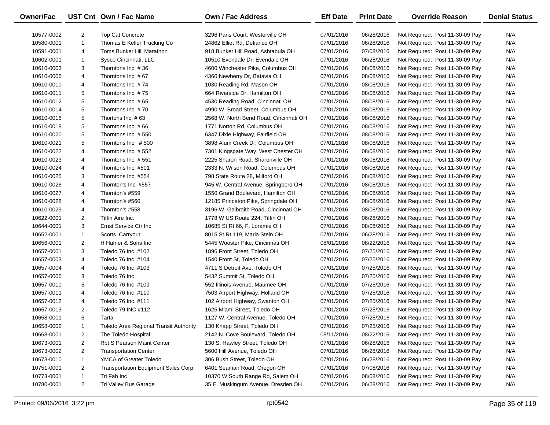| Owner/Fac  |                | UST Cnt Own / Fac Name                 | <b>Own / Fac Address</b>               | <b>Eff Date</b> | <b>Print Date</b> | <b>Override Reason</b>          | <b>Denial Status</b> |
|------------|----------------|----------------------------------------|----------------------------------------|-----------------|-------------------|---------------------------------|----------------------|
| 10577-0002 | 2              | Top Cat Concrete                       | 3296 Paris Court, Westerville OH       | 07/01/2016      | 06/28/2016        | Not Required: Post 11-30-09 Pay | N/A                  |
| 10580-0001 | $\mathbf{1}$   | Thomas E Keller Trucking Co            | 24862 Elliot Rd, Defiance OH           | 07/01/2016      | 06/28/2016        | Not Required: Post 11-30-09 Pay | N/A                  |
| 10591-0001 | 4              | Toms Bunker Hill Marathon              | 918 Bunker Hill Road, Ashtabula OH     | 07/01/2016      | 07/08/2016        | Not Required: Post 11-30-09 Pay | N/A                  |
| 10602-0001 | $\mathbf{1}$   | Sysco Cincinnati, LLC                  | 10510 Evendale Dr, Evendale OH         | 07/01/2016      | 06/28/2016        | Not Required: Post 11-30-09 Pay | N/A                  |
| 10610-0003 | 3              | Thorntons Inc. #36                     | 4600 Winchester Pike, Columbus OH      | 07/01/2016      | 08/08/2016        | Not Required: Post 11-30-09 Pay | N/A                  |
| 10610-0006 | 4              | Thorntons Inc. #67                     | 4360 Newberry Dr, Batavia OH           | 07/01/2016      | 08/08/2016        | Not Required: Post 11-30-09 Pay | N/A                  |
| 10610-0010 | 4              | Thorntons Inc. #74                     | 1030 Reading Rd, Mason OH              | 07/01/2016      | 08/08/2016        | Not Required: Post 11-30-09 Pay | N/A                  |
| 10610-0011 | 5              | Thorntons Inc. #75                     | 664 Riverside Dr, Hamilton OH          | 07/01/2016      | 08/08/2016        | Not Required: Post 11-30-09 Pay | N/A                  |
| 10610-0012 | 5              | Thorntons Inc. #65                     | 4530 Reading Road, Cincinnati OH       | 07/01/2016      | 08/08/2016        | Not Required: Post 11-30-09 Pay | N/A                  |
| 10610-0014 | 5              | Thorntons Inc. #70                     | 4990 W. Broad Street, Columbus OH      | 07/01/2016      | 08/08/2016        | Not Required: Post 11-30-09 Pay | N/A                  |
| 10610-0016 | 5              | Thortons Inc. #63                      | 2568 W. North Bend Road, Cincinnati OH | 07/01/2016      | 08/08/2016        | Not Required: Post 11-30-09 Pay | N/A                  |
| 10610-0018 | 5              | Thorntons Inc. #66                     | 1771 Norton Rd, Columbus OH            | 07/01/2016      | 08/08/2016        | Not Required: Post 11-30-09 Pay | N/A                  |
| 10610-0020 | 5              | Thorntons Inc. #550                    | 6347 Dixie Highway, Fairfield OH       | 07/01/2016      | 08/08/2016        | Not Required: Post 11-30-09 Pay | N/A                  |
| 10610-0021 | 5              | Thorntons Inc. #500                    | 3898 Alum Creek Dr, Columbus OH        | 07/01/2016      | 08/08/2016        | Not Required: Post 11-30-09 Pay | N/A                  |
| 10610-0022 | 4              | Thorntons Inc. #552                    | 7301 Kingsgate Way, West Chester OH    | 07/01/2016      | 08/08/2016        | Not Required: Post 11-30-09 Pay | N/A                  |
| 10610-0023 | 4              | Thorntons Inc. #551                    | 2225 Sharon Road, Sharonville OH       | 07/01/2016      | 08/08/2016        | Not Required: Post 11-30-09 Pay | N/A                  |
| 10610-0024 | 4              | Thorntons Inc. #501                    | 2333 N. Wilson Road, Columbus OH       | 07/01/2016      | 08/08/2016        | Not Required: Post 11-30-09 Pay | N/A                  |
| 10610-0025 | 3              | Thorntons Inc. #554                    | 798 State Route 28, Milford OH         | 07/01/2016      | 08/08/2016        | Not Required: Post 11-30-09 Pay | N/A                  |
| 10610-0026 | 4              | Thornton's Inc. #557                   | 945 W. Central Avenue, Springboro OH   | 07/01/2016      | 08/08/2016        | Not Required: Post 11-30-09 Pay | N/A                  |
| 10610-0027 | 4              | Thornton's #559                        | 1550 Grand Boulevard, Hamilton OH      | 07/01/2016      | 08/08/2016        | Not Required: Post 11-30-09 Pay | N/A                  |
| 10610-0028 | 4              | Thornton's #560                        | 12185 Princeton Pike, Springdale OH    | 07/01/2016      | 08/08/2016        | Not Required: Post 11-30-09 Pay | N/A                  |
| 10610-0029 | 4              | Thornton's #558                        | 3196 W. Galbraith Road, Cincinnati OH  | 07/01/2016      | 08/08/2016        | Not Required: Post 11-30-09 Pay | N/A                  |
| 10622-0001 | $\overline{2}$ | Tiffin Aire Inc.                       | 1778 W US Route 224, Tiffin OH         | 07/01/2016      | 06/28/2016        | Not Required: Post 11-30-09 Pay | N/A                  |
| 10644-0001 | 3              | Ernst Service Ctr Inc                  | 10685 St Rt 66, Ft Loramie OH          | 07/01/2016      | 08/08/2016        | Not Required: Post 11-30-09 Pay | N/A                  |
| 10652-0001 | $\mathbf{1}$   | Scotts Carryout                        | 8015 St Rt 119, Maria Stein OH         | 07/01/2016      | 06/28/2016        | Not Required: Post 11-30-09 Pay | N/A                  |
| 10656-0001 | 2              | H Hafner & Sons Inc                    | 5445 Wooster Pike, Cincinnati OH       | 08/01/2016      | 08/22/2016        | Not Required: Post 11-30-09 Pay | N/A                  |
| 10657-0001 | 3              | Toledo 76 Inc. #102                    | 1896 Front Street, Toledo OH           | 07/01/2016      | 07/25/2016        | Not Required: Post 11-30-09 Pay | N/A                  |
| 10657-0003 | 4              | Toledo 76 Inc #104                     | 1540 Front St, Toledo OH               | 07/01/2016      | 07/25/2016        | Not Required: Post 11-30-09 Pay | N/A                  |
| 10657-0004 | 4              | Toledo 76 Inc #103                     | 4711 S Detroit Ave, Toledo OH          | 07/01/2016      | 07/25/2016        | Not Required: Post 11-30-09 Pay | N/A                  |
| 10657-0006 | 3              | Toledo 76 Inc                          | 5432 Summit St, Toledo OH              | 07/01/2016      | 07/25/2016        | Not Required: Post 11-30-09 Pay | N/A                  |
| 10657-0010 | 5              | Toledo 76 Inc #109                     | 552 Illinois Avenue, Maumee OH         | 07/01/2016      | 07/25/2016        | Not Required: Post 11-30-09 Pay | N/A                  |
| 10657-0011 | 4              | Toledo 76 Inc #110                     | 7503 Airport Highway, Holland OH       | 07/01/2016      | 07/25/2016        | Not Required: Post 11-30-09 Pay | N/A                  |
| 10657-0012 | 4              | Toledo 76 Inc. #111                    | 102 Airport Highway, Swanton OH        | 07/01/2016      | 07/25/2016        | Not Required: Post 11-30-09 Pay | N/A                  |
| 10657-0013 | $\overline{2}$ | Toledo 79 INC #112                     | 1625 Miami Street, Toledo OH           | 07/01/2016      | 07/25/2016        | Not Required: Post 11-30-09 Pay | N/A                  |
| 10658-0001 | 6              | Tarta                                  | 1127 W. Central Avenue, Toledo OH      | 07/01/2016      | 07/25/2016        | Not Required: Post 11-30-09 Pay | N/A                  |
| 10658-0002 | 1              | Toledo Area Regional Transit Authority | 130 Knapp Street, Toledo OH            | 07/01/2016      | 07/25/2016        | Not Required: Post 11-30-09 Pay | N/A                  |
| 10668-0001 | 2              | The Toledo Hospital                    | 2142 N. Cove Boulevard, Toledo OH      | 08/11/2016      | 08/22/2016        | Not Required: Post 11-30-09 Pay | N/A                  |
| 10673-0001 | 2              | <b>Rbt S Pearson Maint Center</b>      | 130 S. Hawley Street, Toledo OH        | 07/01/2016      | 06/28/2016        | Not Required: Post 11-30-09 Pay | N/A                  |
| 10673-0002 | $\overline{2}$ | <b>Transportation Center</b>           | 5600 Hill Avenue, Toledo OH            | 07/01/2016      | 06/28/2016        | Not Required: Post 11-30-09 Pay | N/A                  |
| 10673-0010 | 1              | YMCA of Greater Toledo                 | 306 Bush Street, Toledo OH             | 07/01/2016      | 06/28/2016        | Not Required: Post 11-30-09 Pay | N/A                  |
| 10751-0001 | $\overline{2}$ | Transportation Equipment Sales Corp.   | 6401 Seaman Road, Oregon OH            | 07/01/2016      | 07/08/2016        | Not Required: Post 11-30-09 Pay | N/A                  |
| 10773-0001 | $\mathbf{1}$   | Tri Fab Inc                            | 10370 W South Range Rd, Salem OH       | 07/01/2016      | 08/08/2016        | Not Required: Post 11-30-09 Pay | N/A                  |
| 10780-0001 | $\overline{2}$ | Tri Valley Bus Garage                  | 35 E. Muskingum Avenue, Dresden OH     | 07/01/2016      | 06/28/2016        | Not Required: Post 11-30-09 Pay | N/A                  |
|            |                |                                        |                                        |                 |                   |                                 |                      |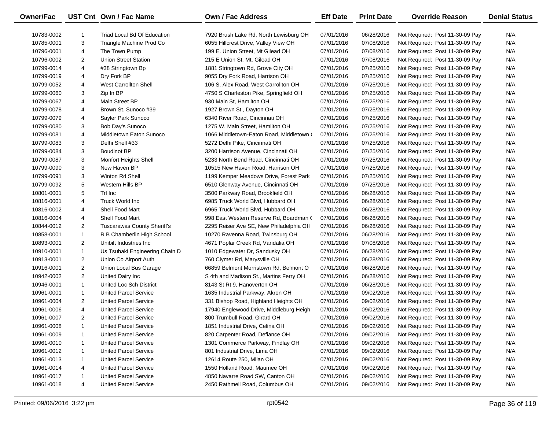| Owner/Fac  |                | UST Cnt Own / Fac Name             | Own / Fac Address                        | <b>Eff Date</b> | <b>Print Date</b> | <b>Override Reason</b>          | <b>Denial Status</b> |
|------------|----------------|------------------------------------|------------------------------------------|-----------------|-------------------|---------------------------------|----------------------|
| 10783-0002 |                | Triad Local Bd Of Education        | 7920 Brush Lake Rd, North Lewisburg OH   | 07/01/2016      | 06/28/2016        | Not Required: Post 11-30-09 Pay | N/A                  |
| 10785-0001 | 3              | Triangle Machine Prod Co           | 6055 Hillcrest Drive, Valley View OH     | 07/01/2016      | 07/08/2016        | Not Required: Post 11-30-09 Pay | N/A                  |
| 10796-0001 | 4              | The Town Pump                      | 199 E. Union Street, Mt Gilead OH        | 07/01/2016      | 07/08/2016        | Not Required: Post 11-30-09 Pay | N/A                  |
| 10796-0002 | $\overline{2}$ | <b>Union Street Station</b>        | 215 E Union St, Mt. Gilead OH            | 07/01/2016      | 07/08/2016        | Not Required: Post 11-30-09 Pay | N/A                  |
| 10799-0014 | 4              | #38 Stringtown Bp                  | 1881 Stringtown Rd, Grove City OH        | 07/01/2016      | 07/25/2016        | Not Required: Post 11-30-09 Pay | N/A                  |
| 10799-0019 | 4              | Dry Fork BP                        | 9055 Dry Fork Road, Harrison OH          | 07/01/2016      | 07/25/2016        | Not Required: Post 11-30-09 Pay | N/A                  |
| 10799-0052 | 4              | <b>West Carrollton Shell</b>       | 106 S. Alex Road, West Carrollton OH     | 07/01/2016      | 07/25/2016        | Not Required: Post 11-30-09 Pay | N/A                  |
| 10799-0060 | 3              | Zip In BP                          | 4750 S Charleston Pike, Springfield OH   | 07/01/2016      | 07/25/2016        | Not Required: Post 11-30-09 Pay | N/A                  |
| 10799-0067 | 4              | Main Street BP                     | 930 Main St, Hamilton OH                 | 07/01/2016      | 07/25/2016        | Not Required: Post 11-30-09 Pay | N/A                  |
| 10799-0078 | 4              | Brown St. Sunoco #39               | 1927 Brown St., Dayton OH                | 07/01/2016      | 07/25/2016        | Not Required: Post 11-30-09 Pay | N/A                  |
| 10799-0079 | 4              | Sayler Park Sunoco                 | 6340 River Road, Cincinnati OH           | 07/01/2016      | 07/25/2016        | Not Required: Post 11-30-09 Pay | N/A                  |
| 10799-0080 | 3              | Bob Day's Sunoco                   | 1275 W. Main Street, Hamilton OH         | 07/01/2016      | 07/25/2016        | Not Required: Post 11-30-09 Pay | N/A                  |
| 10799-0081 | 4              | Middletown Eaton Sunoco            | 1066 Middletown-Eaton Road, Middletown ( | 07/01/2016      | 07/25/2016        | Not Required: Post 11-30-09 Pay | N/A                  |
| 10799-0083 | 3              | Delhi Shell #33                    | 5272 Delhi Pike, Cincinnati OH           | 07/01/2016      | 07/25/2016        | Not Required: Post 11-30-09 Pay | N/A                  |
| 10799-0084 | 3              | <b>Boudinot BP</b>                 | 3200 Harrison Avenue, Cincinnati OH      | 07/01/2016      | 07/25/2016        | Not Required: Post 11-30-09 Pay | N/A                  |
| 10799-0087 | 3              | Monfort Heights Shell              | 5233 North Bend Road, Cincinnati OH      | 07/01/2016      | 07/25/2016        | Not Required: Post 11-30-09 Pay | N/A                  |
| 10799-0090 | 3              | New Haven BP                       | 10515 New Haven Road, Harrison OH        | 07/01/2016      | 07/25/2016        | Not Required: Post 11-30-09 Pay | N/A                  |
| 10799-0091 | 3              | Winton Rd Shell                    | 1199 Kemper Meadows Drive, Forest Park   | 07/01/2016      | 07/25/2016        | Not Required: Post 11-30-09 Pay | N/A                  |
| 10799-0092 | 5              | Western Hills BP                   | 6510 Glenway Avenue, Cincinnati OH       | 07/01/2016      | 07/25/2016        | Not Required: Post 11-30-09 Pay | N/A                  |
| 10801-0001 | 5              | Trl Inc                            | 3500 Parkway Road, Brookfield OH         | 07/01/2016      | 06/28/2016        | Not Required: Post 11-30-09 Pay | N/A                  |
| 10816-0001 | 4              | <b>Truck World Inc</b>             | 6985 Truck World Blvd, Hubbard OH        | 07/01/2016      | 06/28/2016        | Not Required: Post 11-30-09 Pay | N/A                  |
| 10816-0002 | 4              | Shell Food Mart                    | 6965 Truck World Blvd, Hubbard OH        | 07/01/2016      | 06/28/2016        | Not Required: Post 11-30-09 Pay | N/A                  |
| 10816-0004 | 4              | Shell Food Mart                    | 998 East Western Reserve Rd, Boardman (  | 07/01/2016      | 06/28/2016        | Not Required: Post 11-30-09 Pay | N/A                  |
| 10844-0012 | $\overline{2}$ | <b>Tuscarawas County Sheriff's</b> | 2295 Reiser Ave SE, New Philadelphia OH  | 07/01/2016      | 06/28/2016        | Not Required: Post 11-30-09 Pay | N/A                  |
| 10858-0001 | $\mathbf{1}$   | R B Chamberlin High School         | 10270 Ravenna Road, Twinsburg OH         | 07/01/2016      | 06/28/2016        | Not Required: Post 11-30-09 Pay | N/A                  |
| 10893-0001 | $\overline{2}$ | Unibilt Industries Inc.            | 4671 Poplar Creek Rd, Vandalia OH        | 07/01/2016      | 07/08/2016        | Not Required: Post 11-30-09 Pay | N/A                  |
| 10910-0001 | $\mathbf{1}$   | Us Tsubaki Engineering Chain D     | 1010 Edgewater Dr, Sandusky OH           | 07/01/2016      | 06/28/2016        | Not Required: Post 11-30-09 Pay | N/A                  |
| 10913-0001 | $\overline{2}$ | Union Co Airport Auth              | 760 Clymer Rd, Marysville OH             | 07/01/2016      | 06/28/2016        | Not Required: Post 11-30-09 Pay | N/A                  |
| 10916-0001 | $\overline{2}$ | Union Local Bus Garage             | 66859 Belmont Morristown Rd, Belmont O   | 07/01/2016      | 06/28/2016        | Not Required: Post 11-30-09 Pay | N/A                  |
| 10942-0002 | $\overline{2}$ | United Dairy Inc                   | S 4th and Madison St., Martins Ferry OH  | 07/01/2016      | 06/28/2016        | Not Required: Post 11-30-09 Pay | N/A                  |
| 10946-0001 | $\mathbf{1}$   | United Loc Sch District            | 8143 St Rt 9, Hanoverton OH              | 07/01/2016      | 06/28/2016        | Not Required: Post 11-30-09 Pay | N/A                  |
| 10961-0001 | $\mathbf{1}$   | <b>United Parcel Service</b>       | 1635 Industrial Parkway, Akron OH        | 07/01/2016      | 09/02/2016        | Not Required: Post 11-30-09 Pay | N/A                  |
| 10961-0004 | $\overline{2}$ | <b>United Parcel Service</b>       | 331 Bishop Road, Highland Heights OH     | 07/01/2016      | 09/02/2016        | Not Required: Post 11-30-09 Pay | N/A                  |
| 10961-0006 | 4              | <b>United Parcel Service</b>       | 17940 Englewood Drive, Middleburg Heigh  | 07/01/2016      | 09/02/2016        | Not Required: Post 11-30-09 Pay | N/A                  |
| 10961-0007 | $\overline{2}$ | <b>United Parcel Service</b>       | 800 Trumbull Road, Girard OH             | 07/01/2016      | 09/02/2016        | Not Required: Post 11-30-09 Pay | N/A                  |
| 10961-0008 | -1             | <b>United Parcel Service</b>       | 1851 Industrial Drive, Celina OH         | 07/01/2016      | 09/02/2016        | Not Required: Post 11-30-09 Pay | N/A                  |
| 10961-0009 | -1             | <b>United Parcel Service</b>       | 820 Carpenter Road, Defiance OH          | 07/01/2016      | 09/02/2016        | Not Required: Post 11-30-09 Pay | N/A                  |
| 10961-0010 | -1             | <b>United Parcel Service</b>       | 1301 Commerce Parkway, Findlay OH        | 07/01/2016      | 09/02/2016        | Not Required: Post 11-30-09 Pay | N/A                  |
| 10961-0012 | 1              | <b>United Parcel Service</b>       | 801 Industrial Drive, Lima OH            | 07/01/2016      | 09/02/2016        | Not Required: Post 11-30-09 Pay | N/A                  |
| 10961-0013 | 1              | <b>United Parcel Service</b>       | 12614 Route 250, Milan OH                | 07/01/2016      | 09/02/2016        | Not Required: Post 11-30-09 Pay | N/A                  |
| 10961-0014 | 4              | <b>United Parcel Service</b>       | 1550 Holland Road, Maumee OH             | 07/01/2016      | 09/02/2016        | Not Required: Post 11-30-09 Pay | N/A                  |
| 10961-0017 | 1              | <b>United Parcel Service</b>       | 4850 Navarre Road SW, Canton OH          | 07/01/2016      | 09/02/2016        | Not Required: Post 11-30-09 Pay | N/A                  |
| 10961-0018 | 4              | <b>United Parcel Service</b>       | 2450 Rathmell Road, Columbus OH          | 07/01/2016      | 09/02/2016        | Not Required: Post 11-30-09 Pay | N/A                  |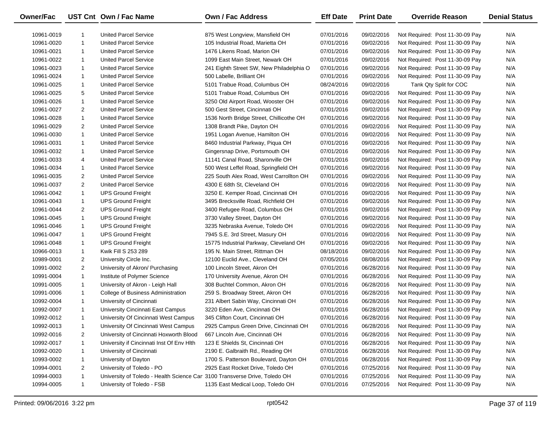| Owner/Fac  |                | UST Cnt Own / Fac Name                                                     | <b>Own / Fac Address</b>                 | <b>Eff Date</b> | <b>Print Date</b> | <b>Override Reason</b>          | <b>Denial Status</b> |
|------------|----------------|----------------------------------------------------------------------------|------------------------------------------|-----------------|-------------------|---------------------------------|----------------------|
| 10961-0019 | 1              | <b>United Parcel Service</b>                                               | 875 West Longview, Mansfield OH          | 07/01/2016      | 09/02/2016        | Not Required: Post 11-30-09 Pay | N/A                  |
| 10961-0020 | $\mathbf{1}$   | <b>United Parcel Service</b>                                               | 105 Industrial Road, Marietta OH         | 07/01/2016      | 09/02/2016        | Not Required: Post 11-30-09 Pay | N/A                  |
| 10961-0021 | $\mathbf{1}$   | <b>United Parcel Service</b>                                               | 1476 Likens Road, Marion OH              | 07/01/2016      | 09/02/2016        | Not Required: Post 11-30-09 Pay | N/A                  |
| 10961-0022 | $\mathbf{1}$   | <b>United Parcel Service</b>                                               | 1099 East Main Street, Newark OH         | 07/01/2016      | 09/02/2016        | Not Required: Post 11-30-09 Pay | N/A                  |
| 10961-0023 | $\mathbf{1}$   | <b>United Parcel Service</b>                                               | 241 Eighth Street SW, New Philadelphia O | 07/01/2016      | 09/02/2016        | Not Required: Post 11-30-09 Pay | N/A                  |
| 10961-0024 | $\mathbf{1}$   | <b>United Parcel Service</b>                                               | 500 Labelle, Brilliant OH                | 07/01/2016      | 09/02/2016        | Not Required: Post 11-30-09 Pay | N/A                  |
| 10961-0025 | $\mathbf{1}$   | <b>United Parcel Service</b>                                               | 5101 Trabue Road, Columbus OH            | 08/24/2016      | 09/02/2016        | Tank Qty Split for COC          | N/A                  |
| 10961-0025 | 5              | <b>United Parcel Service</b>                                               | 5101 Trabue Road, Columbus OH            | 07/01/2016      | 09/02/2016        | Not Required: Post 11-30-09 Pay | N/A                  |
| 10961-0026 | $\mathbf{1}$   | <b>United Parcel Service</b>                                               | 3250 Old Airport Road, Wooster OH        | 07/01/2016      | 09/02/2016        | Not Required: Post 11-30-09 Pay | N/A                  |
| 10961-0027 | 2              | <b>United Parcel Service</b>                                               | 500 Gest Street, Cincinnati OH           | 07/01/2016      | 09/02/2016        | Not Required: Post 11-30-09 Pay | N/A                  |
| 10961-0028 | $\mathbf{1}$   | <b>United Parcel Service</b>                                               | 1536 North Bridge Street, Chillicothe OH | 07/01/2016      | 09/02/2016        | Not Required: Post 11-30-09 Pay | N/A                  |
| 10961-0029 | 2              | <b>United Parcel Service</b>                                               | 1308 Brandt Pike, Dayton OH              | 07/01/2016      | 09/02/2016        | Not Required: Post 11-30-09 Pay | N/A                  |
| 10961-0030 | $\mathbf{1}$   | <b>United Parcel Service</b>                                               | 1951 Logan Avenue, Hamilton OH           | 07/01/2016      | 09/02/2016        | Not Required: Post 11-30-09 Pay | N/A                  |
| 10961-0031 | $\mathbf{1}$   | <b>United Parcel Service</b>                                               | 8460 Industrial Parkway, Piqua OH        | 07/01/2016      | 09/02/2016        | Not Required: Post 11-30-09 Pay | N/A                  |
| 10961-0032 | $\mathbf{1}$   | <b>United Parcel Service</b>                                               | Gingersnap Drive, Portsmouth OH          | 07/01/2016      | 09/02/2016        | Not Required: Post 11-30-09 Pay | N/A                  |
| 10961-0033 | 4              | <b>United Parcel Service</b>                                               | 11141 Canal Road, Sharonville OH         | 07/01/2016      | 09/02/2016        | Not Required: Post 11-30-09 Pay | N/A                  |
| 10961-0034 | $\mathbf{1}$   | <b>United Parcel Service</b>                                               | 500 West Leffel Road, Springfield OH     | 07/01/2016      | 09/02/2016        | Not Required: Post 11-30-09 Pay | N/A                  |
| 10961-0035 | 2              | <b>United Parcel Service</b>                                               | 225 South Alex Road, West Carrollton OH  | 07/01/2016      | 09/02/2016        | Not Required: Post 11-30-09 Pay | N/A                  |
| 10961-0037 | $\overline{2}$ | <b>United Parcel Service</b>                                               | 4300 E 68th St, Cleveland OH             | 07/01/2016      | 09/02/2016        | Not Required: Post 11-30-09 Pay | N/A                  |
| 10961-0042 | $\mathbf{1}$   | <b>UPS Ground Freight</b>                                                  | 3250 E. Kemper Road, Cincinnati OH       | 07/01/2016      | 09/02/2016        | Not Required: Post 11-30-09 Pay | N/A                  |
| 10961-0043 | $\mathbf{1}$   | <b>UPS Ground Freight</b>                                                  | 3495 Brecksville Road, Richfield OH      | 07/01/2016      | 09/02/2016        | Not Required: Post 11-30-09 Pay | N/A                  |
| 10961-0044 | 2              | <b>UPS Ground Freight</b>                                                  | 3400 Refugee Road, Columbus OH           | 07/01/2016      | 09/02/2016        | Not Required: Post 11-30-09 Pay | N/A                  |
| 10961-0045 | $\mathbf{1}$   | <b>UPS Ground Freight</b>                                                  | 3730 Valley Street, Dayton OH            | 07/01/2016      | 09/02/2016        | Not Required: Post 11-30-09 Pay | N/A                  |
| 10961-0046 | $\mathbf{1}$   | <b>UPS Ground Freight</b>                                                  | 3235 Nebraska Avenue, Toledo OH          | 07/01/2016      | 09/02/2016        | Not Required: Post 11-30-09 Pay | N/A                  |
| 10961-0047 | $\mathbf{1}$   | <b>UPS Ground Freight</b>                                                  | 7945 S.E. 3rd Street, Masury OH          | 07/01/2016      | 09/02/2016        | Not Required: Post 11-30-09 Pay | N/A                  |
| 10961-0048 | $\mathbf{1}$   | <b>UPS Ground Freight</b>                                                  | 15775 Industrial Parkway, Cleveland OH   | 07/01/2016      | 09/02/2016        | Not Required: Post 11-30-09 Pay | N/A                  |
| 10966-0013 | $\mathbf{1}$   | Kwik Fill S 253 289                                                        | 195 N. Main Street, Rittman OH           | 08/18/2016      | 09/02/2016        | Not Required: Post 11-30-09 Pay | N/A                  |
| 10989-0001 | 2              | University Circle Inc.                                                     | 12100 Euclid Ave., Cleveland OH          | 07/05/2016      | 08/08/2016        | Not Required: Post 11-30-09 Pay | N/A                  |
| 10991-0002 | $\overline{2}$ | University of Akron/ Purchasing                                            | 100 Lincoln Street, Akron OH             | 07/01/2016      | 06/28/2016        | Not Required: Post 11-30-09 Pay | N/A                  |
| 10991-0004 | $\mathbf{1}$   | Institute of Polymer Science                                               | 170 University Avenue, Akron OH          | 07/01/2016      | 06/28/2016        | Not Required: Post 11-30-09 Pay | N/A                  |
| 10991-0005 | $\mathbf{1}$   | University of Akron - Leigh Hall                                           | 308 Buchtel Common, Akron OH             | 07/01/2016      | 06/28/2016        | Not Required: Post 11-30-09 Pay | N/A                  |
| 10991-0006 | $\mathbf{1}$   | College of Business Administration                                         | 259 S. Broadway Street, Akron OH         | 07/01/2016      | 06/28/2016        | Not Required: Post 11-30-09 Pay | N/A                  |
| 10992-0004 | $\mathbf{1}$   | University of Cincinnati                                                   | 231 Albert Sabin Way, Cincinnati OH      | 07/01/2016      | 06/28/2016        | Not Required: Post 11-30-09 Pay | N/A                  |
| 10992-0007 | $\mathbf{1}$   | University Cincinnati East Campus                                          | 3220 Eden Ave, Cincinnati OH             | 07/01/2016      | 06/28/2016        | Not Required: Post 11-30-09 Pay | N/A                  |
| 10992-0012 | $\mathbf{1}$   | University Of Cincinnati West Campus                                       | 345 Clifton Court, Cincinnati OH         | 07/01/2016      | 06/28/2016        | Not Required: Post 11-30-09 Pay | N/A                  |
| 10992-0013 | $\mathbf 1$    | University Of Cincinnati West Campus                                       | 2925 Campus Green Drive, Cincinnati OH   | 07/01/2016      | 06/28/2016        | Not Required: Post 11-30-09 Pay | N/A                  |
| 10992-0016 | 2              | University of Cincinnati Hoxworth Blood                                    | 667 Lincoln Ave, Cincinnati OH           | 07/01/2016      | 06/28/2016        | Not Required: Post 11-30-09 Pay | N/A                  |
| 10992-0017 | 1              | University if Cincinnati Inst Of Env Hlth                                  | 123 E Shields St, Cincinnati OH          | 07/01/2016      | 06/28/2016        | Not Required: Post 11-30-09 Pay | N/A                  |
| 10992-0020 | 1              | University of Cincinnati                                                   | 2190 E. Galbraith Rd., Reading OH        | 07/01/2016      | 06/28/2016        | Not Required: Post 11-30-09 Pay | N/A                  |
| 10993-0002 | $\mathbf{1}$   | University of Dayton                                                       | 1700 S. Patterson Boulevard, Dayton OH   | 07/01/2016      | 06/28/2016        | Not Required: Post 11-30-09 Pay | N/A                  |
| 10994-0001 | $\overline{2}$ | University of Toledo - PO                                                  | 2925 East Rocket Drive, Toledo OH        | 07/01/2016      | 07/25/2016        | Not Required: Post 11-30-09 Pay | N/A                  |
| 10994-0003 | 1              | University of Toledo - Health Science Car 3100 Transverse Drive, Toledo OH |                                          | 07/01/2016      | 07/25/2016        | Not Required: Post 11-30-09 Pay | N/A                  |
| 10994-0005 | $\mathbf{1}$   | University of Toledo - FSB                                                 | 1135 East Medical Loop, Toledo OH        | 07/01/2016      | 07/25/2016        | Not Required: Post 11-30-09 Pay | N/A                  |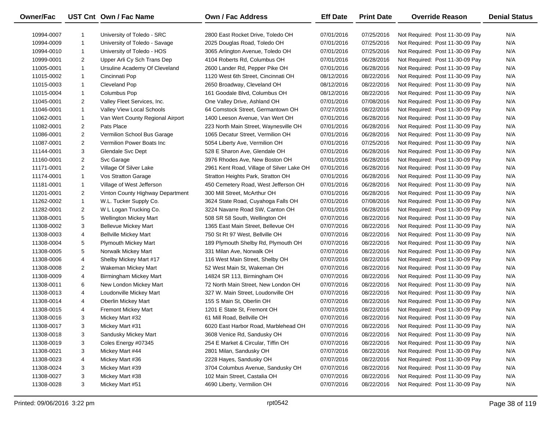| Owner/Fac  |                | UST Cnt Own / Fac Name           | Own / Fac Address                         | <b>Eff Date</b> | <b>Print Date</b> | <b>Override Reason</b>          | <b>Denial Status</b> |
|------------|----------------|----------------------------------|-------------------------------------------|-----------------|-------------------|---------------------------------|----------------------|
| 10994-0007 | -1             | University of Toledo - SRC       | 2800 East Rocket Drive, Toledo OH         | 07/01/2016      | 07/25/2016        | Not Required: Post 11-30-09 Pay | N/A                  |
| 10994-0009 | $\mathbf{1}$   | University of Toledo - Savage    | 2025 Douglas Road, Toledo OH              | 07/01/2016      | 07/25/2016        | Not Required: Post 11-30-09 Pay | N/A                  |
| 10994-0010 | $\mathbf{1}$   | University of Toledo - HOS       | 3065 Arlington Avenue, Toledo OH          | 07/01/2016      | 07/25/2016        | Not Required: Post 11-30-09 Pay | N/A                  |
| 10999-0001 | $\overline{2}$ | Upper Arli Cy Sch Trans Dep      | 4104 Roberts Rd, Columbus OH              | 07/01/2016      | 06/28/2016        | Not Required: Post 11-30-09 Pay | N/A                  |
| 11005-0001 | $\mathbf{1}$   | Ursuline Academy Of Cleveland    | 2600 Lander Rd, Pepper Pike OH            | 07/01/2016      | 06/28/2016        | Not Required: Post 11-30-09 Pay | N/A                  |
| 11015-0002 | $\mathbf{1}$   | Cincinnati Pop                   | 1120 West 6th Street, Cincinnati OH       | 08/12/2016      | 08/22/2016        | Not Required: Post 11-30-09 Pay | N/A                  |
| 11015-0003 | $\mathbf{1}$   | Cleveland Pop                    | 2650 Broadway, Cleveland OH               | 08/12/2016      | 08/22/2016        | Not Required: Post 11-30-09 Pay | N/A                  |
| 11015-0004 | 1              | Columbus Pop                     | 161 Goodale Blvd, Columbus OH             | 08/12/2016      | 08/22/2016        | Not Required: Post 11-30-09 Pay | N/A                  |
| 11045-0001 | $\overline{2}$ | Valley Fleet Services, Inc.      | One Valley Drive, Ashland OH              | 07/01/2016      | 07/08/2016        | Not Required: Post 11-30-09 Pay | N/A                  |
| 11046-0001 | $\mathbf{1}$   | Valley View Local Schools        | 64 Comstock Street, Germantown OH         | 07/27/2016      | 08/22/2016        | Not Required: Post 11-30-09 Pay | N/A                  |
| 11062-0001 | 1              | Van Wert County Regional Airport | 1400 Leeson Avenue, Van Wert OH           | 07/01/2016      | 06/28/2016        | Not Required: Post 11-30-09 Pay | N/A                  |
| 11082-0001 | $\overline{2}$ | Pats Place                       | 223 North Main Street, Waynesville OH     | 07/01/2016      | 06/28/2016        | Not Required: Post 11-30-09 Pay | N/A                  |
| 11086-0001 | $\overline{a}$ | Vermilion School Bus Garage      | 1065 Decatur Street, Vermilion OH         | 07/01/2016      | 06/28/2016        | Not Required: Post 11-30-09 Pay | N/A                  |
| 11087-0001 | $\overline{2}$ | Vermilion Power Boats Inc        | 5054 Liberty Ave, Vermilion OH            | 07/01/2016      | 07/25/2016        | Not Required: Post 11-30-09 Pay | N/A                  |
| 11144-0001 | 3              | Glendale Svc Dept                | 528 E Sharon Ave, Glendale OH             | 07/01/2016      | 06/28/2016        | Not Required: Post 11-30-09 Pay | N/A                  |
| 11160-0001 | 2              | Svc Garage                       | 3976 Rhodes Ave, New Boston OH            | 07/01/2016      | 06/28/2016        | Not Required: Post 11-30-09 Pay | N/A                  |
| 11171-0001 | $\overline{2}$ | Village Of Silver Lake           | 2961 Kent Road, Village of Silver Lake OH | 07/01/2016      | 06/28/2016        | Not Required: Post 11-30-09 Pay | N/A                  |
| 11174-0001 | $\mathbf{1}$   | Vos Stratton Garage              | Stratton Heights Park, Stratton OH        | 07/01/2016      | 06/28/2016        | Not Required: Post 11-30-09 Pay | N/A                  |
| 11181-0001 | $\mathbf{1}$   | Village of West Jefferson        | 450 Cemetery Road, West Jefferson OH      | 07/01/2016      | 06/28/2016        | Not Required: Post 11-30-09 Pay | N/A                  |
| 11201-0001 | $\overline{2}$ | Vinton County Highway Department | 300 Mill Street, McArthur OH              | 07/01/2016      | 06/28/2016        | Not Required: Post 11-30-09 Pay | N/A                  |
| 11262-0002 | $\mathbf{1}$   | W.L. Tucker Supply Co.           | 3624 State Road, Cuyahoga Falls OH        | 07/01/2016      | 07/08/2016        | Not Required: Post 11-30-09 Pay | N/A                  |
| 11282-0001 | $\overline{2}$ | W L Logan Trucking Co.           | 3224 Navarre Road SW, Canton OH           | 07/01/2016      | 06/28/2016        | Not Required: Post 11-30-09 Pay | N/A                  |
| 11308-0001 | 5              | Wellington Mickey Mart           | 508 SR 58 South, Wellington OH            | 07/07/2016      | 08/22/2016        | Not Required: Post 11-30-09 Pay | N/A                  |
| 11308-0002 | 3              | <b>Bellevue Mickey Mart</b>      | 1365 East Main Street, Bellevue OH        | 07/07/2016      | 08/22/2016        | Not Required: Post 11-30-09 Pay | N/A                  |
| 11308-0003 | 4              | <b>Bellville Mickey Mart</b>     | 750 St Rt 97 West, Bellville OH           | 07/07/2016      | 08/22/2016        | Not Required: Post 11-30-09 Pay | N/A                  |
| 11308-0004 | 5              | <b>Plymouth Mickey Mart</b>      | 189 Plymouth Shelby Rd, Plymouth OH       | 07/07/2016      | 08/22/2016        | Not Required: Post 11-30-09 Pay | N/A                  |
| 11308-0005 | 5              | Norwalk Mickey Mart              | 331 Milan Ave, Norwalk OH                 | 07/07/2016      | 08/22/2016        | Not Required: Post 11-30-09 Pay | N/A                  |
| 11308-0006 | 4              | Shelby Mickey Mart #17           | 116 West Main Street, Shelby OH           | 07/07/2016      | 08/22/2016        | Not Required: Post 11-30-09 Pay | N/A                  |
| 11308-0008 | 2              | Wakeman Mickey Mart              | 52 West Main St, Wakeman OH               | 07/07/2016      | 08/22/2016        | Not Required: Post 11-30-09 Pay | N/A                  |
| 11308-0009 | 4              | Birmingham Mickey Mart           | 14824 SR 113, Birmingham OH               | 07/07/2016      | 08/22/2016        | Not Required: Post 11-30-09 Pay | N/A                  |
| 11308-0011 | 6              | New London Mickey Mart           | 72 North Main Street, New London OH       | 07/07/2016      | 08/22/2016        | Not Required: Post 11-30-09 Pay | N/A                  |
| 11308-0013 | 4              | Loudonville Mickey Mart          | 327 W. Main Street, Loudonville OH        | 07/07/2016      | 08/22/2016        | Not Required: Post 11-30-09 Pay | N/A                  |
| 11308-0014 | 4              | <b>Oberlin Mickey Mart</b>       | 155 S Main St, Oberlin OH                 | 07/07/2016      | 08/22/2016        | Not Required: Post 11-30-09 Pay | N/A                  |
| 11308-0015 | 4              | <b>Fremont Mickey Mart</b>       | 1201 E State St, Fremont OH               | 07/07/2016      | 08/22/2016        | Not Required: Post 11-30-09 Pay | N/A                  |
| 11308-0016 | 3              | Mickey Mart #32                  | 61 Mill Road, Bellville OH                | 07/07/2016      | 08/22/2016        | Not Required: Post 11-30-09 Pay | N/A                  |
| 11308-0017 | 3              | Mickey Mart #31                  | 6020 East Harbor Road, Marblehead OH      | 07/07/2016      | 08/22/2016        | Not Required: Post 11-30-09 Pay | N/A                  |
| 11308-0018 | 3              | Sandusky Mickey Mart             | 3608 Venice Rd, Sandusky OH               | 07/07/2016      | 08/22/2016        | Not Required: Post 11-30-09 Pay | N/A                  |
| 11308-0019 | 3              | Coles Energy #07345              | 254 E Market & Circular, Tiffin OH        | 07/07/2016      | 08/22/2016        | Not Required: Post 11-30-09 Pay | N/A                  |
| 11308-0021 | 3              | Mickey Mart #44                  | 2801 Milan, Sandusky OH                   | 07/07/2016      | 08/22/2016        | Not Required: Post 11-30-09 Pay | N/A                  |
| 11308-0023 | 4              | Mickey Mart #36                  | 2228 Hayes, Sandusky OH                   | 07/07/2016      | 08/22/2016        | Not Required: Post 11-30-09 Pay | N/A                  |
| 11308-0024 | 3              | Mickey Mart #39                  | 3704 Columbus Avenue, Sandusky OH         | 07/07/2016      | 08/22/2016        | Not Required: Post 11-30-09 Pay | N/A                  |
| 11308-0027 | 3              | Mickey Mart #38                  | 102 Main Street, Castalia OH              | 07/07/2016      | 08/22/2016        | Not Required: Post 11-30-09 Pay | N/A                  |
| 11308-0028 | 3              | Mickey Mart #51                  | 4690 Liberty, Vermilion OH                | 07/07/2016      | 08/22/2016        | Not Required: Post 11-30-09 Pay | N/A                  |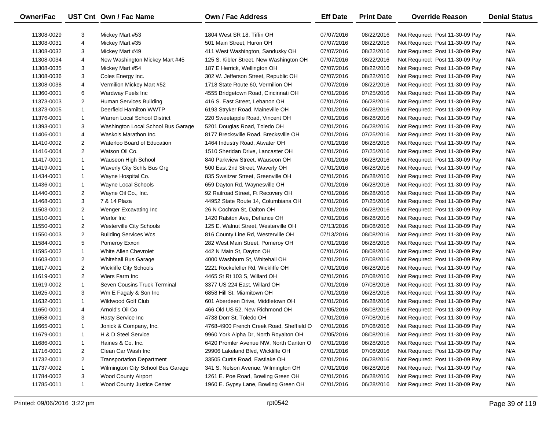| Owner/Fac  |                | UST Cnt Own / Fac Name             | Own / Fac Address                        | <b>Eff Date</b> | <b>Print Date</b> | <b>Override Reason</b>          | <b>Denial Status</b> |
|------------|----------------|------------------------------------|------------------------------------------|-----------------|-------------------|---------------------------------|----------------------|
| 11308-0029 | 3              | Mickey Mart #53                    | 1804 West SR 18, Tiffin OH               | 07/07/2016      | 08/22/2016        | Not Required: Post 11-30-09 Pay | N/A                  |
| 11308-0031 | 4              | Mickey Mart #35                    | 501 Main Street, Huron OH                | 07/07/2016      | 08/22/2016        | Not Required: Post 11-30-09 Pay | N/A                  |
| 11308-0032 | 3              | Mickey Mart #49                    | 411 West Washington, Sandusky OH         | 07/07/2016      | 08/22/2016        | Not Required: Post 11-30-09 Pay | N/A                  |
| 11308-0034 | 4              | New Washington Mickey Mart #45     | 125 S. Kibler Street, New Washington OH  | 07/07/2016      | 08/22/2016        | Not Required: Post 11-30-09 Pay | N/A                  |
| 11308-0035 | 3              | Mickey Mart #54                    | 187 E Herrick, Wellington OH             | 07/07/2016      | 08/22/2016        | Not Required: Post 11-30-09 Pay | N/A                  |
| 11308-0036 | 3              | Coles Energy Inc.                  | 302 W. Jefferson Street, Republic OH     | 07/07/2016      | 08/22/2016        | Not Required: Post 11-30-09 Pay | N/A                  |
| 11308-0038 | 4              | Vermilion Mickey Mart #52          | 1718 State Route 60, Vermilion OH        | 07/07/2016      | 08/22/2016        | Not Required: Post 11-30-09 Pay | N/A                  |
| 11360-0001 | 6              | Wardway Fuels Inc                  | 4555 Bridgetown Road, Cincinnati OH      | 07/01/2016      | 07/25/2016        | Not Required: Post 11-30-09 Pay | N/A                  |
| 11373-0003 | $\overline{2}$ | Human Services Building            | 416 S. East Street, Lebanon OH           | 07/01/2016      | 06/28/2016        | Not Required: Post 11-30-09 Pay | N/A                  |
| 11373-0005 | $\mathbf{1}$   | Deerfield Hamilton WWTP            | 6193 Stryker Road, Maineville OH         | 07/01/2016      | 06/28/2016        | Not Required: Post 11-30-09 Pay | N/A                  |
| 11376-0001 | $\mathbf{1}$   | Warren Local School District       | 220 Sweetapple Road, Vincent OH          | 07/01/2016      | 06/28/2016        | Not Required: Post 11-30-09 Pay | N/A                  |
| 11393-0001 | 3              | Washington Local School Bus Garage | 5201 Douglas Road, Toledo OH             | 07/01/2016      | 06/28/2016        | Not Required: Post 11-30-09 Pay | N/A                  |
| 11406-0001 | 4              | Wasko's Marathon Inc.              | 8177 Brecksville Road, Brecksville OH    | 07/01/2016      | 07/25/2016        | Not Required: Post 11-30-09 Pay | N/A                  |
| 11410-0002 | $\overline{2}$ | Waterloo Board of Education        | 1464 Industry Road, Atwater OH           | 07/01/2016      | 06/28/2016        | Not Required: Post 11-30-09 Pay | N/A                  |
| 11416-0004 | $\overline{2}$ | Watson Oil Co.                     | 1510 Sheridan Drive, Lancaster OH        | 07/01/2016      | 07/25/2016        | Not Required: Post 11-30-09 Pay | N/A                  |
| 11417-0001 | $\mathbf{1}$   | Wauseon High School                | 840 Parkview Street, Wauseon OH          | 07/01/2016      | 06/28/2016        | Not Required: Post 11-30-09 Pay | N/A                  |
| 11419-0001 | $\mathbf{1}$   | Waverly City Schls Bus Grg         | 500 East 2nd Street, Waverly OH          | 07/01/2016      | 06/28/2016        | Not Required: Post 11-30-09 Pay | N/A                  |
| 11434-0001 | $\mathbf{1}$   | Wayne Hospital Co.                 | 835 Sweitzer Street, Greenville OH       | 07/01/2016      | 06/28/2016        | Not Required: Post 11-30-09 Pay | N/A                  |
| 11436-0001 | $\mathbf{1}$   | Wayne Local Schools                | 659 Dayton Rd, Waynesville OH            | 07/01/2016      | 06/28/2016        | Not Required: Post 11-30-09 Pay | N/A                  |
| 11440-0001 | $\overline{2}$ | Wayne Oil Co., Inc.                | 92 Railroad Street, Ft Recovery OH       | 07/01/2016      | 06/28/2016        | Not Required: Post 11-30-09 Pay | N/A                  |
| 11468-0001 | 3              | 7 & 14 Plaza                       | 44952 State Route 14, Columbiana OH      | 07/01/2016      | 07/25/2016        | Not Required: Post 11-30-09 Pay | N/A                  |
| 11503-0001 | $\overline{2}$ | Wenger Excavating Inc              | 26 N Cochran St, Dalton OH               | 07/01/2016      | 06/28/2016        | Not Required: Post 11-30-09 Pay | N/A                  |
| 11510-0001 | $\mathbf{1}$   | Werlor Inc                         | 1420 Ralston Ave, Defiance OH            | 07/01/2016      | 06/28/2016        | Not Required: Post 11-30-09 Pay | N/A                  |
| 11550-0001 | $\overline{2}$ | <b>Westerville City Schools</b>    | 125 E. Walnut Street, Westerville OH     | 07/13/2016      | 08/08/2016        | Not Required: Post 11-30-09 Pay | N/A                  |
| 11550-0003 | $\overline{2}$ | <b>Building Services Wcs</b>       | 816 County Line Rd, Westerville OH       | 07/13/2016      | 08/08/2016        | Not Required: Post 11-30-09 Pay | N/A                  |
| 11584-0001 | 5              | Pomeroy Exxon                      | 282 West Main Street, Pomeroy OH         | 07/01/2016      | 06/28/2016        | Not Required: Post 11-30-09 Pay | N/A                  |
| 11595-0002 | $\mathbf{1}$   | White Allen Chevrolet              | 442 N Main St, Dayton OH                 | 07/01/2016      | 08/08/2016        | Not Required: Post 11-30-09 Pay | N/A                  |
| 11603-0001 | $\overline{2}$ | <b>Whitehall Bus Garage</b>        | 4000 Washburn St, Whitehall OH           | 07/01/2016      | 07/08/2016        | Not Required: Post 11-30-09 Pay | N/A                  |
| 11617-0001 | $\overline{2}$ | <b>Wickliffe City Schools</b>      | 2221 Rockefeller Rd, Wickliffe OH        | 07/01/2016      | 06/28/2016        | Not Required: Post 11-30-09 Pay | N/A                  |
| 11619-0001 | $\overline{2}$ | Wiers Farm Inc                     | 4465 St Rt 103 S, Willard OH             | 07/01/2016      | 07/08/2016        | Not Required: Post 11-30-09 Pay | N/A                  |
| 11619-0002 | $\mathbf{1}$   | Seven Cousins Truck Terminal       | 3377 US 224 East, Willard OH             | 07/01/2016      | 07/08/2016        | Not Required: Post 11-30-09 Pay | N/A                  |
| 11625-0001 | 3              | Wm E Fagaly & Son Inc              | 6858 Hill St, Miamitown OH               | 07/01/2016      | 06/28/2016        | Not Required: Post 11-30-09 Pay | N/A                  |
| 11632-0001 | $\mathbf{1}$   | Wildwood Golf Club                 | 601 Aberdeen Drive, Middletown OH        | 07/01/2016      | 06/28/2016        | Not Required: Post 11-30-09 Pay | N/A                  |
| 11650-0001 | 4              | Arnold's Oil Co                    | 466 Old US 52, New Richmond OH           | 07/05/2016      | 08/08/2016        | Not Required: Post 11-30-09 Pay | N/A                  |
| 11658-0001 | 3              | Hasty Service Inc                  | 4738 Dorr St, Toledo OH                  | 07/01/2016      | 07/08/2016        | Not Required: Post 11-30-09 Pay | N/A                  |
| 11665-0001 |                | Jonick & Company, Inc.             | 4768-4900 French Creek Road, Sheffield O | 07/01/2016      | 07/08/2016        | Not Required: Post 11-30-09 Pay | N/A                  |
| 11679-0001 | 1              | H & D Steel Service                | 9960 York Alpha Dr, North Royalton OH    | 07/05/2016      | 08/08/2016        | Not Required: Post 11-30-09 Pay | N/A                  |
| 11686-0001 | $\mathbf{1}$   | Haines & Co. Inc.                  | 6420 Promler Avenue NW, North Canton O   | 07/01/2016      | 06/28/2016        | Not Required: Post 11-30-09 Pay | N/A                  |
| 11716-0001 | $\overline{a}$ | Clean Car Wash Inc                 | 29906 Lakeland Blvd, Wickliffe OH        | 07/01/2016      | 07/08/2016        | Not Required: Post 11-30-09 Pay | N/A                  |
| 11732-0001 | 2              | <b>Transportation Department</b>   | 33505 Curtis Road, Eastlake OH           | 07/01/2016      | 06/28/2016        | Not Required: Post 11-30-09 Pay | N/A                  |
| 11737-0002 | $\mathbf{1}$   | Wilmington City School Bus Garage  | 341 S. Nelson Avenue, Wilmington OH      | 07/01/2016      | 06/28/2016        | Not Required: Post 11-30-09 Pay | N/A                  |
| 11784-0002 | 3              | <b>Wood County Airport</b>         | 1261 E. Poe Road, Bowling Green OH       | 07/01/2016      | 06/28/2016        | Not Required: Post 11-30-09 Pay | N/A                  |
| 11785-0011 | $\mathbf{1}$   | Wood County Justice Center         | 1960 E. Gypsy Lane, Bowling Green OH     | 07/01/2016      | 06/28/2016        | Not Required: Post 11-30-09 Pay | N/A                  |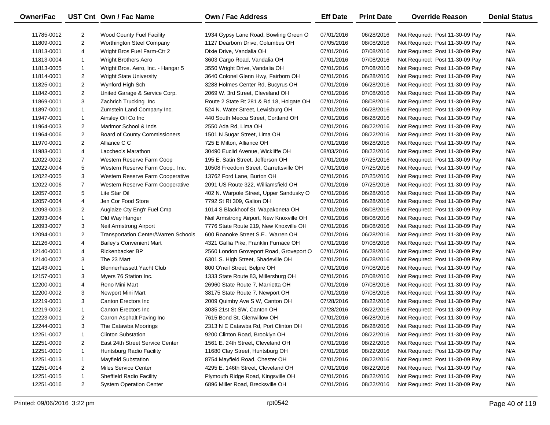| Owner/Fac  |                | UST Cnt Own / Fac Name               | <b>Own / Fac Address</b>                 | <b>Eff Date</b> | <b>Print Date</b> | <b>Override Reason</b>          | <b>Denial Status</b> |
|------------|----------------|--------------------------------------|------------------------------------------|-----------------|-------------------|---------------------------------|----------------------|
| 11785-0012 | 2              | <b>Wood County Fuel Facility</b>     | 1934 Gypsy Lane Road, Bowling Green O    | 07/01/2016      | 06/28/2016        | Not Required: Post 11-30-09 Pay | N/A                  |
| 11809-0001 | $\overline{2}$ | Worthington Steel Company            | 1127 Dearborn Drive, Columbus OH         | 07/05/2016      | 08/08/2016        | Not Required: Post 11-30-09 Pay | N/A                  |
| 11813-0001 | 4              | Wright Bros Fuel Farm-Ctr 2          | Dixie Drive, Vandalia OH                 | 07/01/2016      | 07/08/2016        | Not Required: Post 11-30-09 Pay | N/A                  |
| 11813-0004 | $\mathbf{1}$   | <b>Wright Brothers Aero</b>          | 3603 Cargo Road, Vandalia OH             | 07/01/2016      | 07/08/2016        | Not Required: Post 11-30-09 Pay | N/A                  |
| 11813-0005 | $\mathbf{1}$   | Wright Bros. Aero, Inc. - Hangar 5   | 3550 Wright Drive, Vandalia OH           | 07/01/2016      | 07/08/2016        | Not Required: Post 11-30-09 Pay | N/A                  |
| 11814-0001 | $\overline{2}$ | <b>Wright State University</b>       | 3640 Colonel Glenn Hwy, Fairborn OH      | 07/01/2016      | 06/28/2016        | Not Required: Post 11-30-09 Pay | N/A                  |
| 11825-0001 | $\overline{2}$ | Wynford High Sch                     | 3288 Holmes Center Rd, Bucyrus OH        | 07/01/2016      | 06/28/2016        | Not Required: Post 11-30-09 Pay | N/A                  |
| 11842-0001 | $\overline{2}$ | United Garage & Service Corp.        | 2069 W. 3rd Street, Cleveland OH         | 07/01/2016      | 07/08/2016        | Not Required: Post 11-30-09 Pay | N/A                  |
| 11869-0001 | 3              | Zachrich Trucking Inc                | Route 2 State Rt 281 & Rd 18, Holgate OH | 07/01/2016      | 08/08/2016        | Not Required: Post 11-30-09 Pay | N/A                  |
| 11897-0001 | $\mathbf{1}$   | Zumstein Land Company Inc.           | 524 N. Water Street, Lewisburg OH        | 07/01/2016      | 06/28/2016        | Not Required: Post 11-30-09 Pay | N/A                  |
| 11947-0001 | $\mathbf{1}$   | Ainsley Oil Co Inc                   | 440 South Mecca Street, Cortland OH      | 07/01/2016      | 06/28/2016        | Not Required: Post 11-30-09 Pay | N/A                  |
| 11964-0003 | $\overline{2}$ | Marimor School & Inds                | 2550 Ada Rd, Lima OH                     | 07/01/2016      | 08/22/2016        | Not Required: Post 11-30-09 Pay | N/A                  |
| 11964-0006 | $\overline{2}$ | <b>Board of County Commissioners</b> | 1501 N Sugar Street, Lima OH             | 07/01/2016      | 08/22/2016        | Not Required: Post 11-30-09 Pay | N/A                  |
| 11970-0001 | $\overline{2}$ | Alliance C C                         | 725 E Milton, Alliance OH                | 07/01/2016      | 06/28/2016        | Not Required: Post 11-30-09 Pay | N/A                  |
| 11983-0001 | 4              | Laccheo's Marathon                   | 30490 Euclid Avenue, Wickliffe OH        | 08/03/2016      | 08/22/2016        | Not Required: Post 11-30-09 Pay | N/A                  |
| 12022-0002 | $\overline{7}$ | Western Reserve Farm Coop            | 195 E. Satin Street, Jefferson OH        | 07/01/2016      | 07/25/2016        | Not Required: Post 11-30-09 Pay | N/A                  |
| 12022-0004 | 5              | Western Reserve Farm Coop., Inc.     | 10508 Freedom Street, Garrettsville OH   | 07/01/2016      | 07/25/2016        | Not Required: Post 11-30-09 Pay | N/A                  |
| 12022-0005 | 3              | Western Reserve Farm Cooperative     | 13762 Ford Lane, Burton OH               | 07/01/2016      | 07/25/2016        | Not Required: Post 11-30-09 Pay | N/A                  |
| 12022-0006 | $\overline{7}$ | Western Reserve Farm Cooperative     | 2091 US Route 322, Williamsfield OH      | 07/01/2016      | 07/25/2016        | Not Required: Post 11-30-09 Pay | N/A                  |
| 12057-0002 | 5              | Lite Star Oil                        | 402 N. Warpole Street, Upper Sandusky O  | 07/01/2016      | 06/28/2016        | Not Required: Post 11-30-09 Pay | N/A                  |
| 12057-0004 | 4              | Jen Cor Food Store                   | 7792 St Rt 309, Galion OH                | 07/01/2016      | 06/28/2016        | Not Required: Post 11-30-09 Pay | N/A                  |
| 12093-0003 | 2              | Auglaize Cty Eng'r Fuel Cmp          | 1014 S Blackhoof St, Wapakoneta OH       | 07/01/2016      | 08/08/2016        | Not Required: Post 11-30-09 Pay | N/A                  |
| 12093-0004 | $\mathbf{1}$   | Old Way Hanger                       | Neil Armstrong Airport, New Knoxville OH | 07/01/2016      | 08/08/2016        | Not Required: Post 11-30-09 Pay | N/A                  |
| 12093-0007 | 3              | Neil Armstrong Airport               | 7776 State Route 219, New Knoxville OH   | 07/01/2016      | 08/08/2016        | Not Required: Post 11-30-09 Pay | N/A                  |
| 12094-0001 | $\overline{2}$ | Transportation Center/Warren Schools | 600 Roanoke Street S.E., Warren OH       | 07/01/2016      | 06/28/2016        | Not Required: Post 11-30-09 Pay | N/A                  |
| 12126-0001 | 4              | <b>Bailey's Convenient Mart</b>      | 4321 Gallia Pike, Franklin Furnace OH    | 07/01/2016      | 07/08/2016        | Not Required: Post 11-30-09 Pay | N/A                  |
| 12140-0001 | 4              | Rickenbacker BP                      | 2560 London Groveport Road, Groveport O  | 07/01/2016      | 06/28/2016        | Not Required: Post 11-30-09 Pay | N/A                  |
| 12140-0007 | 3              | The 23 Mart                          | 6301 S. High Street, Shadeville OH       | 07/01/2016      | 06/28/2016        | Not Required: Post 11-30-09 Pay | N/A                  |
| 12143-0001 | $\mathbf{1}$   | <b>Blennerhassett Yacht Club</b>     | 800 O'neil Street, Belpre OH             | 07/01/2016      | 07/08/2016        | Not Required: Post 11-30-09 Pay | N/A                  |
| 12157-0001 | 3              | Myers 76 Station Inc.                | 1333 State Route 83, Millersburg OH      | 07/01/2016      | 07/08/2016        | Not Required: Post 11-30-09 Pay | N/A                  |
| 12200-0001 | 4              | Reno Mini Mart                       | 26960 State Route 7, Marrietta OH        | 07/01/2016      | 07/08/2016        | Not Required: Post 11-30-09 Pay | N/A                  |
| 12200-0002 | 3              | Newport Mini Mart                    | 38175 State Route 7, Newport OH          | 07/01/2016      | 07/08/2016        | Not Required: Post 11-30-09 Pay | N/A                  |
| 12219-0001 | 3              | Canton Erectors Inc                  | 2009 Quimby Ave S W, Canton OH           | 07/28/2016      | 08/22/2016        | Not Required: Post 11-30-09 Pay | N/A                  |
| 12219-0002 | $\mathbf{1}$   | Canton Erectors Inc                  | 3035 21st St SW, Canton OH               | 07/28/2016      | 08/22/2016        | Not Required: Post 11-30-09 Pay | N/A                  |
| 12223-0001 | $\overline{2}$ | Carron Asphalt Paving Inc            | 7615 Bond St, Glenwillow OH              | 07/01/2016      | 06/28/2016        | Not Required: Post 11-30-09 Pay | N/A                  |
| 12244-0001 | 3              | The Catawba Moorings                 | 2313 N E Catawba Rd, Port Clinton OH     | 07/01/2016      | 06/28/2016        | Not Required: Post 11-30-09 Pay | N/A                  |
| 12251-0007 | 1              | <b>Clinton Substation</b>            | 9200 Clinton Road, Brooklyn OH           | 07/01/2016      | 08/22/2016        | Not Required: Post 11-30-09 Pay | N/A                  |
| 12251-0009 | 2              | East 24th Street Service Center      | 1561 E. 24th Street, Cleveland OH        | 07/01/2016      | 08/22/2016        | Not Required: Post 11-30-09 Pay | N/A                  |
| 12251-0010 | 1              | Huntsburg Radio Facility             | 11680 Clay Street, Huntsburg OH          | 07/01/2016      | 08/22/2016        | Not Required: Post 11-30-09 Pay | N/A                  |
| 12251-0013 | 1              | <b>Mayfield Substation</b>           | 8754 Mayfield Road, Chester OH           | 07/01/2016      | 08/22/2016        | Not Required: Post 11-30-09 Pay | N/A                  |
| 12251-0014 | 2              | Miles Service Center                 | 4295 E. 146th Street, Cleveland OH       | 07/01/2016      | 08/22/2016        | Not Required: Post 11-30-09 Pay | N/A                  |
| 12251-0015 | 1              | <b>Sheffield Radio Facility</b>      | Plymouth Ridge Road, Kingsville OH       | 07/01/2016      | 08/22/2016        | Not Required: Post 11-30-09 Pay | N/A                  |
| 12251-0016 | $\overline{2}$ | <b>System Operation Center</b>       | 6896 Miller Road, Brecksville OH         | 07/01/2016      | 08/22/2016        | Not Required: Post 11-30-09 Pay | N/A                  |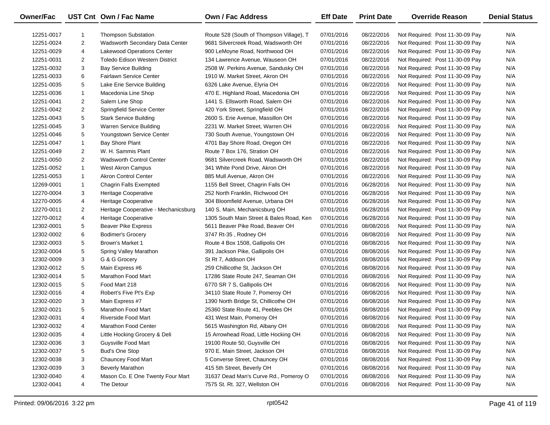| <b>Owner/Fac</b> |                | UST Cnt Own / Fac Name                | <b>Own / Fac Address</b>                 | <b>Eff Date</b> | <b>Print Date</b> | <b>Override Reason</b>          | <b>Denial Status</b> |
|------------------|----------------|---------------------------------------|------------------------------------------|-----------------|-------------------|---------------------------------|----------------------|
| 12251-0017       | $\mathbf 1$    | <b>Thompson Substation</b>            | Route 528 (South of Thompson Village), T | 07/01/2016      | 08/22/2016        | Not Required: Post 11-30-09 Pay | N/A                  |
| 12251-0024       | $\overline{2}$ | Wadsworth Secondary Data Center       | 9681 Silvercreek Road, Wadsworth OH      | 07/01/2016      | 08/22/2016        | Not Required: Post 11-30-09 Pay | N/A                  |
| 12251-0029       | 4              | Lakewood Operations Center            | 900 LeMoyne Road, Northwood OH           | 07/01/2016      | 08/22/2016        | Not Required: Post 11-30-09 Pay | N/A                  |
| 12251-0031       | $\overline{2}$ | <b>Toledo Edison Western District</b> | 134 Lawrence Avenue, Wauseon OH          | 07/01/2016      | 08/22/2016        | Not Required: Post 11-30-09 Pay | N/A                  |
| 12251-0032       | 3              | <b>Bay Service Building</b>           | 2508 W. Perkins Avenue, Sandusky OH      | 07/01/2016      | 08/22/2016        | Not Required: Post 11-30-09 Pay | N/A                  |
| 12251-0033       | 6              | Fairlawn Service Center               | 1910 W. Market Street, Akron OH          | 07/01/2016      | 08/22/2016        | Not Required: Post 11-30-09 Pay | N/A                  |
| 12251-0035       | 5              | Lake Erie Service Building            | 6326 Lake Avenue, Elyria OH              | 07/01/2016      | 08/22/2016        | Not Required: Post 11-30-09 Pay | N/A                  |
| 12251-0036       | $\mathbf{1}$   | Macedonia Line Shop                   | 470 E. Highland Road, Macedonia OH       | 07/01/2016      | 08/22/2016        | Not Required: Post 11-30-09 Pay | N/A                  |
| 12251-0041       | $\overline{2}$ | Salem Line Shop                       | 1441 S. Ellsworth Road, Salem OH         | 07/01/2016      | 08/22/2016        | Not Required: Post 11-30-09 Pay | N/A                  |
| 12251-0042       | $\overline{2}$ | Springfield Service Center            | 420 York Street, Springfield OH          | 07/01/2016      | 08/22/2016        | Not Required: Post 11-30-09 Pay | N/A                  |
| 12251-0043       | 5              | <b>Stark Service Building</b>         | 2600 S. Erie Avenue, Massillon OH        | 07/01/2016      | 08/22/2016        | Not Required: Post 11-30-09 Pay | N/A                  |
| 12251-0045       | 3              | Warren Service Building               | 2231 W. Market Street, Warren OH         | 07/01/2016      | 08/22/2016        | Not Required: Post 11-30-09 Pay | N/A                  |
| 12251-0046       | 5              | Youngstown Service Center             | 730 South Avenue, Youngstown OH          | 07/01/2016      | 08/22/2016        | Not Required: Post 11-30-09 Pay | N/A                  |
| 12251-0047       | $\mathbf{1}$   | Bay Shore Plant                       | 4701 Bay Shore Road, Oregon OH           | 07/01/2016      | 08/22/2016        | Not Required: Post 11-30-09 Pay | N/A                  |
| 12251-0049       | $\overline{2}$ | W. H. Sammis Plant                    | Route 7 Box 176, Stration OH             | 07/01/2016      | 08/22/2016        | Not Required: Post 11-30-09 Pay | N/A                  |
| 12251-0050       | $\overline{2}$ | <b>Wadsworth Control Center</b>       | 9681 Silvercreek Road, Wadsworth OH      | 07/01/2016      | 08/22/2016        | Not Required: Post 11-30-09 Pay | N/A                  |
| 12251-0052       | $\mathbf{1}$   | West Akron Campus                     | 341 White Pond Drive, Akron OH           | 07/01/2016      | 08/22/2016        | Not Required: Post 11-30-09 Pay | N/A                  |
| 12251-0053       | $\mathbf{1}$   | <b>Akron Control Center</b>           | 885 Mull Avenue, Akron OH                | 07/01/2016      | 08/22/2016        | Not Required: Post 11-30-09 Pay | N/A                  |
| 12269-0001       | $\mathbf{1}$   | Chagrin Falls Exempted                | 1155 Bell Street, Chagrin Falls OH       | 07/01/2016      | 06/28/2016        | Not Required: Post 11-30-09 Pay | N/A                  |
| 12270-0004       | 3              | Heritage Cooperative                  | 252 North Franklin, Richwood OH          | 07/01/2016      | 06/28/2016        | Not Required: Post 11-30-09 Pay | N/A                  |
| 12270-0005       | 4              | <b>Heritage Cooperative</b>           | 304 Bloomfield Avenue, Urbana OH         | 07/01/2016      | 06/28/2016        | Not Required: Post 11-30-09 Pay | N/A                  |
| 12270-0011       | $\overline{2}$ | Heritage Cooperative - Mechanicsburg  | 140 S. Main, Mechanicsburg OH            | 07/01/2016      | 06/28/2016        | Not Required: Post 11-30-09 Pay | N/A                  |
| 12270-0012       | 4              | Heritage Cooperative                  | 1305 South Main Street & Bales Road, Ken | 07/01/2016      | 06/28/2016        | Not Required: Post 11-30-09 Pay | N/A                  |
| 12302-0001       | 5              | <b>Beaver Pike Express</b>            | 5611 Beaver Pike Road, Beaver OH         | 07/01/2016      | 08/08/2016        | Not Required: Post 11-30-09 Pay | N/A                  |
| 12302-0002       | 6              | <b>Bodimer's Grocery</b>              | 3747 Rt-35, Rodney OH                    | 07/01/2016      | 08/08/2016        | Not Required: Post 11-30-09 Pay | N/A                  |
| 12302-0003       | 5              | Brown's Market 1                      | Route 4 Box 1508, Gallipolis OH          | 07/01/2016      | 08/08/2016        | Not Required: Post 11-30-09 Pay | N/A                  |
| 12302-0004       | 5              | Spring Valley Marathon                | 391 Jackson Pike, Gallipolis OH          | 07/01/2016      | 08/08/2016        | Not Required: Post 11-30-09 Pay | N/A                  |
| 12302-0009       | 3              | G & G Grocery                         | St Rt 7, Addison OH                      | 07/01/2016      | 08/08/2016        | Not Required: Post 11-30-09 Pay | N/A                  |
| 12302-0012       | 5              | Main Express #6                       | 259 Chillicothe St, Jackson OH           | 07/01/2016      | 08/08/2016        | Not Required: Post 11-30-09 Pay | N/A                  |
| 12302-0014       | 5              | Marathon Food Mart                    | 17286 State Route 247, Seaman OH         | 07/01/2016      | 08/08/2016        | Not Required: Post 11-30-09 Pay | N/A                  |
| 12302-0015       | 5              | Food Mart 218                         | 6770 SR 7 S, Gallipolis OH               | 07/01/2016      | 08/08/2016        | Not Required: Post 11-30-09 Pay | N/A                  |
| 12302-0016       | 4              | Robert's Five Pt's Exp                | 34110 State Route 7, Pomeroy OH          | 07/01/2016      | 08/08/2016        | Not Required: Post 11-30-09 Pay | N/A                  |
| 12302-0020       | 3              | Main Express #7                       | 1390 North Bridge St, Chillicothe OH     | 07/01/2016      | 08/08/2016        | Not Required: Post 11-30-09 Pay | N/A                  |
| 12302-0021       | 5              | Marathon Food Mart                    | 25360 State Route 41, Peebles OH         | 07/01/2016      | 08/08/2016        | Not Required: Post 11-30-09 Pay | N/A                  |
| 12302-0031       | 4              | Riverside Food Mart                   | 431 West Main, Pomeroy OH                | 07/01/2016      | 08/08/2016        | Not Required: Post 11-30-09 Pay | N/A                  |
| 12302-0032       | 4              | Marathon Food Center                  | 5615 Washington Rd, Albany OH            | 07/01/2016      | 08/08/2016        | Not Required: Post 11-30-09 Pay | N/A                  |
| 12302-0035       | 4              | Little Hocking Grocery & Deli         | 15 Arrowhead Road, Little Hocking OH     | 07/01/2016      | 08/08/2016        | Not Required: Post 11-30-09 Pay | N/A                  |
| 12302-0036       | 3              | Guysville Food Mart                   | 19100 Route 50, Guysville OH             | 07/01/2016      | 08/08/2016        | Not Required: Post 11-30-09 Pay | N/A                  |
| 12302-0037       | 5              | <b>Bud's One Stop</b>                 | 970 E. Main Street, Jackson OH           | 07/01/2016      | 08/08/2016        | Not Required: Post 11-30-09 Pay | N/A                  |
| 12302-0038       | 3              | Chauncey Food Mart                    | 5 Converse Street, Chauncey OH           | 07/01/2016      | 08/08/2016        | Not Required: Post 11-30-09 Pay | N/A                  |
| 12302-0039       | 3              | <b>Beverly Marathon</b>               | 415 5th Street, Beverly OH               | 07/01/2016      | 08/08/2016        | Not Required: Post 11-30-09 Pay | N/A                  |
| 12302-0040       | 4              | Mason Co. E One Twenty Four Mart      | 31637 Dead Man's Curve Rd., Pomeroy O    | 07/01/2016      | 08/08/2016        | Not Required: Post 11-30-09 Pay | N/A                  |
| 12302-0041       | 4              | The Detour                            | 7575 St. Rt. 327, Wellston OH            | 07/01/2016      | 08/08/2016        | Not Required: Post 11-30-09 Pay | N/A                  |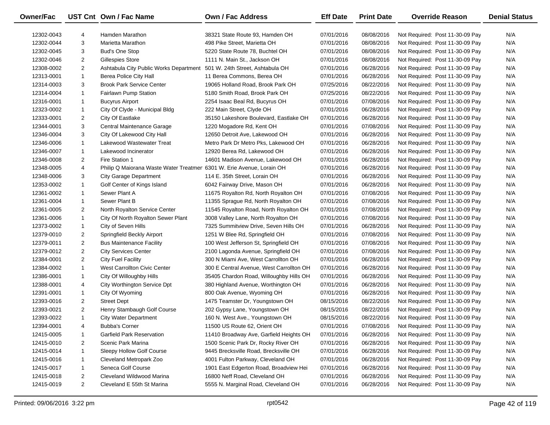| Owner/Fac  |                | UST Cnt Own / Fac Name                                                | Own / Fac Address                        | <b>Eff Date</b> | <b>Print Date</b> | <b>Override Reason</b>          | <b>Denial Status</b> |
|------------|----------------|-----------------------------------------------------------------------|------------------------------------------|-----------------|-------------------|---------------------------------|----------------------|
| 12302-0043 | 4              | Hamden Marathon                                                       | 38321 State Route 93, Hamden OH          | 07/01/2016      | 08/08/2016        | Not Required: Post 11-30-09 Pay | N/A                  |
| 12302-0044 | 3              | Marietta Marathon                                                     | 498 Pike Street, Marietta OH             | 07/01/2016      | 08/08/2016        | Not Required: Post 11-30-09 Pay | N/A                  |
| 12302-0045 | 3              | <b>Bud's One Stop</b>                                                 | 5220 State Route 78, Buchtel OH          | 07/01/2016      | 08/08/2016        | Not Required: Post 11-30-09 Pay | N/A                  |
| 12302-0046 | $\overline{2}$ | Gillespies Store                                                      | 1111 N. Main St., Jackson OH             | 07/01/2016      | 08/08/2016        | Not Required: Post 11-30-09 Pay | N/A                  |
| 12308-0002 | $\overline{2}$ | Ashtabula City Public Works Department                                | 501 W. 24th Street, Ashtabula OH         | 07/01/2016      | 06/28/2016        | Not Required: Post 11-30-09 Pay | N/A                  |
| 12313-0001 | $\mathbf{1}$   | Berea Police City Hall                                                | 11 Berea Commons, Berea OH               | 07/01/2016      | 06/28/2016        | Not Required: Post 11-30-09 Pay | N/A                  |
| 12314-0003 | 3              | <b>Brook Park Service Center</b>                                      | 19065 Holland Road, Brook Park OH        | 07/25/2016      | 08/22/2016        | Not Required: Post 11-30-09 Pay | N/A                  |
| 12314-0004 | $\mathbf{1}$   | <b>Fairlawn Pump Station</b>                                          | 5180 Smith Road, Brook Park OH           | 07/25/2016      | 08/22/2016        | Not Required: Post 11-30-09 Pay | N/A                  |
| 12316-0001 | $\mathbf{1}$   | <b>Bucyrus Airport</b>                                                | 2254 Isaac Beal Rd, Bucyrus OH           | 07/01/2016      | 07/08/2016        | Not Required: Post 11-30-09 Pay | N/A                  |
| 12323-0002 | $\mathbf{1}$   | City Of Clyde - Municipal Bldg                                        | 222 Main Street, Clyde OH                | 07/01/2016      | 06/28/2016        | Not Required: Post 11-30-09 Pay | N/A                  |
| 12333-0001 | $\overline{2}$ | City Of Eastlake                                                      | 35150 Lakeshore Boulevard, Eastlake OH   | 07/01/2016      | 06/28/2016        | Not Required: Post 11-30-09 Pay | N/A                  |
| 12344-0001 | 3              | Central Maintenance Garage                                            | 1220 Mogadore Rd, Kent OH                | 07/01/2016      | 07/08/2016        | Not Required: Post 11-30-09 Pay | N/A                  |
| 12346-0004 | 3              | City Of Lakewood City Hall                                            | 12650 Detroit Ave, Lakewood OH           | 07/01/2016      | 06/28/2016        | Not Required: Post 11-30-09 Pay | N/A                  |
| 12346-0006 | $\mathbf{1}$   | Lakewood Wastewater Treat                                             | Metro Park Dr Metro Pks, Lakewood OH     | 07/01/2016      | 06/28/2016        | Not Required: Post 11-30-09 Pay | N/A                  |
| 12346-0007 | $\mathbf{1}$   | Lakewood Incinerator                                                  | 12920 Berea Rd, Lakewood OH              | 07/01/2016      | 06/28/2016        | Not Required: Post 11-30-09 Pay | N/A                  |
| 12346-0008 | $\overline{2}$ | Fire Station 1                                                        | 14601 Madison Avenue, Lakewood OH        | 07/01/2016      | 06/28/2016        | Not Required: Post 11-30-09 Pay | N/A                  |
| 12348-0005 | 4              | Philip Q Maiorana Waste Water Treatmer 6301 W. Erie Avenue, Lorain OH |                                          | 07/01/2016      | 06/28/2016        | Not Required: Post 11-30-09 Pay | N/A                  |
| 12348-0006 | 3              | <b>City Garage Department</b>                                         | 114 E. 35th Street, Lorain OH            | 07/01/2016      | 06/28/2016        | Not Required: Post 11-30-09 Pay | N/A                  |
| 12353-0002 | $\mathbf{1}$   | Golf Center of Kings Island                                           | 6042 Fairway Drive, Mason OH             | 07/01/2016      | 06/28/2016        | Not Required: Post 11-30-09 Pay | N/A                  |
| 12361-0002 | $\mathbf{1}$   | Sewer Plant A                                                         | 11675 Royalton Rd, North Royalton OH     | 07/01/2016      | 07/08/2016        | Not Required: Post 11-30-09 Pay | N/A                  |
| 12361-0004 | $\mathbf{1}$   | Sewer Plant B                                                         | 11355 Sprague Rd, North Royalton OH      | 07/01/2016      | 07/08/2016        | Not Required: Post 11-30-09 Pay | N/A                  |
| 12361-0005 | 2              | North Royalton Service Center                                         | 11545 Royalton Road, North Royalton OH   | 07/01/2016      | 07/08/2016        | Not Required: Post 11-30-09 Pay | N/A                  |
| 12361-0006 | $\mathbf{1}$   | City Of North Royalton Sewer Plant                                    | 3008 Valley Lane, North Royalton OH      | 07/01/2016      | 07/08/2016        | Not Required: Post 11-30-09 Pay | N/A                  |
| 12373-0002 | $\mathbf{1}$   | City of Seven Hills                                                   | 7325 Summitview Drive, Seven Hills OH    | 07/01/2016      | 06/28/2016        | Not Required: Post 11-30-09 Pay | N/A                  |
| 12379-0010 | 2              | Springfield Beckly Airport                                            | 1251 W Blee Rd, Springfield OH           | 07/01/2016      | 07/08/2016        | Not Required: Post 11-30-09 Pay | N/A                  |
| 12379-0011 | 2              | <b>Bus Maintenance Facility</b>                                       | 100 West Jefferson St, Springfield OH    | 07/01/2016      | 07/08/2016        | Not Required: Post 11-30-09 Pay | N/A                  |
| 12379-0012 | $\overline{2}$ | <b>City Services Center</b>                                           | 2100 Lagonda Avenue, Springfield OH      | 07/01/2016      | 07/08/2016        | Not Required: Post 11-30-09 Pay | N/A                  |
| 12384-0001 | $\overline{2}$ | <b>City Fuel Facility</b>                                             | 300 N Miami Ave, West Carrollton OH      | 07/01/2016      | 06/28/2016        | Not Required: Post 11-30-09 Pay | N/A                  |
| 12384-0002 | $\mathbf{1}$   | <b>West Carrollton Civic Center</b>                                   | 300 E Central Avenue, West Carrollton OH | 07/01/2016      | 06/28/2016        | Not Required: Post 11-30-09 Pay | N/A                  |
| 12386-0001 | $\mathbf{1}$   | City Of Willoughby Hills                                              | 35405 Chardon Road, Willoughby Hills OH  | 07/01/2016      | 06/28/2016        | Not Required: Post 11-30-09 Pay | N/A                  |
| 12388-0001 | 4              | City Worthington Service Dpt                                          | 380 Highland Avenue, Worthington OH      | 07/01/2016      | 06/28/2016        | Not Required: Post 11-30-09 Pay | N/A                  |
| 12391-0001 | $\mathbf{1}$   | City Of Wyoming                                                       | 800 Oak Avenue, Wyoming OH               | 07/01/2016      | 06/28/2016        | Not Required: Post 11-30-09 Pay | N/A                  |
| 12393-0016 | 2              | <b>Street Dept</b>                                                    | 1475 Teamster Dr, Youngstown OH          | 08/15/2016      | 08/22/2016        | Not Required: Post 11-30-09 Pay | N/A                  |
| 12393-0021 | $\overline{2}$ | Henry Stambaugh Golf Course                                           | 202 Gypsy Lane, Youngstown OH            | 08/15/2016      | 08/22/2016        | Not Required: Post 11-30-09 Pay | N/A                  |
| 12393-0022 | $\mathbf{1}$   | <b>City Water Department</b>                                          | 160 N. West Ave., Youngstown OH          | 08/15/2016      | 08/22/2016        | Not Required: Post 11-30-09 Pay | N/A                  |
| 12394-0001 | 4              | <b>Bubba's Corner</b>                                                 | 11500 US Route 62, Orient OH             | 07/01/2016      | 07/08/2016        | Not Required: Post 11-30-09 Pay | N/A                  |
| 12415-0005 | -1             | <b>Garfield Park Reservation</b>                                      | 11410 Broadway Ave, Garfield Heights OH  | 07/01/2016      | 06/28/2016        | Not Required: Post 11-30-09 Pay | N/A                  |
| 12415-0010 | 2              | Scenic Park Marina                                                    | 1500 Scenic Park Dr, Rocky River OH      | 07/01/2016      | 06/28/2016        | Not Required: Post 11-30-09 Pay | N/A                  |
| 12415-0014 | 1              | Sleepy Hollow Golf Course                                             | 9445 Brecksville Road, Brecksville OH    | 07/01/2016      | 06/28/2016        | Not Required: Post 11-30-09 Pay | N/A                  |
| 12415-0016 | 1              | Cleveland Metropark Zoo                                               | 4001 Fulton Parkway, Cleveland OH        | 07/01/2016      | 06/28/2016        | Not Required: Post 11-30-09 Pay | N/A                  |
| 12415-0017 | 1              | Seneca Golf Course                                                    | 1901 East Edgerton Road, Broadview Hei   | 07/01/2016      | 06/28/2016        | Not Required: Post 11-30-09 Pay | N/A                  |
| 12415-0018 | 2              | Cleveland Wildwood Marina                                             | 16800 Neff Road, Cleveland OH            | 07/01/2016      | 06/28/2016        | Not Required: Post 11-30-09 Pay | N/A                  |
| 12415-0019 | $\overline{2}$ | Cleveland E 55th St Marina                                            | 5555 N. Marginal Road, Cleveland OH      | 07/01/2016      | 06/28/2016        | Not Required: Post 11-30-09 Pay | N/A                  |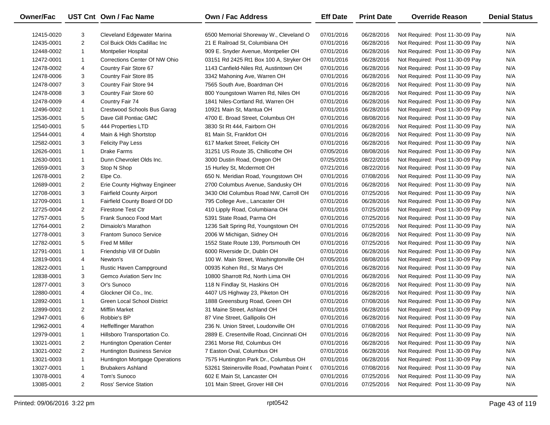| <b>Owner/Fac</b> |                | UST Cnt Own / Fac Name             | <b>Own / Fac Address</b>                   | <b>Eff Date</b> | <b>Print Date</b> | <b>Override Reason</b>          | <b>Denial Status</b> |
|------------------|----------------|------------------------------------|--------------------------------------------|-----------------|-------------------|---------------------------------|----------------------|
| 12415-0020       | 3              | Cleveland Edgewater Marina         | 6500 Memorial Shoreway W., Cleveland O     | 07/01/2016      | 06/28/2016        | Not Required: Post 11-30-09 Pay | N/A                  |
| 12435-0001       | $\overline{2}$ | Col Buick Olds Cadillac Inc        | 21 E Railroad St, Columbiana OH            | 07/01/2016      | 06/28/2016        | Not Required: Post 11-30-09 Pay | N/A                  |
| 12448-0002       | $\mathbf{1}$   | <b>Montpelier Hospital</b>         | 909 E. Snyder Avenue, Montpelier OH        | 07/01/2016      | 06/28/2016        | Not Required: Post 11-30-09 Pay | N/A                  |
| 12472-0001       | $\mathbf{1}$   | Corrections Center Of NW Ohio      | 03151 Rd 2425 Rt1 Box 100 A, Stryker OH    | 07/01/2016      | 06/28/2016        | Not Required: Post 11-30-09 Pay | N/A                  |
| 12478-0002       | 4              | Country Fair Store 67              | 1143 Canfield-Niles Rd, Austintown OH      | 07/01/2016      | 06/28/2016        | Not Required: Post 11-30-09 Pay | N/A                  |
| 12478-0006       | 3              | Country Fair Store 85              | 3342 Mahoning Ave, Warren OH               | 07/01/2016      | 06/28/2016        | Not Required: Post 11-30-09 Pay | N/A                  |
| 12478-0007       | 3              | Country Fair Store 94              | 7565 South Ave, Boardman OH                | 07/01/2016      | 06/28/2016        | Not Required: Post 11-30-09 Pay | N/A                  |
| 12478-0008       | 3              | Country Fair Store 60              | 800 Youngstown Warren Rd, Niles OH         | 07/01/2016      | 06/28/2016        | Not Required: Post 11-30-09 Pay | N/A                  |
| 12478-0009       | 4              | Country Fair 74                    | 1841 Niles-Cortland Rd, Warren OH          | 07/01/2016      | 06/28/2016        | Not Required: Post 11-30-09 Pay | N/A                  |
| 12496-0002       | $\mathbf{1}$   | Crestwood Schools Bus Garag        | 10921 Main St, Mantua OH                   | 07/01/2016      | 06/28/2016        | Not Required: Post 11-30-09 Pay | N/A                  |
| 12536-0001       | 5              | Dave Gill Pontiac GMC              | 4700 E. Broad Street, Columbus OH          | 07/01/2016      | 08/08/2016        | Not Required: Post 11-30-09 Pay | N/A                  |
| 12540-0001       | 5              | 444 Properties LTD                 | 3830 St Rt 444, Fairborn OH                | 07/01/2016      | 06/28/2016        | Not Required: Post 11-30-09 Pay | N/A                  |
| 12544-0001       | 4              | Main & High Shortstop              | 81 Main St, Frankfort OH                   | 07/01/2016      | 06/28/2016        | Not Required: Post 11-30-09 Pay | N/A                  |
| 12582-0001       | 3              | <b>Felicity Pay Less</b>           | 617 Market Street, Felicity OH             | 07/01/2016      | 06/28/2016        | Not Required: Post 11-30-09 Pay | N/A                  |
| 12626-0001       | $\mathbf{1}$   | <b>Drake Farms</b>                 | 31251 US Route 35, Chillicothe OH          | 07/05/2016      | 08/08/2016        | Not Required: Post 11-30-09 Pay | N/A                  |
| 12630-0001       | $\mathbf{1}$   | Dunn Chevrolet Olds Inc.           | 3000 Dustin Road, Oregon OH                | 07/25/2016      | 08/22/2016        | Not Required: Post 11-30-09 Pay | N/A                  |
| 12659-0001       | 3              | Stop N Shop                        | 15 Hurley St, Mcdermott OH                 | 07/21/2016      | 08/22/2016        | Not Required: Post 11-30-09 Pay | N/A                  |
| 12678-0001       | $\overline{2}$ | Elpe Co.                           | 650 N. Meridian Road, Youngstown OH        | 07/01/2016      | 07/08/2016        | Not Required: Post 11-30-09 Pay | N/A                  |
| 12689-0001       | $\overline{2}$ | Erie County Highway Engineer       | 2700 Columbus Avenue, Sandusky OH          | 07/01/2016      | 06/28/2016        | Not Required: Post 11-30-09 Pay | N/A                  |
| 12708-0001       | 3              | <b>Fairfield County Airport</b>    | 3430 Old Columbus Road NW, Carroll OH      | 07/01/2016      | 07/25/2016        | Not Required: Post 11-30-09 Pay | N/A                  |
| 12709-0001       | $\mathbf{1}$   | Fairfield County Board Of DD       | 795 College Ave., Lancaster OH             | 07/01/2016      | 06/28/2016        | Not Required: Post 11-30-09 Pay | N/A                  |
| 12725-0004       | $\overline{2}$ | <b>Firestone Test Ctr</b>          | 410 Lipply Road, Columbiana OH             | 07/01/2016      | 07/25/2016        | Not Required: Post 11-30-09 Pay | N/A                  |
| 12757-0001       | 5              | Frank Sunoco Food Mart             | 5391 State Road, Parma OH                  | 07/01/2016      | 07/25/2016        | Not Required: Post 11-30-09 Pay | N/A                  |
| 12764-0001       | $\overline{2}$ | Dimaiolo's Marathon                | 1236 Salt Spring Rd, Youngstown OH         | 07/01/2016      | 07/25/2016        | Not Required: Post 11-30-09 Pay | N/A                  |
| 12778-0001       | 3              | <b>Frantom Sunoco Service</b>      | 2006 W Michigan, Sidney OH                 | 07/01/2016      | 06/28/2016        | Not Required: Post 11-30-09 Pay | N/A                  |
| 12782-0001       | 5              | Fred M Miller                      | 1552 State Route 139, Portsmouth OH        | 07/01/2016      | 07/25/2016        | Not Required: Post 11-30-09 Pay | N/A                  |
| 12791-0001       | $\mathbf{1}$   | Friendship Vill Of Dublin          | 6000 Riverside Dr, Dublin OH               | 07/01/2016      | 06/28/2016        | Not Required: Post 11-30-09 Pay | N/A                  |
| 12819-0001       | 4              | Newton's                           | 100 W. Main Street, Washingtonville OH     | 07/05/2016      | 08/08/2016        | Not Required: Post 11-30-09 Pay | N/A                  |
| 12822-0001       | $\mathbf{1}$   | Rustic Haven Campground            | 00935 Kohen Rd., St Marys OH               | 07/01/2016      | 06/28/2016        | Not Required: Post 11-30-09 Pay | N/A                  |
| 12838-0001       | 3              | Gemco Aviation Serv Inc            | 10800 Sharrott Rd, North Lima OH           | 07/01/2016      | 06/28/2016        | Not Required: Post 11-30-09 Pay | N/A                  |
| 12877-0001       | 3              | Or's Sunoco                        | 118 N Findlay St, Haskins OH               | 07/01/2016      | 06/28/2016        | Not Required: Post 11-30-09 Pay | N/A                  |
| 12880-0001       | 4              | Glockner Oil Co., Inc.             | 4407 US Highway 23, Piketon OH             | 07/01/2016      | 06/28/2016        | Not Required: Post 11-30-09 Pay | N/A                  |
| 12892-0001       | $\mathbf{1}$   | <b>Green Local School District</b> | 1888 Greensburg Road, Green OH             | 07/01/2016      | 07/08/2016        | Not Required: Post 11-30-09 Pay | N/A                  |
| 12899-0001       | $\overline{2}$ | <b>Mifflin Market</b>              | 31 Maine Street, Ashland OH                | 07/01/2016      | 06/28/2016        | Not Required: Post 11-30-09 Pay | N/A                  |
| 12947-0001       | 6              | Robbie's BP                        | 87 Vine Street, Gallipolis OH              | 07/01/2016      | 06/28/2016        | Not Required: Post 11-30-09 Pay | N/A                  |
| 12962-0001       | 4              | Heffelfinger Marathon              | 236 N. Union Street, Loudonville OH        | 07/01/2016      | 07/08/2016        | Not Required: Post 11-30-09 Pay | N/A                  |
| 12979-0001       | 1              | Hillsboro Transportation Co.       | 2889 E. Cresentville Road, Cincinnati OH   | 07/01/2016      | 06/28/2016        | Not Required: Post 11-30-09 Pay | N/A                  |
| 13021-0001       | 2              | Huntington Operation Center        | 2361 Morse Rd, Columbus OH                 | 07/01/2016      | 06/28/2016        | Not Required: Post 11-30-09 Pay | N/A                  |
| 13021-0002       | 2              | Huntington Business Service        | 7 Easton Oval, Columbus OH                 | 07/01/2016      | 06/28/2016        | Not Required: Post 11-30-09 Pay | N/A                  |
| 13021-0003       | 1              | Huntington Mortgage Operations     | 7575 Huntington Park Dr., Columbus OH      | 07/01/2016      | 06/28/2016        | Not Required: Post 11-30-09 Pay | N/A                  |
| 13027-0001       | 1              | <b>Brubakers Ashland</b>           | 53261 Steinersville Road, Powhatan Point ( | 07/01/2016      | 07/08/2016        | Not Required: Post 11-30-09 Pay | N/A                  |
| 13078-0001       | 4              | Tom's Sunoco                       | 602 E Main St, Lancaster OH                | 07/01/2016      | 07/25/2016        | Not Required: Post 11-30-09 Pay | N/A                  |
| 13085-0001       | $\overline{2}$ | Ross' Service Station              | 101 Main Street, Grover Hill OH            | 07/01/2016      | 07/25/2016        | Not Required: Post 11-30-09 Pay | N/A                  |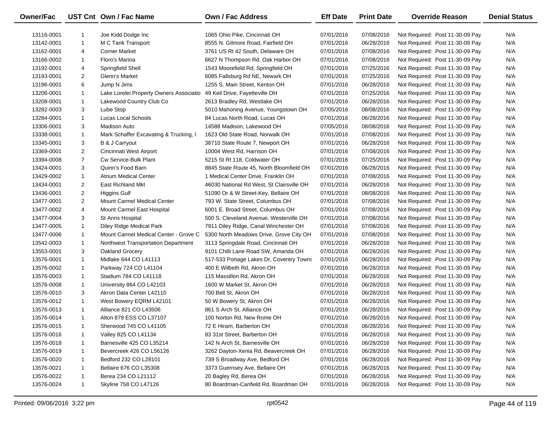| Owner/Fac  |                | UST Cnt Own / Fac Name                  | <b>Own / Fac Address</b>                  | <b>Eff Date</b> | <b>Print Date</b> | <b>Override Reason</b>          | <b>Denial Status</b> |
|------------|----------------|-----------------------------------------|-------------------------------------------|-----------------|-------------------|---------------------------------|----------------------|
| 13116-0001 | -1             | Joe Kidd Dodge Inc                      | 1065 Ohio Pike, Cincinnati OH             | 07/01/2016      | 07/08/2016        | Not Required: Post 11-30-09 Pay | N/A                  |
| 13142-0001 | $\mathbf{1}$   | M C Tank Transport                      | 8555 N. Gilmore Road, Fairfield OH        | 07/01/2016      | 06/28/2016        | Not Required: Post 11-30-09 Pay | N/A                  |
| 13162-0001 | 4              | <b>Corner Market</b>                    | 3761 US Rt 42 South, Delaware OH          | 07/01/2016      | 07/08/2016        | Not Required: Post 11-30-09 Pay | N/A                  |
| 13166-0002 | $\mathbf{1}$   | Floro's Marina                          | 6627 N Thompson Rd, Oak Harbor OH         | 07/01/2016      | 07/08/2016        | Not Required: Post 11-30-09 Pay | N/A                  |
| 13192-0001 | 4              | Springfield Shell                       | 1543 Moorefield Rd, Springfield OH        | 07/01/2016      | 07/25/2016        | Not Required: Post 11-30-09 Pay | N/A                  |
| 13193-0001 | $\overline{2}$ | Glenn's Market                          | 6085 Fallsburg Rd NE, Newark OH           | 07/01/2016      | 07/25/2016        | Not Required: Post 11-30-09 Pay | N/A                  |
| 13196-0001 | 6              | Jump N Jims                             | 1255 S. Main Street, Kenton OH            | 07/01/2016      | 06/28/2016        | Not Required: Post 11-30-09 Pay | N/A                  |
| 13206-0001 | $\mathbf{1}$   | Lake Lorelei Property Owners Associatio | 49 Keil Drive, Fayetteville OH            | 07/01/2016      | 07/25/2016        | Not Required: Post 11-30-09 Pay | N/A                  |
| 13208-0001 | $\mathbf{1}$   | Lakewood Country Club Co                | 2613 Bradley Rd, Westlake OH              | 07/01/2016      | 06/28/2016        | Not Required: Post 11-30-09 Pay | N/A                  |
| 13282-0003 | 3              | Lube Stop                               | 5010 Mahoning Avenue, Youngstown OH       | 07/05/2016      | 08/08/2016        | Not Required: Post 11-30-09 Pay | N/A                  |
| 13284-0001 | $\mathbf{1}$   | <b>Lucas Local Schools</b>              | 84 Lucas North Road, Lucas OH             | 07/01/2016      | 06/28/2016        | Not Required: Post 11-30-09 Pay | N/A                  |
| 13306-0001 | 3              | Madison Auto                            | 14588 Madison, Lakewood OH                | 07/05/2016      | 08/08/2016        | Not Required: Post 11-30-09 Pay | N/A                  |
| 13338-0001 | $\mathbf{1}$   | Mark Schaffer Excavating & Trucking, I  | 1623 Old State Road, Norwalk OH           | 07/01/2016      | 07/08/2016        | Not Required: Post 11-30-09 Pay | N/A                  |
| 13345-0001 | 3              | B & J Carryout                          | 38710 State Route 7, Newport OH           | 07/01/2016      | 06/28/2016        | Not Required: Post 11-30-09 Pay | N/A                  |
| 13369-0001 | $\overline{2}$ | Cincinnati West Airport                 | 10004 West Rd, Harrison OH                | 07/01/2016      | 07/08/2016        | Not Required: Post 11-30-09 Pay | N/A                  |
| 13394-0008 | $\overline{7}$ | Cw Service-Bulk Plant                   | 5215 St Rt 118, Coldwater OH              | 07/01/2016      | 07/25/2016        | Not Required: Post 11-30-09 Pay | N/A                  |
| 13424-0001 | 3              | Quinn's Food Barn                       | 8845 State Route 45, North Bloomfield OH  | 07/01/2016      | 06/28/2016        | Not Required: Post 11-30-09 Pay | N/A                  |
| 13429-0002 | $\mathbf{1}$   | <b>Atrium Medical Center</b>            | 1 Medical Center Drive, Franklin OH       | 07/01/2016      | 07/08/2016        | Not Required: Post 11-30-09 Pay | N/A                  |
| 13434-0001 | $\overline{2}$ | <b>East Richland Mkt</b>                | 46030 National Rd West, St Clairsville OH | 07/01/2016      | 06/28/2016        | Not Required: Post 11-30-09 Pay | N/A                  |
| 13436-0001 | $\overline{a}$ | <b>Higgins Gulf</b>                     | 51090 Or & W Street-Key, Bellaire OH      | 07/01/2016      | 08/08/2016        | Not Required: Post 11-30-09 Pay | N/A                  |
| 13477-0001 | $\overline{2}$ | Mount Carmel Medical Center             | 793 W. State Street, Columbus OH          | 07/01/2016      | 07/08/2016        | Not Required: Post 11-30-09 Pay | N/A                  |
| 13477-0002 | 4              | Mount Carmel East Hospital              | 6001 E. Broad Street, Columbus OH         | 07/01/2016      | 07/08/2016        | Not Required: Post 11-30-09 Pay | N/A                  |
| 13477-0004 | 3              | St Anns Hospital                        | 500 S. Cleveland Avenue, Westerville OH   | 07/01/2016      | 07/08/2016        | Not Required: Post 11-30-09 Pay | N/A                  |
| 13477-0005 | $\mathbf{1}$   | Diley Ridge Medical Park                | 7911 Diley Ridge, Canal Winchester OH     | 07/01/2016      | 07/08/2016        | Not Required: Post 11-30-09 Pay | N/A                  |
| 13477-0006 | $\mathbf{1}$   | Mount Carmel Medical Center - Grove C   | 5300 North Meadows Drive, Grove City OH   | 07/01/2016      | 07/08/2016        | Not Required: Post 11-30-09 Pay | N/A                  |
| 13542-0003 | $\mathbf{1}$   | Northwest Transportation Department     | 3113 Springdale Road, Cincinnati OH       | 07/01/2016      | 06/28/2016        | Not Required: Post 11-30-09 Pay | N/A                  |
| 13553-0001 | 3              | Oakland Grocery                         | 9101 Chilli Lane Road SW, Amanda OH       | 07/01/2016      | 06/28/2016        | Not Required: Post 11-30-09 Pay | N/A                  |
| 13576-0001 | $\mathbf{1}$   | Midlake 644 CO L41113                   | 517-533 Portage Lakes Dr, Coventry Towns  | 07/01/2016      | 06/28/2016        | Not Required: Post 11-30-09 Pay | N/A                  |
| 13576-0002 | $\mathbf{1}$   | Parkway 724 CO L41104                   | 400 E Wilbeth Rd, Akron OH                | 07/01/2016      | 06/28/2016        | Not Required: Post 11-30-09 Pay | N/A                  |
| 13576-0003 | $\mathbf{1}$   | Stadium 784 CO L41118                   | 115 Massillon Rd, Akron OH                | 07/01/2016      | 06/28/2016        | Not Required: Post 11-30-09 Pay | N/A                  |
| 13576-0008 | $\mathbf{1}$   | University 864 CO L42103                | 1600 W Market St, Akron OH                | 07/01/2016      | 06/28/2016        | Not Required: Post 11-30-09 Pay | N/A                  |
| 13576-0010 | 3              | Akron Data Center L42110                | 700 Bell St, Akron OH                     | 07/01/2016      | 06/28/2016        | Not Required: Post 11-30-09 Pay | N/A                  |
| 13576-0012 | $\mathbf{1}$   | West Bowery EQRM L42101                 | 50 W Bowery St, Akron OH                  | 07/01/2016      | 06/28/2016        | Not Required: Post 11-30-09 Pay | N/A                  |
| 13576-0013 | $\mathbf{1}$   | Alliance 821 CO L43506                  | 861 S Arch St, Alliance OH                | 07/01/2016      | 06/28/2016        | Not Required: Post 11-30-09 Pay | N/A                  |
| 13576-0014 | $\mathbf{1}$   | Alton 878 ESS CO L37107                 | 100 Norton Rd, New Rome OH                | 07/01/2016      | 06/28/2016        | Not Required: Post 11-30-09 Pay | N/A                  |
| 13576-0015 |                | Sherwood 745 CO L41105                  | 72 E Hiram, Barberton OH                  | 07/01/2016      | 06/28/2016        | Not Required: Post 11-30-09 Pay | N/A                  |
| 13576-0016 | -1             | Valley 825 CO L41134                    | 83 31st Street, Barberton OH              | 07/01/2016      | 06/28/2016        | Not Required: Post 11-30-09 Pay | N/A                  |
| 13576-0018 | -1             | Barnesville 425 CO L35214               | 142 N Arch St, Barnesville OH             | 07/01/2016      | 06/28/2016        | Not Required: Post 11-30-09 Pay | N/A                  |
| 13576-0019 | -1             | Bevercreek 426 CO L56126                | 3262 Dayton-Xenia Rd, Beavercreek OH      | 07/01/2016      | 06/28/2016        | Not Required: Post 11-30-09 Pay | N/A                  |
| 13576-0020 | 1              | Bedford 232 CO L28101                   | 739 S Broadway Ave, Bedford OH            | 07/01/2016      | 06/28/2016        | Not Required: Post 11-30-09 Pay | N/A                  |
| 13576-0021 | 1              | Bellaire 676 CO L35308                  | 3373 Guernsey Ave, Bellaire OH            | 07/01/2016      | 06/28/2016        | Not Required: Post 11-30-09 Pay | N/A                  |
| 13576-0022 | 1              | Berea 234 CO L21112                     | 20 Bagley Rd, Berea OH                    | 07/01/2016      | 06/28/2016        | Not Required: Post 11-30-09 Pay | N/A                  |
| 13576-0024 | $\mathbf{1}$   | Skyline 758 CO L47126                   | 80 Boardman-Canfield Rd, Boardman OH      | 07/01/2016      | 06/28/2016        | Not Required: Post 11-30-09 Pay | N/A                  |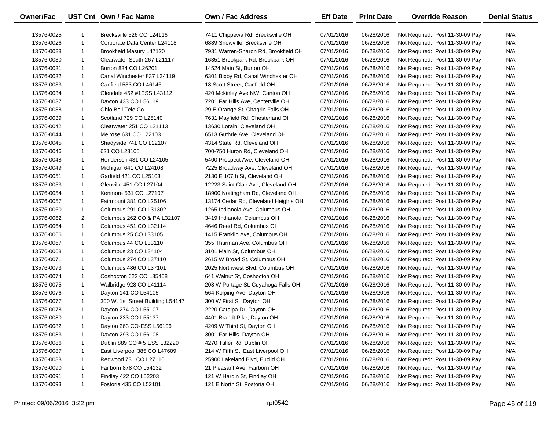| <b>Owner/Fac</b> |                | UST Cnt Own / Fac Name            | <b>Own / Fac Address</b>             | <b>Eff Date</b> | <b>Print Date</b> | <b>Override Reason</b>          | <b>Denial Status</b> |
|------------------|----------------|-----------------------------------|--------------------------------------|-----------------|-------------------|---------------------------------|----------------------|
| 13576-0025       | $\mathbf{1}$   | Brecksville 526 CO L24116         | 7411 Chippewa Rd, Brecksville OH     | 07/01/2016      | 06/28/2016        | Not Required: Post 11-30-09 Pay | N/A                  |
| 13576-0026       | $\mathbf{1}$   | Corporate Data Center L24118      | 6889 Snowville, Brecksville OH       | 07/01/2016      | 06/28/2016        | Not Required: Post 11-30-09 Pay | N/A                  |
| 13576-0028       | $\mathbf{1}$   | Brookfield Masury L47120          | 7931 Warren-Sharon Rd, Brookfield OH | 07/01/2016      | 06/28/2016        | Not Required: Post 11-30-09 Pay | N/A                  |
| 13576-0030       | $\mathbf{1}$   | Clearwater South 267 L21117       | 16351 Brookpark Rd, Brookpark OH     | 07/01/2016      | 06/28/2016        | Not Required: Post 11-30-09 Pay | N/A                  |
| 13576-0031       | $\mathbf{1}$   | Burton 834 CO L26201              | 14524 Main St, Burton OH             | 07/01/2016      | 06/28/2016        | Not Required: Post 11-30-09 Pay | N/A                  |
| 13576-0032       | $\mathbf{1}$   | Canal Winchester 837 L34119       | 6301 Bixby Rd, Canal Winchester OH   | 07/01/2016      | 06/28/2016        | Not Required: Post 11-30-09 Pay | N/A                  |
| 13576-0033       | $\mathbf{1}$   | Canfield 533 CO L46146            | 18 Scott Street, Canfield OH         | 07/01/2016      | 06/28/2016        | Not Required: Post 11-30-09 Pay | N/A                  |
| 13576-0034       | $\mathbf{1}$   | Glendale 452 #1ESS L43112         | 420 Mckinley Ave NW, Canton OH       | 07/01/2016      | 06/28/2016        | Not Required: Post 11-30-09 Pay | N/A                  |
| 13576-0037       | $\mathbf{1}$   | Dayton 433 CO L56119              | 7201 Far Hills Ave, Centerville OH   | 07/01/2016      | 06/28/2016        | Not Required: Post 11-30-09 Pay | N/A                  |
| 13576-0038       | $\mathbf{1}$   | Ohio Bell Tele Co                 | 29 E Orange St, Chagrin Falls OH     | 07/01/2016      | 06/28/2016        | Not Required: Post 11-30-09 Pay | N/A                  |
| 13576-0039       | $\mathbf{1}$   | Scotland 729 CO L25140            | 7631 Mayfield Rd, Chesterland OH     | 07/01/2016      | 06/28/2016        | Not Required: Post 11-30-09 Pay | N/A                  |
| 13576-0042       | $\mathbf{1}$   | Clearwater 251 CO L21113          | 13630 Lorain, Cleveland OH           | 07/01/2016      | 06/28/2016        | Not Required: Post 11-30-09 Pay | N/A                  |
| 13576-0044       | $\mathbf{1}$   | Melrose 631 CO L22103             | 6513 Guthrie Ave, Cleveland OH       | 07/01/2016      | 06/28/2016        | Not Required: Post 11-30-09 Pay | N/A                  |
| 13576-0045       | $\mathbf{1}$   | Shadyside 741 CO L22107           | 4314 State Rd, Cleveland OH          | 07/01/2016      | 06/28/2016        | Not Required: Post 11-30-09 Pay | N/A                  |
| 13576-0046       | $\mathbf{1}$   | 621 CO L23105                     | 700-750 Huron Rd, Cleveland OH       | 07/01/2016      | 06/28/2016        | Not Required: Post 11-30-09 Pay | N/A                  |
| 13576-0048       | $\mathbf{1}$   | Henderson 431 CO L24105           | 5400 Prospect Ave, Cleveland OH      | 07/01/2016      | 06/28/2016        | Not Required: Post 11-30-09 Pay | N/A                  |
| 13576-0049       | $\mathbf{1}$   | Michigan 641 CO L24108            | 7225 Broadway Ave, Cleveland OH      | 07/01/2016      | 06/28/2016        | Not Required: Post 11-30-09 Pay | N/A                  |
| 13576-0051       | $\mathbf{1}$   | Garfield 421 CO L25103            | 2130 E 107th St, Cleveland OH        | 07/01/2016      | 06/28/2016        | Not Required: Post 11-30-09 Pay | N/A                  |
| 13576-0053       | $\mathbf{1}$   | Glenville 451 CO L27104           | 12223 Saint Clair Ave, Cleveland OH  | 07/01/2016      | 06/28/2016        | Not Required: Post 11-30-09 Pay | N/A                  |
| 13576-0054       | $\mathbf{1}$   | Kenmore 531 CO L27107             | 18900 Nottingham Rd, Cleveland OH    | 07/01/2016      | 06/28/2016        | Not Required: Post 11-30-09 Pay | N/A                  |
| 13576-0057       | $\mathbf{1}$   | Fairmount 381 CO L25106           | 13174 Cedar Rd, Cleveland Heights OH | 07/01/2016      | 06/28/2016        | Not Required: Post 11-30-09 Pay | N/A                  |
| 13576-0060       | $\mathbf{1}$   | Columbus 291 CO L31302            | 1265 Indianola Ave, Columbus OH      | 07/01/2016      | 06/28/2016        | Not Required: Post 11-30-09 Pay | N/A                  |
| 13576-0062       | $\overline{2}$ | Columbus 262 CO & PA L32107       | 3419 Indianola, Columbus OH          | 07/01/2016      | 06/28/2016        | Not Required: Post 11-30-09 Pay | N/A                  |
| 13576-0064       | $\mathbf{1}$   | Columbus 451 CO L32114            | 4646 Reed Rd, Columbus OH            | 07/01/2016      | 06/28/2016        | Not Required: Post 11-30-09 Pay | N/A                  |
| 13576-0066       | $\mathbf{1}$   | Columbus 25 CO L33105             | 1415 Franklin Ave, Columbus OH       | 07/01/2016      | 06/28/2016        | Not Required: Post 11-30-09 Pay | N/A                  |
| 13576-0067       | $\mathbf{1}$   | Columbus 44 CO L33110             | 355 Thurman Ave, Columbus OH         | 07/01/2016      | 06/28/2016        | Not Required: Post 11-30-09 Pay | N/A                  |
| 13576-0068       | $\mathbf{1}$   | Columbus 23 CO L34104             | 3101 Main St, Columbus OH            | 07/01/2016      | 06/28/2016        | Not Required: Post 11-30-09 Pay | N/A                  |
| 13576-0071       | $\mathbf{1}$   | Columbus 274 CO L37110            | 2615 W Broad St, Columbus OH         | 07/01/2016      | 06/28/2016        | Not Required: Post 11-30-09 Pay | N/A                  |
| 13576-0073       | $\mathbf{1}$   | Columbus 486 CO L37101            | 2025 Northwest Blvd, Columbus OH     | 07/01/2016      | 06/28/2016        | Not Required: Post 11-30-09 Pay | N/A                  |
| 13576-0074       | $\mathbf{1}$   | Coshocton 622 CO L35408           | 641 Walnut St, Coshocton OH          | 07/01/2016      | 06/28/2016        | Not Required: Post 11-30-09 Pay | N/A                  |
| 13576-0075       | $\mathbf{1}$   | Walbridge 928 CO L41114           | 208 W Portage St, Cuyahoga Falls OH  | 07/01/2016      | 06/28/2016        | Not Required: Post 11-30-09 Pay | N/A                  |
| 13576-0076       | $\mathbf{1}$   | Dayton 141 CO L54105              | 564 Kolping Ave, Dayton OH           | 07/01/2016      | 06/28/2016        | Not Required: Post 11-30-09 Pay | N/A                  |
| 13576-0077       | $\mathbf{1}$   | 300 W. 1st Street Building L54147 | 300 W First St, Dayton OH            | 07/01/2016      | 06/28/2016        | Not Required: Post 11-30-09 Pay | N/A                  |
| 13576-0078       | $\mathbf{1}$   | Dayton 274 CO L55107              | 2220 Catalpa Dr, Dayton OH           | 07/01/2016      | 06/28/2016        | Not Required: Post 11-30-09 Pay | N/A                  |
| 13576-0080       | $\mathbf{1}$   | Dayton 233 CO L55137              | 4401 Brandt Pike, Dayton OH          | 07/01/2016      | 06/28/2016        | Not Required: Post 11-30-09 Pay | N/A                  |
| 13576-0082       | $\mathbf{1}$   | Dayton 263 CO-ESS L56106          | 4209 W Third St, Dayton OH           | 07/01/2016      | 06/28/2016        | Not Required: Post 11-30-09 Pay | N/A                  |
| 13576-0083       | $\mathbf{1}$   | Dayton 293 CO L56108              | 3001 Far Hills, Dayton OH            | 07/01/2016      | 06/28/2016        | Not Required: Post 11-30-09 Pay | N/A                  |
| 13576-0086       | $\mathbf{1}$   | Dublin 889 CO # 5 ESS L32229      | 4270 Tuller Rd, Dublin OH            | 07/01/2016      | 06/28/2016        | Not Required: Post 11-30-09 Pay | N/A                  |
| 13576-0087       | $\mathbf{1}$   | East Liverpool 385 CO L47609      | 214 W Fifth St, East Liverpool OH    | 07/01/2016      | 06/28/2016        | Not Required: Post 11-30-09 Pay | N/A                  |
| 13576-0088       | $\mathbf{1}$   | Redwood 731 CO L27110             | 25900 Lakeland Blvd, Euclid OH       | 07/01/2016      | 06/28/2016        | Not Required: Post 11-30-09 Pay | N/A                  |
| 13576-0090       | $\mathbf{1}$   | Fairborn 878 CO L54132            | 21 Pleasant Ave, Fairborn OH         | 07/01/2016      | 06/28/2016        | Not Required: Post 11-30-09 Pay | N/A                  |
| 13576-0091       | $\mathbf{1}$   | Findlay 422 CO L52203             | 121 W Hardin St, Findlay OH          | 07/01/2016      | 06/28/2016        | Not Required: Post 11-30-09 Pay | N/A                  |
| 13576-0093       | $\mathbf{1}$   | Fostoria 435 CO L52101            | 121 E North St, Fostoria OH          | 07/01/2016      | 06/28/2016        | Not Required: Post 11-30-09 Pay | N/A                  |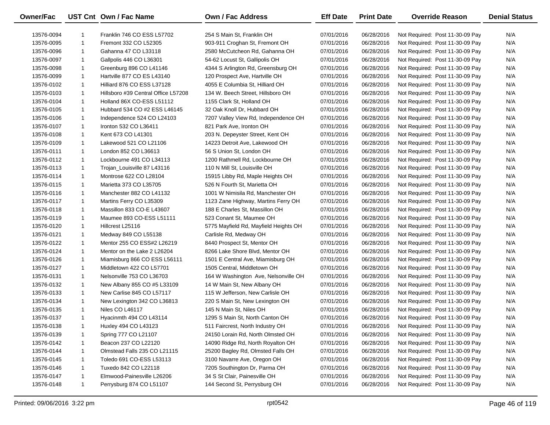| Owner/Fac  |              | UST Cnt Own / Fac Name              | <b>Own / Fac Address</b>              | <b>Eff Date</b> | <b>Print Date</b> | <b>Override Reason</b>          | <b>Denial Status</b> |
|------------|--------------|-------------------------------------|---------------------------------------|-----------------|-------------------|---------------------------------|----------------------|
| 13576-0094 | 1            | Franklin 746 CO ESS L57702          | 254 S Main St, Franklin OH            | 07/01/2016      | 06/28/2016        | Not Required: Post 11-30-09 Pay | N/A                  |
| 13576-0095 | $\mathbf{1}$ | Fremont 332 CO L52305               | 903-911 Croghan St, Fremont OH        | 07/01/2016      | 06/28/2016        | Not Required: Post 11-30-09 Pay | N/A                  |
| 13576-0096 | $\mathbf{1}$ | Gahanna 47 CO L33118                | 2580 McCutcheon Rd, Gahanna OH        | 07/01/2016      | 06/28/2016        | Not Required: Post 11-30-09 Pay | N/A                  |
| 13576-0097 | $\mathbf{1}$ | Gallpolis 446 CO L36301             | 54-62 Locust St, Gallipolis OH        | 07/01/2016      | 06/28/2016        | Not Required: Post 11-30-09 Pay | N/A                  |
| 13576-0098 | $\mathbf{1}$ | Greenburg 896 CO L41146             | 4344 S Arlington Rd, Greensburg OH    | 07/01/2016      | 06/28/2016        | Not Required: Post 11-30-09 Pay | N/A                  |
| 13576-0099 | $\mathbf{1}$ | Hartville 877 CO ES L43140          | 120 Prospect Ave, Hartville OH        | 07/01/2016      | 06/28/2016        | Not Required: Post 11-30-09 Pay | N/A                  |
| 13576-0102 | $\mathbf{1}$ | Hilliard 876 CO ESS L37128          | 4055 E Columbia St, Hilliard OH       | 07/01/2016      | 06/28/2016        | Not Required: Post 11-30-09 Pay | N/A                  |
| 13576-0103 | $\mathbf{1}$ | Hillsboro #39 Central Office L57208 | 134 W. Beech Street, Hillsboro OH     | 07/01/2016      | 06/28/2016        | Not Required: Post 11-30-09 Pay | N/A                  |
| 13576-0104 | $\mathbf{1}$ | Holland 86X CO-ESS L51112           | 1155 Clark St, Holland OH             | 07/01/2016      | 06/28/2016        | Not Required: Post 11-30-09 Pay | N/A                  |
| 13576-0105 | $\mathbf{1}$ | Hubbard 534 CO #2 ESS L46145        | 32 Oak Knoll Dr, Hubbard OH           | 07/01/2016      | 06/28/2016        | Not Required: Post 11-30-09 Pay | N/A                  |
| 13576-0106 | $\mathbf{1}$ | Independence 524 CO L24103          | 7207 Valley View Rd, Independence OH  | 07/01/2016      | 06/28/2016        | Not Required: Post 11-30-09 Pay | N/A                  |
| 13576-0107 | $\mathbf{1}$ | Ironton 532 CO L36411               | 821 Park Ave, Ironton OH              | 07/01/2016      | 06/28/2016        | Not Required: Post 11-30-09 Pay | N/A                  |
| 13576-0108 | $\mathbf{1}$ | Kent 673 CO L41301                  | 203 N. Depeyster Street, Kent OH      | 07/01/2016      | 06/28/2016        | Not Required: Post 11-30-09 Pay | N/A                  |
| 13576-0109 | $\mathbf{1}$ | Lakewood 521 CO L21106              | 14223 Detroit Ave, Lakewood OH        | 07/01/2016      | 06/28/2016        | Not Required: Post 11-30-09 Pay | N/A                  |
| 13576-0111 | $\mathbf{1}$ | London 852 CO L36613                | 56 S Union St, London OH              | 07/01/2016      | 06/28/2016        | Not Required: Post 11-30-09 Pay | N/A                  |
| 13576-0112 | $\mathbf{1}$ | Lockbourne 491 CO L34113            | 1200 Rathmell Rd, Lockbourne OH       | 07/01/2016      | 06/28/2016        | Not Required: Post 11-30-09 Pay | N/A                  |
| 13576-0113 | $\mathbf{1}$ | Trojan_Louisville 87 L43116         | 110 N Mill St, Louisville OH          | 07/01/2016      | 06/28/2016        | Not Required: Post 11-30-09 Pay | N/A                  |
| 13576-0114 | $\mathbf{1}$ | Montrose 622 CO L28104              | 15915 Libby Rd, Maple Heights OH      | 07/01/2016      | 06/28/2016        | Not Required: Post 11-30-09 Pay | N/A                  |
| 13576-0115 | $\mathbf{1}$ | Marietta 373 CO L35705              | 526 N Fourth St, Marietta OH          | 07/01/2016      | 06/28/2016        | Not Required: Post 11-30-09 Pay | N/A                  |
| 13576-0116 | $\mathbf{1}$ | Manchester 882 CO L41132            | 1001 W Nimisila Rd, Manchester OH     | 07/01/2016      | 06/28/2016        | Not Required: Post 11-30-09 Pay | N/A                  |
| 13576-0117 | $\mathbf{1}$ | Martins Ferry CO L35309             | 1123 Zane Highway, Martins Ferry OH   | 07/01/2016      | 06/28/2016        | Not Required: Post 11-30-09 Pay | N/A                  |
| 13576-0118 | $\mathbf{1}$ | Massillon 833 CO-E L43607           | 188 E Charles St, Massillon OH        | 07/01/2016      | 06/28/2016        | Not Required: Post 11-30-09 Pay | N/A                  |
| 13576-0119 | $\mathbf{1}$ | Maumee 893 CO-ESS L51111            | 523 Conant St, Maumee OH              | 07/01/2016      | 06/28/2016        | Not Required: Post 11-30-09 Pay | N/A                  |
| 13576-0120 | $\mathbf{1}$ | Hillcrest L25116                    | 5775 Mayfield Rd, Mayfield Heights OH | 07/01/2016      | 06/28/2016        | Not Required: Post 11-30-09 Pay | N/A                  |
| 13576-0121 | $\mathbf{1}$ | Medway 849 CO L55138                | Carlisle Rd, Medway OH                | 07/01/2016      | 06/28/2016        | Not Required: Post 11-30-09 Pay | N/A                  |
| 13576-0122 | $\mathbf{1}$ | Mentor 255 CO ESS#2 L26219          | 8440 Prospect St, Mentor OH           | 07/01/2016      | 06/28/2016        | Not Required: Post 11-30-09 Pay | N/A                  |
| 13576-0124 | $\mathbf{1}$ | Mentor on the Lake 2 L26204         | 8266 Lake Shore Blvd, Mentor OH       | 07/01/2016      | 06/28/2016        | Not Required: Post 11-30-09 Pay | N/A                  |
| 13576-0126 | $\mathbf{1}$ | Miamisburg 866 CO ESS L56111        | 1501 E Central Ave, Miamisburg OH     | 07/01/2016      | 06/28/2016        | Not Required: Post 11-30-09 Pay | N/A                  |
| 13576-0127 | $\mathbf{1}$ | Middletown 422 CO L57701            | 1505 Central, Middletown OH           | 07/01/2016      | 06/28/2016        | Not Required: Post 11-30-09 Pay | N/A                  |
| 13576-0131 | $\mathbf{1}$ | Nelsonville 753 CO L36703           | 164 W Washington Ave, Nelsonville OH  | 07/01/2016      | 06/28/2016        | Not Required: Post 11-30-09 Pay | N/A                  |
| 13576-0132 | $\mathbf{1}$ | New Albany 855 CO #5 L33109         | 14 W Main St, New Albany OH           | 07/01/2016      | 06/28/2016        | Not Required: Post 11-30-09 Pay | N/A                  |
| 13576-0133 | $\mathbf{1}$ | New Carlise 845 CO L57117           | 115 W Jefferson, New Carlisle OH      | 07/01/2016      | 06/28/2016        | Not Required: Post 11-30-09 Pay | N/A                  |
| 13576-0134 | $\mathbf{1}$ | New Lexington 342 CO L36813         | 220 S Main St, New Lexington OH       | 07/01/2016      | 06/28/2016        | Not Required: Post 11-30-09 Pay | N/A                  |
| 13576-0135 | $\mathbf{1}$ | Niles CO L46117                     | 145 N Main St, Niles OH               | 07/01/2016      | 06/28/2016        | Not Required: Post 11-30-09 Pay | N/A                  |
| 13576-0137 | $\mathbf{1}$ | Hyacinmth 494 CO L43114             | 1295 S Main St, North Canton OH       | 07/01/2016      | 06/28/2016        | Not Required: Post 11-30-09 Pay | N/A                  |
| 13576-0138 | 1            | Huxley 494 CO L43123                | 511 Faircrest, North Industry OH      | 07/01/2016      | 06/28/2016        | Not Required: Post 11-30-09 Pay | N/A                  |
| 13576-0139 | 1            | Spring 777 CO L21107                | 24150 Lorain Rd, North Olmsted OH     | 07/01/2016      | 06/28/2016        | Not Required: Post 11-30-09 Pay | N/A                  |
| 13576-0142 | 1            | Beacon 237 CO L22120                | 14090 Ridge Rd, North Royalton OH     | 07/01/2016      | 06/28/2016        | Not Required: Post 11-30-09 Pay | N/A                  |
| 13576-0144 | 1            | Olmstead Falls 235 CO L21115        | 25200 Bagley Rd, Olmsted Falls OH     | 07/01/2016      | 06/28/2016        | Not Required: Post 11-30-09 Pay | N/A                  |
| 13576-0145 | 1            | Toledo 691 CO-ESS L53113            | 3100 Navarre Ave, Oregon OH           | 07/01/2016      | 06/28/2016        | Not Required: Post 11-30-09 Pay | N/A                  |
| 13576-0146 | 1            | Tuxedo 842 CO L22118                | 7205 Southington Dr, Parma OH         | 07/01/2016      | 06/28/2016        | Not Required: Post 11-30-09 Pay | N/A                  |
| 13576-0147 | 1            | Elmwood-Painesville L26206          | 34 S St Clair, Painesville OH         | 07/01/2016      | 06/28/2016        | Not Required: Post 11-30-09 Pay | N/A                  |
| 13576-0148 | $\mathbf{1}$ | Perrysburg 874 CO L51107            | 144 Second St, Perrysburg OH          | 07/01/2016      | 06/28/2016        | Not Required: Post 11-30-09 Pay | N/A                  |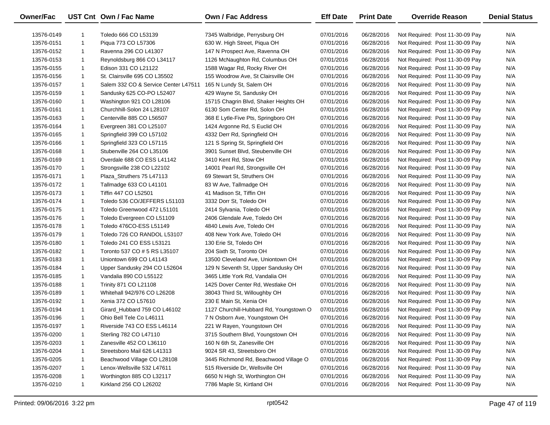| Owner/Fac  |              | UST Cnt Own / Fac Name               | <b>Own / Fac Address</b>                | <b>Eff Date</b> | <b>Print Date</b> | <b>Override Reason</b>          | <b>Denial Status</b> |
|------------|--------------|--------------------------------------|-----------------------------------------|-----------------|-------------------|---------------------------------|----------------------|
|            |              |                                      |                                         |                 |                   |                                 |                      |
| 13576-0149 |              | Toledo 666 CO L53139                 | 7345 Walbridge, Perrysburg OH           | 07/01/2016      | 06/28/2016        | Not Required: Post 11-30-09 Pay | N/A                  |
| 13576-0151 | $\mathbf 1$  | Piqua 773 CO L57306                  | 630 W. High Street, Piqua OH            | 07/01/2016      | 06/28/2016        | Not Required: Post 11-30-09 Pay | N/A                  |
| 13576-0152 | 1            | Ravenna 296 CO L41307                | 147 N Prospect Ave, Ravenna OH          | 07/01/2016      | 06/28/2016        | Not Required: Post 11-30-09 Pay | N/A                  |
| 13576-0153 | $\mathbf{1}$ | Reynoldsburg 866 CO L34117           | 1126 McNaughton Rd, Columbus OH         | 07/01/2016      | 06/28/2016        | Not Required: Post 11-30-09 Pay | N/A                  |
| 13576-0155 | $\mathbf{1}$ | Edison 331 CO L21122                 | 1588 Wagar Rd, Rocky River OH           | 07/01/2016      | 06/28/2016        | Not Required: Post 11-30-09 Pay | N/A                  |
| 13576-0156 | $\mathbf{1}$ | St. Clairsville 695 CO L35502        | 155 Woodrow Ave, St Clairsville OH      | 07/01/2016      | 06/28/2016        | Not Required: Post 11-30-09 Pay | N/A                  |
| 13576-0157 | $\mathbf 1$  | Salem 332 CO & Service Center L47511 | 165 N Lundy St, Salem OH                | 07/01/2016      | 06/28/2016        | Not Required: Post 11-30-09 Pay | N/A                  |
| 13576-0159 | -1           | Sandusky 625 CO-PO L52407            | 429 Wayne St, Sandusky OH               | 07/01/2016      | 06/28/2016        | Not Required: Post 11-30-09 Pay | N/A                  |
| 13576-0160 | $\mathbf{1}$ | Washington 921 CO L28106             | 15715 Chagrin Blvd, Shaker Heights OH   | 07/01/2016      | 06/28/2016        | Not Required: Post 11-30-09 Pay | N/A                  |
| 13576-0161 | $\mathbf 1$  | Churchhill-Solon 24 L28107           | 6130 Som Center Rd, Solon OH            | 07/01/2016      | 06/28/2016        | Not Required: Post 11-30-09 Pay | N/A                  |
| 13576-0163 | -1           | Centerville 885 CO L56507            | 368 E Lytle-Five Pts, Springboro OH     | 07/01/2016      | 06/28/2016        | Not Required: Post 11-30-09 Pay | N/A                  |
| 13576-0164 | 1            | Evergreen 381 CO L25107              | 1424 Argonne Rd, S Euclid OH            | 07/01/2016      | 06/28/2016        | Not Required: Post 11-30-09 Pay | N/A                  |
| 13576-0165 | -1           | Springfield 399 CO L57102            | 4332 Derr Rd, Springfield OH            | 07/01/2016      | 06/28/2016        | Not Required: Post 11-30-09 Pay | N/A                  |
| 13576-0166 | -1           | Springfield 323 CO L57115            | 121 S Spring St, Springfield OH         | 07/01/2016      | 06/28/2016        | Not Required: Post 11-30-09 Pay | N/A                  |
| 13576-0168 | -1           | Stubenville 264 CO L35106            | 3901 Sunset Blvd, Steubenville OH       | 07/01/2016      | 06/28/2016        | Not Required: Post 11-30-09 Pay | N/A                  |
| 13576-0169 | $\mathbf{1}$ | Overdale 688 CO ESS L41142           | 3410 Kent Rd, Stow OH                   | 07/01/2016      | 06/28/2016        | Not Required: Post 11-30-09 Pay | N/A                  |
| 13576-0170 | -1           | Strongsville 238 CO L22102           | 14001 Pearl Rd, Strongsville OH         | 07/01/2016      | 06/28/2016        | Not Required: Post 11-30-09 Pay | N/A                  |
| 13576-0171 | -1           | Plaza_Struthers 75 L47113            | 69 Stewart St, Struthers OH             | 07/01/2016      | 06/28/2016        | Not Required: Post 11-30-09 Pay | N/A                  |
| 13576-0172 | $\mathbf{1}$ | Tallmadge 633 CO L41101              | 83 W Ave, Tallmadge OH                  | 07/01/2016      | 06/28/2016        | Not Required: Post 11-30-09 Pay | N/A                  |
| 13576-0173 | $\mathbf{1}$ | Tiffin 447 CO L52501                 | 41 Madison St, Tiffin OH                | 07/01/2016      | 06/28/2016        | Not Required: Post 11-30-09 Pay | N/A                  |
| 13576-0174 | $\mathbf 1$  | Toledo 536 CO/JEFFERS L51103         | 3332 Dorr St, Toledo OH                 | 07/01/2016      | 06/28/2016        | Not Required: Post 11-30-09 Pay | N/A                  |
| 13576-0175 | 1            | Toledo Greenwood 472 L51101          | 2414 Sylvania, Toledo OH                | 07/01/2016      | 06/28/2016        | Not Required: Post 11-30-09 Pay | N/A                  |
| 13576-0176 | $\mathbf{1}$ | Toledo Evergreen CO L51109           | 2406 Glendale Ave, Toledo OH            | 07/01/2016      | 06/28/2016        | Not Required: Post 11-30-09 Pay | N/A                  |
| 13576-0178 | 1            | Toledo 476CO-ESS L51149              | 4840 Lewis Ave, Toledo OH               | 07/01/2016      | 06/28/2016        | Not Required: Post 11-30-09 Pay | N/A                  |
| 13576-0179 | $\mathbf{1}$ | Toledo 726 CO RANDOL L53107          | 408 New York Ave, Toledo OH             | 07/01/2016      | 06/28/2016        | Not Required: Post 11-30-09 Pay | N/A                  |
| 13576-0180 | $\mathbf{1}$ | Toledo 241 CO ESS L53121             | 130 Erie St, Toledo OH                  | 07/01/2016      | 06/28/2016        | Not Required: Post 11-30-09 Pay | N/A                  |
| 13576-0182 | $\mathbf{1}$ | Toronto 537 CO # 5 RS L35107         | 204 Sixth St, Toronto OH                | 07/01/2016      | 06/28/2016        | Not Required: Post 11-30-09 Pay | N/A                  |
| 13576-0183 | $\mathbf{1}$ | Uniontown 699 CO L41143              | 13500 Cleveland Ave, Uniontown OH       | 07/01/2016      | 06/28/2016        | Not Required: Post 11-30-09 Pay | N/A                  |
| 13576-0184 | $\mathbf{1}$ | Upper Sandusky 294 CO L52604         | 129 N Seventh St, Upper Sandusky OH     | 07/01/2016      | 06/28/2016        | Not Required: Post 11-30-09 Pay | N/A                  |
| 13576-0185 | -1           | Vandalia 890 CO L55122               | 3465 Little York Rd, Vandalia OH        | 07/01/2016      | 06/28/2016        | Not Required: Post 11-30-09 Pay | N/A                  |
| 13576-0188 | $\mathbf{1}$ | Trinity 871 CO L21108                | 1425 Dover Center Rd, Westlake OH       | 07/01/2016      | 06/28/2016        | Not Required: Post 11-30-09 Pay | N/A                  |
| 13576-0189 | $\mathbf{1}$ | Whitehall 942/976 CO L26208          | 38043 Third St, Willoughby OH           | 07/01/2016      | 06/28/2016        | Not Required: Post 11-30-09 Pay | N/A                  |
| 13576-0192 | $\mathbf{1}$ | Xenia 372 CO L57610                  | 230 E Main St, Xenia OH                 | 07/01/2016      | 06/28/2016        | Not Required: Post 11-30-09 Pay | N/A                  |
| 13576-0194 | $\mathbf 1$  | Girard_Hubbard 759 CO L46102         | 1127 Churchill-Hubbard Rd, Youngstown O | 07/01/2016      | 06/28/2016        | Not Required: Post 11-30-09 Pay | N/A                  |
| 13576-0196 | $\mathbf{1}$ | Ohio Bell Tele Co L46111             | 7 N Osborn Ave, Youngstown OH           | 07/01/2016      | 06/28/2016        | Not Required: Post 11-30-09 Pay | N/A                  |
| 13576-0197 |              | Riverside 743 CO ESS L46114          | 221 W Rayen, Youngstown OH              | 07/01/2016      | 06/28/2016        | Not Required: Post 11-30-09 Pay | N/A                  |
| 13576-0200 | -1           | Sterling 782 CO L47110               | 3715 Southern Blvd, Youngstown OH       | 07/01/2016      | 06/28/2016        | Not Required: Post 11-30-09 Pay | N/A                  |
| 13576-0203 | -1           | Zanesville 452 CO L36110             | 160 N 6th St, Zanesville OH             | 07/01/2016      | 06/28/2016        | Not Required: Post 11-30-09 Pay | N/A                  |
| 13576-0204 | -1           | Streetsboro Mail 626 L41313          | 9024 SR 43, Streetsboro OH              | 07/01/2016      | 06/28/2016        | Not Required: Post 11-30-09 Pay | N/A                  |
| 13576-0205 | -1           | Beachwood Village CO L28108          | 3445 Richmond Rd, Beachwood Village O   | 07/01/2016      | 06/28/2016        | Not Required: Post 11-30-09 Pay | N/A                  |
| 13576-0207 | -1           | Lenox-Wellsville 532 L47611          | 515 Riverside Dr, Wellsville OH         | 07/01/2016      | 06/28/2016        | Not Required: Post 11-30-09 Pay | N/A                  |
| 13576-0208 | -1           | Worthington 885 CO L32117            | 6650 N High St, Worthington OH          | 07/01/2016      | 06/28/2016        | Not Required: Post 11-30-09 Pay | N/A                  |
|            | 1            | Kirkland 256 CO L26202               | 7786 Maple St, Kirtland OH              |                 | 06/28/2016        | Not Required: Post 11-30-09 Pay |                      |
| 13576-0210 |              |                                      |                                         | 07/01/2016      |                   |                                 | N/A                  |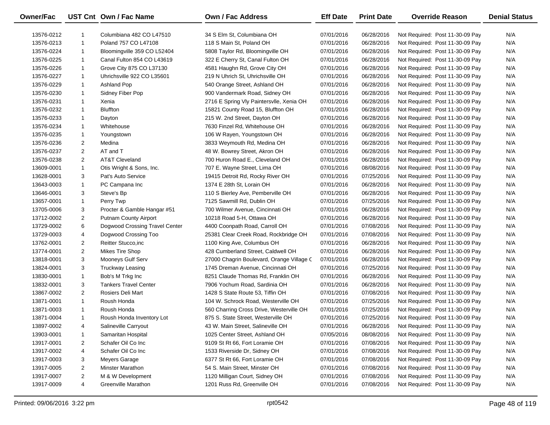| Owner/Fac  |                | UST Cnt Own / Fac Name         | <b>Own / Fac Address</b>                  | <b>Eff Date</b> | <b>Print Date</b> | <b>Override Reason</b>          | <b>Denial Status</b> |
|------------|----------------|--------------------------------|-------------------------------------------|-----------------|-------------------|---------------------------------|----------------------|
| 13576-0212 | 1              | Columbiana 482 CO L47510       | 34 S Elm St, Columbiana OH                | 07/01/2016      | 06/28/2016        | Not Required: Post 11-30-09 Pay | N/A                  |
| 13576-0213 | $\mathbf{1}$   | Poland 757 CO L47108           | 118 S Main St, Poland OH                  | 07/01/2016      | 06/28/2016        | Not Required: Post 11-30-09 Pay | N/A                  |
| 13576-0224 | $\mathbf{1}$   | Bloomingville 359 CO L52404    | 5808 Taylor Rd, Bloomingville OH          | 07/01/2016      | 06/28/2016        | Not Required: Post 11-30-09 Pay | N/A                  |
| 13576-0225 | $\mathbf{1}$   | Canal Fulton 854 CO L43619     | 322 E Cherry St, Canal Fulton OH          | 07/01/2016      | 06/28/2016        | Not Required: Post 11-30-09 Pay | N/A                  |
| 13576-0226 | $\mathbf{1}$   | Grove City 875 CO L37130       | 4581 Haughn Rd, Grove City OH             | 07/01/2016      | 06/28/2016        | Not Required: Post 11-30-09 Pay | N/A                  |
| 13576-0227 | $\mathbf{1}$   | Uhrichsville 922 CO L35601     | 219 N Uhrich St, Uhrichsville OH          | 07/01/2016      | 06/28/2016        | Not Required: Post 11-30-09 Pay | N/A                  |
| 13576-0229 | $\mathbf{1}$   | Ashland Pop                    | 540 Orange Street, Ashland OH             | 07/01/2016      | 06/28/2016        | Not Required: Post 11-30-09 Pay | N/A                  |
| 13576-0230 | $\mathbf{1}$   | Sidney Fiber Pop               | 900 Vandermark Road, Sidney OH            | 07/01/2016      | 06/28/2016        | Not Required: Post 11-30-09 Pay | N/A                  |
| 13576-0231 | $\mathbf{1}$   | Xenia                          | 2716 E Spring Vly Paintersvlle, Xenia OH  | 07/01/2016      | 06/28/2016        | Not Required: Post 11-30-09 Pay | N/A                  |
| 13576-0232 | $\mathbf{1}$   | <b>Bluffton</b>                | 15821 County Road 15, Bluffton OH         | 07/01/2016      | 06/28/2016        | Not Required: Post 11-30-09 Pay | N/A                  |
| 13576-0233 | $\mathbf{1}$   | Dayton                         | 215 W. 2nd Street, Dayton OH              | 07/01/2016      | 06/28/2016        | Not Required: Post 11-30-09 Pay | N/A                  |
| 13576-0234 | $\mathbf{1}$   | Whitehouse                     | 7630 Finzel Rd, Whitehouse OH             | 07/01/2016      | 06/28/2016        | Not Required: Post 11-30-09 Pay | N/A                  |
| 13576-0235 | $\mathbf{1}$   | Youngstown                     | 106 W Rayen, Youngstown OH                | 07/01/2016      | 06/28/2016        | Not Required: Post 11-30-09 Pay | N/A                  |
| 13576-0236 | 2              | Medina                         | 3833 Weymouth Rd, Medina OH               | 07/01/2016      | 06/28/2016        | Not Required: Post 11-30-09 Pay | N/A                  |
| 13576-0237 | $\overline{2}$ | AT and T                       | 48 W. Bowrey Street, Akron OH             | 07/01/2016      | 06/28/2016        | Not Required: Post 11-30-09 Pay | N/A                  |
| 13576-0238 | 2              | AT&T Cleveland                 | 700 Huron Road E., Cleveland OH           | 07/01/2016      | 06/28/2016        | Not Required: Post 11-30-09 Pay | N/A                  |
| 13609-0001 | $\mathbf{1}$   | Otis Wright & Sons, Inc.       | 707 E. Wayne Street, Lima OH              | 07/01/2016      | 08/08/2016        | Not Required: Post 11-30-09 Pay | N/A                  |
| 13628-0001 | 3              | Pat's Auto Service             | 19415 Detroit Rd, Rocky River OH          | 07/01/2016      | 07/25/2016        | Not Required: Post 11-30-09 Pay | N/A                  |
| 13643-0003 | $\mathbf{1}$   | PC Campana Inc                 | 1374 E 28th St, Lorain OH                 | 07/01/2016      | 06/28/2016        | Not Required: Post 11-30-09 Pay | N/A                  |
| 13646-0001 | 3              | Steve's Bp                     | 110 S Bierley Ave, Pemberville OH         | 07/01/2016      | 06/28/2016        | Not Required: Post 11-30-09 Pay | N/A                  |
| 13657-0001 | $\mathbf{1}$   | Perry Twp                      | 7125 Sawmill Rd, Dublin OH                | 07/01/2016      | 07/25/2016        | Not Required: Post 11-30-09 Pay | N/A                  |
| 13705-0006 | 3              | Procter & Gamble Hangar #51    | 700 Wilmer Avenue, Cincinnati OH          | 07/01/2016      | 06/28/2016        | Not Required: Post 11-30-09 Pay | N/A                  |
| 13712-0002 | $\overline{2}$ | Putnam County Airport          | 10218 Road 5-H, Ottawa OH                 | 07/01/2016      | 06/28/2016        | Not Required: Post 11-30-09 Pay | N/A                  |
| 13729-0002 | 6              | Dogwood Crossing Travel Center | 4400 Coonpath Road, Carroll OH            | 07/01/2016      | 07/08/2016        | Not Required: Post 11-30-09 Pay | N/A                  |
| 13729-0003 | 4              | Dogwood Crossing Too           | 25381 Clear Creek Road, Rockbridge OH     | 07/01/2016      | 07/08/2016        | Not Required: Post 11-30-09 Pay | N/A                  |
| 13762-0001 | 2              | Reitter Stucco, inc            | 1100 King Ave, Columbus OH                | 07/01/2016      | 06/28/2016        | Not Required: Post 11-30-09 Pay | N/A                  |
| 13774-0001 | $\overline{2}$ | Mikes Tire Shop                | 428 Cumberland Street, Caldwell OH        | 07/01/2016      | 06/28/2016        | Not Required: Post 11-30-09 Pay | N/A                  |
| 13818-0001 | 3              | Mooneys Gulf Serv              | 27000 Chagrin Boulevard, Orange Village C | 07/01/2016      | 06/28/2016        | Not Required: Post 11-30-09 Pay | N/A                  |
| 13824-0001 | 3              | Truckway Leasing               | 1745 Dreman Avenue, Cincinnati OH         | 07/01/2016      | 07/25/2016        | Not Required: Post 11-30-09 Pay | N/A                  |
| 13830-0001 | $\mathbf{1}$   | Bob's M Trkg Inc               | 8251 Claude Thomas Rd, Franklin OH        | 07/01/2016      | 06/28/2016        | Not Required: Post 11-30-09 Pay | N/A                  |
| 13832-0001 | 3              | <b>Tankers Travel Center</b>   | 7906 Yochum Road, Sardinia OH             | 07/01/2016      | 06/28/2016        | Not Required: Post 11-30-09 Pay | N/A                  |
| 13867-0002 | $\overline{2}$ | Rosiers Deli Mart              | 1428 S State Route 53, Tiffin OH          | 07/01/2016      | 07/08/2016        | Not Required: Post 11-30-09 Pay | N/A                  |
| 13871-0001 | $\mathbf{1}$   | Roush Honda                    | 104 W. Schrock Road, Westerville OH       | 07/01/2016      | 07/25/2016        | Not Required: Post 11-30-09 Pay | N/A                  |
| 13871-0003 | $\mathbf{1}$   | Roush Honda                    | 560 Charring Cross Drive, Westerville OH  | 07/01/2016      | 07/25/2016        | Not Required: Post 11-30-09 Pay | N/A                  |
| 13871-0004 | $\mathbf{1}$   | Roush Honda Inventory Lot      | 875 S. State Street, Westerville OH       | 07/01/2016      | 07/25/2016        | Not Required: Post 11-30-09 Pay | N/A                  |
| 13897-0002 | 4              | Salineville Carryout           | 43 W. Main Street, Salineville OH         | 07/01/2016      | 06/28/2016        | Not Required: Post 11-30-09 Pay | N/A                  |
| 13903-0001 | $\mathbf{1}$   | Samaritan Hospital             | 1025 Center Street, Ashland OH            | 07/05/2016      | 08/08/2016        | Not Required: Post 11-30-09 Pay | N/A                  |
| 13917-0001 | 2              | Schafer Oil Co Inc             | 9109 St Rt 66, Fort Loramie OH            | 07/01/2016      | 07/08/2016        | Not Required: Post 11-30-09 Pay | N/A                  |
| 13917-0002 | 4              | Schafer Oil Co Inc             | 1533 Riverside Dr, Sidney OH              | 07/01/2016      | 07/08/2016        | Not Required: Post 11-30-09 Pay | N/A                  |
| 13917-0003 | 3              | Meyers Garage                  | 6377 St Rt 66, Fort Loramie OH            | 07/01/2016      | 07/08/2016        | Not Required: Post 11-30-09 Pay | N/A                  |
| 13917-0005 | $\overline{2}$ | Minster Marathon               | 54 S. Main Street, Minster OH             | 07/01/2016      | 07/08/2016        | Not Required: Post 11-30-09 Pay | N/A                  |
| 13917-0007 | $\overline{c}$ | M & W Development              | 1120 Milligan Court, Sidney OH            | 07/01/2016      | 07/08/2016        | Not Required: Post 11-30-09 Pay | N/A                  |
| 13917-0009 | 4              | <b>Greenville Marathon</b>     | 1201 Russ Rd, Greenville OH               | 07/01/2016      | 07/08/2016        | Not Required: Post 11-30-09 Pay | N/A                  |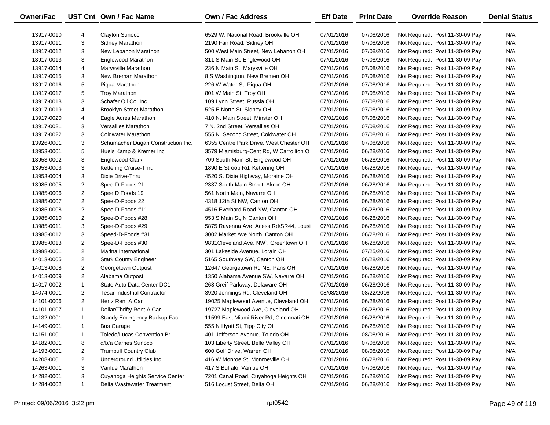| Owner/Fac  |                | UST Cnt Own / Fac Name             | Own / Fac Address                        | <b>Eff Date</b> | <b>Print Date</b> | <b>Override Reason</b>          | <b>Denial Status</b> |
|------------|----------------|------------------------------------|------------------------------------------|-----------------|-------------------|---------------------------------|----------------------|
| 13917-0010 | 4              | <b>Clayton Sunoco</b>              | 6529 W. National Road, Brookville OH     | 07/01/2016      | 07/08/2016        | Not Required: Post 11-30-09 Pay | N/A                  |
| 13917-0011 | 3              | <b>Sidney Marathon</b>             | 2190 Fair Road, Sidney OH                | 07/01/2016      | 07/08/2016        | Not Required: Post 11-30-09 Pay | N/A                  |
| 13917-0012 | 3              | New Lebanon Marathon               | 500 West Main Street, New Lebanon OH     | 07/01/2016      | 07/08/2016        | Not Required: Post 11-30-09 Pay | N/A                  |
| 13917-0013 | 3              | Englewood Marathon                 | 311 S Main St, Englewood OH              | 07/01/2016      | 07/08/2016        | Not Required: Post 11-30-09 Pay | N/A                  |
| 13917-0014 | 4              | Marysville Marathon                | 236 N Main St, Marysville OH             | 07/01/2016      | 07/08/2016        | Not Required: Post 11-30-09 Pay | N/A                  |
| 13917-0015 | 3              | New Breman Marathon                | 8 S Washington, New Bremen OH            | 07/01/2016      | 07/08/2016        | Not Required: Post 11-30-09 Pay | N/A                  |
| 13917-0016 | 5              | Piqua Marathon                     | 226 W Water St, Piqua OH                 | 07/01/2016      | 07/08/2016        | Not Required: Post 11-30-09 Pay | N/A                  |
| 13917-0017 | 5              | <b>Troy Marathon</b>               | 801 W Main St, Troy OH                   | 07/01/2016      | 07/08/2016        | Not Required: Post 11-30-09 Pay | N/A                  |
| 13917-0018 | 3              | Schafer Oil Co. Inc.               | 109 Lynn Street, Russia OH               | 07/01/2016      | 07/08/2016        | Not Required: Post 11-30-09 Pay | N/A                  |
| 13917-0019 | 4              | <b>Brooklyn Street Marathon</b>    | 525 E North St, Sidney OH                | 07/01/2016      | 07/08/2016        | Not Required: Post 11-30-09 Pay | N/A                  |
| 13917-0020 | 4              | Eagle Acres Marathon               | 410 N. Main Street, Minster OH           | 07/01/2016      | 07/08/2016        | Not Required: Post 11-30-09 Pay | N/A                  |
| 13917-0021 | 3              | Versailles Marathon                | 7 N. 2nd Street, Versailles OH           | 07/01/2016      | 07/08/2016        | Not Required: Post 11-30-09 Pay | N/A                  |
| 13917-0022 | 3              | <b>Coldwater Marathon</b>          | 555 N. Second Street, Coldwater OH       | 07/01/2016      | 07/08/2016        | Not Required: Post 11-30-09 Pay | N/A                  |
| 13926-0001 | 3              | Schumacher Dugan Construction Inc. | 6355 Centre Park Drive, West Chester OH  | 07/01/2016      | 07/08/2016        | Not Required: Post 11-30-09 Pay | N/A                  |
| 13953-0001 | 5              | Huels Kamp & Kremer Inc            | 3579 Miamisburg-Cent Rd, W Carrollton O  | 07/01/2016      | 06/28/2016        | Not Required: Post 11-30-09 Pay | N/A                  |
| 13953-0002 | 3              | Englewood Clark                    | 709 South Main St, Englewood OH          | 07/01/2016      | 06/28/2016        | Not Required: Post 11-30-09 Pay | N/A                  |
| 13953-0003 | 3              | Kettering Cruise-Thru              | 1890 E Stroop Rd, Kettering OH           | 07/01/2016      | 06/28/2016        | Not Required: Post 11-30-09 Pay | N/A                  |
| 13953-0004 | 3              | Dixie Drive-Thru                   | 4520 S. Dixie Highway, Moraine OH        | 07/01/2016      | 06/28/2016        | Not Required: Post 11-30-09 Pay | N/A                  |
| 13985-0005 | $\overline{2}$ | Spee-D-Foods 21                    | 2337 South Main Street, Akron OH         | 07/01/2016      | 06/28/2016        | Not Required: Post 11-30-09 Pay | N/A                  |
| 13985-0006 | $\overline{a}$ | Spee D Foods 19                    | 561 North Main, Navarre OH               | 07/01/2016      | 06/28/2016        | Not Required: Post 11-30-09 Pay | N/A                  |
| 13985-0007 | $\overline{2}$ | Spee-D-Foods 22                    | 4318 12th St NW, Canton OH               | 07/01/2016      | 06/28/2016        | Not Required: Post 11-30-09 Pay | N/A                  |
| 13985-0008 | $\overline{2}$ | Spee-D-Foods #11                   | 4516 Everhard Road NW, Canton OH         | 07/01/2016      | 06/28/2016        | Not Required: Post 11-30-09 Pay | N/A                  |
| 13985-0010 | $\overline{a}$ | Spee-D-Foods #28                   | 953 S Main St, N Canton OH               | 07/01/2016      | 06/28/2016        | Not Required: Post 11-30-09 Pay | N/A                  |
| 13985-0011 | 3              | Spee-D-Foods #29                   | 5875 Ravenna Ave Acess Rd/SR44, Lousi    | 07/01/2016      | 06/28/2016        | Not Required: Post 11-30-09 Pay | N/A                  |
| 13985-0012 | 3              | Speed-D-Foods #31                  | 3002 Market Ave North, Canton OH         | 07/01/2016      | 06/28/2016        | Not Required: Post 11-30-09 Pay | N/A                  |
| 13985-0013 | $\overline{a}$ | Spee-D-Foods #30                   | 9831 Cleveland Ave. NW, Greentown OH     | 07/01/2016      | 06/28/2016        | Not Required: Post 11-30-09 Pay | N/A                  |
| 13988-0001 | $\overline{a}$ | Marina International               | 301 Lakeside Avenue, Lorain OH           | 07/01/2016      | 07/25/2016        | Not Required: Post 11-30-09 Pay | N/A                  |
| 14013-0005 | $\overline{2}$ | <b>Stark County Engineer</b>       | 5165 Southway SW, Canton OH              | 07/01/2016      | 06/28/2016        | Not Required: Post 11-30-09 Pay | N/A                  |
| 14013-0008 | $\overline{2}$ | Georgetown Outpost                 | 12647 Georgetown Rd NE, Paris OH         | 07/01/2016      | 06/28/2016        | Not Required: Post 11-30-09 Pay | N/A                  |
| 14013-0009 | $\overline{2}$ | Alabama Outpost                    | 1350 Alabama Avenue SW, Navarre OH       | 07/01/2016      | 06/28/2016        | Not Required: Post 11-30-09 Pay | N/A                  |
| 14017-0002 | $\mathbf{1}$   | State Auto Data Center DC1         | 268 Greif Parkway, Delaware OH           | 07/01/2016      | 06/28/2016        | Not Required: Post 11-30-09 Pay | N/A                  |
| 14074-0001 | $\overline{2}$ | <b>Tesar Industrial Contractor</b> | 3920 Jennings Rd, Cleveland OH           | 08/08/2016      | 08/22/2016        | Not Required: Post 11-30-09 Pay | N/A                  |
| 14101-0006 | $\overline{2}$ | Hertz Rent A Car                   | 19025 Maplewood Avenue, Cleveland OH     | 07/01/2016      | 06/28/2016        | Not Required: Post 11-30-09 Pay | N/A                  |
| 14101-0007 | $\mathbf{1}$   | Dollar/Thrifty Rent A Car          | 19727 Maplewood Ave, Cleveland OH        | 07/01/2016      | 06/28/2016        | Not Required: Post 11-30-09 Pay | N/A                  |
| 14132-0001 | $\mathbf{1}$   | Standy Emergency Backup Fac        | 11599 East Miami River Rd, Cincinnati OH | 07/01/2016      | 06/28/2016        | Not Required: Post 11-30-09 Pay | N/A                  |
| 14149-0001 | -1             | <b>Bus Garage</b>                  | 555 N Hyatt St, Tipp City OH             | 07/01/2016      | 06/28/2016        | Not Required: Post 11-30-09 Pay | N/A                  |
| 14151-0001 | -1             | Toledo/Lucas Convention Br         | 401 Jefferson Avenue, Toledo OH          | 07/01/2016      | 08/08/2016        | Not Required: Post 11-30-09 Pay | N/A                  |
| 14182-0001 | 8              | d/b/a Carnes Sunoco                | 103 Liberty Street, Belle Valley OH      | 07/01/2016      | 07/08/2016        | Not Required: Post 11-30-09 Pay | N/A                  |
| 14193-0001 | 2              | <b>Trumbull Country Club</b>       | 600 Golf Drive, Warren OH                | 07/01/2016      | 08/08/2016        | Not Required: Post 11-30-09 Pay | N/A                  |
| 14208-0001 | 2              | Underground Utilities Inc          | 416 W Monroe St, Monroeville OH          | 07/01/2016      | 06/28/2016        | Not Required: Post 11-30-09 Pay | N/A                  |
| 14263-0001 | 3              | Vanlue Marathon                    | 417 S Buffalo, Vanlue OH                 | 07/01/2016      | 07/08/2016        | Not Required: Post 11-30-09 Pay | N/A                  |
| 14282-0001 | 3              | Cuyahoga Heights Service Center    | 7201 Canal Road, Cuyahoga Heights OH     | 07/01/2016      | 06/28/2016        | Not Required: Post 11-30-09 Pay | N/A                  |
| 14284-0002 | $\mathbf{1}$   | Delta Wastewater Treatment         | 516 Locust Street, Delta OH              | 07/01/2016      | 06/28/2016        | Not Required: Post 11-30-09 Pay | N/A                  |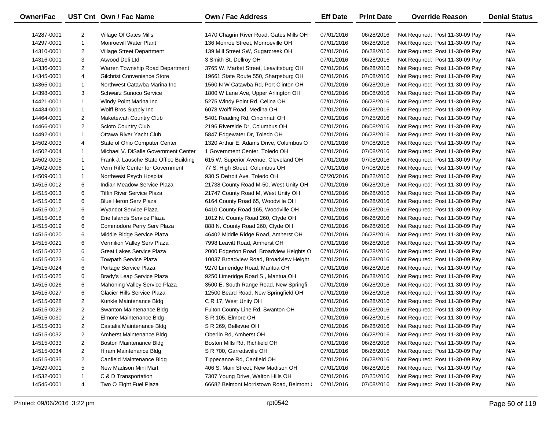| <b>Owner/Fac</b> |                | UST Cnt Own / Fac Name                 | <b>Own / Fac Address</b>                 | <b>Eff Date</b> | <b>Print Date</b> | <b>Override Reason</b>          | <b>Denial Status</b> |
|------------------|----------------|----------------------------------------|------------------------------------------|-----------------|-------------------|---------------------------------|----------------------|
| 14287-0001       | $\overline{2}$ | Village Of Gates Mills                 | 1470 Chagrin River Road, Gates Mills OH  | 07/01/2016      | 06/28/2016        | Not Required: Post 11-30-09 Pay | N/A                  |
| 14297-0001       | $\mathbf{1}$   | Monroevill Water Plant                 | 136 Monroe Street, Monroeville OH        | 07/01/2016      | 06/28/2016        | Not Required: Post 11-30-09 Pay | N/A                  |
| 14310-0001       | $\overline{2}$ | Village Street Department              | 139 Mill Street SW, Sugarcreek OH        | 07/01/2016      | 06/28/2016        | Not Required: Post 11-30-09 Pay | N/A                  |
| 14316-0001       | 3              | Atwood Deli Ltd                        | 3 Smith St, Dellroy OH                   | 07/01/2016      | 06/28/2016        | Not Required: Post 11-30-09 Pay | N/A                  |
| 14336-0001       | $\overline{2}$ | Warren Township Road Department        | 3765 W. Market Street, Leavittsburg OH   | 07/01/2016      | 06/28/2016        | Not Required: Post 11-30-09 Pay | N/A                  |
| 14345-0001       | 4              | <b>Gilchrist Convenience Store</b>     | 19661 State Route 550, Sharpsburg OH     | 07/01/2016      | 07/08/2016        | Not Required: Post 11-30-09 Pay | N/A                  |
| 14365-0001       | $\mathbf{1}$   | Northwest Catawba Marina Inc           | 1560 N W Catawba Rd, Port Clinton OH     | 07/01/2016      | 06/28/2016        | Not Required: Post 11-30-09 Pay | N/A                  |
| 14398-0001       | 3              | <b>Schwarz Sunoco Service</b>          | 1800 W Lane Ave, Upper Arlington OH      | 07/01/2016      | 08/08/2016        | Not Required: Post 11-30-09 Pay | N/A                  |
| 14421-0001       | $\mathbf{1}$   | Windy Point Marina Inc                 | 5275 Windy Point Rd, Celina OH           | 07/01/2016      | 06/28/2016        | Not Required: Post 11-30-09 Pay | N/A                  |
| 14434-0001       | $\mathbf{1}$   | Wolff Bros Supply Inc                  | 6078 Wolff Road, Medina OH               | 07/01/2016      | 06/28/2016        | Not Required: Post 11-30-09 Pay | N/A                  |
| 14464-0001       | $\overline{2}$ | Maketewah Country Club                 | 5401 Reading Rd, Cincinnati OH           | 07/01/2016      | 07/25/2016        | Not Required: Post 11-30-09 Pay | N/A                  |
| 14466-0001       | $\overline{2}$ | Scioto Country Club                    | 2196 Riverside Dr, Columbus OH           | 07/01/2016      | 08/08/2016        | Not Required: Post 11-30-09 Pay | N/A                  |
| 14492-0001       | $\mathbf{1}$   | Ottawa River Yacht Club                | 5847 Edgewater Dr, Toledo OH             | 07/01/2016      | 06/28/2016        | Not Required: Post 11-30-09 Pay | N/A                  |
| 14502-0003       | 4              | State of Ohio Computer Center          | 1320 Arthur E. Adams Drive, Columbus O   | 07/01/2016      | 07/08/2016        | Not Required: Post 11-30-09 Pay | N/A                  |
| 14502-0004       | $\mathbf{1}$   | Michael V. DiSalle Government Center   | 1 Government Center, Toledo OH           | 07/01/2016      | 07/08/2016        | Not Required: Post 11-30-09 Pay | N/A                  |
| 14502-0005       | $\mathbf{1}$   | Frank J. Lausche State Office Building | 615 W. Superior Avenue, Cleveland OH     | 07/01/2016      | 07/08/2016        | Not Required: Post 11-30-09 Pay | N/A                  |
| 14502-0006       | $\mathbf{1}$   | Vern Riffe Center for Government       | 77 S. High Street, Columbus OH           | 07/01/2016      | 07/08/2016        | Not Required: Post 11-30-09 Pay | N/A                  |
| 14509-0011       | $\mathbf{1}$   | Northwest Psych Hospital               | 930 S Detroit Ave, Toledo OH             | 07/20/2016      | 08/22/2016        | Not Required: Post 11-30-09 Pay | N/A                  |
| 14515-0012       | 6              | Indian Meadow Service Plaza            | 21738 County Road M-50, West Unity OH    | 07/01/2016      | 06/28/2016        | Not Required: Post 11-30-09 Pay | N/A                  |
| 14515-0013       | 6              | <b>Tiffin River Service Plaza</b>      | 21747 County Road M, West Unity OH       | 07/01/2016      | 06/28/2016        | Not Required: Post 11-30-09 Pay | N/A                  |
| 14515-0016       | 6              | <b>Blue Heron Serv Plaza</b>           | 6164 County Road 65, Woodville OH        | 07/01/2016      | 06/28/2016        | Not Required: Post 11-30-09 Pay | N/A                  |
| 14515-0017       | 6              | Wyandot Service Plaza                  | 6410 County Road 165, Woodville OH       | 07/01/2016      | 06/28/2016        | Not Required: Post 11-30-09 Pay | N/A                  |
| 14515-0018       | 6              | Erie Islands Service Plaza             | 1012 N. County Road 260, Clyde OH        | 07/01/2016      | 06/28/2016        | Not Required: Post 11-30-09 Pay | N/A                  |
| 14515-0019       | 6              | Commodore Perry Serv Plaza             | 888 N. County Road 260, Clyde OH         | 07/01/2016      | 06/28/2016        | Not Required: Post 11-30-09 Pay | N/A                  |
| 14515-0020       | 6              | Middle Ridge Service Plaza             | 46402 Middle Ridge Road, Amherst OH      | 07/01/2016      | 06/28/2016        | Not Required: Post 11-30-09 Pay | N/A                  |
| 14515-0021       | 6              | Vermilion Valley Serv Plaza            | 7998 Leavitt Road, Amherst OH            | 07/01/2016      | 06/28/2016        | Not Required: Post 11-30-09 Pay | N/A                  |
| 14515-0022       | 6              | Great Lakes Service Plaza              | 2000 Edgerton Road, Broadview Heights O  | 07/01/2016      | 06/28/2016        | Not Required: Post 11-30-09 Pay | N/A                  |
| 14515-0023       | 6              | <b>Towpath Service Plaza</b>           | 10037 Broadview Road, Broadview Height   | 07/01/2016      | 06/28/2016        | Not Required: Post 11-30-09 Pay | N/A                  |
| 14515-0024       | 6              | Portage Service Plaza                  | 9270 Limeridge Road, Mantua OH           | 07/01/2016      | 06/28/2016        | Not Required: Post 11-30-09 Pay | N/A                  |
| 14515-0025       | 6              | Brady's Leap Service Plaza             | 9250 Limeridge Road S., Mantua OH        | 07/01/2016      | 06/28/2016        | Not Required: Post 11-30-09 Pay | N/A                  |
| 14515-0026       | 6              | Mahoning Valley Service Plaza          | 3500 E. South Range Road, New Springfi   | 07/01/2016      | 06/28/2016        | Not Required: Post 11-30-09 Pay | N/A                  |
| 14515-0027       | 6              | Glacier Hills Service Plaza            | 12500 Beard Road, New Springfield OH     | 07/01/2016      | 06/28/2016        | Not Required: Post 11-30-09 Pay | N/A                  |
| 14515-0028       | $\overline{2}$ | Kunkle Maintenance Bldg                | C R 17, West Unity OH                    | 07/01/2016      | 06/28/2016        | Not Required: Post 11-30-09 Pay | N/A                  |
| 14515-0029       | $\overline{2}$ | Swanton Maintenance Bldg               | Fulton County Line Rd, Swanton OH        | 07/01/2016      | 06/28/2016        | Not Required: Post 11-30-09 Pay | N/A                  |
| 14515-0030       | $\overline{2}$ | Elmore Maintenance Bldg                | S R 105, Elmore OH                       | 07/01/2016      | 06/28/2016        | Not Required: Post 11-30-09 Pay | N/A                  |
| 14515-0031       | $\overline{c}$ | Castalia Maintenance Bldg              | S R 269, Bellevue OH                     | 07/01/2016      | 06/28/2016        | Not Required: Post 11-30-09 Pay | N/A                  |
| 14515-0032       | 2              | Amherst Maintenance Bldg               | Oberlin Rd, Amherst OH                   | 07/01/2016      | 06/28/2016        | Not Required: Post 11-30-09 Pay | N/A                  |
| 14515-0033       | 2              | <b>Boston Maintenance Bldg</b>         | Boston Mills Rd, Richfield OH            | 07/01/2016      | 06/28/2016        | Not Required: Post 11-30-09 Pay | N/A                  |
| 14515-0034       | 2              | Hiram Maintenance Bldg                 | S R 700, Garrettsville OH                | 07/01/2016      | 06/28/2016        | Not Required: Post 11-30-09 Pay | N/A                  |
| 14515-0035       | 2              | Canfield Maintenance Bldg              | Tippecanoe Rd, Canfield OH               | 07/01/2016      | 06/28/2016        | Not Required: Post 11-30-09 Pay | N/A                  |
| 14529-0001       | 5              | New Madison Mini Mart                  | 406 S. Main Street, New Madison OH       | 07/01/2016      | 06/28/2016        | Not Required: Post 11-30-09 Pay | N/A                  |
| 14532-0001       | 1              | C & D Transportation                   | 7307 Young Drive, Walton Hills OH        | 07/01/2016      | 07/25/2016        | Not Required: Post 11-30-09 Pay | N/A                  |
| 14545-0001       | 4              | Two O Eight Fuel Plaza                 | 66682 Belmont Morristown Road, Belmont ( | 07/01/2016      | 07/08/2016        | Not Required: Post 11-30-09 Pay | N/A                  |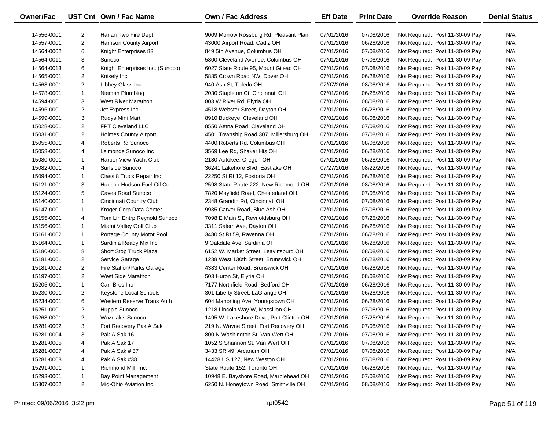| Owner/Fac  |                | UST Cnt Own / Fac Name           | <b>Own / Fac Address</b>                 | <b>Eff Date</b> | <b>Print Date</b> | <b>Override Reason</b>          | <b>Denial Status</b> |
|------------|----------------|----------------------------------|------------------------------------------|-----------------|-------------------|---------------------------------|----------------------|
| 14556-0001 | 2              | Harlan Twp Fire Dept             | 9009 Morrow Rossburg Rd, Pleasant Plain  | 07/01/2016      | 07/08/2016        | Not Required: Post 11-30-09 Pay | N/A                  |
| 14557-0001 | $\overline{2}$ | <b>Harrison County Airport</b>   | 43000 Airport Road, Cadiz OH             | 07/01/2016      | 06/28/2016        | Not Required: Post 11-30-09 Pay | N/A                  |
| 14564-0002 | 6              | Knight Enterprises 83            | 849 5th Avenue, Columbus OH              | 07/01/2016      | 07/08/2016        | Not Required: Post 11-30-09 Pay | N/A                  |
| 14564-0011 | 3              | Sunoco                           | 5800 Cleveland Avenue, Columbus OH       | 07/01/2016      | 07/08/2016        | Not Required: Post 11-30-09 Pay | N/A                  |
| 14564-0013 | 6              | Knight Enterprises Inc. (Sunoco) | 6027 State Route 95, Mount Gilead OH     | 07/01/2016      | 07/08/2016        | Not Required: Post 11-30-09 Pay | N/A                  |
| 14565-0001 | $\overline{2}$ | Knisely Inc                      | 5885 Crown Road NW, Dover OH             | 07/01/2016      | 06/28/2016        | Not Required: Post 11-30-09 Pay | N/A                  |
| 14568-0001 | $\overline{2}$ | Libbey Glass Inc                 | 940 Ash St, Toledo OH                    | 07/07/2016      | 08/08/2016        | Not Required: Post 11-30-09 Pay | N/A                  |
| 14578-0001 | $\mathbf{1}$   | Nieman Plumbing                  | 2030 Stapleton Ct, Cincinnati OH         | 07/01/2016      | 06/28/2016        | Not Required: Post 11-30-09 Pay | N/A                  |
| 14594-0001 | 3              | <b>West River Marathon</b>       | 803 W River Rd, Elyria OH                | 07/01/2016      | 08/08/2016        | Not Required: Post 11-30-09 Pay | N/A                  |
| 14596-0001 | $\overline{2}$ | Jet Express Inc                  | 4518 Webster Street, Dayton OH           | 07/01/2016      | 06/28/2016        | Not Required: Post 11-30-09 Pay | N/A                  |
| 14599-0001 | 3              | Rudys Mini Mart                  | 8910 Buckeye, Cleveland OH               | 07/01/2016      | 08/08/2016        | Not Required: Post 11-30-09 Pay | N/A                  |
| 15028-0001 | $\overline{2}$ | FPT Cleveland LLC                | 8550 Aetna Road, Cleveland OH            | 07/01/2016      | 07/08/2016        | Not Required: Post 11-30-09 Pay | N/A                  |
| 15031-0001 | $\overline{2}$ | <b>Holmes County Airport</b>     | 4501 Township Road 307, Millersburg OH   | 07/01/2016      | 07/08/2016        | Not Required: Post 11-30-09 Pay | N/A                  |
| 15055-0001 | 4              | Roberts Rd Sunoco                | 4400 Roberts Rd, Columbus OH             | 07/01/2016      | 08/08/2016        | Not Required: Post 11-30-09 Pay | N/A                  |
| 15058-0001 | 4              | Le'monde Sunoco Inc              | 3569 Lee Rd, Shaker Hts OH               | 07/01/2016      | 06/28/2016        | Not Required: Post 11-30-09 Pay | N/A                  |
| 15080-0001 | 1              | Harbor View Yacht Club           | 2180 Autokee, Oregon OH                  | 07/01/2016      | 06/28/2016        | Not Required: Post 11-30-09 Pay | N/A                  |
| 15082-0001 | 4              | Surfside Sunoco                  | 36241 Lakehore Blvd, Eastlake OH         | 07/27/2016      | 08/22/2016        | Not Required: Post 11-30-09 Pay | N/A                  |
| 15094-0001 | $\mathbf{1}$   | Class 8 Truck Repair Inc         | 22250 St Rt 12, Fostoria OH              | 07/01/2016      | 06/28/2016        | Not Required: Post 11-30-09 Pay | N/A                  |
| 15121-0001 | 3              | Hudson Hudson Fuel Oil Co.       | 2598 State Route 222, New Richmond OH    | 07/01/2016      | 08/08/2016        | Not Required: Post 11-30-09 Pay | N/A                  |
| 15124-0001 | 5              | Caves Road Sunoco                | 7820 Mayfield Road, Chesterland OH       | 07/01/2016      | 07/08/2016        | Not Required: Post 11-30-09 Pay | N/A                  |
| 15140-0001 | 1              | Cincinnati Country Club          | 2348 Grandin Rd, Cincinnati OH           | 07/01/2016      | 07/08/2016        | Not Required: Post 11-30-09 Pay | N/A                  |
| 15147-0001 | $\mathbf{1}$   | Kroger Corp Data Center          | 9935 Carver Road, Blue Ash OH            | 07/01/2016      | 07/08/2016        | Not Required: Post 11-30-09 Pay | N/A                  |
| 15155-0001 | 4              | Tom Lin Entrp Reynold Sunoco     | 7098 E Main St, Reynoldsburg OH          | 07/01/2016      | 07/25/2016        | Not Required: Post 11-30-09 Pay | N/A                  |
| 15156-0001 | $\mathbf{1}$   | Miami Valley Golf Club           | 3311 Salem Ave, Dayton OH                | 07/01/2016      | 06/28/2016        | Not Required: Post 11-30-09 Pay | N/A                  |
| 15161-0002 | 1              | Portage County Motor Pool        | 3480 St Rt 59, Ravenna OH                | 07/01/2016      | 06/28/2016        | Not Required: Post 11-30-09 Pay | N/A                  |
| 15164-0001 | $\mathbf{1}$   | Sardinia Ready Mix Inc           | 9 Oakdale Ave, Sardinia OH               | 07/01/2016      | 06/28/2016        | Not Required: Post 11-30-09 Pay | N/A                  |
| 15180-0001 | 8              | Short Stop Truck Plaza           | 6152 W. Market Street, Leavittsburg OH   | 07/01/2016      | 08/08/2016        | Not Required: Post 11-30-09 Pay | N/A                  |
| 15181-0001 | $\overline{2}$ | Service Garage                   | 1238 West 130th Street, Brunswick OH     | 07/01/2016      | 06/28/2016        | Not Required: Post 11-30-09 Pay | N/A                  |
| 15181-0002 | $\overline{2}$ | Fire Station/Parks Garage        | 4383 Center Road, Brunswick OH           | 07/01/2016      | 06/28/2016        | Not Required: Post 11-30-09 Pay | N/A                  |
| 15197-0001 | $\overline{2}$ | West Side Marathon               | 503 Huron St, Elyria OH                  | 07/01/2016      | 08/08/2016        | Not Required: Post 11-30-09 Pay | N/A                  |
| 15205-0001 | $\mathbf{1}$   | Carr Bros Inc                    | 7177 Northfield Road, Bedford OH         | 07/01/2016      | 06/28/2016        | Not Required: Post 11-30-09 Pay | N/A                  |
| 15230-0001 | $\overline{2}$ | Keystone Local Schools           | 301 Liberty Street, LaGrange OH          | 07/01/2016      | 06/28/2016        | Not Required: Post 11-30-09 Pay | N/A                  |
| 15234-0001 | 6              | Western Reserve Trans Auth       | 604 Mahoning Ave, Youngstown OH          | 07/01/2016      | 06/28/2016        | Not Required: Post 11-30-09 Pay | N/A                  |
| 15251-0001 | $\overline{2}$ | Hupp's Sunoco                    | 1218 Lincoln Way W, Massillon OH         | 07/01/2016      | 07/08/2016        | Not Required: Post 11-30-09 Pay | N/A                  |
| 15268-0001 | $\overline{2}$ | <b>Wozniak's Sunoco</b>          | 1495 W. Lakeshore Drive, Port Clinton OH | 07/01/2016      | 07/25/2016        | Not Required: Post 11-30-09 Pay | N/A                  |
| 15281-0002 | 3              | Fort Recovery Pak A Sak          | 219 N. Wayne Street, Fort Recovery OH    | 07/01/2016      | 07/08/2016        | Not Required: Post 11-30-09 Pay | N/A                  |
| 15281-0004 | 3              | Pak A Sak 16                     | 800 N Washington St, Van Wert OH         | 07/01/2016      | 07/08/2016        | Not Required: Post 11-30-09 Pay | N/A                  |
| 15281-0005 | 4              | Pak A Sak 17                     | 1052 S Shannon St, Van Wert OH           | 07/01/2016      | 07/08/2016        | Not Required: Post 11-30-09 Pay | N/A                  |
| 15281-0007 | 4              | Pak A Sak # 37                   | 3433 SR 49, Arcanum OH                   | 07/01/2016      | 07/08/2016        | Not Required: Post 11-30-09 Pay | N/A                  |
| 15281-0008 | 4              | Pak A Sak #38                    | 14428 US 127, New Weston OH              | 07/01/2016      | 07/08/2016        | Not Required: Post 11-30-09 Pay | N/A                  |
| 15291-0001 | 1              | Richmond Mill, Inc.              | State Route 152, Toronto OH              | 07/01/2016      | 06/28/2016        | Not Required: Post 11-30-09 Pay | N/A                  |
| 15293-0001 | 1              | <b>Bay Point Management</b>      | 10948 E. Bayshore Road, Marblehead OH    | 07/01/2016      | 07/08/2016        | Not Required: Post 11-30-09 Pay | N/A                  |
| 15307-0002 | 2              | Mid-Ohio Aviation Inc.           | 6250 N. Honeytown Road, Smithville OH    | 07/01/2016      | 08/08/2016        | Not Required: Post 11-30-09 Pay | N/A                  |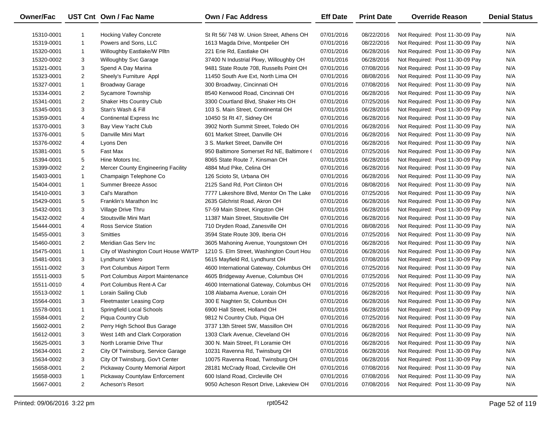| Owner/Fac  |                | UST Cnt Own / Fac Name              | Own / Fac Address                         | <b>Eff Date</b> | <b>Print Date</b> | <b>Override Reason</b>          | <b>Denial Status</b> |
|------------|----------------|-------------------------------------|-------------------------------------------|-----------------|-------------------|---------------------------------|----------------------|
| 15310-0001 |                | <b>Hocking Valley Concrete</b>      | St Rt 56/748 W. Union Street, Athens OH   | 07/01/2016      | 08/22/2016        | Not Required: Post 11-30-09 Pay | N/A                  |
| 15319-0001 | $\mathbf{1}$   | Powers and Sons, LLC                | 1613 Magda Drive, Montpelier OH           | 07/01/2016      | 08/22/2016        | Not Required: Post 11-30-09 Pay | N/A                  |
| 15320-0001 | $\mathbf{1}$   | Willoughby Eastlake/W Plltn         | 221 Erie Rd, Eastlake OH                  | 07/01/2016      | 06/28/2016        | Not Required: Post 11-30-09 Pay | N/A                  |
| 15320-0002 | 3              | Willoughby Svc Garage               | 37400 N Industrial Pkwy, Willoughby OH    | 07/01/2016      | 06/28/2016        | Not Required: Post 11-30-09 Pay | N/A                  |
| 15321-0001 | 3              | Spend A Day Marina                  | 9481 State Route 708, Russells Point OH   | 07/01/2016      | 07/08/2016        | Not Required: Post 11-30-09 Pay | N/A                  |
| 15323-0001 | $\overline{2}$ | Sheely's Furniture Appl             | 11450 South Ave Ext, North Lima OH        | 07/01/2016      | 08/08/2016        | Not Required: Post 11-30-09 Pay | N/A                  |
| 15327-0001 | $\mathbf{1}$   | <b>Broadway Garage</b>              | 300 Broadway, Cincinnati OH               | 07/01/2016      | 07/08/2016        | Not Required: Post 11-30-09 Pay | N/A                  |
| 15334-0001 | $\overline{c}$ | Sycamore Township                   | 8540 Kenwood Road, Cincinnati OH          | 07/01/2016      | 06/28/2016        | Not Required: Post 11-30-09 Pay | N/A                  |
| 15341-0001 | $\overline{2}$ | Shaker Hts Country Club             | 3300 Courtland Blvd, Shaker Hts OH        | 07/01/2016      | 07/25/2016        | Not Required: Post 11-30-09 Pay | N/A                  |
| 15345-0001 | 3              | Stan's Wash & Fill                  | 103 S. Main Street, Continental OH        | 07/01/2016      | 06/28/2016        | Not Required: Post 11-30-09 Pay | N/A                  |
| 15359-0001 | 4              | <b>Continental Express Inc</b>      | 10450 St Rt 47, Sidney OH                 | 07/01/2016      | 06/28/2016        | Not Required: Post 11-30-09 Pay | N/A                  |
| 15370-0001 | 3              | Bay View Yacht Club                 | 3902 North Summit Street, Toledo OH       | 07/01/2016      | 06/28/2016        | Not Required: Post 11-30-09 Pay | N/A                  |
| 15376-0001 | 5              | Danville Mini Mart                  | 601 Market Street, Danville OH            | 07/01/2016      | 06/28/2016        | Not Required: Post 11-30-09 Pay | N/A                  |
| 15376-0002 | 4              | Lyons Den                           | 3 S. Market Street, Danville OH           | 07/01/2016      | 06/28/2016        | Not Required: Post 11-30-09 Pay | N/A                  |
| 15381-0001 | 5              | Fast Max                            | 950 Baltimore Somerset Rd NE, Baltimore ( | 07/01/2016      | 07/25/2016        | Not Required: Post 11-30-09 Pay | N/A                  |
| 15394-0001 | 5              | Hine Motors Inc.                    | 8065 State Route 7, Kinsman OH            | 07/01/2016      | 06/28/2016        | Not Required: Post 11-30-09 Pay | N/A                  |
| 15399-0002 | $\overline{2}$ | Mercer County Engineering Facility  | 4884 Mud Pike, Celina OH                  | 07/01/2016      | 06/28/2016        | Not Required: Post 11-30-09 Pay | N/A                  |
| 15403-0001 | $\mathbf{1}$   | Champaign Telephone Co              | 126 Scioto St, Urbana OH                  | 07/01/2016      | 06/28/2016        | Not Required: Post 11-30-09 Pay | N/A                  |
| 15404-0001 | $\mathbf{1}$   | Summer Breeze Assoc                 | 2125 Sand Rd, Port Clinton OH             | 07/01/2016      | 08/08/2016        | Not Required: Post 11-30-09 Pay | N/A                  |
| 15410-0001 | 3              | Cal's Marathon                      | 7777 Lakeshore Blvd, Mentor On The Lake   | 07/01/2016      | 07/25/2016        | Not Required: Post 11-30-09 Pay | N/A                  |
| 15429-0001 | 5              | Franklin's Marathon Inc.            | 2635 Gilchrist Road, Akron OH             | 07/01/2016      | 06/28/2016        | Not Required: Post 11-30-09 Pay | N/A                  |
| 15432-0001 | 3              | Village Drive Thru                  | 57-59 Main Street, Kingston OH            | 07/01/2016      | 06/28/2016        | Not Required: Post 11-30-09 Pay | N/A                  |
| 15432-0002 | 4              | Stoutsville Mini Mart               | 11387 Main Street, Stoutsville OH         | 07/01/2016      | 06/28/2016        | Not Required: Post 11-30-09 Pay | N/A                  |
| 15444-0001 | 4              | <b>Ross Service Station</b>         | 710 Dryden Road, Zanesville OH            | 07/01/2016      | 08/08/2016        | Not Required: Post 11-30-09 Pay | N/A                  |
| 15455-0001 | 3              | <b>Smitties</b>                     | 3594 State Route 309, Iberia OH           | 07/01/2016      | 07/25/2016        | Not Required: Post 11-30-09 Pay | N/A                  |
| 15460-0001 | $\overline{2}$ | Meridian Gas Serv Inc               | 3605 Mahoning Avenue, Youngstown OH       | 07/01/2016      | 06/28/2016        | Not Required: Post 11-30-09 Pay | N/A                  |
| 15475-0001 | $\mathbf{1}$   | City of Washington Court House WWTP | 1210 S. Elm Street, Washington Court Hou  | 07/01/2016      | 06/28/2016        | Not Required: Post 11-30-09 Pay | N/A                  |
| 15481-0001 | 3              | Lyndhurst Valero                    | 5615 Mayfield Rd, Lyndhurst OH            | 07/01/2016      | 07/08/2016        | Not Required: Post 11-30-09 Pay | N/A                  |
| 15511-0002 | 3              | Port Columbus Airport Term          | 4600 International Gateway, Columbus OH   | 07/01/2016      | 07/25/2016        | Not Required: Post 11-30-09 Pay | N/A                  |
| 15511-0003 | 5              | Port Columbus Airport Maintenance   | 4605 Bridgeway Avenue, Columbus OH        | 07/01/2016      | 07/25/2016        | Not Required: Post 11-30-09 Pay | N/A                  |
| 15511-0010 | 4              | Port Columbus Rent-A Car            | 4600 International Gateway, Columbus OH   | 07/01/2016      | 07/25/2016        | Not Required: Post 11-30-09 Pay | N/A                  |
| 15513-0002 | $\mathbf{1}$   | Lorain Sailing Club                 | 108 Alabama Avenue, Lorain OH             | 07/01/2016      | 06/28/2016        | Not Required: Post 11-30-09 Pay | N/A                  |
| 15564-0001 | 3              | Fleetmaster Leasing Corp            | 300 E Naghten St, Columbus OH             | 07/01/2016      | 06/28/2016        | Not Required: Post 11-30-09 Pay | N/A                  |
| 15578-0001 | $\mathbf{1}$   | Springfield Local Schools           | 6900 Hall Street, Holland OH              | 07/01/2016      | 06/28/2016        | Not Required: Post 11-30-09 Pay | N/A                  |
| 15584-0001 | $\overline{2}$ | Piqua Country Club                  | 9812 N Country Club, Piqua OH             | 07/01/2016      | 07/25/2016        | Not Required: Post 11-30-09 Pay | N/A                  |
| 15602-0001 | 2              | Perry High School Bus Garage        | 3737 13th Street SW, Massillon OH         | 07/01/2016      | 06/28/2016        | Not Required: Post 11-30-09 Pay | N/A                  |
| 15612-0001 | 3              | West 14th and Clark Corporation     | 1303 Clark Avenue, Cleveland OH           | 07/01/2016      | 06/28/2016        | Not Required: Post 11-30-09 Pay | N/A                  |
| 15625-0001 | 3              | North Loramie Drive Thur            | 300 N. Main Street, Ft Loramie OH         | 07/01/2016      | 06/28/2016        | Not Required: Post 11-30-09 Pay | N/A                  |
| 15634-0001 | 2              | City Of Twinsburg, Service Garage   | 10231 Ravenna Rd, Twinsburg OH            | 07/01/2016      | 06/28/2016        | Not Required: Post 11-30-09 Pay | N/A                  |
| 15634-0002 | 3              | City Of Twinsburg, Gov't Center     | 10075 Ravenna Road, Twinsburg OH          | 07/01/2016      | 06/28/2016        | Not Required: Post 11-30-09 Pay | N/A                  |
| 15658-0001 | 2              | Pickaway County Memorial Airport    | 28181 McCrady Road, Circleville OH        | 07/01/2016      | 07/08/2016        | Not Required: Post 11-30-09 Pay | N/A                  |
| 15658-0003 | 1              | Pickaway Countylaw Enforcement      | 600 Island Road, Circleville OH           | 07/01/2016      | 07/08/2016        | Not Required: Post 11-30-09 Pay | N/A                  |
| 15667-0001 | $\overline{2}$ | Acheson's Resort                    | 9050 Acheson Resort Drive, Lakeview OH    | 07/01/2016      | 07/08/2016        | Not Required: Post 11-30-09 Pay | N/A                  |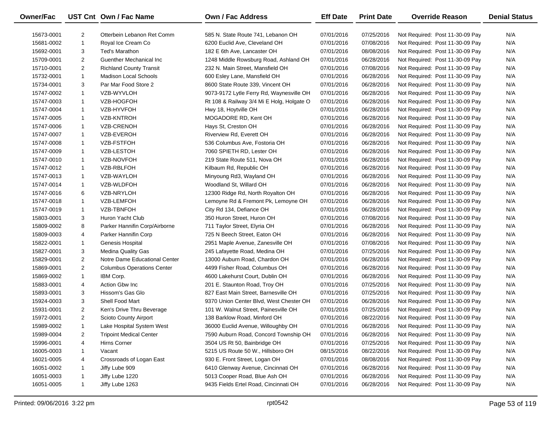| Owner/Fac  |                | UST Cnt Own / Fac Name            | <b>Own / Fac Address</b>                  | <b>Eff Date</b> | <b>Print Date</b> | <b>Override Reason</b>          | <b>Denial Status</b> |
|------------|----------------|-----------------------------------|-------------------------------------------|-----------------|-------------------|---------------------------------|----------------------|
| 15673-0001 | $\overline{2}$ | Otterbein Lebanon Ret Comm        | 585 N. State Route 741, Lebanon OH        | 07/01/2016      | 07/25/2016        | Not Required: Post 11-30-09 Pay | N/A                  |
| 15681-0002 | $\mathbf{1}$   | Royal Ice Cream Co                | 6200 Euclid Ave, Cleveland OH             | 07/01/2016      | 07/08/2016        | Not Required: Post 11-30-09 Pay | N/A                  |
| 15692-0001 | 3              | Ted's Marathon                    | 182 E 6th Ave, Lancaster OH               | 07/01/2016      | 08/08/2016        | Not Required: Post 11-30-09 Pay | N/A                  |
| 15709-0001 | $\overline{2}$ | <b>Guenther Mechanical Inc.</b>   | 1248 Middle Rowsburg Road, Ashland OH     | 07/01/2016      | 06/28/2016        | Not Required: Post 11-30-09 Pay | N/A                  |
| 15710-0001 | $\overline{2}$ | <b>Richland County Transit</b>    | 232 N. Main Street, Mansfield OH          | 07/01/2016      | 07/08/2016        | Not Required: Post 11-30-09 Pay | N/A                  |
| 15732-0001 | $\mathbf{1}$   | <b>Madison Local Schools</b>      | 600 Esley Lane, Mansfield OH              | 07/01/2016      | 06/28/2016        | Not Required: Post 11-30-09 Pay | N/A                  |
| 15734-0001 | 3              | Par Mar Food Store 2              | 8600 State Route 339, Vincent OH          | 07/01/2016      | 06/28/2016        | Not Required: Post 11-30-09 Pay | N/A                  |
| 15747-0002 | $\mathbf{1}$   | VZB-WYVLOH                        | 9073-9172 Lytle Ferry Rd, Waynesville OH  | 07/01/2016      | 06/28/2016        | Not Required: Post 11-30-09 Pay | N/A                  |
| 15747-0003 | $\mathbf{1}$   | VZB-HOGFOH                        | Rt 108 & Railway 3/4 Mi E Holg, Holgate O | 07/01/2016      | 06/28/2016        | Not Required: Post 11-30-09 Pay | N/A                  |
| 15747-0004 | $\mathbf{1}$   | VZB-HYVFOH                        | Hwy 18, Hoytville OH                      | 07/01/2016      | 06/28/2016        | Not Required: Post 11-30-09 Pay | N/A                  |
| 15747-0005 | $\mathbf{1}$   | <b>VZB-KNTROH</b>                 | MOGADORE RD, Kent OH                      | 07/01/2016      | 06/28/2016        | Not Required: Post 11-30-09 Pay | N/A                  |
| 15747-0006 | $\mathbf{1}$   | <b>VZB-CRENOH</b>                 | Hays St, Creston OH                       | 07/01/2016      | 06/28/2016        | Not Required: Post 11-30-09 Pay | N/A                  |
| 15747-0007 | $\mathbf{1}$   | VZB-EVEROH                        | Riverview Rd, Everett OH                  | 07/01/2016      | 06/28/2016        | Not Required: Post 11-30-09 Pay | N/A                  |
| 15747-0008 | $\mathbf{1}$   | VZB-FSTFOH                        | 536 Columbus Ave, Fostoria OH             | 07/01/2016      | 06/28/2016        | Not Required: Post 11-30-09 Pay | N/A                  |
| 15747-0009 | $\mathbf{1}$   | <b>VZB-LESTOH</b>                 | 7060 SPIETH RD, Lester OH                 | 07/01/2016      | 06/28/2016        | Not Required: Post 11-30-09 Pay | N/A                  |
| 15747-0010 | $\mathbf{1}$   | VZB-NOVFOH                        | 219 State Route 511, Nova OH              | 07/01/2016      | 06/28/2016        | Not Required: Post 11-30-09 Pay | N/A                  |
| 15747-0012 | $\mathbf{1}$   | VZB-RBLFOH                        | Kilbaum Rd, Republic OH                   | 07/01/2016      | 06/28/2016        | Not Required: Post 11-30-09 Pay | N/A                  |
| 15747-0013 | $\mathbf{1}$   | VZB-WAYLOH                        | Minyoung Rd3, Wayland OH                  | 07/01/2016      | 06/28/2016        | Not Required: Post 11-30-09 Pay | N/A                  |
| 15747-0014 | $\mathbf{1}$   | VZB-WLDFOH                        | Woodland St, Willard OH                   | 07/01/2016      | 06/28/2016        | Not Required: Post 11-30-09 Pay | N/A                  |
| 15747-0016 | 6              | VZB-NRYLOH                        | 12300 Ridge Rd, North Royalton OH         | 07/01/2016      | 06/28/2016        | Not Required: Post 11-30-09 Pay | N/A                  |
| 15747-0018 | $\mathbf{1}$   | VZB-LEMFOH                        | Lemoyne Rd & Fremont Pk, Lemoyne OH       | 07/01/2016      | 06/28/2016        | Not Required: Post 11-30-09 Pay | N/A                  |
| 15747-0019 | $\mathbf{1}$   | VZB-TBNFOH                        | City Rd 134, Defiance OH                  | 07/01/2016      | 06/28/2016        | Not Required: Post 11-30-09 Pay | N/A                  |
| 15803-0001 | 3              | Huron Yacht Club                  | 350 Huron Street, Huron OH                | 07/01/2016      | 07/08/2016        | Not Required: Post 11-30-09 Pay | N/A                  |
| 15809-0002 | 8              | Parker Hannifin Corp/Airborne     | 711 Taylor Street, Elyria OH              | 07/01/2016      | 06/28/2016        | Not Required: Post 11-30-09 Pay | N/A                  |
| 15809-0003 | 4              | Parker Hannifin Corp              | 725 N Beech Street, Eaton OH              | 07/01/2016      | 06/28/2016        | Not Required: Post 11-30-09 Pay | N/A                  |
| 15822-0001 | $\mathbf{1}$   | Genesis Hospital                  | 2951 Maple Avenue, Zanesville OH          | 07/01/2016      | 07/08/2016        | Not Required: Post 11-30-09 Pay | N/A                  |
| 15827-0001 | 3              | Medina Quality Gas                | 245 Lafayette Road, Medina OH             | 07/01/2016      | 07/25/2016        | Not Required: Post 11-30-09 Pay | N/A                  |
| 15829-0001 | $\overline{2}$ | Notre Dame Educational Center     | 13000 Auburn Road, Chardon OH             | 07/01/2016      | 06/28/2016        | Not Required: Post 11-30-09 Pay | N/A                  |
| 15869-0001 | $\overline{2}$ | <b>Columbus Operations Center</b> | 4499 Fisher Road, Columbus OH             | 07/01/2016      | 06/28/2016        | Not Required: Post 11-30-09 Pay | N/A                  |
| 15869-0002 | $\mathbf{1}$   | IBM Corp.                         | 4600 Lakehurst Court, Dublin OH           | 07/01/2016      | 06/28/2016        | Not Required: Post 11-30-09 Pay | N/A                  |
| 15883-0001 | 4              | Action Gbw Inc                    | 201 E. Staunton Road, Troy OH             | 07/01/2016      | 07/25/2016        | Not Required: Post 11-30-09 Pay | N/A                  |
| 15893-0001 | 3              | Hissom's Gas Glo                  | 827 East Main Street, Barnesville OH      | 07/01/2016      | 07/25/2016        | Not Required: Post 11-30-09 Pay | N/A                  |
| 15924-0003 | 3              | Shell Food Mart                   | 9370 Union Center Blvd, West Chester OH   | 07/01/2016      | 06/28/2016        | Not Required: Post 11-30-09 Pay | N/A                  |
| 15931-0001 | $\overline{2}$ | Ken's Drive Thru Beverage         | 101 W. Walnut Street, Painesville OH      | 07/01/2016      | 07/25/2016        | Not Required: Post 11-30-09 Pay | N/A                  |
| 15972-0001 | $\overline{2}$ | <b>Scioto County Airport</b>      | 138 Barklow Road, Minford OH              | 07/01/2016      | 08/22/2016        | Not Required: Post 11-30-09 Pay | N/A                  |
| 15989-0002 | 1              | Lake Hospital System West         | 36000 Euclid Avenue, Willoughby OH        | 07/01/2016      | 06/28/2016        | Not Required: Post 11-30-09 Pay | N/A                  |
| 15989-0004 | 2              | <b>Tripoint Medical Center</b>    | 7590 Auburn Road, Concord Township OH     | 07/01/2016      | 06/28/2016        | Not Required: Post 11-30-09 Pay | N/A                  |
| 15996-0001 | 4              | Hirns Corner                      | 3504 US Rt 50, Bainbridge OH              | 07/01/2016      | 07/25/2016        | Not Required: Post 11-30-09 Pay | N/A                  |
| 16005-0003 | 1              | Vacant                            | 5215 US Route 50 W., Hillsboro OH         | 08/15/2016      | 08/22/2016        | Not Required: Post 11-30-09 Pay | N/A                  |
| 16021-0005 | 4              | Crossroads of Logan East          | 930 E. Front Street, Logan OH             | 07/01/2016      | 08/08/2016        | Not Required: Post 11-30-09 Pay | N/A                  |
| 16051-0002 | 1              | Jiffy Lube 909                    | 6410 Glenway Avenue, Cincinnati OH        | 07/01/2016      | 06/28/2016        | Not Required: Post 11-30-09 Pay | N/A                  |
| 16051-0003 | 1              | Jiffy Lube 1220                   | 5013 Cooper Road, Blue Ash OH             | 07/01/2016      | 06/28/2016        | Not Required: Post 11-30-09 Pay | N/A                  |
| 16051-0005 | $\mathbf{1}$   | Jiffy Lube 1263                   | 9435 Fields Ertel Road, Cincinnati OH     | 07/01/2016      | 06/28/2016        | Not Required: Post 11-30-09 Pay | N/A                  |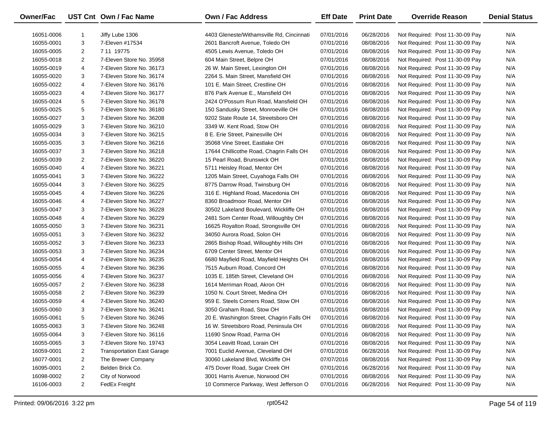| Owner/Fac  |                | UST Cnt Own / Fac Name            | Own / Fac Address                         | <b>Eff Date</b> | <b>Print Date</b> | <b>Override Reason</b>          | <b>Denial Status</b> |
|------------|----------------|-----------------------------------|-------------------------------------------|-----------------|-------------------|---------------------------------|----------------------|
| 16051-0006 | -1             | Jiffy Lube 1306                   | 4403 Gleneste/Withamsville Rd, Cincinnati | 07/01/2016      | 06/28/2016        | Not Required: Post 11-30-09 Pay | N/A                  |
| 16055-0001 | 3              | 7-Eleven #17534                   | 2601 Bancroft Avenue, Toledo OH           | 07/01/2016      | 08/08/2016        | Not Required: Post 11-30-09 Pay | N/A                  |
| 16055-0005 | $\overline{2}$ | 7 11 19775                        | 4505 Lewis Avenue, Toledo OH              | 07/01/2016      | 08/08/2016        | Not Required: Post 11-30-09 Pay | N/A                  |
| 16055-0018 | $\overline{2}$ | 7-Eleven Store No. 35958          | 604 Main Street, Belpre OH                | 07/01/2016      | 08/08/2016        | Not Required: Post 11-30-09 Pay | N/A                  |
| 16055-0019 | 4              | 7-Eleven Store No. 36173          | 26 W. Main Street, Lexington OH           | 07/01/2016      | 08/08/2016        | Not Required: Post 11-30-09 Pay | N/A                  |
| 16055-0020 | 3              | 7-Eleven Store No. 36174          | 2264 S. Main Street, Mansfield OH         | 07/01/2016      | 08/08/2016        | Not Required: Post 11-30-09 Pay | N/A                  |
| 16055-0022 | 4              | 7-Eleven Store No. 36176          | 101 E. Main Street, Crestline OH          | 07/01/2016      | 08/08/2016        | Not Required: Post 11-30-09 Pay | N/A                  |
| 16055-0023 | 4              | 7-Eleven Store No. 36177          | 876 Park Avenue E., Mansfield OH          | 07/01/2016      | 08/08/2016        | Not Required: Post 11-30-09 Pay | N/A                  |
| 16055-0024 | 5              | 7-Eleven Store No. 36178          | 2424 O'Possum Run Road, Mansfield OH      | 07/01/2016      | 08/08/2016        | Not Required: Post 11-30-09 Pay | N/A                  |
| 16055-0025 | 5              | 7-Eleven Store No. 36180          | 150 Sandusky Street, Monroeville OH       | 07/01/2016      | 08/08/2016        | Not Required: Post 11-30-09 Pay | N/A                  |
| 16055-0027 | 3              | 7-Eleven Store No. 36208          | 9202 State Route 14, Streetsboro OH       | 07/01/2016      | 08/08/2016        | Not Required: Post 11-30-09 Pay | N/A                  |
| 16055-0029 | 3              | 7-Eleven Store No. 36210          | 3349 W. Kent Road, Stow OH                | 07/01/2016      | 08/08/2016        | Not Required: Post 11-30-09 Pay | N/A                  |
| 16055-0034 | 3              | 7-Eleven Store No. 36215          | 8 E. Erie Street, Painesville OH          | 07/01/2016      | 08/08/2016        | Not Required: Post 11-30-09 Pay | N/A                  |
| 16055-0035 | 3              | 7-Eleven Store No. 36216          | 35068 Vine Street, Eastlake OH            | 07/01/2016      | 08/08/2016        | Not Required: Post 11-30-09 Pay | N/A                  |
| 16055-0037 | 3              | 7-Eleven Store No. 36218          | 17644 Chillicothe Road, Chagrin Falls OH  | 07/01/2016      | 08/08/2016        | Not Required: Post 11-30-09 Pay | N/A                  |
| 16055-0039 | $\overline{2}$ | 7-Eleven Store No. 36220          | 15 Pearl Road, Brunswick OH               | 07/01/2016      | 08/08/2016        | Not Required: Post 11-30-09 Pay | N/A                  |
| 16055-0040 | 4              | 7-Eleven Store No. 36221          | 5711 Heisley Road, Mentor OH              | 07/01/2016      | 08/08/2016        | Not Required: Post 11-30-09 Pay | N/A                  |
| 16055-0041 | 3              | 7-Eleven Store No. 36222          | 1205 Main Street, Cuyahoga Falls OH       | 07/01/2016      | 08/08/2016        | Not Required: Post 11-30-09 Pay | N/A                  |
| 16055-0044 | 3              | 7-Eleven Store No. 36225          | 8775 Darrow Road, Twinsburg OH            | 07/01/2016      | 08/08/2016        | Not Required: Post 11-30-09 Pay | N/A                  |
| 16055-0045 | 4              | 7-Eleven Store No. 36226          | 316 E. Highland Road, Macedonia OH        | 07/01/2016      | 08/08/2016        | Not Required: Post 11-30-09 Pay | N/A                  |
| 16055-0046 | 4              | 7-Eleven Store No. 36227          | 8360 Broadmoor Road, Mentor OH            | 07/01/2016      | 08/08/2016        | Not Required: Post 11-30-09 Pay | N/A                  |
| 16055-0047 | 3              | 7-Eleven Store No. 36228          | 30502 Lakeland Boulevard, Wickliffe OH    | 07/01/2016      | 08/08/2016        | Not Required: Post 11-30-09 Pay | N/A                  |
| 16055-0048 | 4              | 7-Eleven Store No. 36229          | 2481 Som Center Road, Willoughby OH       | 07/01/2016      | 08/08/2016        | Not Required: Post 11-30-09 Pay | N/A                  |
| 16055-0050 | 3              | 7-Eleven Store No. 36231          | 16625 Royalton Road, Strongsville OH      | 07/01/2016      | 08/08/2016        | Not Required: Post 11-30-09 Pay | N/A                  |
| 16055-0051 | 3              | 7-Eleven Store No. 36232          | 34050 Aurora Road, Solon OH               | 07/01/2016      | 08/08/2016        | Not Required: Post 11-30-09 Pay | N/A                  |
| 16055-0052 | 3              | 7-Eleven Store No. 36233          | 2865 Bishop Road, Willoughby Hills OH     | 07/01/2016      | 08/08/2016        | Not Required: Post 11-30-09 Pay | N/A                  |
| 16055-0053 | 3              | 7-Eleven Store No. 36234          | 6709 Center Street, Mentor OH             | 07/01/2016      | 08/08/2016        | Not Required: Post 11-30-09 Pay | N/A                  |
| 16055-0054 | 4              | 7-Eleven Store No. 36235          | 6680 Mayfield Road, Mayfield Heights OH   | 07/01/2016      | 08/08/2016        | Not Required: Post 11-30-09 Pay | N/A                  |
| 16055-0055 | 4              | 7-Eleven Store No. 36236          | 7515 Auburn Road, Concord OH              | 07/01/2016      | 08/08/2016        | Not Required: Post 11-30-09 Pay | N/A                  |
| 16055-0056 | 4              | 7-Eleven Store No. 36237          | 1035 E. 185th Street, Cleveland OH        | 07/01/2016      | 08/08/2016        | Not Required: Post 11-30-09 Pay | N/A                  |
| 16055-0057 | $\overline{2}$ | 7-Eleven Store No. 36238          | 1614 Merriman Road, Akron OH              | 07/01/2016      | 08/08/2016        | Not Required: Post 11-30-09 Pay | N/A                  |
| 16055-0058 | $\overline{2}$ | 7-Eleven Store No. 36239          | 1050 N. Court Street, Medina OH           | 07/01/2016      | 08/08/2016        | Not Required: Post 11-30-09 Pay | N/A                  |
| 16055-0059 | 4              | 7-Eleven Store No. 36240          | 959 E. Steels Corners Road, Stow OH       | 07/01/2016      | 08/08/2016        | Not Required: Post 11-30-09 Pay | N/A                  |
| 16055-0060 | 3              | 7-Eleven Store No. 36241          | 3050 Graham Road, Stow OH                 | 07/01/2016      | 08/08/2016        | Not Required: Post 11-30-09 Pay | N/A                  |
| 16055-0061 | 5              | 7-Eleven Store No. 36246          | 20 E. Washington Street, Chagrin Falls OH | 07/01/2016      | 08/08/2016        | Not Required: Post 11-30-09 Pay | N/A                  |
| 16055-0063 | 3              | 7-Eleven Store No. 36248          | 16 W. Streetsboro Road, Peninsula OH      | 07/01/2016      | 08/08/2016        | Not Required: Post 11-30-09 Pay | N/A                  |
| 16055-0064 | 3              | 7-Eleven Store No. 36116          | 11690 Snow Road, Parma OH                 | 07/01/2016      | 08/08/2016        | Not Required: Post 11-30-09 Pay | N/A                  |
| 16055-0065 | 3              | 7-Eleven Store No. 19743          | 3054 Leavitt Road, Lorain OH              | 07/01/2016      | 08/08/2016        | Not Required: Post 11-30-09 Pay | N/A                  |
| 16059-0001 | 2              | <b>Transportation East Garage</b> | 7001 Euclid Avenue, Cleveland OH          | 07/01/2016      | 06/28/2016        | Not Required: Post 11-30-09 Pay | N/A                  |
| 16077-0001 | 2              | The Brewer Company                | 30060 Lakeland Blvd, Wickliffe OH         | 07/07/2016      | 08/08/2016        | Not Required: Post 11-30-09 Pay | N/A                  |
| 16095-0001 | 2              | Belden Brick Co.                  | 475 Dover Road, Sugar Creek OH            | 07/01/2016      | 06/28/2016        | Not Required: Post 11-30-09 Pay | N/A                  |
| 16098-0002 | 2              | City of Norwood                   | 3001 Harris Avenue, Norwood OH            | 07/01/2016      | 08/08/2016        | Not Required: Post 11-30-09 Pay | N/A                  |
| 16106-0003 | $\overline{2}$ | FedEx Freight                     | 10 Commerce Parkway, West Jefferson O     | 07/01/2016      | 06/28/2016        | Not Required: Post 11-30-09 Pay | N/A                  |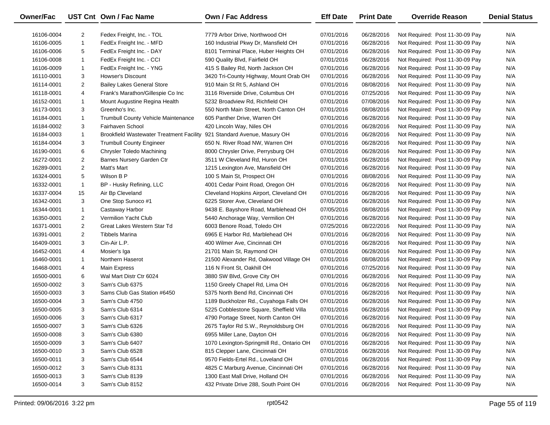| Owner/Fac  |                | UST Cnt Own / Fac Name                                                  | Own / Fac Address                         | <b>Eff Date</b> | <b>Print Date</b> | <b>Override Reason</b>          | <b>Denial Status</b> |
|------------|----------------|-------------------------------------------------------------------------|-------------------------------------------|-----------------|-------------------|---------------------------------|----------------------|
| 16106-0004 | $\overline{2}$ | Fedex Freight, Inc. - TOL                                               | 7779 Arbor Drive, Northwood OH            | 07/01/2016      | 06/28/2016        | Not Required: Post 11-30-09 Pay | N/A                  |
| 16106-0005 | $\mathbf{1}$   | FedEx Freight Inc. - MFD                                                | 160 Industrial Pkwy Dr, Mansfield OH      | 07/01/2016      | 06/28/2016        | Not Required: Post 11-30-09 Pay | N/A                  |
| 16106-0006 | 5              | FedEx Freight Inc. - DAY                                                | 8101 Terminal Place, Huber Heights OH     | 07/01/2016      | 06/28/2016        | Not Required: Post 11-30-09 Pay | N/A                  |
| 16106-0008 | $\mathbf{1}$   | FedEx Freight Inc. - CCI                                                | 590 Quality Blvd, Fairfield OH            | 07/01/2016      | 06/28/2016        | Not Required: Post 11-30-09 Pay | N/A                  |
| 16106-0009 | $\mathbf{1}$   | FedEx Freight Inc. - YNG                                                | 415 S Bailey Rd, North Jackson OH         | 07/01/2016      | 06/28/2016        | Not Required: Post 11-30-09 Pay | N/A                  |
| 16110-0001 | 3              | <b>Howser's Discount</b>                                                | 3420 Tri-County Highway, Mount Orab OH    | 07/01/2016      | 06/28/2016        | Not Required: Post 11-30-09 Pay | N/A                  |
| 16114-0001 | $\overline{2}$ | <b>Bailey Lakes General Store</b>                                       | 910 Main St Rt 5, Ashland OH              | 07/01/2016      | 08/08/2016        | Not Required: Post 11-30-09 Pay | N/A                  |
| 16118-0001 | 4              | Frank's Marathon/Gillespie Co Inc                                       | 3116 Riverside Drive, Columbus OH         | 07/01/2016      | 07/25/2016        | Not Required: Post 11-30-09 Pay | N/A                  |
| 16152-0001 | $\mathbf{1}$   | Mount Augustine Regina Health                                           | 5232 Broadview Rd, Richfield OH           | 07/01/2016      | 07/08/2016        | Not Required: Post 11-30-09 Pay | N/A                  |
| 16173-0001 | 3              | Greenho's Inc.                                                          | 550 North Main Street, North Canton OH    | 07/01/2016      | 08/08/2016        | Not Required: Post 11-30-09 Pay | N/A                  |
| 16184-0001 | $\mathbf{1}$   | Trumbull County Vehicle Maintenance                                     | 605 Panther Drive, Warren OH              | 07/01/2016      | 06/28/2016        | Not Required: Post 11-30-09 Pay | N/A                  |
| 16184-0002 | 3              | Fairhaven School                                                        | 420 Lincoln Way, Niles OH                 | 07/01/2016      | 06/28/2016        | Not Required: Post 11-30-09 Pay | N/A                  |
| 16184-0003 | $\mathbf{1}$   | Brookfield Wastewater Treatment Facility 921 Standard Avenue, Masury OH |                                           | 07/01/2016      | 06/28/2016        | Not Required: Post 11-30-09 Pay | N/A                  |
| 16184-0004 | 3              | <b>Trumbull County Engineer</b>                                         | 650 N. River Road NW, Warren OH           | 07/01/2016      | 06/28/2016        | Not Required: Post 11-30-09 Pay | N/A                  |
| 16190-0001 | 6              | Chrysler Toledo Machining                                               | 8000 Chrysler Drive, Perrysburg OH        | 07/01/2016      | 06/28/2016        | Not Required: Post 11-30-09 Pay | N/A                  |
| 16272-0001 | $\overline{2}$ | Barnes Nursery Garden Ctr                                               | 3511 W Cleveland Rd, Huron OH             | 07/01/2016      | 06/28/2016        | Not Required: Post 11-30-09 Pay | N/A                  |
| 16289-0001 | $\overline{2}$ | Matt's Mart                                                             | 1215 Lexington Ave, Mansfield OH          | 07/01/2016      | 06/28/2016        | Not Required: Post 11-30-09 Pay | N/A                  |
| 16324-0001 | 5              | Wilson B P                                                              | 100 S Main St, Prospect OH                | 07/01/2016      | 08/08/2016        | Not Required: Post 11-30-09 Pay | N/A                  |
| 16332-0001 | $\mathbf{1}$   | BP - Husky Refining, LLC                                                | 4001 Cedar Point Road, Oregon OH          | 07/01/2016      | 06/28/2016        | Not Required: Post 11-30-09 Pay | N/A                  |
| 16337-0004 | 15             | Air Bp Cleveland                                                        | Cleveland Hopkins Airport, Cleveland OH   | 07/01/2016      | 06/28/2016        | Not Required: Post 11-30-09 Pay | N/A                  |
| 16342-0001 | 3              | One Stop Sunoco #1                                                      | 6225 Storer Ave, Cleveland OH             | 07/01/2016      | 06/28/2016        | Not Required: Post 11-30-09 Pay | N/A                  |
| 16344-0001 | $\mathbf{1}$   | Castaway Harbor                                                         | 9438 E. Bayshore Road, Marblehead OH      | 07/05/2016      | 08/08/2016        | Not Required: Post 11-30-09 Pay | N/A                  |
| 16350-0001 | 2              | Vermilion Yacht Club                                                    | 5440 Anchorage Way, Vermilion OH          | 07/01/2016      | 06/28/2016        | Not Required: Post 11-30-09 Pay | N/A                  |
| 16371-0001 | $\overline{2}$ | Great Lakes Western Star Td                                             | 6003 Benore Road, Toledo OH               | 07/25/2016      | 08/22/2016        | Not Required: Post 11-30-09 Pay | N/A                  |
| 16391-0001 | $\overline{2}$ | Tibbels Marina                                                          | 6965 E Harbor Rd, Marblehead OH           | 07/01/2016      | 06/28/2016        | Not Required: Post 11-30-09 Pay | N/A                  |
| 16409-0001 | 3              | Cin-Air L.P.                                                            | 400 Wilmer Ave, Cincinnati OH             | 07/01/2016      | 06/28/2016        | Not Required: Post 11-30-09 Pay | N/A                  |
| 16452-0001 | 4              | Mosier's Iga                                                            | 21701 Main St, Raymond OH                 | 07/01/2016      | 06/28/2016        | Not Required: Post 11-30-09 Pay | N/A                  |
| 16460-0001 | $\mathbf{1}$   | Northern Haserot                                                        | 21500 Alexander Rd, Oakwood Village OH    | 07/01/2016      | 08/08/2016        | Not Required: Post 11-30-09 Pay | N/A                  |
| 16468-0001 | 4              | Main Express                                                            | 116 N Front St, Oakhill OH                | 07/01/2016      | 07/25/2016        | Not Required: Post 11-30-09 Pay | N/A                  |
| 16500-0001 | 6              | Wal Mart Distr Ctr 6024                                                 | 3880 SW Blvd, Grove City OH               | 07/01/2016      | 06/28/2016        | Not Required: Post 11-30-09 Pay | N/A                  |
| 16500-0002 | 3              | Sam's Club 6375                                                         | 1150 Greely Chapel Rd, Lima OH            | 07/01/2016      | 06/28/2016        | Not Required: Post 11-30-09 Pay | N/A                  |
| 16500-0003 | 3              | Sams Club Gas Station #6450                                             | 5375 North Bend Rd, Cincinnati OH         | 07/01/2016      | 06/28/2016        | Not Required: Post 11-30-09 Pay | N/A                  |
| 16500-0004 | 3              | Sam's Club 4750                                                         | 1189 Buckholzer Rd., Cuyahoga Falls OH    | 07/01/2016      | 06/28/2016        | Not Required: Post 11-30-09 Pay | N/A                  |
| 16500-0005 | 3              | Sam's Club 6314                                                         | 5225 Cobblestone Square, Sheffield Villa  | 07/01/2016      | 06/28/2016        | Not Required: Post 11-30-09 Pay | N/A                  |
| 16500-0006 | 3              | Sam's Club 6317                                                         | 4790 Portage Street, North Canton OH      | 07/01/2016      | 06/28/2016        | Not Required: Post 11-30-09 Pay | N/A                  |
| 16500-0007 | 3              | Sam's Club 6326                                                         | 2675 Taylor Rd S.W., Reynoldsburg OH      | 07/01/2016      | 06/28/2016        | Not Required: Post 11-30-09 Pay | N/A                  |
| 16500-0008 | 3              | Sam's Club 6380                                                         | 6955 Miller Lane, Dayton OH               | 07/01/2016      | 06/28/2016        | Not Required: Post 11-30-09 Pay | N/A                  |
| 16500-0009 | 3              | Sam's Club 6407                                                         | 1070 Lexington-Springmill Rd., Ontario OH | 07/01/2016      | 06/28/2016        | Not Required: Post 11-30-09 Pay | N/A                  |
| 16500-0010 | 3              | Sam's Club 6528                                                         | 815 Clepper Lane, Cincinnati OH           | 07/01/2016      | 06/28/2016        | Not Required: Post 11-30-09 Pay | N/A                  |
| 16500-0011 | 3              | Sam's Club 6544                                                         | 9570 Fields-Ertel Rd., Loveland OH        | 07/01/2016      | 06/28/2016        | Not Required: Post 11-30-09 Pay | N/A                  |
| 16500-0012 | 3              | Sam's Club 8131                                                         | 4825 C Marburg Avenue, Cincinnati OH      | 07/01/2016      | 06/28/2016        | Not Required: Post 11-30-09 Pay | N/A                  |
| 16500-0013 | 3              | Sam's Club 8139                                                         | 1300 East Mall Drive, Holland OH          | 07/01/2016      | 06/28/2016        | Not Required: Post 11-30-09 Pay | N/A                  |
| 16500-0014 | 3              | Sam's Club 8152                                                         | 432 Private Drive 288, South Point OH     | 07/01/2016      | 06/28/2016        | Not Required: Post 11-30-09 Pay | N/A                  |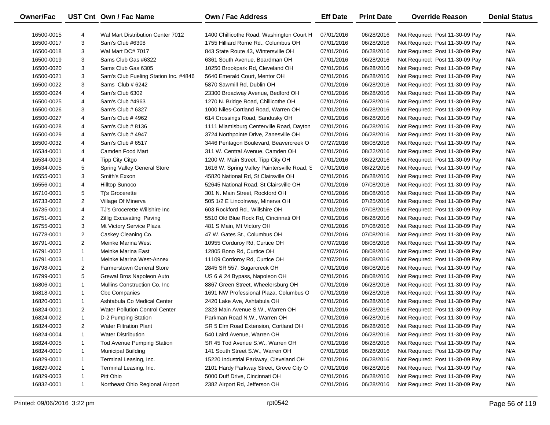| Owner/Fac  |                | UST Cnt Own / Fac Name                | Own / Fac Address                            | <b>Eff Date</b> | <b>Print Date</b> | <b>Override Reason</b>          | <b>Denial Status</b> |
|------------|----------------|---------------------------------------|----------------------------------------------|-----------------|-------------------|---------------------------------|----------------------|
| 16500-0015 | 4              | Wal Mart Distribution Center 7012     | 1400 Chillicothe Road, Washington Court H    | 07/01/2016      | 06/28/2016        | Not Required: Post 11-30-09 Pay | N/A                  |
| 16500-0017 | 3              | Sam's Club #6308                      | 1755 Hilliard Rome Rd., Columbus OH          | 07/01/2016      | 06/28/2016        | Not Required: Post 11-30-09 Pay | N/A                  |
| 16500-0018 | 3              | Wal Mart DC# 7017                     | 843 State Route 43, Wintersville OH          | 07/01/2016      | 06/28/2016        | Not Required: Post 11-30-09 Pay | N/A                  |
| 16500-0019 | 3              | Sams Club Gas #6322                   | 6361 South Avenue, Boardman OH               | 07/01/2016      | 06/28/2016        | Not Required: Post 11-30-09 Pay | N/A                  |
| 16500-0020 | 3              | Sams Club Gas 6305                    | 10250 Brookpark Rd, Cleveland OH             | 07/01/2016      | 06/28/2016        | Not Required: Post 11-30-09 Pay | N/A                  |
| 16500-0021 | 3              | Sam's Club Fueling Station Inc. #4846 | 5640 Emerald Court, Mentor OH                | 07/01/2016      | 06/28/2016        | Not Required: Post 11-30-09 Pay | N/A                  |
| 16500-0022 | 3              | Sams Club # 6242                      | 5870 Sawmill Rd, Dublin OH                   | 07/01/2016      | 06/28/2016        | Not Required: Post 11-30-09 Pay | N/A                  |
| 16500-0024 | 4              | Sam's Club 6302                       | 23300 Broadway Avenue, Bedford OH            | 07/01/2016      | 06/28/2016        | Not Required: Post 11-30-09 Pay | N/A                  |
| 16500-0025 | 4              | Sam's Club #4963                      | 1270 N. Bridge Road, Chillicothe OH          | 07/01/2016      | 06/28/2016        | Not Required: Post 11-30-09 Pay | N/A                  |
| 16500-0026 | 3              | Sam's Club # 6327                     | 1000 Niles-Cortland Road, Warren OH          | 07/01/2016      | 06/28/2016        | Not Required: Post 11-30-09 Pay | N/A                  |
| 16500-0027 | 4              | Sam's Club # 4962                     | 614 Crossings Road, Sandusky OH              | 07/01/2016      | 06/28/2016        | Not Required: Post 11-30-09 Pay | N/A                  |
| 16500-0028 | 4              | Sam's Club # 8136                     | 1111 Miamisburg Centerville Road, Dayton     | 07/01/2016      | 06/28/2016        | Not Required: Post 11-30-09 Pay | N/A                  |
| 16500-0029 | 4              | Sam's Club # 4947                     | 3724 Northpointe Drive, Zanesville OH        | 07/01/2016      | 06/28/2016        | Not Required: Post 11-30-09 Pay | N/A                  |
| 16500-0032 | 4              | Sam's Club # 6517                     | 3446 Pentagon Boulevard, Beavercreek O       | 07/27/2016      | 08/08/2016        | Not Required: Post 11-30-09 Pay | N/A                  |
| 16534-0001 | 4              | Camden Food Mart                      | 311 W. Central Avenue, Camden OH             | 07/01/2016      | 08/22/2016        | Not Required: Post 11-30-09 Pay | N/A                  |
| 16534-0003 | 4              | Tipp City Citgo                       | 1200 W. Main Street, Tipp City OH            | 07/01/2016      | 08/22/2016        | Not Required: Post 11-30-09 Pay | N/A                  |
| 16534-0005 | 5              | <b>Spring Valley General Store</b>    | 1616 W. Spring Valley Paintersville Road, S. | 07/01/2016      | 08/22/2016        | Not Required: Post 11-30-09 Pay | N/A                  |
| 16555-0001 | 3              | Smith's Exxon                         | 45820 National Rd, St Clairsville OH         | 07/01/2016      | 06/28/2016        | Not Required: Post 11-30-09 Pay | N/A                  |
| 16556-0001 | 4              | <b>Hilltop Sunoco</b>                 | 52645 National Road, St Clairsville OH       | 07/01/2016      | 07/08/2016        | Not Required: Post 11-30-09 Pay | N/A                  |
| 16710-0001 | 5              | Ti's Grocerette                       | 301 N. Main Street, Rockford OH              | 07/01/2016      | 08/08/2016        | Not Required: Post 11-30-09 Pay | N/A                  |
| 16733-0002 | $\overline{2}$ | Village Of Minerva                    | 505 1/2 E Lincolnway, Minerva OH             | 07/01/2016      | 07/25/2016        | Not Required: Post 11-30-09 Pay | N/A                  |
| 16735-0001 | 4              | TJ's Grocerette Willshire Inc         | 603 Rockford Rd., Willshire OH               | 07/01/2016      | 07/08/2016        | Not Required: Post 11-30-09 Pay | N/A                  |
| 16751-0001 | $\overline{2}$ | <b>Zillig Excavating Paving</b>       | 5510 Old Blue Rock Rd, Cincinnati OH         | 07/01/2016      | 06/28/2016        | Not Required: Post 11-30-09 Pay | N/A                  |
| 16755-0001 | 3              | Mt Victory Service Plaza              | 481 S Main, Mt Victory OH                    | 07/01/2016      | 07/08/2016        | Not Required: Post 11-30-09 Pay | N/A                  |
| 16778-0001 | $\overline{2}$ | Caskey Cleaning Co.                   | 47 W. Gates St., Columbus OH                 | 07/01/2016      | 07/08/2016        | Not Required: Post 11-30-09 Pay | N/A                  |
| 16791-0001 | $\overline{2}$ | Meinke Marina West                    | 10955 Corduroy Rd, Curtice OH                | 07/07/2016      | 08/08/2016        | Not Required: Post 11-30-09 Pay | N/A                  |
| 16791-0002 | $\mathbf{1}$   | Meinke Marina East                    | 12805 Bono Rd, Curtice OH                    | 07/07/2016      | 08/08/2016        | Not Required: Post 11-30-09 Pay | N/A                  |
| 16791-0003 | $\mathbf{1}$   | Meinke Marina West-Annex              | 11109 Cordoroy Rd, Curtice OH                | 07/07/2016      | 08/08/2016        | Not Required: Post 11-30-09 Pay | N/A                  |
| 16798-0001 | $\overline{2}$ | <b>Farmerstown General Store</b>      | 2845 SR 557, Sugarcreek OH                   | 07/01/2016      | 08/08/2016        | Not Required: Post 11-30-09 Pay | N/A                  |
| 16799-0001 | 5              | Grewal Bros Napoleon Auto             | US 6 & 24 Bypass, Napoleon OH                | 07/01/2016      | 08/08/2016        | Not Required: Post 11-30-09 Pay | N/A                  |
| 16806-0001 | $\mathbf{1}$   | Mullins Construction Co, Inc.         | 8867 Green Street, Wheelersburg OH           | 07/01/2016      | 06/28/2016        | Not Required: Post 11-30-09 Pay | N/A                  |
| 16818-0001 | $\mathbf{1}$   | Cbc Companies                         | 1691 NW Professional Plaza, Columbus O       | 07/01/2016      | 06/28/2016        | Not Required: Post 11-30-09 Pay | N/A                  |
| 16820-0001 | $\mathbf{1}$   | Ashtabula Co Medical Center           | 2420 Lake Ave, Ashtabula OH                  | 07/01/2016      | 06/28/2016        | Not Required: Post 11-30-09 Pay | N/A                  |
| 16824-0001 | $\overline{2}$ | <b>Water Pollution Control Center</b> | 2323 Main Avenue S.W., Warren OH             | 07/01/2016      | 06/28/2016        | Not Required: Post 11-30-09 Pay | N/A                  |
| 16824-0002 | $\mathbf{1}$   | D-2 Pumping Station                   | Parkman Road N.W., Warren OH                 | 07/01/2016      | 06/28/2016        | Not Required: Post 11-30-09 Pay | N/A                  |
| 16824-0003 | $\overline{2}$ | <b>Water Filtration Plant</b>         | SR 5 Elm Road Extension, Cortland OH         | 07/01/2016      | 06/28/2016        | Not Required: Post 11-30-09 Pay | N/A                  |
| 16824-0004 | -1             | <b>Water Distribution</b>             | 540 Laird Avenue, Warren OH                  | 07/01/2016      | 06/28/2016        | Not Required: Post 11-30-09 Pay | N/A                  |
| 16824-0005 | -1             | <b>Tod Avenue Pumping Station</b>     | SR 45 Tod Avenue S.W., Warren OH             | 07/01/2016      | 06/28/2016        | Not Required: Post 11-30-09 Pay | N/A                  |
| 16824-0010 | 1              | <b>Municipal Building</b>             | 141 South Street S.W., Warren OH             | 07/01/2016      | 06/28/2016        | Not Required: Post 11-30-09 Pay | N/A                  |
| 16829-0001 | 1              | Terminal Leasing, Inc.                | 15220 Industrial Parkway, Cleveland OH       | 07/01/2016      | 06/28/2016        | Not Required: Post 11-30-09 Pay | N/A                  |
| 16829-0002 |                | Terminal Leasing, Inc.                | 2101 Hardy Parkway Street, Grove City O      | 07/01/2016      | 06/28/2016        | Not Required: Post 11-30-09 Pay | N/A                  |
| 16829-0003 | 1              | Pitt Ohio                             | 5000 Duff Drive, Cincinnati OH               | 07/01/2016      | 06/28/2016        | Not Required: Post 11-30-09 Pay | N/A                  |
| 16832-0001 | $\mathbf{1}$   | Northeast Ohio Regional Airport       | 2382 Airport Rd, Jefferson OH                | 07/01/2016      | 06/28/2016        | Not Required: Post 11-30-09 Pay | N/A                  |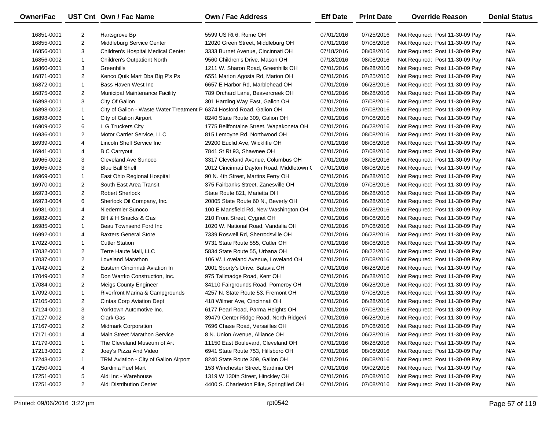| Owner/Fac  |                | UST Cnt Own / Fac Name                                                | Own / Fac Address                         | <b>Eff Date</b> | <b>Print Date</b> | <b>Override Reason</b>          | <b>Denial Status</b> |
|------------|----------------|-----------------------------------------------------------------------|-------------------------------------------|-----------------|-------------------|---------------------------------|----------------------|
| 16851-0001 | $\overline{2}$ | Hartsgrove Bp                                                         | 5599 US Rt 6, Rome OH                     | 07/01/2016      | 07/25/2016        | Not Required: Post 11-30-09 Pay | N/A                  |
| 16855-0001 | $\overline{2}$ | Middleburg Service Center                                             | 12020 Green Street, Middleburg OH         | 07/01/2016      | 07/08/2016        | Not Required: Post 11-30-09 Pay | N/A                  |
| 16856-0001 | 3              | Children's Hospital Medical Center                                    | 3333 Burnet Avenue, Cincinnati OH         | 07/18/2016      | 08/08/2016        | Not Required: Post 11-30-09 Pay | N/A                  |
| 16856-0002 | $\mathbf{1}$   | <b>Children's Outpatient North</b>                                    | 9560 Children's Drive, Mason OH           | 07/18/2016      | 08/08/2016        | Not Required: Post 11-30-09 Pay | N/A                  |
| 16860-0001 | 3              | Greenhills                                                            | 1211 W. Sharon Road, Greenhills OH        | 07/01/2016      | 06/28/2016        | Not Required: Post 11-30-09 Pay | N/A                  |
| 16871-0001 | $\overline{2}$ | Kenco Quik Mart Dba Big P's Ps                                        | 6551 Marion Agosta Rd, Marion OH          | 07/01/2016      | 07/25/2016        | Not Required: Post 11-30-09 Pay | N/A                  |
| 16872-0001 | $\mathbf{1}$   | Bass Haven West Inc                                                   | 6657 E Harbor Rd, Marblehead OH           | 07/01/2016      | 06/28/2016        | Not Required: Post 11-30-09 Pay | N/A                  |
| 16875-0002 | $\overline{2}$ | Municipal Maintenance Facility                                        | 789 Orchard Lane, Beavercreek OH          | 07/01/2016      | 06/28/2016        | Not Required: Post 11-30-09 Pay | N/A                  |
| 16898-0001 | 3              | City Of Galion                                                        | 301 Harding Way East, Galion OH           | 07/01/2016      | 07/08/2016        | Not Required: Post 11-30-09 Pay | N/A                  |
| 16898-0002 | $\mathbf{1}$   | City of Galion - Waste Water Treatment P 6374 Hosford Road, Galion OH |                                           | 07/01/2016      | 07/08/2016        | Not Required: Post 11-30-09 Pay | N/A                  |
| 16898-0003 | $\mathbf{1}$   | City of Galion Airport                                                | 8240 State Route 309, Galion OH           | 07/01/2016      | 07/08/2016        | Not Required: Post 11-30-09 Pay | N/A                  |
| 16909-0002 | 6              | L G Truckers City                                                     | 1775 Bellfontaine Street, Wapakoneta OH   | 07/01/2016      | 06/28/2016        | Not Required: Post 11-30-09 Pay | N/A                  |
| 16936-0001 | $\overline{2}$ | Motor Carrier Service, LLC                                            | 815 Lemoyne Rd, Northwood OH              | 07/01/2016      | 08/08/2016        | Not Required: Post 11-30-09 Pay | N/A                  |
| 16939-0001 | 4              | Lincoln Shell Service Inc                                             | 29200 Euclid Ave, Wickliffe OH            | 07/01/2016      | 08/08/2016        | Not Required: Post 11-30-09 Pay | N/A                  |
| 16941-0001 | 4              | <b>B C Carryout</b>                                                   | 7841 St Rt 93, Shawnee OH                 | 07/01/2016      | 07/08/2016        | Not Required: Post 11-30-09 Pay | N/A                  |
| 16965-0002 | 3              | Cleveland Ave Sunoco                                                  | 3317 Cleveland Avenue, Columbus OH        | 07/01/2016      | 08/08/2016        | Not Required: Post 11-30-09 Pay | N/A                  |
| 16965-0003 | 3              | <b>Blue Ball Shell</b>                                                | 2012 Cincinnati Dayton Road, Middletown ( | 07/01/2016      | 08/08/2016        | Not Required: Post 11-30-09 Pay | N/A                  |
| 16969-0001 | $\mathbf{1}$   | East Ohio Regional Hospital                                           | 90 N. 4th Street, Martins Ferry OH        | 07/01/2016      | 06/28/2016        | Not Required: Post 11-30-09 Pay | N/A                  |
| 16970-0001 | $\overline{2}$ | South East Area Transit                                               | 375 Fairbanks Street, Zanesville OH       | 07/01/2016      | 07/08/2016        | Not Required: Post 11-30-09 Pay | N/A                  |
| 16973-0001 | 2              | <b>Robert Sherlock</b>                                                | State Route 821, Marietta OH              | 07/01/2016      | 06/28/2016        | Not Required: Post 11-30-09 Pay | N/A                  |
| 16973-0004 | 6              | Sherlock Oil Company, Inc.                                            | 20805 State Route 60 N., Beverly OH       | 07/01/2016      | 06/28/2016        | Not Required: Post 11-30-09 Pay | N/A                  |
| 16981-0001 | 4              | Niedermier Sunoco                                                     | 100 E Mansfield Rd, New Washington OH     | 07/01/2016      | 06/28/2016        | Not Required: Post 11-30-09 Pay | N/A                  |
| 16982-0001 | $\overline{2}$ | BH & H Snacks & Gas                                                   | 210 Front Street, Cygnet OH               | 07/01/2016      | 08/08/2016        | Not Required: Post 11-30-09 Pay | N/A                  |
| 16985-0001 | $\mathbf{1}$   | Beau Townsend Ford Inc                                                | 1020 W. National Road, Vandalia OH        | 07/01/2016      | 07/08/2016        | Not Required: Post 11-30-09 Pay | N/A                  |
| 16992-0001 | 4              | <b>Baxters General Store</b>                                          | 7339 Roswell Rd, Sherrodsville OH         | 07/01/2016      | 06/28/2016        | Not Required: Post 11-30-09 Pay | N/A                  |
| 17022-0001 | $\mathbf{1}$   | <b>Cutler Station</b>                                                 | 9731 State Route 555, Cutler OH           | 07/01/2016      | 08/08/2016        | Not Required: Post 11-30-09 Pay | N/A                  |
| 17032-0001 | $\overline{2}$ | Terre Haute Mall, LLC                                                 | 5834 State Route 55, Urbana OH            | 07/01/2016      | 08/22/2016        | Not Required: Post 11-30-09 Pay | N/A                  |
| 17037-0001 | $\overline{2}$ | Loveland Marathon                                                     | 106 W. Loveland Avenue, Loveland OH       | 07/01/2016      | 07/08/2016        | Not Required: Post 11-30-09 Pay | N/A                  |
| 17042-0001 | $\overline{2}$ | Eastern Cincinnati Aviation In                                        | 2001 Sporty's Drive, Batavia OH           | 07/01/2016      | 06/28/2016        | Not Required: Post 11-30-09 Pay | N/A                  |
| 17049-0001 | $\overline{2}$ | Don Wartko Construction, Inc.                                         | 975 Tallmadge Road, Kent OH               | 07/01/2016      | 06/28/2016        | Not Required: Post 11-30-09 Pay | N/A                  |
| 17084-0001 | $\overline{2}$ | <b>Meigs County Engineer</b>                                          | 34110 Fairgrounds Road, Pomeroy OH        | 07/01/2016      | 06/28/2016        | Not Required: Post 11-30-09 Pay | N/A                  |
| 17092-0001 | $\mathbf{1}$   | Riverfront Marina & Campgrounds                                       | 4257 N. State Route 53, Fremont OH        | 07/01/2016      | 07/08/2016        | Not Required: Post 11-30-09 Pay | N/A                  |
| 17105-0001 | $\overline{2}$ | <b>Cintas Corp Aviation Dept</b>                                      | 418 Wilmer Ave, Cincinnati OH             | 07/01/2016      | 06/28/2016        | Not Required: Post 11-30-09 Pay | N/A                  |
| 17124-0001 | 3              | Yorktown Automotive Inc.                                              | 6177 Pearl Road, Parma Heights OH         | 07/01/2016      | 07/08/2016        | Not Required: Post 11-30-09 Pay | N/A                  |
| 17127-0002 | 3              | Clark Gas                                                             | 39479 Center Ridge Road, North Ridgevi    | 07/01/2016      | 06/28/2016        | Not Required: Post 11-30-09 Pay | N/A                  |
| 17167-0001 | 2              | <b>Midmark Corporation</b>                                            | 7696 Chase Road, Versailles OH            | 07/01/2016      | 07/08/2016        | Not Required: Post 11-30-09 Pay | N/A                  |
| 17171-0001 | 4              | Main Street Marathon Service                                          | 8 N. Union Avenue, Alliance OH            | 07/01/2016      | 06/28/2016        | Not Required: Post 11-30-09 Pay | N/A                  |
| 17179-0001 | 1              | The Cleveland Museum of Art                                           | 11150 East Boulevard, Cleveland OH        | 07/01/2016      | 06/28/2016        | Not Required: Post 11-30-09 Pay | N/A                  |
| 17213-0001 | 2              | Joey's Pizza And Video                                                | 6941 State Route 753, Hillsboro OH        | 07/01/2016      | 08/08/2016        | Not Required: Post 11-30-09 Pay | N/A                  |
| 17243-0002 | 1              | TRM Aviation - City of Galion Airport                                 | 8240 State Route 309, Galion OH           | 07/01/2016      | 08/08/2016        | Not Required: Post 11-30-09 Pay | N/A                  |
| 17250-0001 | 4              | Sardinia Fuel Mart                                                    | 153 Winchester Street, Sardinia OH        | 07/01/2016      | 09/02/2016        | Not Required: Post 11-30-09 Pay | N/A                  |
| 17251-0001 | 5              | Aldi Inc - Warehouse                                                  | 1319 W 130th Street, Hinckley OH          | 07/01/2016      | 07/08/2016        | Not Required: Post 11-30-09 Pay | N/A                  |
| 17251-0002 | $\overline{2}$ | Aldi Distribution Center                                              | 4400 S. Charleston Pike, Springfiled OH   | 07/01/2016      | 07/08/2016        | Not Required: Post 11-30-09 Pay | N/A                  |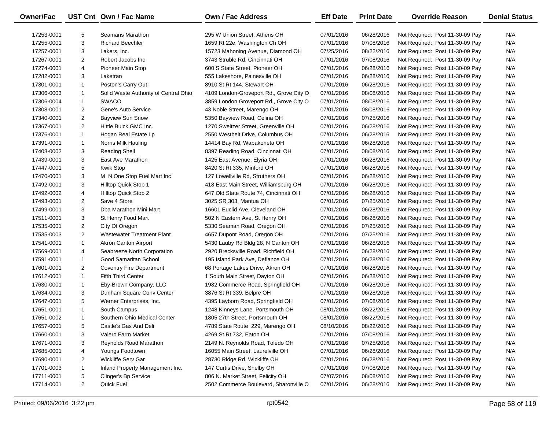| <b>Owner/Fac</b> |                | UST Cnt Own / Fac Name                | Own / Fac Address                       | <b>Eff Date</b> | <b>Print Date</b> | <b>Override Reason</b>          | <b>Denial Status</b> |
|------------------|----------------|---------------------------------------|-----------------------------------------|-----------------|-------------------|---------------------------------|----------------------|
| 17253-0001       | 5              | Seamans Marathon                      | 295 W Union Street, Athens OH           | 07/01/2016      | 06/28/2016        | Not Required: Post 11-30-09 Pay | N/A                  |
| 17255-0001       | 3              | <b>Richard Beechler</b>               | 1659 Rt 22e, Washington Ch OH           | 07/01/2016      | 07/08/2016        | Not Required: Post 11-30-09 Pay | N/A                  |
| 17257-0001       | 3              | Lakers, Inc.                          | 15723 Mahoning Avenue, Diamond OH       | 07/25/2016      | 08/22/2016        | Not Required: Post 11-30-09 Pay | N/A                  |
| 17267-0001       | $\overline{2}$ | Robert Jacobs Inc                     | 3743 Struble Rd, Cincinnati OH          | 07/01/2016      | 07/08/2016        | Not Required: Post 11-30-09 Pay | N/A                  |
| 17274-0001       | 4              | Pioneer Main Stop                     | 600 S State Street, Pioneer OH          | 07/01/2016      | 06/28/2016        | Not Required: Post 11-30-09 Pay | N/A                  |
| 17282-0001       | 3              | Laketran                              | 555 Lakeshore, Painesville OH           | 07/01/2016      | 06/28/2016        | Not Required: Post 11-30-09 Pay | N/A                  |
| 17301-0001       | $\mathbf{1}$   | Poston's Carry Out                    | 8910 St Rt 144, Stewart OH              | 07/01/2016      | 06/28/2016        | Not Required: Post 11-30-09 Pay | N/A                  |
| 17306-0003       | $\mathbf{1}$   | Solid Waste Authority of Central Ohio | 4109 London-Groveport Rd., Grove City O | 07/01/2016      | 08/08/2016        | Not Required: Post 11-30-09 Pay | N/A                  |
| 17306-0004       | $\mathbf{1}$   | <b>SWACO</b>                          | 3859 London Groveport Rd., Grove City O | 07/01/2016      | 08/08/2016        | Not Required: Post 11-30-09 Pay | N/A                  |
| 17308-0001       | $\overline{2}$ | Gene's Auto Service                   | 43 Noble Street, Marengo OH             | 07/01/2016      | 08/08/2016        | Not Required: Post 11-30-09 Pay | N/A                  |
| 17340-0001       | $\overline{2}$ | <b>Bayview Sun Snow</b>               | 5350 Bayview Road, Celina OH            | 07/01/2016      | 07/25/2016        | Not Required: Post 11-30-09 Pay | N/A                  |
| 17367-0001       | $\overline{2}$ | Hittle Buick GMC Inc.                 | 1270 Sweitzer Street, Greenville OH     | 07/01/2016      | 06/28/2016        | Not Required: Post 11-30-09 Pay | N/A                  |
| 17376-0001       | $\mathbf{1}$   | Hogan Real Estate Lp                  | 2550 Westbelt Drive, Columbus OH        | 07/01/2016      | 06/28/2016        | Not Required: Post 11-30-09 Pay | N/A                  |
| 17391-0001       | $\mathbf{1}$   | Norris Milk Hauling                   | 14414 Bay Rd, Wapakoneta OH             | 07/01/2016      | 06/28/2016        | Not Required: Post 11-30-09 Pay | N/A                  |
| 17408-0002       | 3              | <b>Reading Shell</b>                  | 8397 Reading Road, Cincinnati OH        | 07/01/2016      | 08/08/2016        | Not Required: Post 11-30-09 Pay | N/A                  |
| 17439-0001       | 3              | East Ave Marathon                     | 1425 East Avenue, Elyria OH             | 07/01/2016      | 06/28/2016        | Not Required: Post 11-30-09 Pay | N/A                  |
| 17447-0001       | 5              | <b>Kwik Stop</b>                      | 8420 St Rt 335, Minford OH              | 07/01/2016      | 06/28/2016        | Not Required: Post 11-30-09 Pay | N/A                  |
| 17470-0001       | 3              | M N One Stop Fuel Mart Inc            | 127 Lowellville Rd, Struthers OH        | 07/01/2016      | 06/28/2016        | Not Required: Post 11-30-09 Pay | N/A                  |
| 17492-0001       | 3              | Hilltop Quick Stop 1                  | 418 East Main Street, Williamsburg OH   | 07/01/2016      | 06/28/2016        | Not Required: Post 11-30-09 Pay | N/A                  |
| 17492-0002       | 4              | Hilltop Quick Stop 2                  | 647 Old State Route 74, Cincinnati OH   | 07/01/2016      | 06/28/2016        | Not Required: Post 11-30-09 Pay | N/A                  |
| 17493-0001       | $\overline{2}$ | Save 4 Store                          | 3025 SR 303, Mantua OH                  | 07/01/2016      | 07/25/2016        | Not Required: Post 11-30-09 Pay | N/A                  |
| 17499-0001       | 3              | Dba Marathon Mini Mart                | 16601 Euclid Ave, Cleveland OH          | 07/01/2016      | 06/28/2016        | Not Required: Post 11-30-09 Pay | N/A                  |
| 17511-0001       | 3              | St Henry Food Mart                    | 502 N Eastern Ave, St Henry OH          | 07/01/2016      | 06/28/2016        | Not Required: Post 11-30-09 Pay | N/A                  |
| 17535-0001       | $\overline{2}$ | City Of Oregon                        | 5330 Seaman Road, Oregon OH             | 07/01/2016      | 07/25/2016        | Not Required: Post 11-30-09 Pay | N/A                  |
| 17535-0003       | $\overline{2}$ | <b>Wastewater Treatment Plant</b>     | 4657 Dupont Road, Oregon OH             | 07/01/2016      | 07/25/2016        | Not Required: Post 11-30-09 Pay | N/A                  |
| 17541-0001       | $\mathbf{1}$   | <b>Akron Canton Airport</b>           | 5430 Lauby Rd Bldg 28, N Canton OH      | 07/01/2016      | 06/28/2016        | Not Required: Post 11-30-09 Pay | N/A                  |
| 17569-0001       | 4              | Seabreeze North Corporation           | 2920 Brecksville Road, Richfield OH     | 07/01/2016      | 06/28/2016        | Not Required: Post 11-30-09 Pay | N/A                  |
| 17591-0001       | $\mathbf{1}$   | Good Samaritan School                 | 195 Island Park Ave, Defiance OH        | 07/01/2016      | 06/28/2016        | Not Required: Post 11-30-09 Pay | N/A                  |
| 17601-0001       | $\overline{2}$ | <b>Coventry Fire Department</b>       | 68 Portage Lakes Drive, Akron OH        | 07/01/2016      | 06/28/2016        | Not Required: Post 11-30-09 Pay | N/A                  |
| 17612-0001       | $\mathbf{1}$   | <b>Fifth Third Center</b>             | 1 South Main Street, Dayton OH          | 07/01/2016      | 06/28/2016        | Not Required: Post 11-30-09 Pay | N/A                  |
| 17630-0001       | $\mathbf{1}$   | Eby-Brown Company, LLC                | 1982 Commerce Road, Springfield OH      | 07/01/2016      | 06/28/2016        | Not Required: Post 11-30-09 Pay | N/A                  |
| 17634-0001       | 3              | Dunham Square Conv Center             | 3876 St Rt 339, Belpre OH               | 07/01/2016      | 06/28/2016        | Not Required: Post 11-30-09 Pay | N/A                  |
| 17647-0001       | 5              | Werner Enterprises, Inc.              | 4395 Layborn Road, Springfield OH       | 07/01/2016      | 07/08/2016        | Not Required: Post 11-30-09 Pay | N/A                  |
| 17651-0001       | $\mathbf{1}$   | South Campus                          | 1248 Kinneys Lane, Portsmouth OH        | 08/01/2016      | 08/22/2016        | Not Required: Post 11-30-09 Pay | N/A                  |
| 17651-0002       | $\mathbf{1}$   | Southern Ohio Medical Center          | 1805 27th Street, Portsmouth OH         | 08/01/2016      | 08/22/2016        | Not Required: Post 11-30-09 Pay | N/A                  |
| 17657-0001       | 5              | Castle's Gas And Deli                 | 4789 State Route 229, Marengo OH        | 08/10/2016      | 08/22/2016        | Not Required: Post 11-30-09 Pay | N/A                  |
| 17660-0001       | 3              | Valero Farm Market                    | 4269 St Rt 732, Eaton OH                | 07/01/2016      | 07/08/2016        | Not Required: Post 11-30-09 Pay | N/A                  |
| 17671-0001       | 3              | Reynolds Road Marathon                | 2149 N. Reynolds Road, Toledo OH        | 07/01/2016      | 07/25/2016        | Not Required: Post 11-30-09 Pay | N/A                  |
| 17685-0001       | 4              | Youngs Foodtown                       | 16055 Main Street, Laurelville OH       | 07/01/2016      | 06/28/2016        | Not Required: Post 11-30-09 Pay | N/A                  |
| 17690-0001       | $\overline{2}$ | Wickliffe Serv Gar                    | 28730 Ridge Rd, Wickliffe OH            | 07/01/2016      | 06/28/2016        | Not Required: Post 11-30-09 Pay | N/A                  |
| 17701-0003       | $\mathbf{1}$   | Inland Property Management Inc.       | 147 Curtis Drive, Shelby OH             | 07/01/2016      | 07/08/2016        | Not Required: Post 11-30-09 Pay | N/A                  |
| 17711-0001       | 5              | Clinger's Bp Service                  | 806 N. Market Street, Felicity OH       | 07/07/2016      | 08/08/2016        | Not Required: Post 11-30-09 Pay | N/A                  |
| 17714-0001       | $\overline{2}$ | Quick Fuel                            | 2502 Commerce Boulevard, Sharonville O  | 07/01/2016      | 06/28/2016        | Not Required: Post 11-30-09 Pay | N/A                  |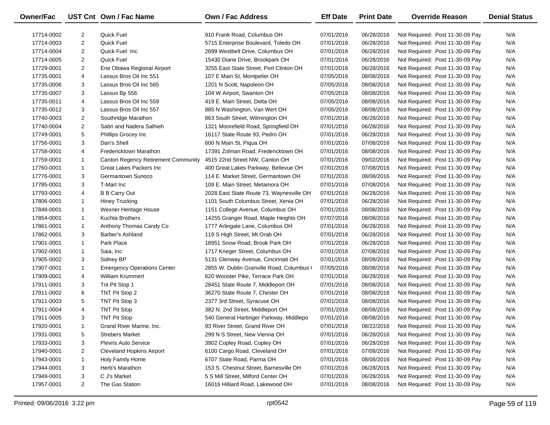| Owner/Fac  |                | UST Cnt Own / Fac Name                     | Own / Fac Address                         | <b>Eff Date</b> | <b>Print Date</b> | <b>Override Reason</b>          | <b>Denial Status</b> |
|------------|----------------|--------------------------------------------|-------------------------------------------|-----------------|-------------------|---------------------------------|----------------------|
| 17714-0002 | 2              | <b>Quick Fuel</b>                          | 910 Frank Road, Columbus OH               | 07/01/2016      | 06/28/2016        | Not Required: Post 11-30-09 Pay | N/A                  |
| 17714-0003 | $\overline{2}$ | Quick Fuel                                 | 5715 Enterprise Boulevard, Toledo OH      | 07/01/2016      | 06/28/2016        | Not Required: Post 11-30-09 Pay | N/A                  |
| 17714-0004 | $\overline{2}$ | Quick Fuel Inc                             | 2699 Westbelt Drive, Columbus OH          | 07/01/2016      | 06/28/2016        | Not Required: Post 11-30-09 Pay | N/A                  |
| 17714-0005 | $\overline{2}$ | Quick Fuel                                 | 15430 Diane Drive, Brookpark OH           | 07/01/2016      | 06/28/2016        | Not Required: Post 11-30-09 Pay | N/A                  |
| 17729-0001 | $\overline{2}$ | Erie Ottawa Regional Airport               | 3255 East State Street, Port Clinton OH   | 07/01/2016      | 06/28/2016        | Not Required: Post 11-30-09 Pay | N/A                  |
| 17735-0001 | 4              | Lassus Bros Oil Inc 551                    | 107 E Main St, Montpelier OH              | 07/05/2016      | 08/08/2016        | Not Required: Post 11-30-09 Pay | N/A                  |
| 17735-0006 | 3              | Lassus Bros Oil Inc 565                    | 1201 N Scott, Napoleon OH                 | 07/05/2016      | 08/08/2016        | Not Required: Post 11-30-09 Pay | N/A                  |
| 17735-0007 | 3              | Lassus Bp 556                              | 104 W Airport, Swanton OH                 | 07/05/2016      | 08/08/2016        | Not Required: Post 11-30-09 Pay | N/A                  |
| 17735-0011 | 4              | Lassus Bros Oil Inc 559                    | 419 E. Main Street, Delta OH              | 07/05/2016      | 08/08/2016        | Not Required: Post 11-30-09 Pay | N/A                  |
| 17735-0012 | 3              | Lassus Bros Oil Inc 557                    | 885 N Washington, Van Wert OH             | 07/05/2016      | 08/08/2016        | Not Required: Post 11-30-09 Pay | N/A                  |
| 17740-0003 | $\overline{2}$ | Southridge Marathon                        | 863 South Street, Wilmington OH           | 07/01/2016      | 06/28/2016        | Not Required: Post 11-30-09 Pay | N/A                  |
| 17740-0004 | $\overline{c}$ | Sabri and Nadera Salhieh                   | 1321 Moorefield Road, Springfield OH      | 07/01/2016      | 06/28/2016        | Not Required: Post 11-30-09 Pay | N/A                  |
| 17749-0001 | 5              | <b>Phillips Grocey Inc.</b>                | 16117 State Route 93, Pedro OH            | 07/01/2016      | 06/28/2016        | Not Required: Post 11-30-09 Pay | N/A                  |
| 17756-0001 | 3              | Dan's Shell                                | 600 N Main St, Piqua OH                   | 07/01/2016      | 07/08/2016        | Not Required: Post 11-30-09 Pay | N/A                  |
| 17758-0001 | 4              | Fredericktown Marathon                     | 17391 Zolman Road, Fredericktown OH       | 07/01/2016      | 08/08/2016        | Not Required: Post 11-30-09 Pay | N/A                  |
| 17759-0001 | $\mathbf{1}$   | <b>Canton Regency Retirement Community</b> | 4515 22nd Street NW, Canton OH            | 07/01/2016      | 09/02/2016        | Not Required: Post 11-30-09 Pay | N/A                  |
| 17760-0001 | $\mathbf{1}$   | Great Lakes Packers Inc                    | 400 Great Lakes Parkway, Bellevue OH      | 07/01/2016      | 07/08/2016        | Not Required: Post 11-30-09 Pay | N/A                  |
| 17776-0001 | 3              | Germantown Sunoco                          | 114 E. Market Street, Germantown OH       | 07/01/2016      | 08/08/2016        | Not Required: Post 11-30-09 Pay | N/A                  |
| 17785-0001 | 3              | T-Mart Inc                                 | 109 E. Main Street, Metamora OH           | 07/01/2016      | 07/08/2016        | Not Required: Post 11-30-09 Pay | N/A                  |
| 17793-0001 | 4              | <b>B B Carry Out</b>                       | 2028 East State Route 73, Waynesville OH  | 07/01/2016      | 06/28/2016        | Not Required: Post 11-30-09 Pay | N/A                  |
| 17806-0001 | $\mathbf{1}$   | <b>Hiney Trucking</b>                      | 1101 South Columbus Street, Xenia OH      | 07/01/2016      | 06/28/2016        | Not Required: Post 11-30-09 Pay | N/A                  |
| 17848-0001 | $\mathbf{1}$   | Wexner Heritage House                      | 1151 College Avenue, Columbus OH          | 07/01/2016      | 08/08/2016        | Not Required: Post 11-30-09 Pay | N/A                  |
| 17854-0001 | $\mathbf{1}$   | <b>Kuchta Brothers</b>                     | 14255 Granger Road, Maple Heights OH      | 07/07/2016      | 08/08/2016        | Not Required: Post 11-30-09 Pay | N/A                  |
| 17861-0001 | $\mathbf{1}$   | Anthony Thomas Candy Co                    | 1777 Arlingate Lane, Columbus OH          | 07/01/2016      | 06/28/2016        | Not Required: Post 11-30-09 Pay | N/A                  |
| 17862-0001 | 3              | Barber's Ashland                           | 119 S High Street, Mt Orab OH             | 07/01/2016      | 06/28/2016        | Not Required: Post 11-30-09 Pay | N/A                  |
| 17901-0001 | $\mathbf{1}$   | Park Place                                 | 18951 Snow Road, Brook Park OH            | 07/01/2016      | 06/28/2016        | Not Required: Post 11-30-09 Pay | N/A                  |
| 17902-0001 | $\mathbf{1}$   | Saia, Inc                                  | 1717 Krieger Street, Columbus OH          | 07/01/2016      | 07/08/2016        | Not Required: Post 11-30-09 Pay | N/A                  |
| 17905-0002 | 3              | Sidney BP                                  | 5131 Glenway Avenue, Cincinnati OH        | 07/01/2016      | 08/08/2016        | Not Required: Post 11-30-09 Pay | N/A                  |
| 17907-0001 | $\mathbf{1}$   | <b>Emergency Operations Center</b>         | 2855 W. Dublin Granville Road, Columbus ( | 07/05/2016      | 08/08/2016        | Not Required: Post 11-30-09 Pay | N/A                  |
| 17909-0001 | 4              | <b>William Krummert</b>                    | 620 Wooster Pike, Terrace Park OH         | 07/01/2016      | 06/28/2016        | Not Required: Post 11-30-09 Pay | N/A                  |
| 17911-0001 | 3              | Tnt Pit Stop 1                             | 28451 State Route 7, Middleport OH        | 07/01/2016      | 08/08/2016        | Not Required: Post 11-30-09 Pay | N/A                  |
| 17911-0002 | 6              | TNT Pit Stop 2                             | 36270 State Route 7, Chester OH           | 07/01/2016      | 08/08/2016        | Not Required: Post 11-30-09 Pay | N/A                  |
| 17911-0003 | 5              | TNT Pit Stop 3                             | 2377 3rd Street, Syracuse OH              | 07/01/2016      | 08/08/2016        | Not Required: Post 11-30-09 Pay | N/A                  |
| 17911-0004 | 4              | <b>TNT Pit Stop</b>                        | 382 N. 2nd Street, Middleport OH          | 07/01/2016      | 08/08/2016        | Not Required: Post 11-30-09 Pay | N/A                  |
| 17911-0005 | 3              | <b>TNT Pit Stop</b>                        | 540 General Hartinger Parkway, Middlepo   | 07/01/2016      | 08/08/2016        | Not Required: Post 11-30-09 Pay | N/A                  |
| 17920-0001 | -1             | Grand River Marine, Inc.                   | 93 River Street, Grand River OH           | 07/01/2016      | 08/22/2016        | Not Required: Post 11-30-09 Pay | N/A                  |
| 17931-0001 | 5              | <b>Strebers Market</b>                     | 299 N S Street, New Vienna OH             | 07/01/2016      | 06/28/2016        | Not Required: Post 11-30-09 Pay | N/A                  |
| 17933-0001 | 3              | <b>Plevris Auto Service</b>                | 3902 Copley Road, Copley OH               | 07/01/2016      | 06/28/2016        | Not Required: Post 11-30-09 Pay | N/A                  |
| 17940-0001 | 2              | <b>Cleveland Hopkins Airport</b>           | 6100 Cargo Road, Cleveland OH             | 07/01/2016      | 07/08/2016        | Not Required: Post 11-30-09 Pay | N/A                  |
| 17943-0001 | $\mathbf{1}$   | Holy Family Home                           | 6707 State Road, Parma OH                 | 07/01/2016      | 08/08/2016        | Not Required: Post 11-30-09 Pay | N/A                  |
| 17944-0001 | 3              | Herb's Marathon                            | 153 S. Chestnut Street, Barnesville OH    | 07/01/2016      | 06/28/2016        | Not Required: Post 11-30-09 Pay | N/A                  |
| 17949-0001 | 3              | C J's Market                               | 5 S Mill Street, Milford Center OH        | 07/01/2016      | 06/28/2016        | Not Required: Post 11-30-09 Pay | N/A                  |
| 17957-0001 | $\overline{2}$ | The Gas Station                            | 16016 Hilliard Road, Lakewood OH          | 07/01/2016      | 08/08/2016        | Not Required: Post 11-30-09 Pay | N/A                  |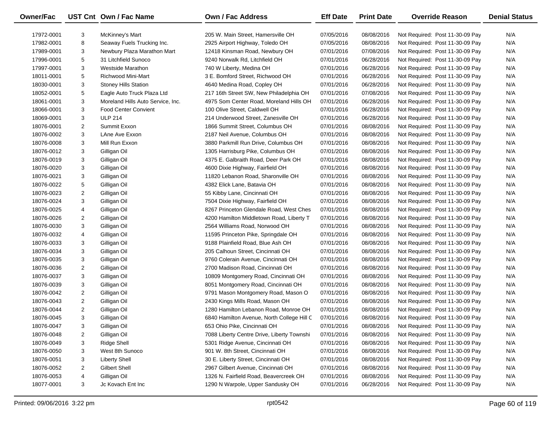| <b>Owner/Fac</b> |                | UST Cnt Own / Fac Name            | <b>Own / Fac Address</b>                   | <b>Eff Date</b> | <b>Print Date</b> | <b>Override Reason</b>          | <b>Denial Status</b> |
|------------------|----------------|-----------------------------------|--------------------------------------------|-----------------|-------------------|---------------------------------|----------------------|
| 17972-0001       | 3              | McKinney's Mart                   | 205 W. Main Street, Hamersville OH         | 07/05/2016      | 08/08/2016        | Not Required: Post 11-30-09 Pay | N/A                  |
| 17982-0001       | 8              | Seaway Fuels Trucking Inc.        | 2925 Airport Highway, Toledo OH            | 07/05/2016      | 08/08/2016        | Not Required: Post 11-30-09 Pay | N/A                  |
| 17989-0001       | 3              | Newbury Plaza Marathon Mart       | 12418 Kinsman Road, Newbury OH             | 07/01/2016      | 07/08/2016        | Not Required: Post 11-30-09 Pay | N/A                  |
| 17996-0001       | 5              | 31 Litchfield Sunoco              | 9240 Norwalk Rd, Litchfield OH             | 07/01/2016      | 06/28/2016        | Not Required: Post 11-30-09 Pay | N/A                  |
| 17997-0001       | 3              | Westside Marathon                 | 740 W Liberty, Medina OH                   | 07/01/2016      | 06/28/2016        | Not Required: Post 11-30-09 Pay | N/A                  |
| 18011-0001       | 5              | Richwood Mini-Mart                | 3 E. Bomford Street, Richwood OH           | 07/01/2016      | 06/28/2016        | Not Required: Post 11-30-09 Pay | N/A                  |
| 18030-0001       | 3              | <b>Stoney Hills Station</b>       | 4640 Medina Road, Copley OH                | 07/01/2016      | 06/28/2016        | Not Required: Post 11-30-09 Pay | N/A                  |
| 18052-0001       | 5              | Eagle Auto Truck Plaza Ltd        | 217 16th Street SW, New Philadelphia OH    | 07/01/2016      | 07/08/2016        | Not Required: Post 11-30-09 Pay | N/A                  |
| 18061-0001       | 3              | Moreland Hills Auto Service, Inc. | 4975 Som Center Road, Moreland Hills OH    | 07/01/2016      | 06/28/2016        | Not Required: Post 11-30-09 Pay | N/A                  |
| 18066-0001       | 3              | <b>Food Center Convient</b>       | 100 Olive Street, Caldwell OH              | 07/01/2016      | 06/28/2016        | Not Required: Post 11-30-09 Pay | N/A                  |
| 18069-0001       | 3              | <b>ULP 214</b>                    | 214 Underwood Street, Zanesville OH        | 07/01/2016      | 06/28/2016        | Not Required: Post 11-30-09 Pay | N/A                  |
| 18076-0001       | 2              | Summit Exxon                      | 1866 Summit Street, Columbus OH            | 07/01/2016      | 08/08/2016        | Not Required: Post 11-30-09 Pay | N/A                  |
| 18076-0002       | 3              | LAne Ave Exxon                    | 2187 Neil Avenue, Columbus OH              | 07/01/2016      | 08/08/2016        | Not Required: Post 11-30-09 Pay | N/A                  |
| 18076-0008       | 3              | Mill Run Exxon                    | 3880 Parkmill Run Drive, Columbus OH       | 07/01/2016      | 08/08/2016        | Not Required: Post 11-30-09 Pay | N/A                  |
| 18076-0012       | 3              | Gilligan Oil                      | 1305 Harrisburg Pike, Columbus OH          | 07/01/2016      | 08/08/2016        | Not Required: Post 11-30-09 Pay | N/A                  |
| 18076-0019       | 3              | Gilligan Oil                      | 4375 E. Galbraith Road, Deer Park OH       | 07/01/2016      | 08/08/2016        | Not Required: Post 11-30-09 Pay | N/A                  |
| 18076-0020       | 3              | Gilligan Oil                      | 4600 Dixie Highway, Fairfield OH           | 07/01/2016      | 08/08/2016        | Not Required: Post 11-30-09 Pay | N/A                  |
| 18076-0021       | 3              | Gilligan Oil                      | 11820 Lebanon Road, Sharonville OH         | 07/01/2016      | 08/08/2016        | Not Required: Post 11-30-09 Pay | N/A                  |
| 18076-0022       | 5              | Gilligan Oil                      | 4382 Elick Lane, Batavia OH                | 07/01/2016      | 08/08/2016        | Not Required: Post 11-30-09 Pay | N/A                  |
| 18076-0023       | 2              | Gilligan Oil                      | 55 Kibby Lane, Cincinnati OH               | 07/01/2016      | 08/08/2016        | Not Required: Post 11-30-09 Pay | N/A                  |
| 18076-0024       | 3              | Gilligan Oil                      | 7504 Dixie Highway, Fairfield OH           | 07/01/2016      | 08/08/2016        | Not Required: Post 11-30-09 Pay | N/A                  |
| 18076-0025       | 4              | Gilligan Oil                      | 8267 Princeton Glendale Road, West Ches    | 07/01/2016      | 08/08/2016        | Not Required: Post 11-30-09 Pay | N/A                  |
| 18076-0026       | 2              | Gilligan Oil                      | 4200 Hamilton Middletown Road, Liberty T   | 07/01/2016      | 08/08/2016        | Not Required: Post 11-30-09 Pay | N/A                  |
| 18076-0030       | 3              | Gilligan Oil                      | 2564 Williams Road, Norwood OH             | 07/01/2016      | 08/08/2016        | Not Required: Post 11-30-09 Pay | N/A                  |
| 18076-0032       | 4              | Gilligan Oil                      | 11595 Princeton Pike, Springdale OH        | 07/01/2016      | 08/08/2016        | Not Required: Post 11-30-09 Pay | N/A                  |
| 18076-0033       | 3              | Gilligan Oil                      | 9188 Plainfield Road, Blue Ash OH          | 07/01/2016      | 08/08/2016        | Not Required: Post 11-30-09 Pay | N/A                  |
| 18076-0034       | 3              | Gilligan Oil                      | 205 Calhoun Street, Cincinnati OH          | 07/01/2016      | 08/08/2016        | Not Required: Post 11-30-09 Pay | N/A                  |
| 18076-0035       | 3              | Gilligan Oil                      | 9760 Colerain Avenue, Cincinnati OH        | 07/01/2016      | 08/08/2016        | Not Required: Post 11-30-09 Pay | N/A                  |
| 18076-0036       | $\overline{2}$ | Gilligan Oil                      | 2700 Madison Road, Cincinnati OH           | 07/01/2016      | 08/08/2016        | Not Required: Post 11-30-09 Pay | N/A                  |
| 18076-0037       | 3              | Gilligan Oil                      | 10809 Montgomery Road, Cincinnati OH       | 07/01/2016      | 08/08/2016        | Not Required: Post 11-30-09 Pay | N/A                  |
| 18076-0039       | 3              | Gilligan Oil                      | 8051 Montgomery Road, Cincinnati OH        | 07/01/2016      | 08/08/2016        | Not Required: Post 11-30-09 Pay | N/A                  |
| 18076-0042       | $\overline{2}$ | Gilligan Oil                      | 9791 Mason Montgomery Road, Mason O        | 07/01/2016      | 08/08/2016        | Not Required: Post 11-30-09 Pay | N/A                  |
| 18076-0043       | $\overline{2}$ | Gilligan Oil                      | 2430 Kings Mills Road, Mason OH            | 07/01/2016      | 08/08/2016        | Not Required: Post 11-30-09 Pay | N/A                  |
| 18076-0044       | $\overline{c}$ | Gilligan Oil                      | 1280 Hamilton Lebanon Road, Monroe OH      | 07/01/2016      | 08/08/2016        | Not Required: Post 11-30-09 Pay | N/A                  |
| 18076-0045       | 3              | Gilligan Oil                      | 6840 Hamilton Avenue, North College Hill C | 07/01/2016      | 08/08/2016        | Not Required: Post 11-30-09 Pay | N/A                  |
| 18076-0047       | 3              | Gilligan Oil                      | 653 Ohio Pike, Cincinnati OH               | 07/01/2016      | 08/08/2016        | Not Required: Post 11-30-09 Pay | N/A                  |
| 18076-0048       | 2              | Gilligan Oil                      | 7088 Liberty Centre Drive, Liberty Townshi | 07/01/2016      | 08/08/2016        | Not Required: Post 11-30-09 Pay | N/A                  |
| 18076-0049       | 3              | Ridge Shell                       | 5301 Ridge Avenue, Cincinnati OH           | 07/01/2016      | 08/08/2016        | Not Required: Post 11-30-09 Pay | N/A                  |
| 18076-0050       | 3              | West 8th Sunoco                   | 901 W. 8th Street, Cincinnati OH           | 07/01/2016      | 08/08/2016        | Not Required: Post 11-30-09 Pay | N/A                  |
| 18076-0051       | 3              | <b>Liberty Shell</b>              | 30 E. Liberty Street, Cincinnati OH        | 07/01/2016      | 08/08/2016        | Not Required: Post 11-30-09 Pay | N/A                  |
| 18076-0052       | 2              | <b>Gilbert Shell</b>              | 2967 Gilbert Avenue, Cincinnati OH         | 07/01/2016      | 08/08/2016        | Not Required: Post 11-30-09 Pay | N/A                  |
| 18076-0053       | 4              | Gilligan Oil                      | 1326 N. Fairfield Road, Beavercreek OH     | 07/01/2016      | 08/08/2016        | Not Required: Post 11-30-09 Pay | N/A                  |
| 18077-0001       | 3              | Jc Kovach Ent Inc                 | 1290 N Warpole, Upper Sandusky OH          | 07/01/2016      | 06/28/2016        | Not Required: Post 11-30-09 Pay | N/A                  |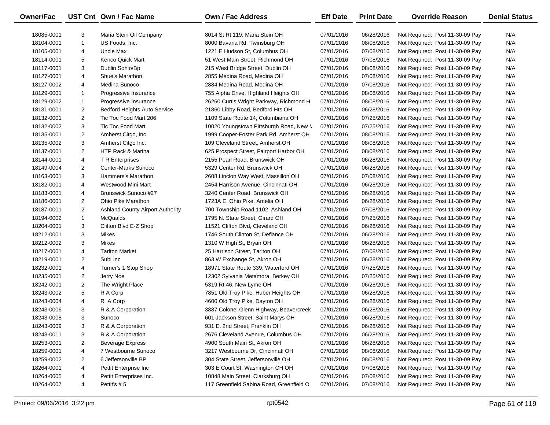| <b>Owner/Fac</b> |                | UST Cnt Own / Fac Name                  | <b>Own / Fac Address</b>                 | <b>Eff Date</b> | <b>Print Date</b> | <b>Override Reason</b>          | <b>Denial Status</b> |
|------------------|----------------|-----------------------------------------|------------------------------------------|-----------------|-------------------|---------------------------------|----------------------|
| 18085-0001       | 3              | Maria Stein Oil Company                 | 8014 St Rt 119, Maria Stein OH           | 07/01/2016      | 06/28/2016        | Not Required: Post 11-30-09 Pay | N/A                  |
| 18104-0001       | $\mathbf{1}$   | US Foods, Inc.                          | 8000 Bavaria Rd, Twinsburg OH            | 07/01/2016      | 08/08/2016        | Not Required: Post 11-30-09 Pay | N/A                  |
| 18105-0001       | 4              | Uncle Max                               | 1221 E Hudson St, Columbus OH            | 07/01/2016      | 07/08/2016        | Not Required: Post 11-30-09 Pay | N/A                  |
| 18114-0001       | 5              | <b>Kenco Quick Mart</b>                 | 51 West Main Street, Richmond OH         | 07/01/2016      | 07/08/2016        | Not Required: Post 11-30-09 Pay | N/A                  |
| 18117-0001       | 3              | Dublin Sohio/Bp                         | 215 West Bridge Street, Dublin OH        | 07/01/2016      | 08/08/2016        | Not Required: Post 11-30-09 Pay | N/A                  |
| 18127-0001       | 4              | Shue's Marathon                         | 2855 Medina Road, Medina OH              | 07/01/2016      | 07/08/2016        | Not Required: Post 11-30-09 Pay | N/A                  |
| 18127-0002       | 4              | Medina Sunoco                           | 2884 Medina Road, Medina OH              | 07/01/2016      | 07/08/2016        | Not Required: Post 11-30-09 Pay | N/A                  |
| 18129-0001       | $\mathbf{1}$   | Progressive Insurance                   | 755 Alpha Drive, Highland Heights OH     | 07/01/2016      | 08/08/2016        | Not Required: Post 11-30-09 Pay | N/A                  |
| 18129-0002       | $\mathbf{1}$   | Progressive Insurance                   | 26260 Curtis Wright Parkway, Richmond H  | 07/01/2016      | 08/08/2016        | Not Required: Post 11-30-09 Pay | N/A                  |
| 18131-0001       | $\overline{2}$ | <b>Bedford Heights Auto Service</b>     | 21860 Libby Road, Bedford Hts OH         | 07/01/2016      | 06/28/2016        | Not Required: Post 11-30-09 Pay | N/A                  |
| 18132-0001       | $\overline{2}$ | Tic Toc Food Mart 206                   | 1109 State Route 14, Columbiana OH       | 07/01/2016      | 07/25/2016        | Not Required: Post 11-30-09 Pay | N/A                  |
| 18132-0002       | 3              | Tic Toc Food Mart                       | 10020 Youngstown Pittsburgh Road, New M  | 07/01/2016      | 07/25/2016        | Not Required: Post 11-30-09 Pay | N/A                  |
| 18135-0001       | 2              | Amherst Citgo, Inc.                     | 1999 Cooper-Foster Park Rd, Amherst OH   | 07/01/2016      | 08/08/2016        | Not Required: Post 11-30-09 Pay | N/A                  |
| 18135-0002       | 3              | Amherst Citgo Inc.                      | 109 Cleveland Street, Amherst OH         | 07/01/2016      | 08/08/2016        | Not Required: Post 11-30-09 Pay | N/A                  |
| 18137-0001       | $\overline{2}$ | HTP Rack & Marina                       | 625 Prospect Street, Fairport Harbor OH  | 07/01/2016      | 08/08/2016        | Not Required: Post 11-30-09 Pay | N/A                  |
| 18144-0001       | 4              | <b>T</b> R Enterprises                  | 2155 Pearl Road, Brunswick OH            | 07/01/2016      | 06/28/2016        | Not Required: Post 11-30-09 Pay | N/A                  |
| 18149-0004       | 2              | Center-Marks Sunoco                     | 5329 Center Rd, Brunswick OH             | 07/01/2016      | 06/28/2016        | Not Required: Post 11-30-09 Pay | N/A                  |
| 18163-0001       | 3              | Hammers's Marathon                      | 2608 Linclon Way West, Massillon OH      | 07/01/2016      | 07/08/2016        | Not Required: Post 11-30-09 Pay | N/A                  |
| 18182-0001       | 4              | Westwood Mini Mart                      | 2454 Harrison Avenue, Cincinnati OH      | 07/01/2016      | 06/28/2016        | Not Required: Post 11-30-09 Pay | N/A                  |
| 18183-0001       | 4              | Brunswick Sunoco #27                    | 3240 Center Road, Brunswick OH           | 07/01/2016      | 06/28/2016        | Not Required: Post 11-30-09 Pay | N/A                  |
| 18186-0001       | 2              | Ohio Pike Marathon                      | 1723A E. Ohio Pike, Amelia OH            | 07/01/2016      | 06/28/2016        | Not Required: Post 11-30-09 Pay | N/A                  |
| 18187-0001       | $\overline{2}$ | <b>Ashland County Airport Authority</b> | 700 Township Road 1102, Ashland OH       | 07/01/2016      | 07/08/2016        | Not Required: Post 11-30-09 Pay | N/A                  |
| 18194-0002       | $\mathbf{1}$   | McQuaids                                | 1795 N. State Street, Girard OH          | 07/01/2016      | 07/25/2016        | Not Required: Post 11-30-09 Pay | N/A                  |
| 18204-0001       | 3              | Clifton Blvd E-Z Shop                   | 11521 Clifton Blvd, Cleveland OH         | 07/01/2016      | 06/28/2016        | Not Required: Post 11-30-09 Pay | N/A                  |
| 18212-0001       | 3              | Mikes                                   | 1746 South Clinton St, Defiance OH       | 07/01/2016      | 06/28/2016        | Not Required: Post 11-30-09 Pay | N/A                  |
| 18212-0002       | 3              | Mikes                                   | 1310 W High St, Bryan OH                 | 07/01/2016      | 06/28/2016        | Not Required: Post 11-30-09 Pay | N/A                  |
| 18217-0001       | 4              | <b>Tarlton Market</b>                   | 25 Harrison Street, Tarlton OH           | 07/01/2016      | 07/08/2016        | Not Required: Post 11-30-09 Pay | N/A                  |
| 18219-0001       | $\overline{2}$ | Subi Inc                                | 863 W Exchange St, Akron OH              | 07/01/2016      | 06/28/2016        | Not Required: Post 11-30-09 Pay | N/A                  |
| 18232-0001       | 4              | Turner's 1 Stop Shop                    | 18971 State Route 339, Waterford OH      | 07/01/2016      | 07/25/2016        | Not Required: Post 11-30-09 Pay | N/A                  |
| 18235-0001       | $\overline{2}$ | Jerry Noe                               | 12302 Sylvania Metamora, Berkey OH       | 07/01/2016      | 07/25/2016        | Not Required: Post 11-30-09 Pay | N/A                  |
| 18242-0001       | $\overline{2}$ | The Wright Place                        | 5319 Rt 46, New Lyme OH                  | 07/01/2016      | 06/28/2016        | Not Required: Post 11-30-09 Pay | N/A                  |
| 18243-0002       | 5              | R A Corp                                | 7851 Old Troy Pike, Huber Heights OH     | 07/01/2016      | 06/28/2016        | Not Required: Post 11-30-09 Pay | N/A                  |
| 18243-0004       | 4              | R A Corp                                | 4600 Old Troy Pike, Dayton OH            | 07/01/2016      | 06/28/2016        | Not Required: Post 11-30-09 Pay | N/A                  |
| 18243-0006       | 3              | R & A Corporation                       | 3887 Colonel Glenn Highway, Beavercreek  | 07/01/2016      | 06/28/2016        | Not Required: Post 11-30-09 Pay | N/A                  |
| 18243-0008       | 3              | Sunoco                                  | 601 Jackson Street, Saint Marys OH       | 07/01/2016      | 06/28/2016        | Not Required: Post 11-30-09 Pay | N/A                  |
| 18243-0009       | 3              | R & A Corporation                       | 931 E. 2nd Street, Franklin OH           | 07/01/2016      | 06/28/2016        | Not Required: Post 11-30-09 Pay | N/A                  |
| 18243-0011       | 3              | R & A Corporation                       | 2676 Cleveland Avenue, Columbus OH       | 07/01/2016      | 06/28/2016        | Not Required: Post 11-30-09 Pay | N/A                  |
| 18253-0001       | 2              | <b>Beverage Express</b>                 | 4900 South Main St, Akron OH             | 07/01/2016      | 06/28/2016        | Not Required: Post 11-30-09 Pay | N/A                  |
| 18259-0001       | 4              | 7 Westbourne Sunoco                     | 3217 Westbourne Dr, Cincinnati OH        | 07/01/2016      | 08/08/2016        | Not Required: Post 11-30-09 Pay | N/A                  |
| 18259-0002       | 2              | 6 Jeffersonville BP                     | 304 State Street, Jeffersonville OH      | 07/01/2016      | 08/08/2016        | Not Required: Post 11-30-09 Pay | N/A                  |
| 18264-0001       | 4              | Pettit Enterprise Inc                   | 303 E Court St, Washington CH OH         | 07/01/2016      | 07/08/2016        | Not Required: Post 11-30-09 Pay | N/A                  |
| 18264-0005       | 4              | Pettit Enterprises Inc.                 | 10848 Main Street, Clarksburg OH         | 07/01/2016      | 07/08/2016        | Not Required: Post 11-30-09 Pay | N/A                  |
| 18264-0007       | 4              | Pettit's #5                             | 117 Greenfield Sabina Road, Greenfield O | 07/01/2016      | 07/08/2016        | Not Required: Post 11-30-09 Pay | N/A                  |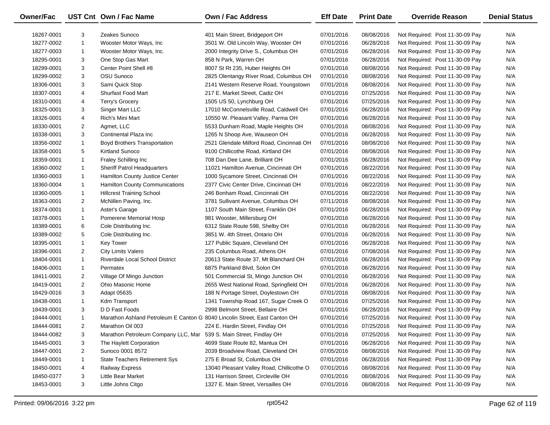| Owner/Fac  |                | UST Cnt Own / Fac Name                                                     | Own / Fac Address                         | <b>Eff Date</b> | <b>Print Date</b> | <b>Override Reason</b>          | <b>Denial Status</b> |
|------------|----------------|----------------------------------------------------------------------------|-------------------------------------------|-----------------|-------------------|---------------------------------|----------------------|
| 18267-0001 | 3              | Zeakes Sunoco                                                              | 401 Main Street, Bridgeport OH            | 07/01/2016      | 08/08/2016        | Not Required: Post 11-30-09 Pay | N/A                  |
| 18277-0002 | $\mathbf{1}$   | Wooster Motor Ways, Inc                                                    | 3501 W. Old Lincoln Way, Wooster OH       | 07/01/2016      | 06/28/2016        | Not Required: Post 11-30-09 Pay | N/A                  |
| 18277-0003 | $\mathbf{1}$   | Wooster Motor Ways, Inc.                                                   | 2000 Integrity Drive S., Columbus OH      | 07/01/2016      | 06/28/2016        | Not Required: Post 11-30-09 Pay | N/A                  |
| 18295-0001 | 3              | One Stop Gas Mart                                                          | 858 N Park, Warren OH                     | 07/01/2016      | 06/28/2016        | Not Required: Post 11-30-09 Pay | N/A                  |
| 18299-0001 | 3              | Center Point Shell #8                                                      | 8007 St Rt 235, Huber Heights OH          | 07/01/2016      | 08/08/2016        | Not Required: Post 11-30-09 Pay | N/A                  |
| 18299-0002 | 3              | OSU Sunoco                                                                 | 2825 Olentangy River Road, Columbus OH    | 07/01/2016      | 08/08/2016        | Not Required: Post 11-30-09 Pay | N/A                  |
| 18306-0001 | 3              | Sami Quick Stop                                                            | 2141 Western Reserve Road, Youngstown     | 07/01/2016      | 08/08/2016        | Not Required: Post 11-30-09 Pay | N/A                  |
| 18307-0001 | 4              | <b>Shurfast Food Mart</b>                                                  | 217 E. Market Street, Cadiz OH            | 07/01/2016      | 07/25/2016        | Not Required: Post 11-30-09 Pay | N/A                  |
| 18310-0001 | 4              | Terry's Grocery                                                            | 1505 US 50, Lynchburg OH                  | 07/01/2016      | 07/25/2016        | Not Required: Post 11-30-09 Pay | N/A                  |
| 18325-0001 | 3              | Singer Mart LLC                                                            | 17010 McConnelsville Road, Caldwell OH    | 07/01/2016      | 06/28/2016        | Not Required: Post 11-30-09 Pay | N/A                  |
| 18326-0001 | 4              | Rich's Mini Mart                                                           | 10550 W. Pleasant Valley, Parma OH        | 07/01/2016      | 06/28/2016        | Not Required: Post 11-30-09 Pay | N/A                  |
| 18330-0001 | $\overline{2}$ | Agmet, LLC                                                                 | 5533 Dunham Road, Maple Heights OH        | 07/01/2016      | 08/08/2016        | Not Required: Post 11-30-09 Pay | N/A                  |
| 18338-0001 | 3              | Continental Plaza Inc                                                      | 1265 N Shoop Ave, Wauseon OH              | 07/01/2016      | 06/28/2016        | Not Required: Post 11-30-09 Pay | N/A                  |
| 18356-0002 | $\mathbf{1}$   | <b>Boyd Brothers Transportation</b>                                        | 2521 Glendale Milford Road, Cincinnati OH | 07/01/2016      | 08/08/2016        | Not Required: Post 11-30-09 Pay | N/A                  |
| 18358-0001 | 5              | <b>Kirtland Sunoco</b>                                                     | 9100 Chillicothe Road, Kirtland OH        | 07/01/2016      | 08/08/2016        | Not Required: Post 11-30-09 Pay | N/A                  |
| 18359-0001 | $\mathbf{1}$   | Fraley Schilling Inc                                                       | 708 Dan Dee Lane, Brilliant OH            | 07/01/2016      | 06/28/2016        | Not Required: Post 11-30-09 Pay | N/A                  |
| 18360-0002 | $\mathbf{1}$   | <b>Sheriff Patrol Headquarters</b>                                         | 11021 Hamilton Avenue, Cincinnati OH      | 07/01/2016      | 08/22/2016        | Not Required: Post 11-30-09 Pay | N/A                  |
| 18360-0003 | $\mathbf{1}$   | Hamilton County Justice Center                                             | 1000 Sycamore Street, Cincinnati OH       | 07/01/2016      | 08/22/2016        | Not Required: Post 11-30-09 Pay | N/A                  |
| 18360-0004 | $\mathbf{1}$   | Hamilton County Communications                                             | 2377 Civic Center Drive, Cincinnati OH    | 07/01/2016      | 08/22/2016        | Not Required: Post 11-30-09 Pay | N/A                  |
| 18360-0005 | $\mathbf{1}$   | <b>Hillcrest Training School</b>                                           | 246 Bonham Road, Cincinnati OH            | 07/01/2016      | 08/22/2016        | Not Required: Post 11-30-09 Pay | N/A                  |
| 18363-0001 | 2              | McNillen Paving, Inc.                                                      | 3781 Sullivant Avenue, Columbus OH        | 07/11/2016      | 08/08/2016        | Not Required: Post 11-30-09 Pay | N/A                  |
| 18374-0001 | $\mathbf{1}$   | Aster's Garage                                                             | 1107 South Main Street, Franklin OH       | 07/01/2016      | 06/28/2016        | Not Required: Post 11-30-09 Pay | N/A                  |
| 18378-0001 | $\mathbf{1}$   | Pomerene Memorial Hosp                                                     | 981 Wooster, Millersburg OH               | 07/01/2016      | 06/28/2016        | Not Required: Post 11-30-09 Pay | N/A                  |
| 18389-0001 | 6              | Cole Distributing Inc.                                                     | 6312 State Route 598, Shelby OH           | 07/01/2016      | 06/28/2016        | Not Required: Post 11-30-09 Pay | N/A                  |
| 18389-0002 | 5              | Cole Distributing Inc.                                                     | 3851 W. 4th Street, Ontario OH            | 07/01/2016      | 06/28/2016        | Not Required: Post 11-30-09 Pay | N/A                  |
| 18395-0001 | $\mathbf{1}$   | <b>Key Tower</b>                                                           | 127 Public Square, Cleveland OH           | 07/01/2016      | 06/28/2016        | Not Required: Post 11-30-09 Pay | N/A                  |
| 18396-0001 | $\overline{2}$ | City Limits Valero                                                         | 235 Columbus Road, Athens OH              | 07/01/2016      | 07/08/2016        | Not Required: Post 11-30-09 Pay | N/A                  |
| 18404-0001 | $\mathbf{1}$   | Riverdale Local School District                                            | 20613 State Route 37, Mt Blanchard OH     | 07/01/2016      | 06/28/2016        | Not Required: Post 11-30-09 Pay | N/A                  |
| 18406-0001 | $\mathbf{1}$   | Permatex                                                                   | 6875 Parkland Blvd, Solon OH              | 07/01/2016      | 06/28/2016        | Not Required: Post 11-30-09 Pay | N/A                  |
| 18411-0001 | $\overline{2}$ | Village Of Mingo Junction                                                  | 501 Commercial St, Mingo Junction OH      | 07/01/2016      | 06/28/2016        | Not Required: Post 11-30-09 Pay | N/A                  |
| 18419-0001 | $\overline{2}$ | Ohio Masonic Home                                                          | 2655 West National Road, Springfield OH   | 07/01/2016      | 06/28/2016        | Not Required: Post 11-30-09 Pay | N/A                  |
| 18429-0016 | 3              | Adapt 05635                                                                | 188 N Portage Street, Doylestown OH       | 07/01/2016      | 08/08/2016        | Not Required: Post 11-30-09 Pay | N/A                  |
| 18438-0001 | $\mathbf{1}$   | Kdm Transport                                                              | 1341 Township Road 167, Sugar Creek O     | 07/01/2016      | 07/25/2016        | Not Required: Post 11-30-09 Pay | N/A                  |
| 18439-0001 | 3              | D D Fast Foods                                                             | 2998 Belmont Street, Bellaire OH          | 07/01/2016      | 06/28/2016        | Not Required: Post 11-30-09 Pay | N/A                  |
| 18444-0001 | $\mathbf{1}$   | Marathon Ashland Petroleum E Canton G 8040 Lincolin Street, East Canton OH |                                           | 07/01/2016      | 07/25/2016        | Not Required: Post 11-30-09 Pay | N/A                  |
| 18444-0081 | $\overline{2}$ | Marathon Oil 003                                                           | 224 E. Hardin Street, Findlay OH          | 07/01/2016      | 07/25/2016        | Not Required: Post 11-30-09 Pay | N/A                  |
| 18444-0082 | 3              | Marathon Petroleum Company LLC, Mar                                        | 539 S. Main Street, Findlay OH            | 07/01/2016      | 07/25/2016        | Not Required: Post 11-30-09 Pay | N/A                  |
| 18445-0001 | 3              | The Haylett Corporation                                                    | 4699 State Route 82, Mantua OH            | 07/01/2016      | 06/28/2016        | Not Required: Post 11-30-09 Pay | N/A                  |
| 18447-0001 | $\overline{2}$ | Sunoco 0001 8572                                                           | 2039 Broadview Road, Cleveland OH         | 07/05/2016      | 08/08/2016        | Not Required: Post 11-30-09 Pay | N/A                  |
| 18449-0001 | 1              | State Teachers Retirement Sys                                              | 275 E Broad St, Columbus OH               | 07/01/2016      | 06/28/2016        | Not Required: Post 11-30-09 Pay | N/A                  |
| 18450-0001 | 4              | Railway Express                                                            | 13040 Pleasant Valley Road, Chillicothe O | 07/01/2016      | 08/08/2016        | Not Required: Post 11-30-09 Pay | N/A                  |
| 18450-0377 | 3              | Little Bear Market                                                         | 131 Harrison Street, Circleville OH       | 07/01/2016      | 08/08/2016        | Not Required: Post 11-30-09 Pay | N/A                  |
| 18453-0001 | 3              | Little Johns Citgo                                                         | 1327 E. Main Street, Versailles OH        | 07/01/2016      | 08/08/2016        | Not Required: Post 11-30-09 Pay | N/A                  |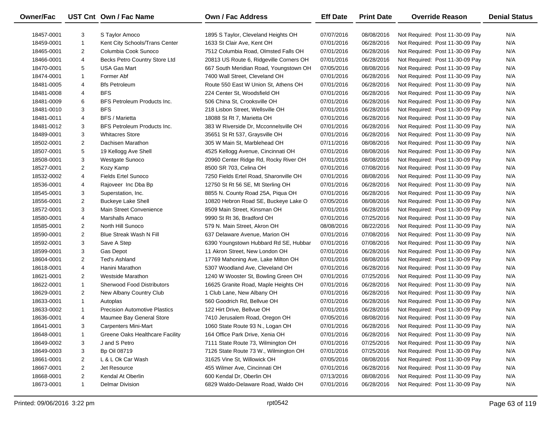| <b>Owner/Fac</b> |                | UST Cnt Own / Fac Name               | <b>Own / Fac Address</b>                | <b>Eff Date</b> | <b>Print Date</b> | <b>Override Reason</b>          | <b>Denial Status</b> |
|------------------|----------------|--------------------------------------|-----------------------------------------|-----------------|-------------------|---------------------------------|----------------------|
| 18457-0001       | 3              | S Taylor Amoco                       | 1895 S Taylor, Cleveland Heights OH     | 07/07/2016      | 08/08/2016        | Not Required: Post 11-30-09 Pay | N/A                  |
| 18459-0001       | $\mathbf{1}$   | Kent City Schools/Trans Center       | 1633 St Clair Ave, Kent OH              | 07/01/2016      | 06/28/2016        | Not Required: Post 11-30-09 Pay | N/A                  |
| 18465-0001       | 2              | Columbia Cook Sunoco                 | 7512 Columbia Road, Olmsted Falls OH    | 07/01/2016      | 06/28/2016        | Not Required: Post 11-30-09 Pay | N/A                  |
| 18466-0001       | 4              | Becks Petro Country Store Ltd        | 20813 US Route 6, Ridgeville Corners OH | 07/01/2016      | 06/28/2016        | Not Required: Post 11-30-09 Pay | N/A                  |
| 18470-0001       | 5              | <b>USA Gas Mart</b>                  | 667 South Meridian Road, Youngstown OH  | 07/05/2016      | 08/08/2016        | Not Required: Post 11-30-09 Pay | N/A                  |
| 18474-0001       | $\mathbf{1}$   | Former Abf                           | 7400 Wall Street, Cleveland OH          | 07/01/2016      | 06/28/2016        | Not Required: Post 11-30-09 Pay | N/A                  |
| 18481-0005       | 4              | <b>Bfs Petroleum</b>                 | Route 550 East W Union St, Athens OH    | 07/01/2016      | 06/28/2016        | Not Required: Post 11-30-09 Pay | N/A                  |
| 18481-0008       | 4              | <b>BFS</b>                           | 224 Center St, Woodsfield OH            | 07/01/2016      | 06/28/2016        | Not Required: Post 11-30-09 Pay | N/A                  |
| 18481-0009       | 6              | BFS Petroleum Products Inc.          | 506 China St, Crooksville OH            | 07/01/2016      | 06/28/2016        | Not Required: Post 11-30-09 Pay | N/A                  |
| 18481-0010       | 3              | <b>BFS</b>                           | 218 Lisbon Street, Wellsville OH        | 07/01/2016      | 06/28/2016        | Not Required: Post 11-30-09 Pay | N/A                  |
| 18481-0011       | 4              | <b>BFS / Marietta</b>                | 18088 St Rt 7, Marietta OH              | 07/01/2016      | 06/28/2016        | Not Required: Post 11-30-09 Pay | N/A                  |
| 18481-0012       | 3              | BFS Petroleum Products Inc.          | 383 W Riverside Dr, Mcconnelsville OH   | 07/01/2016      | 06/28/2016        | Not Required: Post 11-30-09 Pay | N/A                  |
| 18489-0001       | 3              | <b>Whitacres Store</b>               | 35651 St Rt 537, Graysville OH          | 07/01/2016      | 06/28/2016        | Not Required: Post 11-30-09 Pay | N/A                  |
| 18502-0001       | 2              | Dachisen Marathon                    | 305 W Main St, Marblehead OH            | 07/11/2016      | 08/08/2016        | Not Required: Post 11-30-09 Pay | N/A                  |
| 18507-0001       | 5              | 19 Kellogg Ave Shell                 | 4525 Kellogg Avenue, Cincinnati OH      | 07/01/2016      | 08/08/2016        | Not Required: Post 11-30-09 Pay | N/A                  |
| 18508-0001       | 3              | Westgate Sunoco                      | 20960 Center Ridge Rd, Rocky River OH   | 07/01/2016      | 08/08/2016        | Not Required: Post 11-30-09 Pay | N/A                  |
| 18527-0001       | 2              | Kozy Kamp                            | 8500 SR 703, Celina OH                  | 07/01/2016      | 07/08/2016        | Not Required: Post 11-30-09 Pay | N/A                  |
| 18532-0002       | 4              | <b>Fields Ertel Sunoco</b>           | 7250 Fields Ertel Road, Sharonville OH  | 07/01/2016      | 08/08/2016        | Not Required: Post 11-30-09 Pay | N/A                  |
| 18536-0001       | 4              | Rajoveer Inc Dba Bp                  | 12750 St Rt 56 SE, Mt Sterling OH       | 07/01/2016      | 06/28/2016        | Not Required: Post 11-30-09 Pay | N/A                  |
| 18545-0001       | 3              | Superstation, Inc.                   | 8855 N. County Road 25A, Piqua OH       | 07/01/2016      | 06/28/2016        | Not Required: Post 11-30-09 Pay | N/A                  |
| 18556-0001       | 2              | Buckeye Lake Shell                   | 10820 Hebron Road SE, Buckeye Lake O    | 07/05/2016      | 08/08/2016        | Not Required: Post 11-30-09 Pay | N/A                  |
| 18572-0001       | 3              | Main Street Convenience              | 8509 Main Street, Kinsman OH            | 07/01/2016      | 06/28/2016        | Not Required: Post 11-30-09 Pay | N/A                  |
| 18580-0001       | 4              | Marshalls Amaco                      | 9990 St Rt 36, Bradford OH              | 07/01/2016      | 07/25/2016        | Not Required: Post 11-30-09 Pay | N/A                  |
| 18585-0001       | 2              | North Hill Sunoco                    | 579 N. Main Street, Akron OH            | 08/08/2016      | 08/22/2016        | Not Required: Post 11-30-09 Pay | N/A                  |
| 18590-0001       | 2              | Blue Streak Wash N Fill              | 637 Delaware Avenue, Marion OH          | 07/01/2016      | 07/08/2016        | Not Required: Post 11-30-09 Pay | N/A                  |
| 18592-0001       | 3              | Save A Step                          | 6390 Youngstown Hubbard Rd SE, Hubbar   | 07/01/2016      | 07/08/2016        | Not Required: Post 11-30-09 Pay | N/A                  |
| 18599-0001       | 3              | Gas Depot                            | 11 Akron Street, New London OH          | 07/01/2016      | 06/28/2016        | Not Required: Post 11-30-09 Pay | N/A                  |
| 18604-0001       | $\overline{2}$ | Ted's Ashland                        | 17769 Mahoning Ave, Lake Milton OH      | 07/01/2016      | 08/08/2016        | Not Required: Post 11-30-09 Pay | N/A                  |
| 18618-0001       | 4              | Hanini Marathon                      | 5307 Woodland Ave, Cleveland OH         | 07/01/2016      | 06/28/2016        | Not Required: Post 11-30-09 Pay | N/A                  |
| 18621-0001       | $\overline{2}$ | <b>Westside Marathon</b>             | 1240 W Wooster St, Bowling Green OH     | 07/01/2016      | 07/25/2016        | Not Required: Post 11-30-09 Pay | N/A                  |
| 18622-0001       | $\mathbf{1}$   | <b>Sherwood Food Distributors</b>    | 16625 Granite Road, Maple Heights OH    | 07/01/2016      | 06/28/2016        | Not Required: Post 11-30-09 Pay | N/A                  |
| 18629-0001       | $\overline{c}$ | New Albany Country Club              | 1 Club Lane, New Albany OH              | 07/01/2016      | 06/28/2016        | Not Required: Post 11-30-09 Pay | N/A                  |
| 18633-0001       | $\mathbf{1}$   | Autoplas                             | 560 Goodrich Rd, Bellvue OH             | 07/01/2016      | 06/28/2016        | Not Required: Post 11-30-09 Pay | N/A                  |
| 18633-0002       | $\mathbf{1}$   | <b>Precision Automotive Plastics</b> | 122 Hirt Drive, Bellvue OH              | 07/01/2016      | 06/28/2016        | Not Required: Post 11-30-09 Pay | N/A                  |
| 18636-0001       | 4              | Maumee Bay General Store             | 7410 Jerusalem Road, Oregon OH          | 07/05/2016      | 08/08/2016        | Not Required: Post 11-30-09 Pay | N/A                  |
| 18641-0001       | 3              | <b>Carpenters Mini-Mart</b>          | 1060 State Route 93 N., Logan OH        | 07/01/2016      | 06/28/2016        | Not Required: Post 11-30-09 Pay | N/A                  |
| 18648-0001       | 1              | Greene Oaks Healthcare Facility      | 164 Office Park Drive, Xenia OH         | 07/01/2016      | 06/28/2016        | Not Required: Post 11-30-09 Pay | N/A                  |
| 18649-0002       | 3              | J and S Petro                        | 7111 State Route 73, Wilmington OH      | 07/01/2016      | 07/25/2016        | Not Required: Post 11-30-09 Pay | N/A                  |
| 18649-0003       | 3              | <b>Bp Oil 08719</b>                  | 7126 State Route 73 W., Wilmington OH   | 07/01/2016      | 07/25/2016        | Not Required: Post 11-30-09 Pay | N/A                  |
| 18661-0001       | 2              | L & L Ok Car Wash                    | 31625 Vine St, Willowick OH             | 07/05/2016      | 08/08/2016        | Not Required: Post 11-30-09 Pay | N/A                  |
| 18667-0001       | $\overline{2}$ | Jet Resource                         | 455 Wilmer Ave, Cincinnati OH           | 07/01/2016      | 06/28/2016        | Not Required: Post 11-30-09 Pay | N/A                  |
| 18668-0001       | $\overline{2}$ | Kendal At Oberlin                    | 600 Kendal Dr, Oberlin OH               | 07/13/2016      | 08/08/2016        | Not Required: Post 11-30-09 Pay | N/A                  |
| 18673-0001       | $\mathbf{1}$   | <b>Delmar Division</b>               | 6829 Waldo-Delaware Road, Waldo OH      | 07/01/2016      | 06/28/2016        | Not Required: Post 11-30-09 Pay | N/A                  |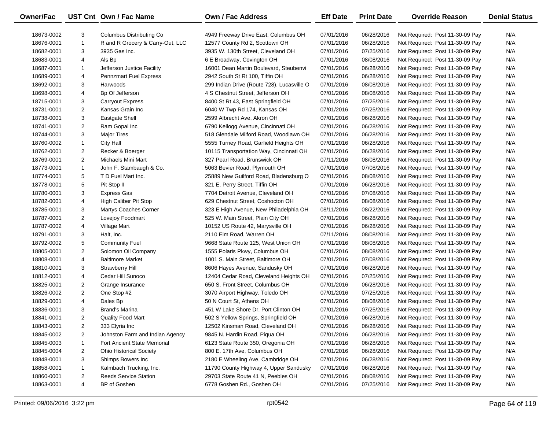| Owner/Fac  |                | UST Cnt Own / Fac Name           | Own / Fac Address                          | <b>Eff Date</b> | <b>Print Date</b> | <b>Override Reason</b>          | <b>Denial Status</b> |
|------------|----------------|----------------------------------|--------------------------------------------|-----------------|-------------------|---------------------------------|----------------------|
| 18673-0002 | 3              | Columbus Distributing Co.        | 4949 Freeway Drive East, Columbus OH       | 07/01/2016      | 06/28/2016        | Not Required: Post 11-30-09 Pay | N/A                  |
| 18676-0001 | $\mathbf{1}$   | R and R Grocery & Carry-Out, LLC | 12577 County Rd 2, Scottown OH             | 07/01/2016      | 06/28/2016        | Not Required: Post 11-30-09 Pay | N/A                  |
| 18682-0001 | 3              | 3935 Gas Inc.                    | 3935 W. 130th Street, Cleveland OH         | 07/01/2016      | 07/25/2016        | Not Required: Post 11-30-09 Pay | N/A                  |
| 18683-0001 | 4              | Als Bp                           | 6 E Broadway, Covington OH                 | 07/01/2016      | 08/08/2016        | Not Required: Post 11-30-09 Pay | N/A                  |
| 18687-0001 | $\mathbf{1}$   | Jefferson Justice Facility       | 16001 Dean Martin Boulevard, Steubenvi     | 07/01/2016      | 06/28/2016        | Not Required: Post 11-30-09 Pay | N/A                  |
| 18689-0001 | 4              | Pennzmart Fuel Express           | 2942 South St Rt 100, Tiffin OH            | 07/01/2016      | 06/28/2016        | Not Required: Post 11-30-09 Pay | N/A                  |
| 18692-0001 | 3              | Harwoods                         | 299 Indian Drive (Route 728), Lucasville O | 07/01/2016      | 08/08/2016        | Not Required: Post 11-30-09 Pay | N/A                  |
| 18698-0001 | 4              | Bp Of Jefferson                  | 4 S Chestnut Street, Jefferson OH          | 07/01/2016      | 08/08/2016        | Not Required: Post 11-30-09 Pay | N/A                  |
| 18715-0001 | 3              | <b>Carryout Express</b>          | 8400 St Rt 43, East Springfield OH         | 07/01/2016      | 07/25/2016        | Not Required: Post 11-30-09 Pay | N/A                  |
| 18731-0001 | $\overline{2}$ | Kansas Grain Inc                 | 6040 W Twp Rd 174, Kansas OH               | 07/01/2016      | 07/25/2016        | Not Required: Post 11-30-09 Pay | N/A                  |
| 18738-0001 | 3              | <b>Eastgate Shell</b>            | 2599 Albrecht Ave, Akron OH                | 07/01/2016      | 06/28/2016        | Not Required: Post 11-30-09 Pay | N/A                  |
| 18741-0001 | $\overline{2}$ | Ram Gopal Inc                    | 6790 Kellogg Avenue, Cincinnati OH         | 07/01/2016      | 06/28/2016        | Not Required: Post 11-30-09 Pay | N/A                  |
| 18744-0001 | 3              | <b>Major Tires</b>               | 518 Glendale Milford Road, Woodlawn OH     | 07/01/2016      | 06/28/2016        | Not Required: Post 11-30-09 Pay | N/A                  |
| 18760-0002 | $\mathbf{1}$   | City Hall                        | 5555 Turney Road, Garfield Heights OH      | 07/01/2016      | 06/28/2016        | Not Required: Post 11-30-09 Pay | N/A                  |
| 18762-0001 | 2              | Recker & Boerger                 | 10115 Transportation Way, Cincinnati OH    | 07/01/2016      | 06/28/2016        | Not Required: Post 11-30-09 Pay | N/A                  |
| 18769-0001 | $\overline{2}$ | Michaels Mini Mart               | 327 Pearl Road, Brunswick OH               | 07/11/2016      | 08/08/2016        | Not Required: Post 11-30-09 Pay | N/A                  |
| 18773-0001 | $\mathbf{1}$   | John F. Stambaugh & Co.          | 5063 Bevier Road, Plymouth OH              | 07/01/2016      | 07/08/2016        | Not Required: Post 11-30-09 Pay | N/A                  |
| 18774-0001 | 5              | T D Fuel Mart Inc.               | 25889 New Guilford Road, Bladensburg O     | 07/01/2016      | 08/08/2016        | Not Required: Post 11-30-09 Pay | N/A                  |
| 18778-0001 | 5              | Pit Stop II                      | 321 E. Perry Street, Tiffin OH             | 07/01/2016      | 06/28/2016        | Not Required: Post 11-30-09 Pay | N/A                  |
| 18780-0001 | 3              | <b>Express Gas</b>               | 7704 Detroit Avenue, Cleveland OH          | 07/01/2016      | 07/08/2016        | Not Required: Post 11-30-09 Pay | N/A                  |
| 18782-0001 | 4              | <b>High Caliber Pit Stop</b>     | 629 Chestnut Street, Coshocton OH          | 07/01/2016      | 08/08/2016        | Not Required: Post 11-30-09 Pay | N/A                  |
| 18785-0001 | 3              | Martys Coaches Corner            | 323 E High Avenue, New Philadelphia OH     | 08/11/2016      | 08/22/2016        | Not Required: Post 11-30-09 Pay | N/A                  |
| 18787-0001 | $\overline{2}$ | Lovejoy Foodmart                 | 525 W. Main Street, Plain City OH          | 07/01/2016      | 06/28/2016        | Not Required: Post 11-30-09 Pay | N/A                  |
| 18787-0002 | 4              | Village Mart                     | 10152 US Route 42, Marysville OH           | 07/01/2016      | 06/28/2016        | Not Required: Post 11-30-09 Pay | N/A                  |
| 18791-0001 | 3              | Halt, Inc.                       | 2110 Elm Road, Warren OH                   | 07/11/2016      | 08/08/2016        | Not Required: Post 11-30-09 Pay | N/A                  |
| 18792-0002 | 5              | <b>Community Fuel</b>            | 9668 State Route 125, West Union OH        | 07/01/2016      | 08/08/2016        | Not Required: Post 11-30-09 Pay | N/A                  |
| 18805-0001 | $\overline{2}$ | Solomon Oil Company              | 1555 Polaris Pkwy, Columbus OH             | 07/01/2016      | 08/08/2016        | Not Required: Post 11-30-09 Pay | N/A                  |
| 18808-0001 | 4              | <b>Baltimore Market</b>          | 1001 S. Main Street, Baltimore OH          | 07/01/2016      | 07/08/2016        | Not Required: Post 11-30-09 Pay | N/A                  |
| 18810-0001 | 3              | Strawberry Hill                  | 8606 Hayes Avenue, Sandusky OH             | 07/01/2016      | 06/28/2016        | Not Required: Post 11-30-09 Pay | N/A                  |
| 18812-0001 | 4              | Cedar Hill Sunoco                | 12404 Cedar Road, Cleveland Heights OH     | 07/01/2016      | 07/25/2016        | Not Required: Post 11-30-09 Pay | N/A                  |
| 18825-0001 | 2              | Grange Insurance                 | 650 S. Front Street, Columbus OH           | 07/01/2016      | 06/28/2016        | Not Required: Post 11-30-09 Pay | N/A                  |
| 18826-0002 | $\overline{2}$ | One Stop #2                      | 3070 Airport Highway, Toledo OH            | 07/01/2016      | 07/25/2016        | Not Required: Post 11-30-09 Pay | N/A                  |
| 18829-0001 | 4              | Dales Bp                         | 50 N Court St, Athens OH                   | 07/01/2016      | 08/08/2016        | Not Required: Post 11-30-09 Pay | N/A                  |
| 18836-0001 | 3              | <b>Brand's Marina</b>            | 451 W Lake Shore Dr, Port Clinton OH       | 07/01/2016      | 07/25/2016        | Not Required: Post 11-30-09 Pay | N/A                  |
| 18841-0001 | $\overline{2}$ | <b>Quality Food Mart</b>         | 502 S Yellow Springs, Springfield OH       | 07/01/2016      | 06/28/2016        | Not Required: Post 11-30-09 Pay | N/A                  |
| 18843-0001 | $\overline{2}$ | 333 Elyria Inc                   | 12502 Kinsman Road, Cleveland OH           | 07/01/2016      | 06/28/2016        | Not Required: Post 11-30-09 Pay | N/A                  |
| 18845-0002 | $\overline{2}$ | Johnston Farm and Indian Agency  | 9845 N. Hardin Road, Piqua OH              | 07/01/2016      | 06/28/2016        | Not Required: Post 11-30-09 Pay | N/A                  |
| 18845-0003 | 1              | Fort Ancient State Memorial      | 6123 State Route 350, Oregonia OH          | 07/01/2016      | 06/28/2016        | Not Required: Post 11-30-09 Pay | N/A                  |
| 18845-0004 | 2              | <b>Ohio Historical Society</b>   | 800 E. 17th Ave, Columbus OH               | 07/01/2016      | 06/28/2016        | Not Required: Post 11-30-09 Pay | N/A                  |
| 18848-0001 | 3              | Shimps Bowers Inc                | 2180 E Wheeling Ave, Cambridge OH          | 07/01/2016      | 06/28/2016        | Not Required: Post 11-30-09 Pay | N/A                  |
| 18858-0001 | $\mathbf{1}$   | Kalmbach Trucking, Inc.          | 11790 County Highway 4, Upper Sandusky     | 07/01/2016      | 06/28/2016        | Not Required: Post 11-30-09 Pay | N/A                  |
| 18860-0001 | $\overline{2}$ | <b>Reeds Service Station</b>     | 29703 State Route 41 N, Peebles OH         | 07/01/2016      | 08/08/2016        | Not Required: Post 11-30-09 Pay | N/A                  |
| 18863-0001 | 4              | BP of Goshen                     | 6778 Goshen Rd., Goshen OH                 | 07/01/2016      | 07/25/2016        | Not Required: Post 11-30-09 Pay | N/A                  |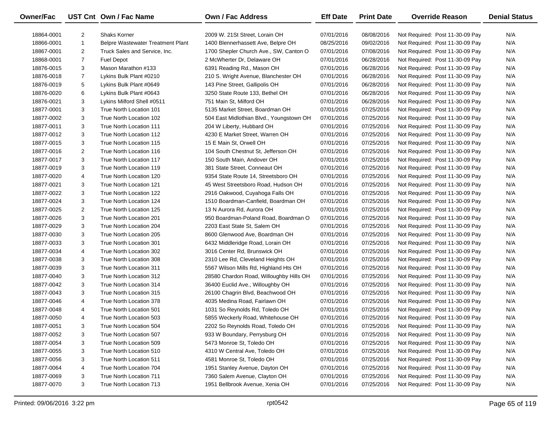| <b>Owner/Fac</b> |                | UST Cnt Own / Fac Name            | <b>Own / Fac Address</b>                 | <b>Eff Date</b> | <b>Print Date</b> | <b>Override Reason</b>          | <b>Denial Status</b> |
|------------------|----------------|-----------------------------------|------------------------------------------|-----------------|-------------------|---------------------------------|----------------------|
| 18864-0001       | 2              | <b>Shaks Korner</b>               | 2009 W. 21St Street, Lorain OH           | 07/01/2016      | 08/08/2016        | Not Required: Post 11-30-09 Pay | N/A                  |
| 18866-0001       | $\mathbf{1}$   | Belpre Wastewater Treatment Plant | 1400 Blennerhassett Ave, Belpre OH       | 08/25/2016      | 09/02/2016        | Not Required: Post 11-30-09 Pay | N/A                  |
| 18867-0001       | 2              | Truck Sales and Service, Inc.     | 1700 Shepler Church Ave., SW, Canton O   | 07/01/2016      | 07/08/2016        | Not Required: Post 11-30-09 Pay | N/A                  |
| 18868-0001       | $\overline{7}$ | <b>Fuel Depot</b>                 | 2 McWherter Dr, Delaware OH              | 07/01/2016      | 06/28/2016        | Not Required: Post 11-30-09 Pay | N/A                  |
| 18876-0015       | 3              | Mason Marathon #133               | 6391 Reading Rd., Mason OH               | 07/01/2016      | 06/28/2016        | Not Required: Post 11-30-09 Pay | N/A                  |
| 18876-0018       | $\overline{7}$ | Lykins Bulk Plant #0210           | 210 S. Wright Avenue, Blanchester OH     | 07/01/2016      | 06/28/2016        | Not Required: Post 11-30-09 Pay | N/A                  |
| 18876-0019       | 5              | Lykins Bulk Plant #0649           | 143 Pine Street, Gallipolis OH           | 07/01/2016      | 06/28/2016        | Not Required: Post 11-30-09 Pay | N/A                  |
| 18876-0020       | 6              | Lykins Bulk Plant #0643           | 3250 State Route 133, Bethel OH          | 07/01/2016      | 06/28/2016        | Not Required: Post 11-30-09 Pay | N/A                  |
| 18876-0021       | 3              | Lykins Milford Shell #0511        | 751 Main St, Milford OH                  | 07/01/2016      | 06/28/2016        | Not Required: Post 11-30-09 Pay | N/A                  |
| 18877-0001       | 3              | True North Location 101           | 5135 Market Street, Boardman OH          | 07/01/2016      | 07/25/2016        | Not Required: Post 11-30-09 Pay | N/A                  |
| 18877-0002       | 3              | True North Location 102           | 504 East Midlothian Blvd., Youngstown OH | 07/01/2016      | 07/25/2016        | Not Required: Post 11-30-09 Pay | N/A                  |
| 18877-0011       | 3              | True North Location 111           | 204 W Liberty, Hubbard OH                | 07/01/2016      | 07/25/2016        | Not Required: Post 11-30-09 Pay | N/A                  |
| 18877-0012       | 3              | True North Location 112           | 4230 E Market Street, Warren OH          | 07/01/2016      | 07/25/2016        | Not Required: Post 11-30-09 Pay | N/A                  |
| 18877-0015       | 3              | True North Location 115           | 15 E Main St, Orwell OH                  | 07/01/2016      | 07/25/2016        | Not Required: Post 11-30-09 Pay | N/A                  |
| 18877-0016       | 2              | True North Location 116           | 104 South Chestnut St. Jefferson OH      | 07/01/2016      | 07/25/2016        | Not Required: Post 11-30-09 Pay | N/A                  |
| 18877-0017       | 3              | True North Location 117           | 150 South Main, Andover OH               | 07/01/2016      | 07/25/2016        | Not Required: Post 11-30-09 Pay | N/A                  |
| 18877-0019       | 3              | True North Location 119           | 381 State Street, Conneaut OH            | 07/01/2016      | 07/25/2016        | Not Required: Post 11-30-09 Pay | N/A                  |
| 18877-0020       | 4              | True North Location 120           | 9354 State Route 14, Streetsboro OH      | 07/01/2016      | 07/25/2016        | Not Required: Post 11-30-09 Pay | N/A                  |
| 18877-0021       | 3              | True North Location 121           | 45 West Streetsboro Road, Hudson OH      | 07/01/2016      | 07/25/2016        | Not Required: Post 11-30-09 Pay | N/A                  |
| 18877-0022       | 3              | True North Location 122           | 2916 Oakwood, Cuyahoga Falls OH          | 07/01/2016      | 07/25/2016        | Not Required: Post 11-30-09 Pay | N/A                  |
| 18877-0024       | 3              | True North Location 124           | 1510 Boardman-Canfield, Boardman OH      | 07/01/2016      | 07/25/2016        | Not Required: Post 11-30-09 Pay | N/A                  |
| 18877-0025       | $\overline{2}$ | True North Location 125           | 13 N Aurora Rd, Aurora OH                | 07/01/2016      | 07/25/2016        | Not Required: Post 11-30-09 Pay | N/A                  |
| 18877-0026       | 3              | True North Location 201           | 950 Boardman-Poland Road, Boardman O     | 07/01/2016      | 07/25/2016        | Not Required: Post 11-30-09 Pay | N/A                  |
| 18877-0029       | 3              | True North Location 204           | 2203 East State St, Salem OH             | 07/01/2016      | 07/25/2016        | Not Required: Post 11-30-09 Pay | N/A                  |
| 18877-0030       | 3              | True North Location 205           | 8600 Glenwood Ave, Boardman OH           | 07/01/2016      | 07/25/2016        | Not Required: Post 11-30-09 Pay | N/A                  |
| 18877-0033       | 3              | True North Location 301           | 6432 Middleridge Road, Lorain OH         | 07/01/2016      | 07/25/2016        | Not Required: Post 11-30-09 Pay | N/A                  |
| 18877-0034       | 4              | True North Location 302           | 3016 Center Rd, Brunswick OH             | 07/01/2016      | 07/25/2016        | Not Required: Post 11-30-09 Pay | N/A                  |
| 18877-0038       | 3              | True North Location 308           | 2310 Lee Rd, Cleveland Heights OH        | 07/01/2016      | 07/25/2016        | Not Required: Post 11-30-09 Pay | N/A                  |
| 18877-0039       | 3              | True North Location 311           | 5567 Wilson Mills Rd, Highland Hts OH    | 07/01/2016      | 07/25/2016        | Not Required: Post 11-30-09 Pay | N/A                  |
| 18877-0040       | 3              | True North Location 312           | 28580 Chardon Road, Willoughby Hills OH  | 07/01/2016      | 07/25/2016        | Not Required: Post 11-30-09 Pay | N/A                  |
| 18877-0042       | 3              | True North Location 314           | 36400 Euclid Ave., Willoughby OH         | 07/01/2016      | 07/25/2016        | Not Required: Post 11-30-09 Pay | N/A                  |
| 18877-0043       | 3              | True North Location 315           | 26100 Chagrin Blvd, Beachwood OH         | 07/01/2016      | 07/25/2016        | Not Required: Post 11-30-09 Pay | N/A                  |
| 18877-0046       | 4              | True North Location 378           | 4035 Medina Road, Fairlawn OH            | 07/01/2016      | 07/25/2016        | Not Required: Post 11-30-09 Pay | N/A                  |
| 18877-0048       | 4              | True North Location 501           | 1031 So Reynolds Rd, Toledo OH           | 07/01/2016      | 07/25/2016        | Not Required: Post 11-30-09 Pay | N/A                  |
| 18877-0050       | 4              | True North Location 503           | 5855 Weckerly Road, Whitehouse OH        | 07/01/2016      | 07/25/2016        | Not Required: Post 11-30-09 Pay | N/A                  |
| 18877-0051       | 3              | True North Location 504           | 2202 So Reynolds Road, Toledo OH         | 07/01/2016      | 07/25/2016        | Not Required: Post 11-30-09 Pay | N/A                  |
| 18877-0052       | 3              | True North Location 507           | 933 W Boundary, Perrysburg OH            | 07/01/2016      | 07/25/2016        | Not Required: Post 11-30-09 Pay | N/A                  |
| 18877-0054       | 3              | True North Location 509           | 5473 Monroe St, Toledo OH                | 07/01/2016      | 07/25/2016        | Not Required: Post 11-30-09 Pay | N/A                  |
| 18877-0055       | 3              | True North Location 510           | 4310 W Central Ave, Toledo OH            | 07/01/2016      | 07/25/2016        | Not Required: Post 11-30-09 Pay | N/A                  |
| 18877-0056       | 3              | True North Location 511           | 4581 Monroe St, Toledo OH                | 07/01/2016      | 07/25/2016        | Not Required: Post 11-30-09 Pay | N/A                  |
| 18877-0064       | 4              | True North Location 704           | 1951 Stanley Avenue, Dayton OH           | 07/01/2016      | 07/25/2016        | Not Required: Post 11-30-09 Pay | N/A                  |
| 18877-0069       | 3              | True North Location 711           | 7360 Salem Avenue, Clayton OH            | 07/01/2016      | 07/25/2016        | Not Required: Post 11-30-09 Pay | N/A                  |
| 18877-0070       | 3              | True North Location 713           | 1951 Bellbrook Avenue, Xenia OH          | 07/01/2016      | 07/25/2016        | Not Required: Post 11-30-09 Pay | N/A                  |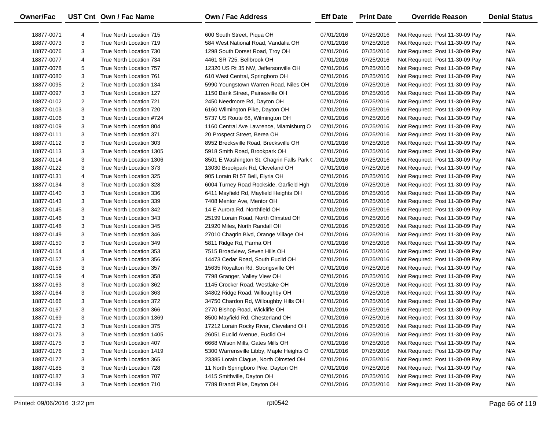| Owner/Fac  |                | UST Cnt Own / Fac Name   | <b>Own / Fac Address</b>                   | <b>Eff Date</b> | <b>Print Date</b> | <b>Override Reason</b>          | <b>Denial Status</b> |
|------------|----------------|--------------------------|--------------------------------------------|-----------------|-------------------|---------------------------------|----------------------|
| 18877-0071 | 4              | True North Location 715  | 600 South Street, Piqua OH                 | 07/01/2016      | 07/25/2016        | Not Required: Post 11-30-09 Pay | N/A                  |
| 18877-0073 | 3              | True North Location 719  | 584 West National Road, Vandalia OH        | 07/01/2016      | 07/25/2016        | Not Required: Post 11-30-09 Pay | N/A                  |
| 18877-0076 | 3              | True North Location 730  | 1298 South Dorset Road, Troy OH            | 07/01/2016      | 07/25/2016        | Not Required: Post 11-30-09 Pay | N/A                  |
| 18877-0077 | 4              | True North Location 734  | 4461 SR 725, Bellbrook OH                  | 07/01/2016      | 07/25/2016        | Not Required: Post 11-30-09 Pay | N/A                  |
| 18877-0078 | 5              | True North Location 757  | 12320 US Rt 35 NW, Jeffersonville OH       | 07/01/2016      | 07/25/2016        | Not Required: Post 11-30-09 Pay | N/A                  |
| 18877-0080 | 3              | True North Location 761  | 610 West Central, Springboro OH            | 07/01/2016      | 07/25/2016        | Not Required: Post 11-30-09 Pay | N/A                  |
| 18877-0095 | $\overline{2}$ | True North Location 134  | 5990 Youngstown Warren Road, Niles OH      | 07/01/2016      | 07/25/2016        | Not Required: Post 11-30-09 Pay | N/A                  |
| 18877-0097 | 3              | True North Location 127  | 1150 Bank Street, Painesville OH           | 07/01/2016      | 07/25/2016        | Not Required: Post 11-30-09 Pay | N/A                  |
| 18877-0102 | 2              | True North Location 721  | 2450 Needmore Rd, Dayton OH                | 07/01/2016      | 07/25/2016        | Not Required: Post 11-30-09 Pay | N/A                  |
| 18877-0103 | 3              | True North Location 720  | 6160 Wilmington Pike, Dayton OH            | 07/01/2016      | 07/25/2016        | Not Required: Post 11-30-09 Pay | N/A                  |
| 18877-0106 | 3              | True North Location #724 | 5737 US Route 68, Wilmington OH            | 07/01/2016      | 07/25/2016        | Not Required: Post 11-30-09 Pay | N/A                  |
| 18877-0109 | 3              | True North Location 804  | 1160 Central Ave Lawrence, Miamisburg O    | 07/01/2016      | 07/25/2016        | Not Required: Post 11-30-09 Pay | N/A                  |
| 18877-0111 | 3              | True North Location 371  | 20 Prospect Street, Berea OH               | 07/01/2016      | 07/25/2016        | Not Required: Post 11-30-09 Pay | N/A                  |
| 18877-0112 | 3              | True North Location 303  | 8952 Brecksville Road, Brecksville OH      | 07/01/2016      | 07/25/2016        | Not Required: Post 11-30-09 Pay | N/A                  |
| 18877-0113 | 3              | True North Location 1305 | 5918 Smith Road, Brookpark OH              | 07/01/2016      | 07/25/2016        | Not Required: Post 11-30-09 Pay | N/A                  |
| 18877-0114 | 3              | True North Location 1306 | 8501 E Washington St, Chagrin Falls Park ( | 07/01/2016      | 07/25/2016        | Not Required: Post 11-30-09 Pay | N/A                  |
| 18877-0122 | 3              | True North Location 373  | 13030 Brookpark Rd, Cleveland OH           | 07/01/2016      | 07/25/2016        | Not Required: Post 11-30-09 Pay | N/A                  |
| 18877-0131 | 4              | True North Location 325  | 905 Lorain Rt 57 Bell, Elyria OH           | 07/01/2016      | 07/25/2016        | Not Required: Post 11-30-09 Pay | N/A                  |
| 18877-0134 | 3              | True North Location 328  | 6004 Turney Road Rockside, Garfield Hgh    | 07/01/2016      | 07/25/2016        | Not Required: Post 11-30-09 Pay | N/A                  |
| 18877-0140 | 3              | True North Location 336  | 6411 Mayfield Rd, Mayfield Heights OH      | 07/01/2016      | 07/25/2016        | Not Required: Post 11-30-09 Pay | N/A                  |
| 18877-0143 | 3              | True North Location 339  | 7408 Mentor Ave, Mentor OH                 | 07/01/2016      | 07/25/2016        | Not Required: Post 11-30-09 Pay | N/A                  |
| 18877-0145 | 3              | True North Location 342  | 14 E Aurora Rd, Northfield OH              | 07/01/2016      | 07/25/2016        | Not Required: Post 11-30-09 Pay | N/A                  |
| 18877-0146 | 3              | True North Location 343  | 25199 Lorain Road, North Olmsted OH        | 07/01/2016      | 07/25/2016        | Not Required: Post 11-30-09 Pay | N/A                  |
| 18877-0148 | 3              | True North Location 345  | 21920 Miles, North Randall OH              | 07/01/2016      | 07/25/2016        | Not Required: Post 11-30-09 Pay | N/A                  |
| 18877-0149 | 3              | True North Location 346  | 27010 Chagrin Blvd, Orange Village OH      | 07/01/2016      | 07/25/2016        | Not Required: Post 11-30-09 Pay | N/A                  |
| 18877-0150 | 3              | True North Location 349  | 5811 Ridge Rd, Parma OH                    | 07/01/2016      | 07/25/2016        | Not Required: Post 11-30-09 Pay | N/A                  |
| 18877-0154 | 4              | True North Location 353  | 7515 Broadview, Seven Hills OH             | 07/01/2016      | 07/25/2016        | Not Required: Post 11-30-09 Pay | N/A                  |
| 18877-0157 | 3              | True North Location 356  | 14473 Cedar Road, South Euclid OH          | 07/01/2016      | 07/25/2016        | Not Required: Post 11-30-09 Pay | N/A                  |
| 18877-0158 | 3              | True North Location 357  | 15635 Royalton Rd, Strongsville OH         | 07/01/2016      | 07/25/2016        | Not Required: Post 11-30-09 Pay | N/A                  |
| 18877-0159 | 4              | True North Location 358  | 7798 Granger, Valley View OH               | 07/01/2016      | 07/25/2016        | Not Required: Post 11-30-09 Pay | N/A                  |
| 18877-0163 | 3              | True North Location 362  | 1145 Crocker Road, Westlake OH             | 07/01/2016      | 07/25/2016        | Not Required: Post 11-30-09 Pay | N/A                  |
| 18877-0164 | 3              | True North Location 363  | 34802 Ridge Road, Willoughby OH            | 07/01/2016      | 07/25/2016        | Not Required: Post 11-30-09 Pay | N/A                  |
| 18877-0166 | 3              | True North Location 372  | 34750 Chardon Rd, Willoughby Hills OH      | 07/01/2016      | 07/25/2016        | Not Required: Post 11-30-09 Pay | N/A                  |
| 18877-0167 | 3              | True North Location 366  | 2770 Bishop Road, Wickliffe OH             | 07/01/2016      | 07/25/2016        | Not Required: Post 11-30-09 Pay | N/A                  |
| 18877-0169 | 3              | True North Location 1369 | 8500 Mayfield Rd, Chesterland OH           | 07/01/2016      | 07/25/2016        | Not Required: Post 11-30-09 Pay | N/A                  |
| 18877-0172 | 3              | True North Location 375  | 17212 Lorain Rocky River, Cleveland OH     | 07/01/2016      | 07/25/2016        | Not Required: Post 11-30-09 Pay | N/A                  |
| 18877-0173 | 3              | True North Location 1405 | 26051 Euclid Avenue, Euclid OH             | 07/01/2016      | 07/25/2016        | Not Required: Post 11-30-09 Pay | N/A                  |
| 18877-0175 | 3              | True North Location 407  | 6668 Wilson Mills, Gates Mills OH          | 07/01/2016      | 07/25/2016        | Not Required: Post 11-30-09 Pay | N/A                  |
| 18877-0176 | 3              | True North Location 1419 | 5300 Warrensville Libby, Maple Heights O   | 07/01/2016      | 07/25/2016        | Not Required: Post 11-30-09 Pay | N/A                  |
| 18877-0177 | 3              | True North Location 365  | 23385 Lorain Clague, North Olmsted OH      | 07/01/2016      | 07/25/2016        | Not Required: Post 11-30-09 Pay | N/A                  |
| 18877-0185 | 3              | True North Location 728  | 11 North Springboro Pike, Dayton OH        | 07/01/2016      | 07/25/2016        | Not Required: Post 11-30-09 Pay | N/A                  |
| 18877-0187 | 3              | True North Location 707  | 1415 Smithville, Dayton OH                 | 07/01/2016      | 07/25/2016        | Not Required: Post 11-30-09 Pay | N/A                  |
| 18877-0189 | 3              | True North Location 710  | 7789 Brandt Pike, Dayton OH                | 07/01/2016      | 07/25/2016        | Not Required: Post 11-30-09 Pay | N/A                  |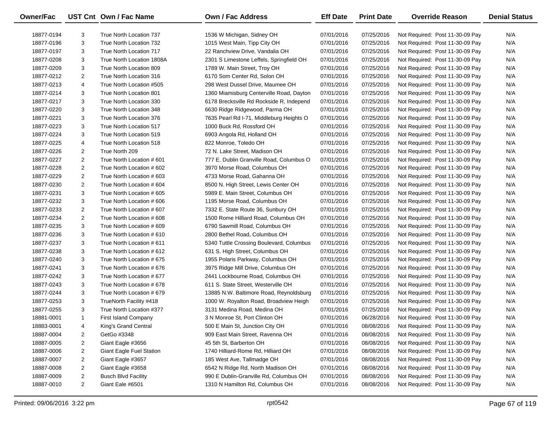| Owner/Fac  |                | UST Cnt Own / Fac Name          | Own / Fac Address                        | <b>Eff Date</b> | <b>Print Date</b> | <b>Override Reason</b>          | <b>Denial Status</b> |
|------------|----------------|---------------------------------|------------------------------------------|-----------------|-------------------|---------------------------------|----------------------|
| 18877-0194 | 3              | True North Location 737         | 1536 W Michigan, Sidney OH               | 07/01/2016      | 07/25/2016        | Not Required: Post 11-30-09 Pay | N/A                  |
| 18877-0196 | 3              | True North Location 732         | 1015 West Main, Tipp City OH             | 07/01/2016      | 07/25/2016        | Not Required: Post 11-30-09 Pay | N/A                  |
| 18877-0197 | 3              | True North Location 717         | 22 Ranchview Drive, Vandalia OH          | 07/01/2016      | 07/25/2016        | Not Required: Post 11-30-09 Pay | N/A                  |
| 18877-0208 | 3              | True North Location 1808A       | 2301 S Limestone Leffels, Springfield OH | 07/01/2016      | 07/25/2016        | Not Required: Post 11-30-09 Pay | N/A                  |
| 18877-0209 | 3              | True North Location 809         | 1789 W. Main Street, Troy OH             | 07/01/2016      | 07/25/2016        | Not Required: Post 11-30-09 Pay | N/A                  |
| 18877-0212 | 2              | True North Location 316         | 6170 Som Center Rd, Solon OH             | 07/01/2016      | 07/25/2016        | Not Required: Post 11-30-09 Pay | N/A                  |
| 18877-0213 | 4              | True North Location #505        | 298 West Dussel Drive, Maumee OH         | 07/01/2016      | 07/25/2016        | Not Required: Post 11-30-09 Pay | N/A                  |
| 18877-0214 | 3              | True North Location 801         | 1360 Miamisburg Centerville Road, Dayton | 07/01/2016      | 07/25/2016        | Not Required: Post 11-30-09 Pay | N/A                  |
| 18877-0217 | 3              | True North Location 330         | 6178 Brecksville Rd Rockside R, Independ | 07/01/2016      | 07/25/2016        | Not Required: Post 11-30-09 Pay | N/A                  |
| 18877-0220 | 3              | True North Location 348         | 6630 Ridge Ridgewood, Parma OH           | 07/01/2016      | 07/25/2016        | Not Required: Post 11-30-09 Pay | N/A                  |
| 18877-0221 | 3              | True North Location 376         | 7635 Pearl Rd I-71, Middleburg Heights O | 07/01/2016      | 07/25/2016        | Not Required: Post 11-30-09 Pay | N/A                  |
| 18877-0223 | 3              | True North Location 517         | 1000 Buck Rd, Rossford OH                | 07/01/2016      | 07/25/2016        | Not Required: Post 11-30-09 Pay | N/A                  |
| 18877-0224 | 3              | True North Location 519         | 6903 Angola Rd, Holland OH               | 07/01/2016      | 07/25/2016        | Not Required: Post 11-30-09 Pay | N/A                  |
| 18877-0225 | 4              | True North Location 518         | 822 Monroe, Toledo OH                    | 07/01/2016      | 07/25/2016        | Not Required: Post 11-30-09 Pay | N/A                  |
| 18877-0226 | 2              | True North 209                  | 72 N. Lake Street, Madison OH            | 07/01/2016      | 07/25/2016        | Not Required: Post 11-30-09 Pay | N/A                  |
| 18877-0227 | 2              | True North Location #601        | 777 E. Dublin Granville Road, Columbus O | 07/01/2016      | 07/25/2016        | Not Required: Post 11-30-09 Pay | N/A                  |
| 18877-0228 | 2              | True North Location # 602       | 3970 Morse Road, Columbus OH             | 07/01/2016      | 07/25/2016        | Not Required: Post 11-30-09 Pay | N/A                  |
| 18877-0229 | $\overline{2}$ | True North Location # 603       | 4733 Morse Road, Gahanna OH              | 07/01/2016      | 07/25/2016        | Not Required: Post 11-30-09 Pay | N/A                  |
| 18877-0230 | 2              | True North Location #604        | 8500 N. High Street, Lewis Center OH     | 07/01/2016      | 07/25/2016        | Not Required: Post 11-30-09 Pay | N/A                  |
| 18877-0231 | 3              | True North Location #605        | 5989 E. Main Street, Columbus OH         | 07/01/2016      | 07/25/2016        | Not Required: Post 11-30-09 Pay | N/A                  |
| 18877-0232 | 3              | True North Location #606        | 1195 Morse Road, Columbus OH             | 07/01/2016      | 07/25/2016        | Not Required: Post 11-30-09 Pay | N/A                  |
| 18877-0233 | 2              | True North Location #607        | 7332 E. State Route 36, Sunbury OH       | 07/01/2016      | 07/25/2016        | Not Required: Post 11-30-09 Pay | N/A                  |
| 18877-0234 | 2              | True North Location #608        | 1500 Rome Hilliard Road, Columbus OH     | 07/01/2016      | 07/25/2016        | Not Required: Post 11-30-09 Pay | N/A                  |
| 18877-0235 | 3              | True North Location #609        | 6790 Sawmill Road, Columbus OH           | 07/01/2016      | 07/25/2016        | Not Required: Post 11-30-09 Pay | N/A                  |
| 18877-0236 | 3              | True North Location # 610       | 2800 Bethel Road, Columbus OH            | 07/01/2016      | 07/25/2016        | Not Required: Post 11-30-09 Pay | N/A                  |
| 18877-0237 | 3              | True North Location # 611       | 5340 Tuttle Crossing Boulevard, Columbus | 07/01/2016      | 07/25/2016        | Not Required: Post 11-30-09 Pay | N/A                  |
| 18877-0238 | 3              | True North Location # 612       | 631 S. High Street, Columbus OH          | 07/01/2016      | 07/25/2016        | Not Required: Post 11-30-09 Pay | N/A                  |
| 18877-0240 | 3              | True North Location # 675       | 1955 Polaris Parkway, Columbus OH        | 07/01/2016      | 07/25/2016        | Not Required: Post 11-30-09 Pay | N/A                  |
| 18877-0241 | 3              | True North Location #676        | 3975 Ridge Mill Drive, Columbus OH       | 07/01/2016      | 07/25/2016        | Not Required: Post 11-30-09 Pay | N/A                  |
| 18877-0242 | 3              | True North Location #677        | 2441 Lockbourne Road, Columbus OH        | 07/01/2016      | 07/25/2016        | Not Required: Post 11-30-09 Pay | N/A                  |
| 18877-0243 | 3              | True North Location #678        | 611 S. State Street, Westerville OH      | 07/01/2016      | 07/25/2016        | Not Required: Post 11-30-09 Pay | N/A                  |
| 18877-0244 | 3              | True North Location #679        | 13885 N.W. Baltimore Road, Reynoldsburg  | 07/01/2016      | 07/25/2016        | Not Required: Post 11-30-09 Pay | N/A                  |
| 18877-0253 | 3              | TrueNorth Facility #418         | 1000 W. Royalton Road, Broadview Heigh   | 07/01/2016      | 07/25/2016        | Not Required: Post 11-30-09 Pay | N/A                  |
| 18877-0255 | 3              | True North Location #377        | 3131 Medina Road, Medina OH              | 07/01/2016      | 07/25/2016        | Not Required: Post 11-30-09 Pay | N/A                  |
| 18881-0001 | $\mathbf{1}$   | First Island Company            | 3 N Monroe St, Port Clinton OH           | 07/01/2016      | 06/28/2016        | Not Required: Post 11-30-09 Pay | N/A                  |
| 18883-0001 | 4              | King's Grand Central            | 500 E Main St, Junction City OH          | 07/01/2016      | 08/08/2016        | Not Required: Post 11-30-09 Pay | N/A                  |
| 18887-0004 | 2              | GetGo #3348                     | 909 East Main Street, Ravenna OH         | 07/01/2016      | 08/08/2016        | Not Required: Post 11-30-09 Pay | N/A                  |
| 18887-0005 | $\overline{a}$ | Giant Eagle #3656               | 45 5th St, Barberton OH                  | 07/01/2016      | 08/08/2016        | Not Required: Post 11-30-09 Pay | N/A                  |
| 18887-0006 | $\overline{a}$ | <b>Giant Eagle Fuel Station</b> | 1740 Hilliard-Rome Rd, Hilliard OH       | 07/01/2016      | 08/08/2016        | Not Required: Post 11-30-09 Pay | N/A                  |
| 18887-0007 | 2              | Giant Eagle #3657               | 185 West Ave, Tallmadge OH               | 07/01/2016      | 08/08/2016        | Not Required: Post 11-30-09 Pay | N/A                  |
| 18887-0008 | $\overline{a}$ | Giant Eagle #3658               | 6542 N Ridge Rd, North Madison OH        | 07/01/2016      | 08/08/2016        | Not Required: Post 11-30-09 Pay | N/A                  |
| 18887-0009 | $\overline{a}$ | <b>Busch Blvd Facility</b>      | 990 E Dublin-Granville Rd, Columbus OH   | 07/01/2016      | 08/08/2016        | Not Required: Post 11-30-09 Pay | N/A                  |
| 18887-0010 | $\overline{2}$ | Giant Eale #6501                | 1310 N Hamilton Rd, Columbus OH          | 07/01/2016      | 08/08/2016        | Not Required: Post 11-30-09 Pay | N/A                  |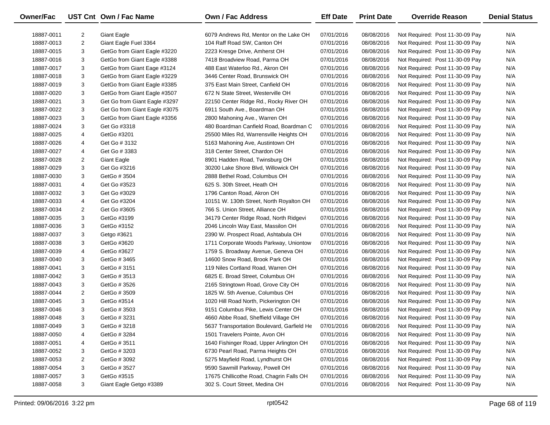| Owner/Fac  |                | UST Cnt Own / Fac Name        | Own / Fac Address                          | <b>Eff Date</b> | <b>Print Date</b> | <b>Override Reason</b>          | <b>Denial Status</b> |
|------------|----------------|-------------------------------|--------------------------------------------|-----------------|-------------------|---------------------------------|----------------------|
| 18887-0011 | 2              | <b>Giant Eagle</b>            | 6079 Andrews Rd, Mentor on the Lake OH     | 07/01/2016      | 08/08/2016        | Not Required: Post 11-30-09 Pay | N/A                  |
| 18887-0013 | $\overline{2}$ | Giant Eagle Fuel 3364         | 104 Raff Road SW, Canton OH                | 07/01/2016      | 08/08/2016        | Not Required: Post 11-30-09 Pay | N/A                  |
| 18887-0015 | 3              | GetGo from Giant Eagle #3220  | 2223 Kresge Drive, Amherst OH              | 07/01/2016      | 08/08/2016        | Not Required: Post 11-30-09 Pay | N/A                  |
| 18887-0016 | 3              | GetGo from Giant Eagle #3388  | 7418 Broadview Road, Parma OH              | 07/01/2016      | 08/08/2016        | Not Required: Post 11-30-09 Pay | N/A                  |
| 18887-0017 | 3              | GetGo from Giant Eage #3124   | 488 East Waterloo Rd., Akron OH            | 07/01/2016      | 08/08/2016        | Not Required: Post 11-30-09 Pay | N/A                  |
| 18887-0018 | 3              | GetGo from Giant Eagle #3229  | 3446 Center Road, Brunswick OH             | 07/01/2016      | 08/08/2016        | Not Required: Post 11-30-09 Pay | N/A                  |
| 18887-0019 | 3              | GetGo from Giant Eagle #3385  | 375 East Main Street, Canfield OH          | 07/01/2016      | 08/08/2016        | Not Required: Post 11-30-09 Pay | N/A                  |
| 18887-0020 | 3              | GetGo from Giant Eagle #3507  | 672 N State Street, Westerville OH         | 07/01/2016      | 08/08/2016        | Not Required: Post 11-30-09 Pay | N/A                  |
| 18887-0021 | 3              | Get Go from Giant Eagle #3297 | 22150 Center Ridge Rd., Rocky River OH     | 07/01/2016      | 08/08/2016        | Not Required: Post 11-30-09 Pay | N/A                  |
| 18887-0022 | 3              | Get Go from Giant Eagle #3075 | 6911 South Ave., Boardman OH               | 07/01/2016      | 08/08/2016        | Not Required: Post 11-30-09 Pay | N/A                  |
| 18887-0023 | 3              | GetGo from Giant Eagle #3356  | 2800 Mahoning Ave., Warren OH              | 07/01/2016      | 08/08/2016        | Not Required: Post 11-30-09 Pay | N/A                  |
| 18887-0024 | 3              | Get Go #3318                  | 480 Boardman Canfield Road, Boardman C     | 07/01/2016      | 08/08/2016        | Not Required: Post 11-30-09 Pay | N/A                  |
| 18887-0025 | 4              | GetGo #3201                   | 25500 Miles Rd, Warrensville Heights OH    | 07/01/2016      | 08/08/2016        | Not Required: Post 11-30-09 Pay | N/A                  |
| 18887-0026 | 4              | Get Go # 3132                 | 5163 Mahoning Ave, Austintown OH           | 07/01/2016      | 08/08/2016        | Not Required: Post 11-30-09 Pay | N/A                  |
| 18887-0027 | 4              | Get Go # 3383                 | 318 Center Street, Chardon OH              | 07/01/2016      | 08/08/2016        | Not Required: Post 11-30-09 Pay | N/A                  |
| 18887-0028 | $\overline{2}$ | <b>Giant Eagle</b>            | 8901 Hadden Road, Twinsburg OH             | 07/01/2016      | 08/08/2016        | Not Required: Post 11-30-09 Pay | N/A                  |
| 18887-0029 | 3              | Get Go #3216                  | 30200 Lake Shore Blvd, Willowick OH        | 07/01/2016      | 08/08/2016        | Not Required: Post 11-30-09 Pay | N/A                  |
| 18887-0030 | 3              | GetGo # 3504                  | 2888 Bethel Road, Columbus OH              | 07/01/2016      | 08/08/2016        | Not Required: Post 11-30-09 Pay | N/A                  |
| 18887-0031 | 4              | Get Go #3523                  | 625 S. 30th Street, Heath OH               | 07/01/2016      | 08/08/2016        | Not Required: Post 11-30-09 Pay | N/A                  |
| 18887-0032 | 3              | Get Go #3029                  | 1796 Canton Road, Akron OH                 | 07/01/2016      | 08/08/2016        | Not Required: Post 11-30-09 Pay | N/A                  |
| 18887-0033 | 4              | Get Go #3204                  | 10151 W. 130th Street, North Royalton OH   | 07/01/2016      | 08/08/2016        | Not Required: Post 11-30-09 Pay | N/A                  |
| 18887-0034 | $\overline{2}$ | Get Go #3605                  | 766 S. Union Street, Alliance OH           | 07/01/2016      | 08/08/2016        | Not Required: Post 11-30-09 Pay | N/A                  |
| 18887-0035 | 3              | GetGo #3199                   | 34179 Center Ridge Road, North Ridgevi     | 07/01/2016      | 08/08/2016        | Not Required: Post 11-30-09 Pay | N/A                  |
| 18887-0036 | 3              | GetGo #3152                   | 2046 Lincoln Way East, Massilon OH         | 07/01/2016      | 08/08/2016        | Not Required: Post 11-30-09 Pay | N/A                  |
| 18887-0037 | 3              | Getgo #3621                   | 2390 W. Prospect Road, Ashtabula OH        | 07/01/2016      | 08/08/2016        | Not Required: Post 11-30-09 Pay | N/A                  |
| 18887-0038 | 3              | GetGo #3620                   | 1711 Corporate Woods Parkway, Uniontow     | 07/01/2016      | 08/08/2016        | Not Required: Post 11-30-09 Pay | N/A                  |
| 18887-0039 | 4              | GetGo #3627                   | 1759 S. Broadway Avenue, Geneva OH         | 07/01/2016      | 08/08/2016        | Not Required: Post 11-30-09 Pay | N/A                  |
| 18887-0040 | 3              | GetGo # 3465                  | 14600 Snow Road, Brook Park OH             | 07/01/2016      | 08/08/2016        | Not Required: Post 11-30-09 Pay | N/A                  |
| 18887-0041 | 3              | GetGo # 3151                  | 119 Niles Cortland Road, Warren OH         | 07/01/2016      | 08/08/2016        | Not Required: Post 11-30-09 Pay | N/A                  |
| 18887-0042 | 3              | GetGo # 3513                  | 6825 E. Broad Street, Columbus OH          | 07/01/2016      | 08/08/2016        | Not Required: Post 11-30-09 Pay | N/A                  |
| 18887-0043 | 3              | GetGo # 3526                  | 2165 Stringtown Road, Grove City OH        | 07/01/2016      | 08/08/2016        | Not Required: Post 11-30-09 Pay | N/A                  |
| 18887-0044 | $\overline{2}$ | GetGo # 3509                  | 1825 W. 5th Avenue, Columbus OH            | 07/01/2016      | 08/08/2016        | Not Required: Post 11-30-09 Pay | N/A                  |
| 18887-0045 | 3              | GetGo #3514                   | 1020 Hill Road North, Pickerington OH      | 07/01/2016      | 08/08/2016        | Not Required: Post 11-30-09 Pay | N/A                  |
| 18887-0046 | 3              | GetGo # 3503                  | 9151 Columbus Pike, Lewis Center OH        | 07/01/2016      | 08/08/2016        | Not Required: Post 11-30-09 Pay | N/A                  |
| 18887-0048 | 3              | GetGo # 3231                  | 4660 Abbe Road, Sheffield Village OH       | 07/01/2016      | 08/08/2016        | Not Required: Post 11-30-09 Pay | N/A                  |
| 18887-0049 | 3              | GetGo # 3218                  | 5637 Transportation Boulevard, Garfield He | 07/01/2016      | 08/08/2016        | Not Required: Post 11-30-09 Pay | N/A                  |
| 18887-0050 | 4              | GetGo #3284                   | 1501 Travelers Pointe, Avon OH             | 07/01/2016      | 08/08/2016        | Not Required: Post 11-30-09 Pay | N/A                  |
| 18887-0051 | 4              | GetGo #3511                   | 1640 Fishinger Road, Upper Arlington OH    | 07/01/2016      | 08/08/2016        | Not Required: Post 11-30-09 Pay | N/A                  |
| 18887-0052 | 3              | GetGo # 3203                  | 6730 Pearl Road, Parma Heights OH          | 07/01/2016      | 08/08/2016        | Not Required: Post 11-30-09 Pay | N/A                  |
| 18887-0053 | 2              | GetGo # 3092                  | 5275 Mayfield Road, Lyndhurst OH           | 07/01/2016      | 08/08/2016        | Not Required: Post 11-30-09 Pay | N/A                  |
| 18887-0054 | 3              | GetGo # 3527                  | 9590 Sawmill Parkway, Powell OH            | 07/01/2016      | 08/08/2016        | Not Required: Post 11-30-09 Pay | N/A                  |
| 18887-0057 | 3              | GetGo #3515                   | 17675 Chillicothe Road, Chagrin Falls OH   | 07/01/2016      | 08/08/2016        | Not Required: Post 11-30-09 Pay | N/A                  |
| 18887-0058 | 3              | Giant Eagle Getgo #3389       | 302 S. Court Street, Medina OH             | 07/01/2016      | 08/08/2016        | Not Required: Post 11-30-09 Pay | N/A                  |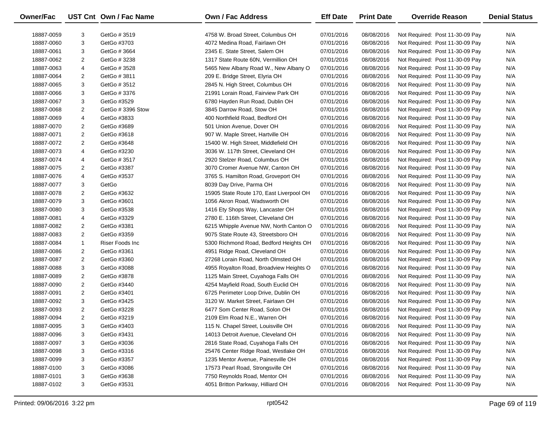| Owner/Fac  |                         | UST Cnt Own / Fac Name | <b>Own / Fac Address</b>                 | <b>Eff Date</b> | <b>Print Date</b> | <b>Override Reason</b>          | <b>Denial Status</b> |
|------------|-------------------------|------------------------|------------------------------------------|-----------------|-------------------|---------------------------------|----------------------|
| 18887-0059 | 3                       | GetGo # 3519           | 4758 W. Broad Street, Columbus OH        | 07/01/2016      | 08/08/2016        | Not Required: Post 11-30-09 Pay | N/A                  |
| 18887-0060 | 3                       | GetGo #3703            | 4072 Medina Road, Fairlawn OH            | 07/01/2016      | 08/08/2016        | Not Required: Post 11-30-09 Pay | N/A                  |
| 18887-0061 | 3                       | GetGo # 3664           | 2345 E. State Street, Salem OH           | 07/01/2016      | 08/08/2016        | Not Required: Post 11-30-09 Pay | N/A                  |
| 18887-0062 | 2                       | GetGo # 3238           | 1317 State Route 60N, Vermillion OH      | 07/01/2016      | 08/08/2016        | Not Required: Post 11-30-09 Pay | N/A                  |
| 18887-0063 | 4                       | GetGo # 3528           | 5465 New Albany Road W., New Albany O    | 07/01/2016      | 08/08/2016        | Not Required: Post 11-30-09 Pay | N/A                  |
| 18887-0064 | $\overline{\mathbf{c}}$ | GetGo # 3811           | 209 E. Bridge Street, Elyria OH          | 07/01/2016      | 08/08/2016        | Not Required: Post 11-30-09 Pay | N/A                  |
| 18887-0065 | 3                       | GetGo # 3512           | 2845 N. High Street, Columbus OH         | 07/01/2016      | 08/08/2016        | Not Required: Post 11-30-09 Pay | N/A                  |
| 18887-0066 | 3                       | GetGo # 3376           | 21991 Lorain Road, Fairview Park OH      | 07/01/2016      | 08/08/2016        | Not Required: Post 11-30-09 Pay | N/A                  |
| 18887-0067 | 3                       | GetGo #3529            | 6780 Hayden Run Road, Dublin OH          | 07/01/2016      | 08/08/2016        | Not Required: Post 11-30-09 Pay | N/A                  |
| 18887-0068 | 2                       | GetGo #3396 Stow       | 3845 Darrow Road, Stow OH                | 07/01/2016      | 08/08/2016        | Not Required: Post 11-30-09 Pay | N/A                  |
| 18887-0069 | 4                       | GetGo #3833            | 400 Northfield Road, Bedford OH          | 07/01/2016      | 08/08/2016        | Not Required: Post 11-30-09 Pay | N/A                  |
| 18887-0070 | 2                       | GetGo #3689            | 501 Union Avenue, Dover OH               | 07/01/2016      | 08/08/2016        | Not Required: Post 11-30-09 Pay | N/A                  |
| 18887-0071 | 2                       | GetGo #3618            | 907 W. Maple Street, Hartville OH        | 07/01/2016      | 08/08/2016        | Not Required: Post 11-30-09 Pay | N/A                  |
| 18887-0072 | $\overline{\mathbf{c}}$ | GetGo #3648            | 15400 W. High Street, Middlefield OH     | 07/01/2016      | 08/08/2016        | Not Required: Post 11-30-09 Pay | N/A                  |
| 18887-0073 | 4                       | GetGo #3230            | 3036 W. 117th Street, Cleveland OH       | 07/01/2016      | 08/08/2016        | Not Required: Post 11-30-09 Pay | N/A                  |
| 18887-0074 | 4                       | GetGo # 3517           | 2920 Stelzer Road, Columbus OH           | 07/01/2016      | 08/08/2016        | Not Required: Post 11-30-09 Pay | N/A                  |
| 18887-0075 | 2                       | GetGo #3387            | 3070 Cromer Avenue NW, Canton OH         | 07/01/2016      | 08/08/2016        | Not Required: Post 11-30-09 Pay | N/A                  |
| 18887-0076 | 4                       | GetGo #3537            | 3765 S. Hamilton Road, Groveport OH      | 07/01/2016      | 08/08/2016        | Not Required: Post 11-30-09 Pay | N/A                  |
| 18887-0077 | 3                       | GetGo                  | 8039 Day Drive, Parma OH                 | 07/01/2016      | 08/08/2016        | Not Required: Post 11-30-09 Pay | N/A                  |
| 18887-0078 | $\overline{\mathbf{c}}$ | GetGo #3632            | 15905 State Route 170, East Liverpool OH | 07/01/2016      | 08/08/2016        | Not Required: Post 11-30-09 Pay | N/A                  |
| 18887-0079 | 3                       | GetGo #3601            | 1056 Akron Road, Wadsworth OH            | 07/01/2016      | 08/08/2016        | Not Required: Post 11-30-09 Pay | N/A                  |
| 18887-0080 | 3                       | GetGo #3538            | 1416 Ety Shops Way, Lancaster OH         | 07/01/2016      | 08/08/2016        | Not Required: Post 11-30-09 Pay | N/A                  |
| 18887-0081 | 4                       | GetGo #3329            | 2780 E. 116th Street, Cleveland OH       | 07/01/2016      | 08/08/2016        | Not Required: Post 11-30-09 Pay | N/A                  |
| 18887-0082 | 2                       | GetGo #3381            | 6215 Whipple Avenue NW, North Canton O   | 07/01/2016      | 08/08/2016        | Not Required: Post 11-30-09 Pay | N/A                  |
| 18887-0083 | 2                       | GetGo #3359            | 9075 State Route 43, Streetsboro OH      | 07/01/2016      | 08/08/2016        | Not Required: Post 11-30-09 Pay | N/A                  |
| 18887-0084 | $\mathbf{1}$            | Riser Foods Inc        | 5300 Richmond Road, Bedford Heights OH   | 07/01/2016      | 08/08/2016        | Not Required: Post 11-30-09 Pay | N/A                  |
| 18887-0086 | 2                       | GetGo #3361            | 4951 Ridge Road, Cleveland OH            | 07/01/2016      | 08/08/2016        | Not Required: Post 11-30-09 Pay | N/A                  |
| 18887-0087 | $\overline{2}$          | GetGo #3360            | 27268 Lorain Road, North Olmsted OH      | 07/01/2016      | 08/08/2016        | Not Required: Post 11-30-09 Pay | N/A                  |
| 18887-0088 | 3                       | GetGo #3088            | 4955 Royalton Road, Broadview Heights O  | 07/01/2016      | 08/08/2016        | Not Required: Post 11-30-09 Pay | N/A                  |
| 18887-0089 | $\overline{\mathbf{c}}$ | GetGo #3878            | 1125 Main Street, Cuyahoga Falls OH      | 07/01/2016      | 08/08/2016        | Not Required: Post 11-30-09 Pay | N/A                  |
| 18887-0090 | $\overline{2}$          | GetGo #3440            | 4254 Mayfield Road, South Euclid OH      | 07/01/2016      | 08/08/2016        | Not Required: Post 11-30-09 Pay | N/A                  |
| 18887-0091 | $\overline{\mathbf{c}}$ | GetGo #3401            | 6725 Perimeter Loop Drive, Dublin OH     | 07/01/2016      | 08/08/2016        | Not Required: Post 11-30-09 Pay | N/A                  |
| 18887-0092 | 3                       | GetGo #3425            | 3120 W. Market Street, Fairlawn OH       | 07/01/2016      | 08/08/2016        | Not Required: Post 11-30-09 Pay | N/A                  |
| 18887-0093 | $\overline{2}$          | GetGo #3228            | 6477 Som Center Road, Solon OH           | 07/01/2016      | 08/08/2016        | Not Required: Post 11-30-09 Pay | N/A                  |
| 18887-0094 | $\overline{2}$          | GetGo #3219            | 2109 Elm Road N.E., Warren OH            | 07/01/2016      | 08/08/2016        | Not Required: Post 11-30-09 Pay | N/A                  |
| 18887-0095 | З                       | GetGo #3403            | 115 N. Chapel Street, Louisville OH      | 07/01/2016      | 08/08/2016        | Not Required: Post 11-30-09 Pay | N/A                  |
| 18887-0096 | 3                       | GetGo #3431            | 14013 Detroit Avenue, Cleveland OH       | 07/01/2016      | 08/08/2016        | Not Required: Post 11-30-09 Pay | N/A                  |
| 18887-0097 | 3                       | GetGo #3036            | 2816 State Road, Cuyahoga Falls OH       | 07/01/2016      | 08/08/2016        | Not Required: Post 11-30-09 Pay | N/A                  |
| 18887-0098 | 3                       | GetGo #3316            | 25476 Center Ridge Road, Westlake OH     | 07/01/2016      | 08/08/2016        | Not Required: Post 11-30-09 Pay | N/A                  |
| 18887-0099 | 3                       | GetGo #3357            | 1235 Mentor Avenue, Painesville OH       | 07/01/2016      | 08/08/2016        | Not Required: Post 11-30-09 Pay | N/A                  |
| 18887-0100 | 3                       | GetGo #3086            | 17573 Pearl Road, Strongsville OH        | 07/01/2016      | 08/08/2016        | Not Required: Post 11-30-09 Pay | N/A                  |
| 18887-0101 | 3                       | GetGo #3638            | 7750 Reynolds Road, Mentor OH            | 07/01/2016      | 08/08/2016        | Not Required: Post 11-30-09 Pay | N/A                  |
| 18887-0102 | 3                       | GetGo #3531            | 4051 Britton Parkway, Hilliard OH        | 07/01/2016      | 08/08/2016        | Not Required: Post 11-30-09 Pay | N/A                  |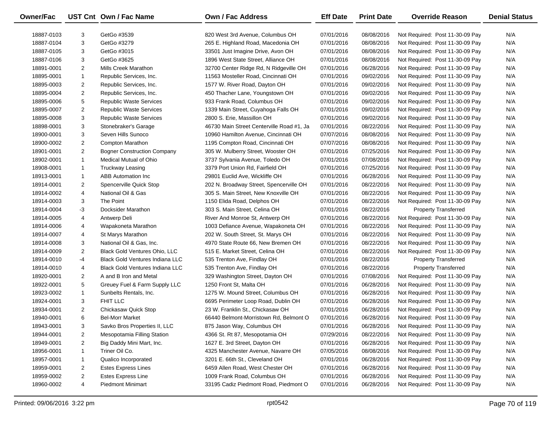| Owner/Fac  |                | UST Cnt Own / Fac Name                 | <b>Own / Fac Address</b>                  | <b>Eff Date</b> | <b>Print Date</b> | <b>Override Reason</b>          | <b>Denial Status</b> |
|------------|----------------|----------------------------------------|-------------------------------------------|-----------------|-------------------|---------------------------------|----------------------|
| 18887-0103 | 3              | GetGo #3539                            | 820 West 3rd Avenue, Columbus OH          | 07/01/2016      | 08/08/2016        | Not Required: Post 11-30-09 Pay | N/A                  |
| 18887-0104 | 3              | GetGo #3279                            | 265 E. Highland Road, Macedonia OH        | 07/01/2016      | 08/08/2016        | Not Required: Post 11-30-09 Pay | N/A                  |
| 18887-0105 | 3              | GetGo #3015                            | 33501 Just Imagine Drive, Avon OH         | 07/01/2016      | 08/08/2016        | Not Required: Post 11-30-09 Pay | N/A                  |
| 18887-0106 | 3              | GetGo #3625                            | 1896 West State Street, Alliance OH       | 07/01/2016      | 08/08/2016        | Not Required: Post 11-30-09 Pay | N/A                  |
| 18891-0001 | $\overline{2}$ | Mills Creek Marathon                   | 32700 Center Ridge Rd, N Ridgeville OH    | 07/01/2016      | 06/28/2016        | Not Required: Post 11-30-09 Pay | N/A                  |
| 18895-0001 | $\mathbf{1}$   | Republic Services, Inc.                | 11563 Mosteller Road, Cincinnati OH       | 07/01/2016      | 09/02/2016        | Not Required: Post 11-30-09 Pay | N/A                  |
| 18895-0003 | $\overline{2}$ | Republic Services, Inc.                | 1577 W. River Road, Dayton OH             | 07/01/2016      | 09/02/2016        | Not Required: Post 11-30-09 Pay | N/A                  |
| 18895-0004 | $\overline{c}$ | Republic Services, Inc.                | 450 Thacher Lane, Youngstown OH           | 07/01/2016      | 09/02/2016        | Not Required: Post 11-30-09 Pay | N/A                  |
| 18895-0006 | 5              | <b>Republic Waste Services</b>         | 933 Frank Road, Columbus OH               | 07/01/2016      | 09/02/2016        | Not Required: Post 11-30-09 Pay | N/A                  |
| 18895-0007 | $\overline{c}$ | <b>Republic Waste Services</b>         | 1339 Main Street, Cuyahoga Falls OH       | 07/01/2016      | 09/02/2016        | Not Required: Post 11-30-09 Pay | N/A                  |
| 18895-0008 | 3              | <b>Republic Waste Services</b>         | 2800 S. Erie, Massillon OH                | 07/01/2016      | 09/02/2016        | Not Required: Post 11-30-09 Pay | N/A                  |
| 18898-0001 | 3              | Stonebraker's Garage                   | 46730 Main Street Centerville Road #1, Ja | 07/01/2016      | 08/22/2016        | Not Required: Post 11-30-09 Pay | N/A                  |
| 18900-0001 | 3              | Seven Hills Sunoco                     | 10960 Hamilton Avenue, Cincinnati OH      | 07/07/2016      | 08/08/2016        | Not Required: Post 11-30-09 Pay | N/A                  |
| 18900-0002 | 2              | Compton Marathon                       | 1195 Compton Road, Cincinnati OH          | 07/07/2016      | 08/08/2016        | Not Required: Post 11-30-09 Pay | N/A                  |
| 18901-0001 | $\overline{2}$ | <b>Bogner Construction Company</b>     | 305 W. Mulberry Street, Wooster OH        | 07/01/2016      | 07/25/2016        | Not Required: Post 11-30-09 Pay | N/A                  |
| 18902-0001 | $\mathbf{1}$   | Medical Mutual of Ohio                 | 3737 Sylvania Avenue, Toledo OH           | 07/01/2016      | 07/08/2016        | Not Required: Post 11-30-09 Pay | N/A                  |
| 18908-0001 | $\mathbf{1}$   | <b>Truckway Leasing</b>                | 3379 Port Union Rd, Fairfield OH          | 07/01/2016      | 07/25/2016        | Not Required: Post 11-30-09 Pay | N/A                  |
| 18913-0001 | $\mathbf{1}$   | <b>ABB Automation Inc.</b>             | 29801 Euclid Ave, Wickliffe OH            | 07/01/2016      | 06/28/2016        | Not Required: Post 11-30-09 Pay | N/A                  |
| 18914-0001 | 2              | Spencerville Quick Stop                | 202 N. Broadway Street, Spencerville OH   | 07/01/2016      | 08/22/2016        | Not Required: Post 11-30-09 Pay | N/A                  |
| 18914-0002 | 4              | National Oil & Gas                     | 305 S. Main Street, New Knoxville OH      | 07/01/2016      | 08/22/2016        | Not Required: Post 11-30-09 Pay | N/A                  |
| 18914-0003 | 3              | The Point                              | 1150 Elida Road, Delphos OH               | 07/01/2016      | 08/22/2016        | Not Required: Post 11-30-09 Pay | N/A                  |
| 18914-0004 | -3             | Docksider Marathon                     | 303 S. Main Street, Celina OH             | 07/01/2016      | 08/22/2016        | <b>Property Transferred</b>     | N/A                  |
| 18914-0005 | 4              | Antwerp Deli                           | River And Monroe St, Antwerp OH           | 07/01/2016      | 08/22/2016        | Not Required: Post 11-30-09 Pay | N/A                  |
| 18914-0006 | 4              | Wapakoneta Marathon                    | 1003 Defiance Avenue, Wapakoneta OH       | 07/01/2016      | 08/22/2016        | Not Required: Post 11-30-09 Pay | N/A                  |
| 18914-0007 | 4              | St Marys Marathon                      | 202 W. South Street, St. Marys OH         | 07/01/2016      | 08/22/2016        | Not Required: Post 11-30-09 Pay | N/A                  |
| 18914-0008 | 3              | National Oil & Gas, Inc.               | 4970 State Route 66, New Bremen OH        | 07/01/2016      | 08/22/2016        | Not Required: Post 11-30-09 Pay | N/A                  |
| 18914-0009 | $\overline{c}$ | Black Gold Ventures Ohio, LLC          | 515 E. Market Street, Celina OH           | 07/01/2016      | 08/22/2016        | Not Required: Post 11-30-09 Pay | N/A                  |
| 18914-0010 | -4             | <b>Black Gold Ventures Indiana LLC</b> | 535 Trenton Ave, Findlay OH               | 07/01/2016      | 08/22/2016        | <b>Property Transferred</b>     | N/A                  |
| 18914-0010 | 4              | <b>Black Gold Ventures Indiana LLC</b> | 535 Trenton Ave, Findlay OH               | 07/01/2016      | 08/22/2016        | <b>Property Transferred</b>     | N/A                  |
| 18920-0001 | 2              | A and B Iron and Metal                 | 329 Washington Street, Dayton OH          | 07/01/2016      | 07/08/2016        | Not Required: Post 11-30-09 Pay | N/A                  |
| 18922-0001 | 5              | Greuey Fuel & Farm Supply LLC          | 1250 Front St, Malta OH                   | 07/01/2016      | 06/28/2016        | Not Required: Post 11-30-09 Pay | N/A                  |
| 18923-0002 | $\mathbf{1}$   | Sunbelts Rentals, Inc.                 | 1275 W. Mound Street, Columbus OH         | 07/01/2016      | 06/28/2016        | Not Required: Post 11-30-09 Pay | N/A                  |
| 18924-0001 | 3              | FHIT LLC                               | 6695 Perimeter Loop Road, Dublin OH       | 07/01/2016      | 06/28/2016        | Not Required: Post 11-30-09 Pay | N/A                  |
| 18934-0001 | $\overline{2}$ | Chickasaw Quick Stop                   | 23 W. Franklin St., Chickasaw OH          | 07/01/2016      | 06/28/2016        | Not Required: Post 11-30-09 Pay | N/A                  |
| 18940-0001 | 6              | <b>Bel-Morr Market</b>                 | 66440 Belmont-Morristown Rd, Belmont O    | 07/01/2016      | 06/28/2016        | Not Required: Post 11-30-09 Pay | N/A                  |
| 18943-0001 | З              | Savko Bros Properties II, LLC          | 875 Jason Way, Columbus OH                | 07/01/2016      | 06/28/2016        | Not Required: Post 11-30-09 Pay | N/A                  |
| 18944-0001 | 2              | Mesopotamia Filling Station            | 4366 St. Rt 87, Mesopotamia OH            | 07/29/2016      | 08/22/2016        | Not Required: Post 11-30-09 Pay | N/A                  |
| 18949-0001 | $\overline{2}$ | Big Daddy Mini Mart, Inc.              | 1627 E. 3rd Street, Dayton OH             | 07/01/2016      | 06/28/2016        | Not Required: Post 11-30-09 Pay | N/A                  |
| 18956-0001 | 1              | Triner Oil Co.                         | 4325 Manchester Avenue, Navarre OH        | 07/05/2016      | 08/08/2016        | Not Required: Post 11-30-09 Pay | N/A                  |
| 18957-0001 | 1              | Qualico Incorporated                   | 3201 E. 66th St., Cleveland OH            | 07/01/2016      | 06/28/2016        | Not Required: Post 11-30-09 Pay | N/A                  |
| 18959-0001 | $\overline{2}$ | <b>Estes Express Lines</b>             | 6459 Allen Road, West Chester OH          | 07/01/2016      | 06/28/2016        | Not Required: Post 11-30-09 Pay | N/A                  |
| 18959-0002 | 2              | <b>Estes Express Line</b>              | 1009 Frank Road, Columbus OH              | 07/01/2016      | 06/28/2016        | Not Required: Post 11-30-09 Pay | N/A                  |
| 18960-0002 | 4              | <b>Piedmont Minimart</b>               | 33195 Cadiz Piedmont Road, Piedmont O     | 07/01/2016      | 06/28/2016        | Not Required: Post 11-30-09 Pay | N/A                  |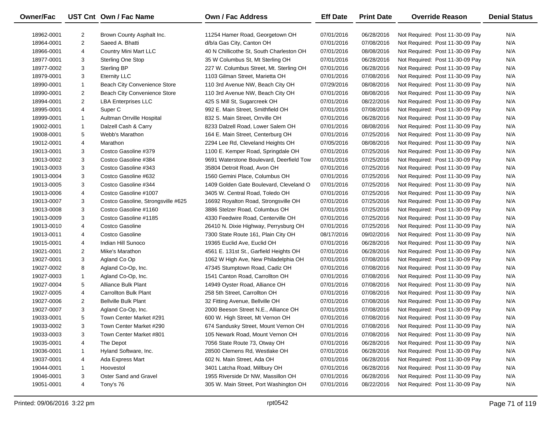| Owner/Fac  |                | UST Cnt Own / Fac Name             | Own / Fac Address                        | <b>Eff Date</b> | <b>Print Date</b> | <b>Override Reason</b>          | <b>Denial Status</b> |
|------------|----------------|------------------------------------|------------------------------------------|-----------------|-------------------|---------------------------------|----------------------|
| 18962-0001 | $\overline{2}$ | Brown County Asphalt Inc.          | 11254 Hamer Road, Georgetown OH          | 07/01/2016      | 06/28/2016        | Not Required: Post 11-30-09 Pay | N/A                  |
| 18964-0001 | $\overline{2}$ | Saeed A. Bhatti                    | d/b/a Gas City, Canton OH                | 07/01/2016      | 07/08/2016        | Not Required: Post 11-30-09 Pay | N/A                  |
| 18966-0001 | 4              | <b>Country Mini Mart LLC</b>       | 40 N Chillicothe St, South Charleston OH | 07/01/2016      | 08/08/2016        | Not Required: Post 11-30-09 Pay | N/A                  |
| 18977-0001 | 3              | <b>Sterling One Stop</b>           | 35 W Columbus St, Mt Sterling OH         | 07/01/2016      | 06/28/2016        | Not Required: Post 11-30-09 Pay | N/A                  |
| 18977-0002 | 3              | <b>Sterling BP</b>                 | 227 W. Columbus Street, Mt. Sterling OH  | 07/01/2016      | 06/28/2016        | Not Required: Post 11-30-09 Pay | N/A                  |
| 18979-0001 | 3              | <b>Eternity LLC</b>                | 1103 Gilman Street, Marietta OH          | 07/01/2016      | 07/08/2016        | Not Required: Post 11-30-09 Pay | N/A                  |
| 18990-0001 | $\mathbf{1}$   | Beach City Convenience Store       | 110 3rd Avenue NW, Beach City OH         | 07/29/2016      | 08/08/2016        | Not Required: Post 11-30-09 Pay | N/A                  |
| 18990-0001 | $\overline{c}$ | Beach City Convenience Store       | 110 3rd Avenue NW, Beach City OH         | 07/01/2016      | 08/08/2016        | Not Required: Post 11-30-09 Pay | N/A                  |
| 18994-0001 | $\overline{2}$ | <b>LBA Enterprises LLC</b>         | 425 S Mill St, Sugarcreek OH             | 07/01/2016      | 08/22/2016        | Not Required: Post 11-30-09 Pay | N/A                  |
| 18995-0001 | 4              | Super <sub>C</sub>                 | 992 E. Main Street, Smithfield OH        | 07/01/2016      | 07/08/2016        | Not Required: Post 11-30-09 Pay | N/A                  |
| 18999-0001 | $\mathbf{1}$   | Aultman Orrville Hospital          | 832 S. Main Street, Orrville OH          | 07/01/2016      | 06/28/2016        | Not Required: Post 11-30-09 Pay | N/A                  |
| 19002-0001 | $\mathbf{1}$   | Dalzell Cash & Carry               | 8233 Dalzell Road, Lower Salem OH        | 07/01/2016      | 08/08/2016        | Not Required: Post 11-30-09 Pay | N/A                  |
| 19008-0001 | 5              | Webb's Marathon                    | 164 E. Main Street, Centerburg OH        | 07/01/2016      | 07/25/2016        | Not Required: Post 11-30-09 Pay | N/A                  |
| 19012-0001 | 4              | Marathon                           | 2294 Lee Rd, Cleveland Heights OH        | 07/05/2016      | 08/08/2016        | Not Required: Post 11-30-09 Pay | N/A                  |
| 19013-0001 | 3              | Costco Gasoline #379               | 1100 E. Kemper Road, Springdale OH       | 07/01/2016      | 07/25/2016        | Not Required: Post 11-30-09 Pay | N/A                  |
| 19013-0002 | 3              | Costco Gasoline #384               | 9691 Waterstone Boulevard, Deerfield Tow | 07/01/2016      | 07/25/2016        | Not Required: Post 11-30-09 Pay | N/A                  |
| 19013-0003 | 3              | Costco Gasoline #343               | 35804 Detroit Road, Avon OH              | 07/01/2016      | 07/25/2016        | Not Required: Post 11-30-09 Pay | N/A                  |
| 19013-0004 | 3              | Costco Gasoline #632               | 1560 Gemini Place, Columbus OH           | 07/01/2016      | 07/25/2016        | Not Required: Post 11-30-09 Pay | N/A                  |
| 19013-0005 | 3              | Costco Gasoline #344               | 1409 Golden Gate Boulevard, Cleveland O  | 07/01/2016      | 07/25/2016        | Not Required: Post 11-30-09 Pay | N/A                  |
| 19013-0006 | 4              | Costco Gasoline #1007              | 3405 W. Central Road, Toledo OH          | 07/01/2016      | 07/25/2016        | Not Required: Post 11-30-09 Pay | N/A                  |
| 19013-0007 | 3              | Costco Gasoline, Strongsville #625 | 16692 Royalton Road, Strongsville OH     | 07/01/2016      | 07/25/2016        | Not Required: Post 11-30-09 Pay | N/A                  |
| 19013-0008 | 3              | Costco Gasoline #1160              | 3886 Stelzer Road, Columbus OH           | 07/01/2016      | 07/25/2016        | Not Required: Post 11-30-09 Pay | N/A                  |
| 19013-0009 | 3              | Costco Gasoline #1185              | 4330 Feedwire Road, Centerville OH       | 07/01/2016      | 07/25/2016        | Not Required: Post 11-30-09 Pay | N/A                  |
| 19013-0010 | 4              | Costco Gasoline                    | 26410 N. Dixie Highway, Perrysburg OH    | 07/01/2016      | 07/25/2016        | Not Required: Post 11-30-09 Pay | N/A                  |
| 19013-0011 | 4              | Costco Gasoline                    | 7300 State Route 161, Plain City OH      | 08/17/2016      | 09/02/2016        | Not Required: Post 11-30-09 Pay | N/A                  |
| 19015-0001 | 4              | Indian Hill Sunoco                 | 19365 Euclid Ave, Euclid OH              | 07/01/2016      | 06/28/2016        | Not Required: Post 11-30-09 Pay | N/A                  |
| 19021-0001 | $\overline{2}$ | Mike's Marathon                    | 4561 E. 131st St., Garfield Heights OH   | 07/01/2016      | 06/28/2016        | Not Required: Post 11-30-09 Pay | N/A                  |
| 19027-0001 | 3              | Agland Co Op                       | 1062 W High Ave, New Philadelphia OH     | 07/01/2016      | 07/08/2016        | Not Required: Post 11-30-09 Pay | N/A                  |
| 19027-0002 | 8              | Agland Co-Op, Inc.                 | 47345 Stumptown Road, Cadiz OH           | 07/01/2016      | 07/08/2016        | Not Required: Post 11-30-09 Pay | N/A                  |
| 19027-0003 | $\mathbf{1}$   | Agland Co-Op, Inc.                 | 1541 Canton Road, Carrollton OH          | 07/01/2016      | 07/08/2016        | Not Required: Post 11-30-09 Pay | N/A                  |
| 19027-0004 | 5              | Alliance Bulk Plant                | 14949 Oyster Road, Alliance OH           | 07/01/2016      | 07/08/2016        | Not Required: Post 11-30-09 Pay | N/A                  |
| 19027-0005 | 4              | <b>Carrollton Bulk Plant</b>       | 258 5th Street, Carrollton OH            | 07/01/2016      | 07/08/2016        | Not Required: Post 11-30-09 Pay | N/A                  |
| 19027-0006 | $\overline{2}$ | <b>Bellville Bulk Plant</b>        | 32 Fitting Avenue, Bellville OH          | 07/01/2016      | 07/08/2016        | Not Required: Post 11-30-09 Pay | N/A                  |
| 19027-0007 | 3              | Agland Co-Op, Inc.                 | 2000 Beeson Street N.E., Alliance OH     | 07/01/2016      | 07/08/2016        | Not Required: Post 11-30-09 Pay | N/A                  |
| 19033-0001 | 5              | Town Center Market #291            | 600 W. High Street, Mt Vernon OH         | 07/01/2016      | 07/08/2016        | Not Required: Post 11-30-09 Pay | N/A                  |
| 19033-0002 | 3              | Town Center Market #290            | 674 Sandusky Street, Mount Vernon OH     | 07/01/2016      | 07/08/2016        | Not Required: Post 11-30-09 Pay | N/A                  |
| 19033-0003 | 3              | Town Center Market #801            | 105 Newark Road, Mount Vernon OH         | 07/01/2016      | 07/08/2016        | Not Required: Post 11-30-09 Pay | N/A                  |
| 19035-0001 | 4              | The Depot                          | 7056 State Route 73, Otway OH            | 07/01/2016      | 06/28/2016        | Not Required: Post 11-30-09 Pay | N/A                  |
| 19036-0001 | 1              | Hyland Software, Inc.              | 28500 Clemens Rd, Westlake OH            | 07/01/2016      | 06/28/2016        | Not Required: Post 11-30-09 Pay | N/A                  |
| 19037-0001 | 4              | Ada Express Mart                   | 602 N. Main Street, Ada OH               | 07/01/2016      | 06/28/2016        | Not Required: Post 11-30-09 Pay | N/A                  |
| 19044-0001 | -1             | Hoovestol                          | 3401 Latcha Road, Millbury OH            | 07/01/2016      | 06/28/2016        | Not Required: Post 11-30-09 Pay | N/A                  |
| 19046-0001 | 3              | Oster Sand and Gravel              | 1955 Riverside Dr NW, Massillon OH       | 07/01/2016      | 06/28/2016        | Not Required: Post 11-30-09 Pay | N/A                  |
| 19051-0001 | 4              | Tony's 76                          | 305 W. Main Street, Port Washington OH   | 07/01/2016      | 08/22/2016        | Not Required: Post 11-30-09 Pay | N/A                  |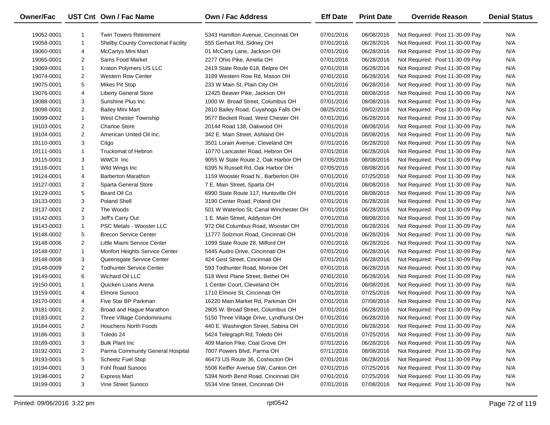| Owner/Fac  |                | UST Cnt Own / Fac Name                     | <b>Own / Fac Address</b>               | <b>Eff Date</b> | <b>Print Date</b> | <b>Override Reason</b>          | <b>Denial Status</b> |
|------------|----------------|--------------------------------------------|----------------------------------------|-----------------|-------------------|---------------------------------|----------------------|
| 19052-0001 | 1              | <b>Twin Towers Retirement</b>              | 5343 Hamilton Avenue, Cincinnati OH    | 07/01/2016      | 08/08/2016        | Not Required: Post 11-30-09 Pay | N/A                  |
| 19058-0001 | $\mathbf{1}$   | <b>Shelby County Correctional Facility</b> | 555 Gerhart Rd, Sidney OH              | 07/01/2016      | 06/28/2016        | Not Required: Post 11-30-09 Pay | N/A                  |
| 19060-0001 | 4              | McCartys Mini Mart                         | 01 McCarty Lane, Jackson OH            | 07/01/2016      | 06/28/2016        | Not Required: Post 11-30-09 Pay | N/A                  |
| 19065-0001 | 2              | Sams Food Market                           | 2277 Ohio Pike, Amelia OH              | 07/01/2016      | 06/28/2016        | Not Required: Post 11-30-09 Pay | N/A                  |
| 19069-0001 | $\mathbf{1}$   | Kraton Polymers US LLC                     | 2419 State Route 618, Belpre OH        | 07/01/2016      | 06/28/2016        | Not Required: Post 11-30-09 Pay | N/A                  |
| 19074-0001 | $\overline{2}$ | <b>Western Row Center</b>                  | 3189 Western Row Rd, Mason OH          | 07/01/2016      | 06/28/2016        | Not Required: Post 11-30-09 Pay | N/A                  |
| 19075-0001 | 5              | <b>Mikes Pit Stop</b>                      | 233 W Main St, Plain City OH           | 07/01/2016      | 06/28/2016        | Not Required: Post 11-30-09 Pay | N/A                  |
| 19076-0001 | 4              | <b>Liberty General Store</b>               | 12425 Beaver Pike, Jackson OH          | 07/01/2016      | 08/08/2016        | Not Required: Post 11-30-09 Pay | N/A                  |
| 19088-0001 | 3              | Sunshine Plus Inc.                         | 1000 W. Broad Street, Columbus OH      | 07/01/2016      | 08/08/2016        | Not Required: Post 11-30-09 Pay | N/A                  |
| 19098-0001 | $\overline{2}$ | <b>Bailey Mini Mart</b>                    | 2810 Bailey Road, Cuyahoga Falls OH    | 08/25/2016      | 09/02/2016        | Not Required: Post 11-30-09 Pay | N/A                  |
| 19099-0002 | $\mathbf{1}$   | West Chester Township                      | 9577 Beckett Road, West Chester OH     | 07/01/2016      | 06/28/2016        | Not Required: Post 11-30-09 Pay | N/A                  |
| 19103-0001 | $\overline{2}$ | <b>Charloe Store</b>                       | 20144 Road 138, Oakwood OH             | 07/01/2016      | 08/08/2016        | Not Required: Post 11-30-09 Pay | N/A                  |
| 19104-0001 | $\overline{2}$ | American United Oil Inc.                   | 342 E. Main Street, Ashland OH         | 07/01/2016      | 08/08/2016        | Not Required: Post 11-30-09 Pay | N/A                  |
| 19110-0001 | 3              | Citgo                                      | 3501 Lorain Avenue, Cleveland OH       | 07/01/2016      | 06/28/2016        | Not Required: Post 11-30-09 Pay | N/A                  |
| 19111-0001 | $\mathbf{1}$   | <b>Truckomat of Hebron</b>                 | 10770 Lancaster Road, Hebron OH        | 07/01/2016      | 06/28/2016        | Not Required: Post 11-30-09 Pay | N/A                  |
| 19115-0001 | 3              | WWCII Inc                                  | 9055 W State Route 2, Oak Harbor OH    | 07/05/2016      | 08/08/2016        | Not Required: Post 11-30-09 Pay | N/A                  |
| 19116-0001 | $\mathbf{1}$   | Wild Wings Inc                             | 6395 N Russell Rd, Oak Harbor OH       | 07/05/2016      | 08/08/2016        | Not Required: Post 11-30-09 Pay | N/A                  |
| 19124-0001 | 4              | <b>Barberton Marathon</b>                  | 1159 Wooster Road N., Barberton OH     | 07/01/2016      | 07/25/2016        | Not Required: Post 11-30-09 Pay | N/A                  |
| 19127-0001 | 2              | Sparta General Store                       | 7 E. Main Street, Sparta OH            | 07/01/2016      | 08/08/2016        | Not Required: Post 11-30-09 Pay | N/A                  |
| 19129-0001 | 5              | Beard Oil Co                               | 6990 State Route 117, Huntsville OH    | 07/01/2016      | 08/08/2016        | Not Required: Post 11-30-09 Pay | N/A                  |
| 19133-0001 | 3              | <b>Poland Shell</b>                        | 3190 Center Road, Poland OH            | 07/01/2016      | 06/28/2016        | Not Required: Post 11-30-09 Pay | N/A                  |
| 19137-0001 | $\overline{2}$ | The Woods                                  | 501 W Waterloo St, Canal Winchester OH | 07/01/2016      | 06/28/2016        | Not Required: Post 11-30-09 Pay | N/A                  |
| 19142-0001 | 3              | Jeff's Carry Out                           | 1 E. Main Street, Addyston OH          | 07/01/2016      | 08/08/2016        | Not Required: Post 11-30-09 Pay | N/A                  |
| 19143-0003 | 1              | PSC Metals - Wooster LLC                   | 972 Old Columbus Road, Wooster OH      | 07/01/2016      | 06/28/2016        | Not Required: Post 11-30-09 Pay | N/A                  |
| 19148-0002 | 5              | <b>Brecon Service Center</b>               | 11777 Solzmon Road, Cincinnati OH      | 07/01/2016      | 06/28/2016        | Not Required: Post 11-30-09 Pay | N/A                  |
| 19148-0006 | $\overline{2}$ | Little Miami Service Center                | 1099 State Route 28, Milford OH        | 07/01/2016      | 06/28/2016        | Not Required: Post 11-30-09 Pay | N/A                  |
| 19148-0007 | $\mathbf{1}$   | Monfort Heights Service Center             | 5445 Audro Drive, Cincinnati OH        | 07/01/2016      | 06/28/2016        | Not Required: Post 11-30-09 Pay | N/A                  |
| 19148-0008 | 3              | Queensgate Service Center                  | 424 Gest Street, Cincinnati OH         | 07/01/2016      | 06/28/2016        | Not Required: Post 11-30-09 Pay | N/A                  |
| 19148-0009 | $\overline{2}$ | <b>Todhunter Service Center</b>            | 593 Todhunter Road, Monroe OH          | 07/01/2016      | 06/28/2016        | Not Required: Post 11-30-09 Pay | N/A                  |
| 19149-0001 | 6              | Wichard Oil LLC                            | 518 West Plane Street, Bethel OH       | 07/01/2016      | 06/28/2016        | Not Required: Post 11-30-09 Pay | N/A                  |
| 19150-0001 | 1              | Quicken Loans Arena                        | 1 Center Court, Cleveland OH           | 07/01/2016      | 08/08/2016        | Not Required: Post 11-30-09 Pay | N/A                  |
| 19159-0001 | 4              | Elmore Sunoco                              | 1710 Elmore St, Cincinnati OH          | 07/01/2016      | 07/25/2016        | Not Required: Post 11-30-09 Pay | N/A                  |
| 19170-0001 | 4              | Five Star BP Parkman                       | 16220 Main Market Rd, Parkman OH       | 07/01/2016      | 07/08/2016        | Not Required: Post 11-30-09 Pay | N/A                  |
| 19181-0001 | $\overline{2}$ | Broad and Hague Marathon                   | 2805 W. Broad Street, Columbus OH      | 07/01/2016      | 06/28/2016        | Not Required: Post 11-30-09 Pay | N/A                  |
| 19183-0001 | $\overline{2}$ | Three Village Condominiums                 | 5150 Three Village Drive, Lyndhurst OH | 07/01/2016      | 06/28/2016        | Not Required: Post 11-30-09 Pay | N/A                  |
| 19184-0001 | $\overline{2}$ | <b>Houchens North Foods</b>                | 440 E. Washington Street, Sabina OH    | 07/01/2016      | 06/28/2016        | Not Required: Post 11-30-09 Pay | N/A                  |
| 19186-0001 | 3              | Toledo 24                                  | 5424 Telegraph Rd, Toledo OH           | 07/01/2016      | 07/25/2016        | Not Required: Post 11-30-09 Pay | N/A                  |
| 19189-0001 | 3              | <b>Bulk Plant Inc</b>                      | 409 Marion Pike, Coal Grove OH         | 07/01/2016      | 06/28/2016        | Not Required: Post 11-30-09 Pay | N/A                  |
| 19192-0001 | $\overline{2}$ | Parma Community General Hospital           | 7007 Powers Blvd, Parma OH             | 07/11/2016      | 08/08/2016        | Not Required: Post 11-30-09 Pay | N/A                  |
| 19193-0001 | 5              | <b>Scheetz Fuel Stop</b>                   | 46473 US Route 36, Coshocton OH        | 07/01/2016      | 06/28/2016        | Not Required: Post 11-30-09 Pay | N/A                  |
| 19194-0001 | 3              | Fohl Road Sunoco                           | 5506 Keiffer Avenue SW, Canton OH      | 07/01/2016      | 07/25/2016        | Not Required: Post 11-30-09 Pay | N/A                  |
| 19198-0001 | $\overline{2}$ | <b>Express Mart</b>                        | 5394 North Bend Road, Cincinnati OH    | 07/01/2016      | 07/25/2016        | Not Required: Post 11-30-09 Pay | N/A                  |
| 19199-0001 | 3              | Vine Street Sunoco                         | 5534 Vine Street, Cincinnati OH        | 07/01/2016      | 07/08/2016        | Not Required: Post 11-30-09 Pay | N/A                  |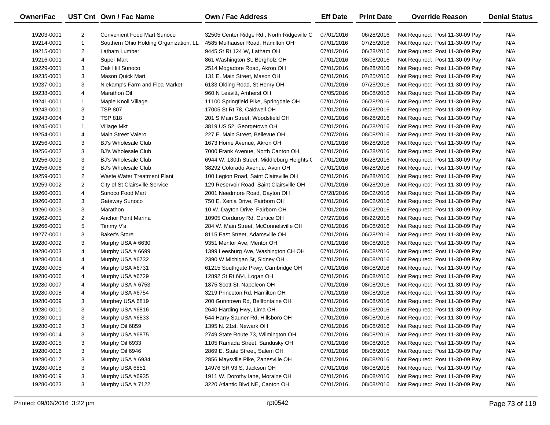| Owner/Fac  |                | UST Cnt Own / Fac Name                 | <b>Own / Fac Address</b>                   | <b>Eff Date</b> | <b>Print Date</b> | <b>Override Reason</b>          | <b>Denial Status</b> |
|------------|----------------|----------------------------------------|--------------------------------------------|-----------------|-------------------|---------------------------------|----------------------|
| 19203-0001 | 2              | <b>Convenient Food Mart Sunoco</b>     | 32505 Center Ridge Rd., North Ridgeville C | 07/01/2016      | 06/28/2016        | Not Required: Post 11-30-09 Pay | N/A                  |
| 19214-0001 | $\mathbf{1}$   | Southern Ohio Holding Organization, LL | 4585 Mulhauser Road, Hamilton OH           | 07/01/2016      | 07/25/2016        | Not Required: Post 11-30-09 Pay | N/A                  |
| 19215-0001 | 2              | Latham Lumber                          | 9445 St Rt 124 W, Latham OH                | 07/01/2016      | 06/28/2016        | Not Required: Post 11-30-09 Pay | N/A                  |
| 19216-0001 | 4              | Super Mart                             | 861 Washington St, Bergholz OH             | 07/01/2016      | 08/08/2016        | Not Required: Post 11-30-09 Pay | N/A                  |
| 19229-0001 | 3              | Oak Hill Sunoco                        | 2514 Mogadore Road, Akron OH               | 07/01/2016      | 06/28/2016        | Not Required: Post 11-30-09 Pay | N/A                  |
| 19235-0001 | 3              | <b>Mason Quick Mart</b>                | 131 E. Main Street, Mason OH               | 07/01/2016      | 07/25/2016        | Not Required: Post 11-30-09 Pay | N/A                  |
| 19237-0001 | 3              | Niekamp's Farm and Flea Market         | 6133 Olding Road, St Henry OH              | 07/01/2016      | 07/25/2016        | Not Required: Post 11-30-09 Pay | N/A                  |
| 19238-0001 | 4              | <b>Marathon Oil</b>                    | 960 N Leavitt, Amherst OH                  | 07/05/2016      | 08/08/2016        | Not Required: Post 11-30-09 Pay | N/A                  |
| 19241-0001 | 1              | Maple Knoll Village                    | 11100 Springfield Pike, Springdale OH      | 07/01/2016      | 06/28/2016        | Not Required: Post 11-30-09 Pay | N/A                  |
| 19243-0001 | 3              | <b>TSP 807</b>                         | 17005 St Rt 78, Caldwell OH                | 07/01/2016      | 06/28/2016        | Not Required: Post 11-30-09 Pay | N/A                  |
| 19243-0004 | 3              | <b>TSP 818</b>                         | 201 S Main Street, Woodsfield OH           | 07/01/2016      | 06/28/2016        | Not Required: Post 11-30-09 Pay | N/A                  |
| 19245-0001 | 1              | Village Mkt                            | 3819 US 52, Georgetown OH                  | 07/01/2016      | 06/28/2016        | Not Required: Post 11-30-09 Pay | N/A                  |
| 19254-0001 | 4              | Main Street Valero                     | 227 E. Main Street, Bellevue OH            | 07/07/2016      | 08/08/2016        | Not Required: Post 11-30-09 Pay | N/A                  |
| 19256-0001 | 3              | <b>BJ's Wholesale Club</b>             | 1673 Home Avenue, Akron OH                 | 07/01/2016      | 06/28/2016        | Not Required: Post 11-30-09 Pay | N/A                  |
| 19256-0002 | 3              | <b>BJ's Wholesale Club</b>             | 7000 Frank Avenue, North Canton OH         | 07/01/2016      | 06/28/2016        | Not Required: Post 11-30-09 Pay | N/A                  |
| 19256-0003 | 3              | <b>BJ's Wholesale Club</b>             | 6944 W. 130th Street, Middleburg Heights ( | 07/01/2016      | 06/28/2016        | Not Required: Post 11-30-09 Pay | N/A                  |
| 19256-0006 | 3              | <b>BJ's Wholesale Club</b>             | 38292 Colorado Avenue, Avon OH             | 07/01/2016      | 06/28/2016        | Not Required: Post 11-30-09 Pay | N/A                  |
| 19259-0001 | $\overline{2}$ | Waste Water Treatment Plant            | 100 Legion Road, Saint Clairsville OH      | 07/01/2016      | 06/28/2016        | Not Required: Post 11-30-09 Pay | N/A                  |
| 19259-0002 | $\overline{2}$ | City of St Clairsville Service         | 129 Reservoir Road, Saint Clairsville OH   | 07/01/2016      | 06/28/2016        | Not Required: Post 11-30-09 Pay | N/A                  |
| 19260-0001 | 4              | Sunoco Food Mart                       | 2001 Needmore Road, Dayton OH              | 07/28/2016      | 09/02/2016        | Not Required: Post 11-30-09 Pay | N/A                  |
| 19260-0002 | 3              | Gateway Sunoco                         | 750 E. Xenia Drive, Fairborn OH            | 07/01/2016      | 09/02/2016        | Not Required: Post 11-30-09 Pay | N/A                  |
| 19260-0003 | 3              | Marathon                               | 10 W. Dayton Drive, Fairborn OH            | 07/01/2016      | 09/02/2016        | Not Required: Post 11-30-09 Pay | N/A                  |
| 19262-0001 | $\overline{2}$ | Anchor Point Marina                    | 10905 Corduroy Rd, Curtice OH              | 07/27/2016      | 08/22/2016        | Not Required: Post 11-30-09 Pay | N/A                  |
| 19266-0001 | 5              | Timmy V's                              | 284 W. Main Street, McConnelsville OH      | 07/01/2016      | 08/08/2016        | Not Required: Post 11-30-09 Pay | N/A                  |
| 19277-0001 | 3              | <b>Baker's Store</b>                   | 8115 East Street, Adamsville OH            | 07/01/2016      | 06/28/2016        | Not Required: Post 11-30-09 Pay | N/A                  |
| 19280-0002 | 3              | Murphy USA # 6630                      | 9351 Mentor Ave, Mentor OH                 | 07/01/2016      | 08/08/2016        | Not Required: Post 11-30-09 Pay | N/A                  |
| 19280-0003 | 4              | Murphy USA # 6699                      | 1399 Leesburg Ave, Washington CH OH        | 07/01/2016      | 08/08/2016        | Not Required: Post 11-30-09 Pay | N/A                  |
| 19280-0004 | 4              | Murphy USA #6732                       | 2390 W Michigan St, Sidney OH              | 07/01/2016      | 08/08/2016        | Not Required: Post 11-30-09 Pay | N/A                  |
| 19280-0005 | 4              | Murphy USA #6731                       | 61215 Southgate Pkwy, Cambridge OH         | 07/01/2016      | 08/08/2016        | Not Required: Post 11-30-09 Pay | N/A                  |
| 19280-0006 | 4              | Murphy USA #6729                       | 12892 St Rt 664, Logan OH                  | 07/01/2016      | 08/08/2016        | Not Required: Post 11-30-09 Pay | N/A                  |
| 19280-0007 | 4              | Murphy USA # 6753                      | 1875 Scott St, Napoleon OH                 | 07/01/2016      | 08/08/2016        | Not Required: Post 11-30-09 Pay | N/A                  |
| 19280-0008 | 4              | Murphy USA #6754                       | 3219 Princeton Rd, Hamilton OH             | 07/01/2016      | 08/08/2016        | Not Required: Post 11-30-09 Pay | N/A                  |
| 19280-0009 | 3              | Murphey USA 6819                       | 200 Gunntown Rd, Bellfontaine OH           | 07/01/2016      | 08/08/2016        | Not Required: Post 11-30-09 Pay | N/A                  |
| 19280-0010 | 3              | Murphy USA #6816                       | 2640 Harding Hwy, Lima OH                  | 07/01/2016      | 08/08/2016        | Not Required: Post 11-30-09 Pay | N/A                  |
| 19280-0011 | 3              | Murphy USA #6833                       | 544 Harry Sauner Rd, Hillsboro OH          | 07/01/2016      | 08/08/2016        | Not Required: Post 11-30-09 Pay | N/A                  |
| 19280-0012 | 3              | Murphy Oil 6859                        | 1395 N. 21st, Newark OH                    | 07/01/2016      | 08/08/2016        | Not Required: Post 11-30-09 Pay | N/A                  |
| 19280-0014 | 3              | Murphy USA #6875                       | 2749 State Route 73, Wilmington OH         | 07/01/2016      | 08/08/2016        | Not Required: Post 11-30-09 Pay | N/A                  |
| 19280-0015 | 3              | Murphy Oil 6933                        | 1105 Ramada Street, Sandusky OH            | 07/01/2016      | 08/08/2016        | Not Required: Post 11-30-09 Pay | N/A                  |
| 19280-0016 | 3              | Murphy Oil 6946                        | 2869 E. State Street, Salem OH             | 07/01/2016      | 08/08/2016        | Not Required: Post 11-30-09 Pay | N/A                  |
| 19280-0017 | 3              | Murphy USA # 6934                      | 2856 Maysville Pike, Zanesville OH         | 07/01/2016      | 08/08/2016        | Not Required: Post 11-30-09 Pay | N/A                  |
| 19280-0018 | 3              | Murphy USA 6851                        | 14976 SR 93 S, Jackson OH                  | 07/01/2016      | 08/08/2016        | Not Required: Post 11-30-09 Pay | N/A                  |
| 19280-0019 | 3              | Murphy USA #6935                       | 1911 W. Dorothy lane, Moraine OH           | 07/01/2016      | 08/08/2016        | Not Required: Post 11-30-09 Pay | N/A                  |
| 19280-0023 | 3              | Murphy USA # 7122                      | 3220 Atlantic Blvd NE, Canton OH           | 07/01/2016      | 08/08/2016        | Not Required: Post 11-30-09 Pay | N/A                  |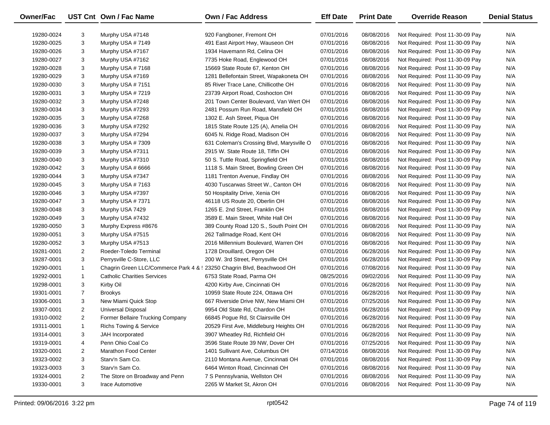| Owner/Fac  |                | UST Cnt Own / Fac Name                                                 | <b>Own / Fac Address</b>                  | <b>Eff Date</b> | <b>Print Date</b> | <b>Override Reason</b>          | <b>Denial Status</b> |
|------------|----------------|------------------------------------------------------------------------|-------------------------------------------|-----------------|-------------------|---------------------------------|----------------------|
| 19280-0024 | 3              | Murphy USA #7148                                                       | 920 Fangboner, Fremont OH                 | 07/01/2016      | 08/08/2016        | Not Required: Post 11-30-09 Pay | N/A                  |
| 19280-0025 | 3              | Murphy USA #7149                                                       | 491 East Airport Hwy, Wauseon OH          | 07/01/2016      | 08/08/2016        | Not Required: Post 11-30-09 Pay | N/A                  |
| 19280-0026 | 3              | Murphy USA #7167                                                       | 1934 Havemann Rd, Celina OH               | 07/01/2016      | 08/08/2016        | Not Required: Post 11-30-09 Pay | N/A                  |
| 19280-0027 | 3              | Murphy USA #7162                                                       | 7735 Hoke Road, Englewood OH              | 07/01/2016      | 08/08/2016        | Not Required: Post 11-30-09 Pay | N/A                  |
| 19280-0028 | 3              | Murphy USA #7168                                                       | 15669 State Route 67, Kenton OH           | 07/01/2016      | 08/08/2016        | Not Required: Post 11-30-09 Pay | N/A                  |
| 19280-0029 | 3              | Murphy USA #7169                                                       | 1281 Bellefontain Street, Wapakoneta OH   | 07/01/2016      | 08/08/2016        | Not Required: Post 11-30-09 Pay | N/A                  |
| 19280-0030 | 3              | Murphy USA #7151                                                       | 85 River Trace Lane, Chillicothe OH       | 07/01/2016      | 08/08/2016        | Not Required: Post 11-30-09 Pay | N/A                  |
| 19280-0031 | 3              | Murphy USA #7219                                                       | 23739 Airport Road, Coshocton OH          | 07/01/2016      | 08/08/2016        | Not Required: Post 11-30-09 Pay | N/A                  |
| 19280-0032 | 3              | Murphy USA #7248                                                       | 201 Town Center Boulevard, Van Wert OH    | 07/01/2016      | 08/08/2016        | Not Required: Post 11-30-09 Pay | N/A                  |
| 19280-0034 | 3              | Murphy USA #7293                                                       | 2481 Possum Run Road, Mansfield OH        | 07/01/2016      | 08/08/2016        | Not Required: Post 11-30-09 Pay | N/A                  |
| 19280-0035 | 3              | Murphy USA #7268                                                       | 1302 E. Ash Street, Piqua OH              | 07/01/2016      | 08/08/2016        | Not Required: Post 11-30-09 Pay | N/A                  |
| 19280-0036 | 3              | Murphy USA #7292                                                       | 1815 State Route 125 (A), Amelia OH       | 07/01/2016      | 08/08/2016        | Not Required: Post 11-30-09 Pay | N/A                  |
| 19280-0037 | 3              | Murphy USA #7294                                                       | 6045 N. Ridge Road, Madison OH            | 07/01/2016      | 08/08/2016        | Not Required: Post 11-30-09 Pay | N/A                  |
| 19280-0038 | 3              | Murphy USA #7309                                                       | 631 Coleman's Crossing Blvd, Marysville O | 07/01/2016      | 08/08/2016        | Not Required: Post 11-30-09 Pay | N/A                  |
| 19280-0039 | 3              | Murphy USA #7311                                                       | 2915 W. State Route 18, Tiffin OH         | 07/01/2016      | 08/08/2016        | Not Required: Post 11-30-09 Pay | N/A                  |
| 19280-0040 | 3              | Murphy USA #7310                                                       | 50 S. Tuttle Road, Springfield OH         | 07/01/2016      | 08/08/2016        | Not Required: Post 11-30-09 Pay | N/A                  |
| 19280-0042 | 3              | Murphy USA # 6666                                                      | 1118 S. Main Street, Bowling Green OH     | 07/01/2016      | 08/08/2016        | Not Required: Post 11-30-09 Pay | N/A                  |
| 19280-0044 | 3              | Murphy USA #7347                                                       | 1181 Trenton Avenue, Findlay OH           | 07/01/2016      | 08/08/2016        | Not Required: Post 11-30-09 Pay | N/A                  |
| 19280-0045 | 3              | Murphy USA #7163                                                       | 4030 Tuscarwas Street W., Canton OH       | 07/01/2016      | 08/08/2016        | Not Required: Post 11-30-09 Pay | N/A                  |
| 19280-0046 | 3              | Murphy USA #7397                                                       | 50 Hospitality Drive, Xenia OH            | 07/01/2016      | 08/08/2016        | Not Required: Post 11-30-09 Pay | N/A                  |
| 19280-0047 | 3              | Murphy USA #7371                                                       | 46118 US Route 20, Oberlin OH             | 07/01/2016      | 08/08/2016        | Not Required: Post 11-30-09 Pay | N/A                  |
| 19280-0048 | 3              | Murphy USA 7429                                                        | 1265 E. 2nd Street, Franklin OH           | 07/01/2016      | 08/08/2016        | Not Required: Post 11-30-09 Pay | N/A                  |
| 19280-0049 | 3              | Murphy USA #7432                                                       | 3589 E. Main Street, White Hall OH        | 07/01/2016      | 08/08/2016        | Not Required: Post 11-30-09 Pay | N/A                  |
| 19280-0050 | 3              | Murphy Express #8676                                                   | 389 County Road 120 S., South Point OH    | 07/01/2016      | 08/08/2016        | Not Required: Post 11-30-09 Pay | N/A                  |
| 19280-0051 | 3              | Murphy USA #7515                                                       | 262 Tallmadge Road, Kent OH               | 07/01/2016      | 08/08/2016        | Not Required: Post 11-30-09 Pay | N/A                  |
| 19280-0052 | 3              | Murphy USA #7513                                                       | 2016 Millennium Boulevard, Warren OH      | 07/01/2016      | 08/08/2016        | Not Required: Post 11-30-09 Pay | N/A                  |
| 19281-0001 | $\overline{2}$ | Roeder-Toledo Terminal                                                 | 1728 Drouillard, Oregon OH                | 07/01/2016      | 06/28/2016        | Not Required: Post 11-30-09 Pay | N/A                  |
| 19287-0001 | 3              | Perrysville C-Store, LLC                                               | 200 W. 3rd Street, Perrysville OH         | 07/01/2016      | 06/28/2016        | Not Required: Post 11-30-09 Pay | N/A                  |
| 19290-0001 | 1              | Chagrin Green LLC/Commerce Park 4 & : 23250 Chagrin Blvd, Beachwood OH |                                           | 07/01/2016      | 07/08/2016        | Not Required: Post 11-30-09 Pay | N/A                  |
| 19292-0001 | $\mathbf{1}$   | <b>Catholic Charities Services</b>                                     | 6753 State Road, Parma OH                 | 08/25/2016      | 09/02/2016        | Not Required: Post 11-30-09 Pay | N/A                  |
| 19298-0001 | 3              | Kirby Oil                                                              | 4200 Kirby Ave, Cincinnati OH             | 07/01/2016      | 06/28/2016        | Not Required: Post 11-30-09 Pay | N/A                  |
| 19301-0001 | $\overline{7}$ | <b>Brookys</b>                                                         | 10959 State Route 224, Ottawa OH          | 07/01/2016      | 06/28/2016        | Not Required: Post 11-30-09 Pay | N/A                  |
| 19306-0001 | 3              | New Miami Quick Stop                                                   | 667 Riverside Drive NW, New Miami OH      | 07/01/2016      | 07/25/2016        | Not Required: Post 11-30-09 Pay | N/A                  |
| 19307-0001 | $\overline{2}$ | <b>Universal Disposal</b>                                              | 9954 Old State Rd, Chardon OH             | 07/01/2016      | 06/28/2016        | Not Required: Post 11-30-09 Pay | N/A                  |
| 19310-0002 | $\overline{2}$ | Former Bellaire Trucking Company                                       | 66845 Pogue Rd, St Clairsville OH         | 07/01/2016      | 06/28/2016        | Not Required: Post 11-30-09 Pay | N/A                  |
| 19311-0001 | $\mathbf 1$    | <b>Richs Towing &amp; Service</b>                                      | 20529 First Ave, Middleburg Heights OH    | 07/01/2016      | 06/28/2016        | Not Required: Post 11-30-09 Pay | N/A                  |
| 19314-0001 | 3              | JAH Incorporated                                                       | 3907 Wheatley Rd, Richfield OH            | 07/01/2016      | 06/28/2016        | Not Required: Post 11-30-09 Pay | N/A                  |
| 19319-0001 | 4              | Penn Ohio Coal Co                                                      | 3596 State Route 39 NW, Dover OH          | 07/01/2016      | 07/25/2016        | Not Required: Post 11-30-09 Pay | N/A                  |
| 19320-0001 | $\overline{2}$ | Marathon Food Center                                                   | 1401 Sullivant Ave, Columbus OH           | 07/14/2016      | 08/08/2016        | Not Required: Post 11-30-09 Pay | N/A                  |
| 19323-0002 | 3              | Starv'n Sam Co.                                                        | 2110 Montana Avenue, Cincinnati OH        | 07/01/2016      | 08/08/2016        | Not Required: Post 11-30-09 Pay | N/A                  |
| 19323-0003 | 3              | Starv'n Sam Co.                                                        | 6464 Winton Road, Cincinnati OH           | 07/01/2016      | 08/08/2016        | Not Required: Post 11-30-09 Pay | N/A                  |
| 19324-0001 | 2              | The Store on Broadway and Penn                                         | 7 S Pennsylvania, Wellston OH             | 07/01/2016      | 08/08/2016        | Not Required: Post 11-30-09 Pay | N/A                  |
| 19330-0001 | 3              | Irace Automotive                                                       | 2265 W Market St, Akron OH                | 07/01/2016      | 08/08/2016        | Not Required: Post 11-30-09 Pay | N/A                  |
|            |                |                                                                        |                                           |                 |                   |                                 |                      |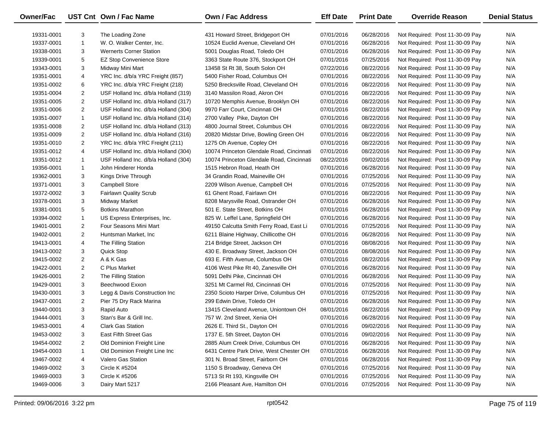| Owner/Fac  |                | UST Cnt Own / Fac Name               | Own / Fac Address                         | <b>Eff Date</b> | <b>Print Date</b> | <b>Override Reason</b>          | <b>Denial Status</b> |
|------------|----------------|--------------------------------------|-------------------------------------------|-----------------|-------------------|---------------------------------|----------------------|
| 19331-0001 | 3              | The Loading Zone                     | 431 Howard Street, Bridgeport OH          | 07/01/2016      | 06/28/2016        | Not Required: Post 11-30-09 Pay | N/A                  |
| 19337-0001 | $\mathbf{1}$   | W. O. Walker Center, Inc.            | 10524 Euclid Avenue, Cleveland OH         | 07/01/2016      | 06/28/2016        | Not Required: Post 11-30-09 Pay | N/A                  |
| 19338-0001 | 3              | <b>Wernerts Corner Station</b>       | 5001 Douglas Road, Toledo OH              | 07/01/2016      | 06/28/2016        | Not Required: Post 11-30-09 Pay | N/A                  |
| 19339-0001 | 5              | <b>EZ Stop Convenience Store</b>     | 3363 State Route 376, Stockport OH        | 07/01/2016      | 07/25/2016        | Not Required: Post 11-30-09 Pay | N/A                  |
| 19343-0001 | 3              | Midway Mini Mart                     | 13458 St Rt 38, South Solon OH            | 07/22/2016      | 08/22/2016        | Not Required: Post 11-30-09 Pay | N/A                  |
| 19351-0001 | 4              | YRC Inc. d/b/a YRC Freight (857)     | 5400 Fisher Road, Columbus OH             | 07/01/2016      | 08/22/2016        | Not Required: Post 11-30-09 Pay | N/A                  |
| 19351-0002 | 6              | YRC Inc. d/b/a YRC Freight (218)     | 5250 Brecksville Road, Cleveland OH       | 07/01/2016      | 08/22/2016        | Not Required: Post 11-30-09 Pay | N/A                  |
| 19351-0004 | $\overline{2}$ | USF Holland Inc. d/b/a Holland (319) | 3140 Massilon Road, Akron OH              | 07/01/2016      | 08/22/2016        | Not Required: Post 11-30-09 Pay | N/A                  |
| 19351-0005 | 2              | USF Holland Inc. d/b/a Holland (317) | 10720 Memphis Avenue, Brooklyn OH         | 07/01/2016      | 08/22/2016        | Not Required: Post 11-30-09 Pay | N/A                  |
| 19351-0006 | $\overline{2}$ | USF Holland Inc. d/b/a Holland (304) | 9970 Farr Court, Cincinnati OH            | 07/01/2016      | 08/22/2016        | Not Required: Post 11-30-09 Pay | N/A                  |
| 19351-0007 | $\mathbf{1}$   | USF Holland Inc. d/b/a Holland (314) | 2700 Valley Pike, Dayton OH               | 07/01/2016      | 08/22/2016        | Not Required: Post 11-30-09 Pay | N/A                  |
| 19351-0008 | 2              | USF Holland Inc. d/b/a Holland (313) | 4800 Journal Street, Columbus OH          | 07/01/2016      | 08/22/2016        | Not Required: Post 11-30-09 Pay | N/A                  |
| 19351-0009 | $\overline{2}$ | USF Holland Inc. d/b/a Holland (316) | 20820 Midstar Drive, Bowling Green OH     | 07/01/2016      | 08/22/2016        | Not Required: Post 11-30-09 Pay | N/A                  |
| 19351-0010 | $\overline{2}$ | YRC Inc. d/b/a YRC Freight (211)     | 1275 Oh Avenue, Copley OH                 | 07/01/2016      | 08/22/2016        | Not Required: Post 11-30-09 Pay | N/A                  |
| 19351-0012 | 4              | USF Holland Inc. d/b/a Holland (304) | 10074 Princeton Glendale Road, Cincinnati | 07/01/2016      | 08/22/2016        | Not Required: Post 11-30-09 Pay | N/A                  |
| 19351-0012 | $\mathbf{1}$   | USF Holland Inc. d/b/a Holland (304) | 10074 Princeton Glendale Road, Cincinnati | 08/22/2016      | 09/02/2016        | Not Required: Post 11-30-09 Pay | N/A                  |
| 19356-0001 | $\mathbf{1}$   | John Hinderer Honda                  | 1515 Hebron Road, Heath OH                | 07/01/2016      | 06/28/2016        | Not Required: Post 11-30-09 Pay | N/A                  |
| 19362-0001 | 3              | Kings Drive Through                  | 34 Grandin Road, Maineville OH            | 07/01/2016      | 07/25/2016        | Not Required: Post 11-30-09 Pay | N/A                  |
| 19371-0001 | 3              | <b>Campbell Store</b>                | 2209 Wilson Avenue, Campbell OH           | 07/01/2016      | 07/25/2016        | Not Required: Post 11-30-09 Pay | N/A                  |
| 19372-0002 | 3              | <b>Fairlawn Quality Scrub</b>        | 61 Ghent Road, Fairlawn OH                | 07/01/2016      | 08/22/2016        | Not Required: Post 11-30-09 Pay | N/A                  |
| 19378-0001 | 3              | Midway Market                        | 8208 Marysville Road, Ostrander OH        | 07/01/2016      | 06/28/2016        | Not Required: Post 11-30-09 Pay | N/A                  |
| 19381-0001 | 5              | <b>Botkins Marathon</b>              | 501 E. State Street, Botkins OH           | 07/01/2016      | 06/28/2016        | Not Required: Post 11-30-09 Pay | N/A                  |
| 19394-0002 | $\mathbf{1}$   | US Express Enterprises, Inc.         | 825 W. Leffel Lane, Springfield OH        | 07/01/2016      | 06/28/2016        | Not Required: Post 11-30-09 Pay | N/A                  |
| 19401-0001 | $\overline{2}$ | Four Seasons Mini Mart               | 49150 Calcutta Smith Ferry Road, East Li  | 07/01/2016      | 07/25/2016        | Not Required: Post 11-30-09 Pay | N/A                  |
| 19402-0001 | $\overline{2}$ | Huntsman Market, Inc.                | 6211 Blaine Highway, Chillicothe OH       | 07/01/2016      | 06/28/2016        | Not Required: Post 11-30-09 Pay | N/A                  |
| 19413-0001 | 4              | The Filling Station                  | 214 Bridge Street, Jackson OH             | 07/01/2016      | 08/08/2016        | Not Required: Post 11-30-09 Pay | N/A                  |
| 19413-0002 | 3              | Quick Stop                           | 430 E. Broadway Street, Jackson OH        | 07/01/2016      | 08/08/2016        | Not Required: Post 11-30-09 Pay | N/A                  |
| 19415-0002 | $\overline{2}$ | A & K Gas                            | 693 E. Fifth Avenue, Columbus OH          | 07/01/2016      | 08/22/2016        | Not Required: Post 11-30-09 Pay | N/A                  |
| 19422-0001 | $\overline{2}$ | C Plus Market                        | 4106 West Pike Rt 40, Zanesville OH       | 07/01/2016      | 06/28/2016        | Not Required: Post 11-30-09 Pay | N/A                  |
| 19426-0001 | $\overline{2}$ | The Filling Station                  | 5091 Delhi Pike, Cincinnati OH            | 07/01/2016      | 06/28/2016        | Not Required: Post 11-30-09 Pay | N/A                  |
| 19429-0001 | 3              | Beechwood Exxon                      | 3251 Mt Carmel Rd, Cincinnati OH          | 07/01/2016      | 07/25/2016        | Not Required: Post 11-30-09 Pay | N/A                  |
| 19430-0001 | 3              | Legg & Davis Construction Inc        | 2350 Scioto Harper Drive, Columbus OH     | 07/01/2016      | 07/25/2016        | Not Required: Post 11-30-09 Pay | N/A                  |
| 19437-0001 | $\overline{2}$ | Pier 75 Dry Rack Marina              | 299 Edwin Drive, Toledo OH                | 07/01/2016      | 06/28/2016        | Not Required: Post 11-30-09 Pay | N/A                  |
| 19440-0001 | 3              | Rapid Auto                           | 13415 Cleveland Avenue, Uniontown OH      | 08/01/2016      | 08/22/2016        | Not Required: Post 11-30-09 Pay | N/A                  |
| 19444-0001 | 3              | Stan's Bar & Grill Inc.              | 757 W. 2nd Street, Xenia OH               | 07/01/2016      | 06/28/2016        | Not Required: Post 11-30-09 Pay | N/A                  |
| 19453-0001 | 4              | <b>Clark Gas Station</b>             | 2626 E. Third St., Dayton OH              | 07/01/2016      | 09/02/2016        | Not Required: Post 11-30-09 Pay | N/A                  |
| 19453-0002 | 3              | <b>East Fifth Street Gas</b>         | 1737 E. 5th Street, Dayton OH             | 07/01/2016      | 09/02/2016        | Not Required: Post 11-30-09 Pay | N/A                  |
| 19454-0002 | 2              | Old Dominion Freight Line            | 2885 Alum Creek Drive, Columbus OH        | 07/01/2016      | 06/28/2016        | Not Required: Post 11-30-09 Pay | N/A                  |
| 19454-0003 | 1              | Old Dominion Freight Line Inc        | 6431 Centre Park Drive, West Chester OH   | 07/01/2016      | 06/28/2016        | Not Required: Post 11-30-09 Pay | N/A                  |
| 19467-0002 | 4              | Valero Gas Station                   | 301 N. Broad Street, Fairborn OH          | 07/01/2016      | 06/28/2016        | Not Required: Post 11-30-09 Pay | N/A                  |
| 19469-0002 | 3              | <b>Circle K #5204</b>                | 1150 S Broadway, Geneva OH                | 07/01/2016      | 07/25/2016        | Not Required: Post 11-30-09 Pay | N/A                  |
| 19469-0003 | 3              | <b>Circle K #5206</b>                | 5713 St Rt 193, Kingsville OH             | 07/01/2016      | 07/25/2016        | Not Required: Post 11-30-09 Pay | N/A                  |
| 19469-0006 | 3              | Dairy Mart 5217                      | 2166 Pleasant Ave, Hamilton OH            | 07/01/2016      | 07/25/2016        | Not Required: Post 11-30-09 Pay | N/A                  |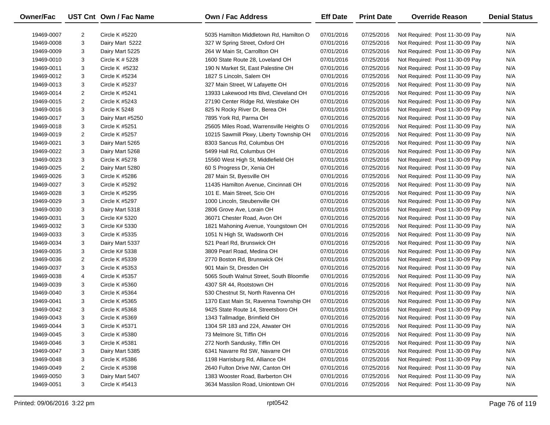| Owner/Fac  |                | UST Cnt Own / Fac Name | Own / Fac Address                        | <b>Eff Date</b> | <b>Print Date</b> | <b>Override Reason</b>          | <b>Denial Status</b> |
|------------|----------------|------------------------|------------------------------------------|-----------------|-------------------|---------------------------------|----------------------|
| 19469-0007 | 2              | Circle K #5220         | 5035 Hamilton Middletown Rd, Hamilton O  | 07/01/2016      | 07/25/2016        | Not Required: Post 11-30-09 Pay | N/A                  |
| 19469-0008 | 3              | Dairy Mart 5222        | 327 W Spring Street, Oxford OH           | 07/01/2016      | 07/25/2016        | Not Required: Post 11-30-09 Pay | N/A                  |
| 19469-0009 | 3              | Dairy Mart 5225        | 264 W Main St, Carrollton OH             | 07/01/2016      | 07/25/2016        | Not Required: Post 11-30-09 Pay | N/A                  |
| 19469-0010 | 3              | Circle K # 5228        | 1600 State Route 28, Loveland OH         | 07/01/2016      | 07/25/2016        | Not Required: Post 11-30-09 Pay | N/A                  |
| 19469-0011 | 3              | Circle K #5232         | 190 N Market St, East Palestine OH       | 07/01/2016      | 07/25/2016        | Not Required: Post 11-30-09 Pay | N/A                  |
| 19469-0012 | 3              | Circle K #5234         | 1827 S Lincoln, Salem OH                 | 07/01/2016      | 07/25/2016        | Not Required: Post 11-30-09 Pay | N/A                  |
| 19469-0013 | 3              | Circle K #5237         | 327 Main Street, W Lafayette OH          | 07/01/2016      | 07/25/2016        | Not Required: Post 11-30-09 Pay | N/A                  |
| 19469-0014 | 2              | Circle K #5241         | 13933 Lakewood Hts Blvd, Cleveland OH    | 07/01/2016      | 07/25/2016        | Not Required: Post 11-30-09 Pay | N/A                  |
| 19469-0015 | 2              | Circle K #5243         | 27190 Center Ridge Rd, Westlake OH       | 07/01/2016      | 07/25/2016        | Not Required: Post 11-30-09 Pay | N/A                  |
| 19469-0016 | 3              | Circle K 5248          | 825 N Rocky River Dr, Berea OH           | 07/01/2016      | 07/25/2016        | Not Required: Post 11-30-09 Pay | N/A                  |
| 19469-0017 | 3              | Dairy Mart #5250       | 7895 York Rd, Parma OH                   | 07/01/2016      | 07/25/2016        | Not Required: Post 11-30-09 Pay | N/A                  |
| 19469-0018 | 3              | Circle K #5251         | 25605 Miles Road, Warrensville Heights O | 07/01/2016      | 07/25/2016        | Not Required: Post 11-30-09 Pay | N/A                  |
| 19469-0019 | 2              | Circle K #5257         | 10215 Sawmill Pkwy, Liberty Township OH  | 07/01/2016      | 07/25/2016        | Not Required: Post 11-30-09 Pay | N/A                  |
| 19469-0021 | 3              | Dairy Mart 5265        | 8303 Sancus Rd, Columbus OH              | 07/01/2016      | 07/25/2016        | Not Required: Post 11-30-09 Pay | N/A                  |
| 19469-0022 | 3              | Dairy Mart 5268        | 5499 Hall Rd, Columbus OH                | 07/01/2016      | 07/25/2016        | Not Required: Post 11-30-09 Pay | N/A                  |
| 19469-0023 | 3              | Circle K #5278         | 15560 West High St, Middlefield OH       | 07/01/2016      | 07/25/2016        | Not Required: Post 11-30-09 Pay | N/A                  |
| 19469-0025 | 2              | Dairy Mart 5280        | 60 S Progress Dr, Xenia OH               | 07/01/2016      | 07/25/2016        | Not Required: Post 11-30-09 Pay | N/A                  |
| 19469-0026 | 3              | Circle K #5286         | 287 Main St, Byesville OH                | 07/01/2016      | 07/25/2016        | Not Required: Post 11-30-09 Pay | N/A                  |
| 19469-0027 | 3              | Circle K #5292         | 11435 Hamilton Avenue, Cincinnati OH     | 07/01/2016      | 07/25/2016        | Not Required: Post 11-30-09 Pay | N/A                  |
| 19469-0028 | 3              | Circle K #5295         | 101 E. Main Street, Scio OH              | 07/01/2016      | 07/25/2016        | Not Required: Post 11-30-09 Pay | N/A                  |
| 19469-0029 | 3              | Circle K #5297         | 1000 Lincoln, Steubenville OH            | 07/01/2016      | 07/25/2016        | Not Required: Post 11-30-09 Pay | N/A                  |
| 19469-0030 | 3              | Dairy Mart 5318        | 2806 Grove Ave, Lorain OH                | 07/01/2016      | 07/25/2016        | Not Required: Post 11-30-09 Pay | N/A                  |
| 19469-0031 | 3              | Circle K# 5320         | 36071 Chester Road, Avon OH              | 07/01/2016      | 07/25/2016        | Not Required: Post 11-30-09 Pay | N/A                  |
| 19469-0032 | 3              | Circle K# 5330         | 1821 Mahoning Avenue, Youngstown OH      | 07/01/2016      | 07/25/2016        | Not Required: Post 11-30-09 Pay | N/A                  |
| 19469-0033 | 3              | Circle K #5335         | 1051 N High St, Wadsworth OH             | 07/01/2016      | 07/25/2016        | Not Required: Post 11-30-09 Pay | N/A                  |
| 19469-0034 | 3              | Dairy Mart 5337        | 521 Pearl Rd, Brunswick OH               | 07/01/2016      | 07/25/2016        | Not Required: Post 11-30-09 Pay | N/A                  |
| 19469-0035 | 3              | Circle K# 5338         | 3809 Pearl Road, Medina OH               | 07/01/2016      | 07/25/2016        | Not Required: Post 11-30-09 Pay | N/A                  |
| 19469-0036 | $\overline{a}$ | Circle K #5339         | 2770 Boston Rd, Brunswick OH             | 07/01/2016      | 07/25/2016        | Not Required: Post 11-30-09 Pay | N/A                  |
| 19469-0037 | 3              | Circle K #5353         | 901 Main St, Dresden OH                  | 07/01/2016      | 07/25/2016        | Not Required: Post 11-30-09 Pay | N/A                  |
| 19469-0038 | 4              | Circle K #5357         | 5065 South Walnut Street, South Bloomfie | 07/01/2016      | 07/25/2016        | Not Required: Post 11-30-09 Pay | N/A                  |
| 19469-0039 | 3              | Circle K #5360         | 4307 SR 44, Rootstown OH                 | 07/01/2016      | 07/25/2016        | Not Required: Post 11-30-09 Pay | N/A                  |
| 19469-0040 | 3              | Circle K #5364         | 530 Chestnut St, North Ravenna OH        | 07/01/2016      | 07/25/2016        | Not Required: Post 11-30-09 Pay | N/A                  |
| 19469-0041 | 3              | Circle K #5365         | 1370 East Main St, Ravenna Township OH   | 07/01/2016      | 07/25/2016        | Not Required: Post 11-30-09 Pay | N/A                  |
| 19469-0042 | 3              | Circle K #5368         | 9425 State Route 14, Streetsboro OH      | 07/01/2016      | 07/25/2016        | Not Required: Post 11-30-09 Pay | N/A                  |
| 19469-0043 | 3              | Circle K #5369         | 1343 Tallmadge, Brimfield OH             | 07/01/2016      | 07/25/2016        | Not Required: Post 11-30-09 Pay | N/A                  |
| 19469-0044 | 3              | Circle K #5371         | 1304 SR 183 and 224, Atwater OH          | 07/01/2016      | 07/25/2016        | Not Required: Post 11-30-09 Pay | N/A                  |
| 19469-0045 | 3              | <b>Circle K #5380</b>  | 73 Melmore St, Tiffin OH                 | 07/01/2016      | 07/25/2016        | Not Required: Post 11-30-09 Pay | N/A                  |
| 19469-0046 | 3              | Circle K #5381         | 272 North Sandusky, Tiffin OH            | 07/01/2016      | 07/25/2016        | Not Required: Post 11-30-09 Pay | N/A                  |
| 19469-0047 | 3              | Dairy Mart 5385        | 6341 Navarre Rd SW, Navarre OH           | 07/01/2016      | 07/25/2016        | Not Required: Post 11-30-09 Pay | N/A                  |
| 19469-0048 | 3              | <b>Circle K #5386</b>  | 1198 Harrisburg Rd, Alliance OH          | 07/01/2016      | 07/25/2016        | Not Required: Post 11-30-09 Pay | N/A                  |
| 19469-0049 | 2              | <b>Circle K #5398</b>  | 2640 Fulton Drive NW, Canton OH          | 07/01/2016      | 07/25/2016        | Not Required: Post 11-30-09 Pay | N/A                  |
| 19469-0050 | 3              | Dairy Mart 5407        | 1383 Wooster Road, Barberton OH          | 07/01/2016      | 07/25/2016        | Not Required: Post 11-30-09 Pay | N/A                  |
| 19469-0051 | 3              | Circle K #5413         | 3634 Massilon Road, Uniontown OH         | 07/01/2016      | 07/25/2016        | Not Required: Post 11-30-09 Pay | N/A                  |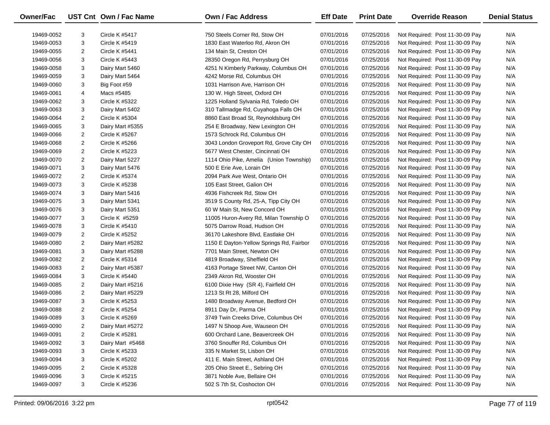| Owner/Fac  |                | UST Cnt Own / Fac Name | <b>Own / Fac Address</b>                 | <b>Eff Date</b> | <b>Print Date</b> | <b>Override Reason</b>          | <b>Denial Status</b> |
|------------|----------------|------------------------|------------------------------------------|-----------------|-------------------|---------------------------------|----------------------|
| 19469-0052 | 3              | <b>Circle K #5417</b>  | 750 Steels Corner Rd, Stow OH            | 07/01/2016      | 07/25/2016        | Not Required: Post 11-30-09 Pay | N/A                  |
| 19469-0053 | 3              | Circle K #5419         | 1830 East Waterloo Rd, Akron OH          | 07/01/2016      | 07/25/2016        | Not Required: Post 11-30-09 Pay | N/A                  |
| 19469-0055 | 2              | Circle K #5441         | 134 Main St, Creston OH                  | 07/01/2016      | 07/25/2016        | Not Required: Post 11-30-09 Pay | N/A                  |
| 19469-0056 | 3              | Circle K #5443         | 28350 Oregon Rd, Perrysburg OH           | 07/01/2016      | 07/25/2016        | Not Required: Post 11-30-09 Pay | N/A                  |
| 19469-0058 | 3              | Dairy Mart 5460        | 4251 N Kimberly Parkway, Columbus OH     | 07/01/2016      | 07/25/2016        | Not Required: Post 11-30-09 Pay | N/A                  |
| 19469-0059 | 3              | Dairy Mart 5464        | 4242 Morse Rd, Columbus OH               | 07/01/2016      | 07/25/2016        | Not Required: Post 11-30-09 Pay | N/A                  |
| 19469-0060 | 3              | Big Foot #59           | 1031 Harrison Ave, Harrison OH           | 07/01/2016      | 07/25/2016        | Not Required: Post 11-30-09 Pay | N/A                  |
| 19469-0061 | 4              | Macs #5485             | 130 W. High Street, Oxford OH            | 07/01/2016      | 07/25/2016        | Not Required: Post 11-30-09 Pay | N/A                  |
| 19469-0062 | 3              | Circle K #5322         | 1225 Holland Sylvania Rd, Toledo OH      | 07/01/2016      | 07/25/2016        | Not Required: Post 11-30-09 Pay | N/A                  |
| 19469-0063 | 3              | Dairy Mart 5402        | 310 Tallmadge Rd, Cuyahoga Falls OH      | 07/01/2016      | 07/25/2016        | Not Required: Post 11-30-09 Pay | N/A                  |
| 19469-0064 | $\overline{2}$ | Circle K #5304         | 8860 East Broad St, Reynoldsburg OH      | 07/01/2016      | 07/25/2016        | Not Required: Post 11-30-09 Pay | N/A                  |
| 19469-0065 | 3              | Dairy Mart #5355       | 254 E Broadway, New Lexington OH         | 07/01/2016      | 07/25/2016        | Not Required: Post 11-30-09 Pay | N/A                  |
| 19469-0066 | $\overline{2}$ | Circle K #5267         | 1573 Schrock Rd, Columbus OH             | 07/01/2016      | 07/25/2016        | Not Required: Post 11-30-09 Pay | N/A                  |
| 19469-0068 | 2              | Circle K #5266         | 3043 London Groveport Rd, Grove City OH  | 07/01/2016      | 07/25/2016        | Not Required: Post 11-30-09 Pay | N/A                  |
| 19469-0069 | $\overline{2}$ | Circle K #5223         | 5677 West Chester, Cincinnati OH         | 07/01/2016      | 07/25/2016        | Not Required: Post 11-30-09 Pay | N/A                  |
| 19469-0070 | 2              | Dairy Mart 5227        | 1114 Ohio Pike, Amelia (Union Township)  | 07/01/2016      | 07/25/2016        | Not Required: Post 11-30-09 Pay | N/A                  |
| 19469-0071 | 3              | Dairy Mart 5476        | 500 E Erie Ave, Lorain OH                | 07/01/2016      | 07/25/2016        | Not Required: Post 11-30-09 Pay | N/A                  |
| 19469-0072 | 2              | Circle K #5374         | 2094 Park Ave West, Ontario OH           | 07/01/2016      | 07/25/2016        | Not Required: Post 11-30-09 Pay | N/A                  |
| 19469-0073 | 3              | Circle K #5238         | 105 East Street, Galion OH               | 07/01/2016      | 07/25/2016        | Not Required: Post 11-30-09 Pay | N/A                  |
| 19469-0074 | 3              | Dairy Mart 5416        | 4936 Fishcreek Rd, Stow OH               | 07/01/2016      | 07/25/2016        | Not Required: Post 11-30-09 Pay | N/A                  |
| 19469-0075 | 3              | Dairy Mart 5341        | 3519 S County Rd, 25-A, Tipp City OH     | 07/01/2016      | 07/25/2016        | Not Required: Post 11-30-09 Pay | N/A                  |
| 19469-0076 | 3              | Dairy Mart 5351        | 60 W Main St, New Concord OH             | 07/01/2016      | 07/25/2016        | Not Required: Post 11-30-09 Pay | N/A                  |
| 19469-0077 | 3              | Circle K #5259         | 11005 Huron-Avery Rd, Milan Township O   | 07/01/2016      | 07/25/2016        | Not Required: Post 11-30-09 Pay | N/A                  |
| 19469-0078 | 3              | Circle K #5410         | 5075 Darrow Road, Hudson OH              | 07/01/2016      | 07/25/2016        | Not Required: Post 11-30-09 Pay | N/A                  |
| 19469-0079 | $\overline{2}$ | <b>Circle K #5252</b>  | 36170 Lakeshore Blvd, Eastlake OH        | 07/01/2016      | 07/25/2016        | Not Required: Post 11-30-09 Pay | N/A                  |
| 19469-0080 | 2              | Dairy Mart #5282       | 1150 E Dayton-Yellow Springs Rd, Fairbor | 07/01/2016      | 07/25/2016        | Not Required: Post 11-30-09 Pay | N/A                  |
| 19469-0081 | 3              | Dairy Mart #5288       | 7701 Main Street, Newton OH              | 07/01/2016      | 07/25/2016        | Not Required: Post 11-30-09 Pay | N/A                  |
| 19469-0082 | 2              | Circle K #5314         | 4819 Broadway, Sheffield OH              | 07/01/2016      | 07/25/2016        | Not Required: Post 11-30-09 Pay | N/A                  |
| 19469-0083 | $\overline{2}$ | Dairy Mart #5387       | 4163 Portage Street NW, Canton OH        | 07/01/2016      | 07/25/2016        | Not Required: Post 11-30-09 Pay | N/A                  |
| 19469-0084 | 3              | Circle K #5440         | 2349 Akron Rd, Wooster OH                | 07/01/2016      | 07/25/2016        | Not Required: Post 11-30-09 Pay | N/A                  |
| 19469-0085 | $\overline{2}$ | Dairy Mart #5216       | 6100 Dixie Hwy (SR 4), Fairfield OH      | 07/01/2016      | 07/25/2016        | Not Required: Post 11-30-09 Pay | N/A                  |
| 19469-0086 | 2              | Dairy Mart #5229       | 1213 St Rt 28, Milford OH                | 07/01/2016      | 07/25/2016        | Not Required: Post 11-30-09 Pay | N/A                  |
| 19469-0087 | 3              | Circle K #5253         | 1480 Broadway Avenue, Bedford OH         | 07/01/2016      | 07/25/2016        | Not Required: Post 11-30-09 Pay | N/A                  |
| 19469-0088 | $\overline{2}$ | Circle K #5254         | 8911 Day Dr, Parma OH                    | 07/01/2016      | 07/25/2016        | Not Required: Post 11-30-09 Pay | N/A                  |
| 19469-0089 | 3              | Circle K #5269         | 3749 Twin Creeks Drive, Columbus OH      | 07/01/2016      | 07/25/2016        | Not Required: Post 11-30-09 Pay | N/A                  |
| 19469-0090 | 2              | Dairy Mart #5272       | 1497 N Shoop Ave, Wauseon OH             | 07/01/2016      | 07/25/2016        | Not Required: Post 11-30-09 Pay | N/A                  |
| 19469-0091 | 2              | Circle K #5281         | 600 Orchard Lane, Beavercreek OH         | 07/01/2016      | 07/25/2016        | Not Required: Post 11-30-09 Pay | N/A                  |
| 19469-0092 | 3              | Dairy Mart #5468       | 3760 Snouffer Rd, Columbus OH            | 07/01/2016      | 07/25/2016        | Not Required: Post 11-30-09 Pay | N/A                  |
| 19469-0093 | 3              | Circle K #5233         | 335 N Market St, Lisbon OH               | 07/01/2016      | 07/25/2016        | Not Required: Post 11-30-09 Pay | N/A                  |
| 19469-0094 | 3              | Circle K #5202         | 411 E. Main Street, Ashland OH           | 07/01/2016      | 07/25/2016        | Not Required: Post 11-30-09 Pay | N/A                  |
| 19469-0095 | 2              | Circle K #5328         | 205 Ohio Street E., Sebring OH           | 07/01/2016      | 07/25/2016        | Not Required: Post 11-30-09 Pay | N/A                  |
| 19469-0096 | 3              | Circle K #5215         | 3871 Noble Ave, Bellaire OH              | 07/01/2016      | 07/25/2016        | Not Required: Post 11-30-09 Pay | N/A                  |
| 19469-0097 | 3              | Circle K #5236         | 502 S 7th St. Coshocton OH               | 07/01/2016      | 07/25/2016        | Not Required: Post 11-30-09 Pay | N/A                  |
|            |                |                        |                                          |                 |                   |                                 |                      |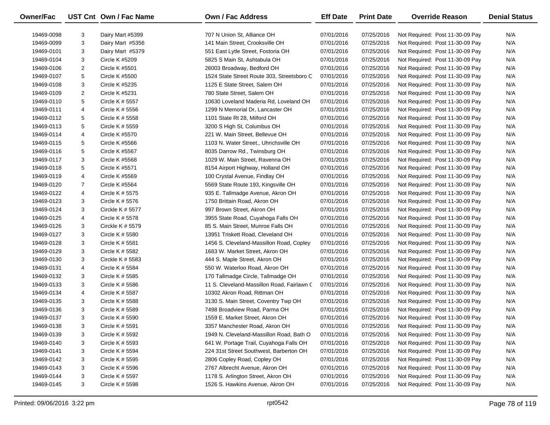| N/A<br>19469-0098<br>3<br>Dairy Mart #5399<br>707 N Union St, Alliance OH<br>07/01/2016<br>07/25/2016<br>Not Required: Post 11-30-09 Pay<br>3<br>N/A<br>141 Main Street, Crooksville OH<br>07/01/2016<br>07/25/2016<br>19469-0099<br>Dairy Mart #5356<br>Not Required: Post 11-30-09 Pay<br>3<br>07/01/2016<br>07/25/2016<br>N/A<br>19469-0101<br>Dairy Mart #5379<br>551 East Lytle Street, Fostoria OH<br>Not Required: Post 11-30-09 Pay<br>3<br>07/25/2016<br>N/A<br>19469-0104<br>Circle K #5209<br>5825 S Main St, Ashtabula OH<br>07/01/2016<br>Not Required: Post 11-30-09 Pay<br>2<br>Circle K #5501<br>07/01/2016<br>07/25/2016<br>N/A<br>19469-0106<br>26003 Broadway, Bedford OH<br>Not Required: Post 11-30-09 Pay<br>5<br>07/25/2016<br>N/A<br>19469-0107<br>Circle K #5500<br>1524 State Street Route 303, Streetsboro C<br>07/01/2016<br>Not Required: Post 11-30-09 Pay<br>3<br>07/25/2016<br>N/A<br>19469-0108<br>Circle K #5235<br>1125 E State Street, Salem OH<br>07/01/2016<br>Not Required: Post 11-30-09 Pay<br>2<br>07/01/2016<br>07/25/2016<br>N/A<br>19469-0109<br>Circle K #5231<br>780 State Street, Salem OH<br>Not Required: Post 11-30-09 Pay<br>5<br>07/01/2016<br>07/25/2016<br>N/A<br>19469-0110<br>Circle K # 5557<br>10630 Loveland Maderia Rd, Loveland OH<br>Not Required: Post 11-30-09 Pay<br>07/25/2016<br>N/A<br>19469-0111<br>4<br>Circle K # 5556<br>1299 N Memorial Dr, Lancaster OH<br>07/01/2016<br>Not Required: Post 11-30-09 Pay<br>5<br>07/25/2016<br>N/A<br>19469-0112<br>Circle K # 5558<br>1101 State Rt 28, Milford OH<br>07/01/2016<br>Not Required: Post 11-30-09 Pay<br>5<br>07/25/2016<br>N/A<br>Circle K # 5559<br>3200 S High St, Columbus OH<br>07/01/2016<br>Not Required: Post 11-30-09 Pay<br>19469-0113<br>4<br>07/01/2016<br>07/25/2016<br>N/A<br>19469-0114<br>Circle K #5570<br>221 W. Main Street, Bellevue OH<br>Not Required: Post 11-30-09 Pay<br>5<br>07/25/2016<br>N/A<br>Circle K #5566<br>1103 N. Water Street., Uhrichsville OH<br>07/01/2016<br>Not Required: Post 11-30-09 Pay<br>19469-0115<br>5<br>07/01/2016<br>07/25/2016<br>N/A<br>19469-0116<br>Circle K #5567<br>8035 Darrow Rd., Twinsburg OH<br>Not Required: Post 11-30-09 Pay<br>3<br>07/25/2016<br>N/A<br><b>Circle K #5568</b><br>1029 W. Main Street, Ravenna OH<br>07/01/2016<br>Not Required: Post 11-30-09 Pay<br>19469-0117<br>5<br>07/01/2016<br>07/25/2016<br>N/A<br>19469-0118<br>Circle K #5571<br>8154 Airport Highway, Holland OH<br>Not Required: Post 11-30-09 Pay<br>07/25/2016<br>N/A<br>19469-0119<br>4<br>Circle K #5569<br>100 Crystal Avenue, Findlay OH<br>07/01/2016<br>Not Required: Post 11-30-09 Pay<br>$\overline{7}$<br>07/01/2016<br>07/25/2016<br>N/A<br>19469-0120<br>Circle K #5564<br>5569 State Route 193, Kingsville OH<br>Not Required: Post 11-30-09 Pay<br>07/25/2016<br>N/A<br>19469-0122<br>4<br>Circle K # 5575<br>935 E. Tallmadge Avenue, Akron OH<br>07/01/2016<br>Not Required: Post 11-30-09 Pay<br>3<br>07/25/2016<br>N/A<br>19469-0123<br>Circle K # 5576<br>1750 Brittain Road, Akron OH<br>07/01/2016<br>Not Required: Post 11-30-09 Pay<br>3<br>07/25/2016<br>N/A<br>19469-0124<br>Circkle K $#$ 5577<br>997 Brown Street, Akron OH<br>07/01/2016<br>Not Required: Post 11-30-09 Pay<br>07/01/2016<br>07/25/2016<br>N/A<br>19469-0125<br>4<br>Circle K # 5578<br>3955 State Road, Cuyahoga Falls OH<br>Not Required: Post 11-30-09 Pay<br>3<br>07/25/2016<br>N/A<br>19469-0126<br>Circkle K $# 5579$<br>85 S. Main Street, Munroe Falls OH<br>07/01/2016<br>Not Required: Post 11-30-09 Pay<br>3<br>07/01/2016<br>07/25/2016<br>N/A<br>19469-0127<br>Circle K # 5580<br>13951 Triskett Road, Cleveland OH<br>Not Required: Post 11-30-09 Pay<br>3<br>07/25/2016<br>N/A<br>19469-0128<br>Circle K # 5581<br>1456 S. Cleveland-Massillon Road, Copley<br>07/01/2016<br>Not Required: Post 11-30-09 Pay<br>3<br>07/25/2016<br>N/A<br>19469-0129<br>Circle K # 5582<br>1683 W. Market Street, Akron OH<br>07/01/2016<br>Not Required: Post 11-30-09 Pay<br>3<br>07/25/2016<br>N/A<br>19469-0130<br>Circkle K # 5583<br>444 S. Maple Street, Akron OH<br>07/01/2016<br>Not Required: Post 11-30-09 Pay<br>07/01/2016<br>07/25/2016<br>N/A<br>19469-0131<br>4<br>Circle K # 5584<br>550 W. Waterloo Road, Akron OH<br>Not Required: Post 11-30-09 Pay<br>3<br>07/01/2016<br>07/25/2016<br>N/A<br>19469-0132<br>Circle K # 5585<br>170 Tallmadge Circle, Tallmadge OH<br>Not Required: Post 11-30-09 Pay<br>3<br>07/25/2016<br>N/A<br>19469-0133<br>Circle K # 5586<br>11 S. Cleveland-Massillon Road, Fairlawn (<br>07/01/2016<br>Not Required: Post 11-30-09 Pay<br>07/25/2016<br>N/A<br>19469-0134<br>4<br>Circle K # 5587<br>10302 Akron Road, Rittman OH<br>07/01/2016<br>Not Required: Post 11-30-09 Pay<br>3<br>07/01/2016<br>07/25/2016<br>N/A<br>19469-0135<br>Circle K # 5588<br>3130 S. Main Street, Coventry Twp OH<br>Not Required: Post 11-30-09 Pay<br>3<br>N/A<br>19469-0136<br>Circle K # 5589<br>7498 Broadview Road, Parma OH<br>07/01/2016<br>07/25/2016<br>Not Required: Post 11-30-09 Pay<br>3<br>07/25/2016<br>N/A<br>19469-0137<br>Circle K # 5590<br>1559 E. Market Street, Akron OH<br>07/01/2016<br>Not Required: Post 11-30-09 Pay<br>Circle K # 5591<br>3357 Manchester Road, Akron OH<br>Not Required: Post 11-30-09 Pay<br>07/01/2016<br>19469-0138<br>З<br>07/25/2016<br>N/A<br>3<br>07/01/2016<br>07/25/2016<br>N/A<br>19469-0139<br>Circle K # 5592<br>1949 N. Cleveland-Massillon Road, Bath O<br>Not Required: Post 11-30-09 Pay<br>3<br>07/25/2016<br>Not Required: Post 11-30-09 Pay<br>N/A<br>19469-0140<br>Circle K # 5593<br>641 W. Portage Trail, Cuyahoga Falls OH<br>07/01/2016<br>3<br>07/25/2016<br>N/A<br>19469-0141<br>Circle K # 5594<br>224 31st Street Southwest, Barberton OH<br>07/01/2016<br>Not Required: Post 11-30-09 Pay<br>3<br>07/01/2016<br>07/25/2016<br>Not Required: Post 11-30-09 Pay<br>N/A<br>19469-0142<br>Circle K # 5595<br>2806 Copley Road, Copley OH<br>3<br>07/25/2016<br>Not Required: Post 11-30-09 Pay<br>N/A<br>19469-0143<br>Circle K # 5596<br>2767 Albrecht Avenue, Akron OH<br>07/01/2016<br>3<br>1178 S. Arlington Street, Akron OH<br>07/01/2016<br>07/25/2016<br>Not Required: Post 11-30-09 Pay<br>N/A<br>19469-0144<br>Circle K # 5597<br>3<br>1526 S. Hawkins Avenue, Akron OH<br>07/25/2016<br>Not Required: Post 11-30-09 Pay<br>N/A<br>19469-0145<br>Circle K # 5598<br>07/01/2016 | Owner/Fac | UST Cnt Own / Fac Name | <b>Own / Fac Address</b> | <b>Eff Date</b> | <b>Print Date</b> | <b>Override Reason</b> | <b>Denial Status</b> |
|-----------------------------------------------------------------------------------------------------------------------------------------------------------------------------------------------------------------------------------------------------------------------------------------------------------------------------------------------------------------------------------------------------------------------------------------------------------------------------------------------------------------------------------------------------------------------------------------------------------------------------------------------------------------------------------------------------------------------------------------------------------------------------------------------------------------------------------------------------------------------------------------------------------------------------------------------------------------------------------------------------------------------------------------------------------------------------------------------------------------------------------------------------------------------------------------------------------------------------------------------------------------------------------------------------------------------------------------------------------------------------------------------------------------------------------------------------------------------------------------------------------------------------------------------------------------------------------------------------------------------------------------------------------------------------------------------------------------------------------------------------------------------------------------------------------------------------------------------------------------------------------------------------------------------------------------------------------------------------------------------------------------------------------------------------------------------------------------------------------------------------------------------------------------------------------------------------------------------------------------------------------------------------------------------------------------------------------------------------------------------------------------------------------------------------------------------------------------------------------------------------------------------------------------------------------------------------------------------------------------------------------------------------------------------------------------------------------------------------------------------------------------------------------------------------------------------------------------------------------------------------------------------------------------------------------------------------------------------------------------------------------------------------------------------------------------------------------------------------------------------------------------------------------------------------------------------------------------------------------------------------------------------------------------------------------------------------------------------------------------------------------------------------------------------------------------------------------------------------------------------------------------------------------------------------------------------------------------------------------------------------------------------------------------------------------------------------------------------------------------------------------------------------------------------------------------------------------------------------------------------------------------------------------------------------------------------------------------------------------------------------------------------------------------------------------------------------------------------------------------------------------------------------------------------------------------------------------------------------------------------------------------------------------------------------------------------------------------------------------------------------------------------------------------------------------------------------------------------------------------------------------------------------------------------------------------------------------------------------------------------------------------------------------------------------------------------------------------------------------------------------------------------------------------------------------------------------------------------------------------------------------------------------------------------------------------------------------------------------------------------------------------------------------------------------------------------------------------------------------------------------------------------------------------------------------------------------------------------------------------------------------------------------------------------------------------------------------------------------------------------------------------------------------------------------------------------------------------------------------------------------------------------------------------------------------------------------------------------------------------------------------------------------------------------------------------------------------------------------------------------------------------------------------------------------------------------------------------------------------------------------------------------------------------------------------------------------------------------------------------------------------------------------------------------------------------------------------------------------------------------------------------------------------------------------------------------------------------------------------------------------------------------------------------------------------------------------------------------------------------------------------------------------------------------------------------------------------------------|-----------|------------------------|--------------------------|-----------------|-------------------|------------------------|----------------------|
|                                                                                                                                                                                                                                                                                                                                                                                                                                                                                                                                                                                                                                                                                                                                                                                                                                                                                                                                                                                                                                                                                                                                                                                                                                                                                                                                                                                                                                                                                                                                                                                                                                                                                                                                                                                                                                                                                                                                                                                                                                                                                                                                                                                                                                                                                                                                                                                                                                                                                                                                                                                                                                                                                                                                                                                                                                                                                                                                                                                                                                                                                                                                                                                                                                                                                                                                                                                                                                                                                                                                                                                                                                                                                                                                                                                                                                                                                                                                                                                                                                                                                                                                                                                                                                                                                                                                                                                                                                                                                                                                                                                                                                                                                                                                                                                                                                                                                                                                                                                                                                                                                                                                                                                                                                                                                                                                                                                                                                                                                                                                                                                                                                                                                                                                                                                                                                                                                                                                                                                                                                                                                                                                                                                                                                                                                                                                                                                                                                                                       |           |                        |                          |                 |                   |                        |                      |
|                                                                                                                                                                                                                                                                                                                                                                                                                                                                                                                                                                                                                                                                                                                                                                                                                                                                                                                                                                                                                                                                                                                                                                                                                                                                                                                                                                                                                                                                                                                                                                                                                                                                                                                                                                                                                                                                                                                                                                                                                                                                                                                                                                                                                                                                                                                                                                                                                                                                                                                                                                                                                                                                                                                                                                                                                                                                                                                                                                                                                                                                                                                                                                                                                                                                                                                                                                                                                                                                                                                                                                                                                                                                                                                                                                                                                                                                                                                                                                                                                                                                                                                                                                                                                                                                                                                                                                                                                                                                                                                                                                                                                                                                                                                                                                                                                                                                                                                                                                                                                                                                                                                                                                                                                                                                                                                                                                                                                                                                                                                                                                                                                                                                                                                                                                                                                                                                                                                                                                                                                                                                                                                                                                                                                                                                                                                                                                                                                                                                       |           |                        |                          |                 |                   |                        |                      |
|                                                                                                                                                                                                                                                                                                                                                                                                                                                                                                                                                                                                                                                                                                                                                                                                                                                                                                                                                                                                                                                                                                                                                                                                                                                                                                                                                                                                                                                                                                                                                                                                                                                                                                                                                                                                                                                                                                                                                                                                                                                                                                                                                                                                                                                                                                                                                                                                                                                                                                                                                                                                                                                                                                                                                                                                                                                                                                                                                                                                                                                                                                                                                                                                                                                                                                                                                                                                                                                                                                                                                                                                                                                                                                                                                                                                                                                                                                                                                                                                                                                                                                                                                                                                                                                                                                                                                                                                                                                                                                                                                                                                                                                                                                                                                                                                                                                                                                                                                                                                                                                                                                                                                                                                                                                                                                                                                                                                                                                                                                                                                                                                                                                                                                                                                                                                                                                                                                                                                                                                                                                                                                                                                                                                                                                                                                                                                                                                                                                                       |           |                        |                          |                 |                   |                        |                      |
|                                                                                                                                                                                                                                                                                                                                                                                                                                                                                                                                                                                                                                                                                                                                                                                                                                                                                                                                                                                                                                                                                                                                                                                                                                                                                                                                                                                                                                                                                                                                                                                                                                                                                                                                                                                                                                                                                                                                                                                                                                                                                                                                                                                                                                                                                                                                                                                                                                                                                                                                                                                                                                                                                                                                                                                                                                                                                                                                                                                                                                                                                                                                                                                                                                                                                                                                                                                                                                                                                                                                                                                                                                                                                                                                                                                                                                                                                                                                                                                                                                                                                                                                                                                                                                                                                                                                                                                                                                                                                                                                                                                                                                                                                                                                                                                                                                                                                                                                                                                                                                                                                                                                                                                                                                                                                                                                                                                                                                                                                                                                                                                                                                                                                                                                                                                                                                                                                                                                                                                                                                                                                                                                                                                                                                                                                                                                                                                                                                                                       |           |                        |                          |                 |                   |                        |                      |
|                                                                                                                                                                                                                                                                                                                                                                                                                                                                                                                                                                                                                                                                                                                                                                                                                                                                                                                                                                                                                                                                                                                                                                                                                                                                                                                                                                                                                                                                                                                                                                                                                                                                                                                                                                                                                                                                                                                                                                                                                                                                                                                                                                                                                                                                                                                                                                                                                                                                                                                                                                                                                                                                                                                                                                                                                                                                                                                                                                                                                                                                                                                                                                                                                                                                                                                                                                                                                                                                                                                                                                                                                                                                                                                                                                                                                                                                                                                                                                                                                                                                                                                                                                                                                                                                                                                                                                                                                                                                                                                                                                                                                                                                                                                                                                                                                                                                                                                                                                                                                                                                                                                                                                                                                                                                                                                                                                                                                                                                                                                                                                                                                                                                                                                                                                                                                                                                                                                                                                                                                                                                                                                                                                                                                                                                                                                                                                                                                                                                       |           |                        |                          |                 |                   |                        |                      |
|                                                                                                                                                                                                                                                                                                                                                                                                                                                                                                                                                                                                                                                                                                                                                                                                                                                                                                                                                                                                                                                                                                                                                                                                                                                                                                                                                                                                                                                                                                                                                                                                                                                                                                                                                                                                                                                                                                                                                                                                                                                                                                                                                                                                                                                                                                                                                                                                                                                                                                                                                                                                                                                                                                                                                                                                                                                                                                                                                                                                                                                                                                                                                                                                                                                                                                                                                                                                                                                                                                                                                                                                                                                                                                                                                                                                                                                                                                                                                                                                                                                                                                                                                                                                                                                                                                                                                                                                                                                                                                                                                                                                                                                                                                                                                                                                                                                                                                                                                                                                                                                                                                                                                                                                                                                                                                                                                                                                                                                                                                                                                                                                                                                                                                                                                                                                                                                                                                                                                                                                                                                                                                                                                                                                                                                                                                                                                                                                                                                                       |           |                        |                          |                 |                   |                        |                      |
|                                                                                                                                                                                                                                                                                                                                                                                                                                                                                                                                                                                                                                                                                                                                                                                                                                                                                                                                                                                                                                                                                                                                                                                                                                                                                                                                                                                                                                                                                                                                                                                                                                                                                                                                                                                                                                                                                                                                                                                                                                                                                                                                                                                                                                                                                                                                                                                                                                                                                                                                                                                                                                                                                                                                                                                                                                                                                                                                                                                                                                                                                                                                                                                                                                                                                                                                                                                                                                                                                                                                                                                                                                                                                                                                                                                                                                                                                                                                                                                                                                                                                                                                                                                                                                                                                                                                                                                                                                                                                                                                                                                                                                                                                                                                                                                                                                                                                                                                                                                                                                                                                                                                                                                                                                                                                                                                                                                                                                                                                                                                                                                                                                                                                                                                                                                                                                                                                                                                                                                                                                                                                                                                                                                                                                                                                                                                                                                                                                                                       |           |                        |                          |                 |                   |                        |                      |
|                                                                                                                                                                                                                                                                                                                                                                                                                                                                                                                                                                                                                                                                                                                                                                                                                                                                                                                                                                                                                                                                                                                                                                                                                                                                                                                                                                                                                                                                                                                                                                                                                                                                                                                                                                                                                                                                                                                                                                                                                                                                                                                                                                                                                                                                                                                                                                                                                                                                                                                                                                                                                                                                                                                                                                                                                                                                                                                                                                                                                                                                                                                                                                                                                                                                                                                                                                                                                                                                                                                                                                                                                                                                                                                                                                                                                                                                                                                                                                                                                                                                                                                                                                                                                                                                                                                                                                                                                                                                                                                                                                                                                                                                                                                                                                                                                                                                                                                                                                                                                                                                                                                                                                                                                                                                                                                                                                                                                                                                                                                                                                                                                                                                                                                                                                                                                                                                                                                                                                                                                                                                                                                                                                                                                                                                                                                                                                                                                                                                       |           |                        |                          |                 |                   |                        |                      |
|                                                                                                                                                                                                                                                                                                                                                                                                                                                                                                                                                                                                                                                                                                                                                                                                                                                                                                                                                                                                                                                                                                                                                                                                                                                                                                                                                                                                                                                                                                                                                                                                                                                                                                                                                                                                                                                                                                                                                                                                                                                                                                                                                                                                                                                                                                                                                                                                                                                                                                                                                                                                                                                                                                                                                                                                                                                                                                                                                                                                                                                                                                                                                                                                                                                                                                                                                                                                                                                                                                                                                                                                                                                                                                                                                                                                                                                                                                                                                                                                                                                                                                                                                                                                                                                                                                                                                                                                                                                                                                                                                                                                                                                                                                                                                                                                                                                                                                                                                                                                                                                                                                                                                                                                                                                                                                                                                                                                                                                                                                                                                                                                                                                                                                                                                                                                                                                                                                                                                                                                                                                                                                                                                                                                                                                                                                                                                                                                                                                                       |           |                        |                          |                 |                   |                        |                      |
|                                                                                                                                                                                                                                                                                                                                                                                                                                                                                                                                                                                                                                                                                                                                                                                                                                                                                                                                                                                                                                                                                                                                                                                                                                                                                                                                                                                                                                                                                                                                                                                                                                                                                                                                                                                                                                                                                                                                                                                                                                                                                                                                                                                                                                                                                                                                                                                                                                                                                                                                                                                                                                                                                                                                                                                                                                                                                                                                                                                                                                                                                                                                                                                                                                                                                                                                                                                                                                                                                                                                                                                                                                                                                                                                                                                                                                                                                                                                                                                                                                                                                                                                                                                                                                                                                                                                                                                                                                                                                                                                                                                                                                                                                                                                                                                                                                                                                                                                                                                                                                                                                                                                                                                                                                                                                                                                                                                                                                                                                                                                                                                                                                                                                                                                                                                                                                                                                                                                                                                                                                                                                                                                                                                                                                                                                                                                                                                                                                                                       |           |                        |                          |                 |                   |                        |                      |
|                                                                                                                                                                                                                                                                                                                                                                                                                                                                                                                                                                                                                                                                                                                                                                                                                                                                                                                                                                                                                                                                                                                                                                                                                                                                                                                                                                                                                                                                                                                                                                                                                                                                                                                                                                                                                                                                                                                                                                                                                                                                                                                                                                                                                                                                                                                                                                                                                                                                                                                                                                                                                                                                                                                                                                                                                                                                                                                                                                                                                                                                                                                                                                                                                                                                                                                                                                                                                                                                                                                                                                                                                                                                                                                                                                                                                                                                                                                                                                                                                                                                                                                                                                                                                                                                                                                                                                                                                                                                                                                                                                                                                                                                                                                                                                                                                                                                                                                                                                                                                                                                                                                                                                                                                                                                                                                                                                                                                                                                                                                                                                                                                                                                                                                                                                                                                                                                                                                                                                                                                                                                                                                                                                                                                                                                                                                                                                                                                                                                       |           |                        |                          |                 |                   |                        |                      |
|                                                                                                                                                                                                                                                                                                                                                                                                                                                                                                                                                                                                                                                                                                                                                                                                                                                                                                                                                                                                                                                                                                                                                                                                                                                                                                                                                                                                                                                                                                                                                                                                                                                                                                                                                                                                                                                                                                                                                                                                                                                                                                                                                                                                                                                                                                                                                                                                                                                                                                                                                                                                                                                                                                                                                                                                                                                                                                                                                                                                                                                                                                                                                                                                                                                                                                                                                                                                                                                                                                                                                                                                                                                                                                                                                                                                                                                                                                                                                                                                                                                                                                                                                                                                                                                                                                                                                                                                                                                                                                                                                                                                                                                                                                                                                                                                                                                                                                                                                                                                                                                                                                                                                                                                                                                                                                                                                                                                                                                                                                                                                                                                                                                                                                                                                                                                                                                                                                                                                                                                                                                                                                                                                                                                                                                                                                                                                                                                                                                                       |           |                        |                          |                 |                   |                        |                      |
|                                                                                                                                                                                                                                                                                                                                                                                                                                                                                                                                                                                                                                                                                                                                                                                                                                                                                                                                                                                                                                                                                                                                                                                                                                                                                                                                                                                                                                                                                                                                                                                                                                                                                                                                                                                                                                                                                                                                                                                                                                                                                                                                                                                                                                                                                                                                                                                                                                                                                                                                                                                                                                                                                                                                                                                                                                                                                                                                                                                                                                                                                                                                                                                                                                                                                                                                                                                                                                                                                                                                                                                                                                                                                                                                                                                                                                                                                                                                                                                                                                                                                                                                                                                                                                                                                                                                                                                                                                                                                                                                                                                                                                                                                                                                                                                                                                                                                                                                                                                                                                                                                                                                                                                                                                                                                                                                                                                                                                                                                                                                                                                                                                                                                                                                                                                                                                                                                                                                                                                                                                                                                                                                                                                                                                                                                                                                                                                                                                                                       |           |                        |                          |                 |                   |                        |                      |
|                                                                                                                                                                                                                                                                                                                                                                                                                                                                                                                                                                                                                                                                                                                                                                                                                                                                                                                                                                                                                                                                                                                                                                                                                                                                                                                                                                                                                                                                                                                                                                                                                                                                                                                                                                                                                                                                                                                                                                                                                                                                                                                                                                                                                                                                                                                                                                                                                                                                                                                                                                                                                                                                                                                                                                                                                                                                                                                                                                                                                                                                                                                                                                                                                                                                                                                                                                                                                                                                                                                                                                                                                                                                                                                                                                                                                                                                                                                                                                                                                                                                                                                                                                                                                                                                                                                                                                                                                                                                                                                                                                                                                                                                                                                                                                                                                                                                                                                                                                                                                                                                                                                                                                                                                                                                                                                                                                                                                                                                                                                                                                                                                                                                                                                                                                                                                                                                                                                                                                                                                                                                                                                                                                                                                                                                                                                                                                                                                                                                       |           |                        |                          |                 |                   |                        |                      |
|                                                                                                                                                                                                                                                                                                                                                                                                                                                                                                                                                                                                                                                                                                                                                                                                                                                                                                                                                                                                                                                                                                                                                                                                                                                                                                                                                                                                                                                                                                                                                                                                                                                                                                                                                                                                                                                                                                                                                                                                                                                                                                                                                                                                                                                                                                                                                                                                                                                                                                                                                                                                                                                                                                                                                                                                                                                                                                                                                                                                                                                                                                                                                                                                                                                                                                                                                                                                                                                                                                                                                                                                                                                                                                                                                                                                                                                                                                                                                                                                                                                                                                                                                                                                                                                                                                                                                                                                                                                                                                                                                                                                                                                                                                                                                                                                                                                                                                                                                                                                                                                                                                                                                                                                                                                                                                                                                                                                                                                                                                                                                                                                                                                                                                                                                                                                                                                                                                                                                                                                                                                                                                                                                                                                                                                                                                                                                                                                                                                                       |           |                        |                          |                 |                   |                        |                      |
|                                                                                                                                                                                                                                                                                                                                                                                                                                                                                                                                                                                                                                                                                                                                                                                                                                                                                                                                                                                                                                                                                                                                                                                                                                                                                                                                                                                                                                                                                                                                                                                                                                                                                                                                                                                                                                                                                                                                                                                                                                                                                                                                                                                                                                                                                                                                                                                                                                                                                                                                                                                                                                                                                                                                                                                                                                                                                                                                                                                                                                                                                                                                                                                                                                                                                                                                                                                                                                                                                                                                                                                                                                                                                                                                                                                                                                                                                                                                                                                                                                                                                                                                                                                                                                                                                                                                                                                                                                                                                                                                                                                                                                                                                                                                                                                                                                                                                                                                                                                                                                                                                                                                                                                                                                                                                                                                                                                                                                                                                                                                                                                                                                                                                                                                                                                                                                                                                                                                                                                                                                                                                                                                                                                                                                                                                                                                                                                                                                                                       |           |                        |                          |                 |                   |                        |                      |
|                                                                                                                                                                                                                                                                                                                                                                                                                                                                                                                                                                                                                                                                                                                                                                                                                                                                                                                                                                                                                                                                                                                                                                                                                                                                                                                                                                                                                                                                                                                                                                                                                                                                                                                                                                                                                                                                                                                                                                                                                                                                                                                                                                                                                                                                                                                                                                                                                                                                                                                                                                                                                                                                                                                                                                                                                                                                                                                                                                                                                                                                                                                                                                                                                                                                                                                                                                                                                                                                                                                                                                                                                                                                                                                                                                                                                                                                                                                                                                                                                                                                                                                                                                                                                                                                                                                                                                                                                                                                                                                                                                                                                                                                                                                                                                                                                                                                                                                                                                                                                                                                                                                                                                                                                                                                                                                                                                                                                                                                                                                                                                                                                                                                                                                                                                                                                                                                                                                                                                                                                                                                                                                                                                                                                                                                                                                                                                                                                                                                       |           |                        |                          |                 |                   |                        |                      |
|                                                                                                                                                                                                                                                                                                                                                                                                                                                                                                                                                                                                                                                                                                                                                                                                                                                                                                                                                                                                                                                                                                                                                                                                                                                                                                                                                                                                                                                                                                                                                                                                                                                                                                                                                                                                                                                                                                                                                                                                                                                                                                                                                                                                                                                                                                                                                                                                                                                                                                                                                                                                                                                                                                                                                                                                                                                                                                                                                                                                                                                                                                                                                                                                                                                                                                                                                                                                                                                                                                                                                                                                                                                                                                                                                                                                                                                                                                                                                                                                                                                                                                                                                                                                                                                                                                                                                                                                                                                                                                                                                                                                                                                                                                                                                                                                                                                                                                                                                                                                                                                                                                                                                                                                                                                                                                                                                                                                                                                                                                                                                                                                                                                                                                                                                                                                                                                                                                                                                                                                                                                                                                                                                                                                                                                                                                                                                                                                                                                                       |           |                        |                          |                 |                   |                        |                      |
|                                                                                                                                                                                                                                                                                                                                                                                                                                                                                                                                                                                                                                                                                                                                                                                                                                                                                                                                                                                                                                                                                                                                                                                                                                                                                                                                                                                                                                                                                                                                                                                                                                                                                                                                                                                                                                                                                                                                                                                                                                                                                                                                                                                                                                                                                                                                                                                                                                                                                                                                                                                                                                                                                                                                                                                                                                                                                                                                                                                                                                                                                                                                                                                                                                                                                                                                                                                                                                                                                                                                                                                                                                                                                                                                                                                                                                                                                                                                                                                                                                                                                                                                                                                                                                                                                                                                                                                                                                                                                                                                                                                                                                                                                                                                                                                                                                                                                                                                                                                                                                                                                                                                                                                                                                                                                                                                                                                                                                                                                                                                                                                                                                                                                                                                                                                                                                                                                                                                                                                                                                                                                                                                                                                                                                                                                                                                                                                                                                                                       |           |                        |                          |                 |                   |                        |                      |
|                                                                                                                                                                                                                                                                                                                                                                                                                                                                                                                                                                                                                                                                                                                                                                                                                                                                                                                                                                                                                                                                                                                                                                                                                                                                                                                                                                                                                                                                                                                                                                                                                                                                                                                                                                                                                                                                                                                                                                                                                                                                                                                                                                                                                                                                                                                                                                                                                                                                                                                                                                                                                                                                                                                                                                                                                                                                                                                                                                                                                                                                                                                                                                                                                                                                                                                                                                                                                                                                                                                                                                                                                                                                                                                                                                                                                                                                                                                                                                                                                                                                                                                                                                                                                                                                                                                                                                                                                                                                                                                                                                                                                                                                                                                                                                                                                                                                                                                                                                                                                                                                                                                                                                                                                                                                                                                                                                                                                                                                                                                                                                                                                                                                                                                                                                                                                                                                                                                                                                                                                                                                                                                                                                                                                                                                                                                                                                                                                                                                       |           |                        |                          |                 |                   |                        |                      |
|                                                                                                                                                                                                                                                                                                                                                                                                                                                                                                                                                                                                                                                                                                                                                                                                                                                                                                                                                                                                                                                                                                                                                                                                                                                                                                                                                                                                                                                                                                                                                                                                                                                                                                                                                                                                                                                                                                                                                                                                                                                                                                                                                                                                                                                                                                                                                                                                                                                                                                                                                                                                                                                                                                                                                                                                                                                                                                                                                                                                                                                                                                                                                                                                                                                                                                                                                                                                                                                                                                                                                                                                                                                                                                                                                                                                                                                                                                                                                                                                                                                                                                                                                                                                                                                                                                                                                                                                                                                                                                                                                                                                                                                                                                                                                                                                                                                                                                                                                                                                                                                                                                                                                                                                                                                                                                                                                                                                                                                                                                                                                                                                                                                                                                                                                                                                                                                                                                                                                                                                                                                                                                                                                                                                                                                                                                                                                                                                                                                                       |           |                        |                          |                 |                   |                        |                      |
|                                                                                                                                                                                                                                                                                                                                                                                                                                                                                                                                                                                                                                                                                                                                                                                                                                                                                                                                                                                                                                                                                                                                                                                                                                                                                                                                                                                                                                                                                                                                                                                                                                                                                                                                                                                                                                                                                                                                                                                                                                                                                                                                                                                                                                                                                                                                                                                                                                                                                                                                                                                                                                                                                                                                                                                                                                                                                                                                                                                                                                                                                                                                                                                                                                                                                                                                                                                                                                                                                                                                                                                                                                                                                                                                                                                                                                                                                                                                                                                                                                                                                                                                                                                                                                                                                                                                                                                                                                                                                                                                                                                                                                                                                                                                                                                                                                                                                                                                                                                                                                                                                                                                                                                                                                                                                                                                                                                                                                                                                                                                                                                                                                                                                                                                                                                                                                                                                                                                                                                                                                                                                                                                                                                                                                                                                                                                                                                                                                                                       |           |                        |                          |                 |                   |                        |                      |
|                                                                                                                                                                                                                                                                                                                                                                                                                                                                                                                                                                                                                                                                                                                                                                                                                                                                                                                                                                                                                                                                                                                                                                                                                                                                                                                                                                                                                                                                                                                                                                                                                                                                                                                                                                                                                                                                                                                                                                                                                                                                                                                                                                                                                                                                                                                                                                                                                                                                                                                                                                                                                                                                                                                                                                                                                                                                                                                                                                                                                                                                                                                                                                                                                                                                                                                                                                                                                                                                                                                                                                                                                                                                                                                                                                                                                                                                                                                                                                                                                                                                                                                                                                                                                                                                                                                                                                                                                                                                                                                                                                                                                                                                                                                                                                                                                                                                                                                                                                                                                                                                                                                                                                                                                                                                                                                                                                                                                                                                                                                                                                                                                                                                                                                                                                                                                                                                                                                                                                                                                                                                                                                                                                                                                                                                                                                                                                                                                                                                       |           |                        |                          |                 |                   |                        |                      |
|                                                                                                                                                                                                                                                                                                                                                                                                                                                                                                                                                                                                                                                                                                                                                                                                                                                                                                                                                                                                                                                                                                                                                                                                                                                                                                                                                                                                                                                                                                                                                                                                                                                                                                                                                                                                                                                                                                                                                                                                                                                                                                                                                                                                                                                                                                                                                                                                                                                                                                                                                                                                                                                                                                                                                                                                                                                                                                                                                                                                                                                                                                                                                                                                                                                                                                                                                                                                                                                                                                                                                                                                                                                                                                                                                                                                                                                                                                                                                                                                                                                                                                                                                                                                                                                                                                                                                                                                                                                                                                                                                                                                                                                                                                                                                                                                                                                                                                                                                                                                                                                                                                                                                                                                                                                                                                                                                                                                                                                                                                                                                                                                                                                                                                                                                                                                                                                                                                                                                                                                                                                                                                                                                                                                                                                                                                                                                                                                                                                                       |           |                        |                          |                 |                   |                        |                      |
|                                                                                                                                                                                                                                                                                                                                                                                                                                                                                                                                                                                                                                                                                                                                                                                                                                                                                                                                                                                                                                                                                                                                                                                                                                                                                                                                                                                                                                                                                                                                                                                                                                                                                                                                                                                                                                                                                                                                                                                                                                                                                                                                                                                                                                                                                                                                                                                                                                                                                                                                                                                                                                                                                                                                                                                                                                                                                                                                                                                                                                                                                                                                                                                                                                                                                                                                                                                                                                                                                                                                                                                                                                                                                                                                                                                                                                                                                                                                                                                                                                                                                                                                                                                                                                                                                                                                                                                                                                                                                                                                                                                                                                                                                                                                                                                                                                                                                                                                                                                                                                                                                                                                                                                                                                                                                                                                                                                                                                                                                                                                                                                                                                                                                                                                                                                                                                                                                                                                                                                                                                                                                                                                                                                                                                                                                                                                                                                                                                                                       |           |                        |                          |                 |                   |                        |                      |
|                                                                                                                                                                                                                                                                                                                                                                                                                                                                                                                                                                                                                                                                                                                                                                                                                                                                                                                                                                                                                                                                                                                                                                                                                                                                                                                                                                                                                                                                                                                                                                                                                                                                                                                                                                                                                                                                                                                                                                                                                                                                                                                                                                                                                                                                                                                                                                                                                                                                                                                                                                                                                                                                                                                                                                                                                                                                                                                                                                                                                                                                                                                                                                                                                                                                                                                                                                                                                                                                                                                                                                                                                                                                                                                                                                                                                                                                                                                                                                                                                                                                                                                                                                                                                                                                                                                                                                                                                                                                                                                                                                                                                                                                                                                                                                                                                                                                                                                                                                                                                                                                                                                                                                                                                                                                                                                                                                                                                                                                                                                                                                                                                                                                                                                                                                                                                                                                                                                                                                                                                                                                                                                                                                                                                                                                                                                                                                                                                                                                       |           |                        |                          |                 |                   |                        |                      |
|                                                                                                                                                                                                                                                                                                                                                                                                                                                                                                                                                                                                                                                                                                                                                                                                                                                                                                                                                                                                                                                                                                                                                                                                                                                                                                                                                                                                                                                                                                                                                                                                                                                                                                                                                                                                                                                                                                                                                                                                                                                                                                                                                                                                                                                                                                                                                                                                                                                                                                                                                                                                                                                                                                                                                                                                                                                                                                                                                                                                                                                                                                                                                                                                                                                                                                                                                                                                                                                                                                                                                                                                                                                                                                                                                                                                                                                                                                                                                                                                                                                                                                                                                                                                                                                                                                                                                                                                                                                                                                                                                                                                                                                                                                                                                                                                                                                                                                                                                                                                                                                                                                                                                                                                                                                                                                                                                                                                                                                                                                                                                                                                                                                                                                                                                                                                                                                                                                                                                                                                                                                                                                                                                                                                                                                                                                                                                                                                                                                                       |           |                        |                          |                 |                   |                        |                      |
|                                                                                                                                                                                                                                                                                                                                                                                                                                                                                                                                                                                                                                                                                                                                                                                                                                                                                                                                                                                                                                                                                                                                                                                                                                                                                                                                                                                                                                                                                                                                                                                                                                                                                                                                                                                                                                                                                                                                                                                                                                                                                                                                                                                                                                                                                                                                                                                                                                                                                                                                                                                                                                                                                                                                                                                                                                                                                                                                                                                                                                                                                                                                                                                                                                                                                                                                                                                                                                                                                                                                                                                                                                                                                                                                                                                                                                                                                                                                                                                                                                                                                                                                                                                                                                                                                                                                                                                                                                                                                                                                                                                                                                                                                                                                                                                                                                                                                                                                                                                                                                                                                                                                                                                                                                                                                                                                                                                                                                                                                                                                                                                                                                                                                                                                                                                                                                                                                                                                                                                                                                                                                                                                                                                                                                                                                                                                                                                                                                                                       |           |                        |                          |                 |                   |                        |                      |
|                                                                                                                                                                                                                                                                                                                                                                                                                                                                                                                                                                                                                                                                                                                                                                                                                                                                                                                                                                                                                                                                                                                                                                                                                                                                                                                                                                                                                                                                                                                                                                                                                                                                                                                                                                                                                                                                                                                                                                                                                                                                                                                                                                                                                                                                                                                                                                                                                                                                                                                                                                                                                                                                                                                                                                                                                                                                                                                                                                                                                                                                                                                                                                                                                                                                                                                                                                                                                                                                                                                                                                                                                                                                                                                                                                                                                                                                                                                                                                                                                                                                                                                                                                                                                                                                                                                                                                                                                                                                                                                                                                                                                                                                                                                                                                                                                                                                                                                                                                                                                                                                                                                                                                                                                                                                                                                                                                                                                                                                                                                                                                                                                                                                                                                                                                                                                                                                                                                                                                                                                                                                                                                                                                                                                                                                                                                                                                                                                                                                       |           |                        |                          |                 |                   |                        |                      |
|                                                                                                                                                                                                                                                                                                                                                                                                                                                                                                                                                                                                                                                                                                                                                                                                                                                                                                                                                                                                                                                                                                                                                                                                                                                                                                                                                                                                                                                                                                                                                                                                                                                                                                                                                                                                                                                                                                                                                                                                                                                                                                                                                                                                                                                                                                                                                                                                                                                                                                                                                                                                                                                                                                                                                                                                                                                                                                                                                                                                                                                                                                                                                                                                                                                                                                                                                                                                                                                                                                                                                                                                                                                                                                                                                                                                                                                                                                                                                                                                                                                                                                                                                                                                                                                                                                                                                                                                                                                                                                                                                                                                                                                                                                                                                                                                                                                                                                                                                                                                                                                                                                                                                                                                                                                                                                                                                                                                                                                                                                                                                                                                                                                                                                                                                                                                                                                                                                                                                                                                                                                                                                                                                                                                                                                                                                                                                                                                                                                                       |           |                        |                          |                 |                   |                        |                      |
|                                                                                                                                                                                                                                                                                                                                                                                                                                                                                                                                                                                                                                                                                                                                                                                                                                                                                                                                                                                                                                                                                                                                                                                                                                                                                                                                                                                                                                                                                                                                                                                                                                                                                                                                                                                                                                                                                                                                                                                                                                                                                                                                                                                                                                                                                                                                                                                                                                                                                                                                                                                                                                                                                                                                                                                                                                                                                                                                                                                                                                                                                                                                                                                                                                                                                                                                                                                                                                                                                                                                                                                                                                                                                                                                                                                                                                                                                                                                                                                                                                                                                                                                                                                                                                                                                                                                                                                                                                                                                                                                                                                                                                                                                                                                                                                                                                                                                                                                                                                                                                                                                                                                                                                                                                                                                                                                                                                                                                                                                                                                                                                                                                                                                                                                                                                                                                                                                                                                                                                                                                                                                                                                                                                                                                                                                                                                                                                                                                                                       |           |                        |                          |                 |                   |                        |                      |
|                                                                                                                                                                                                                                                                                                                                                                                                                                                                                                                                                                                                                                                                                                                                                                                                                                                                                                                                                                                                                                                                                                                                                                                                                                                                                                                                                                                                                                                                                                                                                                                                                                                                                                                                                                                                                                                                                                                                                                                                                                                                                                                                                                                                                                                                                                                                                                                                                                                                                                                                                                                                                                                                                                                                                                                                                                                                                                                                                                                                                                                                                                                                                                                                                                                                                                                                                                                                                                                                                                                                                                                                                                                                                                                                                                                                                                                                                                                                                                                                                                                                                                                                                                                                                                                                                                                                                                                                                                                                                                                                                                                                                                                                                                                                                                                                                                                                                                                                                                                                                                                                                                                                                                                                                                                                                                                                                                                                                                                                                                                                                                                                                                                                                                                                                                                                                                                                                                                                                                                                                                                                                                                                                                                                                                                                                                                                                                                                                                                                       |           |                        |                          |                 |                   |                        |                      |
|                                                                                                                                                                                                                                                                                                                                                                                                                                                                                                                                                                                                                                                                                                                                                                                                                                                                                                                                                                                                                                                                                                                                                                                                                                                                                                                                                                                                                                                                                                                                                                                                                                                                                                                                                                                                                                                                                                                                                                                                                                                                                                                                                                                                                                                                                                                                                                                                                                                                                                                                                                                                                                                                                                                                                                                                                                                                                                                                                                                                                                                                                                                                                                                                                                                                                                                                                                                                                                                                                                                                                                                                                                                                                                                                                                                                                                                                                                                                                                                                                                                                                                                                                                                                                                                                                                                                                                                                                                                                                                                                                                                                                                                                                                                                                                                                                                                                                                                                                                                                                                                                                                                                                                                                                                                                                                                                                                                                                                                                                                                                                                                                                                                                                                                                                                                                                                                                                                                                                                                                                                                                                                                                                                                                                                                                                                                                                                                                                                                                       |           |                        |                          |                 |                   |                        |                      |
|                                                                                                                                                                                                                                                                                                                                                                                                                                                                                                                                                                                                                                                                                                                                                                                                                                                                                                                                                                                                                                                                                                                                                                                                                                                                                                                                                                                                                                                                                                                                                                                                                                                                                                                                                                                                                                                                                                                                                                                                                                                                                                                                                                                                                                                                                                                                                                                                                                                                                                                                                                                                                                                                                                                                                                                                                                                                                                                                                                                                                                                                                                                                                                                                                                                                                                                                                                                                                                                                                                                                                                                                                                                                                                                                                                                                                                                                                                                                                                                                                                                                                                                                                                                                                                                                                                                                                                                                                                                                                                                                                                                                                                                                                                                                                                                                                                                                                                                                                                                                                                                                                                                                                                                                                                                                                                                                                                                                                                                                                                                                                                                                                                                                                                                                                                                                                                                                                                                                                                                                                                                                                                                                                                                                                                                                                                                                                                                                                                                                       |           |                        |                          |                 |                   |                        |                      |
|                                                                                                                                                                                                                                                                                                                                                                                                                                                                                                                                                                                                                                                                                                                                                                                                                                                                                                                                                                                                                                                                                                                                                                                                                                                                                                                                                                                                                                                                                                                                                                                                                                                                                                                                                                                                                                                                                                                                                                                                                                                                                                                                                                                                                                                                                                                                                                                                                                                                                                                                                                                                                                                                                                                                                                                                                                                                                                                                                                                                                                                                                                                                                                                                                                                                                                                                                                                                                                                                                                                                                                                                                                                                                                                                                                                                                                                                                                                                                                                                                                                                                                                                                                                                                                                                                                                                                                                                                                                                                                                                                                                                                                                                                                                                                                                                                                                                                                                                                                                                                                                                                                                                                                                                                                                                                                                                                                                                                                                                                                                                                                                                                                                                                                                                                                                                                                                                                                                                                                                                                                                                                                                                                                                                                                                                                                                                                                                                                                                                       |           |                        |                          |                 |                   |                        |                      |
|                                                                                                                                                                                                                                                                                                                                                                                                                                                                                                                                                                                                                                                                                                                                                                                                                                                                                                                                                                                                                                                                                                                                                                                                                                                                                                                                                                                                                                                                                                                                                                                                                                                                                                                                                                                                                                                                                                                                                                                                                                                                                                                                                                                                                                                                                                                                                                                                                                                                                                                                                                                                                                                                                                                                                                                                                                                                                                                                                                                                                                                                                                                                                                                                                                                                                                                                                                                                                                                                                                                                                                                                                                                                                                                                                                                                                                                                                                                                                                                                                                                                                                                                                                                                                                                                                                                                                                                                                                                                                                                                                                                                                                                                                                                                                                                                                                                                                                                                                                                                                                                                                                                                                                                                                                                                                                                                                                                                                                                                                                                                                                                                                                                                                                                                                                                                                                                                                                                                                                                                                                                                                                                                                                                                                                                                                                                                                                                                                                                                       |           |                        |                          |                 |                   |                        |                      |
|                                                                                                                                                                                                                                                                                                                                                                                                                                                                                                                                                                                                                                                                                                                                                                                                                                                                                                                                                                                                                                                                                                                                                                                                                                                                                                                                                                                                                                                                                                                                                                                                                                                                                                                                                                                                                                                                                                                                                                                                                                                                                                                                                                                                                                                                                                                                                                                                                                                                                                                                                                                                                                                                                                                                                                                                                                                                                                                                                                                                                                                                                                                                                                                                                                                                                                                                                                                                                                                                                                                                                                                                                                                                                                                                                                                                                                                                                                                                                                                                                                                                                                                                                                                                                                                                                                                                                                                                                                                                                                                                                                                                                                                                                                                                                                                                                                                                                                                                                                                                                                                                                                                                                                                                                                                                                                                                                                                                                                                                                                                                                                                                                                                                                                                                                                                                                                                                                                                                                                                                                                                                                                                                                                                                                                                                                                                                                                                                                                                                       |           |                        |                          |                 |                   |                        |                      |
|                                                                                                                                                                                                                                                                                                                                                                                                                                                                                                                                                                                                                                                                                                                                                                                                                                                                                                                                                                                                                                                                                                                                                                                                                                                                                                                                                                                                                                                                                                                                                                                                                                                                                                                                                                                                                                                                                                                                                                                                                                                                                                                                                                                                                                                                                                                                                                                                                                                                                                                                                                                                                                                                                                                                                                                                                                                                                                                                                                                                                                                                                                                                                                                                                                                                                                                                                                                                                                                                                                                                                                                                                                                                                                                                                                                                                                                                                                                                                                                                                                                                                                                                                                                                                                                                                                                                                                                                                                                                                                                                                                                                                                                                                                                                                                                                                                                                                                                                                                                                                                                                                                                                                                                                                                                                                                                                                                                                                                                                                                                                                                                                                                                                                                                                                                                                                                                                                                                                                                                                                                                                                                                                                                                                                                                                                                                                                                                                                                                                       |           |                        |                          |                 |                   |                        |                      |
|                                                                                                                                                                                                                                                                                                                                                                                                                                                                                                                                                                                                                                                                                                                                                                                                                                                                                                                                                                                                                                                                                                                                                                                                                                                                                                                                                                                                                                                                                                                                                                                                                                                                                                                                                                                                                                                                                                                                                                                                                                                                                                                                                                                                                                                                                                                                                                                                                                                                                                                                                                                                                                                                                                                                                                                                                                                                                                                                                                                                                                                                                                                                                                                                                                                                                                                                                                                                                                                                                                                                                                                                                                                                                                                                                                                                                                                                                                                                                                                                                                                                                                                                                                                                                                                                                                                                                                                                                                                                                                                                                                                                                                                                                                                                                                                                                                                                                                                                                                                                                                                                                                                                                                                                                                                                                                                                                                                                                                                                                                                                                                                                                                                                                                                                                                                                                                                                                                                                                                                                                                                                                                                                                                                                                                                                                                                                                                                                                                                                       |           |                        |                          |                 |                   |                        |                      |
|                                                                                                                                                                                                                                                                                                                                                                                                                                                                                                                                                                                                                                                                                                                                                                                                                                                                                                                                                                                                                                                                                                                                                                                                                                                                                                                                                                                                                                                                                                                                                                                                                                                                                                                                                                                                                                                                                                                                                                                                                                                                                                                                                                                                                                                                                                                                                                                                                                                                                                                                                                                                                                                                                                                                                                                                                                                                                                                                                                                                                                                                                                                                                                                                                                                                                                                                                                                                                                                                                                                                                                                                                                                                                                                                                                                                                                                                                                                                                                                                                                                                                                                                                                                                                                                                                                                                                                                                                                                                                                                                                                                                                                                                                                                                                                                                                                                                                                                                                                                                                                                                                                                                                                                                                                                                                                                                                                                                                                                                                                                                                                                                                                                                                                                                                                                                                                                                                                                                                                                                                                                                                                                                                                                                                                                                                                                                                                                                                                                                       |           |                        |                          |                 |                   |                        |                      |
|                                                                                                                                                                                                                                                                                                                                                                                                                                                                                                                                                                                                                                                                                                                                                                                                                                                                                                                                                                                                                                                                                                                                                                                                                                                                                                                                                                                                                                                                                                                                                                                                                                                                                                                                                                                                                                                                                                                                                                                                                                                                                                                                                                                                                                                                                                                                                                                                                                                                                                                                                                                                                                                                                                                                                                                                                                                                                                                                                                                                                                                                                                                                                                                                                                                                                                                                                                                                                                                                                                                                                                                                                                                                                                                                                                                                                                                                                                                                                                                                                                                                                                                                                                                                                                                                                                                                                                                                                                                                                                                                                                                                                                                                                                                                                                                                                                                                                                                                                                                                                                                                                                                                                                                                                                                                                                                                                                                                                                                                                                                                                                                                                                                                                                                                                                                                                                                                                                                                                                                                                                                                                                                                                                                                                                                                                                                                                                                                                                                                       |           |                        |                          |                 |                   |                        |                      |
|                                                                                                                                                                                                                                                                                                                                                                                                                                                                                                                                                                                                                                                                                                                                                                                                                                                                                                                                                                                                                                                                                                                                                                                                                                                                                                                                                                                                                                                                                                                                                                                                                                                                                                                                                                                                                                                                                                                                                                                                                                                                                                                                                                                                                                                                                                                                                                                                                                                                                                                                                                                                                                                                                                                                                                                                                                                                                                                                                                                                                                                                                                                                                                                                                                                                                                                                                                                                                                                                                                                                                                                                                                                                                                                                                                                                                                                                                                                                                                                                                                                                                                                                                                                                                                                                                                                                                                                                                                                                                                                                                                                                                                                                                                                                                                                                                                                                                                                                                                                                                                                                                                                                                                                                                                                                                                                                                                                                                                                                                                                                                                                                                                                                                                                                                                                                                                                                                                                                                                                                                                                                                                                                                                                                                                                                                                                                                                                                                                                                       |           |                        |                          |                 |                   |                        |                      |
|                                                                                                                                                                                                                                                                                                                                                                                                                                                                                                                                                                                                                                                                                                                                                                                                                                                                                                                                                                                                                                                                                                                                                                                                                                                                                                                                                                                                                                                                                                                                                                                                                                                                                                                                                                                                                                                                                                                                                                                                                                                                                                                                                                                                                                                                                                                                                                                                                                                                                                                                                                                                                                                                                                                                                                                                                                                                                                                                                                                                                                                                                                                                                                                                                                                                                                                                                                                                                                                                                                                                                                                                                                                                                                                                                                                                                                                                                                                                                                                                                                                                                                                                                                                                                                                                                                                                                                                                                                                                                                                                                                                                                                                                                                                                                                                                                                                                                                                                                                                                                                                                                                                                                                                                                                                                                                                                                                                                                                                                                                                                                                                                                                                                                                                                                                                                                                                                                                                                                                                                                                                                                                                                                                                                                                                                                                                                                                                                                                                                       |           |                        |                          |                 |                   |                        |                      |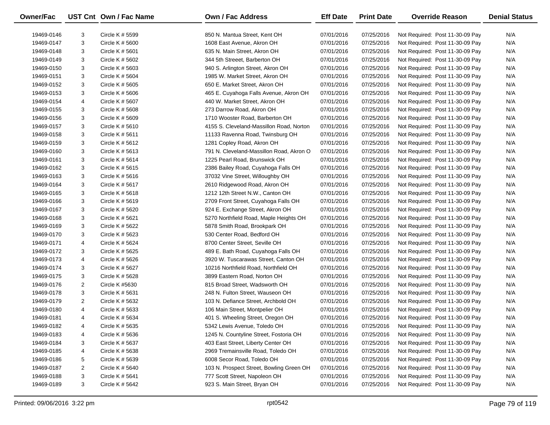| Owner/Fac  |                | UST Cnt Own / Fac Name | <b>Own / Fac Address</b>                 | <b>Eff Date</b> | <b>Print Date</b> | <b>Override Reason</b>          | <b>Denial Status</b> |
|------------|----------------|------------------------|------------------------------------------|-----------------|-------------------|---------------------------------|----------------------|
| 19469-0146 | 3              | Circle K # 5599        | 850 N. Mantua Street, Kent OH            | 07/01/2016      | 07/25/2016        | Not Required: Post 11-30-09 Pay | N/A                  |
| 19469-0147 | 3              | Circle K # 5600        | 1608 East Avenue, Akron OH               | 07/01/2016      | 07/25/2016        | Not Required: Post 11-30-09 Pay | N/A                  |
| 19469-0148 | 3              | Circle K $#5601$       | 635 N. Main Street, Akron OH             | 07/01/2016      | 07/25/2016        | Not Required: Post 11-30-09 Pay | N/A                  |
| 19469-0149 | 3              | Circle K # 5602        | 344 5th Streeet, Barberton OH            | 07/01/2016      | 07/25/2016        | Not Required: Post 11-30-09 Pay | N/A                  |
| 19469-0150 | 3              | Circle K # 5603        | 940 S. Arlington Street, Akron OH        | 07/01/2016      | 07/25/2016        | Not Required: Post 11-30-09 Pay | N/A                  |
| 19469-0151 | 3              | Circle K # 5604        | 1985 W. Market Street, Akron OH          | 07/01/2016      | 07/25/2016        | Not Required: Post 11-30-09 Pay | N/A                  |
| 19469-0152 | 3              | Circle K # 5605        | 650 E. Market Street, Akron OH           | 07/01/2016      | 07/25/2016        | Not Required: Post 11-30-09 Pay | N/A                  |
| 19469-0153 | 3              | Circle K # 5606        | 465 E. Cuyahoga Falls Avenue, Akron OH   | 07/01/2016      | 07/25/2016        | Not Required: Post 11-30-09 Pay | N/A                  |
| 19469-0154 | 4              | Circle K # 5607        | 440 W. Market Street, Akron OH           | 07/01/2016      | 07/25/2016        | Not Required: Post 11-30-09 Pay | N/A                  |
| 19469-0155 | 3              | Circle K # 5608        | 273 Darrow Road, Akron OH                | 07/01/2016      | 07/25/2016        | Not Required: Post 11-30-09 Pay | N/A                  |
| 19469-0156 | 3              | Circle K # 5609        | 1710 Wooster Road, Barberton OH          | 07/01/2016      | 07/25/2016        | Not Required: Post 11-30-09 Pay | N/A                  |
| 19469-0157 | 3              | Circle K # 5610        | 4155 S. Cleveland-Massillon Road, Norton | 07/01/2016      | 07/25/2016        | Not Required: Post 11-30-09 Pay | N/A                  |
| 19469-0158 | 3              | Circle K $# 5611$      | 11133 Ravenna Road, Twinsburg OH         | 07/01/2016      | 07/25/2016        | Not Required: Post 11-30-09 Pay | N/A                  |
| 19469-0159 | 3              | Circle K # 5612        | 1281 Copley Road, Akron OH               | 07/01/2016      | 07/25/2016        | Not Required: Post 11-30-09 Pay | N/A                  |
| 19469-0160 | 3              | Circle K # 5613        | 791 N. Cleveland-Massillon Road, Akron O | 07/01/2016      | 07/25/2016        | Not Required: Post 11-30-09 Pay | N/A                  |
| 19469-0161 | 3              | Circle K # 5614        | 1225 Pearl Road, Brunswick OH            | 07/01/2016      | 07/25/2016        | Not Required: Post 11-30-09 Pay | N/A                  |
| 19469-0162 | 3              | Circle K # 5615        | 2386 Bailey Road, Cuyahoga Falls OH      | 07/01/2016      | 07/25/2016        | Not Required: Post 11-30-09 Pay | N/A                  |
| 19469-0163 | 3              | Circle K # 5616        | 37032 Vine Street, Willoughby OH         | 07/01/2016      | 07/25/2016        | Not Required: Post 11-30-09 Pay | N/A                  |
| 19469-0164 | 3              | Circle K # 5617        | 2610 Ridgewood Road, Akron OH            | 07/01/2016      | 07/25/2016        | Not Required: Post 11-30-09 Pay | N/A                  |
| 19469-0165 | 3              | Circle K # 5618        | 1212 12th Street N.W., Canton OH         | 07/01/2016      | 07/25/2016        | Not Required: Post 11-30-09 Pay | N/A                  |
| 19469-0166 | 3              | Circle K # 5619        | 2709 Front Street, Cuyahoga Falls OH     | 07/01/2016      | 07/25/2016        | Not Required: Post 11-30-09 Pay | N/A                  |
| 19469-0167 | 3              | Circle K # 5620        | 924 E. Exchange Street, Akron OH         | 07/01/2016      | 07/25/2016        | Not Required: Post 11-30-09 Pay | N/A                  |
| 19469-0168 | 3              | Circle K # 5621        | 5270 Northfield Road, Maple Heights OH   | 07/01/2016      | 07/25/2016        | Not Required: Post 11-30-09 Pay | N/A                  |
| 19469-0169 | 3              | Circle K # 5622        | 5878 Smith Road, Brookpark OH            | 07/01/2016      | 07/25/2016        | Not Required: Post 11-30-09 Pay | N/A                  |
| 19469-0170 | 3              | Circle K # 5623        | 530 Center Road, Bedford OH              | 07/01/2016      | 07/25/2016        | Not Required: Post 11-30-09 Pay | N/A                  |
| 19469-0171 | 4              | Circle K # 5624        | 8700 Center Street, Seville OH           | 07/01/2016      | 07/25/2016        | Not Required: Post 11-30-09 Pay | N/A                  |
| 19469-0172 | 3              | Circle K # 5625        | 489 E. Bath Road, Cuyahoga Falls OH      | 07/01/2016      | 07/25/2016        | Not Required: Post 11-30-09 Pay | N/A                  |
| 19469-0173 | 4              | Circle K # 5626        | 3920 W. Tuscarawas Street, Canton OH     | 07/01/2016      | 07/25/2016        | Not Required: Post 11-30-09 Pay | N/A                  |
| 19469-0174 | 3              | Circle K # 5627        | 10216 Northfield Road, Northfield OH     | 07/01/2016      | 07/25/2016        | Not Required: Post 11-30-09 Pay | N/A                  |
| 19469-0175 | 3              | Circle K # 5628        | 3899 Eastern Road, Norton OH             | 07/01/2016      | 07/25/2016        | Not Required: Post 11-30-09 Pay | N/A                  |
| 19469-0176 | 2              | Circle K #5630         | 815 Broad Street, Wadsworth OH           | 07/01/2016      | 07/25/2016        | Not Required: Post 11-30-09 Pay | N/A                  |
| 19469-0178 | 3              | Circle K $#$ 5631      | 248 N. Fulton Street, Wauseon OH         | 07/01/2016      | 07/25/2016        | Not Required: Post 11-30-09 Pay | N/A                  |
| 19469-0179 | 2              | Circle K # 5632        | 103 N. Defiance Street, Archbold OH      | 07/01/2016      | 07/25/2016        | Not Required: Post 11-30-09 Pay | N/A                  |
| 19469-0180 | 4              | Circle K # 5633        | 106 Main Street, Montpelier OH           | 07/01/2016      | 07/25/2016        | Not Required: Post 11-30-09 Pay | N/A                  |
| 19469-0181 | 4              | Circle K # 5634        | 401 S. Wheeling Street, Oregon OH        | 07/01/2016      | 07/25/2016        | Not Required: Post 11-30-09 Pay | N/A                  |
| 19469-0182 | 4              | Circle K # 5635        | 5342 Lewis Avenue, Toledo OH             | 07/01/2016      | 07/25/2016        | Not Required: Post 11-30-09 Pay | N/A                  |
| 19469-0183 | 4              | Circle K # 5636        | 1245 N. Countyline Street, Fostoria OH   | 07/01/2016      | 07/25/2016        | Not Required: Post 11-30-09 Pay | N/A                  |
| 19469-0184 | 3              | Circle K # 5637        | 403 East Street, Liberty Center OH       | 07/01/2016      | 07/25/2016        | Not Required: Post 11-30-09 Pay | N/A                  |
| 19469-0185 | 4              | Circle K # 5638        | 2969 Tremainsville Road, Toledo OH       | 07/01/2016      | 07/25/2016        | Not Required: Post 11-30-09 Pay | N/A                  |
| 19469-0186 | 5              | Circle K # 5639        | 6008 Secor Road, Toledo OH               | 07/01/2016      | 07/25/2016        | Not Required: Post 11-30-09 Pay | N/A                  |
| 19469-0187 | $\overline{2}$ | Circle K # 5640        | 103 N. Prospect Street, Bowling Green OH | 07/01/2016      | 07/25/2016        | Not Required: Post 11-30-09 Pay | N/A                  |
| 19469-0188 | 3              | Circle K # 5641        | 777 Scott Street, Napoleon OH            | 07/01/2016      | 07/25/2016        | Not Required: Post 11-30-09 Pay | N/A                  |
| 19469-0189 | 3              | Circle K # 5642        | 923 S. Main Street, Bryan OH             | 07/01/2016      | 07/25/2016        | Not Required: Post 11-30-09 Pay | N/A                  |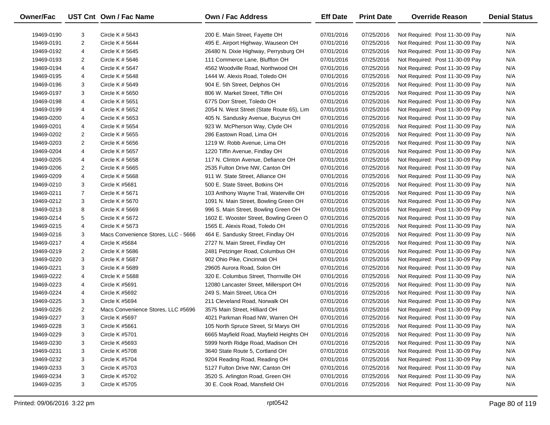| Owner/Fac  |                | UST Cnt Own / Fac Name              | <b>Own / Fac Address</b>                  | <b>Eff Date</b> | <b>Print Date</b> | <b>Override Reason</b>          | <b>Denial Status</b> |
|------------|----------------|-------------------------------------|-------------------------------------------|-----------------|-------------------|---------------------------------|----------------------|
| 19469-0190 | 3              | Circle K # 5643                     | 200 E. Main Street, Fayette OH            | 07/01/2016      | 07/25/2016        | Not Required: Post 11-30-09 Pay | N/A                  |
| 19469-0191 | $\overline{2}$ | Circle K # 5644                     | 495 E. Airport Highway, Wauseon OH        | 07/01/2016      | 07/25/2016        | Not Required: Post 11-30-09 Pay | N/A                  |
| 19469-0192 | 4              | Circle K # 5645                     | 26480 N. Dixie Highway, Perrysburg OH     | 07/01/2016      | 07/25/2016        | Not Required: Post 11-30-09 Pay | N/A                  |
| 19469-0193 | $\overline{2}$ | Circle K # 5646                     | 111 Commerce Lane, Bluffton OH            | 07/01/2016      | 07/25/2016        | Not Required: Post 11-30-09 Pay | N/A                  |
| 19469-0194 | 4              | Circle K # 5647                     | 4562 Woodville Road, Northwood OH         | 07/01/2016      | 07/25/2016        | Not Required: Post 11-30-09 Pay | N/A                  |
| 19469-0195 | 4              | Circle K # 5648                     | 1444 W. Alexis Road, Toledo OH            | 07/01/2016      | 07/25/2016        | Not Required: Post 11-30-09 Pay | N/A                  |
| 19469-0196 | 3              | Circle K # 5649                     | 904 E. 5th Street, Delphos OH             | 07/01/2016      | 07/25/2016        | Not Required: Post 11-30-09 Pay | N/A                  |
| 19469-0197 | 3              | Circle K # 5650                     | 806 W. Market Street, Tiffin OH           | 07/01/2016      | 07/25/2016        | Not Required: Post 11-30-09 Pay | N/A                  |
| 19469-0198 | 4              | Circle K # 5651                     | 6775 Dorr Street, Toledo OH               | 07/01/2016      | 07/25/2016        | Not Required: Post 11-30-09 Pay | N/A                  |
| 19469-0199 | 4              | Circle K # 5652                     | 2054 N. West Street (State Route 65), Lim | 07/01/2016      | 07/25/2016        | Not Required: Post 11-30-09 Pay | N/A                  |
| 19469-0200 | 4              | Circle K # 5653                     | 405 N. Sandusky Avenue, Bucyrus OH        | 07/01/2016      | 07/25/2016        | Not Required: Post 11-30-09 Pay | N/A                  |
| 19469-0201 | 4              | Circle K # 5654                     | 923 W. McPherson Way, Clyde OH            | 07/01/2016      | 07/25/2016        | Not Required: Post 11-30-09 Pay | N/A                  |
| 19469-0202 | 2              | Circle K # 5655                     | 286 Eastown Road, Lima OH                 | 07/01/2016      | 07/25/2016        | Not Required: Post 11-30-09 Pay | N/A                  |
| 19469-0203 | $\overline{2}$ | Circle K # 5656                     | 1219 W. Robb Avenue, Lima OH              | 07/01/2016      | 07/25/2016        | Not Required: Post 11-30-09 Pay | N/A                  |
| 19469-0204 | 4              | Circle K # 5657                     | 1220 Tiffin Avenue, Findlay OH            | 07/01/2016      | 07/25/2016        | Not Required: Post 11-30-09 Pay | N/A                  |
| 19469-0205 | 4              | Circle K # 5658                     | 117 N. Clinton Avenue, Defiance OH        | 07/01/2016      | 07/25/2016        | Not Required: Post 11-30-09 Pay | N/A                  |
| 19469-0206 | 2              | Circle K # 5665                     | 2535 Fulton Drive NW, Canton OH           | 07/01/2016      | 07/25/2016        | Not Required: Post 11-30-09 Pay | N/A                  |
| 19469-0209 | 4              | Circle K # 5668                     | 911 W. State Street, Alliance OH          | 07/01/2016      | 07/25/2016        | Not Required: Post 11-30-09 Pay | N/A                  |
| 19469-0210 | 3              | Circle K #5681                      | 500 E. State Street, Botkins OH           | 07/01/2016      | 07/25/2016        | Not Required: Post 11-30-09 Pay | N/A                  |
| 19469-0211 | $\overline{7}$ | Circle K # 5671                     | 103 Anthony Wayne Trail, Waterville OH    | 07/01/2016      | 07/25/2016        | Not Required: Post 11-30-09 Pay | N/A                  |
| 19469-0212 | 3              | Circle K # 5670                     | 1091 N. Main Street, Bowling Green OH     | 07/01/2016      | 07/25/2016        | Not Required: Post 11-30-09 Pay | N/A                  |
| 19469-0213 | 8              | Circle K # 5669                     | 996 S. Main Street, Bowling Green OH      | 07/01/2016      | 07/25/2016        | Not Required: Post 11-30-09 Pay | N/A                  |
| 19469-0214 | 5              | Circle K # 5672                     | 1602 E. Wooster Street, Bowling Green O   | 07/01/2016      | 07/25/2016        | Not Required: Post 11-30-09 Pay | N/A                  |
| 19469-0215 | 4              | Circle K # 5673                     | 1565 E. Alexis Road, Toledo OH            | 07/01/2016      | 07/25/2016        | Not Required: Post 11-30-09 Pay | N/A                  |
| 19469-0216 | 3              | Macs Convenience Stores, LLC - 5666 | 464 E. Sandusky Street, Findlay OH        | 07/01/2016      | 07/25/2016        | Not Required: Post 11-30-09 Pay | N/A                  |
| 19469-0217 | 4              | Circle K #5684                      | 2727 N. Main Street, Findlay OH           | 07/01/2016      | 07/25/2016        | Not Required: Post 11-30-09 Pay | N/A                  |
| 19469-0219 | 2              | Circle K # 5686                     | 2481 Petzinger Road, Columbus OH          | 07/01/2016      | 07/25/2016        | Not Required: Post 11-30-09 Pay | N/A                  |
| 19469-0220 | 3              | Circle K # 5687                     | 902 Ohio Pike, Cincinnati OH              | 07/01/2016      | 07/25/2016        | Not Required: Post 11-30-09 Pay | N/A                  |
| 19469-0221 | 3              | Circle K # 5689                     | 29605 Aurora Road, Solon OH               | 07/01/2016      | 07/25/2016        | Not Required: Post 11-30-09 Pay | N/A                  |
| 19469-0222 | 4              | CIrcle K # 5688                     | 320 E. Columbus Street, Thornville OH     | 07/01/2016      | 07/25/2016        | Not Required: Post 11-30-09 Pay | N/A                  |
| 19469-0223 | 4              | Circle K #5691                      | 12080 Lancaster Street, Millersport OH    | 07/01/2016      | 07/25/2016        | Not Required: Post 11-30-09 Pay | N/A                  |
| 19469-0224 | 4              | Circle K #5692                      | 249 S. Main Street, Utica OH              | 07/01/2016      | 07/25/2016        | Not Required: Post 11-30-09 Pay | N/A                  |
| 19469-0225 | 3              | Circle K #5694                      | 211 Cleveland Road, Norwalk OH            | 07/01/2016      | 07/25/2016        | Not Required: Post 11-30-09 Pay | N/A                  |
| 19469-0226 | 2              | Macs Convenience Stores, LLC #5696  | 3575 Main Street, Hilliard OH             | 07/01/2016      | 07/25/2016        | Not Required: Post 11-30-09 Pay | N/A                  |
| 19469-0227 | 3              | Circle K #5697                      | 4021 Parkman Road NW, Warren OH           | 07/01/2016      | 07/25/2016        | Not Required: Post 11-30-09 Pay | N/A                  |
| 19469-0228 | 3              | Circle K #5661                      | 105 North Spruce Street, St Marys OH      | 07/01/2016      | 07/25/2016        | Not Required: Post 11-30-09 Pay | N/A                  |
| 19469-0229 | 3              | Circle K #5701                      | 6665 Mayfield Road, Mayfield Heights OH   | 07/01/2016      | 07/25/2016        | Not Required: Post 11-30-09 Pay | N/A                  |
| 19469-0230 | 3              | Circle K #5693                      | 5999 North Ridge Road, Madison OH         | 07/01/2016      | 07/25/2016        | Not Required: Post 11-30-09 Pay | N/A                  |
| 19469-0231 | 3              | Circle K #5708                      | 3640 State Route 5, Cortland OH           | 07/01/2016      | 07/25/2016        | Not Required: Post 11-30-09 Pay | N/A                  |
| 19469-0232 | 3              | Circle K #5704                      | 9204 Reading Road, Reading OH             | 07/01/2016      | 07/25/2016        | Not Required: Post 11-30-09 Pay | N/A                  |
| 19469-0233 | 3              | Circle K #5703                      | 5127 Fulton Drive NW, Canton OH           | 07/01/2016      | 07/25/2016        | Not Required: Post 11-30-09 Pay | N/A                  |
| 19469-0234 | 3              | Circle K #5702                      | 3520 S. Arlington Road, Green OH          | 07/01/2016      | 07/25/2016        | Not Required: Post 11-30-09 Pay | N/A                  |
| 19469-0235 | 3              | Circle K #5705                      | 30 E. Cook Road, Mansfield OH             | 07/01/2016      | 07/25/2016        | Not Required: Post 11-30-09 Pay | N/A                  |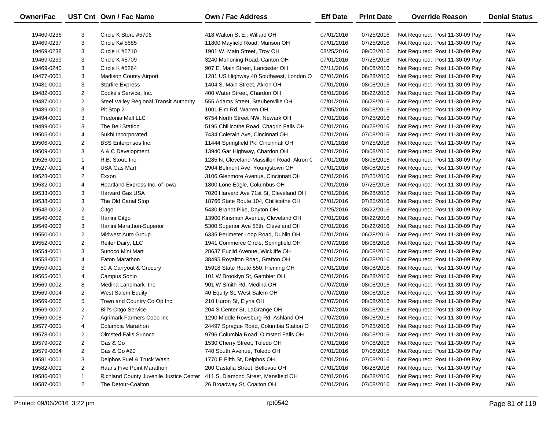| Owner/Fac  |                | UST Cnt Own / Fac Name                  | Own / Fac Address                         | <b>Eff Date</b> | <b>Print Date</b> | <b>Override Reason</b>          | <b>Denial Status</b> |
|------------|----------------|-----------------------------------------|-------------------------------------------|-----------------|-------------------|---------------------------------|----------------------|
| 19469-0236 | 3              | Circle K Store #5706                    | 418 Walton St E., Willard OH              | 07/01/2016      | 07/25/2016        | Not Required: Post 11-30-09 Pay | N/A                  |
| 19469-0237 | 3              | Circle K# 5685                          | 11800 Mayfield Road, Munson OH            | 07/01/2016      | 07/25/2016        | Not Required: Post 11-30-09 Pay | N/A                  |
| 19469-0238 | 3              | Circle K #5710                          | 1901 W. Main Street, Troy OH              | 08/25/2016      | 09/02/2016        | Not Required: Post 11-30-09 Pay | N/A                  |
| 19469-0239 | 3              | Circle K #5709                          | 3240 Mahoning Road, Canton OH             | 07/01/2016      | 07/25/2016        | Not Required: Post 11-30-09 Pay | N/A                  |
| 19469-0240 | 3              | Circle K #5264                          | 907 E. Main Street, Lancaster OH          | 07/11/2016      | 08/08/2016        | Not Required: Post 11-30-09 Pay | N/A                  |
| 19477-0001 | 3              | <b>Madison County Airport</b>           | 1281 US Highway 40 Southwest, London O    | 07/01/2016      | 06/28/2016        | Not Required: Post 11-30-09 Pay | N/A                  |
| 19481-0001 | 3              | <b>Starfire Express</b>                 | 1404 S. Main Street, Akron OH             | 07/01/2016      | 08/08/2016        | Not Required: Post 11-30-09 Pay | N/A                  |
| 19482-0001 | 2              | Cooke's Service, Inc.                   | 400 Water Street, Chardon OH              | 08/01/2016      | 08/22/2016        | Not Required: Post 11-30-09 Pay | N/A                  |
| 19487-0001 | $\overline{c}$ | Steel Valley Regional Transit Authority | 555 Adams Street, Steubenville OH         | 07/01/2016      | 06/28/2016        | Not Required: Post 11-30-09 Pay | N/A                  |
| 19489-0001 | 3              | Pit Stop 2                              | 1001 Elm Rd, Warren OH                    | 07/05/2016      | 08/08/2016        | Not Required: Post 11-30-09 Pay | N/A                  |
| 19494-0001 | 3              | Fredonia Mall LLC                       | 6754 North Street NW, Newark OH           | 07/01/2016      | 07/25/2016        | Not Required: Post 11-30-09 Pay | N/A                  |
| 19499-0001 | 3              | The Bell Station                        | 5196 Chillicothe Road, Chagrin Falls OH   | 07/01/2016      | 06/28/2016        | Not Required: Post 11-30-09 Pay | N/A                  |
| 19505-0001 | 4              | Sukhi Incorporated                      | 7434 Colerain Ave, Cincinnati OH          | 07/01/2016      | 07/08/2016        | Not Required: Post 11-30-09 Pay | N/A                  |
| 19506-0001 | $\overline{2}$ | <b>BSS</b> Enterprises Inc.             | 11444 Springfield Pk, Cincinnati OH       | 07/01/2016      | 07/25/2016        | Not Required: Post 11-30-09 Pay | N/A                  |
| 19509-0001 | 3              | A & C Development                       | 13940 Gar Highway, Chardon OH             | 07/01/2016      | 08/08/2016        | Not Required: Post 11-30-09 Pay | N/A                  |
| 19526-0001 | $\mathbf{1}$   | R.B. Stout, Inc.                        | 1285 N. Cleveland-Massillon Road, Akron C | 07/01/2016      | 08/08/2016        | Not Required: Post 11-30-09 Pay | N/A                  |
| 19527-0001 | 4              | USA Gas Mart                            | 2904 Belmont Ave, Youngstown OH           | 07/01/2016      | 08/08/2016        | Not Required: Post 11-30-09 Pay | N/A                  |
| 19528-0001 | 2              | Exxon                                   | 3106 Glenmore Avenue, Cincinnati OH       | 07/01/2016      | 07/25/2016        | Not Required: Post 11-30-09 Pay | N/A                  |
| 19532-0001 | 4              | Heartland Express Inc. of Iowa          | 1800 Lone Eagle, Columbus OH              | 07/01/2016      | 07/25/2016        | Not Required: Post 11-30-09 Pay | N/A                  |
| 19533-0001 | 3              | Harvard Gas USA                         | 7020 Harvard Ave 71st St, Cleveland OH    | 07/01/2016      | 06/28/2016        | Not Required: Post 11-30-09 Pay | N/A                  |
| 19538-0001 | 3              | The Old Canal Stop                      | 18766 State Route 104, Chillicothe OH     | 07/01/2016      | 07/25/2016        | Not Required: Post 11-30-09 Pay | N/A                  |
| 19543-0002 | 2              | Citgo                                   | 5430 Brandt Pike, Dayton OH               | 07/25/2016      | 08/22/2016        | Not Required: Post 11-30-09 Pay | N/A                  |
| 19549-0002 | 5              | Hanini Citgo                            | 13900 Kinsman Avenue, Cleveland OH        | 07/01/2016      | 08/22/2016        | Not Required: Post 11-30-09 Pay | N/A                  |
| 19549-0003 | 3              | Hanini Marathon-Superior                | 5300 Superior Ave 55th, Cleveland OH      | 07/01/2016      | 08/22/2016        | Not Required: Post 11-30-09 Pay | N/A                  |
| 19550-0001 | $\overline{c}$ | Midwest Auto Group                      | 6335 Perimeter Loop Road, Dublin OH       | 07/01/2016      | 06/28/2016        | Not Required: Post 11-30-09 Pay | N/A                  |
| 19552-0001 | 2              | Reiter Dairy, LLC                       | 1941 Commerce Circle, Springfield OH      | 07/07/2016      | 08/08/2016        | Not Required: Post 11-30-09 Pay | N/A                  |
| 19554-0001 | 3              | Sunoco Mini Mart                        | 28637 Euclid Avenue, Wickliffe OH         | 07/01/2016      | 08/08/2016        | Not Required: Post 11-30-09 Pay | N/A                  |
| 19558-0001 | 4              | Eaton Marathon                          | 38495 Royalton Road, Grafton OH           | 07/01/2016      | 06/28/2016        | Not Required: Post 11-30-09 Pay | N/A                  |
| 19559-0001 | 3              | 50 A Carryout & Grocery                 | 15918 State Route 550, Fleming OH         | 07/01/2016      | 08/08/2016        | Not Required: Post 11-30-09 Pay | N/A                  |
| 19565-0001 | 4              | Campus Sohio                            | 101 W Brooklyn St, Gambier OH             | 07/01/2016      | 06/28/2016        | Not Required: Post 11-30-09 Pay | N/A                  |
| 19569-0002 | 8              | Medina Landmark Inc                     | 901 W Smith Rd, Medina OH                 | 07/07/2016      | 08/08/2016        | Not Required: Post 11-30-09 Pay | N/A                  |
| 19569-0004 | 2              | West Salem Equity                       | 40 Equity St, West Salem OH               | 07/07/2016      | 08/08/2016        | Not Required: Post 11-30-09 Pay | N/A                  |
| 19569-0006 | 5              | Town and Country Co Op Inc              | 210 Huron St, Elyria OH                   | 07/07/2016      | 08/08/2016        | Not Required: Post 11-30-09 Pay | N/A                  |
| 19569-0007 | $\overline{2}$ | <b>Bill's Citgo Service</b>             | 204 S Center St, LaGrange OH              | 07/07/2016      | 08/08/2016        | Not Required: Post 11-30-09 Pay | N/A                  |
| 19569-0008 | $\overline{7}$ | Agrimark Farmers Coop Inc               | 1290 Middle Rowsburg Rd, Ashland OH       | 07/07/2016      | 08/08/2016        | Not Required: Post 11-30-09 Pay | N/A                  |
| 19577-0001 | 4              | Columbia Marathon                       | 24497 Sprague Road, Columbia Station O    | 07/01/2016      | 07/25/2016        | Not Required: Post 11-30-09 Pay | N/A                  |
| 19578-0001 | 2              | <b>Olmsted Falls Sunoco</b>             | 9796 Columbia Road, Olmsted Falls OH      | 07/01/2016      | 08/08/2016        | Not Required: Post 11-30-09 Pay | N/A                  |
| 19579-0002 | $\overline{a}$ | Gas & Go                                | 1530 Cherry Street, Toledo OH             | 07/01/2016      | 07/08/2016        | Not Required: Post 11-30-09 Pay | N/A                  |
| 19579-0004 | 2              | Gas & Go #20                            | 740 South Avenue, Toledo OH               | 07/01/2016      | 07/08/2016        | Not Required: Post 11-30-09 Pay | N/A                  |
| 19581-0001 | 3              | Delphos Fuel & Truck Wash               | 1770 E Fifth St, Delphos OH               | 07/01/2016      | 07/08/2016        | Not Required: Post 11-30-09 Pay | N/A                  |
| 19582-0001 | 2              | Haar's Five Point Marathon              | 200 Castalia Street, Bellevue OH          | 07/01/2016      | 06/28/2016        | Not Required: Post 11-30-09 Pay | N/A                  |
| 19586-0001 | 1              | Richland County Juvenile Justice Center | 411 S. Diamond Street, Mansfield OH       | 07/01/2016      | 06/28/2016        | Not Required: Post 11-30-09 Pay | N/A                  |
| 19587-0001 | $\overline{2}$ | The Detour-Coalton                      | 26 Broadway St, Coalton OH                | 07/01/2016      | 07/08/2016        | Not Required: Post 11-30-09 Pay | N/A                  |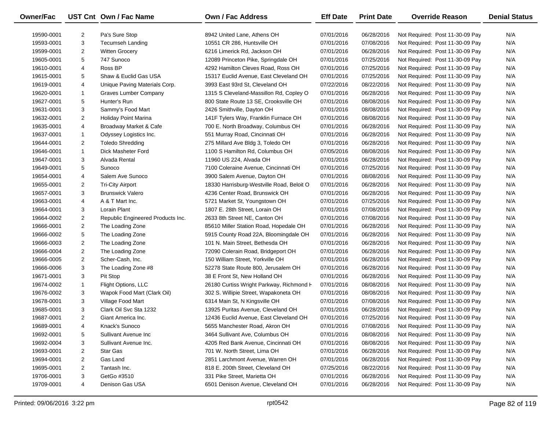| Owner/Fac  |                | UST Cnt Own / Fac Name            | Own / Fac Address                         | <b>Eff Date</b> | <b>Print Date</b> | <b>Override Reason</b>          | <b>Denial Status</b> |
|------------|----------------|-----------------------------------|-------------------------------------------|-----------------|-------------------|---------------------------------|----------------------|
| 19590-0001 | $\overline{2}$ | Pa's Sure Stop                    | 8942 United Lane, Athens OH               | 07/01/2016      | 06/28/2016        | Not Required: Post 11-30-09 Pay | N/A                  |
| 19593-0001 | 3              | <b>Tecumseh Landing</b>           | 10551 CR 286, Huntsville OH               | 07/01/2016      | 07/08/2016        | Not Required: Post 11-30-09 Pay | N/A                  |
| 19599-0001 | $\overline{2}$ | <b>Witten Grocery</b>             | 6216 Limerick Rd, Jackson OH              | 07/01/2016      | 06/28/2016        | Not Required: Post 11-30-09 Pay | N/A                  |
| 19605-0001 | 5              | 747 Sunoco                        | 12089 Princeton Pike, Springdale OH       | 07/01/2016      | 07/25/2016        | Not Required: Post 11-30-09 Pay | N/A                  |
| 19610-0001 | 4              | Ross BP                           | 4292 Hamilton Cleves Road, Ross OH        | 07/01/2016      | 07/25/2016        | Not Required: Post 11-30-09 Pay | N/A                  |
| 19615-0001 | 5              | Shaw & Euclid Gas USA             | 15317 Euclid Avenue, East Cleveland OH    | 07/01/2016      | 07/25/2016        | Not Required: Post 11-30-09 Pay | N/A                  |
| 19619-0001 | 4              | Unique Paving Materials Corp.     | 3993 East 93rd St, Cleveland OH           | 07/22/2016      | 08/22/2016        | Not Required: Post 11-30-09 Pay | N/A                  |
| 19620-0001 | $\mathbf{1}$   | Graves Lumber Company             | 1315 S Cleveland-Massillon Rd, Copley O   | 07/01/2016      | 06/28/2016        | Not Required: Post 11-30-09 Pay | N/A                  |
| 19627-0001 | 5              | Hunter's Run                      | 800 State Route 13 SE, Crooksville OH     | 07/01/2016      | 08/08/2016        | Not Required: Post 11-30-09 Pay | N/A                  |
| 19631-0001 | 3              | Sammy's Food Mart                 | 2426 Smithville, Dayton OH                | 07/01/2016      | 08/08/2016        | Not Required: Post 11-30-09 Pay | N/A                  |
| 19632-0001 | $\overline{2}$ | <b>Holiday Point Marina</b>       | 141F Tylers Way, Franklin Furnace OH      | 07/01/2016      | 08/08/2016        | Not Required: Post 11-30-09 Pay | N/A                  |
| 19635-0001 | 4              | Broadway Market & Cafe            | 700 E. North Broadway, Columbus OH        | 07/01/2016      | 06/28/2016        | Not Required: Post 11-30-09 Pay | N/A                  |
| 19637-0001 | $\mathbf{1}$   | Odyssey Logistics Inc.            | 551 Murray Road, Cincinnati OH            | 07/01/2016      | 06/28/2016        | Not Required: Post 11-30-09 Pay | N/A                  |
| 19644-0001 | $\overline{2}$ | <b>Toledo Shredding</b>           | 275 Millard Ave Bldg 3, Toledo OH         | 07/01/2016      | 06/28/2016        | Not Required: Post 11-30-09 Pay | N/A                  |
| 19646-0001 | $\mathbf{1}$   | Dick Masheter Ford                | 1100 S Hamilton Rd, Columbus OH           | 07/05/2016      | 08/08/2016        | Not Required: Post 11-30-09 Pay | N/A                  |
| 19647-0001 | 3              | Alvada Rental                     | 11960 US 224, Alvada OH                   | 07/01/2016      | 06/28/2016        | Not Required: Post 11-30-09 Pay | N/A                  |
| 19649-0001 | 5              | Sunoco                            | 7100 Coleraine Avenue, Cincinnati OH      | 07/01/2016      | 07/25/2016        | Not Required: Post 11-30-09 Pay | N/A                  |
| 19654-0001 | 4              | Salem Ave Sunoco                  | 3900 Salem Avenue, Dayton OH              | 07/01/2016      | 08/08/2016        | Not Required: Post 11-30-09 Pay | N/A                  |
| 19655-0001 | $\overline{2}$ | <b>Tri-City Airport</b>           | 18330 Harrisburg-Westville Road, Beloit O | 07/01/2016      | 06/28/2016        | Not Required: Post 11-30-09 Pay | N/A                  |
| 19657-0001 | 3              | <b>Brunswick Valero</b>           | 4236 Center Road, Brunswick OH            | 07/01/2016      | 06/28/2016        | Not Required: Post 11-30-09 Pay | N/A                  |
| 19663-0001 | 4              | A & T Mart Inc.                   | 5721 Market St, Youngstown OH             | 07/01/2016      | 07/25/2016        | Not Required: Post 11-30-09 Pay | N/A                  |
| 19664-0001 | 3              | Lorain Plant                      | 1807 E. 28th Street, Lorain OH            | 07/01/2016      | 07/08/2016        | Not Required: Post 11-30-09 Pay | N/A                  |
| 19664-0002 | $\overline{a}$ | Republic Engineered Products Inc. | 2633 8th Street NE, Canton OH             | 07/01/2016      | 07/08/2016        | Not Required: Post 11-30-09 Pay | N/A                  |
| 19666-0001 | $\overline{2}$ | The Loading Zone                  | 85610 Miller Station Road, Hopedale OH    | 07/01/2016      | 06/28/2016        | Not Required: Post 11-30-09 Pay | N/A                  |
| 19666-0002 | 5              | The Loading Zone                  | 5915 County Road 22A, Bloomingdale OH     | 07/01/2016      | 06/28/2016        | Not Required: Post 11-30-09 Pay | N/A                  |
| 19666-0003 | $\overline{a}$ | The Loading Zone                  | 101 N. Main Street, Bethesda OH           | 07/01/2016      | 06/28/2016        | Not Required: Post 11-30-09 Pay | N/A                  |
| 19666-0004 | 2              | The Loading Zone                  | 72090 Colerain Road, Bridgeport OH        | 07/01/2016      | 06/28/2016        | Not Required: Post 11-30-09 Pay | N/A                  |
| 19666-0005 | $\overline{2}$ | Scher-Cash, Inc.                  | 150 William Street, Yorkville OH          | 07/01/2016      | 06/28/2016        | Not Required: Post 11-30-09 Pay | N/A                  |
| 19666-0006 | 3              | The Loading Zone #8               | 52278 State Route 800, Jerusalem OH       | 07/01/2016      | 06/28/2016        | Not Required: Post 11-30-09 Pay | N/A                  |
| 19671-0001 | 3              | Pit Stop                          | 38 E Front St, New Holland OH             | 07/01/2016      | 06/28/2016        | Not Required: Post 11-30-09 Pay | N/A                  |
| 19674-0002 | $\mathbf{1}$   | Flight Options, LLC               | 26180 Curtiss Wright Parkway, Richmond H  | 07/01/2016      | 08/08/2016        | Not Required: Post 11-30-09 Pay | N/A                  |
| 19676-0002 | 3              | Wapok Food Mart (Clark Oil)       | 302 S. Willipie Street, Wapakoneta OH     | 07/01/2016      | 08/08/2016        | Not Required: Post 11-30-09 Pay | N/A                  |
| 19678-0001 | 3              | Village Food Mart                 | 6314 Main St, N Kingsville OH             | 07/01/2016      | 07/08/2016        | Not Required: Post 11-30-09 Pay | N/A                  |
| 19685-0001 | 3              | Clark Oil Svc Sta 1232            | 13925 Puritas Avenue, Cleveland OH        | 07/01/2016      | 06/28/2016        | Not Required: Post 11-30-09 Pay | N/A                  |
| 19687-0001 | $\overline{2}$ | Giant America Inc.                | 12436 Euclid Avenue, East Cleveland OH    | 07/01/2016      | 07/25/2016        | Not Required: Post 11-30-09 Pay | N/A                  |
| 19689-0001 | 4              | Knack's Sunoco                    | 5655 Manchester Road, Akron OH            | 07/01/2016      | 07/08/2016        | Not Required: Post 11-30-09 Pay | N/A                  |
| 19692-0001 | 5              | Sullivant Avenue Inc              | 3464 Sullivant Ave, Columbus OH           | 07/01/2016      | 08/08/2016        | Not Required: Post 11-30-09 Pay | N/A                  |
| 19692-0004 | 3              | Sullivant Avenue Inc.             | 4205 Red Bank Avenue, Cincinnati OH       | 07/01/2016      | 08/08/2016        | Not Required: Post 11-30-09 Pay | N/A                  |
| 19693-0001 | 2              | Star Gas                          | 701 W. North Street, Lima OH              | 07/01/2016      | 06/28/2016        | Not Required: Post 11-30-09 Pay | N/A                  |
| 19694-0001 | 2              | Gas Land                          | 2851 Larchmont Avenue, Warren OH          | 07/01/2016      | 06/28/2016        | Not Required: Post 11-30-09 Pay | N/A                  |
| 19695-0001 | 2              | Tantash Inc.                      | 818 E. 200th Street, Cleveland OH         | 07/25/2016      | 08/22/2016        | Not Required: Post 11-30-09 Pay | N/A                  |
| 19706-0001 | 3              | GetGo #3510                       | 331 Pike Street, Marietta OH              | 07/01/2016      | 06/28/2016        | Not Required: Post 11-30-09 Pay | N/A                  |
| 19709-0001 | 4              | Denison Gas USA                   | 6501 Denison Avenue, Cleveland OH         | 07/01/2016      | 06/28/2016        | Not Required: Post 11-30-09 Pay | N/A                  |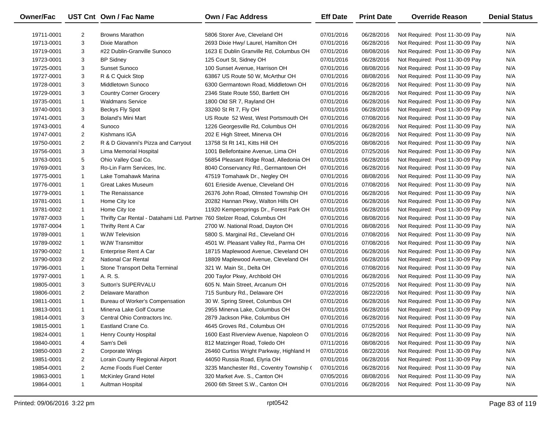| Owner/Fac  |                | UST Cnt Own / Fac Name                                                   | Own / Fac Address                        | <b>Eff Date</b> | <b>Print Date</b> | <b>Override Reason</b>          | <b>Denial Status</b> |
|------------|----------------|--------------------------------------------------------------------------|------------------------------------------|-----------------|-------------------|---------------------------------|----------------------|
| 19711-0001 | $\overline{2}$ | <b>Browns Marathon</b>                                                   | 5806 Storer Ave, Cleveland OH            | 07/01/2016      | 06/28/2016        | Not Required: Post 11-30-09 Pay | N/A                  |
| 19713-0001 | 3              | Dixie Marathon                                                           | 2693 Dixie Hwy/ Laurel, Hamilton OH      | 07/01/2016      | 06/28/2016        | Not Required: Post 11-30-09 Pay | N/A                  |
| 19719-0001 | 3              | #22 Dublin-Granville Sunoco                                              | 1623 E Dublin Granville Rd, Columbus OH  | 07/01/2016      | 08/08/2016        | Not Required: Post 11-30-09 Pay | N/A                  |
| 19723-0001 | 3              | <b>BP Sidney</b>                                                         | 125 Court St, Sidney OH                  | 07/01/2016      | 06/28/2016        | Not Required: Post 11-30-09 Pay | N/A                  |
| 19725-0001 | 3              | Sunset Sunoco                                                            | 100 Sunset Avenue, Harrison OH           | 07/01/2016      | 08/08/2016        | Not Required: Post 11-30-09 Pay | N/A                  |
| 19727-0001 | 3              | R & C Quick Stop                                                         | 63867 US Route 50 W, McArthur OH         | 07/01/2016      | 08/08/2016        | Not Required: Post 11-30-09 Pay | N/A                  |
| 19728-0001 | 3              | Middletown Sunoco                                                        | 6300 Germantown Road, Middletown OH      | 07/01/2016      | 06/28/2016        | Not Required: Post 11-30-09 Pay | N/A                  |
| 19729-0001 | 3              | <b>Country Corner Grocery</b>                                            | 2346 State Route 550, Bartlett OH        | 07/01/2016      | 06/28/2016        | Not Required: Post 11-30-09 Pay | N/A                  |
| 19735-0001 | $\mathbf{1}$   | <b>Waldmans Service</b>                                                  | 1800 Old SR 7, Rayland OH                | 07/01/2016      | 06/28/2016        | Not Required: Post 11-30-09 Pay | N/A                  |
| 19740-0001 | 3              | Beckys Fly Spot                                                          | 33260 St Rt 7, Fly OH                    | 07/01/2016      | 06/28/2016        | Not Required: Post 11-30-09 Pay | N/A                  |
| 19741-0001 | 3              | Boland's Mini Mart                                                       | US Route 52 West, West Portsmouth OH     | 07/01/2016      | 07/08/2016        | Not Required: Post 11-30-09 Pay | N/A                  |
| 19743-0001 | 4              | Sunoco                                                                   | 1226 Georgesville Rd, Columbus OH        | 07/01/2016      | 06/28/2016        | Not Required: Post 11-30-09 Pay | N/A                  |
| 19747-0001 | $\overline{2}$ | Kishmans IGA                                                             | 202 E High Street, Minerva OH            | 07/01/2016      | 06/28/2016        | Not Required: Post 11-30-09 Pay | N/A                  |
| 19750-0001 | $\overline{2}$ | R & D Giovanni's Pizza and Carryout                                      | 13758 St Rt 141, Kitts Hill OH           | 07/05/2016      | 08/08/2016        | Not Required: Post 11-30-09 Pay | N/A                  |
| 19756-0001 | 3              | Lima Memorial Hospital                                                   | 1001 Bellefontaine Avenue, Lima OH       | 07/01/2016      | 07/25/2016        | Not Required: Post 11-30-09 Pay | N/A                  |
| 19763-0001 | 5              | Ohio Valley Coal Co.                                                     | 56854 Pleasant Ridge Road, Alledonia OH  | 07/01/2016      | 06/28/2016        | Not Required: Post 11-30-09 Pay | N/A                  |
| 19769-0001 | 3              | Ro-Lin Farm Services, Inc.                                               | 8040 Conservancy Rd., Germantown OH      | 07/01/2016      | 06/28/2016        | Not Required: Post 11-30-09 Pay | N/A                  |
| 19775-0001 | $\mathbf{1}$   | Lake Tomahawk Marina                                                     | 47519 Tomahawk Dr., Negley OH            | 07/01/2016      | 08/08/2016        | Not Required: Post 11-30-09 Pay | N/A                  |
| 19776-0001 | $\mathbf{1}$   | <b>Great Lakes Museum</b>                                                | 601 Erieside Avenue, Cleveland OH        | 07/01/2016      | 07/08/2016        | Not Required: Post 11-30-09 Pay | N/A                  |
| 19779-0001 | $\mathbf{1}$   | The Renaissance                                                          | 26376 John Road, Olmsted Township OH     | 07/01/2016      | 06/28/2016        | Not Required: Post 11-30-09 Pay | N/A                  |
| 19781-0001 | $\mathbf{1}$   | Home City Ice                                                            | 20282 Hannan Pkwy, Walton Hills OH       | 07/01/2016      | 06/28/2016        | Not Required: Post 11-30-09 Pay | N/A                  |
| 19781-0002 | $\mathbf{1}$   | Home City Ice                                                            | 11920 Kempersprings Dr., Forest Park OH  | 07/01/2016      | 06/28/2016        | Not Required: Post 11-30-09 Pay | N/A                  |
| 19787-0003 | $\mathbf{1}$   | Thrifty Car Rental - Datahami Ltd. Partneı 760 Stelzer Road, Columbus OH |                                          | 07/01/2016      | 08/08/2016        | Not Required: Post 11-30-09 Pay | N/A                  |
| 19787-0004 | $\mathbf{1}$   | Thrifty Rent A Car                                                       | 2700 W. National Road, Dayton OH         | 07/01/2016      | 08/08/2016        | Not Required: Post 11-30-09 Pay | N/A                  |
| 19789-0001 | $\mathbf{1}$   | <b>WJW Television</b>                                                    | 5800 S. Marginal Rd., Cleveland OH       | 07/01/2016      | 07/08/2016        | Not Required: Post 11-30-09 Pay | N/A                  |
| 19789-0002 | $\mathbf{1}$   | <b>WJW Transmittor</b>                                                   | 4501 W. Pleasant Valley Rd., Parma OH    | 07/01/2016      | 07/08/2016        | Not Required: Post 11-30-09 Pay | N/A                  |
| 19790-0002 | $\mathbf{1}$   | Enterprise Rent A Car                                                    | 18715 Maplewood Avenue, Cleveland OH     | 07/01/2016      | 06/28/2016        | Not Required: Post 11-30-09 Pay | N/A                  |
| 19790-0003 | $\overline{2}$ | <b>National Car Rental</b>                                               | 18809 Maplewood Avenue, Cleveland OH     | 07/01/2016      | 06/28/2016        | Not Required: Post 11-30-09 Pay | N/A                  |
| 19796-0001 | $\mathbf{1}$   | Stone Transport Delta Terminal                                           | 321 W. Main St., Delta OH                | 07/01/2016      | 07/08/2016        | Not Required: Post 11-30-09 Pay | N/A                  |
| 19797-0001 | $\mathbf{1}$   | A. R. S.                                                                 | 200 Taylor Pkwy, Archbold OH             | 07/01/2016      | 06/28/2016        | Not Required: Post 11-30-09 Pay | N/A                  |
| 19805-0001 | 3              | Sutton's SUPERVALU                                                       | 605 N. Main Street, Arcanum OH           | 07/01/2016      | 07/25/2016        | Not Required: Post 11-30-09 Pay | N/A                  |
| 19806-0001 | $\overline{2}$ | Delaware Marathon                                                        | 715 Sunbury Rd., Delaware OH             | 07/22/2016      | 08/22/2016        | Not Required: Post 11-30-09 Pay | N/A                  |
| 19811-0001 | $\mathbf{1}$   | Bureau of Worker's Compensation                                          | 30 W. Spring Street, Columbus OH         | 07/01/2016      | 06/28/2016        | Not Required: Post 11-30-09 Pay | N/A                  |
| 19813-0001 | $\mathbf{1}$   | Minerva Lake Golf Course                                                 | 2955 Minerva Lake, Columbus OH           | 07/01/2016      | 06/28/2016        | Not Required: Post 11-30-09 Pay | N/A                  |
| 19814-0001 | 3              | Central Ohio Contractors Inc.                                            | 2879 Jackson Pike, Columbus OH           | 07/01/2016      | 06/28/2016        | Not Required: Post 11-30-09 Pay | N/A                  |
| 19815-0001 |                | Eastland Crane Co.                                                       | 4645 Groves Rd., Columbus OH             | 07/01/2016      | 07/25/2016        | Not Required: Post 11-30-09 Pay | N/A                  |
| 19824-0001 |                | Henry County Hospital                                                    | 1600 East Riverview Avenue, Napoleon O   | 07/01/2016      | 06/28/2016        | Not Required: Post 11-30-09 Pay | N/A                  |
| 19840-0001 | 4              | Sam's Deli                                                               | 812 Matzinger Road, Toledo OH            | 07/11/2016      | 08/08/2016        | Not Required: Post 11-30-09 Pay | N/A                  |
| 19850-0003 | 2              | Corporate Wings                                                          | 26460 Curtiss Wright Parkway, Highland H | 07/01/2016      | 08/22/2016        | Not Required: Post 11-30-09 Pay | N/A                  |
| 19851-0001 | 2              | Lorain County Regional Airport                                           | 44050 Russia Road, Elyria OH             | 07/01/2016      | 06/28/2016        | Not Required: Post 11-30-09 Pay | N/A                  |
| 19854-0001 | $\overline{2}$ | Acme Foods Fuel Center                                                   | 3235 Manchester Rd., Coventry Township ( | 07/01/2016      | 06/28/2016        | Not Required: Post 11-30-09 Pay | N/A                  |
| 19863-0001 | $\mathbf{1}$   | <b>McKinley Grand Hotel</b>                                              | 320 Market Ave. S., Canton OH            | 07/05/2016      | 08/08/2016        | Not Required: Post 11-30-09 Pay | N/A                  |
| 19864-0001 | $\mathbf{1}$   | Aultman Hospital                                                         | 2600 6th Street S.W., Canton OH          | 07/01/2016      | 06/28/2016        | Not Required: Post 11-30-09 Pay | N/A                  |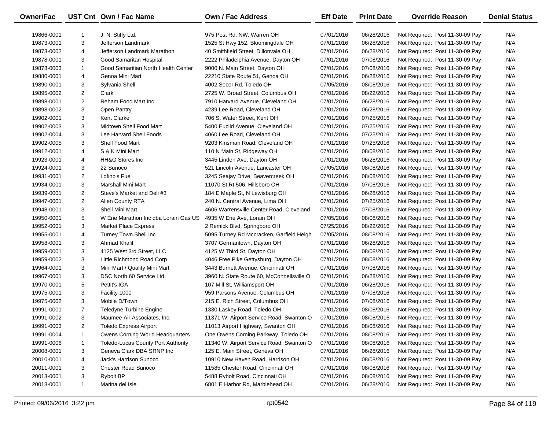| Owner/Fac  |                | UST Cnt Own / Fac Name                | <b>Own / Fac Address</b>                  | <b>Eff Date</b> | <b>Print Date</b> | <b>Override Reason</b>          | <b>Denial Status</b> |
|------------|----------------|---------------------------------------|-------------------------------------------|-----------------|-------------------|---------------------------------|----------------------|
| 19866-0001 | 1              | J. N. Stiffy Ltd.                     | 975 Post Rd. NW, Warren OH                | 07/01/2016      | 06/28/2016        | Not Required: Post 11-30-09 Pay | N/A                  |
| 19873-0001 | 3              | Jefferson Landmark                    | 1525 St Hwy 152, Bloomingdale OH          | 07/01/2016      | 06/28/2016        | Not Required: Post 11-30-09 Pay | N/A                  |
| 19873-0002 | 4              | Jefferson Landmark Marathon           | 40 Smithfield Street, Dillonvale OH       | 07/01/2016      | 06/28/2016        | Not Required: Post 11-30-09 Pay | N/A                  |
| 19878-0001 | 3              | Good Samaritan Hospital               | 2222 Philadelphia Avenue, Dayton OH       | 07/01/2016      | 07/08/2016        | Not Required: Post 11-30-09 Pay | N/A                  |
| 19878-0003 | 1              | Good Samaritian North Health Center   | 9000 N. Main Street, Dayton OH            | 07/01/2016      | 07/08/2016        | Not Required: Post 11-30-09 Pay | N/A                  |
| 19880-0001 | 4              | Genoa Mini Mart                       | 22210 State Route 51, Genoa OH            | 07/01/2016      | 06/28/2016        | Not Required: Post 11-30-09 Pay | N/A                  |
| 19890-0001 | 3              | Sylvania Shell                        | 4002 Secor Rd, Toledo OH                  | 07/05/2016      | 08/08/2016        | Not Required: Post 11-30-09 Pay | N/A                  |
| 19895-0002 | $\overline{2}$ | Clark                                 | 2725 W. Broad Street, Columbus OH         | 07/01/2016      | 08/22/2016        | Not Required: Post 11-30-09 Pay | N/A                  |
| 19898-0001 | $\overline{2}$ | Reham Food Mart Inc                   | 7910 Harvard Avenue, Cleveland OH         | 07/01/2016      | 06/28/2016        | Not Required: Post 11-30-09 Pay | N/A                  |
| 19898-0002 | 3              | Open Pantry                           | 4239 Lee Road, Cleveland OH               | 07/01/2016      | 06/28/2016        | Not Required: Post 11-30-09 Pay | N/A                  |
| 19902-0001 | 3              | <b>Kent Clarke</b>                    | 706 S. Water Street, Kent OH              | 07/01/2016      | 07/25/2016        | Not Required: Post 11-30-09 Pay | N/A                  |
| 19902-0003 | 3              | Midtown Shell Food Mart               | 5400 Euclid Avenue, Cleveland OH          | 07/01/2016      | 07/25/2016        | Not Required: Post 11-30-09 Pay | N/A                  |
| 19902-0004 | 3              | Lee Harvard Shell Foods               | 4060 Lee Road, Cleveland OH               | 07/01/2016      | 07/25/2016        | Not Required: Post 11-30-09 Pay | N/A                  |
| 19902-0005 | 3              | Shell Food Mart                       | 9203 Kinsman Road, Cleveland OH           | 07/01/2016      | 07/25/2016        | Not Required: Post 11-30-09 Pay | N/A                  |
| 19912-0001 | 4              | S & K Mini Mart                       | 110 N Main St, Ridgeway OH                | 07/01/2016      | 08/08/2016        | Not Required: Post 11-30-09 Pay | N/A                  |
| 19923-0001 | 4              | <b>HH&amp;G Stores Inc</b>            | 3445 Linden Ave, Dayton OH                | 07/01/2016      | 06/28/2016        | Not Required: Post 11-30-09 Pay | N/A                  |
| 19924-0001 | 3              | 22 Sunoco                             | 521 Lincoln Avenue, Lancaster OH          | 07/05/2016      | 08/08/2016        | Not Required: Post 11-30-09 Pay | N/A                  |
| 19931-0001 | $\overline{2}$ | Lofino's Fuel                         | 3245 Seajay Drive, Beavercreek OH         | 07/01/2016      | 08/08/2016        | Not Required: Post 11-30-09 Pay | N/A                  |
| 19934-0001 | 3              | Marshall Mini Mart                    | 11070 St Rt 506, Hillsboro OH             | 07/01/2016      | 07/08/2016        | Not Required: Post 11-30-09 Pay | N/A                  |
| 19939-0001 | $\overline{2}$ | Steve's Market and Deli #3            | 184 E Maple St, N Lewisburg OH            | 07/01/2016      | 06/28/2016        | Not Required: Post 11-30-09 Pay | N/A                  |
| 19947-0001 | $\overline{c}$ | Allen County RTA                      | 240 N. Central Avenue, Lima OH            | 07/01/2016      | 07/25/2016        | Not Required: Post 11-30-09 Pay | N/A                  |
| 19948-0001 | 3              | Shell Mini Mart                       | 4606 Warrensville Center Road, Cleveland  | 07/01/2016      | 07/08/2016        | Not Required: Post 11-30-09 Pay | N/A                  |
| 19950-0001 | 5              | W Erie Marathon Inc dba Lorain Gas US | 4935 W Erie Ave, Lorain OH                | 07/05/2016      | 08/08/2016        | Not Required: Post 11-30-09 Pay | N/A                  |
| 19952-0001 | 3              | <b>Market Place Express</b>           | 2 Remick Blvd, Springboro OH              | 07/25/2016      | 08/22/2016        | Not Required: Post 11-30-09 Pay | N/A                  |
| 19955-0001 | 4              | Turney Town Shell Inc                 | 5095 Turney Rd Mccracken, Garfield Heigh  | 07/05/2016      | 08/08/2016        | Not Required: Post 11-30-09 Pay | N/A                  |
| 19958-0001 | 3              | Ahmad Khalil                          | 3707 Germantown, Dayton OH                | 07/01/2016      | 06/28/2016        | Not Required: Post 11-30-09 Pay | N/A                  |
| 19959-0001 | 3              | 4125 West 3rd Street, LLC             | 4125 W Third St, Dayton OH                | 07/01/2016      | 08/08/2016        | Not Required: Post 11-30-09 Pay | N/A                  |
| 19959-0002 | 3              | Little Richmond Road Corp             | 4046 Free Pike Gettysburg, Dayton OH      | 07/01/2016      | 08/08/2016        | Not Required: Post 11-30-09 Pay | N/A                  |
| 19964-0001 | 3              | Mini Mart / Quality Mini Mart         | 3443 Burnett Avenue, Cincinnati OH        | 07/01/2016      | 07/08/2016        | Not Required: Post 11-30-09 Pay | N/A                  |
| 19967-0001 | 3              | DSC North 60 Service Ltd.             | 3960 N. State Route 60, McConnellsville O | 07/01/2016      | 06/28/2016        | Not Required: Post 11-30-09 Pay | N/A                  |
| 19970-0001 | 5              | Pettit's IGA                          | 107 Mill St, Williamsport OH              | 07/01/2016      | 06/28/2016        | Not Required: Post 11-30-09 Pay | N/A                  |
| 19975-0001 | 3              | Facility 1000                         | 959 Parsons Avenue, Columbus OH           | 07/01/2016      | 07/08/2016        | Not Required: Post 11-30-09 Pay | N/A                  |
| 19975-0002 | 3              | Mobile D/Town                         | 215 E. Rich Street, Columbus OH           | 07/01/2016      | 07/08/2016        | Not Required: Post 11-30-09 Pay | N/A                  |
| 19991-0001 | $\overline{7}$ | Teledyne Turbine Engine               | 1330 Laskey Road, Toledo OH               | 07/01/2016      | 08/08/2016        | Not Required: Post 11-30-09 Pay | N/A                  |
| 19991-0002 | 3              | Maumee Air Associates, Inc.           | 11371 W. Airport Service Road, Swanton O  | 07/01/2016      | 08/08/2016        | Not Required: Post 11-30-09 Pay | N/A                  |
| 19991-0003 | 2              | <b>Toledo Express Airport</b>         | 11013 Airport Highway, Swanton OH         | 07/01/2016      | 08/08/2016        | Not Required: Post 11-30-09 Pay | N/A                  |
| 19991-0004 | 1              | Owens Corning World Headquarters      | One Owens Corning Parkway, Toledo OH      | 07/01/2016      | 08/08/2016        | Not Required: Post 11-30-09 Pay | N/A                  |
| 19991-0006 | $\mathbf{1}$   | Toledo-Lucas County Port Authority    | 11340 W. Airport Service Road, Swanton O  | 07/01/2016      | 08/08/2016        | Not Required: Post 11-30-09 Pay | N/A                  |
| 20008-0001 | 3              | Geneva Clark DBA SRNP Inc             | 125 E. Main Street, Geneva OH             | 07/01/2016      | 06/28/2016        | Not Required: Post 11-30-09 Pay | N/A                  |
| 20010-0001 | 4              | <b>Jack's Harrison Sunoco</b>         | 10910 New Haven Road, Harrison OH         | 07/01/2016      | 08/08/2016        | Not Required: Post 11-30-09 Pay | N/A                  |
| 20011-0001 | 3              | <b>Chester Road Sunoco</b>            | 11585 Chester Road, Cincinnati OH         | 07/01/2016      | 08/08/2016        | Not Required: Post 11-30-09 Pay | N/A                  |
| 20013-0001 | 3              | Rybolt BP                             | 5488 Rybolt Road, Cincinnati OH           | 07/01/2016      | 08/08/2016        | Not Required: Post 11-30-09 Pay | N/A                  |
| 20018-0001 | $\mathbf{1}$   | Marina del Isle                       | 6801 E Harbor Rd, Marblehead OH           | 07/01/2016      | 06/28/2016        | Not Required: Post 11-30-09 Pay | N/A                  |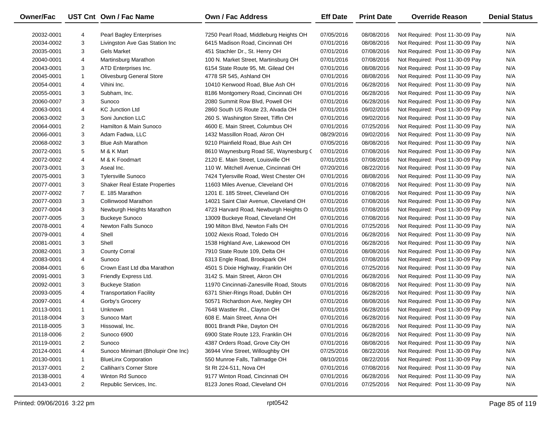| Owner/Fac  |                | UST Cnt Own / Fac Name               | Own / Fac Address                        | <b>Eff Date</b> | <b>Print Date</b> | <b>Override Reason</b>          | <b>Denial Status</b> |
|------------|----------------|--------------------------------------|------------------------------------------|-----------------|-------------------|---------------------------------|----------------------|
| 20032-0001 | 4              | <b>Pearl Bagley Enterprises</b>      | 7250 Pearl Road, Middleburg Heights OH   | 07/05/2016      | 08/08/2016        | Not Required: Post 11-30-09 Pay | N/A                  |
| 20034-0002 | 3              | Livingston Ave Gas Station Inc       | 6415 Madison Road, Cincinnati OH         | 07/01/2016      | 08/08/2016        | Not Required: Post 11-30-09 Pay | N/A                  |
| 20035-0001 | 3              | <b>Gels Market</b>                   | 451 Stachler Dr., St. Henry OH           | 07/01/2016      | 07/08/2016        | Not Required: Post 11-30-09 Pay | N/A                  |
| 20040-0001 | 4              | Martinsburg Marathon                 | 100 N. Market Street, Martinsburg OH     | 07/01/2016      | 07/08/2016        | Not Required: Post 11-30-09 Pay | N/A                  |
| 20043-0001 | 3              | ATD Enterprises Inc.                 | 6154 State Route 95, Mt. Gilead OH       | 07/01/2016      | 08/08/2016        | Not Required: Post 11-30-09 Pay | N/A                  |
| 20045-0001 | $\mathbf{1}$   | <b>Olivesburg General Store</b>      | 4778 SR 545, Ashland OH                  | 07/01/2016      | 08/08/2016        | Not Required: Post 11-30-09 Pay | N/A                  |
| 20054-0001 | 4              | Vihini Inc.                          | 10410 Kenwood Road, Blue Ash OH          | 07/01/2016      | 06/28/2016        | Not Required: Post 11-30-09 Pay | N/A                  |
| 20055-0001 | 3              | Subham, Inc.                         | 8186 Montgomery Road, Cincinnati OH      | 07/01/2016      | 06/28/2016        | Not Required: Post 11-30-09 Pay | N/A                  |
| 20060-0007 | 3              | Sunoco                               | 2080 Summit Row Blvd, Powell OH          | 07/01/2016      | 06/28/2016        | Not Required: Post 11-30-09 Pay | N/A                  |
| 20063-0001 | 4              | <b>KC Junction Ltd</b>               | 2860 South US Route 23, Alvada OH        | 07/01/2016      | 09/02/2016        | Not Required: Post 11-30-09 Pay | N/A                  |
| 20063-0002 | 3              | Soni Junction LLC                    | 260 S. Washington Street, Tiffin OH      | 07/01/2016      | 09/02/2016        | Not Required: Post 11-30-09 Pay | N/A                  |
| 20064-0001 | $\overline{2}$ | Hamilton & Main Sunoco               | 4600 E. Main Street, Columbus OH         | 07/01/2016      | 07/25/2016        | Not Required: Post 11-30-09 Pay | N/A                  |
| 20066-0001 | 3              | Adam Fadwa, LLC                      | 1432 Massillon Road, Akron OH            | 08/29/2016      | 09/02/2016        | Not Required: Post 11-30-09 Pay | N/A                  |
| 20068-0002 | 3              | <b>Blue Ash Marathon</b>             | 9210 Plainfield Road, Blue Ash OH        | 07/05/2016      | 08/08/2016        | Not Required: Post 11-30-09 Pay | N/A                  |
| 20072-0001 | 5              | M & K Mart                           | 8610 Waynesburg Road SE, Waynesburg C    | 07/01/2016      | 07/08/2016        | Not Required: Post 11-30-09 Pay | N/A                  |
| 20072-0002 | 4              | M & K Foodmart                       | 2120 E. Main Street, Louisville OH       | 07/01/2016      | 07/08/2016        | Not Required: Post 11-30-09 Pay | N/A                  |
| 20073-0001 | 3              | Aseal Inc.                           | 110 W. Mitchell Avenue, Cincinnati OH    | 07/20/2016      | 08/22/2016        | Not Required: Post 11-30-09 Pay | N/A                  |
| 20075-0001 | 3              | <b>Tylersville Sunoco</b>            | 7424 Tylersville Road, West Chester OH   | 07/01/2016      | 08/08/2016        | Not Required: Post 11-30-09 Pay | N/A                  |
| 20077-0001 | 3              | <b>Shaker Real Estate Properties</b> | 11603 Miles Avenue, Cleveland OH         | 07/01/2016      | 07/08/2016        | Not Required: Post 11-30-09 Pay | N/A                  |
| 20077-0002 | $\overline{7}$ | E. 185 Marathon                      | 1201 E. 185 Street, Cleveland OH         | 07/01/2016      | 07/08/2016        | Not Required: Post 11-30-09 Pay | N/A                  |
| 20077-0003 | 3              | Collinwood Marathon                  | 14021 Saint Clair Avenue, Cleveland OH   | 07/01/2016      | 07/08/2016        | Not Required: Post 11-30-09 Pay | N/A                  |
| 20077-0004 | 3              | Newburgh Heights Marathon            | 4723 Harvard Road, Newburgh Heights O    | 07/01/2016      | 07/08/2016        | Not Required: Post 11-30-09 Pay | N/A                  |
| 20077-0005 | 3              | <b>Buckeye Sunoco</b>                | 13009 Buckeye Road, Cleveland OH         | 07/01/2016      | 07/08/2016        | Not Required: Post 11-30-09 Pay | N/A                  |
| 20078-0001 | 4              | <b>Newton Falls Sunoco</b>           | 190 Milton Blvd, Newton Falls OH         | 07/01/2016      | 07/25/2016        | Not Required: Post 11-30-09 Pay | N/A                  |
| 20079-0001 | 4              | Shell                                | 1002 Alexis Road, Toledo OH              | 07/01/2016      | 06/28/2016        | Not Required: Post 11-30-09 Pay | N/A                  |
| 20081-0001 | 3              | Shell                                | 1538 Highland Ave, Lakewood OH           | 07/01/2016      | 06/28/2016        | Not Required: Post 11-30-09 Pay | N/A                  |
| 20082-0001 | 3              | <b>County Corral</b>                 | 7910 State Route 109, Delta OH           | 07/01/2016      | 08/08/2016        | Not Required: Post 11-30-09 Pay | N/A                  |
| 20083-0001 | 4              | Sunoco                               | 6313 Engle Road, Brookpark OH            | 07/01/2016      | 07/08/2016        | Not Required: Post 11-30-09 Pay | N/A                  |
| 20084-0001 | 6              | Crown East Ltd dba Marathon          | 4501 S Dixie Highway, Franklin OH        | 07/01/2016      | 07/25/2016        | Not Required: Post 11-30-09 Pay | N/A                  |
| 20091-0001 | 3              | Friendly Express Ltd.                | 3142 S. Main Street, Akron OH            | 07/01/2016      | 06/28/2016        | Not Required: Post 11-30-09 Pay | N/A                  |
| 20092-0001 | 3              | <b>Buckeye Station</b>               | 11970 Cincinnati-Zanesville Road, Stouts | 07/01/2016      | 08/08/2016        | Not Required: Post 11-30-09 Pay | N/A                  |
| 20093-0005 | 4              | <b>Transportation Facility</b>       | 6371 Shier-Rings Road, Dublin OH         | 07/01/2016      | 06/28/2016        | Not Required: Post 11-30-09 Pay | N/A                  |
| 20097-0001 | 4              | Gorby's Grocery                      | 50571 Richardson Ave, Negley OH          | 07/01/2016      | 08/08/2016        | Not Required: Post 11-30-09 Pay | N/A                  |
| 20113-0001 | $\mathbf{1}$   | Unknown                              | 7648 Wastler Rd., Clayton OH             | 07/01/2016      | 06/28/2016        | Not Required: Post 11-30-09 Pay | N/A                  |
| 20118-0004 | 3              | Sunoco Mart                          | 608 E. Main Street, Anna OH              | 07/01/2016      | 06/28/2016        | Not Required: Post 11-30-09 Pay | N/A                  |
| 20118-0005 | 3              | Hissowal, Inc.                       | 8001 Brandt Pike, Dayton OH              | 07/01/2016      | 06/28/2016        | Not Required: Post 11-30-09 Pay | N/A                  |
| 20118-0006 | 2              | Sunoco 6900                          | 6900 State Route 123, Franklin OH        | 07/01/2016      | 06/28/2016        | Not Required: Post 11-30-09 Pay | N/A                  |
| 20119-0001 | 2              | Sunoco                               | 4387 Orders Road, Grove City OH          | 07/01/2016      | 08/08/2016        | Not Required: Post 11-30-09 Pay | N/A                  |
| 20124-0001 | 4              | Sunoco Minimart (Bholupir One Inc)   | 36944 Vine Street, Willoughby OH         | 07/25/2016      | 08/22/2016        | Not Required: Post 11-30-09 Pay | N/A                  |
| 20130-0001 | 1              | <b>BlueLinx Corporation</b>          | 550 Munroe Falls, Tallmadge OH           | 08/10/2016      | 08/22/2016        | Not Required: Post 11-30-09 Pay | N/A                  |
| 20137-0001 | 2              | Callihan's Corner Store              | St Rt 224-511, Nova OH                   | 07/01/2016      | 07/08/2016        | Not Required: Post 11-30-09 Pay | N/A                  |
| 20138-0001 | 4              | Winton Rd Sunoco                     | 9177 Winton Road, Cincinnati OH          | 07/01/2016      | 06/28/2016        | Not Required: Post 11-30-09 Pay | N/A                  |
| 20143-0001 | $\overline{2}$ | Republic Services, Inc.              | 8123 Jones Road, Cleveland OH            | 07/01/2016      | 07/25/2016        | Not Required: Post 11-30-09 Pay | N/A                  |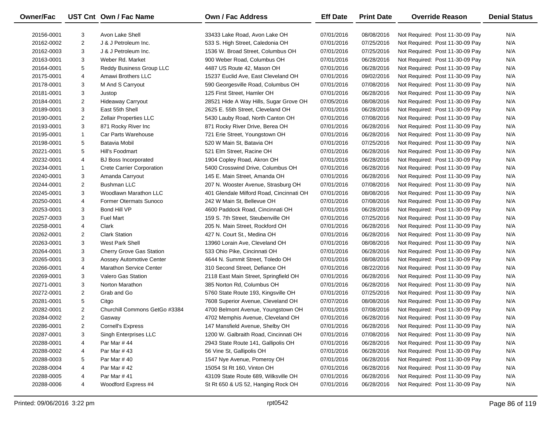| Owner/Fac  |                | UST Cnt Own / Fac Name           | <b>Own / Fac Address</b>                 | <b>Eff Date</b> | <b>Print Date</b> | <b>Override Reason</b>          | <b>Denial Status</b> |
|------------|----------------|----------------------------------|------------------------------------------|-----------------|-------------------|---------------------------------|----------------------|
| 20156-0001 | 3              | Avon Lake Shell                  | 33433 Lake Road, Avon Lake OH            | 07/01/2016      | 08/08/2016        | Not Required: Post 11-30-09 Pay | N/A                  |
| 20162-0002 | $\overline{2}$ | J & J Petroleum Inc.             | 533 S. High Street, Caledonia OH         | 07/01/2016      | 07/25/2016        | Not Required: Post 11-30-09 Pay | N/A                  |
| 20162-0003 | 3              | J & J Petroleum Inc.             | 1536 W. Broad Street, Columbus OH        | 07/01/2016      | 07/25/2016        | Not Required: Post 11-30-09 Pay | N/A                  |
| 20163-0001 | 3              | Weber Rd. Market                 | 900 Weber Road, Columbus OH              | 07/01/2016      | 06/28/2016        | Not Required: Post 11-30-09 Pay | N/A                  |
| 20164-0001 | 5              | Reddy Business Group LLC         | 4487 US Route 42, Mason OH               | 07/01/2016      | 06/28/2016        | Not Required: Post 11-30-09 Pay | N/A                  |
| 20175-0001 | 4              | Amawi Brothers LLC               | 15237 Euclid Ave, East Cleveland OH      | 07/01/2016      | 09/02/2016        | Not Required: Post 11-30-09 Pay | N/A                  |
| 20178-0001 | 3              | M And S Carryout                 | 590 Georgesville Road, Columbus OH       | 07/01/2016      | 07/08/2016        | Not Required: Post 11-30-09 Pay | N/A                  |
| 20181-0001 | 3              | Justop                           | 125 First Street, Hamler OH              | 07/01/2016      | 06/28/2016        | Not Required: Post 11-30-09 Pay | N/A                  |
| 20184-0001 | $\overline{2}$ | <b>Hideaway Carryout</b>         | 28521 Hide A Way Hills, Sugar Grove OH   | 07/05/2016      | 08/08/2016        | Not Required: Post 11-30-09 Pay | N/A                  |
| 20189-0001 | 3              | East 55th Shell                  | 2625 E. 55th Street, Cleveland OH        | 07/01/2016      | 06/28/2016        | Not Required: Post 11-30-09 Pay | N/A                  |
| 20190-0001 | $\overline{2}$ | <b>Zellair Properties LLC</b>    | 5430 Lauby Road, North Canton OH         | 07/01/2016      | 07/08/2016        | Not Required: Post 11-30-09 Pay | N/A                  |
| 20193-0001 | 3              | 871 Rocky River Inc              | 871 Rocky River Drive, Berea OH          | 07/01/2016      | 06/28/2016        | Not Required: Post 11-30-09 Pay | N/A                  |
| 20195-0001 | $\mathbf{1}$   | Car Parts Warehouse              | 721 Erie Street, Youngstown OH           | 07/01/2016      | 06/28/2016        | Not Required: Post 11-30-09 Pay | N/A                  |
| 20198-0001 | 5              | Batavia Mobil                    | 520 W Main St, Batavia OH                | 07/01/2016      | 07/25/2016        | Not Required: Post 11-30-09 Pay | N/A                  |
| 20221-0001 | 5              | Hill's Foodmart                  | 521 Elm Street, Racine OH                | 07/01/2016      | 06/28/2016        | Not Required: Post 11-30-09 Pay | N/A                  |
| 20232-0001 | 4              | <b>BJ Boss Incorporated</b>      | 1904 Copley Road, Akron OH               | 07/01/2016      | 06/28/2016        | Not Required: Post 11-30-09 Pay | N/A                  |
| 20234-0001 | $\mathbf{1}$   | <b>Crete Carrier Corporation</b> | 5400 Crosswind Drive, Columbus OH        | 07/01/2016      | 06/28/2016        | Not Required: Post 11-30-09 Pay | N/A                  |
| 20240-0001 | 3              | Amanda Carryout                  | 145 E. Main Street, Amanda OH            | 07/01/2016      | 06/28/2016        | Not Required: Post 11-30-09 Pay | N/A                  |
| 20244-0001 | $\overline{2}$ | <b>Bushman LLC</b>               | 207 N. Wooster Avenue, Strasburg OH      | 07/01/2016      | 07/08/2016        | Not Required: Post 11-30-09 Pay | N/A                  |
| 20245-0001 | 3              | Woodlawn Marathon LLC            | 401 Glendale Milford Road, Cincinnati OH | 07/01/2016      | 08/08/2016        | Not Required: Post 11-30-09 Pay | N/A                  |
| 20250-0001 | 4              | <b>Former Otermats Sunoco</b>    | 242 W Main St, Bellevue OH               | 07/01/2016      | 07/08/2016        | Not Required: Post 11-30-09 Pay | N/A                  |
| 20253-0001 | 3              | Bond Hill VP                     | 4600 Paddock Road, Cincinnati OH         | 07/01/2016      | 06/28/2016        | Not Required: Post 11-30-09 Pay | N/A                  |
| 20257-0003 | 3              | <b>Fuel Mart</b>                 | 159 S. 7th Street, Steubenville OH       | 07/01/2016      | 07/25/2016        | Not Required: Post 11-30-09 Pay | N/A                  |
| 20258-0001 | 4              | Clark                            | 205 N. Main Street, Rockford OH          | 07/01/2016      | 06/28/2016        | Not Required: Post 11-30-09 Pay | N/A                  |
| 20262-0001 | $\overline{2}$ | <b>Clark Station</b>             | 427 N. Court St., Medina OH              | 07/01/2016      | 06/28/2016        | Not Required: Post 11-30-09 Pay | N/A                  |
| 20263-0001 | 3              | <b>West Park Shell</b>           | 13960 Lorain Ave, Cleveland OH           | 07/01/2016      | 08/08/2016        | Not Required: Post 11-30-09 Pay | N/A                  |
| 20264-0001 | 3              | Cherry Grove Gas Station         | 533 Ohio Pike, Cincinnati OH             | 07/01/2016      | 06/28/2016        | Not Required: Post 11-30-09 Pay | N/A                  |
| 20265-0001 | 3              | Aossey Automotive Center         | 4644 N. Summit Street, Toledo OH         | 07/01/2016      | 08/08/2016        | Not Required: Post 11-30-09 Pay | N/A                  |
| 20266-0001 | 4              | <b>Marathon Service Center</b>   | 310 Second Street, Defiance OH           | 07/01/2016      | 08/22/2016        | Not Required: Post 11-30-09 Pay | N/A                  |
| 20269-0001 | 3              | <b>Valero Gas Station</b>        | 2118 East Main Street, Springfield OH    | 07/01/2016      | 06/28/2016        | Not Required: Post 11-30-09 Pay | N/A                  |
| 20271-0001 | 3              | Norton Marathon                  | 385 Norton Rd, Columbus OH               | 07/01/2016      | 06/28/2016        | Not Required: Post 11-30-09 Pay | N/A                  |
| 20272-0001 | $\overline{2}$ | Grab and Go                      | 5760 State Route 193, Kingsville OH      | 07/01/2016      | 07/25/2016        | Not Required: Post 11-30-09 Pay | N/A                  |
| 20281-0001 | 5              | Citgo                            | 7608 Superior Avenue, Cleveland OH       | 07/07/2016      | 08/08/2016        | Not Required: Post 11-30-09 Pay | N/A                  |
| 20282-0001 | $\overline{2}$ | Churchill Commons GetGo #3384    | 4700 Belmont Avenue, Youngstown OH       | 07/01/2016      | 07/08/2016        | Not Required: Post 11-30-09 Pay | N/A                  |
| 20284-0002 | $\overline{2}$ | Gasway                           | 4702 Memphis Avenue, Cleveland OH        | 07/01/2016      | 06/28/2016        | Not Required: Post 11-30-09 Pay | N/A                  |
| 20286-0001 | 2              | <b>Cornell's Express</b>         | 147 Mansfield Avenue, Shelby OH          | 07/01/2016      | 06/28/2016        | Not Required: Post 11-30-09 Pay | N/A                  |
| 20287-0001 | 3              | Singh Enterprises LLC            | 1200 W. Galbraith Road, Cincinnati OH    | 07/01/2016      | 07/08/2016        | Not Required: Post 11-30-09 Pay | N/A                  |
| 20288-0001 | 4              | Par Mar #44                      | 2943 State Route 141, Gallipolis OH      | 07/01/2016      | 06/28/2016        | Not Required: Post 11-30-09 Pay | N/A                  |
| 20288-0002 | 4              | Par Mar #43                      | 56 Vine St, Gallipolis OH                | 07/01/2016      | 06/28/2016        | Not Required: Post 11-30-09 Pay | N/A                  |
| 20288-0003 | 5              | Par Mar #40                      | 1547 Nye Avenue, Pomeroy OH              | 07/01/2016      | 06/28/2016        | Not Required: Post 11-30-09 Pay | N/A                  |
| 20288-0004 | 4              | Par Mar #42                      | 15054 St Rt 160, Vinton OH               | 07/01/2016      | 06/28/2016        | Not Required: Post 11-30-09 Pay | N/A                  |
| 20288-0005 | 4              | Par Mar # 41                     | 43109 State Route 689, Wilksville OH     | 07/01/2016      | 06/28/2016        | Not Required: Post 11-30-09 Pay | N/A                  |
| 20288-0006 | 4              | Woodford Express #4              | St Rt 650 & US 52, Hanging Rock OH       | 07/01/2016      | 06/28/2016        | Not Required: Post 11-30-09 Pay | N/A                  |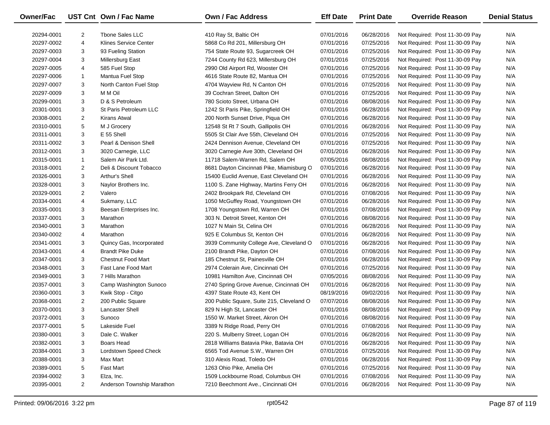| Owner/Fac  |                | UST Cnt Own / Fac Name       | <b>Own / Fac Address</b>                  | <b>Eff Date</b> | <b>Print Date</b> | <b>Override Reason</b>          | <b>Denial Status</b> |
|------------|----------------|------------------------------|-------------------------------------------|-----------------|-------------------|---------------------------------|----------------------|
| 20294-0001 | $\overline{2}$ | <b>Thone Sales LLC</b>       | 410 Ray St, Baltic OH                     | 07/01/2016      | 06/28/2016        | Not Required: Post 11-30-09 Pay | N/A                  |
| 20297-0002 | 4              | <b>Klines Service Center</b> | 5868 Co Rd 201, Millersburg OH            | 07/01/2016      | 07/25/2016        | Not Required: Post 11-30-09 Pay | N/A                  |
| 20297-0003 | 3              | 93 Fueling Station           | 754 State Route 93, Sugarcreek OH         | 07/01/2016      | 07/25/2016        | Not Required: Post 11-30-09 Pay | N/A                  |
| 20297-0004 | 3              | Millersburg East             | 7244 County Rd 623, Millersburg OH        | 07/01/2016      | 07/25/2016        | Not Required: Post 11-30-09 Pay | N/A                  |
| 20297-0005 | 4              | 585 Fuel Stop                | 2990 Old Airport Rd, Wooster OH           | 07/01/2016      | 07/25/2016        | Not Required: Post 11-30-09 Pay | N/A                  |
| 20297-0006 | $\mathbf{1}$   | Mantua Fuel Stop             | 4616 State Route 82, Mantua OH            | 07/01/2016      | 07/25/2016        | Not Required: Post 11-30-09 Pay | N/A                  |
| 20297-0007 | 3              | North Canton Fuel Stop       | 4704 Wayview Rd, N Canton OH              | 07/01/2016      | 07/25/2016        | Not Required: Post 11-30-09 Pay | N/A                  |
| 20297-0009 | 3              | M M Oil                      | 39 Cochran Street, Dalton OH              | 07/01/2016      | 07/25/2016        | Not Required: Post 11-30-09 Pay | N/A                  |
| 20299-0001 | 3              | D & S Petroleum              | 780 Scioto Street, Urbana OH              | 07/01/2016      | 08/08/2016        | Not Required: Post 11-30-09 Pay | N/A                  |
| 20301-0001 | 3              | St Paris Petroleum LLC       | 1242 St Paris Pike, Springfield OH        | 07/01/2016      | 06/28/2016        | Not Required: Post 11-30-09 Pay | N/A                  |
| 20308-0001 | 2              | Kirans Atwal                 | 200 North Sunset Drive, Piqua OH          | 07/01/2016      | 06/28/2016        | Not Required: Post 11-30-09 Pay | N/A                  |
| 20310-0001 | 5              | M J Grocery                  | 12548 St Rt 7 South, Gallipolis OH        | 07/01/2016      | 06/28/2016        | Not Required: Post 11-30-09 Pay | N/A                  |
| 20311-0001 | 3              | E 55 Shell                   | 5505 St Clair Ave 55th, Cleveland OH      | 07/01/2016      | 07/25/2016        | Not Required: Post 11-30-09 Pay | N/A                  |
| 20311-0002 | 3              | Pearl & Denison Shell        | 2424 Dennison Avenue, Cleveland OH        | 07/01/2016      | 07/25/2016        | Not Required: Post 11-30-09 Pay | N/A                  |
| 20312-0001 | 3              | 3020 Carnegie, LLC           | 3020 Carnegie Ave 30th, Cleveland OH      | 07/01/2016      | 06/28/2016        | Not Required: Post 11-30-09 Pay | N/A                  |
| 20315-0001 | $\mathbf{1}$   | Salem Air Park Ltd.          | 11718 Salem-Warren Rd, Salem OH           | 07/05/2016      | 08/08/2016        | Not Required: Post 11-30-09 Pay | N/A                  |
| 20318-0001 | 2              | Deli & Discount Tobacco      | 8681 Dayton Cincinnati Pike, Miamisburg O | 07/01/2016      | 06/28/2016        | Not Required: Post 11-30-09 Pay | N/A                  |
| 20326-0001 | 3              | Arthur's Shell               | 15400 Euclid Avenue, East Cleveland OH    | 07/01/2016      | 06/28/2016        | Not Required: Post 11-30-09 Pay | N/A                  |
| 20328-0001 | 3              | Naylor Brothers Inc.         | 1100 S. Zane Highway, Martins Ferry OH    | 07/01/2016      | 06/28/2016        | Not Required: Post 11-30-09 Pay | N/A                  |
| 20329-0001 | $\overline{2}$ | Valero                       | 2402 Brookpark Rd, Cleveland OH           | 07/01/2016      | 07/08/2016        | Not Required: Post 11-30-09 Pay | N/A                  |
| 20334-0001 | 4              | Sukmany, LLC                 | 1050 McGuffey Road, Youngstown OH         | 07/01/2016      | 06/28/2016        | Not Required: Post 11-30-09 Pay | N/A                  |
| 20335-0001 | 3              | Beesan Enterprises Inc.      | 1708 Youngstown Rd, Warren OH             | 07/01/2016      | 07/08/2016        | Not Required: Post 11-30-09 Pay | N/A                  |
| 20337-0001 | 3              | Marathon                     | 303 N. Detroit Street, Kenton OH          | 07/01/2016      | 08/08/2016        | Not Required: Post 11-30-09 Pay | N/A                  |
| 20340-0001 | 3              | Marathon                     | 1027 N Main St, Celina OH                 | 07/01/2016      | 06/28/2016        | Not Required: Post 11-30-09 Pay | N/A                  |
| 20340-0002 | 4              | Marathon                     | 925 E Columbus St, Kenton OH              | 07/01/2016      | 06/28/2016        | Not Required: Post 11-30-09 Pay | N/A                  |
| 20341-0001 | 3              | Quincy Gas, Incorporated     | 3939 Community College Ave, Cleveland O   | 07/01/2016      | 06/28/2016        | Not Required: Post 11-30-09 Pay | N/A                  |
| 20343-0001 | 4              | <b>Brandt Pike Duke</b>      | 2100 Brandt Pike, Dayton OH               | 07/01/2016      | 07/08/2016        | Not Required: Post 11-30-09 Pay | N/A                  |
| 20347-0001 | 3              | <b>Chestnut Food Mart</b>    | 185 Chestnut St, Painesville OH           | 07/01/2016      | 06/28/2016        | Not Required: Post 11-30-09 Pay | N/A                  |
| 20348-0001 | 3              | Fast Lane Food Mart          | 2974 Colerain Ave, Cincinnati OH          | 07/01/2016      | 07/25/2016        | Not Required: Post 11-30-09 Pay | N/A                  |
| 20349-0001 | 3              | 7 Hills Marathon             | 10981 Hamilton Ave, Cincinnati OH         | 07/05/2016      | 08/08/2016        | Not Required: Post 11-30-09 Pay | N/A                  |
| 20357-0001 | 3              | Camp Washington Sunoco       | 2740 Spring Grove Avenue, Cincinnati OH   | 07/01/2016      | 06/28/2016        | Not Required: Post 11-30-09 Pay | N/A                  |
| 20360-0001 | 3              | Kwik Stop - Citgo            | 4397 State Route 43, Kent OH              | 08/19/2016      | 09/02/2016        | Not Required: Post 11-30-09 Pay | N/A                  |
| 20368-0001 | 2              | 200 Public Square            | 200 Public Square, Suite 215, Cleveland O | 07/07/2016      | 08/08/2016        | Not Required: Post 11-30-09 Pay | N/A                  |
| 20370-0001 | 3              | <b>Lancaster Shell</b>       | 829 N High St, Lancaster OH               | 07/01/2016      | 08/08/2016        | Not Required: Post 11-30-09 Pay | N/A                  |
| 20372-0001 | 3              | Sunoco                       | 1550 W. Market Street, Akron OH           | 07/01/2016      | 08/08/2016        | Not Required: Post 11-30-09 Pay | N/A                  |
| 20377-0001 | 5              | Lakeside Fuel                | 3389 N Ridge Road, Perry OH               | 07/01/2016      | 07/08/2016        | Not Required: Post 11-30-09 Pay | N/A                  |
| 20380-0001 | 3              | Dale C. Walker               | 220 S. Mulberry Street, Logan OH          | 07/01/2016      | 06/28/2016        | Not Required: Post 11-30-09 Pay | N/A                  |
| 20382-0001 | 3              | Boars Head                   | 2818 Williams Batavia Pike, Batavia OH    | 07/01/2016      | 06/28/2016        | Not Required: Post 11-30-09 Pay | N/A                  |
| 20384-0001 | 3              | Lordstown Speed Check        | 6565 Tod Avenue S.W., Warren OH           | 07/01/2016      | 07/25/2016        | Not Required: Post 11-30-09 Pay | N/A                  |
| 20388-0001 | 3              | Max Mart                     | 310 Alexis Road, Toledo OH                | 07/01/2016      | 06/28/2016        | Not Required: Post 11-30-09 Pay | N/A                  |
| 20389-0001 | 5              | <b>Fast Mart</b>             | 1263 Ohio Pike, Amelia OH                 | 07/01/2016      | 07/25/2016        | Not Required: Post 11-30-09 Pay | N/A                  |
| 20394-0002 | 3              | Elza, Inc.                   | 1509 Lockbourne Road, Columbus OH         | 07/01/2016      | 07/08/2016        | Not Required: Post 11-30-09 Pay | N/A                  |
| 20395-0001 | $\overline{2}$ | Anderson Township Marathon   | 7210 Beechmont Ave., Cincinnati OH        | 07/01/2016      | 06/28/2016        | Not Required: Post 11-30-09 Pay | N/A                  |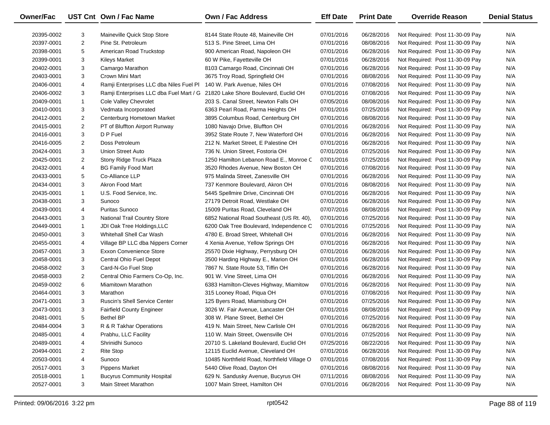| Owner/Fac  |                | UST Cnt Own / Fac Name                  | Own / Fac Address                           | <b>Eff Date</b> | <b>Print Date</b> | <b>Override Reason</b>          | <b>Denial Status</b> |
|------------|----------------|-----------------------------------------|---------------------------------------------|-----------------|-------------------|---------------------------------|----------------------|
| 20395-0002 | 3              | Maineville Quick Stop Store             | 8144 State Route 48, Maineville OH          | 07/01/2016      | 06/28/2016        | Not Required: Post 11-30-09 Pay | N/A                  |
| 20397-0001 | $\overline{2}$ | Pine St. Petroleum                      | 513 S. Pine Street, Lima OH                 | 07/01/2016      | 08/08/2016        | Not Required: Post 11-30-09 Pay | N/A                  |
| 20398-0001 | 5              | American Road Truckstop                 | 900 American Road, Napoleon OH              | 07/01/2016      | 06/28/2016        | Not Required: Post 11-30-09 Pay | N/A                  |
| 20399-0001 | 3              | <b>Kileys Market</b>                    | 60 W Pike, Fayetteville OH                  | 07/01/2016      | 06/28/2016        | Not Required: Post 11-30-09 Pay | N/A                  |
| 20402-0001 | 3              | Camargo Marathon                        | 8103 Camargo Road, Cincinnati OH            | 07/01/2016      | 06/28/2016        | Not Required: Post 11-30-09 Pay | N/A                  |
| 20403-0001 | 3              | Crown Mini Mart                         | 3675 Troy Road, Springfield OH              | 07/01/2016      | 08/08/2016        | Not Required: Post 11-30-09 Pay | N/A                  |
| 20406-0001 | 4              | Ramji Enterprises LLC dba Niles Fuel Pl | 140 W. Park Avenue, Niles OH                | 07/01/2016      | 07/08/2016        | Not Required: Post 11-30-09 Pay | N/A                  |
| 20406-0002 | 3              | Ramji Enterprises LLC dba Fuel Mart / G | 21820 Lake Shore Boulevard, Euclid OH       | 07/01/2016      | 07/08/2016        | Not Required: Post 11-30-09 Pay | N/A                  |
| 20409-0001 | $\mathbf{1}$   | Cole Valley Chevrolet                   | 203 S. Canal Street, Newton Falls OH        | 07/05/2016      | 08/08/2016        | Not Required: Post 11-30-09 Pay | N/A                  |
| 20410-0001 | 3              | Vedmata Incorporated                    | 6363 Pearl Road, Parma Heights OH           | 07/01/2016      | 07/25/2016        | Not Required: Post 11-30-09 Pay | N/A                  |
| 20412-0001 | $\overline{2}$ | Centerburg Hometown Market              | 3895 Columbus Road, Centerburg OH           | 07/01/2016      | 08/08/2016        | Not Required: Post 11-30-09 Pay | N/A                  |
| 20415-0001 | $\overline{2}$ | PT of Bluffton Airport Runway           | 1080 Navajo Drive, Bluffton OH              | 07/01/2016      | 06/28/2016        | Not Required: Post 11-30-09 Pay | N/A                  |
| 20416-0001 | 3              | D P Fuel                                | 3952 State Route 7, New Waterford OH        | 07/01/2016      | 06/28/2016        | Not Required: Post 11-30-09 Pay | N/A                  |
| 20416-0005 | $\overline{2}$ | Doss Petroleum                          | 212 N. Market Street, E Palestine OH        | 07/01/2016      | 06/28/2016        | Not Required: Post 11-30-09 Pay | N/A                  |
| 20424-0001 | 3              | Union Street Auto                       | 736 N. Union Street, Fostoria OH            | 07/01/2016      | 07/25/2016        | Not Required: Post 11-30-09 Pay | N/A                  |
| 20425-0001 | $\overline{2}$ | Stony Ridge Truck Plaza                 | 1250 Hamilton Lebanon Road E., Monroe C     | 07/01/2016      | 07/25/2016        | Not Required: Post 11-30-09 Pay | N/A                  |
| 20432-0001 | 4              | <b>BG Family Food Mart</b>              | 3520 Rhodes Avenue, New Boston OH           | 07/01/2016      | 07/08/2016        | Not Required: Post 11-30-09 Pay | N/A                  |
| 20433-0001 | 5              | Co-Alliance LLP                         | 975 Malinda Street, Zanesville OH           | 07/01/2016      | 06/28/2016        | Not Required: Post 11-30-09 Pay | N/A                  |
| 20434-0001 | 3              | Akron Food Mart                         | 737 Kenmore Boulevard, Akron OH             | 07/01/2016      | 08/08/2016        | Not Required: Post 11-30-09 Pay | N/A                  |
| 20435-0001 | $\mathbf{1}$   | U.S. Food Service, Inc.                 | 5445 Spellmire Drive, Cincinnati OH         | 07/01/2016      | 06/28/2016        | Not Required: Post 11-30-09 Pay | N/A                  |
| 20438-0001 | 3              | Sunoco                                  | 27179 Detroit Road, Westlake OH             | 07/01/2016      | 06/28/2016        | Not Required: Post 11-30-09 Pay | N/A                  |
| 20439-0001 | 4              | <b>Puritas Sunoco</b>                   | 15009 Puritas Road, Cleveland OH            | 07/07/2016      | 08/08/2016        | Not Required: Post 11-30-09 Pay | N/A                  |
| 20443-0001 | 3              | National Trail Country Store            | 6852 National Road Southeast (US Rt. 40),   | 07/01/2016      | 07/25/2016        | Not Required: Post 11-30-09 Pay | N/A                  |
| 20449-0001 | $\mathbf{1}$   | JDI Oak Tree Holdings, LLC              | 6200 Oak Tree Boulevard, Independence C     | 07/01/2016      | 07/25/2016        | Not Required: Post 11-30-09 Pay | N/A                  |
| 20450-0001 | 3              | Whitehall Shell Car Wash                | 4780 E. Broad Street, Whitehall OH          | 07/01/2016      | 06/28/2016        | Not Required: Post 11-30-09 Pay | N/A                  |
| 20455-0001 | 4              | Village BP LLC dba Nippers Corner       | 4 Xenia Avenue, Yellow Springs OH           | 07/01/2016      | 06/28/2016        | Not Required: Post 11-30-09 Pay | N/A                  |
| 20457-0001 | 3              | Exxon Convenience Store                 | 25570 Dixie Highway, Perrysburg OH          | 07/01/2016      | 06/28/2016        | Not Required: Post 11-30-09 Pay | N/A                  |
| 20458-0001 | 3              | Central Ohio Fuel Depot                 | 3500 Harding Highway E., Marion OH          | 07/01/2016      | 06/28/2016        | Not Required: Post 11-30-09 Pay | N/A                  |
| 20458-0002 | 3              | Card-N-Go Fuel Stop                     | 7867 N. State Route 53, Tiffin OH           | 07/01/2016      | 06/28/2016        | Not Required: Post 11-30-09 Pay | N/A                  |
| 20458-0003 | $\overline{2}$ | Central Ohio Farmers Co-Op, Inc.        | 901 W. Vine Street, Lima OH                 | 07/01/2016      | 06/28/2016        | Not Required: Post 11-30-09 Pay | N/A                  |
| 20459-0002 | 6              | Miamitown Marathon                      | 6383 Hamilton-Cleves Highway, Miamitow      | 07/01/2016      | 06/28/2016        | Not Required: Post 11-30-09 Pay | N/A                  |
| 20464-0001 | 3              | Marathon                                | 315 Looney Road, Piqua OH                   | 07/01/2016      | 07/08/2016        | Not Required: Post 11-30-09 Pay | N/A                  |
| 20471-0001 | 3              | <b>Ruscin's Shell Service Center</b>    | 125 Byers Road, Miamisburg OH               | 07/01/2016      | 07/25/2016        | Not Required: Post 11-30-09 Pay | N/A                  |
| 20473-0001 | 3              | <b>Fairfield County Engineer</b>        | 3026 W. Fair Avenue, Lancaster OH           | 07/01/2016      | 08/08/2016        | Not Required: Post 11-30-09 Pay | N/A                  |
| 20481-0001 | 5              | <b>Bethel BP</b>                        | 308 W. Plane Street, Bethel OH              | 07/01/2016      | 07/25/2016        | Not Required: Post 11-30-09 Pay | N/A                  |
| 20484-0004 | 3              | R & R Takhar Operations                 | 419 N. Main Street, New Carlisle OH         | 07/01/2016      | 06/28/2016        | Not Required: Post 11-30-09 Pay | N/A                  |
| 20485-0001 | 4              | Prabhu, LLC Facility                    | 110 W. Main Street, Owensville OH           | 07/01/2016      | 07/25/2016        | Not Required: Post 11-30-09 Pay | N/A                  |
| 20489-0001 | 4              | Shrinidhi Sunoco                        | 20710 S. Lakeland Boulevard, Euclid OH      | 07/25/2016      | 08/22/2016        | Not Required: Post 11-30-09 Pay | N/A                  |
| 20494-0001 | 2              | <b>Rite Stop</b>                        | 12115 Euclid Avenue, Cleveland OH           | 07/01/2016      | 06/28/2016        | Not Required: Post 11-30-09 Pay | N/A                  |
| 20503-0001 | 4              | Sunoco                                  | 10485 Northfield Road, Northfield Village O | 07/01/2016      | 07/08/2016        | Not Required: Post 11-30-09 Pay | N/A                  |
| 20517-0001 | 3              | <b>Pippens Market</b>                   | 5440 Olive Road, Dayton OH                  | 07/01/2016      | 08/08/2016        | Not Required: Post 11-30-09 Pay | N/A                  |
| 20518-0001 | 1              | <b>Bucyrus Community Hospital</b>       | 629 N. Sandusky Avenue, Bucyrus OH          | 07/11/2016      | 08/08/2016        | Not Required: Post 11-30-09 Pay | N/A                  |
| 20527-0001 | 3              | Main Street Marathon                    | 1007 Main Street, Hamilton OH               | 07/01/2016      | 06/28/2016        | Not Required: Post 11-30-09 Pay | N/A                  |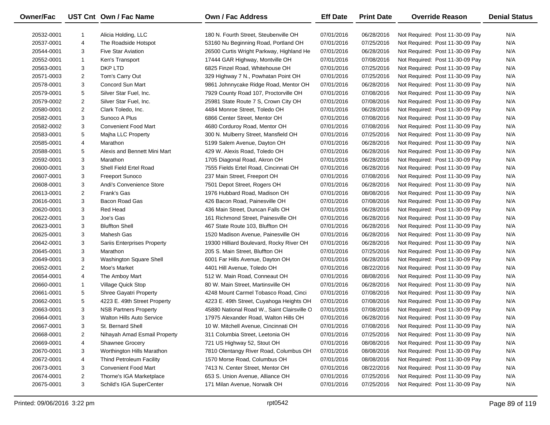| Owner/Fac  |                | UST Cnt Own / Fac Name             | Own / Fac Address                           | <b>Eff Date</b> | <b>Print Date</b> | <b>Override Reason</b>          | <b>Denial Status</b> |
|------------|----------------|------------------------------------|---------------------------------------------|-----------------|-------------------|---------------------------------|----------------------|
| 20532-0001 | 1              | Alicia Holding, LLC                | 180 N. Fourth Street, Steubenville OH       | 07/01/2016      | 06/28/2016        | Not Required: Post 11-30-09 Pay | N/A                  |
| 20537-0001 | 4              | The Roadside Hotspot               | 53160 Nu Beginning Road, Portland OH        | 07/01/2016      | 07/25/2016        | Not Required: Post 11-30-09 Pay | N/A                  |
| 20544-0001 | 3              | <b>Five Star Aviation</b>          | 26500 Curtis Wright Parkway, Highland He    | 07/01/2016      | 06/28/2016        | Not Required: Post 11-30-09 Pay | N/A                  |
| 20552-0001 | $\mathbf{1}$   | Ken's Transport                    | 17444 GAR Highway, Montville OH             | 07/01/2016      | 07/08/2016        | Not Required: Post 11-30-09 Pay | N/A                  |
| 20563-0001 | 3              | DKP LTD                            | 6825 Finzel Road, Whitehouse OH             | 07/01/2016      | 07/25/2016        | Not Required: Post 11-30-09 Pay | N/A                  |
| 20571-0003 | 2              | Tom's Carry Out                    | 329 Highway 7 N., Powhatan Point OH         | 07/01/2016      | 07/25/2016        | Not Required: Post 11-30-09 Pay | N/A                  |
| 20578-0001 | 3              | Concord Sun Mart                   | 9861 Johnnycake Ridge Road, Mentor OH       | 07/01/2016      | 06/28/2016        | Not Required: Post 11-30-09 Pay | N/A                  |
| 20579-0001 | 5              | Silver Star Fuel, Inc.             | 7929 County Road 107, Proctorville OH       | 07/01/2016      | 07/08/2016        | Not Required: Post 11-30-09 Pay | N/A                  |
| 20579-0002 | 2              | Silver Star Fuel, Inc.             | 25981 State Route 7 S, Crown City OH        | 07/01/2016      | 07/08/2016        | Not Required: Post 11-30-09 Pay | N/A                  |
| 20580-0001 | $\overline{2}$ | Clark Toledo, Inc.                 | 4484 Monroe Street, Toledo OH               | 07/01/2016      | 06/28/2016        | Not Required: Post 11-30-09 Pay | N/A                  |
| 20582-0001 | 3              | Sunoco A Plus                      | 6866 Center Street, Mentor OH               | 07/01/2016      | 07/08/2016        | Not Required: Post 11-30-09 Pay | N/A                  |
| 20582-0002 | 3              | <b>Convenient Food Mart</b>        | 4680 Corduroy Road, Mentor OH               | 07/01/2016      | 07/08/2016        | Not Required: Post 11-30-09 Pay | N/A                  |
| 20583-0001 | 5              | Majha LLC Property                 | 300 N. Mulberry Street, Mansfield OH        | 07/01/2016      | 07/25/2016        | Not Required: Post 11-30-09 Pay | N/A                  |
| 20585-0001 | 4              | Marathon                           | 5199 Salem Avenue, Dayton OH                | 07/01/2016      | 06/28/2016        | Not Required: Post 11-30-09 Pay | N/A                  |
| 20588-0001 | 5              | Alexis and Bennett Mini Mart       | 429 W. Alexis Road, Toledo OH               | 07/01/2016      | 06/28/2016        | Not Required: Post 11-30-09 Pay | N/A                  |
| 20592-0001 | 3              | Marathon                           | 1705 Diagonal Road, Akron OH                | 07/01/2016      | 06/28/2016        | Not Required: Post 11-30-09 Pay | N/A                  |
| 20600-0001 | 3              | Shell Field Ertel Road             | 7555 Fields Ertel Road, Cincinnati OH       | 07/01/2016      | 06/28/2016        | Not Required: Post 11-30-09 Pay | N/A                  |
| 20607-0001 | 3              | <b>Freeport Sunoco</b>             | 237 Main Street, Freeport OH                | 07/01/2016      | 07/08/2016        | Not Required: Post 11-30-09 Pay | N/A                  |
| 20608-0001 | 3              | Andi's Convenience Store           | 7501 Depot Street, Rogers OH                | 07/01/2016      | 06/28/2016        | Not Required: Post 11-30-09 Pay | N/A                  |
| 20613-0001 | $\overline{2}$ | Frank's Gas                        | 1976 Hubbard Road, Madison OH               | 07/01/2016      | 08/08/2016        | Not Required: Post 11-30-09 Pay | N/A                  |
| 20616-0001 | 3              | Bacon Road Gas                     | 426 Bacon Road, Painesville OH              | 07/01/2016      | 07/08/2016        | Not Required: Post 11-30-09 Pay | N/A                  |
| 20620-0001 | 3              | Red Head                           | 436 Main Street, Duncan Falls OH            | 07/01/2016      | 06/28/2016        | Not Required: Post 11-30-09 Pay | N/A                  |
| 20622-0001 | 3              | Joe's Gas                          | 161 Richmond Street, Painesville OH         | 07/01/2016      | 06/28/2016        | Not Required: Post 11-30-09 Pay | N/A                  |
| 20623-0001 | 3              | <b>Bluffton Shell</b>              | 467 State Route 103, Bluffton OH            | 07/01/2016      | 06/28/2016        | Not Required: Post 11-30-09 Pay | N/A                  |
| 20625-0001 | 3              | Mahesh Gas                         | 1520 Madison Avenue, Painesville OH         | 07/01/2016      | 06/28/2016        | Not Required: Post 11-30-09 Pay | N/A                  |
| 20642-0001 | 3              | <b>Sariis Enterprises Property</b> | 19300 Hilliard Boulevard, Rocky River OH    | 07/01/2016      | 06/28/2016        | Not Required: Post 11-30-09 Pay | N/A                  |
| 20645-0001 | 3              | Marathon                           | 205 S. Main Street, Bluffton OH             | 07/01/2016      | 07/25/2016        | Not Required: Post 11-30-09 Pay | N/A                  |
| 20649-0001 | 3              | Washington Square Shell            | 6001 Far Hills Avenue, Dayton OH            | 07/01/2016      | 06/28/2016        | Not Required: Post 11-30-09 Pay | N/A                  |
| 20652-0001 | 2              | Moe's Market                       | 4401 Hill Avenue, Toledo OH                 | 07/01/2016      | 08/22/2016        | Not Required: Post 11-30-09 Pay | N/A                  |
| 20654-0001 | 4              | The Amboy Mart                     | 512 W. Main Road, Conneaut OH               | 07/01/2016      | 08/08/2016        | Not Required: Post 11-30-09 Pay | N/A                  |
| 20660-0001 | $\mathbf{1}$   | Village Quick Stop                 | 80 W. Main Street, Martinsville OH          | 07/01/2016      | 06/28/2016        | Not Required: Post 11-30-09 Pay | N/A                  |
| 20661-0001 | 5              | Shree Gayatri Property             | 4248 Mount Carmel Tobasco Road, Cinci       | 07/01/2016      | 07/08/2016        | Not Required: Post 11-30-09 Pay | N/A                  |
| 20662-0001 | 5              | 4223 E. 49th Street Property       | 4223 E. 49th Street, Cuyahoga Heights OH    | 07/01/2016      | 07/08/2016        | Not Required: Post 11-30-09 Pay | N/A                  |
| 20663-0001 | 3              | <b>NSB Partners Property</b>       | 45880 National Road W., Saint Clairsville O | 07/01/2016      | 07/08/2016        | Not Required: Post 11-30-09 Pay | N/A                  |
| 20664-0001 | 3              | <b>Walton Hills Auto Service</b>   | 17975 Alexander Road, Walton Hills OH       | 07/01/2016      | 06/28/2016        | Not Required: Post 11-30-09 Pay | N/A                  |
| 20667-0001 | 3              | St. Bernard Shell                  | 10 W. Mitchell Avenue, Cincinnati OH        | 07/01/2016      | 07/08/2016        | Not Required: Post 11-30-09 Pay | N/A                  |
| 20668-0001 | 2              | Nihayah Amad Esmail Property       | 311 Columbia Street, Leetonia OH            | 07/01/2016      | 07/25/2016        | Not Required: Post 11-30-09 Pay | N/A                  |
| 20669-0001 | 4              | <b>Shawnee Grocery</b>             | 721 US Highway 52, Stout OH                 | 07/01/2016      | 08/08/2016        | Not Required: Post 11-30-09 Pay | N/A                  |
| 20670-0001 | 3              | Worthington Hills Marathon         | 7810 Olentangy River Road, Columbus OH      | 07/01/2016      | 08/08/2016        | Not Required: Post 11-30-09 Pay | N/A                  |
| 20672-0001 | 4              | Thind Petroleum Facility           | 1570 Morse Road, Columbus OH                | 07/01/2016      | 08/08/2016        | Not Required: Post 11-30-09 Pay | N/A                  |
| 20673-0001 | 3              | <b>Convenient Food Mart</b>        | 7413 N. Center Street, Mentor OH            | 07/01/2016      | 08/22/2016        | Not Required: Post 11-30-09 Pay | N/A                  |
| 20674-0001 | 2              | Thorne's IGA Marketplace           | 653 S. Union Avenue, Alliance OH            | 07/01/2016      | 07/25/2016        | Not Required: Post 11-30-09 Pay | N/A                  |
| 20675-0001 | 3              | Schild's IGA SuperCenter           | 171 Milan Avenue, Norwalk OH                | 07/01/2016      | 07/25/2016        | Not Required: Post 11-30-09 Pay | N/A                  |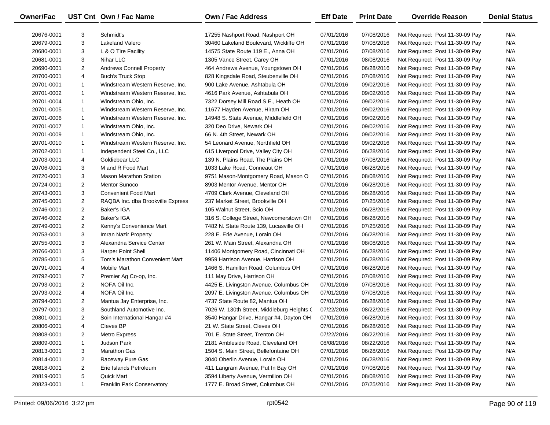| Owner/Fac  |                | UST Cnt Own / Fac Name            | Own / Fac Address                          | <b>Eff Date</b> | <b>Print Date</b> | <b>Override Reason</b>          | <b>Denial Status</b> |
|------------|----------------|-----------------------------------|--------------------------------------------|-----------------|-------------------|---------------------------------|----------------------|
| 20676-0001 | 3              | Schmidt's                         | 17255 Nashport Road, Nashport OH           | 07/01/2016      | 07/08/2016        | Not Required: Post 11-30-09 Pay | N/A                  |
| 20679-0001 | 3              | Lakeland Valero                   | 30460 Lakeland Boulevard, Wickliffe OH     | 07/01/2016      | 07/08/2016        | Not Required: Post 11-30-09 Pay | N/A                  |
| 20680-0001 | 3              | L & O Tire Facility               | 14575 State Route 119 E., Anna OH          | 07/01/2016      | 07/08/2016        | Not Required: Post 11-30-09 Pay | N/A                  |
| 20681-0001 | 3              | Nihar LLC                         | 1305 Vance Street, Carey OH                | 07/01/2016      | 08/08/2016        | Not Required: Post 11-30-09 Pay | N/A                  |
| 20690-0001 | $\overline{2}$ | <b>Andrews Connell Property</b>   | 464 Andrews Avenue, Youngstown OH          | 07/01/2016      | 06/28/2016        | Not Required: Post 11-30-09 Pay | N/A                  |
| 20700-0001 | 4              | <b>Buch's Truck Stop</b>          | 828 Kingsdale Road, Steubenville OH        | 07/01/2016      | 07/08/2016        | Not Required: Post 11-30-09 Pay | N/A                  |
| 20701-0001 | $\mathbf{1}$   | Windstream Western Reserve, Inc.  | 900 Lake Avenue, Ashtabula OH              | 07/01/2016      | 09/02/2016        | Not Required: Post 11-30-09 Pay | N/A                  |
| 20701-0002 | $\mathbf{1}$   | Windstream Western Reserve, Inc.  | 4616 Park Avenue, Ashtabula OH             | 07/01/2016      | 09/02/2016        | Not Required: Post 11-30-09 Pay | N/A                  |
| 20701-0004 | $\mathbf{1}$   | Windstream Ohio, Inc.             | 7322 Dorsey Mill Road S.E., Heath OH       | 07/01/2016      | 09/02/2016        | Not Required: Post 11-30-09 Pay | N/A                  |
| 20701-0005 | $\mathbf{1}$   | Windstream Western Reserve, Inc.  | 11677 Hayden Avenue, Hiram OH              | 07/01/2016      | 09/02/2016        | Not Required: Post 11-30-09 Pay | N/A                  |
| 20701-0006 | $\mathbf{1}$   | Windstream Western Reserve, Inc.  | 14948 S. State Avenue, Middlefield OH      | 07/01/2016      | 09/02/2016        | Not Required: Post 11-30-09 Pay | N/A                  |
| 20701-0007 | $\mathbf{1}$   | Windstream Ohio, Inc.             | 320 Deo Drive, Newark OH                   | 07/01/2016      | 09/02/2016        | Not Required: Post 11-30-09 Pay | N/A                  |
| 20701-0009 | $\mathbf{1}$   | Windstream Ohio, Inc.             | 66 N. 4th Street, Newark OH                | 07/01/2016      | 09/02/2016        | Not Required: Post 11-30-09 Pay | N/A                  |
| 20701-0010 | $\mathbf{1}$   | Windstream Western Reserve, Inc.  | 54 Leonard Avenue, Northfield OH           | 07/01/2016      | 09/02/2016        | Not Required: Post 11-30-09 Pay | N/A                  |
| 20702-0001 | $\mathbf{1}$   | Independent Steel Co., LLC        | 615 Liverpool Drive, Valley City OH        | 07/01/2016      | 06/28/2016        | Not Required: Post 11-30-09 Pay | N/A                  |
| 20703-0001 | 4              | Goldiebear LLC                    | 139 N. Plains Road, The Plains OH          | 07/01/2016      | 07/08/2016        | Not Required: Post 11-30-09 Pay | N/A                  |
| 20706-0001 | 3              | M and R Food Mart                 | 1033 Lake Road, Conneaut OH                | 07/01/2016      | 06/28/2016        | Not Required: Post 11-30-09 Pay | N/A                  |
| 20720-0001 | 3              | <b>Mason Marathon Station</b>     | 9751 Mason-Montgomery Road, Mason O        | 07/01/2016      | 08/08/2016        | Not Required: Post 11-30-09 Pay | N/A                  |
| 20724-0001 | $\overline{2}$ | <b>Mentor Sunoco</b>              | 8903 Mentor Avenue, Mentor OH              | 07/01/2016      | 06/28/2016        | Not Required: Post 11-30-09 Pay | N/A                  |
| 20743-0001 | 3              | <b>Convenient Food Mart</b>       | 4709 Clark Avenue, Cleveland OH            | 07/01/2016      | 06/28/2016        | Not Required: Post 11-30-09 Pay | N/A                  |
| 20745-0001 | $\overline{2}$ | RAQBA Inc. dba Brookville Express | 237 Market Street, Brookville OH           | 07/01/2016      | 07/25/2016        | Not Required: Post 11-30-09 Pay | N/A                  |
| 20746-0001 | $\overline{2}$ | Baker's IGA                       | 105 Walnut Street, Scio OH                 | 07/01/2016      | 06/28/2016        | Not Required: Post 11-30-09 Pay | N/A                  |
| 20746-0002 | $\overline{2}$ | Baker's IGA                       | 316 S. College Street, Newcomerstown OH    | 07/01/2016      | 06/28/2016        | Not Required: Post 11-30-09 Pay | N/A                  |
| 20749-0001 | $\overline{2}$ | Kenny's Convenience Mart          | 7482 N. State Route 139, Lucasville OH     | 07/01/2016      | 07/25/2016        | Not Required: Post 11-30-09 Pay | N/A                  |
| 20753-0001 | 3              | Imran Nazir Property              | 228 E. Erie Avenue, Lorain OH              | 07/01/2016      | 06/28/2016        | Not Required: Post 11-30-09 Pay | N/A                  |
| 20755-0001 | 3              | Alexandria Service Center         | 261 W. Main Street, Alexandria OH          | 07/01/2016      | 08/08/2016        | Not Required: Post 11-30-09 Pay | N/A                  |
| 20766-0001 | 3              | <b>Harper Point Shell</b>         | 11406 Montgomery Road, Cincinnati OH       | 07/01/2016      | 06/28/2016        | Not Required: Post 11-30-09 Pay | N/A                  |
| 20785-0001 | 5              | Tom's Marathon Convenient Mart    | 9959 Harrison Avenue, Harrison OH          | 07/01/2016      | 06/28/2016        | Not Required: Post 11-30-09 Pay | N/A                  |
| 20791-0001 | 4              | Mobile Mart                       | 1466 S. Hamilton Road, Columbus OH         | 07/01/2016      | 06/28/2016        | Not Required: Post 11-30-09 Pay | N/A                  |
| 20792-0001 | $\overline{7}$ | Premier Ag Co-op, Inc.            | 111 May Drive, Harrison OH                 | 07/01/2016      | 07/08/2016        | Not Required: Post 11-30-09 Pay | N/A                  |
| 20793-0001 | $\overline{2}$ | NOFA Oil Inc.                     | 4425 E. Livingston Avenue, Columbus OH     | 07/01/2016      | 07/08/2016        | Not Required: Post 11-30-09 Pay | N/A                  |
| 20793-0002 | 4              | NOFA Oil Inc.                     | 2097 E. Livingston Avenue, Columbus OH     | 07/01/2016      | 07/08/2016        | Not Required: Post 11-30-09 Pay | N/A                  |
| 20794-0001 | $\overline{2}$ | Mantua Jay Enterprise, Inc.       | 4737 State Route 82, Mantua OH             | 07/01/2016      | 06/28/2016        | Not Required: Post 11-30-09 Pay | N/A                  |
| 20797-0001 | 3              | Southland Automotive Inc.         | 7026 W. 130th Street, Middleburg Heights ( | 07/22/2016      | 08/22/2016        | Not Required: Post 11-30-09 Pay | N/A                  |
| 20801-0001 | $\overline{2}$ | Soin International Hangar #4      | 3540 Hangar Drive, Hangar #4, Dayton OH    | 07/01/2016      | 06/28/2016        | Not Required: Post 11-30-09 Pay | N/A                  |
| 20806-0001 | 4              | Cleves BP                         | 21 W. State Street, Cleves OH              | 07/01/2016      | 06/28/2016        | Not Required: Post 11-30-09 Pay | N/A                  |
| 20808-0001 | $\overline{2}$ | <b>Metro Express</b>              | 701 E. State Street, Trenton OH            | 07/22/2016      | 08/22/2016        | Not Required: Post 11-30-09 Pay | N/A                  |
| 20809-0001 | 1              | Judson Park                       | 2181 Ambleside Road, Cleveland OH          | 08/08/2016      | 08/22/2016        | Not Required: Post 11-30-09 Pay | N/A                  |
| 20813-0001 | 3              | <b>Marathon Gas</b>               | 1504 S. Main Street, Bellefontaine OH      | 07/01/2016      | 06/28/2016        | Not Required: Post 11-30-09 Pay | N/A                  |
| 20814-0001 | $\overline{2}$ | Raceway Pure Gas                  | 3040 Oberlin Avenue, Lorain OH             | 07/01/2016      | 06/28/2016        | Not Required: Post 11-30-09 Pay | N/A                  |
| 20818-0001 | 2              | Erie Islands Petroleum            | 411 Langram Avenue, Put In Bay OH          | 07/01/2016      | 07/08/2016        | Not Required: Post 11-30-09 Pay | N/A                  |
| 20819-0001 | 5              | <b>Quick Mart</b>                 | 3594 Liberty Avenue, Vermilion OH          | 07/01/2016      | 08/08/2016        | Not Required: Post 11-30-09 Pay | N/A                  |
| 20823-0001 | $\mathbf{1}$   | <b>Franklin Park Conservatory</b> | 1777 E. Broad Street, Columbus OH          | 07/01/2016      | 07/25/2016        | Not Required: Post 11-30-09 Pay | N/A                  |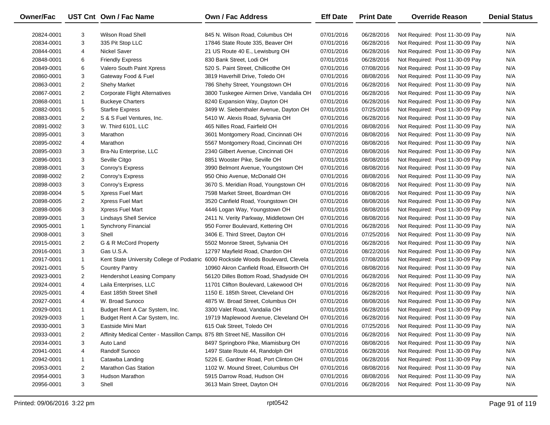| <b>Owner/Fac</b> |                | UST Cnt Own / Fac Name                                                    | <b>Own / Fac Address</b>                                                          | <b>Eff Date</b> | <b>Print Date</b> | <b>Override Reason</b>          | <b>Denial Status</b> |
|------------------|----------------|---------------------------------------------------------------------------|-----------------------------------------------------------------------------------|-----------------|-------------------|---------------------------------|----------------------|
| 20824-0001       | 3              | <b>Wilson Road Shell</b>                                                  | 845 N. Wilson Road, Columbus OH                                                   | 07/01/2016      | 06/28/2016        | Not Required: Post 11-30-09 Pay | N/A                  |
| 20834-0001       | 3              | 335 Pit Stop LLC                                                          | 17846 State Route 335, Beaver OH                                                  | 07/01/2016      | 06/28/2016        | Not Required: Post 11-30-09 Pay | N/A                  |
| 20844-0001       | 4              | <b>Nickel Saver</b>                                                       | 21 US Route 40 E., Lewisburg OH                                                   | 07/01/2016      | 06/28/2016        | Not Required: Post 11-30-09 Pay | N/A                  |
| 20848-0001       | 6              | <b>Friendly Express</b>                                                   | 830 Bank Street, Lodi OH                                                          | 07/01/2016      | 06/28/2016        | Not Required: Post 11-30-09 Pay | N/A                  |
| 20849-0001       | 6              | Valero South Paint Xpress                                                 | 520 S. Paint Street, Chillicothe OH                                               | 07/01/2016      | 07/08/2016        | Not Required: Post 11-30-09 Pay | N/A                  |
| 20860-0001       | 3              | Gateway Food & Fuel                                                       | 3819 Haverhill Drive, Toledo OH                                                   | 07/01/2016      | 08/08/2016        | Not Required: Post 11-30-09 Pay | N/A                  |
| 20863-0001       | $\overline{2}$ | <b>Shehy Market</b>                                                       | 786 Shehy Street, Youngstown OH                                                   | 07/01/2016      | 06/28/2016        | Not Required: Post 11-30-09 Pay | N/A                  |
| 20867-0001       | $\overline{2}$ | <b>Corporate Flight Alternatives</b>                                      | 3800 Tuskegee Airmen Drive, Vandalia OH                                           | 07/01/2016      | 06/28/2016        | Not Required: Post 11-30-09 Pay | N/A                  |
| 20868-0001       | $\mathbf{1}$   | <b>Buckeye Charters</b>                                                   | 8240 Expansion Way, Dayton OH                                                     | 07/01/2016      | 06/28/2016        | Not Required: Post 11-30-09 Pay | N/A                  |
| 20882-0001       | 5              | <b>Starfire Express</b>                                                   | 3499 W. Siebenthaler Avenue, Dayton OH                                            | 07/01/2016      | 07/25/2016        | Not Required: Post 11-30-09 Pay | N/A                  |
| 20883-0001       | $\overline{2}$ | S & S Fuel Ventures, Inc.                                                 | 5410 W. Alexis Road, Sylvania OH                                                  | 07/01/2016      | 06/28/2016        | Not Required: Post 11-30-09 Pay | N/A                  |
| 20891-0002       | 3              | W. Third 6101, LLC                                                        | 465 Nilles Road, Fairfield OH                                                     | 07/01/2016      | 08/08/2016        | Not Required: Post 11-30-09 Pay | N/A                  |
| 20895-0001       | 3              | Marathon                                                                  | 3601 Montgomery Road, Cincinnati OH                                               | 07/07/2016      | 08/08/2016        | Not Required: Post 11-30-09 Pay | N/A                  |
| 20895-0002       | 4              | Marathon                                                                  | 5567 Montgomery Road, Cincinnati OH                                               | 07/07/2016      | 08/08/2016        | Not Required: Post 11-30-09 Pay | N/A                  |
| 20895-0003       | 3              | Bra-Nu Enterprise, LLC                                                    | 2340 Gilbert Avenue, Cincinnati OH                                                | 07/07/2016      | 08/08/2016        | Not Required: Post 11-30-09 Pay | N/A                  |
| 20896-0001       | 3              | Seville Citgo                                                             | 8851 Wooster Pike, Seville OH                                                     | 07/01/2016      | 08/08/2016        | Not Required: Post 11-30-09 Pay | N/A                  |
| 20898-0001       | 3              | Conroy's Express                                                          | 3990 Belmont Avenue, Youngstown OH                                                | 07/01/2016      | 08/08/2016        | Not Required: Post 11-30-09 Pay | N/A                  |
| 20898-0002       | $\overline{2}$ | Conroy's Express                                                          | 950 Ohio Avenue, McDonald OH                                                      | 07/01/2016      | 08/08/2016        | Not Required: Post 11-30-09 Pay | N/A                  |
| 20898-0003       | 3              | Conroy's Express                                                          | 3670 S. Meridian Road, Youngstown OH                                              | 07/01/2016      | 08/08/2016        | Not Required: Post 11-30-09 Pay | N/A                  |
| 20898-0004       | 5              | Xpress Fuel Mart                                                          | 7598 Market Street, Boardman OH                                                   | 07/01/2016      | 08/08/2016        | Not Required: Post 11-30-09 Pay | N/A                  |
| 20898-0005       | $\overline{2}$ | Xpress Fuel Mart                                                          | 3520 Canfield Road, Youngstown OH                                                 | 07/01/2016      | 08/08/2016        | Not Required: Post 11-30-09 Pay | N/A                  |
| 20898-0006       | 3              | Xpress Fuel Mart                                                          | 4446 Logan Way, Youngstown OH                                                     | 07/01/2016      | 08/08/2016        | Not Required: Post 11-30-09 Pay | N/A                  |
| 20899-0001       | 3              | <b>Lindsays Shell Service</b>                                             | 2411 N. Verity Parkway, Middletown OH                                             | 07/01/2016      | 08/08/2016        | Not Required: Post 11-30-09 Pay | N/A                  |
| 20905-0001       | $\mathbf{1}$   | Synchrony Financial                                                       | 950 Forrer Boulevard, Kettering OH                                                | 07/01/2016      | 06/28/2016        | Not Required: Post 11-30-09 Pay | N/A                  |
| 20908-0001       | 3              | Shell                                                                     | 3406 E. Third Street, Dayton OH                                                   | 07/01/2016      | 07/25/2016        | Not Required: Post 11-30-09 Pay | N/A                  |
| 20915-0001       | $\overline{2}$ | G & R McCord Property                                                     | 5502 Monroe Street, Sylvania OH                                                   | 07/01/2016      | 06/28/2016        | Not Required: Post 11-30-09 Pay | N/A                  |
| 20916-0001       | 3              | Gas U.S.A.                                                                | 12797 Mayfield Road, Chardon OH                                                   | 07/21/2016      | 08/22/2016        | Not Required: Post 11-30-09 Pay | N/A                  |
| 20917-0001       | $\mathbf{1}$   |                                                                           | Kent State University College of Podiatric 6000 Rockside Woods Boulevard, Clevela | 07/01/2016      | 07/08/2016        | Not Required: Post 11-30-09 Pay | N/A                  |
| 20921-0001       | 5              | <b>Country Pantry</b>                                                     | 10960 Akron Canfield Road, Ellsworth OH                                           | 07/01/2016      | 08/08/2016        | Not Required: Post 11-30-09 Pay | N/A                  |
| 20923-0001       | $\overline{2}$ | Hendershot Leasing Company                                                | 56120 Dilles Bottom Road, Shadyside OH                                            | 07/01/2016      | 06/28/2016        | Not Required: Post 11-30-09 Pay | N/A                  |
| 20924-0001       | 4              | Laila Enterprises, LLC                                                    | 11701 Clifton Boulevard, Lakewood OH                                              | 07/01/2016      | 06/28/2016        | Not Required: Post 11-30-09 Pay | N/A                  |
| 20925-0001       | 4              | East 185th Street Shell                                                   | 1150 E. 185th Street, Cleveland OH                                                | 07/01/2016      | 06/28/2016        | Not Required: Post 11-30-09 Pay | N/A                  |
| 20927-0001       | 4              | W. Broad Sunoco                                                           | 4875 W. Broad Street, Columbus OH                                                 | 07/01/2016      | 08/08/2016        | Not Required: Post 11-30-09 Pay | N/A                  |
| 20929-0001       | $\mathbf{1}$   | Budget Rent A Car System, Inc.                                            | 3300 Valet Road, Vandalia OH                                                      | 07/01/2016      | 06/28/2016        | Not Required: Post 11-30-09 Pay | N/A                  |
| 20929-0003       | $\mathbf{1}$   | Budget Rent A Car System, Inc.                                            | 19719 Maplewood Avenue, Cleveland OH                                              | 07/01/2016      | 06/28/2016        | Not Required: Post 11-30-09 Pay | N/A                  |
| 20930-0001       | 3              | Eastside Mini Mart                                                        | 615 Oak Street, Toledo OH                                                         | 07/01/2016      | 07/25/2016        | Not Required: Post 11-30-09 Pay | N/A                  |
| 20933-0001       | $\overline{2}$ | Affinity Medical Center - Massillon Campu 875 8th Street NE, Massillon OH |                                                                                   | 07/01/2016      | 06/28/2016        | Not Required: Post 11-30-09 Pay | N/A                  |
| 20934-0001       | 3              | Auto Land                                                                 | 8497 Springboro Pike, Miamisburg OH                                               | 07/07/2016      | 08/08/2016        | Not Required: Post 11-30-09 Pay | N/A                  |
| 20941-0001       | 4              | Randolf Sunoco                                                            | 1497 State Route 44, Randolph OH                                                  | 07/01/2016      | 06/28/2016        | Not Required: Post 11-30-09 Pay | N/A                  |
| 20942-0001       | 1              | Catawba Landing                                                           | 5226 E. Gardner Road, Port Clinton OH                                             | 07/01/2016      | 06/28/2016        | Not Required: Post 11-30-09 Pay | N/A                  |
| 20953-0001       | $\overline{2}$ | <b>Marathon Gas Station</b>                                               | 1102 W. Mound Street, Columbus OH                                                 | 07/01/2016      | 08/08/2016        | Not Required: Post 11-30-09 Pay | N/A                  |
| 20954-0001       | 3              | Hudson Marathon                                                           | 5915 Darrow Road, Hudson OH                                                       | 07/01/2016      | 08/08/2016        | Not Required: Post 11-30-09 Pay | N/A                  |
| 20956-0001       | 3              | Shell                                                                     | 3613 Main Street, Dayton OH                                                       | 07/01/2016      | 06/28/2016        | Not Required: Post 11-30-09 Pay | N/A                  |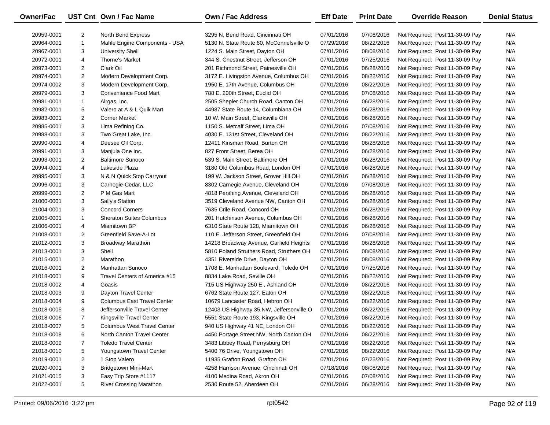| Owner/Fac  |                | UST Cnt Own / Fac Name             | Own / Fac Address                        | <b>Eff Date</b> | <b>Print Date</b> | <b>Override Reason</b>          | <b>Denial Status</b> |
|------------|----------------|------------------------------------|------------------------------------------|-----------------|-------------------|---------------------------------|----------------------|
| 20959-0001 | $\overline{2}$ | North Bend Express                 | 3295 N. Bend Road, Cincinnati OH         | 07/01/2016      | 07/08/2016        | Not Required: Post 11-30-09 Pay | N/A                  |
| 20964-0001 | $\mathbf{1}$   | Mahle Engine Components - USA      | 5130 N. State Route 60, McConnelsville O | 07/29/2016      | 08/22/2016        | Not Required: Post 11-30-09 Pay | N/A                  |
| 20967-0001 | 3              | <b>University Shell</b>            | 1224 S. Main Street, Dayton OH           | 07/01/2016      | 08/08/2016        | Not Required: Post 11-30-09 Pay | N/A                  |
| 20972-0001 | 4              | Thorne's Market                    | 344 S. Chestnut Street, Jefferson OH     | 07/01/2016      | 07/25/2016        | Not Required: Post 11-30-09 Pay | N/A                  |
| 20973-0001 | $\overline{2}$ | Clark Oil                          | 201 Richmond Street, Painesville OH      | 07/01/2016      | 06/28/2016        | Not Required: Post 11-30-09 Pay | N/A                  |
| 20974-0001 | $\overline{2}$ | Modern Development Corp.           | 3172 E. Livingston Avenue, Columbus OH   | 07/01/2016      | 08/22/2016        | Not Required: Post 11-30-09 Pay | N/A                  |
| 20974-0002 | 3              | Modern Development Corp.           | 1950 E. 17th Avenue, Columbus OH         | 07/01/2016      | 08/22/2016        | Not Required: Post 11-30-09 Pay | N/A                  |
| 20979-0001 | 3              | Convenience Food Mart              | 788 E. 200th Street, Euclid OH           | 07/01/2016      | 07/08/2016        | Not Required: Post 11-30-09 Pay | N/A                  |
| 20981-0001 | $\mathbf{1}$   | Airgas, Inc.                       | 2505 Shepler Church Road, Canton OH      | 07/01/2016      | 06/28/2016        | Not Required: Post 11-30-09 Pay | N/A                  |
| 20982-0001 | 5              | Valero at A & L Quik Mart          | 44987 State Route 14, Columbiana OH      | 07/01/2016      | 06/28/2016        | Not Required: Post 11-30-09 Pay | N/A                  |
| 20983-0001 | $\overline{2}$ | <b>Corner Market</b>               | 10 W. Main Street, Clarksville OH        | 07/01/2016      | 06/28/2016        | Not Required: Post 11-30-09 Pay | N/A                  |
| 20985-0001 | 3              | Lima Refining Co.                  | 1150 S. Metcalf Street, Lima OH          | 07/01/2016      | 07/08/2016        | Not Required: Post 11-30-09 Pay | N/A                  |
| 20988-0001 | 3              | Two Great Lake, Inc.               | 4030 E. 131st Street, Cleveland OH       | 07/01/2016      | 08/22/2016        | Not Required: Post 11-30-09 Pay | N/A                  |
| 20990-0001 | 4              | Deesee Oil Corp.                   | 12411 Kinsman Road, Burton OH            | 07/01/2016      | 06/28/2016        | Not Required: Post 11-30-09 Pay | N/A                  |
| 20991-0001 | 3              | Manjula One Inc.                   | 827 Front Street, Berea OH               | 07/01/2016      | 06/28/2016        | Not Required: Post 11-30-09 Pay | N/A                  |
| 20993-0001 | $\overline{2}$ | <b>Baltimore Sunoco</b>            | 539 S. Main Street, Baltimore OH         | 07/01/2016      | 06/28/2016        | Not Required: Post 11-30-09 Pay | N/A                  |
| 20994-0001 | 4              | Lakeside Plaza                     | 3180 Old Columbus Road, London OH        | 07/01/2016      | 06/28/2016        | Not Required: Post 11-30-09 Pay | N/A                  |
| 20995-0001 | 3              | N & N Quick Stop Carryout          | 199 W. Jackson Street, Grover Hill OH    | 07/01/2016      | 06/28/2016        | Not Required: Post 11-30-09 Pay | N/A                  |
| 20996-0001 | 3              | Carnegie-Cedar, LLC                | 8302 Carnegie Avenue, Cleveland OH       | 07/01/2016      | 07/08/2016        | Not Required: Post 11-30-09 Pay | N/A                  |
| 20999-0001 | $\overline{2}$ | P M Gas Mart                       | 4818 Pershing Avenue, Cleveland OH       | 07/01/2016      | 06/28/2016        | Not Required: Post 11-30-09 Pay | N/A                  |
| 21000-0001 | 3              | Sally's Station                    | 3519 Cleveland Avenue NW, Canton OH      | 07/01/2016      | 06/28/2016        | Not Required: Post 11-30-09 Pay | N/A                  |
| 21004-0001 | 3              | <b>Concord Corners</b>             | 7635 Crile Road, Concord OH              | 07/01/2016      | 06/28/2016        | Not Required: Post 11-30-09 Pay | N/A                  |
| 21005-0001 | $\mathbf{1}$   | <b>Sheraton Suites Columbus</b>    | 201 Hutchinson Avenue, Columbus OH       | 07/01/2016      | 06/28/2016        | Not Required: Post 11-30-09 Pay | N/A                  |
| 21006-0001 | 4              | Miamitown BP                       | 6310 State Route 128, Miamitown OH       | 07/01/2016      | 06/28/2016        | Not Required: Post 11-30-09 Pay | N/A                  |
| 21008-0001 | $\overline{2}$ | Greenfield Save-A-Lot              | 110 E. Jefferson Street, Greenfield OH   | 07/01/2016      | 07/08/2016        | Not Required: Post 11-30-09 Pay | N/A                  |
| 21012-0001 | 3              | <b>Broadway Marathon</b>           | 14218 Broadway Avenue, Garfield Heights  | 07/01/2016      | 06/28/2016        | Not Required: Post 11-30-09 Pay | N/A                  |
| 21013-0001 | 3              | Shell                              | 5810 Poland Struthers Road, Struthers OH | 07/01/2016      | 08/08/2016        | Not Required: Post 11-30-09 Pay | N/A                  |
| 21015-0001 | $\overline{2}$ | Marathon                           | 4351 Riverside Drive, Dayton OH          | 07/01/2016      | 08/08/2016        | Not Required: Post 11-30-09 Pay | N/A                  |
| 21016-0001 | $\overline{2}$ | <b>Manhattan Sunoco</b>            | 1708 E. Manhattan Boulevard, Toledo OH   | 07/01/2016      | 07/25/2016        | Not Required: Post 11-30-09 Pay | N/A                  |
| 21018-0001 | 9              | Travel Centers of America #15      | 8834 Lake Road, Seville OH               | 07/01/2016      | 08/22/2016        | Not Required: Post 11-30-09 Pay | N/A                  |
| 21018-0002 | 4              | Goasis                             | 715 US Highway 250 E., Ashland OH        | 07/01/2016      | 08/22/2016        | Not Required: Post 11-30-09 Pay | N/A                  |
| 21018-0003 | 9              | Dayton Travel Center               | 6762 State Route 127, Eaton OH           | 07/01/2016      | 08/22/2016        | Not Required: Post 11-30-09 Pay | N/A                  |
| 21018-0004 | 9              | <b>Columbus East Travel Center</b> | 10679 Lancaster Road, Hebron OH          | 07/01/2016      | 08/22/2016        | Not Required: Post 11-30-09 Pay | N/A                  |
| 21018-0005 | 8              | Jeffersonville Travel Center       | 12403 US Highway 35 NW, Jeffersonville O | 07/01/2016      | 08/22/2016        | Not Required: Post 11-30-09 Pay | N/A                  |
| 21018-0006 | $\overline{7}$ | Kingsville Travel Center           | 5551 State Route 193, Kingsville OH      | 07/01/2016      | 08/22/2016        | Not Required: Post 11-30-09 Pay | N/A                  |
| 21018-0007 | 5              | <b>Columbus West Travel Center</b> | 940 US Highway 41 NE, London OH          | 07/01/2016      | 08/22/2016        | Not Required: Post 11-30-09 Pay | N/A                  |
| 21018-0008 | 6              | North Canton Travel Center         | 4450 Portage Street NW, North Canton OH  | 07/01/2016      | 08/22/2016        | Not Required: Post 11-30-09 Pay | N/A                  |
| 21018-0009 | 7              | <b>Toledo Travel Center</b>        | 3483 Libbey Road, Perrysburg OH          | 07/01/2016      | 08/22/2016        | Not Required: Post 11-30-09 Pay | N/A                  |
| 21018-0010 | 5              | Youngstown Travel Center           | 5400 76 Drive, Youngstown OH             | 07/01/2016      | 08/22/2016        | Not Required: Post 11-30-09 Pay | N/A                  |
| 21019-0001 | 2              | 1 Stop Valero                      | 11935 Grafton Road, Grafton OH           | 07/01/2016      | 07/25/2016        | Not Required: Post 11-30-09 Pay | N/A                  |
| 21020-0001 | 3              | <b>Bridgetown Mini-Mart</b>        | 4258 Harrison Avenue, Cincinnati OH      | 07/18/2016      | 08/08/2016        | Not Required: Post 11-30-09 Pay | N/A                  |
| 21021-0015 | 3              | Easy Trip Store #1117              | 4100 Medina Road, Akron OH               | 07/01/2016      | 07/08/2016        | Not Required: Post 11-30-09 Pay | N/A                  |
| 21022-0001 | 5              | <b>River Crossing Marathon</b>     | 2530 Route 52, Aberdeen OH               | 07/01/2016      | 06/28/2016        | Not Required: Post 11-30-09 Pay | N/A                  |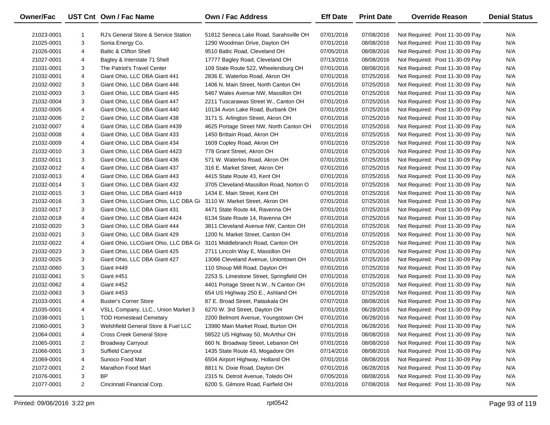| Owner/Fac  |                | UST Cnt Own / Fac Name                | Own / Fac Address                        | <b>Eff Date</b> | <b>Print Date</b> | <b>Override Reason</b>          | <b>Denial Status</b> |
|------------|----------------|---------------------------------------|------------------------------------------|-----------------|-------------------|---------------------------------|----------------------|
| 21023-0001 | -1             | RJ's General Store & Service Station  | 51812 Seneca Lake Road, Sarahsville OH   | 07/01/2016      | 07/08/2016        | Not Required: Post 11-30-09 Pay | N/A                  |
| 21025-0001 | 3              | Sonia Energy Co.                      | 1290 Woodman Drive, Dayton OH            | 07/01/2016      | 08/08/2016        | Not Required: Post 11-30-09 Pay | N/A                  |
| 21026-0001 | 4              | <b>Baltic &amp; Clifton Shell</b>     | 9510 Baltic Road, Cleveland OH           | 07/05/2016      | 08/08/2016        | Not Required: Post 11-30-09 Pay | N/A                  |
| 21027-0001 | 4              | Bagley & Interstate 71 Shell          | 17777 Bagley Road, Cleveland OH          | 07/13/2016      | 08/08/2016        | Not Required: Post 11-30-09 Pay | N/A                  |
| 21031-0001 | 3              | The Patriot's Travel Center           | 109 State Route 522, Wheelersburg OH     | 07/01/2016      | 08/08/2016        | Not Required: Post 11-30-09 Pay | N/A                  |
| 21032-0001 | 4              | Giant Ohio, LLC DBA Giant 441         | 2836 E. Waterloo Road, Akron OH          | 07/01/2016      | 07/25/2016        | Not Required: Post 11-30-09 Pay | N/A                  |
| 21032-0002 | 3              | Giant Ohio, LLC DBA Giant 446         | 1406 N. Main Street, North Canton OH     | 07/01/2016      | 07/25/2016        | Not Required: Post 11-30-09 Pay | N/A                  |
| 21032-0003 | 3              | Giant Ohio, LLC DBA Giant 445         | 5467 Wales Avenue NW, Massillon OH       | 07/01/2016      | 07/25/2016        | Not Required: Post 11-30-09 Pay | N/A                  |
| 21032-0004 | 3              | Giant Ohio, LLC DBA Giant 447         | 2211 Tuscarawas Street W., Canton OH     | 07/01/2016      | 07/25/2016        | Not Required: Post 11-30-09 Pay | N/A                  |
| 21032-0005 | 4              | Giant Ohio, LLC DBA Giant 440         | 10134 Avon Lake Road, Burbank OH         | 07/01/2016      | 07/25/2016        | Not Required: Post 11-30-09 Pay | N/A                  |
| 21032-0006 | $\overline{2}$ | Giant Ohio, LLC DBA Giant 438         | 3171 S. Arlington Street, Akron OH       | 07/01/2016      | 07/25/2016        | Not Required: Post 11-30-09 Pay | N/A                  |
| 21032-0007 | 4              | Giant Ohio, LLC DBA Giant #439        | 4625 Portage Street NW, North Canton OH  | 07/01/2016      | 07/25/2016        | Not Required: Post 11-30-09 Pay | N/A                  |
| 21032-0008 | 4              | Giant Ohio, LLC DBA Giant 433         | 1450 Brittain Road, Akron OH             | 07/01/2016      | 07/25/2016        | Not Required: Post 11-30-09 Pay | N/A                  |
| 21032-0009 | 4              | Giant Ohio, LLC DBA Giant 434         | 1609 Copley Road, Akron OH               | 07/01/2016      | 07/25/2016        | Not Required: Post 11-30-09 Pay | N/A                  |
| 21032-0010 | 3              | Giant Ohio, LLC DBA Giant 4423        | 778 Grant Street, Akron OH               | 07/01/2016      | 07/25/2016        | Not Required: Post 11-30-09 Pay | N/A                  |
| 21032-0011 | 3              | Giant Ohio, LLC DBA Giant 436         | 571 W. Waterloo Road, Akron OH           | 07/01/2016      | 07/25/2016        | Not Required: Post 11-30-09 Pay | N/A                  |
| 21032-0012 | 4              | Giant Ohio, LLC DBA Giant 437         | 316 E. Market Street, Akron OH           | 07/01/2016      | 07/25/2016        | Not Required: Post 11-30-09 Pay | N/A                  |
| 21032-0013 | 4              | Giant Ohio, LLC DBA Giant 443         | 4415 State Route 43, Kent OH             | 07/01/2016      | 07/25/2016        | Not Required: Post 11-30-09 Pay | N/A                  |
| 21032-0014 | 3              | Giant Ohio, LLC DBA Giant 432         | 3705 Cleveland-Massillon Road, Norton O  | 07/01/2016      | 07/25/2016        | Not Required: Post 11-30-09 Pay | N/A                  |
| 21032-0015 | 3              | Giant Ohio, LLC DBA Giant 4419        | 1434 E. Main Street, Kent OH             | 07/01/2016      | 07/25/2016        | Not Required: Post 11-30-09 Pay | N/A                  |
| 21032-0016 | 3              | Giant Ohio, LLCGiant Ohio, LLC DBA Gi | 3110 W. Market Street, Akron OH          | 07/01/2016      | 07/25/2016        | Not Required: Post 11-30-09 Pay | N/A                  |
| 21032-0017 | 3              | Giant Ohio, LLC DBA Giant 431         | 4471 State Route 44, Ravenna OH          | 07/01/2016      | 07/25/2016        | Not Required: Post 11-30-09 Pay | N/A                  |
| 21032-0018 | 4              | Giant Ohio, LLC DBA Giant 4424        | 6134 State Route 14, Ravenna OH          | 07/01/2016      | 07/25/2016        | Not Required: Post 11-30-09 Pay | N/A                  |
| 21032-0020 | 3              | Giant Ohio, LLC DBA Giant 444         | 3811 Cleveland Avenue NW, Canton OH      | 07/01/2016      | 07/25/2016        | Not Required: Post 11-30-09 Pay | N/A                  |
| 21032-0021 | 3              | Giant Ohio, LLC DBA Giant 429         | 1200 N. Market Street, Canton OH         | 07/01/2016      | 07/25/2016        | Not Required: Post 11-30-09 Pay | N/A                  |
| 21032-0022 | 4              | Giant Ohio, LLCGiant Ohio, LLC DBA Gi | 3101 Middlebranch Road, Canton OH        | 07/01/2016      | 07/25/2016        | Not Required: Post 11-30-09 Pay | N/A                  |
| 21032-0023 | 3              | Giant Ohio, LLC DBA Giant 425         | 2711 Lincoln Way E, Massillon OH         | 07/01/2016      | 07/25/2016        | Not Required: Post 11-30-09 Pay | N/A                  |
| 21032-0025 | 3              | Giant Ohio, LLC DBA Giant 427         | 13066 Cleveland Avenue, Uniontown OH     | 07/01/2016      | 07/25/2016        | Not Required: Post 11-30-09 Pay | N/A                  |
| 21032-0060 | 3              | Giant #449                            | 110 Shoup Mill Road, Dayton OH           | 07/01/2016      | 07/25/2016        | Not Required: Post 11-30-09 Pay | N/A                  |
| 21032-0061 | 5              | Giant #451                            | 2253 S. Limestone Street, Springfield OH | 07/01/2016      | 07/25/2016        | Not Required: Post 11-30-09 Pay | N/A                  |
| 21032-0062 | 4              | Giant #452                            | 4401 Portage Street N.W., N Canton OH    | 07/01/2016      | 07/25/2016        | Not Required: Post 11-30-09 Pay | N/A                  |
| 21032-0063 | 3              | Giant #453                            | 654 US Highway 250 E., Ashland OH        | 07/01/2016      | 07/25/2016        | Not Required: Post 11-30-09 Pay | N/A                  |
| 21033-0001 | 4              | <b>Buster's Corner Store</b>          | 87 E. Broad Street, Pataskala OH         | 07/07/2016      | 08/08/2016        | Not Required: Post 11-30-09 Pay | N/A                  |
| 21035-0001 | 4              | VSLL Company, LLC., Union Market 3    | 6270 W. 3rd Street, Dayton OH            | 07/01/2016      | 06/28/2016        | Not Required: Post 11-30-09 Pay | N/A                  |
| 21038-0001 | $\mathbf{1}$   | <b>TOD Homestead Cemetary</b>         | 2200 Belmont Avenue, Youngstown OH       | 07/01/2016      | 06/28/2016        | Not Required: Post 11-30-09 Pay | N/A                  |
| 21060-0001 | 3              | Welshfield General Store & Fuel LLC   | 13980 Main Market Road, Burton OH        | 07/01/2016      | 06/28/2016        | Not Required: Post 11-30-09 Pay | N/A                  |
| 21064-0001 | 4              | <b>Cross Creek General Store</b>      | 58522 US Highway 50, McArthur OH         | 07/01/2016      | 08/08/2016        | Not Required: Post 11-30-09 Pay | N/A                  |
| 21065-0001 | 2              | <b>Broadway Carryout</b>              | 660 N. Broadway Street, Lebanon OH       | 07/01/2016      | 08/08/2016        | Not Required: Post 11-30-09 Pay | N/A                  |
| 21066-0001 | 3              | <b>Suffield Carryout</b>              | 1435 State Route 43, Mogadore OH         | 07/14/2016      | 08/08/2016        | Not Required: Post 11-30-09 Pay | N/A                  |
| 21069-0001 | 4              | Sunoco Food Mart                      | 6504 Airport Highway, Holland OH         | 07/01/2016      | 08/08/2016        | Not Required: Post 11-30-09 Pay | N/A                  |
| 21072-0001 | $\overline{2}$ | Marathon Food Mart                    | 8811 N. Dixie Road, Dayton OH            | 07/01/2016      | 06/28/2016        | Not Required: Post 11-30-09 Pay | N/A                  |
| 21076-0001 | 3              | <b>BP</b>                             | 2315 N. Detroit Avenue, Toledo OH        | 07/05/2016      | 08/08/2016        | Not Required: Post 11-30-09 Pay | N/A                  |
| 21077-0001 | $\overline{2}$ | Cincinnati Financial Corp.            | 6200 S. Gilmore Road, Fairfield OH       | 07/01/2016      | 07/08/2016        | Not Required: Post 11-30-09 Pay | N/A                  |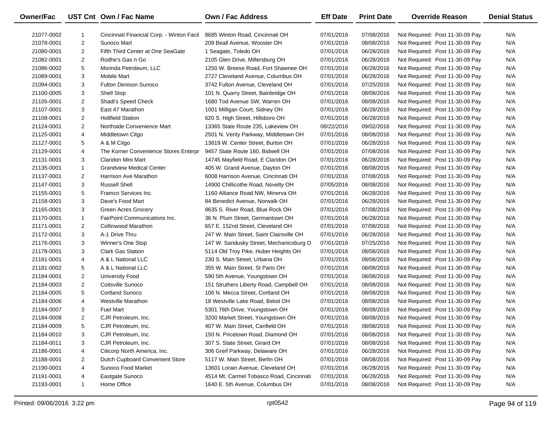| Owner/Fac  |                | UST Cnt Own / Fac Name                    | <b>Own / Fac Address</b>                 | <b>Eff Date</b> | <b>Print Date</b> | <b>Override Reason</b>          | <b>Denial Status</b> |
|------------|----------------|-------------------------------------------|------------------------------------------|-----------------|-------------------|---------------------------------|----------------------|
| 21077-0002 | 1              | Cincinnati Financial Corp. - Winton Facil | 8685 Winton Road, Cincinnati OH          | 07/01/2016      | 07/08/2016        | Not Required: Post 11-30-09 Pay | N/A                  |
| 21078-0001 | $\overline{2}$ | Sunoco Mart                               | 209 Beall Avenue, Wooster OH             | 07/01/2016      | 08/08/2016        | Not Required: Post 11-30-09 Pay | N/A                  |
| 21080-0001 | 2              | Fifth Third Center at One SeaGate         | 1 Seagate, Toledo OH                     | 07/01/2016      | 06/28/2016        | Not Required: Post 11-30-09 Pay | N/A                  |
| 21082-0001 | 2              | Rodhe's Gas n Go                          | 2105 Glen Drive, Millersburg OH          | 07/01/2016      | 06/28/2016        | Not Required: Post 11-30-09 Pay | N/A                  |
| 21086-0002 | 5              | Morinda Petroleum, LLC                    | 1250 W. Breese Road, Fort Shawnee OH     | 07/01/2016      | 06/28/2016        | Not Required: Post 11-30-09 Pay | N/A                  |
| 21089-0001 | 3              | <b>Mobile Mart</b>                        | 2727 Cleveland Avenue, Columbus OH       | 07/01/2016      | 06/28/2016        | Not Required: Post 11-30-09 Pay | N/A                  |
| 21094-0001 | 3              | <b>Fulton Denison Sunoco</b>              | 3742 Fulton Avenue, Cleveland OH         | 07/01/2016      | 07/25/2016        | Not Required: Post 11-30-09 Pay | N/A                  |
| 21100-0005 | 3              | Shell Stop                                | 101 N. Quarry Street, Bainbridge OH      | 07/01/2016      | 08/08/2016        | Not Required: Post 11-30-09 Pay | N/A                  |
| 21105-0001 | $\overline{2}$ | Shadi's Speed Check                       | 1680 Tod Avenue SW, Warren OH            | 07/01/2016      | 08/08/2016        | Not Required: Post 11-30-09 Pay | N/A                  |
| 21107-0001 | 3              | East 47 Marathon                          | 1001 Milligan Court, Sidney OH           | 07/01/2016      | 06/28/2016        | Not Required: Post 11-30-09 Pay | N/A                  |
| 21108-0001 | $\overline{2}$ | <b>Holtfield Station</b>                  | 620 S. High Street, Hillsboro OH         | 07/01/2016      | 06/28/2016        | Not Required: Post 11-30-09 Pay | N/A                  |
| 21124-0001 | 2              | Northside Convenience Mart                | 13365 State Route 235, Lakeview OH       | 08/22/2016      | 09/02/2016        | Not Required: Post 11-30-09 Pay | N/A                  |
| 21125-0001 | 4              | Middletown Citgo                          | 2501 N. Verity Parkway, Middletown OH    | 07/01/2016      | 08/08/2016        | Not Required: Post 11-30-09 Pay | N/A                  |
| 21127-0001 | 5              | A & M Citgo                               | 13819 W. Center Street, Burton OH        | 07/01/2016      | 06/28/2016        | Not Required: Post 11-30-09 Pay | N/A                  |
| 21129-0001 | 4              | The Korner Convenience Stores Enterpr     | 9457 State Route 160, Bidwell OH         | 07/01/2016      | 07/08/2016        | Not Required: Post 11-30-09 Pay | N/A                  |
| 21131-0001 | 3              | Claridon Mini Mart                        | 14745 Mayfield Road, E Claridon OH       | 07/01/2016      | 06/28/2016        | Not Required: Post 11-30-09 Pay | N/A                  |
| 21135-0001 | $\mathbf{1}$   | <b>Grandview Medical Center</b>           | 405 W. Grand Avenue, Dayton OH           | 07/01/2016      | 08/08/2016        | Not Required: Post 11-30-09 Pay | N/A                  |
| 21137-0001 | 2              | Harrison Ave Marathon                     | 6008 Harrison Avenue, Cincinnati OH      | 07/01/2016      | 07/08/2016        | Not Required: Post 11-30-09 Pay | N/A                  |
| 21147-0001 | 3              | <b>Russell Shell</b>                      | 14900 Chillicothe Road, Novelty OH       | 07/05/2016      | 08/08/2016        | Not Required: Post 11-30-09 Pay | N/A                  |
| 21155-0001 | 5              | Framco Services Inc.                      | 1160 Alliance Road NW, Minerva OH        | 07/01/2016      | 06/28/2016        | Not Required: Post 11-30-09 Pay | N/A                  |
| 21158-0001 | 3              | Dave's Food Mart                          | 84 Benedict Avenue, Norwalk OH           | 07/01/2016      | 06/28/2016        | Not Required: Post 11-30-09 Pay | N/A                  |
| 21165-0001 | 3              | <b>Green Acres Grocery</b>                | 8635 S. River Road, Blue Rock OH         | 07/01/2016      | 07/08/2016        | Not Required: Post 11-30-09 Pay | N/A                  |
| 21170-0001 | $\mathbf{1}$   | FairPoint Communications Inc.             | 36 N. Plum Street, Germantown OH         | 07/01/2016      | 06/28/2016        | Not Required: Post 11-30-09 Pay | N/A                  |
| 21171-0001 | 2              | Collinwood Marathon                       | 657 E. 152nd Street, Cleveland OH        | 07/01/2016      | 07/08/2016        | Not Required: Post 11-30-09 Pay | N/A                  |
| 21172-0001 | 3              | A-1 Drive Thru                            | 247 W. Main Street, Saint Clairsville OH | 07/01/2016      | 06/28/2016        | Not Required: Post 11-30-09 Pay | N/A                  |
| 21176-0001 | 3              | Winner's One Stop                         | 147 W. Sandusky Street, Mechanicsburg O  | 07/01/2016      | 07/25/2016        | Not Required: Post 11-30-09 Pay | N/A                  |
| 21178-0001 | 3              | <b>Clark Gas Station</b>                  | 5114 Old Troy Pike, Huber Heights OH     | 07/01/2016      | 08/08/2016        | Not Required: Post 11-30-09 Pay | N/A                  |
| 21181-0001 | 4              | A & L National LLC                        | 230 S. Main Street, Urbana OH            | 07/01/2016      | 08/08/2016        | Not Required: Post 11-30-09 Pay | N/A                  |
| 21181-0002 | 5              | A & L National LLC                        | 355 W. Main Street, St Paris OH          | 07/01/2016      | 08/08/2016        | Not Required: Post 11-30-09 Pay | N/A                  |
| 21184-0001 | $\overline{2}$ | <b>University Food</b>                    | 590 5th Avenue, Youngstown OH            | 07/01/2016      | 08/08/2016        | Not Required: Post 11-30-09 Pay | N/A                  |
| 21184-0003 | 2              | Coitsville Sunoco                         | 151 Struthers Liberty Road, Campbell OH  | 07/01/2016      | 08/08/2016        | Not Required: Post 11-30-09 Pay | N/A                  |
| 21184-0005 | 5              | <b>Cortland Sunoco</b>                    | 106 N. Mecca Street, Cortland OH         | 07/01/2016      | 08/08/2016        | Not Required: Post 11-30-09 Pay | N/A                  |
| 21184-0006 | 4              | <b>Westville Marathon</b>                 | 18 Westville Lake Road, Beloit OH        | 07/01/2016      | 08/08/2016        | Not Required: Post 11-30-09 Pay | N/A                  |
| 21184-0007 | 3              | <b>Fuel Mart</b>                          | 5301 76th Drive, Youngstown OH           | 07/01/2016      | 08/08/2016        | Not Required: Post 11-30-09 Pay | N/A                  |
| 21184-0008 | 2              | CJR Petroleum, Inc.                       | 3200 Market Street, Youngstown OH        | 07/01/2016      | 08/08/2016        | Not Required: Post 11-30-09 Pay | N/A                  |
| 21184-0009 | 5              | CJR Petroleum, Inc.                       | 407 W. Main Street, Canfield OH          | 07/01/2016      | 08/08/2016        | Not Required: Post 11-30-09 Pay | N/A                  |
| 21184-0010 | 3              | CJR Petroleum, Inc.                       | 150 N. Pricetown Road, Diamond OH        | 07/01/2016      | 08/08/2016        | Not Required: Post 11-30-09 Pay | N/A                  |
| 21184-0011 | 3              | CJR Petroleum, Inc.                       | 307 S. State Street, Girard OH           | 07/01/2016      | 08/08/2016        | Not Required: Post 11-30-09 Pay | N/A                  |
| 21186-0001 | 4              | Citicorp North America, Inc.              | 306 Greif Parkway, Delaware OH           | 07/01/2016      | 06/28/2016        | Not Required: Post 11-30-09 Pay | N/A                  |
| 21188-0001 | 2              | Dutch Cupboard Convenient Store           | 5117 W. Main Street, Berlin OH           | 07/01/2016      | 08/08/2016        | Not Required: Post 11-30-09 Pay | N/A                  |
| 21190-0001 | 4              | Sunoco Food Market                        | 13601 Lorain Avenue, Cleveland OH        | 07/01/2016      | 06/28/2016        | Not Required: Post 11-30-09 Pay | N/A                  |
| 21191-0001 | 4              | Eastgate Sunoco                           | 4514 Mt. Carmel Tobasco Road, Cincinnati | 07/01/2016      | 06/28/2016        | Not Required: Post 11-30-09 Pay | N/A                  |
| 21193-0001 | $\mathbf{1}$   | Home Office                               | 1640 E. 5th Avenue, Columbus OH          | 07/01/2016      | 08/08/2016        | Not Required: Post 11-30-09 Pay | N/A                  |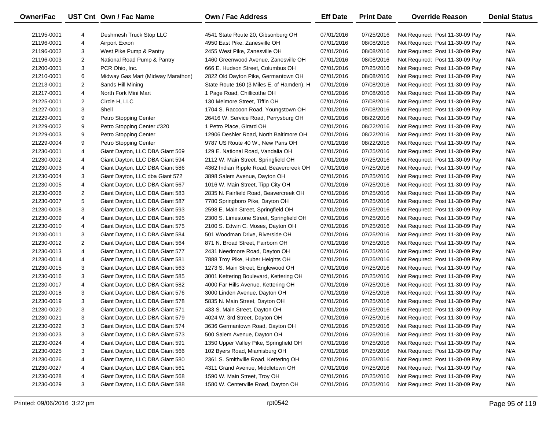| <b>Owner/Fac</b> |                | UST Cnt Own / Fac Name            | <b>Own / Fac Address</b>                  | <b>Eff Date</b> | <b>Print Date</b> | <b>Override Reason</b>          | <b>Denial Status</b> |
|------------------|----------------|-----------------------------------|-------------------------------------------|-----------------|-------------------|---------------------------------|----------------------|
| 21195-0001       | 4              | Deshmesh Truck Stop LLC           | 4541 State Route 20, Gibsonburg OH        | 07/01/2016      | 07/25/2016        | Not Required: Post 11-30-09 Pay | N/A                  |
| 21196-0001       | 4              | Airport Exxon                     | 4950 East Pike, Zanesville OH             | 07/01/2016      | 08/08/2016        | Not Required: Post 11-30-09 Pay | N/A                  |
| 21196-0002       | 3              | West Pike Pump & Pantry           | 2455 West Pike, Zanesville OH             | 07/01/2016      | 08/08/2016        | Not Required: Post 11-30-09 Pay | N/A                  |
| 21196-0003       | $\overline{2}$ | National Road Pump & Pantry       | 1460 Greenwood Avenue, Zanesville OH      | 07/01/2016      | 08/08/2016        | Not Required: Post 11-30-09 Pay | N/A                  |
| 21200-0001       | 3              | PCR Ohio, Inc.                    | 666 E. Hudson Street, Columbus OH         | 07/01/2016      | 07/25/2016        | Not Required: Post 11-30-09 Pay | N/A                  |
| 21210-0001       | 6              | Midway Gas Mart (Midway Marathon) | 2822 Old Dayton Pike, Germantown OH       | 07/01/2016      | 08/08/2016        | Not Required: Post 11-30-09 Pay | N/A                  |
| 21213-0001       | $\overline{2}$ | Sands Hill Mining                 | State Route 160 (3 Miles E. of Hamden), H | 07/01/2016      | 07/08/2016        | Not Required: Post 11-30-09 Pay | N/A                  |
| 21217-0001       | 4              | North Fork Mini Mart              | 1 Page Road, Chillicothe OH               | 07/01/2016      | 07/08/2016        | Not Required: Post 11-30-09 Pay | N/A                  |
| 21225-0001       | 2              | Circle H, LLC                     | 130 Melmore Street, Tiffin OH             | 07/01/2016      | 07/08/2016        | Not Required: Post 11-30-09 Pay | N/A                  |
| 21227-0001       | 3              | Shell                             | 1704 S. Raccoon Road, Youngstown OH       | 07/01/2016      | 07/08/2016        | Not Required: Post 11-30-09 Pay | N/A                  |
| 21229-0001       | 9              | Petro Stopping Center             | 26416 W. Service Road, Perrysburg OH      | 07/01/2016      | 08/22/2016        | Not Required: Post 11-30-09 Pay | N/A                  |
| 21229-0002       | 9              | Petro Stopping Center #320        | 1 Petro Place, Girard OH                  | 07/01/2016      | 08/22/2016        | Not Required: Post 11-30-09 Pay | N/A                  |
| 21229-0003       | 9              | Petro Stopping Center             | 12906 Deshler Road, North Baltimore OH    | 07/01/2016      | 08/22/2016        | Not Required: Post 11-30-09 Pay | N/A                  |
| 21229-0004       | 9              | Petro Stopping Center             | 9787 US Route 40 W., New Paris OH         | 07/01/2016      | 08/22/2016        | Not Required: Post 11-30-09 Pay | N/A                  |
| 21230-0001       | 4              | Giant Dayton, LLC DBA Giant 569   | 129 E. National Road, Vandalia OH         | 07/01/2016      | 07/25/2016        | Not Required: Post 11-30-09 Pay | N/A                  |
| 21230-0002       | 4              | Giant Dayton, LLC DBA Giant 594   | 2112 W. Main Street, Springfield OH       | 07/01/2016      | 07/25/2016        | Not Required: Post 11-30-09 Pay | N/A                  |
| 21230-0003       | 4              | Giant Dayton, LLC DBA Giant 586   | 4362 Indian Ripple Road, Beavercreek OH   | 07/01/2016      | 07/25/2016        | Not Required: Post 11-30-09 Pay | N/A                  |
| 21230-0004       | 3              | Giant Dayton, LLC dba Giant 572   | 3898 Salem Avenue, Dayton OH              | 07/01/2016      | 07/25/2016        | Not Required: Post 11-30-09 Pay | N/A                  |
| 21230-0005       | 4              | Giant Dayton, LLC DBA Giant 567   | 1016 W. Main Street, Tipp City OH         | 07/01/2016      | 07/25/2016        | Not Required: Post 11-30-09 Pay | N/A                  |
| 21230-0006       | 2              | Giant Dayton, LLC DBA Giant 583   | 2835 N. Fairfield Road, Beavercreek OH    | 07/01/2016      | 07/25/2016        | Not Required: Post 11-30-09 Pay | N/A                  |
| 21230-0007       | 5              | Giant Dayton, LLC DBA Giant 587   | 7780 Springboro Pike, Dayton OH           | 07/01/2016      | 07/25/2016        | Not Required: Post 11-30-09 Pay | N/A                  |
| 21230-0008       | 3              | Giant Dayton, LLC DBA Giant 593   | 2598 E. Main Street, Springfield OH       | 07/01/2016      | 07/25/2016        | Not Required: Post 11-30-09 Pay | N/A                  |
| 21230-0009       | 4              | Giant Dayton, LLC DBA Giant 595   | 2300 S. Limestone Street, Springfield OH  | 07/01/2016      | 07/25/2016        | Not Required: Post 11-30-09 Pay | N/A                  |
| 21230-0010       | 4              | Giant Dayton, LLC DBA Giant 575   | 2100 S. Edwin C. Moses, Dayton OH         | 07/01/2016      | 07/25/2016        | Not Required: Post 11-30-09 Pay | N/A                  |
| 21230-0011       | 3              | Giant Dayton, LLC DBA Giant 584   | 501 Woodman Drive, Riverside OH           | 07/01/2016      | 07/25/2016        | Not Required: Post 11-30-09 Pay | N/A                  |
| 21230-0012       | 2              | Giant Dayton, LLC DBA Giant 564   | 871 N. Broad Street, Fairborn OH          | 07/01/2016      | 07/25/2016        | Not Required: Post 11-30-09 Pay | N/A                  |
| 21230-0013       | 4              | Giant Dayton, LLC DBA Giant 577   | 2431 Needmore Road, Dayton OH             | 07/01/2016      | 07/25/2016        | Not Required: Post 11-30-09 Pay | N/A                  |
| 21230-0014       | 4              | Giant Dayton, LLC DBA Giant 581   | 7888 Troy Pike, Huber Heights OH          | 07/01/2016      | 07/25/2016        | Not Required: Post 11-30-09 Pay | N/A                  |
| 21230-0015       | 3              | Giant Dayton, LLC DBA Giant 563   | 1273 S. Main Street, Englewood OH         | 07/01/2016      | 07/25/2016        | Not Required: Post 11-30-09 Pay | N/A                  |
| 21230-0016       | 3              | Giant Dayton, LLC DBA Giant 585   | 3001 Kettering Boulevard, Kettering OH    | 07/01/2016      | 07/25/2016        | Not Required: Post 11-30-09 Pay | N/A                  |
| 21230-0017       | 4              | Giant Dayton, LLC DBA Giant 582   | 4000 Far Hills Avenue, Kettering OH       | 07/01/2016      | 07/25/2016        | Not Required: Post 11-30-09 Pay | N/A                  |
| 21230-0018       | 3              | Giant Dayton, LLC DBA Giant 576   | 3000 Linden Avenue, Dayton OH             | 07/01/2016      | 07/25/2016        | Not Required: Post 11-30-09 Pay | N/A                  |
| 21230-0019       | 3              | Giant Dayton, LLC DBA Giant 578   | 5835 N. Main Street, Dayton OH            | 07/01/2016      | 07/25/2016        | Not Required: Post 11-30-09 Pay | N/A                  |
| 21230-0020       | 3              | Giant Dayton, LLC DBA Giant 571   | 433 S. Main Street, Dayton OH             | 07/01/2016      | 07/25/2016        | Not Required: Post 11-30-09 Pay | N/A                  |
| 21230-0021       | 3              | Giant Dayton, LLC DBA Giant 579   | 4024 W. 3rd Street, Dayton OH             | 07/01/2016      | 07/25/2016        | Not Required: Post 11-30-09 Pay | N/A                  |
| 21230-0022       | 3              | Giant Dayton, LLC DBA Giant 574   | 3636 Germantown Road, Dayton OH           | 07/01/2016      | 07/25/2016        | Not Required: Post 11-30-09 Pay | N/A                  |
| 21230-0023       | 3              | Giant Dayton, LLC DBA Giant 573   | 500 Salem Avenue, Dayton OH               | 07/01/2016      | 07/25/2016        | Not Required: Post 11-30-09 Pay | N/A                  |
| 21230-0024       | 4              | Giant Dayton, LLC DBA Giant 591   | 1350 Upper Valley Pike, Springfield OH    | 07/01/2016      | 07/25/2016        | Not Required: Post 11-30-09 Pay | N/A                  |
| 21230-0025       | 3              | Giant Dayton, LLC DBA Giant 566   | 102 Byers Road, Miamisburg OH             | 07/01/2016      | 07/25/2016        | Not Required: Post 11-30-09 Pay | N/A                  |
| 21230-0026       | 4              | Giant Dayton, LLC DBA Giant 580   | 2361 S. Smithville Road, Kettering OH     | 07/01/2016      | 07/25/2016        | Not Required: Post 11-30-09 Pay | N/A                  |
| 21230-0027       | 4              | Giant Dayton, LLC DBA Giant 561   | 4311 Grand Avenue, Middletown OH          | 07/01/2016      | 07/25/2016        | Not Required: Post 11-30-09 Pay | N/A                  |
| 21230-0028       | 4              | Giant Dayton, LLC DBA Giant 568   | 1590 W. Main Street, Troy OH              | 07/01/2016      | 07/25/2016        | Not Required: Post 11-30-09 Pay | N/A                  |
| 21230-0029       | 3              | Giant Dayton, LLC DBA Giant 588   | 1580 W. Centerville Road, Dayton OH       | 07/01/2016      | 07/25/2016        | Not Required: Post 11-30-09 Pay | N/A                  |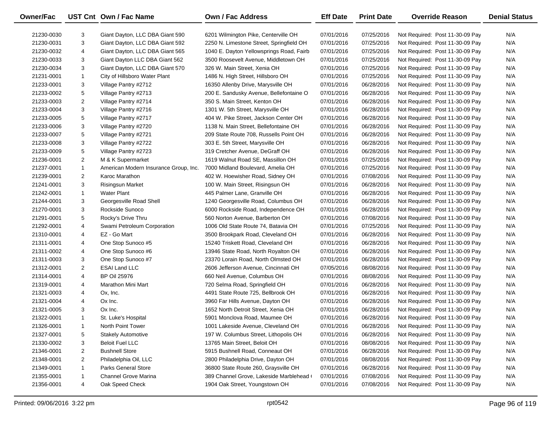| Owner/Fac  |                | UST Cnt Own / Fac Name                | Own / Fac Address                        | <b>Eff Date</b> | <b>Print Date</b> | <b>Override Reason</b>          | <b>Denial Status</b> |
|------------|----------------|---------------------------------------|------------------------------------------|-----------------|-------------------|---------------------------------|----------------------|
| 21230-0030 | 3              | Giant Dayton, LLC DBA Giant 590       | 6201 Wilmington Pike, Centerville OH     | 07/01/2016      | 07/25/2016        | Not Required: Post 11-30-09 Pay | N/A                  |
| 21230-0031 | 3              | Giant Dayton, LLC DBA Giant 592       | 2250 N. Limestone Street, Springfield OH | 07/01/2016      | 07/25/2016        | Not Required: Post 11-30-09 Pay | N/A                  |
| 21230-0032 | 4              | Giant Dayton, LLC DBA Giant 565       | 1040 E. Dayton Yellowsprings Road, Fairb | 07/01/2016      | 07/25/2016        | Not Required: Post 11-30-09 Pay | N/A                  |
| 21230-0033 | 3              | Giant Dayton LLC DBA Giant 562        | 3500 Roosevelt Avenue, Middletown OH     | 07/01/2016      | 07/25/2016        | Not Required: Post 11-30-09 Pay | N/A                  |
| 21230-0034 | 3              | Giant Dayton, LLC DBA Giant 570       | 326 W. Main Street, Xenia OH             | 07/01/2016      | 07/25/2016        | Not Required: Post 11-30-09 Pay | N/A                  |
| 21231-0001 | $\mathbf{1}$   | City of Hillsboro Water Plant         | 1486 N. High Street, Hillsboro OH        | 07/01/2016      | 07/25/2016        | Not Required: Post 11-30-09 Pay | N/A                  |
| 21233-0001 | 3              | Village Pantry #2712                  | 16350 Allenby Drive, Marysville OH       | 07/01/2016      | 06/28/2016        | Not Required: Post 11-30-09 Pay | N/A                  |
| 21233-0002 | 5              | Village Pantry #2713                  | 200 E. Sandusky Avenue, Bellefontaine O  | 07/01/2016      | 06/28/2016        | Not Required: Post 11-30-09 Pay | N/A                  |
| 21233-0003 | $\overline{2}$ | Village Pantry #2714                  | 350 S. Main Street, Kenton OH            | 07/01/2016      | 06/28/2016        | Not Required: Post 11-30-09 Pay | N/A                  |
| 21233-0004 | 3              | Village Pantry #2716                  | 1301 W. 5th Street, Marysville OH        | 07/01/2016      | 06/28/2016        | Not Required: Post 11-30-09 Pay | N/A                  |
| 21233-0005 | 5              | Village Pantry #2717                  | 404 W. Pike Street, Jackson Center OH    | 07/01/2016      | 06/28/2016        | Not Required: Post 11-30-09 Pay | N/A                  |
| 21233-0006 | 3              | Village Pantry #2720                  | 1138 N. Main Street, Bellefontaine OH    | 07/01/2016      | 06/28/2016        | Not Required: Post 11-30-09 Pay | N/A                  |
| 21233-0007 | 5              | Village Pantry #2721                  | 209 State Route 708, Russells Point OH   | 07/01/2016      | 06/28/2016        | Not Required: Post 11-30-09 Pay | N/A                  |
| 21233-0008 | 3              | Village Pantry #2722                  | 303 E. 5th Street, Marysville OH         | 07/01/2016      | 06/28/2016        | Not Required: Post 11-30-09 Pay | N/A                  |
| 21233-0009 | 5              | Village Pantry #2723                  | 319 Cretcher Avenue, DeGraff OH          | 07/01/2016      | 06/28/2016        | Not Required: Post 11-30-09 Pay | N/A                  |
| 21236-0001 | $\overline{2}$ | M & K Supermarket                     | 1619 Walnut Road SE, Massillon OH        | 07/01/2016      | 07/25/2016        | Not Required: Post 11-30-09 Pay | N/A                  |
| 21237-0001 | $\mathbf{1}$   | American Modern Insurance Group, Inc. | 7000 Midland Boulevard, Amelia OH        | 07/01/2016      | 07/25/2016        | Not Required: Post 11-30-09 Pay | N/A                  |
| 21239-0001 | $\overline{2}$ | Karoc Marathon                        | 402 W. Hoewisher Road, Sidney OH         | 07/01/2016      | 07/08/2016        | Not Required: Post 11-30-09 Pay | N/A                  |
| 21241-0001 | 3              | <b>Risingsun Market</b>               | 100 W. Main Street, Risingsun OH         | 07/01/2016      | 06/28/2016        | Not Required: Post 11-30-09 Pay | N/A                  |
| 21242-0001 | $\mathbf{1}$   | <b>Water Plant</b>                    | 445 Palmer Lane, Granville OH            | 07/01/2016      | 06/28/2016        | Not Required: Post 11-30-09 Pay | N/A                  |
| 21244-0001 | 3              | Georgesville Road Shell               | 1240 Georgesville Road, Columbus OH      | 07/01/2016      | 06/28/2016        | Not Required: Post 11-30-09 Pay | N/A                  |
| 21270-0001 | 3              | Rockside Sunoco                       | 6000 Rockside Road, Independence OH      | 07/01/2016      | 06/28/2016        | Not Required: Post 11-30-09 Pay | N/A                  |
| 21291-0001 | 5              | Rocky's Drive Thru                    | 560 Norton Avenue, Barberton OH          | 07/01/2016      | 07/08/2016        | Not Required: Post 11-30-09 Pay | N/A                  |
| 21292-0001 | 4              | Swami Petroleum Corporation           | 1006 Old State Route 74, Batavia OH      | 07/01/2016      | 07/25/2016        | Not Required: Post 11-30-09 Pay | N/A                  |
| 21310-0001 | 4              | EZ - Go Mart                          | 3500 Brookpark Road, Cleveland OH        | 07/01/2016      | 06/28/2016        | Not Required: Post 11-30-09 Pay | N/A                  |
| 21311-0001 | 4              | One Stop Sunoco #5                    | 15240 Triskett Road, Cleveland OH        | 07/01/2016      | 06/28/2016        | Not Required: Post 11-30-09 Pay | N/A                  |
| 21311-0002 | 4              | One Stop Sunoco #6                    | 13946 State Road, North Royalton OH      | 07/01/2016      | 06/28/2016        | Not Required: Post 11-30-09 Pay | N/A                  |
| 21311-0003 | 3              | One Stop Sunoco #7                    | 23370 Lorain Road, North Olmsted OH      | 07/01/2016      | 06/28/2016        | Not Required: Post 11-30-09 Pay | N/A                  |
| 21312-0001 | $\overline{2}$ | <b>ESAI Land LLC</b>                  | 2606 Jefferson Avenue, Cincinnati OH     | 07/05/2016      | 08/08/2016        | Not Required: Post 11-30-09 Pay | N/A                  |
| 21314-0001 | 4              | <b>BP Oil 25976</b>                   | 660 Neil Avenue, Columbus OH             | 07/01/2016      | 08/08/2016        | Not Required: Post 11-30-09 Pay | N/A                  |
| 21319-0001 | 4              | Marathon Mini Mart                    | 720 Selma Road, Springfield OH           | 07/01/2016      | 06/28/2016        | Not Required: Post 11-30-09 Pay | N/A                  |
| 21321-0003 | 4              | Ox, Inc.                              | 4491 State Route 725, Bellbrook OH       | 07/01/2016      | 06/28/2016        | Not Required: Post 11-30-09 Pay | N/A                  |
| 21321-0004 | 4              | Ox Inc.                               | 3960 Far Hills Avenue, Dayton OH         | 07/01/2016      | 06/28/2016        | Not Required: Post 11-30-09 Pay | N/A                  |
| 21321-0005 | 3              | Ox Inc.                               | 1652 North Detroit Street, Xenia OH      | 07/01/2016      | 06/28/2016        | Not Required: Post 11-30-09 Pay | N/A                  |
| 21322-0001 | $\mathbf{1}$   | St. Luke's Hospital                   | 5901 Monclova Road, Maumee OH            | 07/01/2016      | 06/28/2016        | Not Required: Post 11-30-09 Pay | N/A                  |
| 21326-0001 | -1             | North Point Tower                     | 1001 Lakeside Avenue, Cleveland OH       | 07/01/2016      | 06/28/2016        | Not Required: Post 11-30-09 Pay | N/A                  |
| 21327-0001 | 5              | <b>Stakely Automotive</b>             | 197 W. Columbus Street, Lithopolis OH    | 07/01/2016      | 06/28/2016        | Not Required: Post 11-30-09 Pay | N/A                  |
| 21330-0002 | 3              | <b>Beloit Fuel LLC</b>                | 13765 Main Street, Beloit OH             | 07/01/2016      | 08/08/2016        | Not Required: Post 11-30-09 Pay | N/A                  |
| 21346-0001 | 2              | <b>Bushnell Store</b>                 | 5915 Bushnell Road, Conneaut OH          | 07/01/2016      | 06/28/2016        | Not Required: Post 11-30-09 Pay | N/A                  |
| 21348-0001 | 2              | Philadelphia Oil, LLC                 | 2800 Philadelphia Drive, Dayton OH       | 07/01/2016      | 08/08/2016        | Not Required: Post 11-30-09 Pay | N/A                  |
| 21349-0001 | $\mathbf{1}$   | <b>Parks General Store</b>            | 36800 State Route 260, Graysville OH     | 07/01/2016      | 06/28/2016        | Not Required: Post 11-30-09 Pay | N/A                  |
| 21355-0001 | $\mathbf{1}$   | <b>Channel Grove Marina</b>           | 389 Channel Grove, Lakeside Marblehead   | 07/01/2016      | 07/08/2016        | Not Required: Post 11-30-09 Pay | N/A                  |
| 21356-0001 | 4              | Oak Speed Check                       | 1904 Oak Street, Youngstown OH           | 07/01/2016      | 07/08/2016        | Not Required: Post 11-30-09 Pay | N/A                  |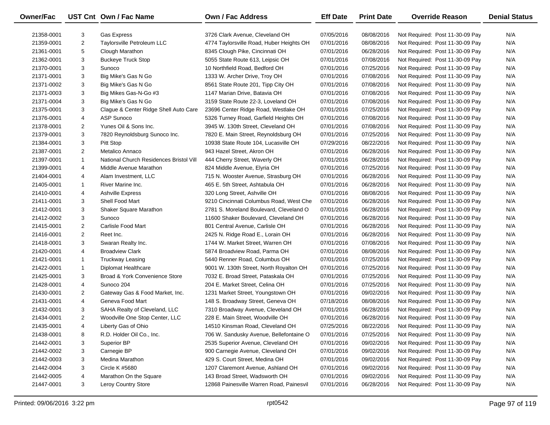| Owner/Fac  |                | UST Cnt Own / Fac Name                  | <b>Own / Fac Address</b>                 | <b>Eff Date</b> | <b>Print Date</b> | <b>Override Reason</b>          | <b>Denial Status</b> |
|------------|----------------|-----------------------------------------|------------------------------------------|-----------------|-------------------|---------------------------------|----------------------|
| 21358-0001 | 3              | <b>Gas Express</b>                      | 3726 Clark Avenue, Cleveland OH          | 07/05/2016      | 08/08/2016        | Not Required: Post 11-30-09 Pay | N/A                  |
| 21359-0001 | $\overline{2}$ | Taylorsville Petroleum LLC              | 4774 Taylorsville Road, Huber Heights OH | 07/01/2016      | 08/08/2016        | Not Required: Post 11-30-09 Pay | N/A                  |
| 21361-0001 | 5              | Clough Marathon                         | 8345 Clough Pike, Cincinnati OH          | 07/01/2016      | 06/28/2016        | Not Required: Post 11-30-09 Pay | N/A                  |
| 21362-0001 | 3              | <b>Buckeye Truck Stop</b>               | 5055 State Route 613, Leipsic OH         | 07/01/2016      | 07/08/2016        | Not Required: Post 11-30-09 Pay | N/A                  |
| 21370-0001 | 3              | Sunoco                                  | 10 Northfield Road, Bedford OH           | 07/01/2016      | 07/25/2016        | Not Required: Post 11-30-09 Pay | N/A                  |
| 21371-0001 | 3              | Big Mike's Gas N Go                     | 1333 W. Archer Drive, Troy OH            | 07/01/2016      | 07/08/2016        | Not Required: Post 11-30-09 Pay | N/A                  |
| 21371-0002 | 3              | Big Mike's Gas N Go                     | 8561 State Route 201, Tipp City OH       | 07/01/2016      | 07/08/2016        | Not Required: Post 11-30-09 Pay | N/A                  |
| 21371-0003 | 3              | Big Mikes Gas-N-Go #3                   | 1147 Marian Drive, Batavia OH            | 07/01/2016      | 07/08/2016        | Not Required: Post 11-30-09 Pay | N/A                  |
| 21371-0004 | 3              | Big Mike's Gas N Go                     | 3159 State Route 22-3, Loveland OH       | 07/01/2016      | 07/08/2016        | Not Required: Post 11-30-09 Pay | N/A                  |
| 21375-0001 | 3              | Clague & Center Ridge Shell Auto Care   | 23696 Center Ridge Road, Westlake OH     | 07/01/2016      | 07/25/2016        | Not Required: Post 11-30-09 Pay | N/A                  |
| 21376-0001 | 4              | ASP Sunoco                              | 5326 Turney Road, Garfield Heights OH    | 07/01/2016      | 07/08/2016        | Not Required: Post 11-30-09 Pay | N/A                  |
| 21378-0001 | $\overline{2}$ | Yunes Oil & Sons Inc.                   | 3945 W. 130th Street, Cleveland OH       | 07/01/2016      | 07/08/2016        | Not Required: Post 11-30-09 Pay | N/A                  |
| 21379-0001 | 3              | 7820 Reynoldsburg Sunoco Inc.           | 7820 E. Main Street, Reynoldsburg OH     | 07/01/2016      | 07/25/2016        | Not Required: Post 11-30-09 Pay | N/A                  |
| 21384-0001 | 3              | Pitt Stop                               | 10938 State Route 104, Lucasville OH     | 07/29/2016      | 08/22/2016        | Not Required: Post 11-30-09 Pay | N/A                  |
| 21387-0001 | $\overline{2}$ | Metalico Annaco                         | 943 Hazel Street, Akron OH               | 07/01/2016      | 06/28/2016        | Not Required: Post 11-30-09 Pay | N/A                  |
| 21397-0001 | $\mathbf{1}$   | National Church Residences Bristol Vill | 444 Cherry Street, Waverly OH            | 07/01/2016      | 06/28/2016        | Not Required: Post 11-30-09 Pay | N/A                  |
| 21399-0001 | 4              | Middle Avenue Marathon                  | 824 Middle Avenue, Elyria OH             | 07/01/2016      | 07/25/2016        | Not Required: Post 11-30-09 Pay | N/A                  |
| 21404-0001 | 4              | Alam Investment, LLC                    | 715 N. Wooster Avenue, Strasburg OH      | 07/01/2016      | 06/28/2016        | Not Required: Post 11-30-09 Pay | N/A                  |
| 21405-0001 | $\mathbf{1}$   | River Marine Inc.                       | 465 E. 5th Street, Ashtabula OH          | 07/01/2016      | 06/28/2016        | Not Required: Post 11-30-09 Pay | N/A                  |
| 21410-0001 | 4              | <b>Ashville Express</b>                 | 320 Long Street, Ashville OH             | 07/01/2016      | 08/08/2016        | Not Required: Post 11-30-09 Pay | N/A                  |
| 21411-0001 | 3              | Shell Food Mart                         | 9210 Cincinnati Columbus Road, West Che  | 07/01/2016      | 06/28/2016        | Not Required: Post 11-30-09 Pay | N/A                  |
| 21412-0001 | 3              | Shaker Square Marathon                  | 2781 S. Moreland Boulevard, Cleveland O  | 07/01/2016      | 06/28/2016        | Not Required: Post 11-30-09 Pay | N/A                  |
| 21412-0002 | 3              | Sunoco                                  | 11600 Shaker Boulevard, Cleveland OH     | 07/01/2016      | 06/28/2016        | Not Required: Post 11-30-09 Pay | N/A                  |
| 21415-0001 | $\overline{2}$ | Carlisle Food Mart                      | 801 Central Avenue, Carlisle OH          | 07/01/2016      | 06/28/2016        | Not Required: Post 11-30-09 Pay | N/A                  |
| 21416-0001 | $\overline{2}$ | Reet Inc.                               | 2425 N. Ridge Road E., Lorain OH         | 07/01/2016      | 06/28/2016        | Not Required: Post 11-30-09 Pay | N/A                  |
| 21418-0001 | 3              | Swaran Realty Inc.                      | 1744 W. Market Street, Warren OH         | 07/01/2016      | 07/08/2016        | Not Required: Post 11-30-09 Pay | N/A                  |
| 21420-0001 | 4              | <b>Broadview Clark</b>                  | 5874 Broadview Road, Parma OH            | 07/01/2016      | 08/08/2016        | Not Required: Post 11-30-09 Pay | N/A                  |
| 21421-0001 | $\mathbf{1}$   | <b>Truckway Leasing</b>                 | 5440 Renner Road, Columbus OH            | 07/01/2016      | 07/25/2016        | Not Required: Post 11-30-09 Pay | N/A                  |
| 21422-0001 | $\mathbf{1}$   | Diplomat Healthcare                     | 9001 W. 130th Street, North Royalton OH  | 07/01/2016      | 07/25/2016        | Not Required: Post 11-30-09 Pay | N/A                  |
| 21425-0001 | 3              | Broad & York Convenience Store          | 7032 E. Broad Street, Pataskala OH       | 07/01/2016      | 07/25/2016        | Not Required: Post 11-30-09 Pay | N/A                  |
| 21428-0001 | 4              | Sunoco 204                              | 204 E. Market Street, Celina OH          | 07/01/2016      | 07/25/2016        | Not Required: Post 11-30-09 Pay | N/A                  |
| 21430-0001 | $\overline{2}$ | Gateway Gas & Food Market, Inc.         | 1231 Market Street, Youngstown OH        | 07/01/2016      | 09/02/2016        | Not Required: Post 11-30-09 Pay | N/A                  |
| 21431-0001 | 4              | Geneva Food Mart                        | 148 S. Broadway Street, Geneva OH        | 07/18/2016      | 08/08/2016        | Not Required: Post 11-30-09 Pay | N/A                  |
| 21432-0001 | 3              | SAHA Realty of Cleveland, LLC           | 7310 Broadway Avenue, Cleveland OH       | 07/01/2016      | 06/28/2016        | Not Required: Post 11-30-09 Pay | N/A                  |
| 21434-0001 | $\overline{2}$ | Woodville One Stop Center, LLC          | 228 E. Main Street, Woodville OH         | 07/01/2016      | 06/28/2016        | Not Required: Post 11-30-09 Pay | N/A                  |
| 21435-0001 | 4              | Liberty Gas of Ohio                     | 14510 Kinsman Road, Cleveland OH         | 07/25/2016      | 08/22/2016        | Not Required: Post 11-30-09 Pay | N/A                  |
| 21438-0001 | 8              | R.D. Holder Oil Co., Inc.               | 706 W. Sandusky Avenue, Bellefontaine O  | 07/01/2016      | 07/25/2016        | Not Required: Post 11-30-09 Pay | N/A                  |
| 21442-0001 | 3              | Superior BP                             | 2535 Superior Avenue, Cleveland OH       | 07/01/2016      | 09/02/2016        | Not Required: Post 11-30-09 Pay | N/A                  |
| 21442-0002 | 3              | Carnegie BP                             | 900 Carnegie Avenue, Cleveland OH        | 07/01/2016      | 09/02/2016        | Not Required: Post 11-30-09 Pay | N/A                  |
| 21442-0003 | 3              | Medina Marathon                         | 429 S. Court Street, Medina OH           | 07/01/2016      | 09/02/2016        | Not Required: Post 11-30-09 Pay | N/A                  |
| 21442-0004 | 3              | <b>Circle K #5680</b>                   | 1207 Claremont Avenue, Ashland OH        | 07/01/2016      | 09/02/2016        | Not Required: Post 11-30-09 Pay | N/A                  |
| 21442-0005 | 4              | Marathon On the Square                  | 143 Broad Street, Wadsworth OH           | 07/01/2016      | 09/02/2016        | Not Required: Post 11-30-09 Pay | N/A                  |
| 21447-0001 | 3              | Leroy Country Store                     | 12868 Painesville Warren Road, Painesvil | 07/01/2016      | 06/28/2016        | Not Required: Post 11-30-09 Pay | N/A                  |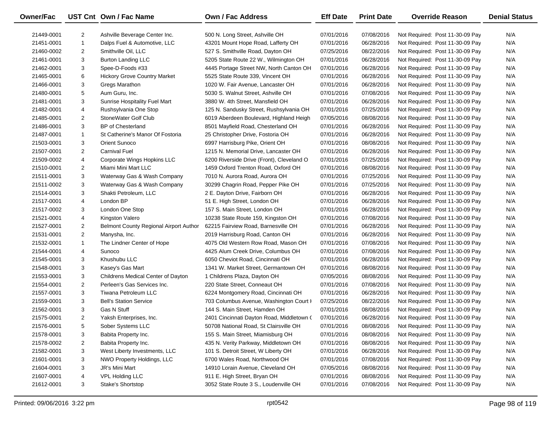| <b>Owner/Fac</b> |                         | UST Cnt Own / Fac Name                 | <b>Own / Fac Address</b>                  | <b>Eff Date</b> | <b>Print Date</b> | <b>Override Reason</b>          | <b>Denial Status</b> |
|------------------|-------------------------|----------------------------------------|-------------------------------------------|-----------------|-------------------|---------------------------------|----------------------|
| 21449-0001       | $\overline{2}$          | Ashville Beverage Center Inc.          | 500 N. Long Street, Ashville OH           | 07/01/2016      | 07/08/2016        | Not Required: Post 11-30-09 Pay | N/A                  |
| 21451-0001       | $\mathbf{1}$            | Dalps Fuel & Automotive, LLC           | 43201 Mount Hope Road, Lafferty OH        | 07/01/2016      | 06/28/2016        | Not Required: Post 11-30-09 Pay | N/A                  |
| 21460-0002       | $\overline{2}$          | Smithville Oil, LLC                    | 527 S. Smithville Road, Dayton OH         | 07/25/2016      | 08/22/2016        | Not Required: Post 11-30-09 Pay | N/A                  |
| 21461-0001       | 3                       | <b>Burton Landing LLC</b>              | 5205 State Route 22 W., Wilmington OH     | 07/01/2016      | 06/28/2016        | Not Required: Post 11-30-09 Pay | N/A                  |
| 21462-0001       | 3                       | Spee-D-Foods #33                       | 4445 Portage Street NW, North Canton OH   | 07/01/2016      | 06/28/2016        | Not Required: Post 11-30-09 Pay | N/A                  |
| 21465-0001       | 6                       | <b>Hickory Grove Country Market</b>    | 5525 State Route 339, Vincent OH          | 07/01/2016      | 06/28/2016        | Not Required: Post 11-30-09 Pay | N/A                  |
| 21466-0001       | 3                       | Gregs Marathon                         | 1020 W. Fair Avenue, Lancaster OH         | 07/01/2016      | 06/28/2016        | Not Required: Post 11-30-09 Pay | N/A                  |
| 21480-0001       | 5                       | Aum Guru, Inc.                         | 5030 S. Walnut Street, Ashville OH        | 07/01/2016      | 07/08/2016        | Not Required: Post 11-30-09 Pay | N/A                  |
| 21481-0001       | 3                       | Sunrise Hospitality Fuel Mart          | 3880 W. 4th Street, Mansfield OH          | 07/01/2016      | 06/28/2016        | Not Required: Post 11-30-09 Pay | N/A                  |
| 21482-0001       | 4                       | Rushsylvania One Stop                  | 125 N. Sandusky Street, Rushsylvania OH   | 07/01/2016      | 07/25/2016        | Not Required: Post 11-30-09 Pay | N/A                  |
| 21485-0001       | $\overline{2}$          | StoneWater Golf Club                   | 6019 Aberdeen Boulevard, Highland Heigh   | 07/05/2016      | 08/08/2016        | Not Required: Post 11-30-09 Pay | N/A                  |
| 21486-0001       | 3                       | <b>BP</b> of Chesterland               | 8501 Mayfield Road, Chesterland OH        | 07/01/2016      | 06/28/2016        | Not Required: Post 11-30-09 Pay | N/A                  |
| 21487-0001       | $\mathbf{1}$            | St Catherine's Manor Of Fostoria       | 25 Christopher Drive, Fostoria OH         | 07/01/2016      | 06/28/2016        | Not Required: Post 11-30-09 Pay | N/A                  |
| 21503-0001       | 3                       | Orient Sunoco                          | 6997 Harrisburg Pike, Orient OH           | 07/01/2016      | 08/08/2016        | Not Required: Post 11-30-09 Pay | N/A                  |
| 21507-0001       | $\overline{2}$          | <b>Carnival Fuel</b>                   | 1215 N. Memorial Drive, Lancaster OH      | 07/01/2016      | 06/28/2016        | Not Required: Post 11-30-09 Pay | N/A                  |
| 21509-0002       | 4                       | Corporate Wings Hopkins LLC            | 6200 Riverside Drive (Front), Cleveland O | 07/01/2016      | 07/25/2016        | Not Required: Post 11-30-09 Pay | N/A                  |
| 21510-0001       | $\overline{2}$          | Miami Mini Mart LLC                    | 1459 Oxford Trenton Road, Oxford OH       | 07/01/2016      | 08/08/2016        | Not Required: Post 11-30-09 Pay | N/A                  |
| 21511-0001       | 3                       | Waterway Gas & Wash Company            | 7010 N. Aurora Road, Aurora OH            | 07/01/2016      | 07/25/2016        | Not Required: Post 11-30-09 Pay | N/A                  |
| 21511-0002       | 3                       | Waterway Gas & Wash Company            | 30299 Chagrin Road, Pepper Pike OH        | 07/01/2016      | 07/25/2016        | Not Required: Post 11-30-09 Pay | N/A                  |
| 21514-0001       | 3                       | Shakti Petroleum, LLC                  | 2 E. Dayton Drive, Fairborn OH            | 07/01/2016      | 06/28/2016        | Not Required: Post 11-30-09 Pay | N/A                  |
| 21517-0001       | 4                       | London BP                              | 51 E. High Street, London OH              | 07/01/2016      | 06/28/2016        | Not Required: Post 11-30-09 Pay | N/A                  |
| 21517-0002       | 3                       | London One Stop                        | 157 S. Main Street, London OH             | 07/01/2016      | 06/28/2016        | Not Required: Post 11-30-09 Pay | N/A                  |
| 21521-0001       | 4                       | Kingston Valero                        | 10238 State Route 159, Kingston OH        | 07/01/2016      | 07/08/2016        | Not Required: Post 11-30-09 Pay | N/A                  |
| 21527-0001       | $\overline{2}$          | Belmont County Regional Airport Author | 62215 Fairview Road, Barnesville OH       | 07/01/2016      | 06/28/2016        | Not Required: Post 11-30-09 Pay | N/A                  |
| 21531-0001       | $\overline{2}$          | Manysha, Inc.                          | 2019 Harrisburg Road, Canton OH           | 07/01/2016      | 06/28/2016        | Not Required: Post 11-30-09 Pay | N/A                  |
| 21532-0001       | $\mathbf{1}$            | The Lindner Center of Hope             | 4075 Old Western Row Road, Mason OH       | 07/01/2016      | 07/08/2016        | Not Required: Post 11-30-09 Pay | N/A                  |
| 21544-0001       | 4                       | Sunoco                                 | 4425 Alum Creek Drive, Columbus OH        | 07/01/2016      | 07/08/2016        | Not Required: Post 11-30-09 Pay | N/A                  |
| 21545-0001       | 3                       | Khushubu LLC                           | 6050 Cheviot Road, Cincinnati OH          | 07/01/2016      | 06/28/2016        | Not Required: Post 11-30-09 Pay | N/A                  |
| 21548-0001       | 3                       | Kasey's Gas Mart                       | 1341 W. Market Street, Germantown OH      | 07/01/2016      | 08/08/2016        | Not Required: Post 11-30-09 Pay | N/A                  |
| 21553-0001       | 3                       | Childrens Medical Center of Dayton     | 1 Childrens Plaza, Dayton OH              | 07/05/2016      | 08/08/2016        | Not Required: Post 11-30-09 Pay | N/A                  |
| 21554-0001       | $\overline{2}$          | Perleen's Gas Services Inc.            | 220 State Street, Conneaut OH             | 07/01/2016      | 07/08/2016        | Not Required: Post 11-30-09 Pay | N/A                  |
| 21557-0001       | 3                       | Tiwana Petroleum LLC                   | 6224 Montgomery Road, Cincinnati OH       | 07/01/2016      | 06/28/2016        | Not Required: Post 11-30-09 Pay | N/A                  |
| 21559-0001       | 3                       | <b>Bell's Station Service</b>          | 703 Columbus Avenue, Washington Court I   | 07/25/2016      | 08/22/2016        | Not Required: Post 11-30-09 Pay | N/A                  |
| 21562-0001       | 3                       | Gas N Stuff                            | 144 S. Main Street, Hamden OH             | 07/01/2016      | 08/08/2016        | Not Required: Post 11-30-09 Pay | N/A                  |
| 21575-0001       | $\overline{\mathbf{c}}$ | Yaksh Enterprises, Inc.                | 2401 Cincinnati Dayton Road, Middletown ( | 07/01/2016      | 06/28/2016        | Not Required: Post 11-30-09 Pay | N/A                  |
| 21576-0001       | 5                       | Sober Systems LLC                      | 50708 National Road, St Clairsville OH    | 07/01/2016      | 08/08/2016        | Not Required: Post 11-30-09 Pay | N/A                  |
| 21578-0001       | 3                       | Babita Property Inc.                   | 155 S. Main Street, Miamisburg OH         | 07/01/2016      | 08/08/2016        | Not Required: Post 11-30-09 Pay | N/A                  |
| 21578-0002       | $\overline{2}$          | Babita Property Inc.                   | 435 N. Verity Parkway, Middletown OH      | 07/01/2016      | 08/08/2016        | Not Required: Post 11-30-09 Pay | N/A                  |
| 21582-0001       | 3                       | West Liberty Investments, LLC          | 101 S. Detroit Street, W Liberty OH       | 07/01/2016      | 06/28/2016        | Not Required: Post 11-30-09 Pay | N/A                  |
| 21601-0001       | 3                       | NWO Property Holdings, LLC             | 6700 Wales Road, Northwood OH             | 07/01/2016      | 07/08/2016        | Not Required: Post 11-30-09 Pay | N/A                  |
| 21604-0001       | 3                       | JR's Mini Mart                         | 14910 Lorain Avenue, Cleveland OH         | 07/05/2016      | 08/08/2016        | Not Required: Post 11-30-09 Pay | N/A                  |
| 21607-0001       | 4                       | <b>VPL Holding LLC</b>                 | 911 E. High Street, Bryan OH              | 07/01/2016      | 08/08/2016        | Not Required: Post 11-30-09 Pay | N/A                  |
| 21612-0001       | 3                       | Stake's Shortstop                      | 3052 State Route 3 S., Loudenville OH     | 07/01/2016      | 07/08/2016        | Not Required: Post 11-30-09 Pay | N/A                  |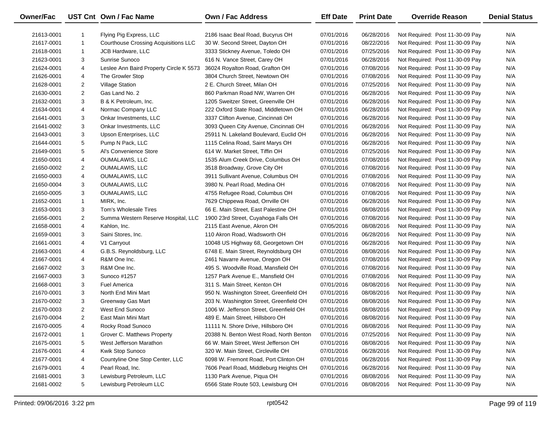| Owner/Fac  |                | UST Cnt Own / Fac Name                      | Own / Fac Address                       | <b>Eff Date</b> | <b>Print Date</b> | <b>Override Reason</b>          | <b>Denial Status</b> |
|------------|----------------|---------------------------------------------|-----------------------------------------|-----------------|-------------------|---------------------------------|----------------------|
| 21613-0001 |                | Flying Pig Express, LLC                     | 2186 Isaac Beal Road, Bucyrus OH        | 07/01/2016      | 06/28/2016        | Not Required: Post 11-30-09 Pay | N/A                  |
| 21617-0001 | $\mathbf{1}$   | <b>Courthouse Crossing Acquisitions LLC</b> | 30 W. Second Street, Dayton OH          | 07/01/2016      | 08/22/2016        | Not Required: Post 11-30-09 Pay | N/A                  |
| 21618-0001 | $\mathbf{1}$   | JCB Hardware, LLC                           | 3333 Stickney Avenue, Toledo OH         | 07/01/2016      | 07/25/2016        | Not Required: Post 11-30-09 Pay | N/A                  |
| 21623-0001 | 3              | Sunrise Sunoco                              | 616 N. Vance Street, Carey OH           | 07/01/2016      | 06/28/2016        | Not Required: Post 11-30-09 Pay | N/A                  |
| 21624-0001 | 4              | Leslee Ann Baird Property Circle K 5573     | 36024 Royalton Road, Grafton OH         | 07/01/2016      | 07/08/2016        | Not Required: Post 11-30-09 Pay | N/A                  |
| 21626-0001 | 4              | The Growler Stop                            | 3804 Church Street, Newtown OH          | 07/01/2016      | 07/08/2016        | Not Required: Post 11-30-09 Pay | N/A                  |
| 21628-0001 | $\overline{2}$ | <b>Village Station</b>                      | 2 E. Church Street, Milan OH            | 07/01/2016      | 07/25/2016        | Not Required: Post 11-30-09 Pay | N/A                  |
| 21630-0001 | $\overline{a}$ | Gas Land No. 2                              | 860 Parkman Road NW, Warren OH          | 07/01/2016      | 06/28/2016        | Not Required: Post 11-30-09 Pay | N/A                  |
| 21632-0001 | 3              | B & K Petroleum, Inc.                       | 1205 Sweitzer Street, Greenville OH     | 07/01/2016      | 06/28/2016        | Not Required: Post 11-30-09 Pay | N/A                  |
| 21634-0001 | 4              | Normac Company LLC                          | 222 Oxford State Road, Middletown OH    | 07/01/2016      | 06/28/2016        | Not Required: Post 11-30-09 Pay | N/A                  |
| 21641-0001 | 3              | Onkar Investments, LLC                      | 3337 Clifton Avenue, Cincinnati OH      | 07/01/2016      | 06/28/2016        | Not Required: Post 11-30-09 Pay | N/A                  |
| 21641-0002 | 3              | Onkar Investments, LLC                      | 3093 Queen City Avenue, Cincinnati OH   | 07/01/2016      | 06/28/2016        | Not Required: Post 11-30-09 Pay | N/A                  |
| 21643-0001 | 3              | Upson Enterprises, LLC                      | 25911 N. Lakeland Boulevard, Euclid OH  | 07/01/2016      | 06/28/2016        | Not Required: Post 11-30-09 Pay | N/A                  |
| 21644-0001 | 5              | Pump N Pack, LLC                            | 1115 Celina Road, Saint Marys OH        | 07/01/2016      | 06/28/2016        | Not Required: Post 11-30-09 Pay | N/A                  |
| 21649-0001 | 5              | Al's Convenience Store                      | 614 W. Market Street, Tiffin OH         | 07/01/2016      | 07/25/2016        | Not Required: Post 11-30-09 Pay | N/A                  |
| 21650-0001 | 4              | <b>OUMALAWIS, LLC</b>                       | 1535 Alum Creek Drive, Columbus OH      | 07/01/2016      | 07/08/2016        | Not Required: Post 11-30-09 Pay | N/A                  |
| 21650-0002 | $\overline{2}$ | OUMALAWIS, LLC                              | 3518 Broadway, Grove City OH            | 07/01/2016      | 07/08/2016        | Not Required: Post 11-30-09 Pay | N/A                  |
| 21650-0003 | 4              | OUMALAWIS, LLC                              | 3911 Sullivant Avenue, Columbus OH      | 07/01/2016      | 07/08/2016        | Not Required: Post 11-30-09 Pay | N/A                  |
| 21650-0004 | 3              | OUMALAWIS, LLC                              | 3980 N. Pearl Road, Medina OH           | 07/01/2016      | 07/08/2016        | Not Required: Post 11-30-09 Pay | N/A                  |
| 21650-0005 | 3              | OUMALAWIS, LLC                              | 4755 Refugee Road, Columbus OH          | 07/01/2016      | 07/08/2016        | Not Required: Post 11-30-09 Pay | N/A                  |
| 21652-0001 | $\mathbf{1}$   | MIRK, Inc.                                  | 7629 Chippewa Road, Orrville OH         | 07/01/2016      | 06/28/2016        | Not Required: Post 11-30-09 Pay | N/A                  |
| 21653-0001 | 3              | Tom's Wholesale Tires                       | 66 E. Main Street, East Palestine OH    | 07/01/2016      | 08/08/2016        | Not Required: Post 11-30-09 Pay | N/A                  |
| 21656-0001 | $\overline{2}$ | Summa Western Reserve Hospital, LLC         | 1900 23rd Street, Cuyahoga Falls OH     | 07/01/2016      | 07/08/2016        | Not Required: Post 11-30-09 Pay | N/A                  |
| 21658-0001 | 4              | Kahlon, Inc.                                | 2115 East Avenue, Akron OH              | 07/05/2016      | 08/08/2016        | Not Required: Post 11-30-09 Pay | N/A                  |
| 21659-0001 | 3              | Saini Stores, Inc.                          | 110 Akron Road, Wadsworth OH            | 07/01/2016      | 06/28/2016        | Not Required: Post 11-30-09 Pay | N/A                  |
| 21661-0001 | 4              | V1 Carryout                                 | 10048 US Highway 68, Georgetown OH      | 07/01/2016      | 06/28/2016        | Not Required: Post 11-30-09 Pay | N/A                  |
| 21663-0001 | 4              | G.B.S. Reynoldsburg, LLC                    | 6748 E. Main Street, Reynoldsburg OH    | 07/01/2016      | 08/08/2016        | Not Required: Post 11-30-09 Pay | N/A                  |
| 21667-0001 | 4              | R&M One Inc.                                | 2461 Navarre Avenue, Oregon OH          | 07/01/2016      | 07/08/2016        | Not Required: Post 11-30-09 Pay | N/A                  |
| 21667-0002 | 3              | R&M One Inc.                                | 495 S. Woodville Road, Mansfield OH     | 07/01/2016      | 07/08/2016        | Not Required: Post 11-30-09 Pay | N/A                  |
| 21667-0003 | 3              | Sunoco #1257                                | 1257 Park Avenue E., Mansfield OH       | 07/01/2016      | 07/08/2016        | Not Required: Post 11-30-09 Pay | N/A                  |
| 21668-0001 | 3              | <b>Fuel America</b>                         | 311 S. Main Street, Kenton OH           | 07/01/2016      | 08/08/2016        | Not Required: Post 11-30-09 Pay | N/A                  |
| 21670-0001 | 3              | North End Mini Mart                         | 950 N. Washington Street, Greenfield OH | 07/01/2016      | 08/08/2016        | Not Required: Post 11-30-09 Pay | N/A                  |
| 21670-0002 | 3              | Greenway Gas Mart                           | 203 N. Washington Street, Greenfield OH | 07/01/2016      | 08/08/2016        | Not Required: Post 11-30-09 Pay | N/A                  |
| 21670-0003 | $\overline{a}$ | West End Sunoco                             | 1006 W. Jefferson Street, Greenfield OH | 07/01/2016      | 08/08/2016        | Not Required: Post 11-30-09 Pay | N/A                  |
| 21670-0004 | $\overline{2}$ | East Main Mini Mart                         | 489 E. Main Street, Hillsboro OH        | 07/01/2016      | 08/08/2016        | Not Required: Post 11-30-09 Pay | N/A                  |
| 21670-0005 | 4              | Rocky Road Sunoco                           | 11111 N. Shore Drive, Hillsboro OH      | 07/01/2016      | 08/08/2016        | Not Required: Post 11-30-09 Pay | N/A                  |
| 21672-0001 | -1             | Grover C. Matthews Property                 | 20388 N. Benton West Road, North Benton | 07/01/2016      | 07/25/2016        | Not Required: Post 11-30-09 Pay | N/A                  |
| 21675-0001 | 5              | West Jefferson Marathon                     | 66 W. Main Street, West Jefferson OH    | 07/01/2016      | 08/08/2016        | Not Required: Post 11-30-09 Pay | N/A                  |
| 21676-0001 | 4              | Kwik Stop Sunoco                            | 320 W. Main Street, Circleville OH      | 07/01/2016      | 06/28/2016        | Not Required: Post 11-30-09 Pay | N/A                  |
| 21677-0001 | 4              | Countyline One Stop Center, LLC             | 6098 W. Fremont Road, Port Clinton OH   | 07/01/2016      | 06/28/2016        | Not Required: Post 11-30-09 Pay | N/A                  |
| 21679-0001 | 4              | Pearl Road, Inc.                            | 7606 Pearl Road, Middleburg Heights OH  | 07/01/2016      | 06/28/2016        | Not Required: Post 11-30-09 Pay | N/A                  |
| 21681-0001 | 3              | Lewisburg Petroleum, LLC                    | 1130 Park Avenue, Piqua OH              | 07/01/2016      | 08/08/2016        | Not Required: Post 11-30-09 Pay | N/A                  |
| 21681-0002 | 5              | Lewisburg Petroleum LLC                     | 6566 State Route 503, Lewisburg OH      | 07/01/2016      | 08/08/2016        | Not Required: Post 11-30-09 Pay | N/A                  |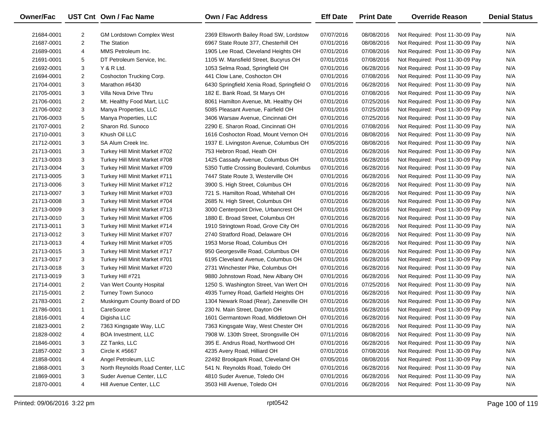| <b>Owner/Fac</b> |                | UST Cnt Own / Fac Name           | <b>Own / Fac Address</b>                   | <b>Eff Date</b> | <b>Print Date</b> | <b>Override Reason</b>          | <b>Denial Status</b> |
|------------------|----------------|----------------------------------|--------------------------------------------|-----------------|-------------------|---------------------------------|----------------------|
| 21684-0001       | $\overline{c}$ | <b>GM Lordstown Complex West</b> | 2369 Ellsworth Bailey Road SW, Lordstow    | 07/07/2016      | 08/08/2016        | Not Required: Post 11-30-09 Pay | N/A                  |
| 21687-0001       | $\overline{2}$ | The Station                      | 6967 State Route 377, Chesterhill OH       | 07/01/2016      | 08/08/2016        | Not Required: Post 11-30-09 Pay | N/A                  |
| 21689-0001       | 4              | MMS Petroleum Inc.               | 1905 Lee Road, Cleveland Heights OH        | 07/01/2016      | 07/08/2016        | Not Required: Post 11-30-09 Pay | N/A                  |
| 21691-0001       | 5              | DT Petroleum Service, Inc.       | 1105 W. Mansfield Street, Bucyrus OH       | 07/01/2016      | 07/08/2016        | Not Required: Post 11-30-09 Pay | N/A                  |
| 21692-0001       | 3              | Y & R Ltd.                       | 1053 Selma Road, Springfield OH            | 07/01/2016      | 06/28/2016        | Not Required: Post 11-30-09 Pay | N/A                  |
| 21694-0001       | $\overline{c}$ | Coshocton Trucking Corp.         | 441 Clow Lane, Coshocton OH                | 07/01/2016      | 07/08/2016        | Not Required: Post 11-30-09 Pay | N/A                  |
| 21704-0001       | 3              | Marathon #6430                   | 6430 Springfield Xenia Road, Springfield O | 07/01/2016      | 06/28/2016        | Not Required: Post 11-30-09 Pay | N/A                  |
| 21705-0001       | 3              | Villa Nova Drive Thru            | 182 E. Bank Road, St Marys OH              | 07/01/2016      | 07/08/2016        | Not Required: Post 11-30-09 Pay | N/A                  |
| 21706-0001       | $\overline{c}$ | Mt. Healthy Food Mart, LLC       | 8061 Hamilton Avenue, Mt. Healthy OH       | 07/01/2016      | 07/25/2016        | Not Required: Post 11-30-09 Pay | N/A                  |
| 21706-0002       | 3              | Manya Properties, LLC            | 5085 Pleasant Avenue, Fairfield OH         | 07/01/2016      | 07/25/2016        | Not Required: Post 11-30-09 Pay | N/A                  |
| 21706-0003       | 5              | Manya Properties, LLC            | 3406 Warsaw Avenue, Cincinnati OH          | 07/01/2016      | 07/25/2016        | Not Required: Post 11-30-09 Pay | N/A                  |
| 21707-0001       | 2              | Sharon Rd. Sunoco                | 2290 E. Sharon Road, Cincinnati OH         | 07/01/2016      | 07/08/2016        | Not Required: Post 11-30-09 Pay | N/A                  |
| 21710-0001       | 3              | Khush Oil LLC                    | 1616 Coshocton Road, Mount Vernon OH       | 07/01/2016      | 08/08/2016        | Not Required: Post 11-30-09 Pay | N/A                  |
| 21712-0001       | 3              | SA Alum Creek Inc.               | 1937 E. Livingston Avenue, Columbus OH     | 07/05/2016      | 08/08/2016        | Not Required: Post 11-30-09 Pay | N/A                  |
| 21713-0001       | 3              | Turkey Hill Minit Market #702    | 753 Hebron Road, Heath OH                  | 07/01/2016      | 06/28/2016        | Not Required: Post 11-30-09 Pay | N/A                  |
| 21713-0003       | 3              | Turkey Hill Minit Market #708    | 1425 Cassady Avenue, Columbus OH           | 07/01/2016      | 06/28/2016        | Not Required: Post 11-30-09 Pay | N/A                  |
| 21713-0004       | 3              | Turkey Hill Minit Market #709    | 5350 Tuttle Crossing Boulevard, Columbus   | 07/01/2016      | 06/28/2016        | Not Required: Post 11-30-09 Pay | N/A                  |
| 21713-0005       | 3              | Turkey Hill Minit Market #711    | 7447 State Route 3, Westerville OH         | 07/01/2016      | 06/28/2016        | Not Required: Post 11-30-09 Pay | N/A                  |
| 21713-0006       | 3              | Turkey Hill Minit Market #712    | 3900 S. High Street, Columbus OH           | 07/01/2016      | 06/28/2016        | Not Required: Post 11-30-09 Pay | N/A                  |
| 21713-0007       | 3              | Turkey Hill Minit Market #703    | 721 S. Hamilton Road, Whitehall OH         | 07/01/2016      | 06/28/2016        | Not Required: Post 11-30-09 Pay | N/A                  |
| 21713-0008       | 3              | Turkey Hill Minit Market #704    | 2685 N. High Street, Columbus OH           | 07/01/2016      | 06/28/2016        | Not Required: Post 11-30-09 Pay | N/A                  |
| 21713-0009       | 3              | Turkey Hill Minit Market #713    | 3000 Centerpoint Drive, Urbancrest OH      | 07/01/2016      | 06/28/2016        | Not Required: Post 11-30-09 Pay | N/A                  |
| 21713-0010       | 3              | Turkey Hill Minit Market #706    | 1880 E. Broad Street, Columbus OH          | 07/01/2016      | 06/28/2016        | Not Required: Post 11-30-09 Pay | N/A                  |
| 21713-0011       | 3              | Turkey Hill Minit Market #714    | 1910 Stringtown Road, Grove City OH        | 07/01/2016      | 06/28/2016        | Not Required: Post 11-30-09 Pay | N/A                  |
| 21713-0012       | 3              | Turkey Hill Minit Market #707    | 2740 Stratford Road, Delaware OH           | 07/01/2016      | 06/28/2016        | Not Required: Post 11-30-09 Pay | N/A                  |
| 21713-0013       | $\overline{4}$ | Turkey Hill Minit Market #705    | 1953 Morse Road, Columbus OH               | 07/01/2016      | 06/28/2016        | Not Required: Post 11-30-09 Pay | N/A                  |
| 21713-0015       | 3              | Turkey Hill Minit Market #717    | 950 Georgesville Road, Columbus OH         | 07/01/2016      | 06/28/2016        | Not Required: Post 11-30-09 Pay | N/A                  |
| 21713-0017       | 3              | Turkey Hill Minit Market #701    | 6195 Cleveland Avenue, Columbus OH         | 07/01/2016      | 06/28/2016        | Not Required: Post 11-30-09 Pay | N/A                  |
| 21713-0018       | 3              | Turkey Hill Minit Market #720    | 2731 Winchester Pike, Columbus OH          | 07/01/2016      | 06/28/2016        | Not Required: Post 11-30-09 Pay | N/A                  |
| 21713-0019       | 3              | Turkey Hill #721                 | 9880 Johnstown Road, New Albany OH         | 07/01/2016      | 06/28/2016        | Not Required: Post 11-30-09 Pay | N/A                  |
| 21714-0001       | 2              | Van Wert County Hospital         | 1250 S. Washington Street, Van Wert OH     | 07/01/2016      | 07/25/2016        | Not Required: Post 11-30-09 Pay | N/A                  |
| 21715-0001       | $\overline{c}$ | <b>Turney Town Sunoco</b>        | 4935 Turney Road, Garfield Heights OH      | 07/01/2016      | 06/28/2016        | Not Required: Post 11-30-09 Pay | N/A                  |
| 21783-0001       | $\overline{c}$ | Muskingum County Board of DD     | 1304 Newark Road (Rear), Zanesville OH     | 07/01/2016      | 06/28/2016        | Not Required: Post 11-30-09 Pay | N/A                  |
| 21786-0001       | $\mathbf{1}$   | CareSource                       | 230 N. Main Street, Dayton OH              | 07/01/2016      | 06/28/2016        | Not Required: Post 11-30-09 Pay | N/A                  |
| 21816-0001       | 4              | Digisha LLC                      | 1601 Germantown Road, Middletown OH        | 07/01/2016      | 06/28/2016        | Not Required: Post 11-30-09 Pay | N/A                  |
| 21823-0001       | 2              | 7363 Kingsgate Way, LLC          | 7363 Kingsgate Way, West Chester OH        | 07/01/2016      | 06/28/2016        | Not Required: Post 11-30-09 Pay | N/A                  |
| 21828-0002       | 4              | <b>BOA Investment, LLC</b>       | 7908 W. 130th Street, Strongsville OH      | 07/11/2016      | 08/08/2016        | Not Required: Post 11-30-09 Pay | N/A                  |
| 21846-0001       | 3              | ZZ Tanks, LLC                    | 395 E. Andrus Road, Northwood OH           | 07/01/2016      | 06/28/2016        | Not Required: Post 11-30-09 Pay | N/A                  |
| 21857-0002       | 3              | <b>Circle K #5667</b>            | 4235 Avery Road, Hilliard OH               | 07/01/2016      | 07/08/2016        | Not Required: Post 11-30-09 Pay | N/A                  |
| 21858-0001       | 4              | Angel Petroleum, LLC             | 22492 Brookpark Road, Cleveland OH         | 07/05/2016      | 08/08/2016        | Not Required: Post 11-30-09 Pay | N/A                  |
| 21868-0001       | 3              | North Reynolds Road Center, LLC  | 541 N. Reynolds Road, Toledo OH            | 07/01/2016      | 06/28/2016        | Not Required: Post 11-30-09 Pay | N/A                  |
| 21869-0001       | 3              | Suder Avenue Center, LLC         | 4810 Suder Avenue, Toledo OH               | 07/01/2016      | 06/28/2016        | Not Required: Post 11-30-09 Pay | N/A                  |
| 21870-0001       | 4              | Hill Avenue Center, LLC          | 3503 Hill Avenue, Toledo OH                | 07/01/2016      | 06/28/2016        | Not Required: Post 11-30-09 Pay | N/A                  |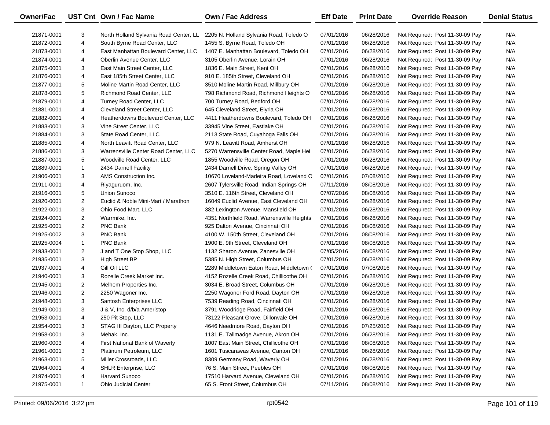| Owner/Fac  |                | UST Cnt Own / Fac Name                 | <b>Own / Fac Address</b>                   | <b>Eff Date</b> | <b>Print Date</b> | <b>Override Reason</b>          | <b>Denial Status</b> |
|------------|----------------|----------------------------------------|--------------------------------------------|-----------------|-------------------|---------------------------------|----------------------|
| 21871-0001 | 3              | North Holland Sylvania Road Center, LL | 2205 N. Holland Sylvania Road, Toledo O    | 07/01/2016      | 06/28/2016        | Not Required: Post 11-30-09 Pay | N/A                  |
| 21872-0001 | 4              | South Byrne Road Center, LLC           | 1455 S. Byrne Road, Toledo OH              | 07/01/2016      | 06/28/2016        | Not Required: Post 11-30-09 Pay | N/A                  |
| 21873-0001 | 4              | East Manhattan Boulevard Center, LLC   | 1407 E. Manhattan Boulevard, Toledo OH     | 07/01/2016      | 06/28/2016        | Not Required: Post 11-30-09 Pay | N/A                  |
| 21874-0001 | 4              | Oberlin Avenue Center, LLC             | 3105 Oberlin Avenue, Lorain OH             | 07/01/2016      | 06/28/2016        | Not Required: Post 11-30-09 Pay | N/A                  |
| 21875-0001 | 3              | East Main Street Center, LLC           | 1836 E. Main Street, Kent OH               | 07/01/2016      | 06/28/2016        | Not Required: Post 11-30-09 Pay | N/A                  |
| 21876-0001 | 4              | East 185th Street Center, LLC          | 910 E. 185th Street, Cleveland OH          | 07/01/2016      | 06/28/2016        | Not Required: Post 11-30-09 Pay | N/A                  |
| 21877-0001 | 5              | Moline Martin Road Center, LLC         | 3510 Moline Martin Road, Millbury OH       | 07/01/2016      | 06/28/2016        | Not Required: Post 11-30-09 Pay | N/A                  |
| 21878-0001 | 5              | Richmond Road Center, LLC              | 798 Richmond Road, Richmond Heights O      | 07/01/2016      | 06/28/2016        | Not Required: Post 11-30-09 Pay | N/A                  |
| 21879-0001 | 4              | Turney Road Center, LLC                | 700 Turney Road, Bedford OH                | 07/01/2016      | 06/28/2016        | Not Required: Post 11-30-09 Pay | N/A                  |
| 21881-0001 | 4              | Cleveland Street Center, LLC           | 645 Cleveland Street, Elyria OH            | 07/01/2016      | 06/28/2016        | Not Required: Post 11-30-09 Pay | N/A                  |
| 21882-0001 | 4              | Heatherdowns Boulevard Center, LLC     | 4411 Heatherdowns Boulevard, Toledo OH     | 07/01/2016      | 06/28/2016        | Not Required: Post 11-30-09 Pay | N/A                  |
| 21883-0001 | 3              | Vine Street Center, LLC                | 33945 Vine Street, Eastlake OH             | 07/01/2016      | 06/28/2016        | Not Required: Post 11-30-09 Pay | N/A                  |
| 21884-0001 | 3              | State Road Center, LLC                 | 2113 State Road, Cuyahoga Falls OH         | 07/01/2016      | 06/28/2016        | Not Required: Post 11-30-09 Pay | N/A                  |
| 21885-0001 | 4              | North Leavitt Road Center, LLC         | 979 N. Leavitt Road, Amherst OH            | 07/01/2016      | 06/28/2016        | Not Required: Post 11-30-09 Pay | N/A                  |
| 21886-0001 | 3              | Warrensville Center Road Center, LLC   | 5270 Warrensville Center Road, Maple Hei   | 07/01/2016      | 06/28/2016        | Not Required: Post 11-30-09 Pay | N/A                  |
| 21887-0001 | 5              | Woodville Road Center, LLC             | 1855 Woodville Road, Oregon OH             | 07/01/2016      | 06/28/2016        | Not Required: Post 11-30-09 Pay | N/A                  |
| 21889-0001 | $\mathbf{1}$   | 2434 Darnell Facility                  | 2434 Darnell Drive, Spring Valley OH       | 07/01/2016      | 06/28/2016        | Not Required: Post 11-30-09 Pay | N/A                  |
| 21906-0001 | 3              | AMS Construction Inc.                  | 10670 Loveland-Madeira Road, Loveland C    | 07/01/2016      | 07/08/2016        | Not Required: Post 11-30-09 Pay | N/A                  |
| 21911-0001 | 4              | Riyaguruom, Inc.                       | 2607 Tylersville Road, Indian Springs OH   | 07/11/2016      | 08/08/2016        | Not Required: Post 11-30-09 Pay | N/A                  |
| 21916-0001 | 5              | Union Sunoco                           | 3510 E. 116th Street, Cleveland OH         | 07/07/2016      | 08/08/2016        | Not Required: Post 11-30-09 Pay | N/A                  |
| 21920-0001 | $\overline{2}$ | Euclid & Noble Mini-Mart / Marathon    | 16049 Euclid Avenue, East Cleveland OH     | 07/01/2016      | 06/28/2016        | Not Required: Post 11-30-09 Pay | N/A                  |
| 21922-0001 | 3              | Ohio Food Mart, LLC                    | 382 Lexington Avenue, Mansfield OH         | 07/01/2016      | 06/28/2016        | Not Required: Post 11-30-09 Pay | N/A                  |
| 21924-0001 | $\overline{2}$ | Warrmike, Inc.                         | 4351 Northfield Road, Warrensville Heights | 07/01/2016      | 06/28/2016        | Not Required: Post 11-30-09 Pay | N/A                  |
| 21925-0001 | $\overline{2}$ | PNC Bank                               | 925 Dalton Avenue, Cincinnati OH           | 07/01/2016      | 08/08/2016        | Not Required: Post 11-30-09 Pay | N/A                  |
| 21925-0002 | 3              | PNC Bank                               | 4100 W. 150th Street, Cleveland OH         | 07/01/2016      | 08/08/2016        | Not Required: Post 11-30-09 Pay | N/A                  |
| 21925-0004 | $\mathbf{1}$   | PNC Bank                               | 1900 E. 9th Street, Cleveland OH           | 07/01/2016      | 08/08/2016        | Not Required: Post 11-30-09 Pay | N/A                  |
| 21933-0001 | $\overline{2}$ | J and T One Stop Shop, LLC             | 1132 Sharon Avenue, Zanesville OH          | 07/05/2016      | 08/08/2016        | Not Required: Post 11-30-09 Pay | N/A                  |
| 21935-0001 | 3              | <b>High Street BP</b>                  | 5385 N. High Street, Columbus OH           | 07/01/2016      | 06/28/2016        | Not Required: Post 11-30-09 Pay | N/A                  |
| 21937-0001 | 4              | Gill Oil LLC                           | 2289 Middletown Eaton Road, Middletown (   | 07/01/2016      | 07/08/2016        | Not Required: Post 11-30-09 Pay | N/A                  |
| 21940-0001 | 3              | Rozelle Creek Market Inc.              | 4152 Rozelle Creek Road, Chillicothe OH    | 07/01/2016      | 06/28/2016        | Not Required: Post 11-30-09 Pay | N/A                  |
| 21945-0001 | $\overline{2}$ | Melhem Properties Inc.                 | 3034 E. Broad Street, Columbus OH          | 07/01/2016      | 06/28/2016        | Not Required: Post 11-30-09 Pay | N/A                  |
| 21946-0001 | $\overline{2}$ | 2250 Wagoner Inc.                      | 2250 Wagoner Ford Road, Dayton OH          | 07/01/2016      | 06/28/2016        | Not Required: Post 11-30-09 Pay | N/A                  |
| 21948-0001 | 3              | Santosh Enterprises LLC                | 7539 Reading Road, Cincinnati OH           | 07/01/2016      | 06/28/2016        | Not Required: Post 11-30-09 Pay | N/A                  |
| 21949-0001 | 3              | J & V, Inc. d/b/a Ameristop            | 3791 Woodridge Road, Fairfield OH          | 07/01/2016      | 06/28/2016        | Not Required: Post 11-30-09 Pay | N/A                  |
| 21953-0001 | 4              | 250 Pit Stop, LLC                      | 73122 Pleasant Grove, Dillonvale OH        | 07/01/2016      | 06/28/2016        | Not Required: Post 11-30-09 Pay | N/A                  |
| 21954-0001 | 3              | STAG III Dayton, LLC Property          | 4646 Needmore Road, Dayton OH              | 07/01/2016      | 07/25/2016        | Not Required: Post 11-30-09 Pay | N/A                  |
| 21958-0001 | 3              | Mehak, Inc.                            | 1131 E. Tallmadge Avenue, Akron OH         | 07/01/2016      | 06/28/2016        | Not Required: Post 11-30-09 Pay | N/A                  |
| 21960-0003 | 4              | First National Bank of Waverly         | 1007 East Main Street, Chillicothe OH      | 07/01/2016      | 08/08/2016        | Not Required: Post 11-30-09 Pay | N/A                  |
| 21961-0001 | 3              | Platinum Petroleum, LLC                | 1601 Tuscarawas Avenue, Canton OH          | 07/01/2016      | 06/28/2016        | Not Required: Post 11-30-09 Pay | N/A                  |
| 21963-0001 | 5              | Miller Crossroads, LLC                 | 8309 Germany Road, Waverly OH              | 07/01/2016      | 06/28/2016        | Not Required: Post 11-30-09 Pay | N/A                  |
| 21964-0001 | 4              | SHLR Enterprise, LLC                   | 76 S. Main Street, Peebles OH              | 07/01/2016      | 08/08/2016        | Not Required: Post 11-30-09 Pay | N/A                  |
| 21974-0001 | 4              | Harvard Sunoco                         | 17510 Harvard Avenue, Cleveland OH         | 07/01/2016      | 06/28/2016        | Not Required: Post 11-30-09 Pay | N/A                  |
| 21975-0001 | $\mathbf{1}$   | <b>Ohio Judicial Center</b>            | 65 S. Front Street, Columbus OH            | 07/11/2016      | 08/08/2016        | Not Required: Post 11-30-09 Pay | N/A                  |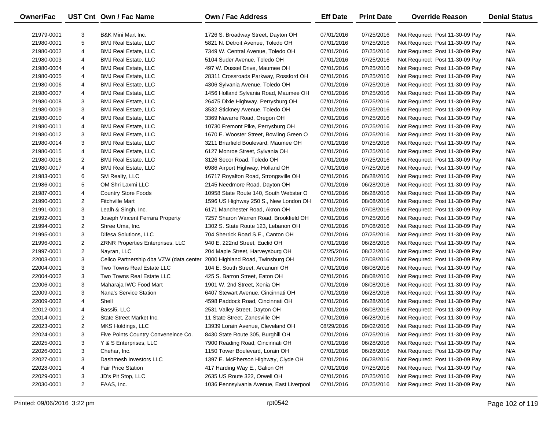| Owner/Fac  |                | UST Cnt Own / Fac Name                                                   | <b>Own / Fac Address</b>                 | <b>Eff Date</b> | <b>Print Date</b> | <b>Override Reason</b>          | <b>Denial Status</b> |
|------------|----------------|--------------------------------------------------------------------------|------------------------------------------|-----------------|-------------------|---------------------------------|----------------------|
| 21979-0001 | 3              | <b>B&amp;K Mini Mart Inc.</b>                                            | 1726 S. Broadway Street, Dayton OH       | 07/01/2016      | 07/25/2016        | Not Required: Post 11-30-09 Pay | N/A                  |
| 21980-0001 | 5              | <b>BMJ Real Estate, LLC</b>                                              | 5821 N. Detroit Avenue, Toledo OH        | 07/01/2016      | 07/25/2016        | Not Required: Post 11-30-09 Pay | N/A                  |
| 21980-0002 | 4              | <b>BMJ Real Estate, LLC</b>                                              | 7349 W. Central Avenue, Toledo OH        | 07/01/2016      | 07/25/2016        | Not Required: Post 11-30-09 Pay | N/A                  |
| 21980-0003 | 4              | <b>BMJ Real Estate, LLC</b>                                              | 5104 Suder Avenue, Toledo OH             | 07/01/2016      | 07/25/2016        | Not Required: Post 11-30-09 Pay | N/A                  |
| 21980-0004 | 4              | <b>BMJ Real Estate, LLC</b>                                              | 497 W. Dussel Drive, Maumee OH           | 07/01/2016      | 07/25/2016        | Not Required: Post 11-30-09 Pay | N/A                  |
| 21980-0005 | 4              | <b>BMJ Real Estate, LLC</b>                                              | 28311 Crossroads Parkway, Rossford OH    | 07/01/2016      | 07/25/2016        | Not Required: Post 11-30-09 Pay | N/A                  |
| 21980-0006 | 4              | <b>BMJ Real Estate, LLC</b>                                              | 4306 Sylvania Avenue, Toledo OH          | 07/01/2016      | 07/25/2016        | Not Required: Post 11-30-09 Pay | N/A                  |
| 21980-0007 | 4              | <b>BMJ Real Estate, LLC</b>                                              | 1456 Holland Sylvania Road, Maumee OH    | 07/01/2016      | 07/25/2016        | Not Required: Post 11-30-09 Pay | N/A                  |
| 21980-0008 | 3              | <b>BMJ Real Estate, LLC</b>                                              | 26475 Dixie Highway, Perrysburg OH       | 07/01/2016      | 07/25/2016        | Not Required: Post 11-30-09 Pay | N/A                  |
| 21980-0009 | 3              | <b>BMJ Real Estate, LLC</b>                                              | 3532 Stickney Avenue, Toledo OH          | 07/01/2016      | 07/25/2016        | Not Required: Post 11-30-09 Pay | N/A                  |
| 21980-0010 | 4              | <b>BMJ Real Estate, LLC</b>                                              | 3369 Navarre Road, Oregon OH             | 07/01/2016      | 07/25/2016        | Not Required: Post 11-30-09 Pay | N/A                  |
| 21980-0011 | 4              | <b>BMJ Real Estate, LLC</b>                                              | 10730 Fremont Pike, Perrysburg OH        | 07/01/2016      | 07/25/2016        | Not Required: Post 11-30-09 Pay | N/A                  |
| 21980-0012 | 3              | <b>BMJ Real Estate, LLC</b>                                              | 1670 E. Wooster Street, Bowling Green O  | 07/01/2016      | 07/25/2016        | Not Required: Post 11-30-09 Pay | N/A                  |
| 21980-0014 | 3              | <b>BMJ Real Estate, LLC</b>                                              | 3211 Briarfield Boulevard, Maumee OH     | 07/01/2016      | 07/25/2016        | Not Required: Post 11-30-09 Pay | N/A                  |
| 21980-0015 | 4              | <b>BMJ Real Estate, LLC</b>                                              | 6127 Monroe Street, Sylvania OH          | 07/01/2016      | 07/25/2016        | Not Required: Post 11-30-09 Pay | N/A                  |
| 21980-0016 | 2              | <b>BMJ Real Estate, LLC</b>                                              | 3126 Secor Road, Toledo OH               | 07/01/2016      | 07/25/2016        | Not Required: Post 11-30-09 Pay | N/A                  |
| 21980-0017 | 4              | <b>BMJ Real Estate, LLC</b>                                              | 6986 Airport Highway, Holland OH         | 07/01/2016      | 07/25/2016        | Not Required: Post 11-30-09 Pay | N/A                  |
| 21983-0001 | 6              | SM Realty, LLC                                                           | 16717 Royalton Road, Strongsville OH     | 07/01/2016      | 06/28/2016        | Not Required: Post 11-30-09 Pay | N/A                  |
| 21986-0001 | 5              | OM Shri Laxmi LLC                                                        | 2145 Needmore Road, Dayton OH            | 07/01/2016      | 06/28/2016        | Not Required: Post 11-30-09 Pay | N/A                  |
| 21987-0001 | 4              | <b>Country Store Foods</b>                                               | 10958 State Route 140, South Webster O   | 07/01/2016      | 06/28/2016        | Not Required: Post 11-30-09 Pay | N/A                  |
| 21990-0001 | $\overline{2}$ | <b>Fitchville Mart</b>                                                   | 1596 US Highway 250 S., New London OH    | 07/01/2016      | 08/08/2016        | Not Required: Post 11-30-09 Pay | N/A                  |
| 21991-0001 | 3              | Lealh & Singh, Inc.                                                      | 6171 Manchester Road, Akron OH           | 07/01/2016      | 07/08/2016        | Not Required: Post 11-30-09 Pay | N/A                  |
| 21992-0001 | 3              | Joseph Vincent Ferrara Property                                          | 7257 Sharon Warren Road, Brookfield OH   | 07/01/2016      | 07/25/2016        | Not Required: Post 11-30-09 Pay | N/A                  |
| 21994-0001 | 2              | Shree Uma, Inc.                                                          | 1302 S. State Route 123, Lebanon OH      | 07/01/2016      | 07/08/2016        | Not Required: Post 11-30-09 Pay | N/A                  |
| 21995-0001 | 3              | Difesa Solutions, LLC                                                    | 704 Sherrick Road S.E., Canton OH        | 07/01/2016      | 07/25/2016        | Not Required: Post 11-30-09 Pay | N/A                  |
| 21996-0001 | $\overline{2}$ | ZRNR Properties Enterprises, LLC                                         | 940 E. 222nd Street, Euclid OH           | 07/01/2016      | 06/28/2016        | Not Required: Post 11-30-09 Pay | N/A                  |
| 21997-0001 | $\overline{2}$ | Nayran, LLC                                                              | 204 Maple Street, Harveysburg OH         | 07/25/2016      | 08/22/2016        | Not Required: Post 11-30-09 Pay | N/A                  |
| 22003-0001 | 3              | Cellco Partnership dba VZW (data center 2000 Highland Road, Twinsburg OH |                                          | 07/01/2016      | 07/08/2016        | Not Required: Post 11-30-09 Pay | N/A                  |
| 22004-0001 | 3              | Two Towns Real Estate LLC                                                | 104 E. South Street, Arcanum OH          | 07/01/2016      | 08/08/2016        | Not Required: Post 11-30-09 Pay | N/A                  |
| 22004-0002 | 3              | Two Towns Real Estate LLC                                                | 425 S. Barron Street, Eaton OH           | 07/01/2016      | 08/08/2016        | Not Required: Post 11-30-09 Pay | N/A                  |
| 22006-0001 | 3              | Maharaja IWC Food Mart                                                   | 1901 W. 2nd Street, Xenia OH             | 07/01/2016      | 08/08/2016        | Not Required: Post 11-30-09 Pay | N/A                  |
| 22009-0001 | 3              | Nana's Service Station                                                   | 6407 Stewart Avenue, Cincinnati OH       | 07/01/2016      | 06/28/2016        | Not Required: Post 11-30-09 Pay | N/A                  |
| 22009-0002 | 4              | Shell                                                                    | 4598 Paddock Road, Cincinnati OH         | 07/01/2016      | 06/28/2016        | Not Required: Post 11-30-09 Pay | N/A                  |
| 22012-0001 | 4              | Bassi5, LLC                                                              | 2531 Valley Street, Dayton OH            | 07/01/2016      | 08/08/2016        | Not Required: Post 11-30-09 Pay | N/A                  |
| 22014-0001 | $\overline{2}$ | State Street Market Inc.                                                 | 11 State Street, Zanesville OH           | 07/01/2016      | 06/28/2016        | Not Required: Post 11-30-09 Pay | N/A                  |
| 22023-0001 | 2              | MKS Holdings, LLC                                                        | 13939 Lorain Avenue, Cleveland OH        | 08/29/2016      | 09/02/2016        | Not Required: Post 11-30-09 Pay | N/A                  |
| 22024-0001 | 3              | Five Points Country Conveneince Co.                                      | 8430 State Route 305, Burghill OH        | 07/01/2016      | 07/25/2016        | Not Required: Post 11-30-09 Pay | N/A                  |
| 22025-0001 | 3              | Y & S Enterprises, LLC                                                   | 7900 Reading Road, Cincinnati OH         | 07/01/2016      | 06/28/2016        | Not Required: Post 11-30-09 Pay | N/A                  |
| 22026-0001 | 3              | Chehar, Inc.                                                             | 1150 Tower Boulevard, Lorain OH          | 07/01/2016      | 06/28/2016        | Not Required: Post 11-30-09 Pay | N/A                  |
| 22027-0001 | 3              | Dashmesh Investors LLC                                                   | 1397 E. McPherson Highway, Clyde OH      | 07/01/2016      | 06/28/2016        | Not Required: Post 11-30-09 Pay | N/A                  |
| 22028-0001 | 4              | <b>Fair Price Station</b>                                                | 417 Harding Way E., Galion OH            | 07/01/2016      | 07/25/2016        | Not Required: Post 11-30-09 Pay | N/A                  |
| 22029-0001 | 3              | JD's Pit Stop, LLC                                                       | 2635 US Route 322, Orwell OH             | 07/01/2016      | 07/25/2016        | Not Required: Post 11-30-09 Pay | N/A                  |
| 22030-0001 | $\overline{2}$ | FAAS, Inc.                                                               | 1036 Pennsylvania Avenue, East Liverpool | 07/01/2016      | 07/25/2016        | Not Required: Post 11-30-09 Pay | N/A                  |
|            |                |                                                                          |                                          |                 |                   |                                 |                      |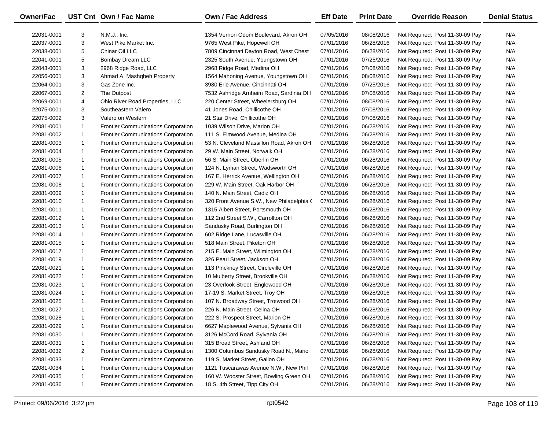| <b>Owner/Fac</b> |                | UST Cnt Own / Fac Name                     | <b>Own / Fac Address</b>                  | <b>Eff Date</b> | <b>Print Date</b> | <b>Override Reason</b>          | <b>Denial Status</b> |
|------------------|----------------|--------------------------------------------|-------------------------------------------|-----------------|-------------------|---------------------------------|----------------------|
| 22031-0001       | 3              | N.M.J., Inc.                               | 1354 Vernon Odom Boulevard, Akron OH      | 07/05/2016      | 08/08/2016        | Not Required: Post 11-30-09 Pay | N/A                  |
| 22037-0001       | 3              | West Pike Market Inc.                      | 9765 West Pike, Hopewell OH               | 07/01/2016      | 06/28/2016        | Not Required: Post 11-30-09 Pay | N/A                  |
| 22038-0001       | 5              | Chinar Oil LLC                             | 7809 Cincinnati Dayton Road, West Chest   | 07/01/2016      | 06/28/2016        | Not Required: Post 11-30-09 Pay | N/A                  |
| 22041-0001       | 5              | Bombay Dream LLC                           | 2325 South Avenue, Youngstown OH          | 07/01/2016      | 07/25/2016        | Not Required: Post 11-30-09 Pay | N/A                  |
| 22043-0001       | 3              | 2968 Ridge Road, LLC                       | 2968 Ridge Road, Medina OH                | 07/01/2016      | 07/08/2016        | Not Required: Post 11-30-09 Pay | N/A                  |
| 22056-0001       | 3              | Ahmad A. Mashqbeh Property                 | 1564 Mahoning Avenue, Youngstown OH       | 07/01/2016      | 08/08/2016        | Not Required: Post 11-30-09 Pay | N/A                  |
| 22064-0001       | 3              | Gas Zone Inc.                              | 3980 Erie Avenue, Cincinnati OH           | 07/01/2016      | 07/25/2016        | Not Required: Post 11-30-09 Pay | N/A                  |
| 22067-0001       | $\overline{2}$ | The Outpost                                | 7532 Ashridge Arnheim Road, Sardinia OH   | 07/01/2016      | 07/08/2016        | Not Required: Post 11-30-09 Pay | N/A                  |
| 22069-0001       | 4              | Ohio River Road Properties, LLC            | 220 Center Street, Wheelersburg OH        | 07/01/2016      | 08/08/2016        | Not Required: Post 11-30-09 Pay | N/A                  |
| 22075-0001       | 3              | Southeastern Valero                        | 41 Jones Road, Chillicothe OH             | 07/01/2016      | 07/08/2016        | Not Required: Post 11-30-09 Pay | N/A                  |
| 22075-0002       | 3              | Valero on Western                          | 21 Star Drive, Chillicothe OH             | 07/01/2016      | 07/08/2016        | Not Required: Post 11-30-09 Pay | N/A                  |
| 22081-0001       | $\mathbf{1}$   | <b>Frontier Communications Corporation</b> | 1039 Wilson Drive, Marion OH              | 07/01/2016      | 06/28/2016        | Not Required: Post 11-30-09 Pay | N/A                  |
| 22081-0002       | $\mathbf{1}$   | <b>Frontier Communications Corporation</b> | 111 S. Elmwood Avenue, Medina OH          | 07/01/2016      | 06/28/2016        | Not Required: Post 11-30-09 Pay | N/A                  |
| 22081-0003       | $\mathbf{1}$   | <b>Frontier Communications Corporation</b> | 53 N. Cleveland Massillon Road, Akron OH  | 07/01/2016      | 06/28/2016        | Not Required: Post 11-30-09 Pay | N/A                  |
| 22081-0004       | $\mathbf{1}$   | <b>Frontier Communications Corporation</b> | 29 W. Main Street, Norwalk OH             | 07/01/2016      | 06/28/2016        | Not Required: Post 11-30-09 Pay | N/A                  |
| 22081-0005       | $\mathbf{1}$   | <b>Frontier Communications Corporation</b> | 56 S. Main Street, Oberlin OH             | 07/01/2016      | 06/28/2016        | Not Required: Post 11-30-09 Pay | N/A                  |
| 22081-0006       | $\mathbf{1}$   | <b>Frontier Communications Corporation</b> | 124 N. Lyman Street, Wadsworth OH         | 07/01/2016      | 06/28/2016        | Not Required: Post 11-30-09 Pay | N/A                  |
| 22081-0007       | $\mathbf{1}$   | <b>Frontier Communications Corporation</b> | 167 E. Herrick Avenue, Wellington OH      | 07/01/2016      | 06/28/2016        | Not Required: Post 11-30-09 Pay | N/A                  |
| 22081-0008       | $\mathbf{1}$   | <b>Frontier Communications Corporation</b> | 229 W. Main Street, Oak Harbor OH         | 07/01/2016      | 06/28/2016        | Not Required: Post 11-30-09 Pay | N/A                  |
| 22081-0009       | $\mathbf{1}$   | <b>Frontier Communications Corporation</b> | 140 N. Main Street, Cadiz OH              | 07/01/2016      | 06/28/2016        | Not Required: Post 11-30-09 Pay | N/A                  |
| 22081-0010       | $\mathbf{1}$   | <b>Frontier Communications Corporation</b> | 320 Front Avenue S.W., New Philadelphia ( | 07/01/2016      | 06/28/2016        | Not Required: Post 11-30-09 Pay | N/A                  |
| 22081-0011       | $\mathbf{1}$   | <b>Frontier Communications Corporation</b> | 1315 Albert Street, Portsmouth OH         | 07/01/2016      | 06/28/2016        | Not Required: Post 11-30-09 Pay | N/A                  |
| 22081-0012       | $\mathbf{1}$   | <b>Frontier Communications Corporation</b> | 112 2nd Street S.W., Carrollton OH        | 07/01/2016      | 06/28/2016        | Not Required: Post 11-30-09 Pay | N/A                  |
| 22081-0013       | $\mathbf{1}$   | <b>Frontier Communications Corporation</b> | Sandusky Road, Burlington OH              | 07/01/2016      | 06/28/2016        | Not Required: Post 11-30-09 Pay | N/A                  |
| 22081-0014       | $\mathbf{1}$   | <b>Frontier Communications Corporation</b> | 602 Ridge Lane, Lucasville OH             | 07/01/2016      | 06/28/2016        | Not Required: Post 11-30-09 Pay | N/A                  |
| 22081-0015       | $\mathbf{1}$   | <b>Frontier Communications Corporation</b> | 518 Main Street, Piketon OH               | 07/01/2016      | 06/28/2016        | Not Required: Post 11-30-09 Pay | N/A                  |
| 22081-0017       | $\mathbf{1}$   | <b>Frontier Communications Corporation</b> | 215 E. Main Street, Wilmington OH         | 07/01/2016      | 06/28/2016        | Not Required: Post 11-30-09 Pay | N/A                  |
| 22081-0019       | $\mathbf{1}$   | <b>Frontier Communications Corporation</b> | 326 Pearl Street, Jackson OH              | 07/01/2016      | 06/28/2016        | Not Required: Post 11-30-09 Pay | N/A                  |
| 22081-0021       | $\mathbf{1}$   | <b>Frontier Communications Corporation</b> | 113 Pinckney Street, Circleville OH       | 07/01/2016      | 06/28/2016        | Not Required: Post 11-30-09 Pay | N/A                  |
| 22081-0022       | $\mathbf{1}$   | <b>Frontier Communications Corporation</b> | 10 Mulberry Street, Brookville OH         | 07/01/2016      | 06/28/2016        | Not Required: Post 11-30-09 Pay | N/A                  |
| 22081-0023       | $\mathbf{1}$   | <b>Frontier Communications Corporation</b> | 23 Overlook Street, Englewood OH          | 07/01/2016      | 06/28/2016        | Not Required: Post 11-30-09 Pay | N/A                  |
| 22081-0024       | $\mathbf{1}$   | <b>Frontier Communications Corporation</b> | 17-19 S. Market Street, Troy OH           | 07/01/2016      | 06/28/2016        | Not Required: Post 11-30-09 Pay | N/A                  |
| 22081-0025       | $\mathbf{1}$   | <b>Frontier Communications Corporation</b> | 107 N. Broadway Street, Trotwood OH       | 07/01/2016      | 06/28/2016        | Not Required: Post 11-30-09 Pay | N/A                  |
| 22081-0027       | $\mathbf{1}$   | Frontier Communications Corporation        | 226 N. Main Street, Celina OH             | 07/01/2016      | 06/28/2016        | Not Required: Post 11-30-09 Pay | N/A                  |
| 22081-0028       | $\mathbf{1}$   | <b>Frontier Communications Corporation</b> | 222 S. Prospect Street, Marion OH         | 07/01/2016      | 06/28/2016        | Not Required: Post 11-30-09 Pay | N/A                  |
| 22081-0029       | $\mathbf{1}$   | Frontier Communications Corporation        | 6627 Maplewood Avenue, Sylvania OH        | 07/01/2016      | 06/28/2016        | Not Required: Post 11-30-09 Pay | N/A                  |
| 22081-0030       | $\mathbf{1}$   | Frontier Communications Corporation        | 3126 McCord Road, Sylvania OH             | 07/01/2016      | 06/28/2016        | Not Required: Post 11-30-09 Pay | N/A                  |
| 22081-0031       | $\mathbf{1}$   | Frontier Communications Corporation        | 315 Broad Street, Ashland OH              | 07/01/2016      | 06/28/2016        | Not Required: Post 11-30-09 Pay | N/A                  |
| 22081-0032       | $\overline{2}$ | <b>Frontier Communications Corporation</b> | 1300 Columbus Sandusky Road N., Mario     | 07/01/2016      | 06/28/2016        | Not Required: Post 11-30-09 Pay | N/A                  |
| 22081-0033       | $\mathbf{1}$   | Frontier Communications Corporation        | 119 S. Market Street, Galion OH           | 07/01/2016      | 06/28/2016        | Not Required: Post 11-30-09 Pay | N/A                  |
| 22081-0034       | $\mathbf{1}$   | Frontier Communications Corporation        | 1121 Tuscarawas Avenue N.W., New Phil     | 07/01/2016      | 06/28/2016        | Not Required: Post 11-30-09 Pay | N/A                  |
| 22081-0035       | $\mathbf{1}$   | <b>Frontier Communications Corporation</b> | 160 W. Wooster Street, Bowling Green OH   | 07/01/2016      | 06/28/2016        | Not Required: Post 11-30-09 Pay | N/A                  |
| 22081-0036       | $\mathbf{1}$   | <b>Frontier Communications Corporation</b> | 18 S. 4th Street, Tipp City OH            | 07/01/2016      | 06/28/2016        | Not Required: Post 11-30-09 Pay | N/A                  |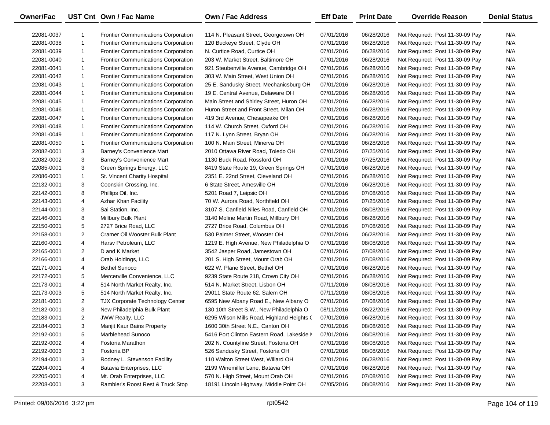| <b>Owner/Fac</b> |                | UST Cnt Own / Fac Name                     | <b>Own / Fac Address</b>                   | <b>Eff Date</b> | <b>Print Date</b> | <b>Override Reason</b>          | <b>Denial Status</b> |
|------------------|----------------|--------------------------------------------|--------------------------------------------|-----------------|-------------------|---------------------------------|----------------------|
| 22081-0037       | 1              | <b>Frontier Communications Corporation</b> | 114 N. Pleasant Street, Georgetown OH      | 07/01/2016      | 06/28/2016        | Not Required: Post 11-30-09 Pay | N/A                  |
| 22081-0038       | $\mathbf{1}$   | <b>Frontier Communications Corporation</b> | 120 Buckeye Street, Clyde OH               | 07/01/2016      | 06/28/2016        | Not Required: Post 11-30-09 Pay | N/A                  |
| 22081-0039       | $\mathbf{1}$   | Frontier Communications Corporation        | N. Curtice Road, Curtice OH                | 07/01/2016      | 06/28/2016        | Not Required: Post 11-30-09 Pay | N/A                  |
| 22081-0040       | $\mathbf{1}$   | Frontier Communications Corporation        | 203 W. Market Street, Baltimore OH         | 07/01/2016      | 06/28/2016        | Not Required: Post 11-30-09 Pay | N/A                  |
| 22081-0041       | $\mathbf{1}$   | <b>Frontier Communications Corporation</b> | 921 Steubenville Avenue, Cambridge OH      | 07/01/2016      | 06/28/2016        | Not Required: Post 11-30-09 Pay | N/A                  |
| 22081-0042       | $\mathbf{1}$   | <b>Frontier Communications Corporation</b> | 303 W. Main Street, West Union OH          | 07/01/2016      | 06/28/2016        | Not Required: Post 11-30-09 Pay | N/A                  |
| 22081-0043       | $\mathbf{1}$   | <b>Frontier Communications Corporation</b> | 25 E. Sandusky Street, Mechanicsburg OH    | 07/01/2016      | 06/28/2016        | Not Required: Post 11-30-09 Pay | N/A                  |
| 22081-0044       | $\mathbf{1}$   | Frontier Communications Corporation        | 19 E. Central Avenue, Delaware OH          | 07/01/2016      | 06/28/2016        | Not Required: Post 11-30-09 Pay | N/A                  |
| 22081-0045       | $\mathbf{1}$   | Frontier Communications Corporation        | Main Street and Shirley Street, Huron OH   | 07/01/2016      | 06/28/2016        | Not Required: Post 11-30-09 Pay | N/A                  |
| 22081-0046       | $\mathbf{1}$   | Frontier Communications Corporation        | Huron Street and Front Street, Milan OH    | 07/01/2016      | 06/28/2016        | Not Required: Post 11-30-09 Pay | N/A                  |
| 22081-0047       | $\mathbf{1}$   | <b>Frontier Communications Corporation</b> | 419 3rd Avenue, Chesapeake OH              | 07/01/2016      | 06/28/2016        | Not Required: Post 11-30-09 Pay | N/A                  |
| 22081-0048       | $\mathbf{1}$   | <b>Frontier Communications Corporation</b> | 114 W. Church Street, Oxford OH            | 07/01/2016      | 06/28/2016        | Not Required: Post 11-30-09 Pay | N/A                  |
| 22081-0049       | $\mathbf{1}$   | <b>Frontier Communications Corporation</b> | 117 N. Lynn Street, Bryan OH               | 07/01/2016      | 06/28/2016        | Not Required: Post 11-30-09 Pay | N/A                  |
| 22081-0050       | $\mathbf{1}$   | <b>Frontier Communications Corporation</b> | 100 N. Main Street, Minerva OH             | 07/01/2016      | 06/28/2016        | Not Required: Post 11-30-09 Pay | N/A                  |
| 22082-0001       | 3              | Barney's Convenience Mart                  | 2010 Ottawa River Road, Toledo OH          | 07/01/2016      | 07/25/2016        | Not Required: Post 11-30-09 Pay | N/A                  |
| 22082-0002       | 3              | Barney's Convenience Mart                  | 1130 Buck Road, Rossford OH                | 07/01/2016      | 07/25/2016        | Not Required: Post 11-30-09 Pay | N/A                  |
| 22085-0001       | 3              | Green Springs Energy, LLC                  | 8419 State Route 19, Green Springs OH      | 07/01/2016      | 06/28/2016        | Not Required: Post 11-30-09 Pay | N/A                  |
| 22086-0001       | $\mathbf{1}$   | St. Vincent Charity Hospital               | 2351 E. 22nd Street, Cleveland OH          | 07/01/2016      | 06/28/2016        | Not Required: Post 11-30-09 Pay | N/A                  |
| 22132-0001       | 3              | Coonskin Crossing, Inc.                    | 6 State Street, Amesville OH               | 07/01/2016      | 06/28/2016        | Not Required: Post 11-30-09 Pay | N/A                  |
| 22142-0001       | 8              | Phillips Oil, Inc.                         | 5201 Road 7, Leipsic OH                    | 07/01/2016      | 07/08/2016        | Not Required: Post 11-30-09 Pay | N/A                  |
| 22143-0001       | 4              | <b>Azhar Khan Facility</b>                 | 70 W. Aurora Road, Northfield OH           | 07/01/2016      | 07/25/2016        | Not Required: Post 11-30-09 Pay | N/A                  |
| 22144-0001       | 3              | Sai Station, Inc.                          | 3107 S. Canfield Niles Road, Canfield OH   | 07/01/2016      | 08/08/2016        | Not Required: Post 11-30-09 Pay | N/A                  |
| 22146-0001       | 8              | Millbury Bulk Plant                        | 3140 Moline Martin Road, Millbury OH       | 07/01/2016      | 06/28/2016        | Not Required: Post 11-30-09 Pay | N/A                  |
| 22150-0001       | 5              | 2727 Brice Road, LLC                       | 2727 Brice Road, Columbus OH               | 07/01/2016      | 07/08/2016        | Not Required: Post 11-30-09 Pay | N/A                  |
| 22158-0001       | $\overline{2}$ | Cramer Oil Wooster Bulk Plant              | 530 Palmer Street, Wooster OH              | 07/01/2016      | 06/28/2016        | Not Required: Post 11-30-09 Pay | N/A                  |
| 22160-0001       | 4              | Harsv Petroleum, LLC                       | 1219 E. High Avenue, New Philadelphia O    | 07/01/2016      | 08/08/2016        | Not Required: Post 11-30-09 Pay | N/A                  |
| 22165-0001       | $\overline{2}$ | D and K Market                             | 3542 Jasper Road, Jamestown OH             | 07/01/2016      | 07/08/2016        | Not Required: Post 11-30-09 Pay | N/A                  |
| 22166-0001       | 4              | Orab Holdings, LLC                         | 201 S. High Street, Mount Orab OH          | 07/01/2016      | 07/08/2016        | Not Required: Post 11-30-09 Pay | N/A                  |
| 22171-0001       | 4              | <b>Bethel Sunoco</b>                       | 622 W. Plane Street, Bethel OH             | 07/01/2016      | 06/28/2016        | Not Required: Post 11-30-09 Pay | N/A                  |
| 22172-0001       | 5              | Mercerville Convenience, LLC               | 9239 State Route 218, Crown City OH        | 07/01/2016      | 06/28/2016        | Not Required: Post 11-30-09 Pay | N/A                  |
| 22173-0001       | 4              | 514 North Market Realty, Inc.              | 514 N. Market Street, Lisbon OH            | 07/11/2016      | 08/08/2016        | Not Required: Post 11-30-09 Pay | N/A                  |
| 22173-0003       | 5              | 514 North Market Realty, Inc.              | 29011 State Route 62, Salem OH             | 07/11/2016      | 08/08/2016        | Not Required: Post 11-30-09 Pay | N/A                  |
| 22181-0001       | $\overline{2}$ | TJX Corporate Technology Center            | 6595 New Albany Road E., New Albany O      | 07/01/2016      | 07/08/2016        | Not Required: Post 11-30-09 Pay | N/A                  |
| 22182-0001       | 3              | New Philadelphia Bulk Plant                | 130 10th Street S.W., New Philadelphia O   | 08/11/2016      | 08/22/2016        | Not Required: Post 11-30-09 Pay | N/A                  |
| 22183-0001       | $\overline{2}$ | <b>JWW Realty, LLC</b>                     | 6295 Wilson Mills Road, Highland Heights ( | 07/01/2016      | 06/28/2016        | Not Required: Post 11-30-09 Pay | N/A                  |
| 22184-0001       | 3              | Manjit Kaur Bains Property                 | 1600 30th Street N.E., Canton OH           | 07/01/2016      | 08/08/2016        | Not Required: Post 11-30-09 Pay | N/A                  |
| 22192-0001       | 5              | Marblehead Sunoco                          | 5416 Port Clinton Eastern Road, Lakeside I | 07/01/2016      | 08/08/2016        | Not Required: Post 11-30-09 Pay | N/A                  |
| 22192-0002       | 4              | Fostoria Marathon                          | 202 N. Countyline Street, Fostoria OH      | 07/01/2016      | 08/08/2016        | Not Required: Post 11-30-09 Pay | N/A                  |
| 22192-0003       | 3              | Fostoria BP                                | 526 Sandusky Street, Fostoria OH           | 07/01/2016      | 08/08/2016        | Not Required: Post 11-30-09 Pay | N/A                  |
| 22194-0001       | 3              | Rodney L. Stevenson Facility               | 110 Walton Street West, Willard OH         | 07/01/2016      | 06/28/2016        | Not Required: Post 11-30-09 Pay | N/A                  |
| 22204-0001       | 4              | Batavia Enterprises, LLC                   | 2199 Winemiller Lane, Batavia OH           | 07/01/2016      | 06/28/2016        | Not Required: Post 11-30-09 Pay | N/A                  |
| 22205-0001       | 4              | Mt. Orab Enterprises, LLC                  | 570 N. High Street, Mount Orab OH          | 07/01/2016      | 07/08/2016        | Not Required: Post 11-30-09 Pay | N/A                  |
| 22208-0001       | 3              | Rambler's Roost Rest & Truck Stop          | 18191 Lincoln Highway, Middle Point OH     | 07/05/2016      | 08/08/2016        | Not Required: Post 11-30-09 Pay | N/A                  |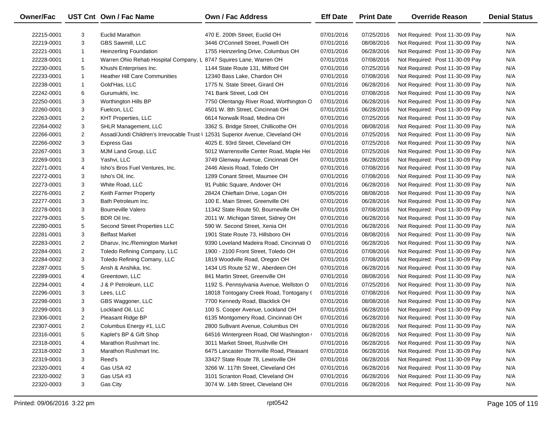| <b>Owner/Fac</b> |                | UST Cnt Own / Fac Name                                                         | Own / Fac Address                        | <b>Eff Date</b> | <b>Print Date</b> | <b>Override Reason</b>          | <b>Denial Status</b> |
|------------------|----------------|--------------------------------------------------------------------------------|------------------------------------------|-----------------|-------------------|---------------------------------|----------------------|
| 22215-0001       | 3              | Euclid Marathon                                                                | 470 E. 200th Street, Euclid OH           | 07/01/2016      | 07/25/2016        | Not Required: Post 11-30-09 Pay | N/A                  |
| 22219-0001       | 3              | <b>GBS Sawmill, LLC</b>                                                        | 3446 O'Connell Street, Powell OH         | 07/01/2016      | 08/08/2016        | Not Required: Post 11-30-09 Pay | N/A                  |
| 22221-0001       | $\mathbf{1}$   | <b>Heinzerling Foundation</b>                                                  | 1755 Heinzerling Drive, Columbus OH      | 07/01/2016      | 06/28/2016        | Not Required: Post 11-30-09 Pay | N/A                  |
| 22228-0001       | $\mathbf{1}$   | Warren Ohio Rehab Hospital Company, L 8747 Squires Lane, Warren OH             |                                          | 07/01/2016      | 07/08/2016        | Not Required: Post 11-30-09 Pay | N/A                  |
| 22230-0001       | 5              | Khushi Enterprises Inc.                                                        | 1144 State Route 131, Milford OH         | 07/01/2016      | 07/25/2016        | Not Required: Post 11-30-09 Pay | N/A                  |
| 22233-0001       | $\mathbf{1}$   | <b>Heather Hill Care Communities</b>                                           | 12340 Bass Lake, Chardon OH              | 07/01/2016      | 07/08/2016        | Not Required: Post 11-30-09 Pay | N/A                  |
| 22238-0001       | $\mathbf{1}$   | Gold'Has, LLC                                                                  | 1775 N. State Street, Girard OH          | 07/01/2016      | 06/28/2016        | Not Required: Post 11-30-09 Pay | N/A                  |
| 22242-0001       | 6              | Gurumukhi, Inc.                                                                | 741 Bank Street, Lodi OH                 | 07/01/2016      | 07/08/2016        | Not Required: Post 11-30-09 Pay | N/A                  |
| 22250-0001       | 3              | Worthington Hills BP                                                           | 7750 Olentangy River Road, Worthington O | 07/01/2016      | 06/28/2016        | Not Required: Post 11-30-09 Pay | N/A                  |
| 22260-0001       | 3              | Fuelcon, LLC                                                                   | 4501 W. 8th Street, Cincinnati OH        | 07/01/2016      | 06/28/2016        | Not Required: Post 11-30-09 Pay | N/A                  |
| 22263-0001       | $\overline{2}$ | <b>KHT Properties, LLC</b>                                                     | 6614 Norwalk Road, Medina OH             | 07/01/2016      | 07/25/2016        | Not Required: Post 11-30-09 Pay | N/A                  |
| 22264-0002       | 3              | <b>SHLR Management, LLC</b>                                                    | 3362 S. Bridge Street, Chillicothe OH    | 07/01/2016      | 08/08/2016        | Not Required: Post 11-30-09 Pay | N/A                  |
| 22266-0001       | $\overline{2}$ | Assad/Jundi Children's Irrevocable Trust   12531 Superior Avenue, Cleveland OH |                                          | 07/01/2016      | 07/25/2016        | Not Required: Post 11-30-09 Pay | N/A                  |
| 22266-0002       | 3              | <b>Express Gas</b>                                                             | 4025 E. 93rd Street, Cleveland OH        | 07/01/2016      | 07/25/2016        | Not Required: Post 11-30-09 Pay | N/A                  |
| 22267-0001       | 3              | MJM Land Group, LLC                                                            | 5012 Warrensville Center Road, Maple Hei | 07/01/2016      | 07/25/2016        | Not Required: Post 11-30-09 Pay | N/A                  |
| 22269-0001       | 3              | Yashvi, LLC                                                                    | 3749 Glenway Avenue, Cincinnati OH       | 07/01/2016      | 06/28/2016        | Not Required: Post 11-30-09 Pay | N/A                  |
| 22271-0001       | 4              | Isho's Bros Fuel Ventures, Inc.                                                | 2446 Alexis Road, Toledo OH              | 07/01/2016      | 07/08/2016        | Not Required: Post 11-30-09 Pay | N/A                  |
| 22272-0001       | 3              | Isho's Oil, Inc.                                                               | 1289 Conant Street, Maumee OH            | 07/01/2016      | 07/08/2016        | Not Required: Post 11-30-09 Pay | N/A                  |
| 22273-0001       | 3              | White Road, LLC                                                                | 91 Public Square, Andover OH             | 07/01/2016      | 06/28/2016        | Not Required: Post 11-30-09 Pay | N/A                  |
| 22276-0001       | $\overline{2}$ | Keith Farmer Property                                                          | 28424 Chieftain Drive, Logan OH          | 07/05/2016      | 08/08/2016        | Not Required: Post 11-30-09 Pay | N/A                  |
| 22277-0001       | 3              | Bath Petroleum Inc.                                                            | 100 E. Main Street, Greenville OH        | 07/01/2016      | 06/28/2016        | Not Required: Post 11-30-09 Pay | N/A                  |
| 22278-0001       | 3              | <b>Bourneville Valero</b>                                                      | 11342 State Route 50, Bourneville OH     | 07/01/2016      | 07/08/2016        | Not Required: Post 11-30-09 Pay | N/A                  |
| 22279-0001       | 5              | BDR Oil Inc.                                                                   | 2011 W. Michigan Street, Sidney OH       | 07/01/2016      | 06/28/2016        | Not Required: Post 11-30-09 Pay | N/A                  |
| 22280-0001       | 5              | Second Street Properties LLC                                                   | 590 W. Second Street, Xenia OH           | 07/01/2016      | 06/28/2016        | Not Required: Post 11-30-09 Pay | N/A                  |
| 22281-0001       | 3              | <b>Belfast Market</b>                                                          | 1901 State Route 73, Hillsboro OH        | 07/01/2016      | 08/08/2016        | Not Required: Post 11-30-09 Pay | N/A                  |
| 22283-0001       | $\overline{2}$ | Dharuv, Inc./Remington Market                                                  | 9390 Loveland Madeira Road, Cincinnati O | 07/01/2016      | 06/28/2016        | Not Required: Post 11-30-09 Pay | N/A                  |
| 22284-0001       | $\overline{2}$ | Toledo Refining Company, LLC                                                   | 1900 - 2100 Front Street, Toledo OH      | 07/01/2016      | 07/08/2016        | Not Required: Post 11-30-09 Pay | N/A                  |
| 22284-0002       | 3              | Toledo Refining Comany, LLC                                                    | 1819 Woodville Road, Oregon OH           | 07/01/2016      | 07/08/2016        | Not Required: Post 11-30-09 Pay | N/A                  |
| 22287-0001       | 5              | Ansh & Anshika, Inc.                                                           | 1434 US Route 52 W., Aberdeen OH         | 07/01/2016      | 06/28/2016        | Not Required: Post 11-30-09 Pay | N/A                  |
| 22289-0001       | 4              | Greentown, LLC                                                                 | 841 Martin Street, Greenville OH         | 07/01/2016      | 08/08/2016        | Not Required: Post 11-30-09 Pay | N/A                  |
| 22294-0001       | 4              | J & P Petroleum, LLC                                                           | 1192 S. Pennsylvania Avenue, Wellston O  | 07/01/2016      | 07/25/2016        | Not Required: Post 11-30-09 Pay | N/A                  |
| 22296-0001       | 3              | Lees, LLC                                                                      | 18018 Tontogany Creek Road, Tontogany (  | 07/01/2016      | 07/08/2016        | Not Required: Post 11-30-09 Pay | N/A                  |
| 22298-0001       | 3              | GBS Waggoner, LLC                                                              | 7700 Kennedy Road, Blacklick OH          | 07/01/2016      | 08/08/2016        | Not Required: Post 11-30-09 Pay | N/A                  |
| 22299-0001       | 3              | Lockland Oil, LLC                                                              | 100 S. Cooper Avenue, Lockland OH        | 07/01/2016      | 06/28/2016        | Not Required: Post 11-30-09 Pay | N/A                  |
| 22306-0001       | $\mathbf{2}$   | Pleasant Ridge BP                                                              | 6135 Montgomery Road, Cincinnati OH      | 07/01/2016      | 06/28/2016        | Not Required: Post 11-30-09 Pay | N/A                  |
| 22307-0001       | $\overline{c}$ | Columbus Energy #1, LLC                                                        | 2800 Sullivant Avenue, Columbus OH       | 07/01/2016      | 06/28/2016        | Not Required: Post 11-30-09 Pay | N/A                  |
| 22316-0001       | 5              | Kaplet's BP & Gift Shop                                                        | 64516 Wintergreen Road, Old Washington   | 07/01/2016      | 06/28/2016        | Not Required: Post 11-30-09 Pay | N/A                  |
| 22318-0001       | 4              | Marathon Rushmart Inc.                                                         | 3011 Market Street, Rushville OH         | 07/01/2016      | 06/28/2016        | Not Required: Post 11-30-09 Pay | N/A                  |
| 22318-0002       | 3              | Marathon Rushmart Inc.                                                         | 6475 Lancaster Thornville Road, Pleasant | 07/01/2016      | 06/28/2016        | Not Required: Post 11-30-09 Pay | N/A                  |
| 22319-0001       | 3              | Reed's                                                                         | 33427 State Route 78, Lewisville OH      | 07/01/2016      | 06/28/2016        | Not Required: Post 11-30-09 Pay | N/A                  |
| 22320-0001       | 4              | Gas USA #2                                                                     | 3266 W. 117th Street, Cleveland OH       | 07/01/2016      | 06/28/2016        | Not Required: Post 11-30-09 Pay | N/A                  |
| 22320-0002       | 3              | Gas USA #3                                                                     | 3101 Scranton Road, Cleveland OH         | 07/01/2016      | 06/28/2016        | Not Required: Post 11-30-09 Pay | N/A                  |
| 22320-0003       | 3              | Gas City                                                                       | 3074 W. 14th Street, Cleveland OH        | 07/01/2016      | 06/28/2016        | Not Required: Post 11-30-09 Pay | N/A                  |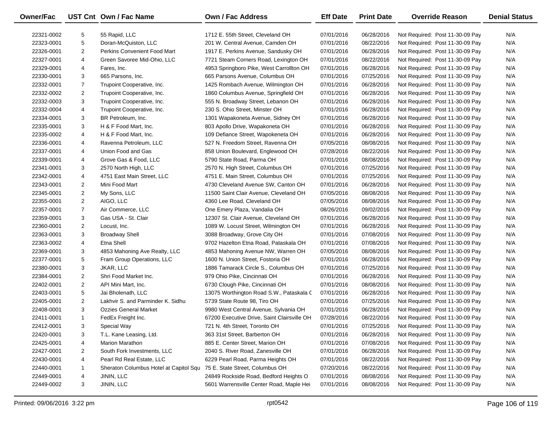| <b>Owner/Fac</b> |                | UST Cnt Own / Fac Name                 | <b>Own / Fac Address</b>                    | <b>Eff Date</b> | <b>Print Date</b> | <b>Override Reason</b>          | <b>Denial Status</b> |
|------------------|----------------|----------------------------------------|---------------------------------------------|-----------------|-------------------|---------------------------------|----------------------|
| 22321-0002       | 5              | 55 Rapid, LLC                          | 1712 E. 55th Street, Cleveland OH           | 07/01/2016      | 06/28/2016        | Not Required: Post 11-30-09 Pay | N/A                  |
| 22323-0001       | 5              | Doran-McQuiston, LLC                   | 201 W. Central Avenue, Camden OH            | 07/01/2016      | 08/22/2016        | Not Required: Post 11-30-09 Pay | N/A                  |
| 22326-0001       | $\overline{c}$ | <b>Perkins Convenient Food Mart</b>    | 1917 E. Perkins Avenue, Sandusky OH         | 07/01/2016      | 06/28/2016        | Not Required: Post 11-30-09 Pay | N/A                  |
| 22327-0001       | 4              | Green Savoree Mid-Ohio, LLC            | 7721 Steam Corners Road, Lexington OH       | 07/01/2016      | 08/22/2016        | Not Required: Post 11-30-09 Pay | N/A                  |
| 22329-0001       | 4              | Fares, Inc.                            | 4953 Springboro Pike, West Carrollton OH    | 07/01/2016      | 06/28/2016        | Not Required: Post 11-30-09 Pay | N/A                  |
| 22330-0001       | 3              | 665 Parsons, Inc.                      | 665 Parsons Avenue, Columbus OH             | 07/01/2016      | 07/25/2016        | Not Required: Post 11-30-09 Pay | N/A                  |
| 22332-0001       | $\overline{7}$ | Trupoint Cooperative, Inc.             | 1425 Rombach Avenue, Wilmington OH          | 07/01/2016      | 06/28/2016        | Not Required: Post 11-30-09 Pay | N/A                  |
| 22332-0002       | $\overline{2}$ | Trupoint Cooperative, Inc.             | 1860 Columbus Avenue, Springfield OH        | 07/01/2016      | 06/28/2016        | Not Required: Post 11-30-09 Pay | N/A                  |
| 22332-0003       | 3              | Trupoint Cooperative, Inc.             | 555 N. Broadway Street, Lebanon OH          | 07/01/2016      | 06/28/2016        | Not Required: Post 11-30-09 Pay | N/A                  |
| 22332-0004       | 4              | Trupoint Cooperative, Inc.             | 230 S. Ohio Street, Minster OH              | 07/01/2016      | 06/28/2016        | Not Required: Post 11-30-09 Pay | N/A                  |
| 22334-0001       | 3              | BR Petroleum, Inc.                     | 1301 Wapakoneta Avenue, Sidney OH           | 07/01/2016      | 06/28/2016        | Not Required: Post 11-30-09 Pay | N/A                  |
| 22335-0001       | 3              | H & F Food Mart, Inc.                  | 803 Apollo Drive, Wapakoneta OH             | 07/01/2016      | 06/28/2016        | Not Required: Post 11-30-09 Pay | N/A                  |
| 22335-0002       | 4              | H & F Food Mart, Inc.                  | 109 Defiance Street, Wapokeneta OH          | 07/01/2016      | 06/28/2016        | Not Required: Post 11-30-09 Pay | N/A                  |
| 22336-0001       | 4              | Ravenna Petroleum, LLC                 | 527 N. Freedom Street, Ravenna OH           | 07/05/2016      | 08/08/2016        | Not Required: Post 11-30-09 Pay | N/A                  |
| 22337-0001       | 4              | Union Food and Gas                     | 858 Union Boulevard, Englewood OH           | 07/28/2016      | 08/22/2016        | Not Required: Post 11-30-09 Pay | N/A                  |
| 22339-0001       | 4              | Grove Gas & Food, LLC                  | 5790 State Road, Parma OH                   | 07/01/2016      | 08/08/2016        | Not Required: Post 11-30-09 Pay | N/A                  |
| 22341-0001       | 3              | 2570 North High, LLC                   | 2570 N. High Street, Columbus OH            | 07/01/2016      | 07/25/2016        | Not Required: Post 11-30-09 Pay | N/A                  |
| 22342-0001       | 4              | 4751 East Main Street, LLC             | 4751 E. Main Street, Columbus OH            | 07/01/2016      | 07/25/2016        | Not Required: Post 11-30-09 Pay | N/A                  |
| 22343-0001       | $\overline{2}$ | Mini Food Mart                         | 4730 Cleveland Avenue SW, Canton OH         | 07/01/2016      | 06/28/2016        | Not Required: Post 11-30-09 Pay | N/A                  |
| 22345-0001       | $\overline{2}$ | My Sons, LLC                           | 11500 Saint Clair Avenue, Cleveland OH      | 07/05/2016      | 08/08/2016        | Not Required: Post 11-30-09 Pay | N/A                  |
| 22355-0001       | $\overline{2}$ | AIGO, LLC                              | 4360 Lee Road, Cleveland OH                 | 07/05/2016      | 08/08/2016        | Not Required: Post 11-30-09 Pay | N/A                  |
| 22357-0001       | $\overline{7}$ | Air Commerce, LLC                      | One Emery Plaza, Vandalia OH                | 08/26/2016      | 09/02/2016        | Not Required: Post 11-30-09 Pay | N/A                  |
| 22359-0001       | 3              | Gas USA - St. Clair                    | 12307 St. Clair Avenue, Cleveland OH        | 07/01/2016      | 06/28/2016        | Not Required: Post 11-30-09 Pay | N/A                  |
| 22360-0001       | $\overline{2}$ | Locust, Inc.                           | 1089 W. Locust Street, Wilmington OH        | 07/01/2016      | 06/28/2016        | Not Required: Post 11-30-09 Pay | N/A                  |
| 22363-0001       | 3              | <b>Broadway Shell</b>                  | 3088 Broadway, Grove City OH                | 07/01/2016      | 07/08/2016        | Not Required: Post 11-30-09 Pay | N/A                  |
| 22363-0002       | 4              | Etna Shell                             | 9702 Hazelton Etna Road, Pataskala OH       | 07/01/2016      | 07/08/2016        | Not Required: Post 11-30-09 Pay | N/A                  |
| 22369-0001       | 3              | 4853 Mahoning Ave Realty, LLC          | 4853 Mahoning Avenue NW, Warren OH          | 07/05/2016      | 08/08/2016        | Not Required: Post 11-30-09 Pay | N/A                  |
| 22377-0001       | 5              | Fram Group Operations, LLC             | 1600 N. Union Street, Fostoria OH           | 07/01/2016      | 06/28/2016        | Not Required: Post 11-30-09 Pay | N/A                  |
| 22380-0001       | 3              | JKAR, LLC                              | 1886 Tamarack Circle S., Columbus OH        | 07/01/2016      | 07/25/2016        | Not Required: Post 11-30-09 Pay | N/A                  |
| 22384-0001       | $\overline{c}$ | Shri Food Market Inc.                  | 979 Ohio Pike, Cincinnati OH                | 07/01/2016      | 06/28/2016        | Not Required: Post 11-30-09 Pay | N/A                  |
| 22402-0001       | $\overline{2}$ | API Mini Mart, Inc.                    | 6730 Clough Pike, Cincinnati OH             | 07/01/2016      | 08/08/2016        | Not Required: Post 11-30-09 Pay | N/A                  |
| 22403-0001       | 5              | Jai Bholenath, LLC                     | 13075 Worthington Road S.W., Pataskala C    | 07/01/2016      | 06/28/2016        | Not Required: Post 11-30-09 Pay | N/A                  |
| 22405-0001       | $\overline{2}$ | Lakhvir S. and Parminder K. Sidhu      | 5739 State Route 98, Tiro OH                | 07/01/2016      | 07/25/2016        | Not Required: Post 11-30-09 Pay | N/A                  |
| 22408-0001       | 3              | <b>Ozzies General Market</b>           | 9980 West Central Avenue, Sylvania OH       | 07/01/2016      | 06/28/2016        | Not Required: Post 11-30-09 Pay | N/A                  |
| 22411-0001       | $\mathbf{1}$   | FedEx Freight Inc.                     | 67200 Executive Drive, Saint Clairsville OH | 07/28/2016      | 08/22/2016        | Not Required: Post 11-30-09 Pay | N/A                  |
| 22412-0001       | 3              | Special Way                            | 721 N. 4th Street, Toronto OH               | 07/01/2016      | 07/25/2016        | Not Required: Post 11-30-09 Pay | N/A                  |
| 22420-0001       | 3              | T.L. Kane Leasing, Ltd.                | 363 31st Street, Barberton OH               | 07/01/2016      | 06/28/2016        | Not Required: Post 11-30-09 Pay | N/A                  |
| 22425-0001       | 4              | Marion Marathon                        | 885 E. Center Street, Marion OH             | 07/01/2016      | 07/08/2016        | Not Required: Post 11-30-09 Pay | N/A                  |
| 22427-0001       | 2              | South Fork Investments, LLC            | 2040 S. River Road, Zanesville OH           | 07/01/2016      | 06/28/2016        | Not Required: Post 11-30-09 Pay | N/A                  |
| 22430-0001       | 4              | Pearl Rd Real Estate, LLC              | 6229 Pearl Road, Parma Heights OH           | 07/01/2016      | 08/22/2016        | Not Required: Post 11-30-09 Pay | N/A                  |
| 22440-0001       | $\mathbf{1}$   | Sheraton Columbus Hotel at Capitol Squ | 75 E. State Street, Columbus OH             | 07/20/2016      | 08/22/2016        | Not Required: Post 11-30-09 Pay | N/A                  |
| 22449-0001       | 4              | JININ, LLC                             | 24849 Rockside Road, Bedford Heights O      | 07/01/2016      | 08/08/2016        | Not Required: Post 11-30-09 Pay | N/A                  |
| 22449-0002       | 3              | JININ, LLC                             | 5601 Warrensville Center Road, Maple Hei    | 07/01/2016      | 08/08/2016        | Not Required: Post 11-30-09 Pay | N/A                  |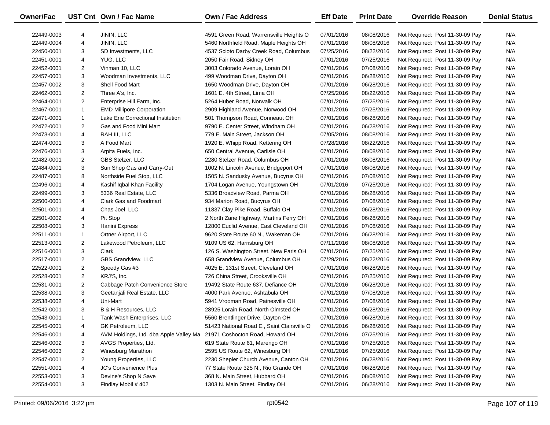| Owner/Fac  |                | UST Cnt Own / Fac Name                 | <b>Own / Fac Address</b>                    | <b>Eff Date</b> | <b>Print Date</b> | <b>Override Reason</b>          | <b>Denial Status</b> |
|------------|----------------|----------------------------------------|---------------------------------------------|-----------------|-------------------|---------------------------------|----------------------|
| 22449-0003 | 4              | JININ, LLC                             | 4591 Green Road, Warrensville Heights O     | 07/01/2016      | 08/08/2016        | Not Required: Post 11-30-09 Pay | N/A                  |
| 22449-0004 | 4              | JININ, LLC                             | 5460 Northfield Road, Maple Heights OH      | 07/01/2016      | 08/08/2016        | Not Required: Post 11-30-09 Pay | N/A                  |
| 22450-0001 | 3              | SD Investments, LLC                    | 4537 Scioto Darby Creek Road, Columbus      | 07/25/2016      | 08/22/2016        | Not Required: Post 11-30-09 Pay | N/A                  |
| 22451-0001 | 4              | YUG, LLC                               | 2050 Fair Road, Sidney OH                   | 07/01/2016      | 07/25/2016        | Not Required: Post 11-30-09 Pay | N/A                  |
| 22452-0001 | $\overline{2}$ | Vinman 10, LLC                         | 3003 Colorado Avenue, Lorain OH             | 07/01/2016      | 07/08/2016        | Not Required: Post 11-30-09 Pay | N/A                  |
| 22457-0001 | 3              | Woodman Investments, LLC               | 499 Woodman Drive, Dayton OH                | 07/01/2016      | 06/28/2016        | Not Required: Post 11-30-09 Pay | N/A                  |
| 22457-0002 | 3              | Shell Food Mart                        | 1650 Woodman Drive, Dayton OH               | 07/01/2016      | 06/28/2016        | Not Required: Post 11-30-09 Pay | N/A                  |
| 22462-0001 | $\overline{2}$ | Three A's, Inc.                        | 1601 E. 4th Street, Lima OH                 | 07/25/2016      | 08/22/2016        | Not Required: Post 11-30-09 Pay | N/A                  |
| 22464-0001 | $\overline{2}$ | Enterprise Hill Farm, Inc.             | 5264 Huber Road, Norwalk OH                 | 07/01/2016      | 07/25/2016        | Not Required: Post 11-30-09 Pay | N/A                  |
| 22467-0001 | $\mathbf{1}$   | <b>EMD Millipore Corporation</b>       | 2909 Highland Avenue, Norwood OH            | 07/01/2016      | 07/25/2016        | Not Required: Post 11-30-09 Pay | N/A                  |
| 22471-0001 | $\mathbf{1}$   | Lake Erie Correctional Institution     | 501 Thompson Road, Conneaut OH              | 07/01/2016      | 06/28/2016        | Not Required: Post 11-30-09 Pay | N/A                  |
| 22472-0001 | $\overline{c}$ | Gas and Food Mini Mart                 | 9790 E. Center Street, Windham OH           | 07/01/2016      | 06/28/2016        | Not Required: Post 11-30-09 Pay | N/A                  |
| 22473-0001 | 4              | RAH III, LLC                           | 779 E. Main Street, Jackson OH              | 07/05/2016      | 08/08/2016        | Not Required: Post 11-30-09 Pay | N/A                  |
| 22474-0001 | 3              | A Food Mart                            | 1920 E. Whipp Road, Kettering OH            | 07/28/2016      | 08/22/2016        | Not Required: Post 11-30-09 Pay | N/A                  |
| 22476-0001 | 3              | Arpita Fuels, Inc.                     | 650 Central Avenue, Carlisle OH             | 07/01/2016      | 08/08/2016        | Not Required: Post 11-30-09 Pay | N/A                  |
| 22482-0001 | $\overline{c}$ | GBS Stelzer, LLC                       | 2280 Stelzer Road, Columbus OH              | 07/01/2016      | 08/08/2016        | Not Required: Post 11-30-09 Pay | N/A                  |
| 22484-0001 | 3              | Sun Shop Gas and Carry-Out             | 1002 N. Lincoln Avenue, Bridgeport OH       | 07/01/2016      | 08/08/2016        | Not Required: Post 11-30-09 Pay | N/A                  |
| 22487-0001 | 8              | Northside Fuel Stop, LLC               | 1505 N. Sandusky Avenue, Bucyrus OH         | 07/01/2016      | 07/08/2016        | Not Required: Post 11-30-09 Pay | N/A                  |
| 22496-0001 | 4              | Kashif Iqbal Khan Facility             | 1704 Logan Avenue, Youngstown OH            | 07/01/2016      | 07/25/2016        | Not Required: Post 11-30-09 Pay | N/A                  |
| 22499-0001 | 3              | 5336 Real Estate, LLC                  | 5336 Broadview Road, Parma OH               | 07/01/2016      | 06/28/2016        | Not Required: Post 11-30-09 Pay | N/A                  |
| 22500-0001 | 4              | <b>Clark Gas and Foodmart</b>          | 934 Marion Road, Bucyrus OH                 | 07/01/2016      | 07/08/2016        | Not Required: Post 11-30-09 Pay | N/A                  |
| 22501-0001 | 4              | Chas Joel, LLC                         | 11837 Clay Pike Road, Buffalo OH            | 07/01/2016      | 06/28/2016        | Not Required: Post 11-30-09 Pay | N/A                  |
| 22501-0002 | 4              | Pit Stop                               | 2 North Zane Highway, Martins Ferry OH      | 07/01/2016      | 06/28/2016        | Not Required: Post 11-30-09 Pay | N/A                  |
| 22508-0001 | 3              | Hanini Express                         | 12800 Euclid Avenue, East Cleveland OH      | 07/01/2016      | 07/08/2016        | Not Required: Post 11-30-09 Pay | N/A                  |
| 22511-0001 | $\mathbf{1}$   | Ortner Airport, LLC                    | 9620 State Route 60 N., Wakeman OH          | 07/01/2016      | 06/28/2016        | Not Required: Post 11-30-09 Pay | N/A                  |
| 22513-0001 | $\overline{2}$ | Lakewood Petroleum, LLC                | 9109 US 62, Harrisburg OH                   | 07/11/2016      | 08/08/2016        | Not Required: Post 11-30-09 Pay | N/A                  |
| 22516-0001 | 3              | Clark                                  | 126 S. Washington Street, New Paris OH      | 07/01/2016      | 07/25/2016        | Not Required: Post 11-30-09 Pay | N/A                  |
| 22517-0001 | $\overline{2}$ | GBS Grandview, LLC                     | 658 Grandview Avenue, Columbus OH           | 07/29/2016      | 08/22/2016        | Not Required: Post 11-30-09 Pay | N/A                  |
| 22522-0001 | $\overline{2}$ | Speedy Gas #3                          | 4025 E. 131st Street, Cleveland OH          | 07/01/2016      | 06/28/2016        | Not Required: Post 11-30-09 Pay | N/A                  |
| 22528-0001 | $\overline{2}$ | KRJ'S, Inc.                            | 726 China Street, Crooksville OH            | 07/01/2016      | 07/25/2016        | Not Required: Post 11-30-09 Pay | N/A                  |
| 22531-0001 | $\overline{c}$ | Cabbage Patch Convenience Store        | 19492 State Route 637, Defiance OH          | 07/01/2016      | 06/28/2016        | Not Required: Post 11-30-09 Pay | N/A                  |
| 22538-0001 | 3              | Geetanjali Real Estate, LLC            | 4000 Park Avenue, Ashtabula OH              | 07/01/2016      | 07/08/2016        | Not Required: Post 11-30-09 Pay | N/A                  |
| 22538-0002 | 4              | Uni-Mart                               | 5941 Vrooman Road, Painesville OH           | 07/01/2016      | 07/08/2016        | Not Required: Post 11-30-09 Pay | N/A                  |
| 22542-0001 | 3              | <b>B &amp; H Resources, LLC</b>        | 28925 Lorain Road, North Olmsted OH         | 07/01/2016      | 06/28/2016        | Not Required: Post 11-30-09 Pay | N/A                  |
| 22543-0001 | $\mathbf{1}$   | Tank Wash Enterprises, LLC             | 5560 Brentlinger Drive, Dayton OH           | 07/01/2016      | 06/28/2016        | Not Required: Post 11-30-09 Pay | N/A                  |
| 22545-0001 | 4              | GK Petroleum, LLC                      | 51423 National Road E., Saint Clairsville O | 07/01/2016      | 06/28/2016        | Not Required: Post 11-30-09 Pay | N/A                  |
| 22546-0001 | 4              | AVM Holdings, Ltd. dba Apple Valley Ma | 21971 Coshocton Road, Howard OH             | 07/01/2016      | 07/25/2016        | Not Required: Post 11-30-09 Pay | N/A                  |
| 22546-0002 | 3              | AVGS Properties, Ltd.                  | 619 State Route 61, Marengo OH              | 07/01/2016      | 07/25/2016        | Not Required: Post 11-30-09 Pay | N/A                  |
| 22546-0003 | 2              | Winesburg Marathon                     | 2595 US Route 62, Winesburg OH              | 07/01/2016      | 07/25/2016        | Not Required: Post 11-30-09 Pay | N/A                  |
| 22547-0001 | $\overline{2}$ | Young Properties, LLC                  | 2230 Shepler Church Avenue, Canton OH       | 07/01/2016      | 06/28/2016        | Not Required: Post 11-30-09 Pay | N/A                  |
| 22551-0001 | 4              | JC's Convenience Plus                  | 77 State Route 325 N., Rio Grande OH        | 07/01/2016      | 06/28/2016        | Not Required: Post 11-30-09 Pay | N/A                  |
| 22553-0001 | 3              | Devine's Shop N Save                   | 368 N. Main Street, Hubbard OH              | 07/01/2016      | 08/08/2016        | Not Required: Post 11-30-09 Pay | N/A                  |
| 22554-0001 | 3              | Findlay Mobil # 402                    | 1303 N. Main Street, Findlay OH             | 07/01/2016      | 06/28/2016        | Not Required: Post 11-30-09 Pay | N/A                  |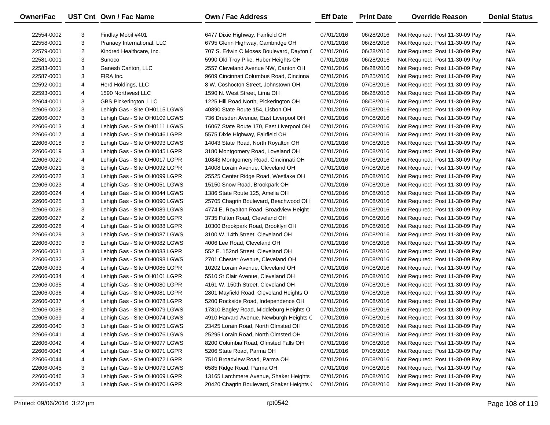| Owner/Fac  |                | UST Cnt Own / Fac Name        | <b>Own / Fac Address</b>                  | <b>Eff Date</b> | <b>Print Date</b> | <b>Override Reason</b>          | <b>Denial Status</b> |
|------------|----------------|-------------------------------|-------------------------------------------|-----------------|-------------------|---------------------------------|----------------------|
| 22554-0002 | 3              | Findlay Mobil #401            | 6477 Dixie Highway, Fairfield OH          | 07/01/2016      | 06/28/2016        | Not Required: Post 11-30-09 Pay | N/A                  |
| 22558-0001 | 3              | Pranaey International, LLC    | 6795 Glenn Highway, Cambridge OH          | 07/01/2016      | 06/28/2016        | Not Required: Post 11-30-09 Pay | N/A                  |
| 22579-0001 | $\overline{2}$ | Kindred Healthcare, Inc.      | 707 S. Edwin C Moses Boulevard, Dayton (  | 07/01/2016      | 06/28/2016        | Not Required: Post 11-30-09 Pay | N/A                  |
| 22581-0001 | 3              | Sunoco                        | 5990 Old Troy Pike, Huber Heights OH      | 07/01/2016      | 06/28/2016        | Not Required: Post 11-30-09 Pay | N/A                  |
| 22583-0001 | 3              | Ganesh Canton, LLC            | 2557 Cleveland Avenue NW, Canton OH       | 07/01/2016      | 06/28/2016        | Not Required: Post 11-30-09 Pay | N/A                  |
| 22587-0001 | 3              | FIRA Inc.                     | 9609 Cincinnati Columbus Road, Cincinna   | 07/01/2016      | 07/25/2016        | Not Required: Post 11-30-09 Pay | N/A                  |
| 22592-0001 | 4              | Herd Holdings, LLC            | 8 W. Coshocton Street, Johnstown OH       | 07/01/2016      | 07/08/2016        | Not Required: Post 11-30-09 Pay | N/A                  |
| 22593-0001 | 4              | 1590 Northwest LLC            | 1590 N. West Street, Lima OH              | 07/01/2016      | 06/28/2016        | Not Required: Post 11-30-09 Pay | N/A                  |
| 22604-0001 | 3              | GBS Pickerington, LLC         | 1225 Hill Road North, Pickerington OH     | 07/01/2016      | 08/08/2016        | Not Required: Post 11-30-09 Pay | N/A                  |
| 22606-0002 | 3              | Lehigh Gas - Site OH0115 LGWS | 40890 State Route 154, Lisbon OH          | 07/01/2016      | 07/08/2016        | Not Required: Post 11-30-09 Pay | N/A                  |
| 22606-0007 | 3              | Lehigh Gas - Site OH0109 LGWS | 736 Dresden Avenue, East Liverpool OH     | 07/01/2016      | 07/08/2016        | Not Required: Post 11-30-09 Pay | N/A                  |
| 22606-0013 | 4              | Lehigh Gas - Site OH0111 LGWS | 16067 State Route 170, East Liverpool OH  | 07/01/2016      | 07/08/2016        | Not Required: Post 11-30-09 Pay | N/A                  |
| 22606-0017 | 4              | Lehigh Gas - Site OH0046 LGPR | 5575 Dixie Highway, Fairfield OH          | 07/01/2016      | 07/08/2016        | Not Required: Post 11-30-09 Pay | N/A                  |
| 22606-0018 | 3              | Lehigh Gas - Site OH0093 LGWS | 14043 State Road, North Royalton OH       | 07/01/2016      | 07/08/2016        | Not Required: Post 11-30-09 Pay | N/A                  |
| 22606-0019 | 3              | Lehigh Gas - Site OH0045 LGPR | 3180 Montgomery Road, Loveland OH         | 07/01/2016      | 07/08/2016        | Not Required: Post 11-30-09 Pay | N/A                  |
| 22606-0020 | 4              | Lehigh Gas - Site OH0017 LGPR | 10843 Montgomery Road, Cincinnati OH      | 07/01/2016      | 07/08/2016        | Not Required: Post 11-30-09 Pay | N/A                  |
| 22606-0021 | 3              | Lehigh Gas - Site OH0092 LGPR | 14008 Lorain Avenue, Cleveland OH         | 07/01/2016      | 07/08/2016        | Not Required: Post 11-30-09 Pay | N/A                  |
| 22606-0022 | 3              | Lehigh Gas - Site OH0099 LGPR | 25525 Center Ridge Road, Westlake OH      | 07/01/2016      | 07/08/2016        | Not Required: Post 11-30-09 Pay | N/A                  |
| 22606-0023 | 4              | Lehigh Gas - Site OH0051 LGWS | 15150 Snow Road, Brookpark OH             | 07/01/2016      | 07/08/2016        | Not Required: Post 11-30-09 Pay | N/A                  |
| 22606-0024 | 4              | Lehigh Gas - Site OH0044 LGWS | 1386 State Route 125, Amelia OH           | 07/01/2016      | 07/08/2016        | Not Required: Post 11-30-09 Pay | N/A                  |
| 22606-0025 | 3              | Lehigh Gas - Site OH0090 LGWS | 25705 Chagrin Boulevard, Beachwood OH     | 07/01/2016      | 07/08/2016        | Not Required: Post 11-30-09 Pay | N/A                  |
| 22606-0026 | 3              | Lehigh Gas - Site OH0089 LGWS | 4774 E. Royalton Road, Broadview Height   | 07/01/2016      | 07/08/2016        | Not Required: Post 11-30-09 Pay | N/A                  |
| 22606-0027 | $\overline{2}$ | Lehigh Gas - Site OH0086 LGPR | 3735 Fulton Road, Cleveland OH            | 07/01/2016      | 07/08/2016        | Not Required: Post 11-30-09 Pay | N/A                  |
| 22606-0028 | 4              | Lehigh Gas - Site OH0088 LGPR | 10300 Brookpark Road, Brooklyn OH         | 07/01/2016      | 07/08/2016        | Not Required: Post 11-30-09 Pay | N/A                  |
| 22606-0029 | 3              | Lehigh Gas - Site OH0087 LGWS | 3100 W. 14th Street, Cleveland OH         | 07/01/2016      | 07/08/2016        | Not Required: Post 11-30-09 Pay | N/A                  |
| 22606-0030 | 3              | Lehigh Gas - Site OH0082 LGWS | 4006 Lee Road, Cleveland OH               | 07/01/2016      | 07/08/2016        | Not Required: Post 11-30-09 Pay | N/A                  |
| 22606-0031 | 3              | Lehigh Gas - Site OH0083 LGPR | 552 E. 152nd Street, Cleveland OH         | 07/01/2016      | 07/08/2016        | Not Required: Post 11-30-09 Pay | N/A                  |
| 22606-0032 | 3              | Lehigh Gas - Site OH0098 LGWS | 2701 Chester Avenue, Cleveland OH         | 07/01/2016      | 07/08/2016        | Not Required: Post 11-30-09 Pay | N/A                  |
| 22606-0033 | 4              | Lehigh Gas - Site OH0085 LGPR | 10202 Lorain Avenue, Cleveland OH         | 07/01/2016      | 07/08/2016        | Not Required: Post 11-30-09 Pay | N/A                  |
| 22606-0034 | 4              | Lehigh Gas - Site OH0101 LGPR | 5510 St Clair Avenue, Cleveland OH        | 07/01/2016      | 07/08/2016        | Not Required: Post 11-30-09 Pay | N/A                  |
| 22606-0035 | 4              | Lehigh Gas - Site OH0080 LGPR | 4161 W. 150th Street, Cleveland OH        | 07/01/2016      | 07/08/2016        | Not Required: Post 11-30-09 Pay | N/A                  |
| 22606-0036 | 4              | Lehigh Gas - Site OH0081 LGPR | 2801 Mayfield Road, Cleveland Heights O   | 07/01/2016      | 07/08/2016        | Not Required: Post 11-30-09 Pay | N/A                  |
| 22606-0037 | 4              | Lehigh Gas - Site OH0078 LGPR | 5200 Rockside Road, Independence OH       | 07/01/2016      | 07/08/2016        | Not Required: Post 11-30-09 Pay | N/A                  |
| 22606-0038 | 3              | Lehigh Gas - Site OH0079 LGWS | 17810 Bagley Road, Middleburg Heights O   | 07/01/2016      | 07/08/2016        | Not Required: Post 11-30-09 Pay | N/A                  |
| 22606-0039 | 4              | Lehigh Gas - Site OH0074 LGWS | 4910 Harvard Avenue, Newburgh Heights C   | 07/01/2016      | 07/08/2016        | Not Required: Post 11-30-09 Pay | N/A                  |
| 22606-0040 | 3              | Lehigh Gas - Site OH0075 LGWS | 23425 Lorain Road, North Olmsted OH       | 07/01/2016      | 07/08/2016        | Not Required: Post 11-30-09 Pay | N/A                  |
| 22606-0041 | 4              | Lehigh Gas - Site OH0076 LGWS | 25295 Lorain Road, North Olmsted OH       | 07/01/2016      | 07/08/2016        | Not Required: Post 11-30-09 Pay | N/A                  |
| 22606-0042 | 4              | Lehigh Gas - Site OH0077 LGWS | 8200 Columbia Road, Olmsted Falls OH      | 07/01/2016      | 07/08/2016        | Not Required: Post 11-30-09 Pay | N/A                  |
| 22606-0043 | 4              | Lehigh Gas - Site OH0071 LGPR | 5206 State Road, Parma OH                 | 07/01/2016      | 07/08/2016        | Not Required: Post 11-30-09 Pay | N/A                  |
| 22606-0044 | 4              | Lehigh Gas - Site OH0072 LGPR | 7510 Broadview Road, Parma OH             | 07/01/2016      | 07/08/2016        | Not Required: Post 11-30-09 Pay | N/A                  |
| 22606-0045 | 3              | Lehigh Gas - Site OH0073 LGWS | 6585 Ridge Road, Parma OH                 | 07/01/2016      | 07/08/2016        | Not Required: Post 11-30-09 Pay | N/A                  |
| 22606-0046 | 3              | Lehigh Gas - Site OH0069 LGPR | 13165 Larchmere Avenue, Shaker Heights    | 07/01/2016      | 07/08/2016        | Not Required: Post 11-30-09 Pay | N/A                  |
| 22606-0047 | 3              | Lehigh Gas - Site OH0070 LGPR | 20420 Chagrin Boulevard, Shaker Heights ( | 07/01/2016      | 07/08/2016        | Not Required: Post 11-30-09 Pay | N/A                  |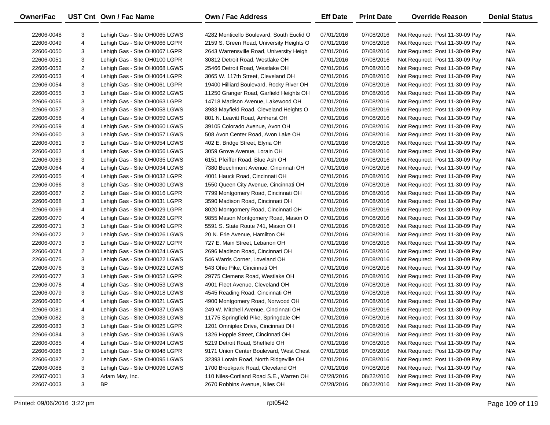| 22606-0048<br>3<br>Lehigh Gas - Site OH0065 LGWS<br>4282 Monticello Boulevard. South Euclid O<br>07/01/2016<br>07/08/2016<br>Not Required: Post 11-30-09 Pay<br>N/A<br>4<br>07/08/2016<br>N/A<br>22606-0049<br>Lehigh Gas - Site OH0066 LGPR<br>2159 S. Green Road, University Heights O<br>07/01/2016<br>Not Required: Post 11-30-09 Pay<br>3<br>Lehigh Gas - Site OH0067 LGPR<br>2643 Warrensville Road, University Heigh<br>N/A<br>22606-0050<br>07/01/2016<br>07/08/2016<br>Not Required: Post 11-30-09 Pay<br>3<br>Lehigh Gas - Site OH0100 LGPR<br>30812 Detroit Road, Westlake OH<br>07/01/2016<br>N/A<br>22606-0051<br>07/08/2016<br>Not Required: Post 11-30-09 Pay<br>$\overline{2}$<br>25466 Detroit Road, Westlake OH<br>07/01/2016<br>07/08/2016<br>N/A<br>22606-0052<br>Lehigh Gas - Site OH0068 LGWS<br>Not Required: Post 11-30-09 Pay<br>4<br>3065 W. 117th Street, Cleveland OH<br>07/01/2016<br>07/08/2016<br>N/A<br>22606-0053<br>Lehigh Gas - Site OH0064 LGPR<br>Not Required: Post 11-30-09 Pay<br>3<br>07/08/2016<br>N/A<br>22606-0054<br>Lehigh Gas - Site OH0061 LGPR<br>19400 Hilliard Boulevard, Rocky River OH<br>07/01/2016<br>Not Required: Post 11-30-09 Pay<br>3<br>07/08/2016<br>N/A<br>22606-0055<br>Lehigh Gas - Site OH0062 LGWS<br>11250 Granger Road, Garfield Heights OH<br>07/01/2016<br>Not Required: Post 11-30-09 Pay<br>3<br>07/01/2016<br>07/08/2016<br>N/A<br>22606-0056<br>Lehigh Gas - Site OH0063 LGPR<br>14718 Madison Avenue, Lakewood OH<br>Not Required: Post 11-30-09 Pay<br>3<br>3983 Mayfield Road, Cleveland Heights O<br>07/08/2016<br>N/A<br>22606-0057<br>Lehigh Gas - Site OH0058 LGWS<br>07/01/2016<br>Not Required: Post 11-30-09 Pay<br>4<br>07/08/2016<br>N/A<br>22606-0058<br>Lehigh Gas - Site OH0059 LGWS<br>801 N. Leavitt Road, Amherst OH<br>07/01/2016<br>Not Required: Post 11-30-09 Pay<br>4<br>07/01/2016<br>07/08/2016<br>N/A<br>22606-0059<br>Lehigh Gas - Site OH0060 LGWS<br>39105 Colorado Avenue, Avon OH<br>Not Required: Post 11-30-09 Pay<br>3<br>508 Avon Center Road, Avon Lake OH<br>07/01/2016<br>07/08/2016<br>N/A<br>22606-0060<br>Lehigh Gas - Site OH0057 LGWS<br>Not Required: Post 11-30-09 Pay<br>3<br>402 E. Bridge Street, Elyria OH<br>07/08/2016<br>N/A<br>22606-0061<br>Lehigh Gas - Site OH0054 LGWS<br>07/01/2016<br>Not Required: Post 11-30-09 Pay<br>4<br>3059 Grove Avenue, Lorain OH<br>07/08/2016<br>N/A<br>22606-0062<br>Lehigh Gas - Site OH0056 LGWS<br>07/01/2016<br>Not Required: Post 11-30-09 Pay<br>3<br>6151 Pfeiffer Road, Blue Ash OH<br>07/01/2016<br>07/08/2016<br>N/A<br>22606-0063<br>Lehigh Gas - Site OH0035 LGWS<br>Not Required: Post 11-30-09 Pay<br>4<br>07/01/2016<br>07/08/2016<br>N/A<br>22606-0064<br>Lehigh Gas - Site OH0034 LGWS<br>7380 Beechmont Avenue, Cincinnati OH<br>Not Required: Post 11-30-09 Pay<br>4<br>4001 Hauck Road, Cincinnati OH<br>07/01/2016<br>07/08/2016<br>N/A<br>22606-0065<br>Lehigh Gas - Site OH0032 LGPR<br>Not Required: Post 11-30-09 Pay<br>3<br>1550 Queen City Avenue, Cincinnati OH<br>07/01/2016<br>07/08/2016<br>N/A<br>22606-0066<br>Lehigh Gas - Site OH0030 LGWS<br>Not Required: Post 11-30-09 Pay<br>$\overline{2}$<br>07/01/2016<br>07/08/2016<br>N/A<br>22606-0067<br>Lehigh Gas - Site OH0016 LGPR<br>7799 Montgomery Road, Cincinnati OH<br>Not Required: Post 11-30-09 Pay<br>3<br>3590 Madison Road, Cincinnati OH<br>07/01/2016<br>07/08/2016<br>N/A<br>22606-0068<br>Lehigh Gas - Site OH0031 LGPR<br>Not Required: Post 11-30-09 Pay<br>4<br>07/01/2016<br>07/08/2016<br>N/A<br>22606-0069<br>Lehigh Gas - Site OH0029 LGPR<br>8020 Montgomery Road, Cincinnati OH<br>Not Required: Post 11-30-09 Pay<br>4<br>07/08/2016<br>N/A<br>22606-0070<br>Lehigh Gas - Site OH0028 LGPR<br>9855 Mason Montgomery Road, Mason O<br>07/01/2016<br>Not Required: Post 11-30-09 Pay<br>3<br>5591 S. State Route 741, Mason OH<br>07/08/2016<br>N/A<br>22606-0071<br>Lehigh Gas - Site OH0049 LGPR<br>07/01/2016<br>Not Required: Post 11-30-09 Pay<br>$\overline{2}$<br>20 N. Erie Avenue, Hamilton OH<br>07/08/2016<br>N/A<br>22606-0072<br>Lehigh Gas - Site OH0026 LGWS<br>07/01/2016<br>Not Required: Post 11-30-09 Pay<br>3<br>727 E. Main Street, Lebanon OH<br>07/08/2016<br>N/A<br>22606-0073<br>Lehigh Gas - Site OH0027 LGPR<br>07/01/2016<br>Not Required: Post 11-30-09 Pay<br>$\overline{2}$<br>2696 Madison Road, Cincinnati OH<br>07/08/2016<br>N/A<br>22606-0074<br>Lehigh Gas - Site OH0024 LGWS<br>07/01/2016<br>Not Required: Post 11-30-09 Pay<br>3<br>07/08/2016<br>N/A<br>22606-0075<br>Lehigh Gas - Site OH0022 LGWS<br>546 Wards Corner, Loveland OH<br>07/01/2016<br>Not Required: Post 11-30-09 Pay<br>3<br>543 Ohio Pike, Cincinnati OH<br>07/08/2016<br>N/A<br>22606-0076<br>Lehigh Gas - Site OH0023 LGWS<br>07/01/2016<br>Not Required: Post 11-30-09 Pay<br>3<br>07/08/2016<br>N/A<br>22606-0077<br>Lehigh Gas - Site OH0052 LGPR<br>29775 Clemens Road, Westlake OH<br>07/01/2016<br>Not Required: Post 11-30-09 Pay<br>4<br>07/08/2016<br>N/A<br>22606-0078<br>Lehigh Gas - Site OH0053 LGWS<br>4901 Fleet Avenue. Cleveland OH<br>07/01/2016<br>Not Required: Post 11-30-09 Pay<br>3<br>4545 Reading Road, Cincinnati OH<br>07/08/2016<br>N/A<br>22606-0079<br>Lehigh Gas - Site OH0018 LGWS<br>07/01/2016<br>Not Required: Post 11-30-09 Pay |
|---------------------------------------------------------------------------------------------------------------------------------------------------------------------------------------------------------------------------------------------------------------------------------------------------------------------------------------------------------------------------------------------------------------------------------------------------------------------------------------------------------------------------------------------------------------------------------------------------------------------------------------------------------------------------------------------------------------------------------------------------------------------------------------------------------------------------------------------------------------------------------------------------------------------------------------------------------------------------------------------------------------------------------------------------------------------------------------------------------------------------------------------------------------------------------------------------------------------------------------------------------------------------------------------------------------------------------------------------------------------------------------------------------------------------------------------------------------------------------------------------------------------------------------------------------------------------------------------------------------------------------------------------------------------------------------------------------------------------------------------------------------------------------------------------------------------------------------------------------------------------------------------------------------------------------------------------------------------------------------------------------------------------------------------------------------------------------------------------------------------------------------------------------------------------------------------------------------------------------------------------------------------------------------------------------------------------------------------------------------------------------------------------------------------------------------------------------------------------------------------------------------------------------------------------------------------------------------------------------------------------------------------------------------------------------------------------------------------------------------------------------------------------------------------------------------------------------------------------------------------------------------------------------------------------------------------------------------------------------------------------------------------------------------------------------------------------------------------------------------------------------------------------------------------------------------------------------------------------------------------------------------------------------------------------------------------------------------------------------------------------------------------------------------------------------------------------------------------------------------------------------------------------------------------------------------------------------------------------------------------------------------------------------------------------------------------------------------------------------------------------------------------------------------------------------------------------------------------------------------------------------------------------------------------------------------------------------------------------------------------------------------------------------------------------------------------------------------------------------------------------------------------------------------------------------------------------------------------------------------------------------------------------------------------------------------------------------------------------------------------------------------------------------------------------------------------------------------------------------------------------------------------------------------------------------------------------------------------------------------------------------------------------------------------------------------------------------------------------------------------------------------------------------------------------------------------------------------------------------------------------------------------------------------------------------------------------------------------------------------------------------------------------------------------------------------------------------------------------------------------------------------------------------------------------------------------------------------------------------------------------------------------------------------------------------------------------------------------------------------|
|                                                                                                                                                                                                                                                                                                                                                                                                                                                                                                                                                                                                                                                                                                                                                                                                                                                                                                                                                                                                                                                                                                                                                                                                                                                                                                                                                                                                                                                                                                                                                                                                                                                                                                                                                                                                                                                                                                                                                                                                                                                                                                                                                                                                                                                                                                                                                                                                                                                                                                                                                                                                                                                                                                                                                                                                                                                                                                                                                                                                                                                                                                                                                                                                                                                                                                                                                                                                                                                                                                                                                                                                                                                                                                                                                                                                                                                                                                                                                                                                                                                                                                                                                                                                                                                                                                                                                                                                                                                                                                                                                                                                                                                                                                                                                                                                                                                                                                                                                                                                                                                                                                                                                                                                                                                                                                                                                               |
|                                                                                                                                                                                                                                                                                                                                                                                                                                                                                                                                                                                                                                                                                                                                                                                                                                                                                                                                                                                                                                                                                                                                                                                                                                                                                                                                                                                                                                                                                                                                                                                                                                                                                                                                                                                                                                                                                                                                                                                                                                                                                                                                                                                                                                                                                                                                                                                                                                                                                                                                                                                                                                                                                                                                                                                                                                                                                                                                                                                                                                                                                                                                                                                                                                                                                                                                                                                                                                                                                                                                                                                                                                                                                                                                                                                                                                                                                                                                                                                                                                                                                                                                                                                                                                                                                                                                                                                                                                                                                                                                                                                                                                                                                                                                                                                                                                                                                                                                                                                                                                                                                                                                                                                                                                                                                                                                                               |
|                                                                                                                                                                                                                                                                                                                                                                                                                                                                                                                                                                                                                                                                                                                                                                                                                                                                                                                                                                                                                                                                                                                                                                                                                                                                                                                                                                                                                                                                                                                                                                                                                                                                                                                                                                                                                                                                                                                                                                                                                                                                                                                                                                                                                                                                                                                                                                                                                                                                                                                                                                                                                                                                                                                                                                                                                                                                                                                                                                                                                                                                                                                                                                                                                                                                                                                                                                                                                                                                                                                                                                                                                                                                                                                                                                                                                                                                                                                                                                                                                                                                                                                                                                                                                                                                                                                                                                                                                                                                                                                                                                                                                                                                                                                                                                                                                                                                                                                                                                                                                                                                                                                                                                                                                                                                                                                                                               |
|                                                                                                                                                                                                                                                                                                                                                                                                                                                                                                                                                                                                                                                                                                                                                                                                                                                                                                                                                                                                                                                                                                                                                                                                                                                                                                                                                                                                                                                                                                                                                                                                                                                                                                                                                                                                                                                                                                                                                                                                                                                                                                                                                                                                                                                                                                                                                                                                                                                                                                                                                                                                                                                                                                                                                                                                                                                                                                                                                                                                                                                                                                                                                                                                                                                                                                                                                                                                                                                                                                                                                                                                                                                                                                                                                                                                                                                                                                                                                                                                                                                                                                                                                                                                                                                                                                                                                                                                                                                                                                                                                                                                                                                                                                                                                                                                                                                                                                                                                                                                                                                                                                                                                                                                                                                                                                                                                               |
|                                                                                                                                                                                                                                                                                                                                                                                                                                                                                                                                                                                                                                                                                                                                                                                                                                                                                                                                                                                                                                                                                                                                                                                                                                                                                                                                                                                                                                                                                                                                                                                                                                                                                                                                                                                                                                                                                                                                                                                                                                                                                                                                                                                                                                                                                                                                                                                                                                                                                                                                                                                                                                                                                                                                                                                                                                                                                                                                                                                                                                                                                                                                                                                                                                                                                                                                                                                                                                                                                                                                                                                                                                                                                                                                                                                                                                                                                                                                                                                                                                                                                                                                                                                                                                                                                                                                                                                                                                                                                                                                                                                                                                                                                                                                                                                                                                                                                                                                                                                                                                                                                                                                                                                                                                                                                                                                                               |
|                                                                                                                                                                                                                                                                                                                                                                                                                                                                                                                                                                                                                                                                                                                                                                                                                                                                                                                                                                                                                                                                                                                                                                                                                                                                                                                                                                                                                                                                                                                                                                                                                                                                                                                                                                                                                                                                                                                                                                                                                                                                                                                                                                                                                                                                                                                                                                                                                                                                                                                                                                                                                                                                                                                                                                                                                                                                                                                                                                                                                                                                                                                                                                                                                                                                                                                                                                                                                                                                                                                                                                                                                                                                                                                                                                                                                                                                                                                                                                                                                                                                                                                                                                                                                                                                                                                                                                                                                                                                                                                                                                                                                                                                                                                                                                                                                                                                                                                                                                                                                                                                                                                                                                                                                                                                                                                                                               |
|                                                                                                                                                                                                                                                                                                                                                                                                                                                                                                                                                                                                                                                                                                                                                                                                                                                                                                                                                                                                                                                                                                                                                                                                                                                                                                                                                                                                                                                                                                                                                                                                                                                                                                                                                                                                                                                                                                                                                                                                                                                                                                                                                                                                                                                                                                                                                                                                                                                                                                                                                                                                                                                                                                                                                                                                                                                                                                                                                                                                                                                                                                                                                                                                                                                                                                                                                                                                                                                                                                                                                                                                                                                                                                                                                                                                                                                                                                                                                                                                                                                                                                                                                                                                                                                                                                                                                                                                                                                                                                                                                                                                                                                                                                                                                                                                                                                                                                                                                                                                                                                                                                                                                                                                                                                                                                                                                               |
|                                                                                                                                                                                                                                                                                                                                                                                                                                                                                                                                                                                                                                                                                                                                                                                                                                                                                                                                                                                                                                                                                                                                                                                                                                                                                                                                                                                                                                                                                                                                                                                                                                                                                                                                                                                                                                                                                                                                                                                                                                                                                                                                                                                                                                                                                                                                                                                                                                                                                                                                                                                                                                                                                                                                                                                                                                                                                                                                                                                                                                                                                                                                                                                                                                                                                                                                                                                                                                                                                                                                                                                                                                                                                                                                                                                                                                                                                                                                                                                                                                                                                                                                                                                                                                                                                                                                                                                                                                                                                                                                                                                                                                                                                                                                                                                                                                                                                                                                                                                                                                                                                                                                                                                                                                                                                                                                                               |
|                                                                                                                                                                                                                                                                                                                                                                                                                                                                                                                                                                                                                                                                                                                                                                                                                                                                                                                                                                                                                                                                                                                                                                                                                                                                                                                                                                                                                                                                                                                                                                                                                                                                                                                                                                                                                                                                                                                                                                                                                                                                                                                                                                                                                                                                                                                                                                                                                                                                                                                                                                                                                                                                                                                                                                                                                                                                                                                                                                                                                                                                                                                                                                                                                                                                                                                                                                                                                                                                                                                                                                                                                                                                                                                                                                                                                                                                                                                                                                                                                                                                                                                                                                                                                                                                                                                                                                                                                                                                                                                                                                                                                                                                                                                                                                                                                                                                                                                                                                                                                                                                                                                                                                                                                                                                                                                                                               |
|                                                                                                                                                                                                                                                                                                                                                                                                                                                                                                                                                                                                                                                                                                                                                                                                                                                                                                                                                                                                                                                                                                                                                                                                                                                                                                                                                                                                                                                                                                                                                                                                                                                                                                                                                                                                                                                                                                                                                                                                                                                                                                                                                                                                                                                                                                                                                                                                                                                                                                                                                                                                                                                                                                                                                                                                                                                                                                                                                                                                                                                                                                                                                                                                                                                                                                                                                                                                                                                                                                                                                                                                                                                                                                                                                                                                                                                                                                                                                                                                                                                                                                                                                                                                                                                                                                                                                                                                                                                                                                                                                                                                                                                                                                                                                                                                                                                                                                                                                                                                                                                                                                                                                                                                                                                                                                                                                               |
|                                                                                                                                                                                                                                                                                                                                                                                                                                                                                                                                                                                                                                                                                                                                                                                                                                                                                                                                                                                                                                                                                                                                                                                                                                                                                                                                                                                                                                                                                                                                                                                                                                                                                                                                                                                                                                                                                                                                                                                                                                                                                                                                                                                                                                                                                                                                                                                                                                                                                                                                                                                                                                                                                                                                                                                                                                                                                                                                                                                                                                                                                                                                                                                                                                                                                                                                                                                                                                                                                                                                                                                                                                                                                                                                                                                                                                                                                                                                                                                                                                                                                                                                                                                                                                                                                                                                                                                                                                                                                                                                                                                                                                                                                                                                                                                                                                                                                                                                                                                                                                                                                                                                                                                                                                                                                                                                                               |
|                                                                                                                                                                                                                                                                                                                                                                                                                                                                                                                                                                                                                                                                                                                                                                                                                                                                                                                                                                                                                                                                                                                                                                                                                                                                                                                                                                                                                                                                                                                                                                                                                                                                                                                                                                                                                                                                                                                                                                                                                                                                                                                                                                                                                                                                                                                                                                                                                                                                                                                                                                                                                                                                                                                                                                                                                                                                                                                                                                                                                                                                                                                                                                                                                                                                                                                                                                                                                                                                                                                                                                                                                                                                                                                                                                                                                                                                                                                                                                                                                                                                                                                                                                                                                                                                                                                                                                                                                                                                                                                                                                                                                                                                                                                                                                                                                                                                                                                                                                                                                                                                                                                                                                                                                                                                                                                                                               |
|                                                                                                                                                                                                                                                                                                                                                                                                                                                                                                                                                                                                                                                                                                                                                                                                                                                                                                                                                                                                                                                                                                                                                                                                                                                                                                                                                                                                                                                                                                                                                                                                                                                                                                                                                                                                                                                                                                                                                                                                                                                                                                                                                                                                                                                                                                                                                                                                                                                                                                                                                                                                                                                                                                                                                                                                                                                                                                                                                                                                                                                                                                                                                                                                                                                                                                                                                                                                                                                                                                                                                                                                                                                                                                                                                                                                                                                                                                                                                                                                                                                                                                                                                                                                                                                                                                                                                                                                                                                                                                                                                                                                                                                                                                                                                                                                                                                                                                                                                                                                                                                                                                                                                                                                                                                                                                                                                               |
|                                                                                                                                                                                                                                                                                                                                                                                                                                                                                                                                                                                                                                                                                                                                                                                                                                                                                                                                                                                                                                                                                                                                                                                                                                                                                                                                                                                                                                                                                                                                                                                                                                                                                                                                                                                                                                                                                                                                                                                                                                                                                                                                                                                                                                                                                                                                                                                                                                                                                                                                                                                                                                                                                                                                                                                                                                                                                                                                                                                                                                                                                                                                                                                                                                                                                                                                                                                                                                                                                                                                                                                                                                                                                                                                                                                                                                                                                                                                                                                                                                                                                                                                                                                                                                                                                                                                                                                                                                                                                                                                                                                                                                                                                                                                                                                                                                                                                                                                                                                                                                                                                                                                                                                                                                                                                                                                                               |
|                                                                                                                                                                                                                                                                                                                                                                                                                                                                                                                                                                                                                                                                                                                                                                                                                                                                                                                                                                                                                                                                                                                                                                                                                                                                                                                                                                                                                                                                                                                                                                                                                                                                                                                                                                                                                                                                                                                                                                                                                                                                                                                                                                                                                                                                                                                                                                                                                                                                                                                                                                                                                                                                                                                                                                                                                                                                                                                                                                                                                                                                                                                                                                                                                                                                                                                                                                                                                                                                                                                                                                                                                                                                                                                                                                                                                                                                                                                                                                                                                                                                                                                                                                                                                                                                                                                                                                                                                                                                                                                                                                                                                                                                                                                                                                                                                                                                                                                                                                                                                                                                                                                                                                                                                                                                                                                                                               |
|                                                                                                                                                                                                                                                                                                                                                                                                                                                                                                                                                                                                                                                                                                                                                                                                                                                                                                                                                                                                                                                                                                                                                                                                                                                                                                                                                                                                                                                                                                                                                                                                                                                                                                                                                                                                                                                                                                                                                                                                                                                                                                                                                                                                                                                                                                                                                                                                                                                                                                                                                                                                                                                                                                                                                                                                                                                                                                                                                                                                                                                                                                                                                                                                                                                                                                                                                                                                                                                                                                                                                                                                                                                                                                                                                                                                                                                                                                                                                                                                                                                                                                                                                                                                                                                                                                                                                                                                                                                                                                                                                                                                                                                                                                                                                                                                                                                                                                                                                                                                                                                                                                                                                                                                                                                                                                                                                               |
|                                                                                                                                                                                                                                                                                                                                                                                                                                                                                                                                                                                                                                                                                                                                                                                                                                                                                                                                                                                                                                                                                                                                                                                                                                                                                                                                                                                                                                                                                                                                                                                                                                                                                                                                                                                                                                                                                                                                                                                                                                                                                                                                                                                                                                                                                                                                                                                                                                                                                                                                                                                                                                                                                                                                                                                                                                                                                                                                                                                                                                                                                                                                                                                                                                                                                                                                                                                                                                                                                                                                                                                                                                                                                                                                                                                                                                                                                                                                                                                                                                                                                                                                                                                                                                                                                                                                                                                                                                                                                                                                                                                                                                                                                                                                                                                                                                                                                                                                                                                                                                                                                                                                                                                                                                                                                                                                                               |
|                                                                                                                                                                                                                                                                                                                                                                                                                                                                                                                                                                                                                                                                                                                                                                                                                                                                                                                                                                                                                                                                                                                                                                                                                                                                                                                                                                                                                                                                                                                                                                                                                                                                                                                                                                                                                                                                                                                                                                                                                                                                                                                                                                                                                                                                                                                                                                                                                                                                                                                                                                                                                                                                                                                                                                                                                                                                                                                                                                                                                                                                                                                                                                                                                                                                                                                                                                                                                                                                                                                                                                                                                                                                                                                                                                                                                                                                                                                                                                                                                                                                                                                                                                                                                                                                                                                                                                                                                                                                                                                                                                                                                                                                                                                                                                                                                                                                                                                                                                                                                                                                                                                                                                                                                                                                                                                                                               |
|                                                                                                                                                                                                                                                                                                                                                                                                                                                                                                                                                                                                                                                                                                                                                                                                                                                                                                                                                                                                                                                                                                                                                                                                                                                                                                                                                                                                                                                                                                                                                                                                                                                                                                                                                                                                                                                                                                                                                                                                                                                                                                                                                                                                                                                                                                                                                                                                                                                                                                                                                                                                                                                                                                                                                                                                                                                                                                                                                                                                                                                                                                                                                                                                                                                                                                                                                                                                                                                                                                                                                                                                                                                                                                                                                                                                                                                                                                                                                                                                                                                                                                                                                                                                                                                                                                                                                                                                                                                                                                                                                                                                                                                                                                                                                                                                                                                                                                                                                                                                                                                                                                                                                                                                                                                                                                                                                               |
|                                                                                                                                                                                                                                                                                                                                                                                                                                                                                                                                                                                                                                                                                                                                                                                                                                                                                                                                                                                                                                                                                                                                                                                                                                                                                                                                                                                                                                                                                                                                                                                                                                                                                                                                                                                                                                                                                                                                                                                                                                                                                                                                                                                                                                                                                                                                                                                                                                                                                                                                                                                                                                                                                                                                                                                                                                                                                                                                                                                                                                                                                                                                                                                                                                                                                                                                                                                                                                                                                                                                                                                                                                                                                                                                                                                                                                                                                                                                                                                                                                                                                                                                                                                                                                                                                                                                                                                                                                                                                                                                                                                                                                                                                                                                                                                                                                                                                                                                                                                                                                                                                                                                                                                                                                                                                                                                                               |
|                                                                                                                                                                                                                                                                                                                                                                                                                                                                                                                                                                                                                                                                                                                                                                                                                                                                                                                                                                                                                                                                                                                                                                                                                                                                                                                                                                                                                                                                                                                                                                                                                                                                                                                                                                                                                                                                                                                                                                                                                                                                                                                                                                                                                                                                                                                                                                                                                                                                                                                                                                                                                                                                                                                                                                                                                                                                                                                                                                                                                                                                                                                                                                                                                                                                                                                                                                                                                                                                                                                                                                                                                                                                                                                                                                                                                                                                                                                                                                                                                                                                                                                                                                                                                                                                                                                                                                                                                                                                                                                                                                                                                                                                                                                                                                                                                                                                                                                                                                                                                                                                                                                                                                                                                                                                                                                                                               |
|                                                                                                                                                                                                                                                                                                                                                                                                                                                                                                                                                                                                                                                                                                                                                                                                                                                                                                                                                                                                                                                                                                                                                                                                                                                                                                                                                                                                                                                                                                                                                                                                                                                                                                                                                                                                                                                                                                                                                                                                                                                                                                                                                                                                                                                                                                                                                                                                                                                                                                                                                                                                                                                                                                                                                                                                                                                                                                                                                                                                                                                                                                                                                                                                                                                                                                                                                                                                                                                                                                                                                                                                                                                                                                                                                                                                                                                                                                                                                                                                                                                                                                                                                                                                                                                                                                                                                                                                                                                                                                                                                                                                                                                                                                                                                                                                                                                                                                                                                                                                                                                                                                                                                                                                                                                                                                                                                               |
|                                                                                                                                                                                                                                                                                                                                                                                                                                                                                                                                                                                                                                                                                                                                                                                                                                                                                                                                                                                                                                                                                                                                                                                                                                                                                                                                                                                                                                                                                                                                                                                                                                                                                                                                                                                                                                                                                                                                                                                                                                                                                                                                                                                                                                                                                                                                                                                                                                                                                                                                                                                                                                                                                                                                                                                                                                                                                                                                                                                                                                                                                                                                                                                                                                                                                                                                                                                                                                                                                                                                                                                                                                                                                                                                                                                                                                                                                                                                                                                                                                                                                                                                                                                                                                                                                                                                                                                                                                                                                                                                                                                                                                                                                                                                                                                                                                                                                                                                                                                                                                                                                                                                                                                                                                                                                                                                                               |
|                                                                                                                                                                                                                                                                                                                                                                                                                                                                                                                                                                                                                                                                                                                                                                                                                                                                                                                                                                                                                                                                                                                                                                                                                                                                                                                                                                                                                                                                                                                                                                                                                                                                                                                                                                                                                                                                                                                                                                                                                                                                                                                                                                                                                                                                                                                                                                                                                                                                                                                                                                                                                                                                                                                                                                                                                                                                                                                                                                                                                                                                                                                                                                                                                                                                                                                                                                                                                                                                                                                                                                                                                                                                                                                                                                                                                                                                                                                                                                                                                                                                                                                                                                                                                                                                                                                                                                                                                                                                                                                                                                                                                                                                                                                                                                                                                                                                                                                                                                                                                                                                                                                                                                                                                                                                                                                                                               |
|                                                                                                                                                                                                                                                                                                                                                                                                                                                                                                                                                                                                                                                                                                                                                                                                                                                                                                                                                                                                                                                                                                                                                                                                                                                                                                                                                                                                                                                                                                                                                                                                                                                                                                                                                                                                                                                                                                                                                                                                                                                                                                                                                                                                                                                                                                                                                                                                                                                                                                                                                                                                                                                                                                                                                                                                                                                                                                                                                                                                                                                                                                                                                                                                                                                                                                                                                                                                                                                                                                                                                                                                                                                                                                                                                                                                                                                                                                                                                                                                                                                                                                                                                                                                                                                                                                                                                                                                                                                                                                                                                                                                                                                                                                                                                                                                                                                                                                                                                                                                                                                                                                                                                                                                                                                                                                                                                               |
|                                                                                                                                                                                                                                                                                                                                                                                                                                                                                                                                                                                                                                                                                                                                                                                                                                                                                                                                                                                                                                                                                                                                                                                                                                                                                                                                                                                                                                                                                                                                                                                                                                                                                                                                                                                                                                                                                                                                                                                                                                                                                                                                                                                                                                                                                                                                                                                                                                                                                                                                                                                                                                                                                                                                                                                                                                                                                                                                                                                                                                                                                                                                                                                                                                                                                                                                                                                                                                                                                                                                                                                                                                                                                                                                                                                                                                                                                                                                                                                                                                                                                                                                                                                                                                                                                                                                                                                                                                                                                                                                                                                                                                                                                                                                                                                                                                                                                                                                                                                                                                                                                                                                                                                                                                                                                                                                                               |
|                                                                                                                                                                                                                                                                                                                                                                                                                                                                                                                                                                                                                                                                                                                                                                                                                                                                                                                                                                                                                                                                                                                                                                                                                                                                                                                                                                                                                                                                                                                                                                                                                                                                                                                                                                                                                                                                                                                                                                                                                                                                                                                                                                                                                                                                                                                                                                                                                                                                                                                                                                                                                                                                                                                                                                                                                                                                                                                                                                                                                                                                                                                                                                                                                                                                                                                                                                                                                                                                                                                                                                                                                                                                                                                                                                                                                                                                                                                                                                                                                                                                                                                                                                                                                                                                                                                                                                                                                                                                                                                                                                                                                                                                                                                                                                                                                                                                                                                                                                                                                                                                                                                                                                                                                                                                                                                                                               |
|                                                                                                                                                                                                                                                                                                                                                                                                                                                                                                                                                                                                                                                                                                                                                                                                                                                                                                                                                                                                                                                                                                                                                                                                                                                                                                                                                                                                                                                                                                                                                                                                                                                                                                                                                                                                                                                                                                                                                                                                                                                                                                                                                                                                                                                                                                                                                                                                                                                                                                                                                                                                                                                                                                                                                                                                                                                                                                                                                                                                                                                                                                                                                                                                                                                                                                                                                                                                                                                                                                                                                                                                                                                                                                                                                                                                                                                                                                                                                                                                                                                                                                                                                                                                                                                                                                                                                                                                                                                                                                                                                                                                                                                                                                                                                                                                                                                                                                                                                                                                                                                                                                                                                                                                                                                                                                                                                               |
|                                                                                                                                                                                                                                                                                                                                                                                                                                                                                                                                                                                                                                                                                                                                                                                                                                                                                                                                                                                                                                                                                                                                                                                                                                                                                                                                                                                                                                                                                                                                                                                                                                                                                                                                                                                                                                                                                                                                                                                                                                                                                                                                                                                                                                                                                                                                                                                                                                                                                                                                                                                                                                                                                                                                                                                                                                                                                                                                                                                                                                                                                                                                                                                                                                                                                                                                                                                                                                                                                                                                                                                                                                                                                                                                                                                                                                                                                                                                                                                                                                                                                                                                                                                                                                                                                                                                                                                                                                                                                                                                                                                                                                                                                                                                                                                                                                                                                                                                                                                                                                                                                                                                                                                                                                                                                                                                                               |
|                                                                                                                                                                                                                                                                                                                                                                                                                                                                                                                                                                                                                                                                                                                                                                                                                                                                                                                                                                                                                                                                                                                                                                                                                                                                                                                                                                                                                                                                                                                                                                                                                                                                                                                                                                                                                                                                                                                                                                                                                                                                                                                                                                                                                                                                                                                                                                                                                                                                                                                                                                                                                                                                                                                                                                                                                                                                                                                                                                                                                                                                                                                                                                                                                                                                                                                                                                                                                                                                                                                                                                                                                                                                                                                                                                                                                                                                                                                                                                                                                                                                                                                                                                                                                                                                                                                                                                                                                                                                                                                                                                                                                                                                                                                                                                                                                                                                                                                                                                                                                                                                                                                                                                                                                                                                                                                                                               |
|                                                                                                                                                                                                                                                                                                                                                                                                                                                                                                                                                                                                                                                                                                                                                                                                                                                                                                                                                                                                                                                                                                                                                                                                                                                                                                                                                                                                                                                                                                                                                                                                                                                                                                                                                                                                                                                                                                                                                                                                                                                                                                                                                                                                                                                                                                                                                                                                                                                                                                                                                                                                                                                                                                                                                                                                                                                                                                                                                                                                                                                                                                                                                                                                                                                                                                                                                                                                                                                                                                                                                                                                                                                                                                                                                                                                                                                                                                                                                                                                                                                                                                                                                                                                                                                                                                                                                                                                                                                                                                                                                                                                                                                                                                                                                                                                                                                                                                                                                                                                                                                                                                                                                                                                                                                                                                                                                               |
|                                                                                                                                                                                                                                                                                                                                                                                                                                                                                                                                                                                                                                                                                                                                                                                                                                                                                                                                                                                                                                                                                                                                                                                                                                                                                                                                                                                                                                                                                                                                                                                                                                                                                                                                                                                                                                                                                                                                                                                                                                                                                                                                                                                                                                                                                                                                                                                                                                                                                                                                                                                                                                                                                                                                                                                                                                                                                                                                                                                                                                                                                                                                                                                                                                                                                                                                                                                                                                                                                                                                                                                                                                                                                                                                                                                                                                                                                                                                                                                                                                                                                                                                                                                                                                                                                                                                                                                                                                                                                                                                                                                                                                                                                                                                                                                                                                                                                                                                                                                                                                                                                                                                                                                                                                                                                                                                                               |
|                                                                                                                                                                                                                                                                                                                                                                                                                                                                                                                                                                                                                                                                                                                                                                                                                                                                                                                                                                                                                                                                                                                                                                                                                                                                                                                                                                                                                                                                                                                                                                                                                                                                                                                                                                                                                                                                                                                                                                                                                                                                                                                                                                                                                                                                                                                                                                                                                                                                                                                                                                                                                                                                                                                                                                                                                                                                                                                                                                                                                                                                                                                                                                                                                                                                                                                                                                                                                                                                                                                                                                                                                                                                                                                                                                                                                                                                                                                                                                                                                                                                                                                                                                                                                                                                                                                                                                                                                                                                                                                                                                                                                                                                                                                                                                                                                                                                                                                                                                                                                                                                                                                                                                                                                                                                                                                                                               |
| 4<br>N/A<br>22606-0080<br>Lehigh Gas - Site OH0021 LGWS<br>4900 Montgomery Road, Norwood OH<br>07/01/2016<br>07/08/2016<br>Not Required: Post 11-30-09 Pay                                                                                                                                                                                                                                                                                                                                                                                                                                                                                                                                                                                                                                                                                                                                                                                                                                                                                                                                                                                                                                                                                                                                                                                                                                                                                                                                                                                                                                                                                                                                                                                                                                                                                                                                                                                                                                                                                                                                                                                                                                                                                                                                                                                                                                                                                                                                                                                                                                                                                                                                                                                                                                                                                                                                                                                                                                                                                                                                                                                                                                                                                                                                                                                                                                                                                                                                                                                                                                                                                                                                                                                                                                                                                                                                                                                                                                                                                                                                                                                                                                                                                                                                                                                                                                                                                                                                                                                                                                                                                                                                                                                                                                                                                                                                                                                                                                                                                                                                                                                                                                                                                                                                                                                                    |
| 4<br>N/A<br>22606-0081<br>Lehigh Gas - Site OH0037 LGWS<br>249 W. Mitchell Avenue, Cincinnati OH<br>07/01/2016<br>07/08/2016<br>Not Required: Post 11-30-09 Pay                                                                                                                                                                                                                                                                                                                                                                                                                                                                                                                                                                                                                                                                                                                                                                                                                                                                                                                                                                                                                                                                                                                                                                                                                                                                                                                                                                                                                                                                                                                                                                                                                                                                                                                                                                                                                                                                                                                                                                                                                                                                                                                                                                                                                                                                                                                                                                                                                                                                                                                                                                                                                                                                                                                                                                                                                                                                                                                                                                                                                                                                                                                                                                                                                                                                                                                                                                                                                                                                                                                                                                                                                                                                                                                                                                                                                                                                                                                                                                                                                                                                                                                                                                                                                                                                                                                                                                                                                                                                                                                                                                                                                                                                                                                                                                                                                                                                                                                                                                                                                                                                                                                                                                                               |
| 3<br>07/01/2016<br>07/08/2016<br>N/A<br>22606-0082<br>Lehigh Gas - Site OH0033 LGWS<br>11775 Springfield Pike, Springdale OH<br>Not Required: Post 11-30-09 Pay                                                                                                                                                                                                                                                                                                                                                                                                                                                                                                                                                                                                                                                                                                                                                                                                                                                                                                                                                                                                                                                                                                                                                                                                                                                                                                                                                                                                                                                                                                                                                                                                                                                                                                                                                                                                                                                                                                                                                                                                                                                                                                                                                                                                                                                                                                                                                                                                                                                                                                                                                                                                                                                                                                                                                                                                                                                                                                                                                                                                                                                                                                                                                                                                                                                                                                                                                                                                                                                                                                                                                                                                                                                                                                                                                                                                                                                                                                                                                                                                                                                                                                                                                                                                                                                                                                                                                                                                                                                                                                                                                                                                                                                                                                                                                                                                                                                                                                                                                                                                                                                                                                                                                                                               |
| 1201 Omniplex Drive, Cincinnati OH<br>22606-0083<br>3<br>Lehigh Gas - Site OH0025 LGPR<br>07/01/2016<br>07/08/2016<br>Not Required: Post 11-30-09 Pay<br>N/A                                                                                                                                                                                                                                                                                                                                                                                                                                                                                                                                                                                                                                                                                                                                                                                                                                                                                                                                                                                                                                                                                                                                                                                                                                                                                                                                                                                                                                                                                                                                                                                                                                                                                                                                                                                                                                                                                                                                                                                                                                                                                                                                                                                                                                                                                                                                                                                                                                                                                                                                                                                                                                                                                                                                                                                                                                                                                                                                                                                                                                                                                                                                                                                                                                                                                                                                                                                                                                                                                                                                                                                                                                                                                                                                                                                                                                                                                                                                                                                                                                                                                                                                                                                                                                                                                                                                                                                                                                                                                                                                                                                                                                                                                                                                                                                                                                                                                                                                                                                                                                                                                                                                                                                                  |
| Lehigh Gas - Site OH0036 LGWS<br>1326 Hopple Street, Cincinnati OH<br>22606-0084<br>3<br>07/01/2016<br>07/08/2016<br>Not Required: Post 11-30-09 Pay<br>N/A                                                                                                                                                                                                                                                                                                                                                                                                                                                                                                                                                                                                                                                                                                                                                                                                                                                                                                                                                                                                                                                                                                                                                                                                                                                                                                                                                                                                                                                                                                                                                                                                                                                                                                                                                                                                                                                                                                                                                                                                                                                                                                                                                                                                                                                                                                                                                                                                                                                                                                                                                                                                                                                                                                                                                                                                                                                                                                                                                                                                                                                                                                                                                                                                                                                                                                                                                                                                                                                                                                                                                                                                                                                                                                                                                                                                                                                                                                                                                                                                                                                                                                                                                                                                                                                                                                                                                                                                                                                                                                                                                                                                                                                                                                                                                                                                                                                                                                                                                                                                                                                                                                                                                                                                   |
| Lehigh Gas - Site OH0094 LGWS<br>5219 Detroit Road, Sheffield OH<br>07/08/2016<br>Not Required: Post 11-30-09 Pay<br>22606-0085<br>07/01/2016<br>N/A<br>4                                                                                                                                                                                                                                                                                                                                                                                                                                                                                                                                                                                                                                                                                                                                                                                                                                                                                                                                                                                                                                                                                                                                                                                                                                                                                                                                                                                                                                                                                                                                                                                                                                                                                                                                                                                                                                                                                                                                                                                                                                                                                                                                                                                                                                                                                                                                                                                                                                                                                                                                                                                                                                                                                                                                                                                                                                                                                                                                                                                                                                                                                                                                                                                                                                                                                                                                                                                                                                                                                                                                                                                                                                                                                                                                                                                                                                                                                                                                                                                                                                                                                                                                                                                                                                                                                                                                                                                                                                                                                                                                                                                                                                                                                                                                                                                                                                                                                                                                                                                                                                                                                                                                                                                                     |
| Lehigh Gas - Site OH0048 LGPR<br>9171 Union Center Boulevard, West Chest<br>07/08/2016<br>Not Required: Post 11-30-09 Pay<br>22606-0086<br>3<br>07/01/2016<br>N/A                                                                                                                                                                                                                                                                                                                                                                                                                                                                                                                                                                                                                                                                                                                                                                                                                                                                                                                                                                                                                                                                                                                                                                                                                                                                                                                                                                                                                                                                                                                                                                                                                                                                                                                                                                                                                                                                                                                                                                                                                                                                                                                                                                                                                                                                                                                                                                                                                                                                                                                                                                                                                                                                                                                                                                                                                                                                                                                                                                                                                                                                                                                                                                                                                                                                                                                                                                                                                                                                                                                                                                                                                                                                                                                                                                                                                                                                                                                                                                                                                                                                                                                                                                                                                                                                                                                                                                                                                                                                                                                                                                                                                                                                                                                                                                                                                                                                                                                                                                                                                                                                                                                                                                                             |
| 22606-0087<br>Lehigh Gas - Site OH0095 LGWS<br>32393 Lorain Road, North Ridgeville OH<br>07/08/2016<br>Not Required: Post 11-30-09 Pay<br>2<br>07/01/2016<br>N/A                                                                                                                                                                                                                                                                                                                                                                                                                                                                                                                                                                                                                                                                                                                                                                                                                                                                                                                                                                                                                                                                                                                                                                                                                                                                                                                                                                                                                                                                                                                                                                                                                                                                                                                                                                                                                                                                                                                                                                                                                                                                                                                                                                                                                                                                                                                                                                                                                                                                                                                                                                                                                                                                                                                                                                                                                                                                                                                                                                                                                                                                                                                                                                                                                                                                                                                                                                                                                                                                                                                                                                                                                                                                                                                                                                                                                                                                                                                                                                                                                                                                                                                                                                                                                                                                                                                                                                                                                                                                                                                                                                                                                                                                                                                                                                                                                                                                                                                                                                                                                                                                                                                                                                                              |
| 3<br>Lehigh Gas - Site OH0096 LGWS<br>1700 Brookpark Road, Cleveland OH<br>07/08/2016<br>Not Required: Post 11-30-09 Pay<br>22606-0088<br>07/01/2016<br>N/A                                                                                                                                                                                                                                                                                                                                                                                                                                                                                                                                                                                                                                                                                                                                                                                                                                                                                                                                                                                                                                                                                                                                                                                                                                                                                                                                                                                                                                                                                                                                                                                                                                                                                                                                                                                                                                                                                                                                                                                                                                                                                                                                                                                                                                                                                                                                                                                                                                                                                                                                                                                                                                                                                                                                                                                                                                                                                                                                                                                                                                                                                                                                                                                                                                                                                                                                                                                                                                                                                                                                                                                                                                                                                                                                                                                                                                                                                                                                                                                                                                                                                                                                                                                                                                                                                                                                                                                                                                                                                                                                                                                                                                                                                                                                                                                                                                                                                                                                                                                                                                                                                                                                                                                                   |
| 22607-0001<br>110 Niles-Cortland Road S.E., Warren OH<br>08/22/2016<br>Not Required: Post 11-30-09 Pay<br>N/A<br>3<br>Adam May, Inc.<br>07/28/2016                                                                                                                                                                                                                                                                                                                                                                                                                                                                                                                                                                                                                                                                                                                                                                                                                                                                                                                                                                                                                                                                                                                                                                                                                                                                                                                                                                                                                                                                                                                                                                                                                                                                                                                                                                                                                                                                                                                                                                                                                                                                                                                                                                                                                                                                                                                                                                                                                                                                                                                                                                                                                                                                                                                                                                                                                                                                                                                                                                                                                                                                                                                                                                                                                                                                                                                                                                                                                                                                                                                                                                                                                                                                                                                                                                                                                                                                                                                                                                                                                                                                                                                                                                                                                                                                                                                                                                                                                                                                                                                                                                                                                                                                                                                                                                                                                                                                                                                                                                                                                                                                                                                                                                                                            |
| 22607-0003<br>ΒP<br>2670 Robbins Avenue, Niles OH<br>07/28/2016<br>08/22/2016<br>Not Required: Post 11-30-09 Pay<br>3<br>N/A                                                                                                                                                                                                                                                                                                                                                                                                                                                                                                                                                                                                                                                                                                                                                                                                                                                                                                                                                                                                                                                                                                                                                                                                                                                                                                                                                                                                                                                                                                                                                                                                                                                                                                                                                                                                                                                                                                                                                                                                                                                                                                                                                                                                                                                                                                                                                                                                                                                                                                                                                                                                                                                                                                                                                                                                                                                                                                                                                                                                                                                                                                                                                                                                                                                                                                                                                                                                                                                                                                                                                                                                                                                                                                                                                                                                                                                                                                                                                                                                                                                                                                                                                                                                                                                                                                                                                                                                                                                                                                                                                                                                                                                                                                                                                                                                                                                                                                                                                                                                                                                                                                                                                                                                                                  |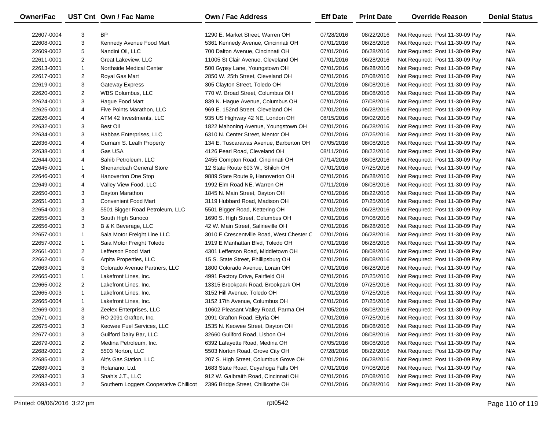| Owner/Fac  |                | UST Cnt Own / Fac Name                 | <b>Own / Fac Address</b>                  | <b>Eff Date</b> | <b>Print Date</b> | <b>Override Reason</b>          | <b>Denial Status</b> |
|------------|----------------|----------------------------------------|-------------------------------------------|-----------------|-------------------|---------------------------------|----------------------|
| 22607-0004 | 3              | <b>BP</b>                              | 1290 E. Market Street, Warren OH          | 07/28/2016      | 08/22/2016        | Not Required: Post 11-30-09 Pay | N/A                  |
| 22608-0001 | 3              | Kennedy Avenue Food Mart               | 5361 Kennedy Avenue, Cincinnati OH        | 07/01/2016      | 06/28/2016        | Not Required: Post 11-30-09 Pay | N/A                  |
| 22609-0002 | 5              | Nandini Oil, LLC                       | 700 Dalton Avenue, Cincinnati OH          | 07/01/2016      | 06/28/2016        | Not Required: Post 11-30-09 Pay | N/A                  |
| 22611-0001 | $\overline{c}$ | Great Lakeview, LLC                    | 11005 St Clair Avenue, Cleveland OH       | 07/01/2016      | 06/28/2016        | Not Required: Post 11-30-09 Pay | N/A                  |
| 22613-0001 | $\mathbf{1}$   | Northside Medical Center               | 500 Gypsy Lane, Youngstown OH             | 07/01/2016      | 06/28/2016        | Not Required: Post 11-30-09 Pay | N/A                  |
| 22617-0001 | $\overline{c}$ | Royal Gas Mart                         | 2850 W. 25th Street, Cleveland OH         | 07/01/2016      | 07/08/2016        | Not Required: Post 11-30-09 Pay | N/A                  |
| 22619-0001 | 3              | <b>Gateway Express</b>                 | 305 Clayton Street, Toledo OH             | 07/01/2016      | 08/08/2016        | Not Required: Post 11-30-09 Pay | N/A                  |
| 22620-0001 | $\overline{c}$ | WBS Columbus, LLC                      | 770 W. Broad Street, Columbus OH          | 07/01/2016      | 08/08/2016        | Not Required: Post 11-30-09 Pay | N/A                  |
| 22624-0001 | 3              | Haque Food Mart                        | 839 N. Hague Avenue, Columbus OH          | 07/01/2016      | 07/08/2016        | Not Required: Post 11-30-09 Pay | N/A                  |
| 22625-0001 | 4              | Five Points Marathon, LLC              | 969 E. 152nd Street, Cleveland OH         | 07/01/2016      | 06/28/2016        | Not Required: Post 11-30-09 Pay | N/A                  |
| 22626-0001 | 4              | ATM 42 Investments, LLC                | 935 US Highway 42 NE, London OH           | 08/15/2016      | 09/02/2016        | Not Required: Post 11-30-09 Pay | N/A                  |
| 22632-0001 | 3              | <b>Best Oil</b>                        | 1822 Mahoning Avenue, Youngstown OH       | 07/01/2016      | 06/28/2016        | Not Required: Post 11-30-09 Pay | N/A                  |
| 22634-0001 | 3              | Habbas Enterprises, LLC                | 6310 N. Center Street, Mentor OH          | 07/01/2016      | 07/25/2016        | Not Required: Post 11-30-09 Pay | N/A                  |
| 22636-0001 | 4              | Gurnam S. Lealh Property               | 134 E. Tuscarawas Avenue, Barberton OH    | 07/05/2016      | 08/08/2016        | Not Required: Post 11-30-09 Pay | N/A                  |
| 22638-0001 | 4              | Gas USA                                | 4126 Pearl Road, Cleveland OH             | 08/11/2016      | 08/22/2016        | Not Required: Post 11-30-09 Pay | N/A                  |
| 22644-0001 | 4              | Sahib Petroleum, LLC                   | 2455 Compton Road, Cincinnati OH          | 07/14/2016      | 08/08/2016        | Not Required: Post 11-30-09 Pay | N/A                  |
| 22645-0001 | 1              | Shenandoah General Store               | 12 State Route 603 W., Shiloh OH          | 07/01/2016      | 07/25/2016        | Not Required: Post 11-30-09 Pay | N/A                  |
| 22646-0001 | 4              | Hanoverton One Stop                    | 9889 State Route 9, Hanoverton OH         | 07/01/2016      | 06/28/2016        | Not Required: Post 11-30-09 Pay | N/A                  |
| 22649-0001 | 4              | Valley View Food, LLC                  | 1992 Elm Road NE, Warren OH               | 07/11/2016      | 08/08/2016        | Not Required: Post 11-30-09 Pay | N/A                  |
| 22650-0001 | 3              | Dayton Marathon                        | 1845 N. Main Street, Dayton OH            | 07/01/2016      | 08/22/2016        | Not Required: Post 11-30-09 Pay | N/A                  |
| 22651-0001 | 3              | <b>Convenient Food Mart</b>            | 3119 Hubbard Road, Madison OH             | 07/01/2016      | 07/25/2016        | Not Required: Post 11-30-09 Pay | N/A                  |
| 22654-0001 | 3              | 5501 Bigger Road Petroleum, LLC        | 5501 Bigger Road, Kettering OH            | 07/01/2016      | 06/28/2016        | Not Required: Post 11-30-09 Pay | N/A                  |
| 22655-0001 | 3              | South High Sunoco                      | 1690 S. High Street, Columbus OH          | 07/01/2016      | 07/08/2016        | Not Required: Post 11-30-09 Pay | N/A                  |
| 22656-0001 | 3              | B & K Beverage, LLC                    | 42 W. Main Street, Salineville OH         | 07/01/2016      | 06/28/2016        | Not Required: Post 11-30-09 Pay | N/A                  |
| 22657-0001 | $\mathbf{1}$   | Saia Motor Freight Line LLC            | 3010 E Crescentville Road, West Chester C | 07/01/2016      | 06/28/2016        | Not Required: Post 11-30-09 Pay | N/A                  |
| 22657-0002 | $\mathbf{1}$   | Saia Motor Freight Toledo              | 1919 E Manhattan Blvd, Toledo OH          | 07/01/2016      | 06/28/2016        | Not Required: Post 11-30-09 Pay | N/A                  |
| 22661-0001 | $\overline{c}$ | Lefferson Food Mart                    | 4301 Lefferson Road, Middletown OH        | 07/01/2016      | 08/08/2016        | Not Required: Post 11-30-09 Pay | N/A                  |
| 22662-0001 | 6              | Arpita Properties, LLC                 | 15 S. State Street, Phillipsburg OH       | 07/01/2016      | 08/08/2016        | Not Required: Post 11-30-09 Pay | N/A                  |
| 22663-0001 | 3              | Colorado Avenue Partners, LLC          | 1800 Colorado Avenue, Lorain OH           | 07/01/2016      | 06/28/2016        | Not Required: Post 11-30-09 Pay | N/A                  |
| 22665-0001 | $\mathbf{1}$   | Lakefront Lines, Inc.                  | 4991 Factory Drive, Fairfield OH          | 07/01/2016      | 07/25/2016        | Not Required: Post 11-30-09 Pay | N/A                  |
| 22665-0002 | $\overline{2}$ | Lakefront Lines, Inc.                  | 13315 Brookpark Road, Brookpark OH        | 07/01/2016      | 07/25/2016        | Not Required: Post 11-30-09 Pay | N/A                  |
| 22665-0003 | $\mathbf{1}$   | Lakefront Lines, Inc.                  | 3152 Hill Avenue, Toledo OH               | 07/01/2016      | 07/25/2016        | Not Required: Post 11-30-09 Pay | N/A                  |
| 22665-0004 | $\mathbf{1}$   | Lakefront Lines, Inc.                  | 3152 17th Avenue, Columbus OH             | 07/01/2016      | 07/25/2016        | Not Required: Post 11-30-09 Pay | N/A                  |
| 22669-0001 | 3              | Zeelex Enterprises, LLC                | 10602 Pleasant Valley Road, Parma OH      | 07/05/2016      | 08/08/2016        | Not Required: Post 11-30-09 Pay | N/A                  |
| 22671-0001 | 3              | RO 2091 Grafton, Inc.                  | 2091 Grafton Road, Elyria OH              | 07/01/2016      | 07/25/2016        | Not Required: Post 11-30-09 Pay | N/A                  |
| 22675-0001 | 3              | Keowee Fuel Services, LLC              | 1535 N. Keowee Street, Dayton OH          | 07/01/2016      | 08/08/2016        | Not Required: Post 11-30-09 Pay | N/A                  |
| 22677-0001 | 3              | Guilford Dairy Bar, LLC                | 32660 Guilford Road, Lisbon OH            | 07/01/2016      | 08/08/2016        | Not Required: Post 11-30-09 Pay | N/A                  |
| 22679-0001 | 2              | Medina Petroleum, Inc.                 | 6392 Lafayette Road, Medina OH            | 07/05/2016      | 08/08/2016        | Not Required: Post 11-30-09 Pay | N/A                  |
| 22682-0001 | 2              | 5503 Norton, LLC                       | 5503 Norton Road, Grove City OH           | 07/28/2016      | 08/22/2016        | Not Required: Post 11-30-09 Pay | N/A                  |
| 22685-0001 | 3              | Alt's Gas Station, LLC                 | 207 S. High Street, Columbus Grove OH     | 07/01/2016      | 06/28/2016        | Not Required: Post 11-30-09 Pay | N/A                  |
| 22689-0001 | 3              | Rolanano, Ltd.                         | 1683 State Road, Cuyahoga Falls OH        | 07/01/2016      | 07/08/2016        | Not Required: Post 11-30-09 Pay | N/A                  |
| 22692-0001 | 3              | Shah's J.T., LLC                       | 912 W. Galbraith Road, Cincinnati OH      | 07/01/2016      | 07/08/2016        | Not Required: Post 11-30-09 Pay | N/A                  |
| 22693-0001 | $\overline{2}$ | Southern Loggers Cooperative Chillicot | 2396 Bridge Street, Chillicothe OH        | 07/01/2016      | 06/28/2016        | Not Required: Post 11-30-09 Pay | N/A                  |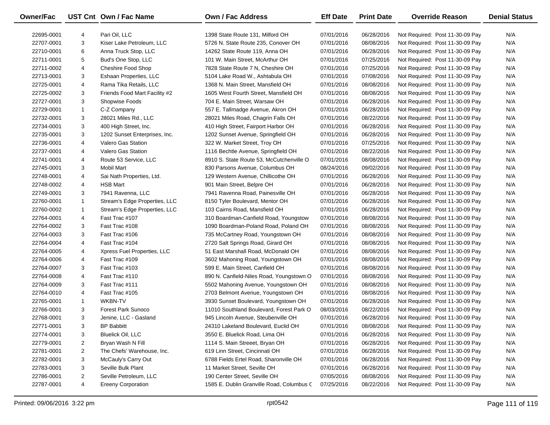| Owner/Fac  |                         | UST Cnt Own / Fac Name        | <b>Own / Fac Address</b>                  | <b>Eff Date</b> | <b>Print Date</b> | <b>Override Reason</b>          | <b>Denial Status</b> |
|------------|-------------------------|-------------------------------|-------------------------------------------|-----------------|-------------------|---------------------------------|----------------------|
| 22695-0001 | 4                       | Pari Oil, LLC                 | 1398 State Route 131, Milford OH          | 07/01/2016      | 06/28/2016        | Not Required: Post 11-30-09 Pay | N/A                  |
| 22707-0001 | 3                       | Kiser Lake Petroleum, LLC     | 5726 N. State Route 235, Conover OH       | 07/01/2016      | 08/08/2016        | Not Required: Post 11-30-09 Pay | N/A                  |
| 22710-0001 | 6                       | Anna Truck Stop, LLC          | 14262 State Route 119, Anna OH            | 07/01/2016      | 06/28/2016        | Not Required: Post 11-30-09 Pay | N/A                  |
| 22711-0001 | 5                       | Bud's One Stop, LLC           | 101 W. Main Street, McArthur OH           | 07/01/2016      | 07/25/2016        | Not Required: Post 11-30-09 Pay | N/A                  |
| 22711-0002 | 4                       | Cheshire Food Shop            | 7828 State Route 7 N, Cheshire OH         | 07/01/2016      | 07/25/2016        | Not Required: Post 11-30-09 Pay | N/A                  |
| 22713-0001 | 3                       | Eshaan Properties, LLC        | 5104 Lake Road W., Ashtabula OH           | 07/01/2016      | 07/08/2016        | Not Required: Post 11-30-09 Pay | N/A                  |
| 22725-0001 | 4                       | Rama Tika Retails, LLC        | 1368 N. Main Street, Mansfield OH         | 07/01/2016      | 08/08/2016        | Not Required: Post 11-30-09 Pay | N/A                  |
| 22725-0002 | 3                       | Friends Food Mart Facility #2 | 1605 West Fourth Street, Mansfield OH     | 07/01/2016      | 08/08/2016        | Not Required: Post 11-30-09 Pay | N/A                  |
| 22727-0001 | 3                       | Shopwise Foods                | 704 E. Main Street, Warsaw OH             | 07/01/2016      | 06/28/2016        | Not Required: Post 11-30-09 Pay | N/A                  |
| 22729-0001 | $\mathbf{1}$            | C-Z Company                   | 557 E. Tallmadge Avenue, Akron OH         | 07/01/2016      | 06/28/2016        | Not Required: Post 11-30-09 Pay | N/A                  |
| 22732-0001 | 3                       | 28021 Miles Rd., LLC          | 28021 Miles Road, Chagrin Falls OH        | 07/01/2016      | 08/22/2016        | Not Required: Post 11-30-09 Pay | N/A                  |
| 22734-0001 | 3                       | 400 High Street, Inc.         | 410 High Street, Fairport Harbor OH       | 07/01/2016      | 06/28/2016        | Not Required: Post 11-30-09 Pay | N/A                  |
| 22735-0001 | 3                       | 1202 Sunset Enterprises, Inc. | 1202 Sunset Avenue, Springfield OH        | 07/01/2016      | 06/28/2016        | Not Required: Post 11-30-09 Pay | N/A                  |
| 22736-0001 | 4                       | Valero Gas Station            | 322 W. Market Street, Troy OH             | 07/01/2016      | 07/25/2016        | Not Required: Post 11-30-09 Pay | N/A                  |
| 22737-0001 | 4                       | <b>Valero Gas Station</b>     | 1116 Bechtle Avenue, Springfield OH       | 07/01/2016      | 08/22/2016        | Not Required: Post 11-30-09 Pay | N/A                  |
| 22741-0001 | 4                       | Route 53 Service, LLC         | 8910 S. State Route 53, McCutchenville O  | 07/01/2016      | 08/08/2016        | Not Required: Post 11-30-09 Pay | N/A                  |
| 22745-0001 | 3                       | <b>Mobil Mart</b>             | 830 Parsons Avenue, Columbus OH           | 08/24/2016      | 09/02/2016        | Not Required: Post 11-30-09 Pay | N/A                  |
| 22748-0001 | 4                       | Sai Nath Properties, Ltd.     | 129 Western Avenue, Chillicothe OH        | 07/01/2016      | 06/28/2016        | Not Required: Post 11-30-09 Pay | N/A                  |
| 22748-0002 | 4                       | <b>HSB Mart</b>               | 901 Main Street, Belpre OH                | 07/01/2016      | 06/28/2016        | Not Required: Post 11-30-09 Pay | N/A                  |
| 22749-0001 | 3                       | 7941 Ravenna, LLC             | 7941 Ravenna Road, Painesville OH         | 07/01/2016      | 06/28/2016        | Not Required: Post 11-30-09 Pay | N/A                  |
| 22760-0001 | 1                       | Stream's Edge Properties, LLC | 8150 Tyler Boulevard, Mentor OH           | 07/01/2016      | 06/28/2016        | Not Required: Post 11-30-09 Pay | N/A                  |
| 22760-0002 | 1                       | Stream's Edge Properties, LLC | 103 Cairns Road, Mansfield OH             | 07/01/2016      | 06/28/2016        | Not Required: Post 11-30-09 Pay | N/A                  |
| 22764-0001 | 4                       | Fast Trac #107                | 310 Boardman-Canfield Road, Youngstow     | 07/01/2016      | 08/08/2016        | Not Required: Post 11-30-09 Pay | N/A                  |
| 22764-0002 | 3                       | Fast Trac #108                | 1090 Boardman-Poland Road, Poland OH      | 07/01/2016      | 08/08/2016        | Not Required: Post 11-30-09 Pay | N/A                  |
| 22764-0003 | 3                       | Fast Trac #106                | 735 McCartney Road, Youngstown OH         | 07/01/2016      | 08/08/2016        | Not Required: Post 11-30-09 Pay | N/A                  |
| 22764-0004 | 4                       | Fast Trac #104                | 2720 Salt Springs Road, Girard OH         | 07/01/2016      | 08/08/2016        | Not Required: Post 11-30-09 Pay | N/A                  |
| 22764-0005 | 4                       | Xpress Fuel Properties, LLC   | 51 East Marshall Road, McDonald OH        | 07/01/2016      | 08/08/2016        | Not Required: Post 11-30-09 Pay | N/A                  |
| 22764-0006 | 4                       | Fast Trac #109                | 3602 Mahoning Road, Youngstown OH         | 07/01/2016      | 08/08/2016        | Not Required: Post 11-30-09 Pay | N/A                  |
| 22764-0007 | 3                       | Fast Trac #103                | 599 E. Main Street, Canfield OH           | 07/01/2016      | 08/08/2016        | Not Required: Post 11-30-09 Pay | N/A                  |
| 22764-0008 | 4                       | Fast Trac #110                | 890 N. Canfield-Niles Road, Youngstown O  | 07/01/2016      | 08/08/2016        | Not Required: Post 11-30-09 Pay | N/A                  |
| 22764-0009 | 3                       | Fast Trac #111                | 5502 Mahoning Avenue, Youngstown OH       | 07/01/2016      | 08/08/2016        | Not Required: Post 11-30-09 Pay | N/A                  |
| 22764-0010 | 4                       | Fast Trac #105                | 2703 Belmont Avenue, Youngstown OH        | 07/01/2016      | 08/08/2016        | Not Required: Post 11-30-09 Pay | N/A                  |
| 22765-0001 | $\mathbf{1}$            | <b>WKBN-TV</b>                | 3930 Sunset Boulevard, Youngstown OH      | 07/01/2016      | 06/28/2016        | Not Required: Post 11-30-09 Pay | N/A                  |
| 22766-0001 | 3                       | <b>Forest Park Sunoco</b>     | 11010 Southland Boulevard, Forest Park O  | 08/03/2016      | 08/22/2016        | Not Required: Post 11-30-09 Pay | N/A                  |
| 22768-0001 | 3                       | Jenine, LLC - Gasland         | 945 Lincoln Avenue, Steubenville OH       | 07/01/2016      | 06/28/2016        | Not Required: Post 11-30-09 Pay | N/A                  |
| 22771-0001 | 3                       | <b>BP Babbitt</b>             | 24310 Lakeland Boulevard, Euclid OH       | 07/01/2016      | 08/08/2016        | Not Required: Post 11-30-09 Pay | N/A                  |
| 22774-0001 | 3                       | <b>Bluelick Oil, LLC</b>      | 3550 E. Bluelick Road, Lima OH            | 07/01/2016      | 06/28/2016        | Not Required: Post 11-30-09 Pay | N/A                  |
| 22779-0001 | 2                       | Bryan Wash N Fill             | 1114 S. Main Streeet, Bryan OH            | 07/01/2016      | 06/28/2016        | Not Required: Post 11-30-09 Pay | N/A                  |
| 22781-0001 | 2                       | The Chefs' Warehouse, Inc.    | 619 Linn Street, Cincinnati OH            | 07/01/2016      | 06/28/2016        | Not Required: Post 11-30-09 Pay | N/A                  |
| 22782-0001 | 3                       | McCauly's Carry Out           | 6788 Fields Ertel Road, Sharonville OH    | 07/01/2016      | 06/28/2016        | Not Required: Post 11-30-09 Pay | N/A                  |
| 22783-0001 | 3                       | Seville Bulk Plant            | 11 Market Street, Seville OH              | 07/01/2016      | 06/28/2016        | Not Required: Post 11-30-09 Pay | N/A                  |
| 22786-0001 | $\overline{\mathbf{c}}$ | Seville Petroleum, LLC        | 190 Center Street, Seville OH             | 07/05/2016      | 08/08/2016        | Not Required: Post 11-30-09 Pay | N/A                  |
| 22787-0001 | 4                       | <b>Ereeny Corporation</b>     | 1585 E. Dublin Granville Road, Columbus C | 07/25/2016      | 08/22/2016        | Not Required: Post 11-30-09 Pay | N/A                  |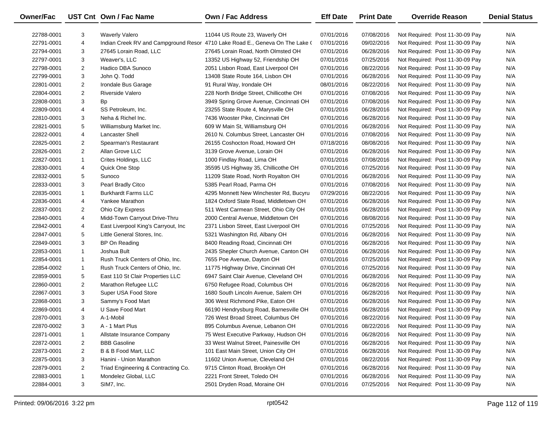| Owner/Fac  |                | UST Cnt Own / Fac Name              | <b>Own / Fac Address</b>                                                     | <b>Eff Date</b> | <b>Print Date</b> | <b>Override Reason</b>          | <b>Denial Status</b> |
|------------|----------------|-------------------------------------|------------------------------------------------------------------------------|-----------------|-------------------|---------------------------------|----------------------|
| 22788-0001 | 3              | <b>Waverly Valero</b>               | 11044 US Route 23, Waverly OH                                                | 07/01/2016      | 07/08/2016        | Not Required: Post 11-30-09 Pay | N/A                  |
| 22791-0001 | 4              |                                     | Indian Creek RV and Campground Resor 4710 Lake Road E., Geneva On The Lake ( | 07/01/2016      | 09/02/2016        | Not Required: Post 11-30-09 Pay | N/A                  |
| 22794-0001 | 3              | 27645 Lorain Road, LLC              | 27645 Lorain Road, North Olmsted OH                                          | 07/01/2016      | 06/28/2016        | Not Required: Post 11-30-09 Pay | N/A                  |
| 22797-0001 | 3              | Weaver's, LLC                       | 13352 US Highway 52, Friendship OH                                           | 07/01/2016      | 07/25/2016        | Not Required: Post 11-30-09 Pay | N/A                  |
| 22798-0001 | $\overline{c}$ | Hadico DBA Sunoco                   | 2051 Lisbon Road, East Liverpool OH                                          | 07/01/2016      | 08/22/2016        | Not Required: Post 11-30-09 Pay | N/A                  |
| 22799-0001 | 3              | John Q. Todd                        | 13408 State Route 164, Lisbon OH                                             | 07/01/2016      | 06/28/2016        | Not Required: Post 11-30-09 Pay | N/A                  |
| 22801-0001 | $\overline{2}$ | Irondale Bus Garage                 | 91 Rural Way, Irondale OH                                                    | 08/01/2016      | 08/22/2016        | Not Required: Post 11-30-09 Pay | N/A                  |
| 22804-0001 | $\overline{2}$ | Riverside Valero                    | 228 North Bridge Street, Chillicothe OH                                      | 07/01/2016      | 07/08/2016        | Not Required: Post 11-30-09 Pay | N/A                  |
| 22808-0001 | 3              | <b>Bp</b>                           | 3949 Spring Grove Avenue, Cincinnati OH                                      | 07/01/2016      | 07/08/2016        | Not Required: Post 11-30-09 Pay | N/A                  |
| 22809-0001 | 4              | SS Petroleum, Inc.                  | 23255 State Route 4, Marysville OH                                           | 07/01/2016      | 06/28/2016        | Not Required: Post 11-30-09 Pay | N/A                  |
| 22810-0001 | 3              | Neha & Richel Inc.                  | 7436 Wooster Pike, Cincinnati OH                                             | 07/01/2016      | 06/28/2016        | Not Required: Post 11-30-09 Pay | N/A                  |
| 22821-0001 | 5              | Williamsburg Market Inc.            | 609 W Main St, Williamsburg OH                                               | 07/01/2016      | 06/28/2016        | Not Required: Post 11-30-09 Pay | N/A                  |
| 22822-0001 | 4              | <b>Lancaster Shell</b>              | 2610 N. Columbus Street, Lancaster OH                                        | 07/01/2016      | 07/08/2016        | Not Required: Post 11-30-09 Pay | N/A                  |
| 22825-0001 | $\overline{c}$ | Spearman's Restaurant               | 26155 Coshocton Road, Howard OH                                              | 07/18/2016      | 08/08/2016        | Not Required: Post 11-30-09 Pay | N/A                  |
| 22826-0001 | $\overline{c}$ | Allan Grove LLC                     | 3139 Grove Avenue, Lorain OH                                                 | 07/01/2016      | 06/28/2016        | Not Required: Post 11-30-09 Pay | N/A                  |
| 22827-0001 | $\mathbf{1}$   | Crites Holdings, LLC                | 1000 Findlay Road, Lima OH                                                   | 07/01/2016      | 07/08/2016        | Not Required: Post 11-30-09 Pay | N/A                  |
| 22830-0001 | 4              | Quick One Stop                      | 35595 US Highway 35, Chillicothe OH                                          | 07/01/2016      | 07/25/2016        | Not Required: Post 11-30-09 Pay | N/A                  |
| 22832-0001 | 5              | Sunoco                              | 11209 State Road, North Royalton OH                                          | 07/01/2016      | 06/28/2016        | Not Required: Post 11-30-09 Pay | N/A                  |
| 22833-0001 | 3              | Pearl Bradly Citco                  | 5385 Pearl Road, Parma OH                                                    | 07/01/2016      | 07/08/2016        | Not Required: Post 11-30-09 Pay | N/A                  |
| 22835-0001 | $\mathbf{1}$   | <b>Burkhardt Farms LLC</b>          | 4295 Monnett New Winchester Rd, Bucyru                                       | 07/29/2016      | 08/22/2016        | Not Required: Post 11-30-09 Pay | N/A                  |
| 22836-0001 | 4              | Yankee Marathon                     | 1824 Oxford State Road, Middletown OH                                        | 07/01/2016      | 06/28/2016        | Not Required: Post 11-30-09 Pay | N/A                  |
| 22837-0001 | $\overline{c}$ | <b>Ohio City Express</b>            | 511 West Carmean Street, Ohio City OH                                        | 07/01/2016      | 06/28/2016        | Not Required: Post 11-30-09 Pay | N/A                  |
| 22840-0001 | 4              | Midd-Town Carryout Drive-Thru       | 2000 Central Avenue, Middletown OH                                           | 07/01/2016      | 08/08/2016        | Not Required: Post 11-30-09 Pay | N/A                  |
| 22842-0001 | 4              | East Liverpool King's Carryout, Inc | 2371 Lisbon Street, East Liverpool OH                                        | 07/01/2016      | 07/25/2016        | Not Required: Post 11-30-09 Pay | N/A                  |
| 22847-0001 | 5              | Little General Stores, Inc.         | 5321 Washington Rd, Albany OH                                                | 07/01/2016      | 06/28/2016        | Not Required: Post 11-30-09 Pay | N/A                  |
| 22849-0001 | 3              | BP On Reading                       | 8400 Reading Road, Cincinnati OH                                             | 07/01/2016      | 06/28/2016        | Not Required: Post 11-30-09 Pay | N/A                  |
| 22853-0001 | $\mathbf{1}$   | Joshua Bult                         | 2435 Shepler Church Avenue, Canton OH                                        | 07/01/2016      | 06/28/2016        | Not Required: Post 11-30-09 Pay | N/A                  |
| 22854-0001 | $\mathbf{1}$   | Rush Truck Centers of Ohio, Inc.    | 7655 Poe Avenue, Dayton OH                                                   | 07/01/2016      | 07/25/2016        | Not Required: Post 11-30-09 Pay | N/A                  |
| 22854-0002 | $\mathbf{1}$   | Rush Truck Centers of Ohio, Inc.    | 11775 Highway Drive, Cincinnati OH                                           | 07/01/2016      | 07/25/2016        | Not Required: Post 11-30-09 Pay | N/A                  |
| 22859-0001 | 5              | East 110 St Clair Properties LLC    | 6947 Saint Clair Avenue, Cleveland OH                                        | 07/01/2016      | 06/28/2016        | Not Required: Post 11-30-09 Pay | N/A                  |
| 22860-0001 | $\overline{c}$ | Marathon Refugee LLC                | 6750 Refugee Road, Columbus OH                                               | 07/01/2016      | 06/28/2016        | Not Required: Post 11-30-09 Pay | N/A                  |
| 22867-0001 | 3              | Super USA Food Store                | 1680 South Lincoln Avenue, Salem OH                                          | 07/01/2016      | 06/28/2016        | Not Required: Post 11-30-09 Pay | N/A                  |
| 22868-0001 | 3              | Sammy's Food Mart                   | 306 West Richmond Pike, Eaton OH                                             | 07/01/2016      | 06/28/2016        | Not Required: Post 11-30-09 Pay | N/A                  |
| 22869-0001 | 4              | U Save Food Mart                    | 66190 Hendrysburg Road, Barnesville OH                                       | 07/01/2016      | 06/28/2016        | Not Required: Post 11-30-09 Pay | N/A                  |
| 22870-0001 | 3              | A-1-Mobil                           | 726 West Broad Street, Columbus OH                                           | 07/01/2016      | 08/22/2016        | Not Required: Post 11-30-09 Pay | N/A                  |
| 22870-0002 | 3              | A - 1 Mart Plus                     | 895 Columbus Avenue, Lebanon OH                                              | 07/01/2016      | 08/22/2016        | Not Required: Post 11-30-09 Pay | N/A                  |
| 22871-0001 | 1              | Allstate Insurance Company          | 75 West Executive Parkway, Hudson OH                                         | 07/01/2016      | 06/28/2016        | Not Required: Post 11-30-09 Pay | N/A                  |
| 22872-0001 | 2              | <b>BBB Gasoline</b>                 | 33 West Walnut Street, Painesville OH                                        | 07/01/2016      | 06/28/2016        | Not Required: Post 11-30-09 Pay | N/A                  |
| 22873-0001 | 2              | B & B Food Mart, LLC                | 101 East Main Street, Union City OH                                          | 07/01/2016      | 06/28/2016        | Not Required: Post 11-30-09 Pay | N/A                  |
| 22875-0001 | 3              | Hanini - Union Marathon             | 11602 Union Avenue, Cleveland OH                                             | 07/01/2016      | 08/22/2016        | Not Required: Post 11-30-09 Pay | N/A                  |
| 22879-0001 | $\overline{2}$ | Triad Engineering & Contracting Co. | 9715 Clinton Road, Brooklyn OH                                               | 07/01/2016      | 06/28/2016        | Not Required: Post 11-30-09 Pay | N/A                  |
| 22883-0001 | $\mathbf{1}$   | Mondelez Global, LLC                | 2221 Front Street, Toledo OH                                                 | 07/01/2016      | 06/28/2016        | Not Required: Post 11-30-09 Pay | N/A                  |
| 22884-0001 | 3              | SIM7, Inc.                          | 2501 Dryden Road, Moraine OH                                                 | 07/01/2016      | 07/25/2016        | Not Required: Post 11-30-09 Pay | N/A                  |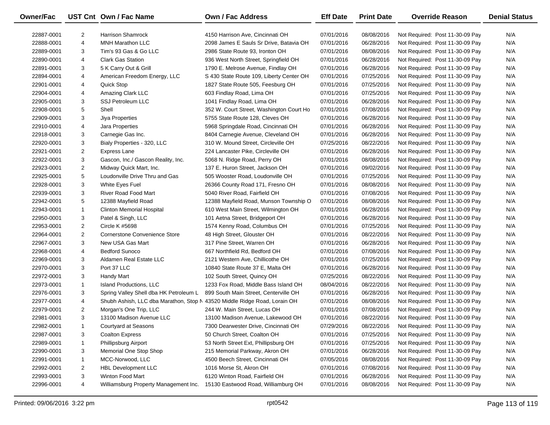| <b>Owner/Fac</b> |                | UST Cnt Own / Fac Name                                                    | <b>Own / Fac Address</b>                 | <b>Eff Date</b> | <b>Print Date</b> | <b>Override Reason</b>          | <b>Denial Status</b> |
|------------------|----------------|---------------------------------------------------------------------------|------------------------------------------|-----------------|-------------------|---------------------------------|----------------------|
| 22887-0001       | $\overline{2}$ | <b>Harrison Shamrock</b>                                                  | 4150 Harrison Ave, Cincinnati OH         | 07/01/2016      | 08/08/2016        | Not Required: Post 11-30-09 Pay | N/A                  |
| 22888-0001       | 4              | <b>MNH Marathon LLC</b>                                                   | 2098 James E Sauls Sr Drive, Batavia OH  | 07/01/2016      | 06/28/2016        | Not Required: Post 11-30-09 Pay | N/A                  |
| 22889-0001       | 3              | Tim's 93 Gas & Go LLC                                                     | 2986 State Route 93, Ironton OH          | 07/01/2016      | 08/08/2016        | Not Required: Post 11-30-09 Pay | N/A                  |
| 22890-0001       | 4              | <b>Clark Gas Station</b>                                                  | 936 West North Street, Springfield OH    | 07/01/2016      | 06/28/2016        | Not Required: Post 11-30-09 Pay | N/A                  |
| 22891-0001       | 3              | 5 K Carry Out & Grill                                                     | 1790 E. Melrose Avenue, Findlay OH       | 07/01/2016      | 06/28/2016        | Not Required: Post 11-30-09 Pay | N/A                  |
| 22894-0001       | 4              | American Freedom Energy, LLC                                              | S 430 State Route 109, Liberty Center OH | 07/01/2016      | 07/25/2016        | Not Required: Post 11-30-09 Pay | N/A                  |
| 22901-0001       | 4              | <b>Quick Stop</b>                                                         | 1827 State Route 505, Feesburg OH        | 07/01/2016      | 07/25/2016        | Not Required: Post 11-30-09 Pay | N/A                  |
| 22904-0001       | 4              | Amazing Clark LLC                                                         | 603 Findlay Road, Lima OH                | 07/01/2016      | 07/25/2016        | Not Required: Post 11-30-09 Pay | N/A                  |
| 22905-0001       | 3              | <b>SSJ Petroleum LLC</b>                                                  | 1041 Findlay Road, Lima OH               | 07/01/2016      | 06/28/2016        | Not Required: Post 11-30-09 Pay | N/A                  |
| 22908-0001       | 5              | Shell                                                                     | 352 W. Court Street, Washington Court Ho | 07/01/2016      | 07/08/2016        | Not Required: Post 11-30-09 Pay | N/A                  |
| 22909-0001       | 3              | Jiya Properties                                                           | 5755 State Route 128, Cleves OH          | 07/01/2016      | 06/28/2016        | Not Required: Post 11-30-09 Pay | N/A                  |
| 22910-0001       | 4              | Jara Properties                                                           | 5968 Springdale Road, Cincinnati OH      | 07/01/2016      | 06/28/2016        | Not Required: Post 11-30-09 Pay | N/A                  |
| 22918-0001       | 3              | Carnegie Gas Inc.                                                         | 8404 Carnegie Avenue, Cleveland OH       | 07/01/2016      | 06/28/2016        | Not Required: Post 11-30-09 Pay | N/A                  |
| 22920-0001       | 3              | Bialy Properties - 320, LLC                                               | 310 W. Mound Street, Circleville OH      | 07/25/2016      | 08/22/2016        | Not Required: Post 11-30-09 Pay | N/A                  |
| 22921-0001       | $\overline{2}$ | Express Lane                                                              | 224 Lancaster Pike, Circleville OH       | 07/01/2016      | 06/28/2016        | Not Required: Post 11-30-09 Pay | N/A                  |
| 22922-0001       | 3              | Gascon, Inc./ Gascon Reality, Inc.                                        | 5068 N. Ridge Road, Perry OH             | 07/01/2016      | 08/08/2016        | Not Required: Post 11-30-09 Pay | N/A                  |
| 22923-0001       | $\overline{2}$ | Midway Quick Mart, Inc.                                                   | 137 E. Huron Street, Jackson OH          | 07/01/2016      | 09/02/2016        | Not Required: Post 11-30-09 Pay | N/A                  |
| 22925-0001       | 5              | Loudonville Drive Thru and Gas                                            | 505 Wooster Road, Loudonville OH         | 07/01/2016      | 07/25/2016        | Not Required: Post 11-30-09 Pay | N/A                  |
| 22928-0001       | 3              | White Eyes Fuel                                                           | 26366 County Road 171, Fresno OH         | 07/01/2016      | 08/08/2016        | Not Required: Post 11-30-09 Pay | N/A                  |
| 22939-0001       | 3              | <b>River Road Food Mart</b>                                               | 5040 River Road, Fairfield OH            | 07/01/2016      | 07/08/2016        | Not Required: Post 11-30-09 Pay | N/A                  |
| 22942-0001       | 5              | 12388 Mayfield Road                                                       | 12388 Mayfield Road, Munson Township O   | 07/01/2016      | 08/08/2016        | Not Required: Post 11-30-09 Pay | N/A                  |
| 22943-0001       | $\mathbf{1}$   | Clinton Memorial Hospital                                                 | 610 West Main Street, Wilmington OH      | 07/01/2016      | 06/28/2016        | Not Required: Post 11-30-09 Pay | N/A                  |
| 22950-0001       | 3              | Patel & Singh, LLC                                                        | 101 Aetna Street, Bridgeport OH          | 07/01/2016      | 06/28/2016        | Not Required: Post 11-30-09 Pay | N/A                  |
| 22953-0001       | $\overline{2}$ | Circle K #5698                                                            | 1574 Kenny Road, Columbus OH             | 07/01/2016      | 07/25/2016        | Not Required: Post 11-30-09 Pay | N/A                  |
| 22964-0001       | $\overline{2}$ | <b>Cornerstone Convenience Store</b>                                      | 48 High Street, Glouster OH              | 07/01/2016      | 08/22/2016        | Not Required: Post 11-30-09 Pay | N/A                  |
| 22967-0001       | 3              | New USA Gas Mart                                                          | 317 Pine Street, Warren OH               | 07/01/2016      | 06/28/2016        | Not Required: Post 11-30-09 Pay | N/A                  |
| 22968-0001       | 4              | <b>Bedford Sunoco</b>                                                     | 667 Northfield Rd, Bedford OH            | 07/01/2016      | 07/08/2016        | Not Required: Post 11-30-09 Pay | N/A                  |
| 22969-0001       | 3              | Aldamen Real Estate LLC                                                   | 2121 Western Ave, Chillicothe OH         | 07/01/2016      | 07/25/2016        | Not Required: Post 11-30-09 Pay | N/A                  |
| 22970-0001       | 3              | Port 37 LLC                                                               | 10840 State Route 37 E, Malta OH         | 07/01/2016      | 06/28/2016        | Not Required: Post 11-30-09 Pay | N/A                  |
| 22972-0001       | 3              | Handy Mart                                                                | 102 South Street, Quincy OH              | 07/25/2016      | 08/22/2016        | Not Required: Post 11-30-09 Pay | N/A                  |
| 22973-0001       | $\mathbf{1}$   | Island Productions, LLC                                                   | 1233 Fox Road, Middle Bass Island OH     | 08/04/2016      | 08/22/2016        | Not Required: Post 11-30-09 Pay | N/A                  |
| 22976-0001       | 3              | Spring Valley Shell dba HK Petroleum L                                    | 899 South Main Street, Centerville OH    | 07/01/2016      | 06/28/2016        | Not Required: Post 11-30-09 Pay | N/A                  |
| 22977-0001       | 4              | Shubh Ashish, LLC dba Marathon, Stop N 43520 Middle Ridge Road, Lorain OH |                                          | 07/01/2016      | 08/08/2016        | Not Required: Post 11-30-09 Pay | N/A                  |
| 22979-0001       | $\overline{2}$ | Morgan's One Trip, LLC                                                    | 244 W. Main Street, Lucas OH             | 07/01/2016      | 07/08/2016        | Not Required: Post 11-30-09 Pay | N/A                  |
| 22981-0001       | 3              | 13100 Madison Avenue LLC                                                  | 13100 Madison Avenue, Lakewood OH        | 07/01/2016      | 08/22/2016        | Not Required: Post 11-30-09 Pay | N/A                  |
| 22982-0001       | -1             | Courtyard at Seasons                                                      | 7300 Dearwester Drive, Cincinnati OH     | 07/29/2016      | 08/22/2016        | Not Required: Post 11-30-09 Pay | N/A                  |
| 22987-0001       | 3              | <b>Coalton Express</b>                                                    | 50 Church Street, Coalton OH             | 07/01/2016      | 07/25/2016        | Not Required: Post 11-30-09 Pay | N/A                  |
| 22989-0001       | 1              | <b>Phillipsburg Airport</b>                                               | 53 North Street Ext, Phillipsburg OH     | 07/01/2016      | 07/25/2016        | Not Required: Post 11-30-09 Pay | N/A                  |
| 22990-0001       | 3              | Memorial One Stop Shop                                                    | 215 Memorial Parkway, Akron OH           | 07/01/2016      | 06/28/2016        | Not Required: Post 11-30-09 Pay | N/A                  |
| 22991-0001       | 1              | MCC-Norwood, LLC                                                          | 4500 Beech Street, Cincinnati OH         | 07/05/2016      | 08/08/2016        | Not Required: Post 11-30-09 Pay | N/A                  |
| 22992-0001       | $\overline{2}$ | <b>HBL Development LLC</b>                                                | 1016 Morse St, Akron OH                  | 07/01/2016      | 07/08/2016        | Not Required: Post 11-30-09 Pay | N/A                  |
| 22993-0001       | 3              | Winton Food Mart                                                          | 6120 Winton Road, Fairfield OH           | 07/01/2016      | 06/28/2016        | Not Required: Post 11-30-09 Pay | N/A                  |
| 22996-0001       | 4              | Williamsburg Property Management Inc.                                     | 15130 Eastwood Road, Williamburg OH      | 07/01/2016      | 08/08/2016        | Not Required: Post 11-30-09 Pay | N/A                  |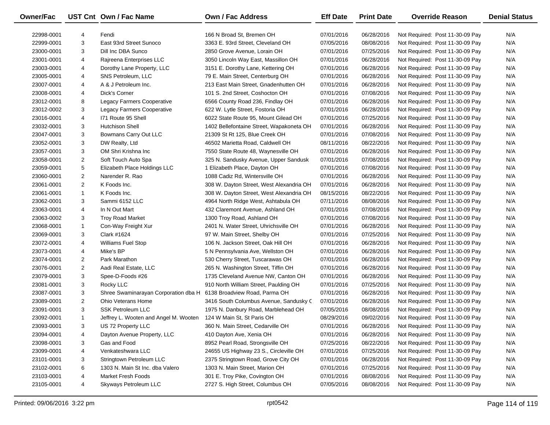| <b>Owner/Fac</b> |                         | UST Cnt Own / Fac Name                                             | <b>Own / Fac Address</b>                 | <b>Eff Date</b> | <b>Print Date</b> | <b>Override Reason</b>          | <b>Denial Status</b> |
|------------------|-------------------------|--------------------------------------------------------------------|------------------------------------------|-----------------|-------------------|---------------------------------|----------------------|
| 22998-0001       | 4                       | Fendi                                                              | 166 N Broad St, Bremen OH                | 07/01/2016      | 06/28/2016        | Not Required: Post 11-30-09 Pay | N/A                  |
| 22999-0001       | 3                       | East 93rd Street Sunoco                                            | 3363 E. 93rd Street, Cleveland OH        | 07/05/2016      | 08/08/2016        | Not Required: Post 11-30-09 Pay | N/A                  |
| 23000-0001       | 3                       | Dill Inc DBA Sunco                                                 | 2850 Grove Avenue, Lorain OH             | 07/01/2016      | 07/25/2016        | Not Required: Post 11-30-09 Pay | N/A                  |
| 23001-0001       | 4                       | Rajreena Enterprises LLC                                           | 3050 Lincoln Way East, Massillon OH      | 07/01/2016      | 06/28/2016        | Not Required: Post 11-30-09 Pay | N/A                  |
| 23003-0001       | 4                       | Dorothy Lane Property, LLC                                         | 3151 E. Dorothy Lane, Kettering OH       | 07/01/2016      | 06/28/2016        | Not Required: Post 11-30-09 Pay | N/A                  |
| 23005-0001       | 4                       | SNS Petroleum, LLC                                                 | 79 E. Main Street, Centerburg OH         | 07/01/2016      | 06/28/2016        | Not Required: Post 11-30-09 Pay | N/A                  |
| 23007-0001       | 4                       | A & J Petroleum Inc.                                               | 213 East Main Street, Gnadenhutten OH    | 07/01/2016      | 06/28/2016        | Not Required: Post 11-30-09 Pay | N/A                  |
| 23008-0001       | 4                       | Dick's Corner                                                      | 101 S. 2nd Street, Coshocton OH          | 07/01/2016      | 07/08/2016        | Not Required: Post 11-30-09 Pay | N/A                  |
| 23012-0001       | 8                       | Legacy Farmers Cooperative                                         | 6566 County Road 236, Findlay OH         | 07/01/2016      | 06/28/2016        | Not Required: Post 11-30-09 Pay | N/A                  |
| 23012-0002       | 3                       | Legacy Farmers Cooperative                                         | 622 W. Lytle Street, Fostoria OH         | 07/01/2016      | 06/28/2016        | Not Required: Post 11-30-09 Pay | N/A                  |
| 23016-0001       | 4                       | 171 Route 95 Shell                                                 | 6022 State Route 95, Mount Gilead OH     | 07/01/2016      | 07/25/2016        | Not Required: Post 11-30-09 Pay | N/A                  |
| 23032-0001       | 3                       | <b>Hutchison Shell</b>                                             | 1402 Bellefontaine Street, Wapakoneta OH | 07/01/2016      | 06/28/2016        | Not Required: Post 11-30-09 Pay | N/A                  |
| 23047-0001       | 3                       | Bowmans Carry Out LLC                                              | 21309 St Rt 125, Blue Creek OH           | 07/01/2016      | 07/08/2016        | Not Required: Post 11-30-09 Pay | N/A                  |
| 23052-0001       | 3                       | DW Realty, Ltd                                                     | 46502 Marietta Road, Caldwell OH         | 08/11/2016      | 08/22/2016        | Not Required: Post 11-30-09 Pay | N/A                  |
| 23057-0001       | 3                       | OM Shri Krishna Inc                                                | 7550 State Route 48, Waynesville OH      | 07/01/2016      | 06/28/2016        | Not Required: Post 11-30-09 Pay | N/A                  |
| 23058-0001       | 2                       | Soft Touch Auto Spa                                                | 325 N. Sandusky Avenue, Upper Sandusk    | 07/01/2016      | 07/08/2016        | Not Required: Post 11-30-09 Pay | N/A                  |
| 23059-0001       | 5                       | Elizabeth Place Holdings LLC                                       | 1 Elizabeth Place, Dayton OH             | 07/01/2016      | 07/08/2016        | Not Required: Post 11-30-09 Pay | N/A                  |
| 23060-0001       | $\overline{\mathbf{c}}$ | Narender R. Rao                                                    | 1088 Cadiz Rd, Wintersville OH           | 07/01/2016      | 06/28/2016        | Not Required: Post 11-30-09 Pay | N/A                  |
| 23061-0001       | $\overline{2}$          | K Foods Inc.                                                       | 308 W. Dayton Street, West Alexandria OH | 07/01/2016      | 06/28/2016        | Not Required: Post 11-30-09 Pay | N/A                  |
| 23061-0001       | $\mathbf{1}$            | K Foods Inc.                                                       | 308 W. Dayton Street, West Alexandria OH | 08/15/2016      | 08/22/2016        | Not Required: Post 11-30-09 Pay | N/A                  |
| 23062-0001       | 3                       | Sammi 6152 LLC                                                     | 4964 North Ridge West, Ashtabula OH      | 07/11/2016      | 08/08/2016        | Not Required: Post 11-30-09 Pay | N/A                  |
| 23063-0001       | 4                       | In N Out Mart                                                      | 432 Claremont Avenue, Ashland OH         | 07/01/2016      | 07/08/2016        | Not Required: Post 11-30-09 Pay | N/A                  |
| 23063-0002       | 3                       | <b>Troy Road Market</b>                                            | 1300 Troy Road, Ashland OH               | 07/01/2016      | 07/08/2016        | Not Required: Post 11-30-09 Pay | N/A                  |
| 23068-0001       | $\mathbf{1}$            | Con-Way Freight Xur                                                | 2401 N. Water Street, Uhrichsville OH    | 07/01/2016      | 06/28/2016        | Not Required: Post 11-30-09 Pay | N/A                  |
| 23069-0001       | 3                       | Clark #1624                                                        | 97 W. Main Street, Shelby OH             | 07/01/2016      | 07/25/2016        | Not Required: Post 11-30-09 Pay | N/A                  |
| 23072-0001       | 4                       | <b>Williams Fuel Stop</b>                                          | 106 N. Jackson Street, Oak Hill OH       | 07/01/2016      | 06/28/2016        | Not Required: Post 11-30-09 Pay | N/A                  |
| 23073-0001       | 4                       | Mike's BP                                                          | 5 N Pennsylvania Ave, Wellston OH        | 07/01/2016      | 06/28/2016        | Not Required: Post 11-30-09 Pay | N/A                  |
| 23074-0001       | 2                       | Park Marathon                                                      | 530 Cherry Street, Tuscarawas OH         | 07/01/2016      | 06/28/2016        | Not Required: Post 11-30-09 Pay | N/A                  |
| 23076-0001       | $\overline{2}$          | Aadi Real Estate, LLC                                              | 265 N. Washington Street, Tiffin OH      | 07/01/2016      | 06/28/2016        | Not Required: Post 11-30-09 Pay | N/A                  |
| 23079-0001       | 3                       | Spee-D-Foods #26                                                   | 1735 Cleveland Avenue NW, Canton OH      | 07/01/2016      | 06/28/2016        | Not Required: Post 11-30-09 Pay | N/A                  |
| 23081-0001       | 3                       | Rocky LLC                                                          | 910 North William Street, Paulding OH    | 07/01/2016      | 07/25/2016        | Not Required: Post 11-30-09 Pay | N/A                  |
| 23087-0001       | 3                       | Shree Swaminarayan Corporation dba H 6138 Broadview Road, Parma OH |                                          | 07/01/2016      | 06/28/2016        | Not Required: Post 11-30-09 Pay | N/A                  |
| 23089-0001       | $\overline{2}$          | Ohio Veterans Home                                                 | 3416 South Columbus Avenue, Sandusky C   | 07/01/2016      | 06/28/2016        | Not Required: Post 11-30-09 Pay | N/A                  |
| 23091-0001       | 3                       | <b>SSK Petroleum LLC</b>                                           | 1975 N. Danbury Road, Marblehead OH      | 07/05/2016      | 08/08/2016        | Not Required: Post 11-30-09 Pay | N/A                  |
| 23092-0001       | $\mathbf{1}$            | Jeffrey L. Wooten and Angel M. Wooten                              | 124 W Main St, St Paris OH               | 08/29/2016      | 09/02/2016        | Not Required: Post 11-30-09 Pay | N/A                  |
| 23093-0001       | 3                       | US 72 Property LLC                                                 | 360 N. Main Street, Cedarville OH        | 07/01/2016      | 06/28/2016        | Not Required: Post 11-30-09 Pay | N/A                  |
| 23094-0001       | 4                       | Dayton Avenue Property, LLC                                        | 410 Dayton Ave, Xenia OH                 | 07/01/2016      | 06/28/2016        | Not Required: Post 11-30-09 Pay | N/A                  |
| 23098-0001       | 3                       | Gas and Food                                                       | 8952 Pearl Road, Strongsville OH         | 07/25/2016      | 08/22/2016        | Not Required: Post 11-30-09 Pay | N/A                  |
| 23099-0001       | 4                       | Venkateshwara LLC                                                  | 24655 US Highway 23 S., Circleville OH   | 07/01/2016      | 07/25/2016        | Not Required: Post 11-30-09 Pay | N/A                  |
| 23101-0001       | 3                       | Stringtown Petroleum LLC                                           | 2375 Stringtown Road, Grove City OH      | 07/01/2016      | 06/28/2016        | Not Required: Post 11-30-09 Pay | N/A                  |
| 23102-0001       | 6                       | 1303 N. Main St Inc. dba Valero                                    | 1303 N. Main Street, Marion OH           | 07/01/2016      | 07/25/2016        | Not Required: Post 11-30-09 Pay | N/A                  |
| 23103-0001       | 4                       | <b>Market Fresh Foods</b>                                          | 301 E. Troy Pike, Covington OH           | 07/01/2016      | 08/08/2016        | Not Required: Post 11-30-09 Pay | N/A                  |
| 23105-0001       | 4                       | Skyways Petroleum LLC                                              | 2727 S. High Street, Columbus OH         | 07/05/2016      | 08/08/2016        | Not Required: Post 11-30-09 Pay | N/A                  |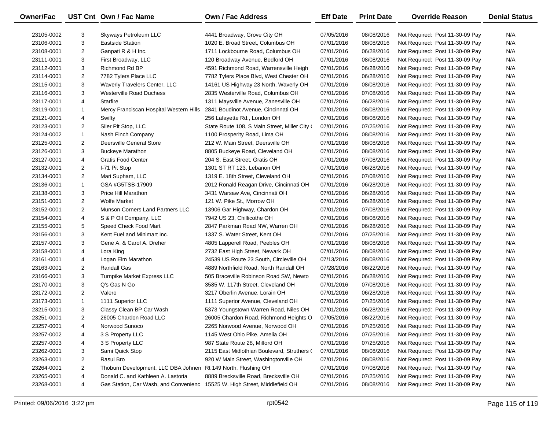| Owner/Fac  |                | UST Cnt Own / Fac Name                                        | <b>Own / Fac Address</b>                      | <b>Eff Date</b> | <b>Print Date</b> | <b>Override Reason</b>          | <b>Denial Status</b> |
|------------|----------------|---------------------------------------------------------------|-----------------------------------------------|-----------------|-------------------|---------------------------------|----------------------|
| 23105-0002 | 3              | Skyways Petroleum LLC                                         | 4441 Broadway, Grove City OH                  | 07/05/2016      | 08/08/2016        | Not Required: Post 11-30-09 Pay | N/A                  |
| 23106-0001 | 3              | <b>Eastside Station</b>                                       | 1020 E. Broad Street, Columbus OH             | 07/01/2016      | 08/08/2016        | Not Required: Post 11-30-09 Pay | N/A                  |
| 23108-0001 | $\overline{2}$ | Ganpati R & H Inc.                                            | 1711 Lockbourne Road, Columbus OH             | 07/01/2016      | 06/28/2016        | Not Required: Post 11-30-09 Pay | N/A                  |
| 23111-0001 | 3              | First Broadway, LLC                                           | 120 Broadway Avenue, Bedford OH               | 07/01/2016      | 08/08/2016        | Not Required: Post 11-30-09 Pay | N/A                  |
| 23112-0001 | 3              | Richmond Rd BP                                                | 4591 Richmond Road, Warrensville Heigh        | 07/01/2016      | 06/28/2016        | Not Required: Post 11-30-09 Pay | N/A                  |
| 23114-0001 | 2              | 7782 Tylers Place LLC                                         | 7782 Tylers Place Blvd, West Chester OH       | 07/01/2016      | 06/28/2016        | Not Required: Post 11-30-09 Pay | N/A                  |
| 23115-0001 | 3              | Waverly Travelers Center, LLC                                 | 14161 US Highway 23 North, Waverly OH         | 07/01/2016      | 08/08/2016        | Not Required: Post 11-30-09 Pay | N/A                  |
| 23116-0001 | 3              | <b>Westerville Road Duchess</b>                               | 2835 Westerville Road, Columbus OH            | 07/01/2016      | 07/08/2016        | Not Required: Post 11-30-09 Pay | N/A                  |
| 23117-0001 | 4              | Starfire                                                      | 1311 Maysville Avenue, Zanesville OH          | 07/01/2016      | 06/28/2016        | Not Required: Post 11-30-09 Pay | N/A                  |
| 23119-0001 | $\mathbf{1}$   | Mercy Franciscan Hospital Western Hills                       | 2841 Boudinot Avenue, Cincinnati OH           | 07/01/2016      | 08/08/2016        | Not Required: Post 11-30-09 Pay | N/A                  |
| 23121-0001 | 4              | Swifty                                                        | 256 Lafayette Rd., London OH                  | 07/01/2016      | 08/08/2016        | Not Required: Post 11-30-09 Pay | N/A                  |
| 23123-0001 | $\overline{2}$ | Siler Pit Stop, LLC                                           | State Route 108, S Main Street, Miller City ( | 07/01/2016      | 07/25/2016        | Not Required: Post 11-30-09 Pay | N/A                  |
| 23124-0002 | $\mathbf{1}$   | Nash Finch Company                                            | 1100 Prosperity Road, Lima OH                 | 07/01/2016      | 08/08/2016        | Not Required: Post 11-30-09 Pay | N/A                  |
| 23125-0001 | $\overline{2}$ | Deersville General Store                                      | 212 W. Main Street, Deersville OH             | 07/01/2016      | 08/08/2016        | Not Required: Post 11-30-09 Pay | N/A                  |
| 23126-0001 | 3              | <b>Buckeye Marathon</b>                                       | 8805 Buckeye Road, Cleveland OH               | 07/01/2016      | 08/08/2016        | Not Required: Post 11-30-09 Pay | N/A                  |
| 23127-0001 | 4              | <b>Gratis Food Center</b>                                     | 204 S. East Street, Gratis OH                 | 07/01/2016      | 07/08/2016        | Not Required: Post 11-30-09 Pay | N/A                  |
| 23132-0001 | 2              | I-71 Pit Stop                                                 | 1301 ST RT 123, Lebanon OH                    | 07/01/2016      | 06/28/2016        | Not Required: Post 11-30-09 Pay | N/A                  |
| 23134-0001 | $\overline{2}$ | Mari Supham, LLC                                              | 1319 E. 18th Street, Cleveland OH             | 07/01/2016      | 07/08/2016        | Not Required: Post 11-30-09 Pay | N/A                  |
| 23136-0001 | $\mathbf{1}$   | GSA #G5TSB-17909                                              | 2012 Ronald Reagan Drive, Cincinnati OH       | 07/01/2016      | 06/28/2016        | Not Required: Post 11-30-09 Pay | N/A                  |
| 23138-0001 | 3              | Price Hill Marathon                                           | 3431 Warsaw Ave, Cincinnati OH                | 07/01/2016      | 06/28/2016        | Not Required: Post 11-30-09 Pay | N/A                  |
| 23151-0001 | $\overline{2}$ | <b>Wolfe Market</b>                                           | 121 W. Pike St., Morrow OH                    | 07/01/2016      | 06/28/2016        | Not Required: Post 11-30-09 Pay | N/A                  |
| 23152-0001 | $\overline{2}$ | <b>Munson Corners Land Partners LLC</b>                       | 13906 Gar Highway, Chardon OH                 | 07/01/2016      | 07/08/2016        | Not Required: Post 11-30-09 Pay | N/A                  |
| 23154-0001 | 4              | S & P Oil Company, LLC                                        | 7942 US 23, Chillicothe OH                    | 07/01/2016      | 08/08/2016        | Not Required: Post 11-30-09 Pay | N/A                  |
| 23155-0001 | 5              | Speed Check Food Mart                                         | 2847 Parkman Road NW, Warren OH               | 07/01/2016      | 06/28/2016        | Not Required: Post 11-30-09 Pay | N/A                  |
| 23156-0001 | 3              | Kent Fuel and Minimart Inc.                                   | 1337 S. Water Street, Kent OH                 | 07/01/2016      | 07/25/2016        | Not Required: Post 11-30-09 Pay | N/A                  |
| 23157-0001 | 3              | Gene A. & Carol A. Dreher                                     | 4805 Lapperell Road, Peebles OH               | 07/01/2016      | 08/08/2016        | Not Required: Post 11-30-09 Pay | N/A                  |
| 23158-0001 | 4              | Lora King                                                     | 2732 East High Street, Newark OH              | 07/01/2016      | 08/08/2016        | Not Required: Post 11-30-09 Pay | N/A                  |
| 23161-0001 | 4              | Logan Elm Marathon                                            | 24539 US Route 23 South, Circleville OH       | 07/13/2016      | 08/08/2016        | Not Required: Post 11-30-09 Pay | N/A                  |
| 23163-0001 | $\overline{2}$ | <b>Randall Gas</b>                                            | 4889 Northfield Road, North Randall OH        | 07/28/2016      | 08/22/2016        | Not Required: Post 11-30-09 Pay | N/A                  |
| 23166-0001 | 3              | Turnpike Market Express LLC                                   | 505 Braceville Robinson Road SW, Newto        | 07/01/2016      | 06/28/2016        | Not Required: Post 11-30-09 Pay | N/A                  |
| 23170-0001 | 3              | Q's Gas N Go                                                  | 3585 W. 117th Street, Cleveland OH            | 07/01/2016      | 07/08/2016        | Not Required: Post 11-30-09 Pay | N/A                  |
| 23172-0001 | $\overline{2}$ | Valero                                                        | 3217 Oberlin Avenue, Lorain OH                | 07/01/2016      | 06/28/2016        | Not Required: Post 11-30-09 Pay | N/A                  |
| 23173-0001 | $\mathbf{1}$   | 1111 Superior LLC                                             | 1111 Superior Avenue, Cleveland OH            | 07/01/2016      | 07/25/2016        | Not Required: Post 11-30-09 Pay | N/A                  |
| 23215-0001 | 3              | Classy Clean BP Car Wash                                      | 5373 Youngstown Warren Road, Niles OH         | 07/01/2016      | 06/28/2016        | Not Required: Post 11-30-09 Pay | N/A                  |
| 23251-0001 | $\overline{2}$ | 26005 Chardon Road LLC                                        | 26005 Chardon Road, Richmond Heights O        | 07/05/2016      | 08/22/2016        | Not Required: Post 11-30-09 Pay | N/A                  |
| 23257-0001 | 4              | Norwood Sunoco                                                | 2265 Norwood Avenue, Norwood OH               | 07/01/2016      | 07/25/2016        | Not Required: Post 11-30-09 Pay | N/A                  |
| 23257-0002 | 4              | 3 S Property LLC                                              | 1145 West Ohio Pike, Amelia OH                | 07/01/2016      | 07/25/2016        | Not Required: Post 11-30-09 Pay | N/A                  |
| 23257-0003 | 4              | 3 S Property LLC                                              | 987 State Route 28, Milford OH                | 07/01/2016      | 07/25/2016        | Not Required: Post 11-30-09 Pay | N/A                  |
| 23262-0001 | 3              | Sami Quick Stop                                               | 2115 East Midlothian Boulevard, Struthers (   | 07/01/2016      | 08/08/2016        | Not Required: Post 11-30-09 Pay | N/A                  |
| 23263-0001 | $\overline{2}$ | Rasul Bro                                                     | 920 W Main Street, Washingtonville OH         | 07/01/2016      | 08/08/2016        | Not Required: Post 11-30-09 Pay | N/A                  |
| 23264-0001 | $\overline{2}$ | Thoburn Development, LLC DBA Johnen Rt 149 North, Flushing OH |                                               | 07/01/2016      | 07/08/2016        | Not Required: Post 11-30-09 Pay | N/A                  |
| 23265-0001 | 4              | Donald C. and Kathleen A. Lastoria                            | 8889 Brecksville Road, Brecksville OH         | 07/01/2016      | 07/25/2016        | Not Required: Post 11-30-09 Pay | N/A                  |
| 23268-0001 | 4              | Gas Station, Car Wash, and Convenienc                         | 15525 W. High Street, Middlefield OH          | 07/01/2016      | 08/08/2016        | Not Required: Post 11-30-09 Pay | N/A                  |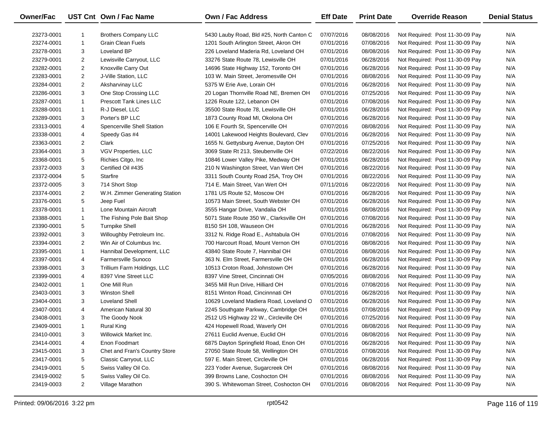| Owner/Fac  |                | UST Cnt Own / Fac Name         | <b>Own / Fac Address</b>                 | <b>Eff Date</b> | <b>Print Date</b> | <b>Override Reason</b>          | <b>Denial Status</b> |
|------------|----------------|--------------------------------|------------------------------------------|-----------------|-------------------|---------------------------------|----------------------|
| 23273-0001 |                | <b>Brothers Company LLC</b>    | 5430 Lauby Road, Bld #25, North Canton C | 07/07/2016      | 08/08/2016        | Not Required: Post 11-30-09 Pay | N/A                  |
| 23274-0001 | $\mathbf{1}$   | <b>Grain Clean Fuels</b>       | 1201 South Arlington Street, Akron OH    | 07/01/2016      | 07/08/2016        | Not Required: Post 11-30-09 Pay | N/A                  |
| 23278-0001 | 3              | Loveland BP                    | 226 Loveland Maderia Rd, Loveland OH     | 07/01/2016      | 08/08/2016        | Not Required: Post 11-30-09 Pay | N/A                  |
| 23279-0001 | 2              | Lewisville Carryout, LLC       | 33276 State Route 78, Lewisville OH      | 07/01/2016      | 06/28/2016        | Not Required: Post 11-30-09 Pay | N/A                  |
| 23282-0001 | $\overline{2}$ | Knoxville Carry Out            | 14696 State Highway 152, Toronto OH      | 07/01/2016      | 06/28/2016        | Not Required: Post 11-30-09 Pay | N/A                  |
| 23283-0001 | $\overline{2}$ | J-Ville Station, LLC           | 103 W. Main Street, Jeromesville OH      | 07/01/2016      | 08/08/2016        | Not Required: Post 11-30-09 Pay | N/A                  |
| 23284-0001 | 2              | Aksharvinay LLC                | 5375 W Erie Ave, Lorain OH               | 07/01/2016      | 06/28/2016        | Not Required: Post 11-30-09 Pay | N/A                  |
| 23286-0001 | 3              | One Stop Crossing LLC          | 20 Logan Thornville Road NE, Bremen OH   | 07/01/2016      | 07/25/2016        | Not Required: Post 11-30-09 Pay | N/A                  |
| 23287-0001 | $\mathbf{1}$   | <b>Prescott Tank Lines LLC</b> | 1226 Route 122, Lebanon OH               | 07/01/2016      | 07/08/2016        | Not Required: Post 11-30-09 Pay | N/A                  |
| 23288-0001 | 1              | R-J Diesel, LLC                | 35500 State Route 78, Lewisville OH      | 07/01/2016      | 06/28/2016        | Not Required: Post 11-30-09 Pay | N/A                  |
| 23289-0001 | 3              | Porter's BP LLC                | 1873 County Road MI, Okolona OH          | 07/01/2016      | 06/28/2016        | Not Required: Post 11-30-09 Pay | N/A                  |
| 23313-0001 | 4              | Spencerville Shell Station     | 106 E Fourth St, Spencerville OH         | 07/07/2016      | 08/08/2016        | Not Required: Post 11-30-09 Pay | N/A                  |
| 23338-0001 | 4              | Speedy Gas #4                  | 14001 Lakewood Heights Boulevard, Clev   | 07/01/2016      | 06/28/2016        | Not Required: Post 11-30-09 Pay | N/A                  |
| 23363-0001 | $\overline{2}$ | Clark                          | 1655 N. Gettysburg Avenue, Dayton OH     | 07/01/2016      | 07/25/2016        | Not Required: Post 11-30-09 Pay | N/A                  |
| 23364-0001 | 3              | <b>VGV Properties, LLC</b>     | 3069 State Rt 213, Steubenville OH       | 07/22/2016      | 08/22/2016        | Not Required: Post 11-30-09 Pay | N/A                  |
| 23368-0001 | 5              | Richies Citgo, Inc.            | 10846 Lower Valley Pike, Medway OH       | 07/01/2016      | 06/28/2016        | Not Required: Post 11-30-09 Pay | N/A                  |
| 23372-0003 | 3              | Certified Oil #435             | 210 N Washington Street, Van Wert OH     | 07/01/2016      | 08/22/2016        | Not Required: Post 11-30-09 Pay | N/A                  |
| 23372-0004 | 5              | Starfire                       | 3311 South County Road 25A, Troy OH      | 07/01/2016      | 08/22/2016        | Not Required: Post 11-30-09 Pay | N/A                  |
| 23372-0005 | 3              | 714 Short Stop                 | 714 E. Main Street, Van Wert OH          | 07/11/2016      | 08/22/2016        | Not Required: Post 11-30-09 Pay | N/A                  |
| 23374-0001 | 2              | W.H. Zimmer Generating Station | 1781 US Route 52, Moscow OH              | 07/01/2016      | 06/28/2016        | Not Required: Post 11-30-09 Pay | N/A                  |
| 23376-0001 | 5              | Jeep Fuel                      | 10573 Main Street, South Webster OH      | 07/01/2016      | 06/28/2016        | Not Required: Post 11-30-09 Pay | N/A                  |
| 23378-0001 | $\mathbf{1}$   | Lone Mountain Aircraft         | 3555 Hangar Drive, Vandalia OH           | 07/01/2016      | 08/08/2016        | Not Required: Post 11-30-09 Pay | N/A                  |
| 23388-0001 | 1              | The Fishing Pole Bait Shop     | 5071 State Route 350 W., Clarksville OH  | 07/01/2016      | 07/08/2016        | Not Required: Post 11-30-09 Pay | N/A                  |
| 23390-0001 | 5              | <b>Turnpike Shell</b>          | 8150 SH 108, Wauseon OH                  | 07/01/2016      | 06/28/2016        | Not Required: Post 11-30-09 Pay | N/A                  |
| 23392-0001 | 3              | Willoughby Petroleum Inc.      | 3312 N. Ridge Road E., Ashtabula OH      | 07/01/2016      | 07/08/2016        | Not Required: Post 11-30-09 Pay | N/A                  |
| 23394-0001 | $\overline{2}$ | Win Air of Columbus Inc.       | 700 Harcourt Road, Mount Vernon OH       | 07/01/2016      | 08/08/2016        | Not Required: Post 11-30-09 Pay | N/A                  |
| 23395-0001 | $\mathbf{1}$   | Hannibal Development, LLC      | 43840 State Route 7, Hannibal OH         | 07/01/2016      | 08/08/2016        | Not Required: Post 11-30-09 Pay | N/A                  |
| 23397-0001 | 4              | <b>Farmersville Sunoco</b>     | 363 N. Elm Street, Farmersville OH       | 07/01/2016      | 06/28/2016        | Not Required: Post 11-30-09 Pay | N/A                  |
| 23398-0001 | 3              | Trillium Farm Holdings, LLC    | 10513 Croton Road, Johnstown OH          | 07/01/2016      | 06/28/2016        | Not Required: Post 11-30-09 Pay | N/A                  |
| 23399-0001 | 4              | 8397 Vine Street LLC           | 8397 Vine Street, Cincinnati OH          | 07/05/2016      | 08/08/2016        | Not Required: Post 11-30-09 Pay | N/A                  |
| 23402-0001 | $\mathbf{1}$   | One Mill Run                   | 3455 Mill Run Drive, Hilliard OH         | 07/01/2016      | 07/08/2016        | Not Required: Post 11-30-09 Pay | N/A                  |
| 23403-0001 | 3              | <b>Winston Shell</b>           | 8151 Winton Road, Cincinnnati OH         | 07/01/2016      | 06/28/2016        | Not Required: Post 11-30-09 Pay | N/A                  |
| 23404-0001 | 3              | Loveland Shell                 | 10629 Loveland Madiera Road, Loveland C  | 07/01/2016      | 06/28/2016        | Not Required: Post 11-30-09 Pay | N/A                  |
| 23407-0001 | 4              | American Natural 30            | 2245 Southgate Parkway, Cambridge OH     | 07/01/2016      | 07/08/2016        | Not Required: Post 11-30-09 Pay | N/A                  |
| 23408-0001 | 3              | The Goody Nook                 | 2512 US Highway 22 W., Circleville OH    | 07/01/2016      | 07/25/2016        | Not Required: Post 11-30-09 Pay | N/A                  |
| 23409-0001 | 1              | <b>Rural King</b>              | 424 Hopewell Road, Waverly OH            | 07/01/2016      | 08/08/2016        | Not Required: Post 11-30-09 Pay | N/A                  |
| 23410-0001 | 3              | Willowick Market Inc.          | 27611 Euclid Avenue, Euclid OH           | 07/01/2016      | 08/08/2016        | Not Required: Post 11-30-09 Pay | N/A                  |
| 23414-0001 | 4              | Enon Foodmart                  | 6875 Dayton Springfield Road, Enon OH    | 07/01/2016      | 06/28/2016        | Not Required: Post 11-30-09 Pay | N/A                  |
| 23415-0001 | 3              | Chet and Fran's Country Store  | 27050 State Route 58, Wellington OH      | 07/01/2016      | 07/08/2016        | Not Required: Post 11-30-09 Pay | N/A                  |
| 23417-0001 | 5              | Classic Carryout, LLC          | 597 E. Main Street, Circleville OH       | 07/01/2016      | 06/28/2016        | Not Required: Post 11-30-09 Pay | N/A                  |
| 23419-0001 | 5              | Swiss Valley Oil Co.           | 223 Yoder Avenue, Sugarcreek OH          | 07/01/2016      | 08/08/2016        | Not Required: Post 11-30-09 Pay | N/A                  |
| 23419-0002 | 5              | Swiss Valley Oil Co.           | 399 Browns Lane, Coshocton OH            | 07/01/2016      | 08/08/2016        | Not Required: Post 11-30-09 Pay | N/A                  |
| 23419-0003 | $\overline{2}$ | Village Marathon               | 390 S. Whitewoman Street, Coshocton OH   | 07/01/2016      | 08/08/2016        | Not Required: Post 11-30-09 Pay | N/A                  |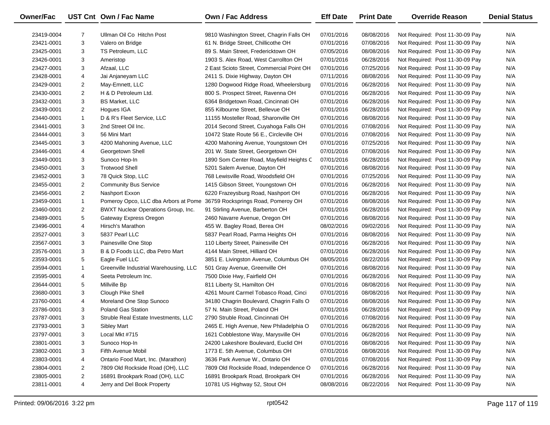| Owner/Fac  |                | UST Cnt Own / Fac Name                 | Own / Fac Address                         | <b>Eff Date</b> | <b>Print Date</b> | <b>Override Reason</b>          | <b>Denial Status</b> |
|------------|----------------|----------------------------------------|-------------------------------------------|-----------------|-------------------|---------------------------------|----------------------|
| 23419-0004 | $\overline{7}$ | Ullman Oil Co Hitchn Post              | 9810 Washington Street, Chagrin Falls OH  | 07/01/2016      | 08/08/2016        | Not Required: Post 11-30-09 Pay | N/A                  |
| 23421-0001 | 3              | Valero on Bridge                       | 61 N. Bridge Street, Chillicothe OH       | 07/01/2016      | 07/08/2016        | Not Required: Post 11-30-09 Pay | N/A                  |
| 23425-0001 | 3              | TS Petroleum, LLC                      | 89 S. Main Street, Fredericktown OH       | 07/05/2016      | 08/08/2016        | Not Required: Post 11-30-09 Pay | N/A                  |
| 23426-0001 | 3              | Ameristop                              | 1903 S. Alex Road, West Carrollton OH     | 07/01/2016      | 06/28/2016        | Not Required: Post 11-30-09 Pay | N/A                  |
| 23427-0001 | 3              | Afzaal, LLC                            | 2 East Scioto Street, Commercial Point OH | 07/01/2016      | 07/25/2016        | Not Required: Post 11-30-09 Pay | N/A                  |
| 23428-0001 | 4              | Jai Anjaneyam LLC                      | 2411 S. Dixie Highway, Dayton OH          | 07/11/2016      | 08/08/2016        | Not Required: Post 11-30-09 Pay | N/A                  |
| 23429-0001 | $\overline{2}$ | May-Emnett, LLC                        | 1280 Dogwood Ridge Road, Wheelersburg     | 07/01/2016      | 06/28/2016        | Not Required: Post 11-30-09 Pay | N/A                  |
| 23430-0001 | $\overline{2}$ | H & D Petroleum Ltd.                   | 800 S. Prospect Street, Ravenna OH        | 07/01/2016      | 06/28/2016        | Not Required: Post 11-30-09 Pay | N/A                  |
| 23432-0001 | 3              | <b>BS Market, LLC</b>                  | 6364 Bridgetown Road, Cincinnati OH       | 07/01/2016      | 06/28/2016        | Not Required: Post 11-30-09 Pay | N/A                  |
| 23439-0001 | $\overline{2}$ | Hogues IGA                             | 855 Kilbourne Street, Bellevue OH         | 07/01/2016      | 06/28/2016        | Not Required: Post 11-30-09 Pay | N/A                  |
| 23440-0001 | $\mathbf{1}$   | D & R's Fleet Service, LLC             | 11155 Mosteller Road, Sharonville OH      | 07/01/2016      | 08/08/2016        | Not Required: Post 11-30-09 Pay | N/A                  |
| 23441-0001 | 3              | 2nd Street Oil Inc.                    | 2014 Second Street, Cuyahoga Falls OH     | 07/01/2016      | 07/08/2016        | Not Required: Post 11-30-09 Pay | N/A                  |
| 23444-0001 | 3              | 56 Mini Mart                           | 10472 State Route 56 E., Circleville OH   | 07/01/2016      | 07/08/2016        | Not Required: Post 11-30-09 Pay | N/A                  |
| 23445-0001 | 3              | 4200 Mahoning Avenue, LLC              | 4200 Mahoning Avenue, Youngstown OH       | 07/01/2016      | 07/25/2016        | Not Required: Post 11-30-09 Pay | N/A                  |
| 23446-0001 | 4              | Georgetown Shell                       | 201 W. State Street, Georgetown OH        | 07/01/2016      | 07/08/2016        | Not Required: Post 11-30-09 Pay | N/A                  |
| 23449-0001 | 3              | Sunoco Hop-In                          | 1890 Som Center Road, Mayfield Heights C  | 07/01/2016      | 06/28/2016        | Not Required: Post 11-30-09 Pay | N/A                  |
| 23450-0001 | 3              | <b>Trotwood Shell</b>                  | 5201 Salem Avenue, Dayton OH              | 07/01/2016      | 08/08/2016        | Not Required: Post 11-30-09 Pay | N/A                  |
| 23452-0001 | 3              | 78 Quick Stop, LLC                     | 768 Lewisville Road, Woodsfield OH        | 07/01/2016      | 07/25/2016        | Not Required: Post 11-30-09 Pay | N/A                  |
| 23455-0001 | $\overline{2}$ | <b>Community Bus Service</b>           | 1415 Gibson Street, Youngstown OH         | 07/01/2016      | 06/28/2016        | Not Required: Post 11-30-09 Pay | N/A                  |
| 23456-0001 | $\overline{2}$ | Nashport Exxon                         | 6220 Frazeysburg Road, Nashport OH        | 07/01/2016      | 06/28/2016        | Not Required: Post 11-30-09 Pay | N/A                  |
| 23459-0001 | $\mathbf{1}$   | Pomeroy Opco, LLC dba Arbors at Pome   | 36759 Rocksprings Road, Pomeroy OH        | 07/01/2016      | 08/08/2016        | Not Required: Post 11-30-09 Pay | N/A                  |
| 23460-0001 | $\overline{2}$ | BWXT Nuclear Operations Group, Inc.    | 91 Stirling Avenue, Barberton OH          | 07/01/2016      | 06/28/2016        | Not Required: Post 11-30-09 Pay | N/A                  |
| 23489-0001 | 5              | Gateway Express Oregon                 | 2460 Navarre Avenue, Oregon OH            | 07/01/2016      | 08/08/2016        | Not Required: Post 11-30-09 Pay | N/A                  |
| 23496-0001 | 4              | Hirsch's Marathon                      | 455 W. Bagley Road, Berea OH              | 08/02/2016      | 09/02/2016        | Not Required: Post 11-30-09 Pay | N/A                  |
| 23527-0001 | 3              | 5837 Pearl LLC                         | 5837 Pearl Road, Parma Heights OH         | 07/01/2016      | 08/08/2016        | Not Required: Post 11-30-09 Pay | N/A                  |
| 23567-0001 | 3              | Painesville One Stop                   | 110 Liberty Street, Painesville OH        | 07/01/2016      | 06/28/2016        | Not Required: Post 11-30-09 Pay | N/A                  |
| 23576-0001 | 3              | B & D Foods LLC, dba Petro Mart        | 4144 Main Street, Hilliard OH             | 07/01/2016      | 06/28/2016        | Not Required: Post 11-30-09 Pay | N/A                  |
| 23593-0001 | 5              | Eagle Fuel LLC                         | 3851 E. Livingston Avenue, Columbus OH    | 08/05/2016      | 08/22/2016        | Not Required: Post 11-30-09 Pay | N/A                  |
| 23594-0001 | $\mathbf{1}$   | Greenville Industrial Warehousing, LLC | 501 Gray Avenue, Greenville OH            | 07/01/2016      | 08/08/2016        | Not Required: Post 11-30-09 Pay | N/A                  |
| 23595-0001 | 4              | Seeta Petroleum Inc.                   | 7500 Dixie Hwy, Fairfield OH              | 07/01/2016      | 06/28/2016        | Not Required: Post 11-30-09 Pay | N/A                  |
| 23644-0001 | 5              | Millville Bp                           | 811 Liberty St, Hamilton OH               | 07/01/2016      | 08/08/2016        | Not Required: Post 11-30-09 Pay | N/A                  |
| 23680-0001 | 3              | Clough Pike Shell                      | 4261 Mount Carmel Tobasco Road, Cinci     | 07/01/2016      | 08/08/2016        | Not Required: Post 11-30-09 Pay | N/A                  |
| 23760-0001 | 4              | Moreland One Stop Sunoco               | 34180 Chagrin Boulevard, Chagrin Falls O  | 07/01/2016      | 08/08/2016        | Not Required: Post 11-30-09 Pay | N/A                  |
| 23786-0001 | 3              | <b>Poland Gas Station</b>              | 57 N. Main Street, Poland OH              | 07/01/2016      | 06/28/2016        | Not Required: Post 11-30-09 Pay | N/A                  |
| 23787-0001 | 3              | Struble Real Estate Investments, LLC   | 2790 Struble Road, Cincinnati OH          | 07/01/2016      | 07/08/2016        | Not Required: Post 11-30-09 Pay | N/A                  |
| 23793-0001 | 3              | Sibley Mart                            | 2465 E. High Avenue, New Philadelphia O   | 07/01/2016      | 06/28/2016        | Not Required: Post 11-30-09 Pay | N/A                  |
| 23797-0001 | 3              | Local Mkt #715                         | 1621 Cobblestone Way, Marysville OH       | 07/01/2016      | 06/28/2016        | Not Required: Post 11-30-09 Pay | N/A                  |
| 23801-0001 | 3              | Sunoco Hop-In                          | 24200 Lakeshore Boulevard, Euclid OH      | 07/01/2016      | 08/08/2016        | Not Required: Post 11-30-09 Pay | N/A                  |
| 23802-0001 | 3              | Fifth Avenue Mobil                     | 1773 E. 5th Avenue, Columbus OH           | 07/01/2016      | 08/08/2016        | Not Required: Post 11-30-09 Pay | N/A                  |
| 23803-0001 | 4              | Ontario Food Mart, Inc. (Marathon)     | 3636 Park Avenue W., Ontario OH           | 07/01/2016      | 07/08/2016        | Not Required: Post 11-30-09 Pay | N/A                  |
| 23804-0001 | 2              | 7809 Old Rockside Road (OH), LLC       | 7809 Old Rockside Road, Independence O    | 07/01/2016      | 06/28/2016        | Not Required: Post 11-30-09 Pay | N/A                  |
| 23805-0001 | 2              | 16891 Brookpark Road (OH), LLC         | 16891 Brookpark Road, Brookpark OH        | 07/01/2016      | 06/28/2016        | Not Required: Post 11-30-09 Pay | N/A                  |
| 23811-0001 | 4              | Jerry and Del Book Property            | 10781 US Highway 52, Stout OH             | 08/08/2016      | 08/22/2016        | Not Required: Post 11-30-09 Pay | N/A                  |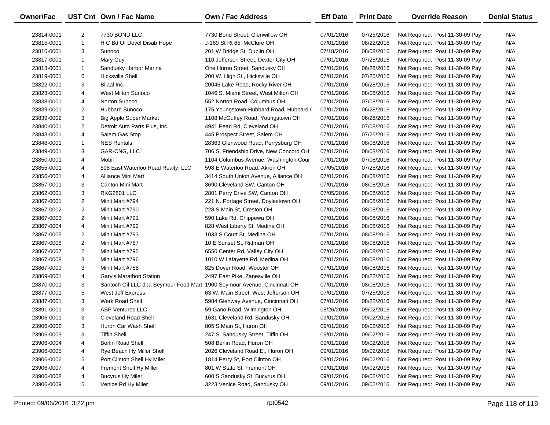| <b>Owner/Fac</b> |                | UST Cnt Own / Fac Name                                                   | Own / Fac Address                       | <b>Eff Date</b> | <b>Print Date</b> | <b>Override Reason</b>          | <b>Denial Status</b> |
|------------------|----------------|--------------------------------------------------------------------------|-----------------------------------------|-----------------|-------------------|---------------------------------|----------------------|
| 23814-0001       | $\overline{2}$ | 7730 BOND LLC                                                            | 7730 Bond Street, Glenwillow OH         | 07/01/2016      | 07/25/2016        | Not Required: Post 11-30-09 Pay | N/A                  |
| 23815-0001       | $\mathbf{1}$   | H C Bd Of Devel Disab Hope                                               | J-169 St Rt 65, McClure OH              | 07/01/2016      | 08/22/2016        | Not Required: Post 11-30-09 Pay | N/A                  |
| 23816-0001       | 3              | Sunoco                                                                   | 201 W Bridge St, Dublin OH              | 07/18/2016      | 08/08/2016        | Not Required: Post 11-30-09 Pay | N/A                  |
| 23817-0001       | $\mathbf{1}$   | Mary Guy                                                                 | 110 Jefferson Street, Dexter City OH    | 07/01/2016      | 07/25/2016        | Not Required: Post 11-30-09 Pay | N/A                  |
| 23818-0001       | $\mathbf{1}$   | Sandusky Harbor Marina                                                   | One Huron Street, Sandusky OH           | 07/01/2016      | 06/28/2016        | Not Required: Post 11-30-09 Pay | N/A                  |
| 23819-0001       | 6              | <b>Hicksville Shell</b>                                                  | 200 W. High St., Hicksville OH          | 07/01/2016      | 07/25/2016        | Not Required: Post 11-30-09 Pay | N/A                  |
| 23822-0001       | 3              | Bilaal Inc.                                                              | 20045 Lake Road, Rocky River OH         | 07/01/2016      | 06/28/2016        | Not Required: Post 11-30-09 Pay | N/A                  |
| 23823-0001       | 4              | <b>West Milton Sunoco</b>                                                | 1046 S. Miami Street, West Milton OH    | 07/01/2016      | 08/08/2016        | Not Required: Post 11-30-09 Pay | N/A                  |
| 23838-0001       | 4              | Norton Sunoco                                                            | 552 Norton Road, Columbus OH            | 07/01/2016      | 07/08/2016        | Not Required: Post 11-30-09 Pay | N/A                  |
| 23839-0001       | $\overline{2}$ | Hubbard Sunoco                                                           | 175 Youngstown-Hubbard Road, Hubbard (  | 07/01/2016      | 06/28/2016        | Not Required: Post 11-30-09 Pay | N/A                  |
| 23839-0002       | 3              | <b>Big Apple Super Market</b>                                            | 1108 McGuffey Road, Youngstown OH       | 07/01/2016      | 06/28/2016        | Not Required: Post 11-30-09 Pay | N/A                  |
| 23840-0001       | $\overline{2}$ | Detroit Auto Parts Plus, Inc.                                            | 4941 Pearl Rd, Cleveland OH             | 07/01/2016      | 07/08/2016        | Not Required: Post 11-30-09 Pay | N/A                  |
| 23843-0001       | 4              | Salem Gas Stop                                                           | 445 Prospect Street, Salem OH           | 07/01/2016      | 07/25/2016        | Not Required: Post 11-30-09 Pay | N/A                  |
| 23848-0001       | $\mathbf{1}$   | <b>NES Rentals</b>                                                       | 28363 Glenwood Road, Perrysburg OH      | 07/01/2016      | 08/08/2016        | Not Required: Post 11-30-09 Pay | N/A                  |
| 23849-0001       | 3              | GAR-CNG, LLC                                                             | 706 S. Friendship Drive, New Concord OH | 07/01/2016      | 08/08/2016        | Not Required: Post 11-30-09 Pay | N/A                  |
| 23850-0001       | 4              | Mobil                                                                    | 1104 Columbus Avenue, Washington Cour   | 07/01/2016      | 07/08/2016        | Not Required: Post 11-30-09 Pay | N/A                  |
| 23855-0001       | 4              | 598 East Waterloo Road Realty, LLC                                       | 598 E Waterloo Road, Akron OH           | 07/05/2016      | 07/25/2016        | Not Required: Post 11-30-09 Pay | N/A                  |
| 23856-0001       | 4              | Alliance Mini Mart                                                       | 3414 South Union Avenue, Alliance OH    | 07/01/2016      | 08/08/2016        | Not Required: Post 11-30-09 Pay | N/A                  |
| 23857-0001       | 3              | Canton Mini Mart                                                         | 3690 Cleveland SW, Canton OH            | 07/01/2016      | 08/08/2016        | Not Required: Post 11-30-09 Pay | N/A                  |
| 23862-0001       | 3              | RKG2801 LLC                                                              | 2801 Perry Drive SW, Canton OH          | 07/05/2016      | 08/08/2016        | Not Required: Post 11-30-09 Pay | N/A                  |
| 23867-0001       | $\overline{2}$ | Minit Mart #794                                                          | 221 N. Portage Street, Doylestown OH    | 07/01/2016      | 08/08/2016        | Not Required: Post 11-30-09 Pay | N/A                  |
| 23867-0002       | $\overline{2}$ | Minit Mart #790                                                          | 228 S Main St, Creston OH               | 07/01/2016      | 08/08/2016        | Not Required: Post 11-30-09 Pay | N/A                  |
| 23867-0003       | $\overline{2}$ | Minit Mart #791                                                          | 590 Lake Rd, Chippewa OH                | 07/01/2016      | 08/08/2016        | Not Required: Post 11-30-09 Pay | N/A                  |
| 23867-0004       | 4              | Minit Mart #792                                                          | 828 West Liberty St, Medina OH          | 07/01/2016      | 08/08/2016        | Not Required: Post 11-30-09 Pay | N/A                  |
| 23867-0005       | $\overline{2}$ | Minit Mart #793                                                          | 1033 S Court St, Medina OH              | 07/01/2016      | 08/08/2016        | Not Required: Post 11-30-09 Pay | N/A                  |
| 23867-0006       | $\overline{2}$ | Minit Mart #787                                                          | 10 E Sunset St, Rittman OH              | 07/01/2016      | 08/08/2016        | Not Required: Post 11-30-09 Pay | N/A                  |
| 23867-0007       | $\overline{2}$ | Minit Mart #795                                                          | 6550 Center Rd, Valley City OH          | 07/01/2016      | 08/08/2016        | Not Required: Post 11-30-09 Pay | N/A                  |
| 23867-0008       | 3              | Minit Mart #796                                                          | 1010 W Lafayette Rd, Medina OH          | 07/01/2016      | 08/08/2016        | Not Required: Post 11-30-09 Pay | N/A                  |
| 23867-0009       | 3              | Minit Mart #788                                                          | 825 Dover Road, Wooster OH              | 07/01/2016      | 08/08/2016        | Not Required: Post 11-30-09 Pay | N/A                  |
| 23869-0001       | 4              | Gary's Marathon Station                                                  | 2497 East Pike, Zanesville OH           | 07/01/2016      | 08/22/2016        | Not Required: Post 11-30-09 Pay | N/A                  |
| 23870-0001       | 3              | Santoch Oil LLC dba Seymour Food Mart 1900 Seymour Avenue, Cincinnati OH |                                         | 07/01/2016      | 08/08/2016        | Not Required: Post 11-30-09 Pay | N/A                  |
| 23877-0001       | 5              | West Jeff Express                                                        | 63 W. Main Street, West Jefferson OH    | 07/01/2016      | 07/25/2016        | Not Required: Post 11-30-09 Pay | N/A                  |
| 23887-0001       | 3              | Werk Road Shell                                                          | 5984 Glenway Avenue, Cincinnati OH      | 07/01/2016      | 08/22/2016        | Not Required: Post 11-30-09 Pay | N/A                  |
| 23891-0001       | 3              | <b>ASP Ventures LLC</b>                                                  | 59 Gano Road, Wilmington OH             | 08/26/2016      | 09/02/2016        | Not Required: Post 11-30-09 Pay | N/A                  |
| 23906-0001       | 3              | <b>Cleveland Road Shell</b>                                              | 1631 Cleveland Rd, Sandusky OH          | 09/01/2016      | 09/02/2016        | Not Required: Post 11-30-09 Pay | N/A                  |
| 23906-0002       | 3              | Huron Car Wash Shell                                                     | 805 S Main St, Huron OH                 | 09/01/2016      | 09/02/2016        | Not Required: Post 11-30-09 Pay | N/A                  |
| 23906-0003       | 3              | <b>Tiffin Shell</b>                                                      | 247 S. Sandusky Street, Tiffin OH       | 09/01/2016      | 09/02/2016        | Not Required: Post 11-30-09 Pay | N/A                  |
| 23906-0004       | 4              | <b>Berlin Road Shell</b>                                                 | 508 Berlin Road, Huron OH               | 09/01/2016      | 09/02/2016        | Not Required: Post 11-30-09 Pay | N/A                  |
| 23906-0005       | 4              | Rye Beach Hy Miller Shell                                                | 2026 Cleveland Road E., Huron OH        | 09/01/2016      | 09/02/2016        | Not Required: Post 11-30-09 Pay | N/A                  |
| 23906-0006       | 5              | Port Clinton Shell Hy Miler                                              | 1814 Perry St, Port Clinton OH          | 09/01/2016      | 09/02/2016        | Not Required: Post 11-30-09 Pay | N/A                  |
| 23906-0007       | 4              | Fremont Shell Hy Miller                                                  | 801 W State St, Fremont OH              | 09/01/2016      | 09/02/2016        | Not Required: Post 11-30-09 Pay | N/A                  |
| 23906-0008       | 4              | <b>Bucyrus Hy Miler</b>                                                  | 600 S Sandusky St, Bucyrus OH           | 09/01/2016      | 09/02/2016        | Not Required: Post 11-30-09 Pay | N/A                  |
| 23906-0009       | 5              | Venice Rd Hy Miler                                                       | 3223 Venice Road, Sandusky OH           | 09/01/2016      | 09/02/2016        | Not Required: Post 11-30-09 Pay | N/A                  |